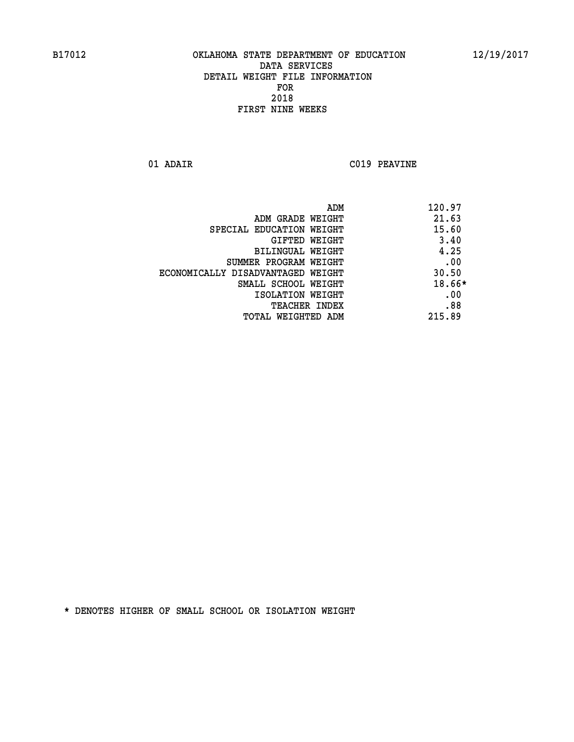**01 ADAIR C019 PEAVINE**

| ADM                               | 120.97 |
|-----------------------------------|--------|
| ADM GRADE WEIGHT                  | 21.63  |
| SPECIAL EDUCATION WEIGHT          | 15.60  |
| GIFTED WEIGHT                     | 3.40   |
| BILINGUAL WEIGHT                  | 4.25   |
| SUMMER PROGRAM WEIGHT             | .00    |
| ECONOMICALLY DISADVANTAGED WEIGHT | 30.50  |
| SMALL SCHOOL WEIGHT               | 18.66* |
| ISOLATION WEIGHT                  | .00    |
| TEACHER INDEX                     | .88    |
| TOTAL WEIGHTED ADM                | 215.89 |
|                                   |        |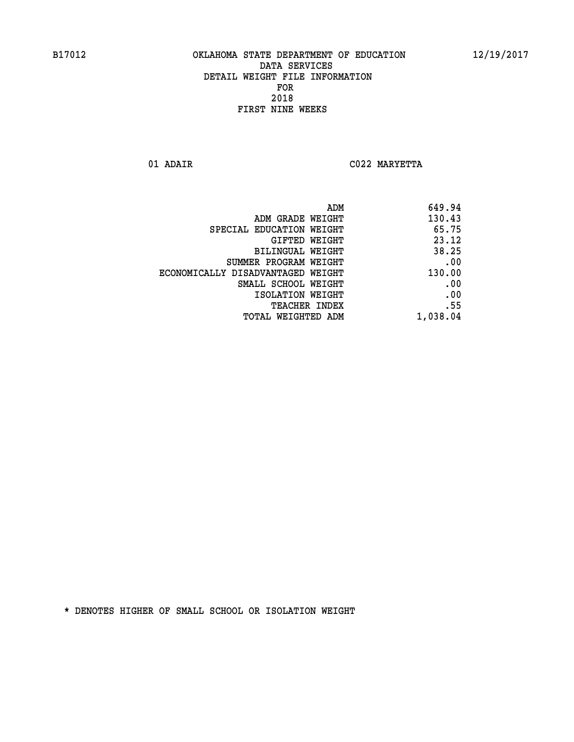**01 ADAIR C022 MARYETTA** 

| 649.94   |
|----------|
| 130.43   |
| 65.75    |
| 23.12    |
| 38.25    |
| .00      |
| 130.00   |
| .00      |
| .00      |
| .55      |
| 1,038.04 |
|          |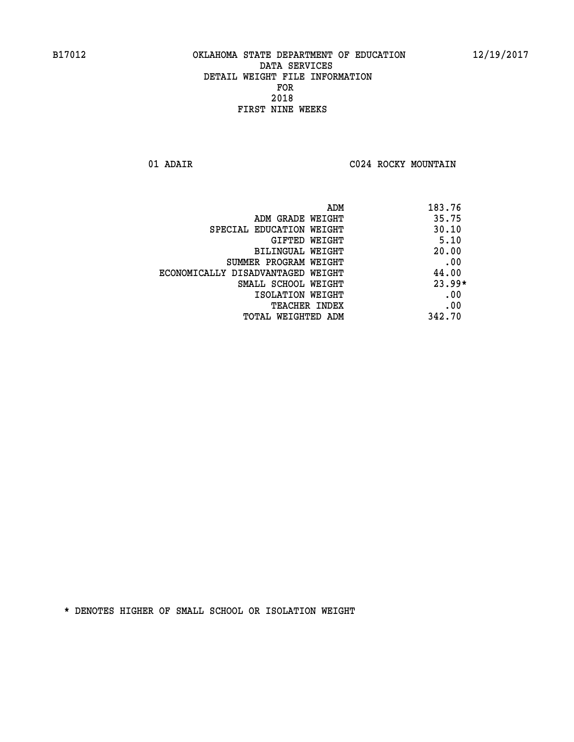**01 ADAIR C024 ROCKY MOUNTAIN** 

| ADM                               | 183.76   |
|-----------------------------------|----------|
| ADM GRADE WEIGHT                  | 35.75    |
| SPECIAL EDUCATION WEIGHT          | 30.10    |
| <b>GIFTED WEIGHT</b>              | 5.10     |
| BILINGUAL WEIGHT                  | 20.00    |
| SUMMER PROGRAM WEIGHT             | .00      |
| ECONOMICALLY DISADVANTAGED WEIGHT | 44.00    |
| SMALL SCHOOL WEIGHT               | $23.99*$ |
| ISOLATION WEIGHT                  | .00      |
| <b>TEACHER INDEX</b>              | .00      |
| TOTAL WEIGHTED ADM                | 342.70   |
|                                   |          |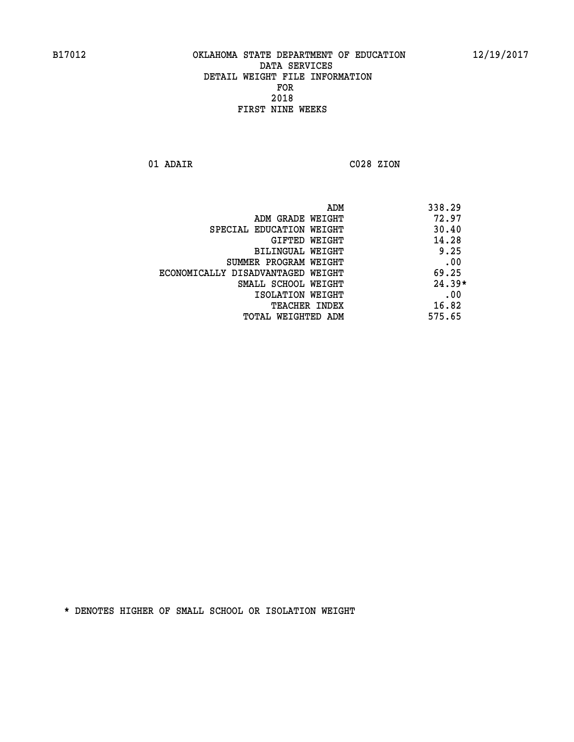**01 ADAIR C028 ZION** 

| ADM                               | 338.29   |
|-----------------------------------|----------|
| ADM GRADE WEIGHT                  | 72.97    |
| SPECIAL EDUCATION WEIGHT          | 30.40    |
| GIFTED WEIGHT                     | 14.28    |
| BILINGUAL WEIGHT                  | 9.25     |
| SUMMER PROGRAM WEIGHT             | .00      |
| ECONOMICALLY DISADVANTAGED WEIGHT | 69.25    |
| SMALL SCHOOL WEIGHT               | $24.39*$ |
| ISOLATION WEIGHT                  | .00      |
| <b>TEACHER INDEX</b>              | 16.82    |
| TOTAL WEIGHTED ADM                | 575.65   |
|                                   |          |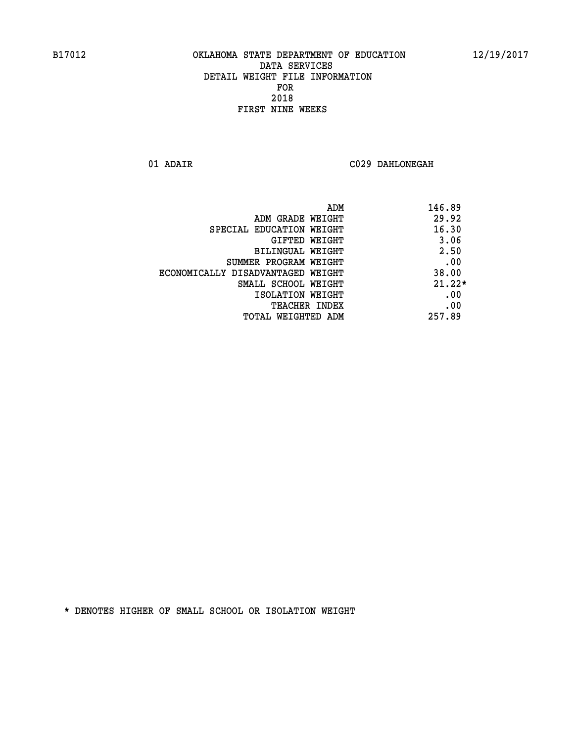**01 ADAIR C029 DAHLONEGAH** 

|                                   | ADM<br>146.89 |
|-----------------------------------|---------------|
| ADM GRADE WEIGHT                  | 29.92         |
| SPECIAL EDUCATION WEIGHT          | 16.30         |
| GIFTED WEIGHT                     | 3.06          |
| BILINGUAL WEIGHT                  | 2.50          |
| SUMMER PROGRAM WEIGHT             | .00           |
| ECONOMICALLY DISADVANTAGED WEIGHT | 38.00         |
| SMALL SCHOOL WEIGHT               | $21.22*$      |
| ISOLATION WEIGHT                  | .00           |
| <b>TEACHER INDEX</b>              | .00           |
| TOTAL WEIGHTED ADM                | 257.89        |
|                                   |               |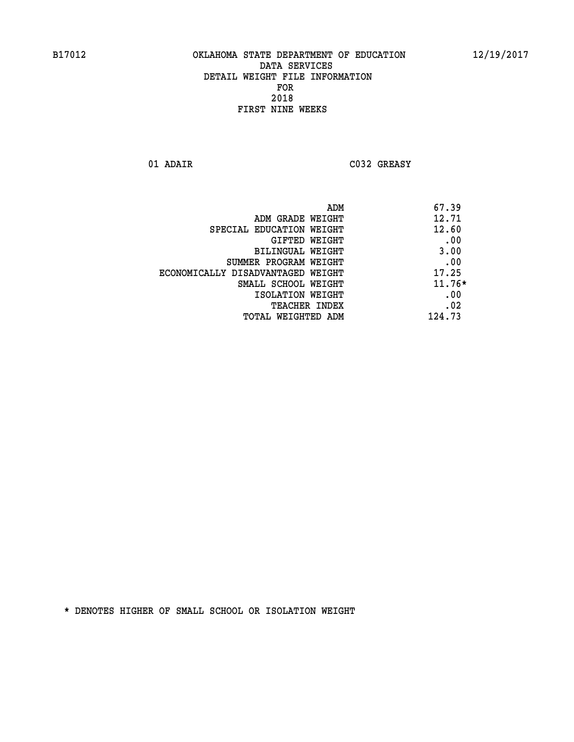**01 ADAIR C032 GREASY** 

| ADM                               | 67.39    |
|-----------------------------------|----------|
| ADM GRADE WEIGHT                  | 12.71    |
| SPECIAL EDUCATION WEIGHT          | 12.60    |
| GIFTED WEIGHT                     | .00      |
| <b>BILINGUAL WEIGHT</b>           | 3.00     |
| SUMMER PROGRAM WEIGHT             | .00      |
| ECONOMICALLY DISADVANTAGED WEIGHT | 17.25    |
| SMALL SCHOOL WEIGHT               | $11.76*$ |
| ISOLATION WEIGHT                  | .00      |
| <b>TEACHER INDEX</b>              | .02      |
| TOTAL WEIGHTED ADM                | 124.73   |
|                                   |          |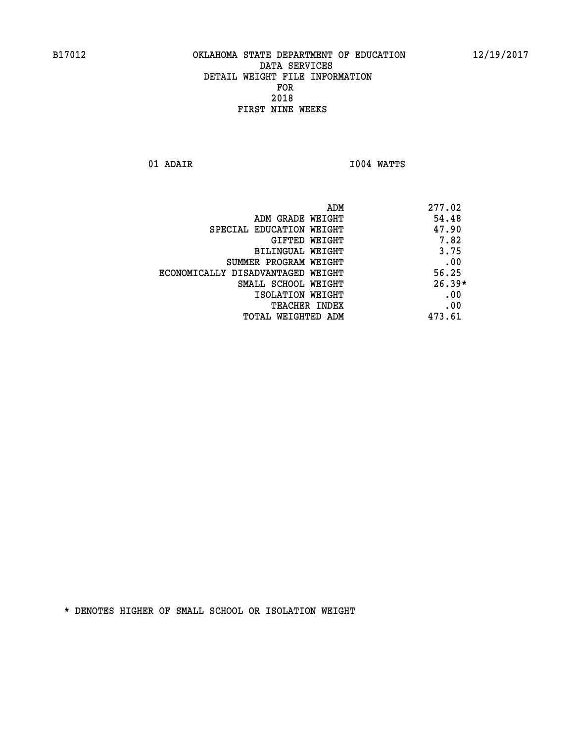**01 ADAIR I004 WATTS** 

|                                   | 277.02<br>ADM |
|-----------------------------------|---------------|
| ADM GRADE WEIGHT                  | 54.48         |
| SPECIAL EDUCATION WEIGHT          | 47.90         |
| GIFTED WEIGHT                     | 7.82          |
| BILINGUAL WEIGHT                  | 3.75          |
| SUMMER PROGRAM WEIGHT             | .00           |
| ECONOMICALLY DISADVANTAGED WEIGHT | 56.25         |
| SMALL SCHOOL WEIGHT               | $26.39*$      |
| ISOLATION WEIGHT                  | .00           |
| <b>TEACHER INDEX</b>              | .00           |
| TOTAL WEIGHTED ADM                | 473.61        |
|                                   |               |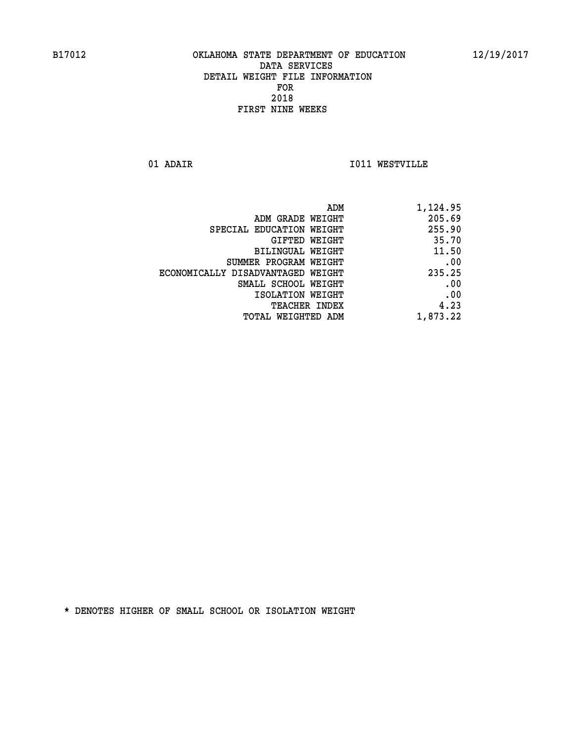**01 ADAIR I011 WESTVILLE** 

| 1,124.95 |
|----------|
| 205.69   |
| 255.90   |
| 35.70    |
| 11.50    |
| .00      |
| 235.25   |
| .00      |
| .00      |
| 4.23     |
| 1,873.22 |
|          |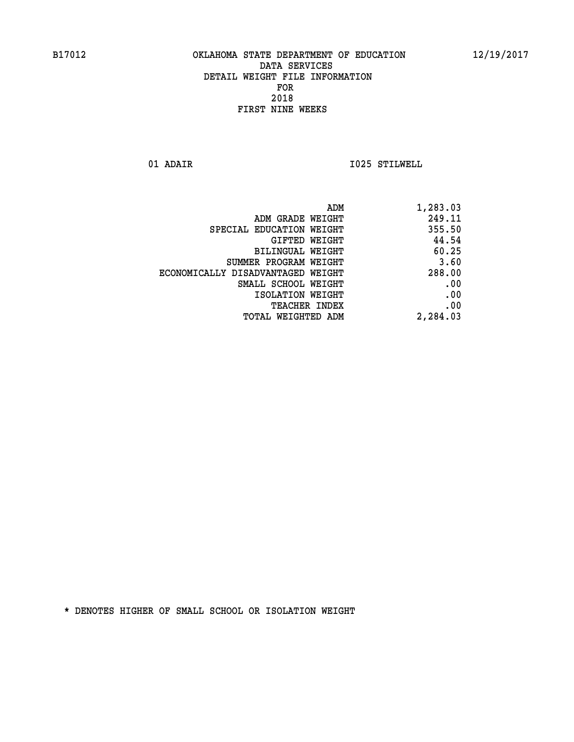**01 ADAIR I025 STILWELL** 

|                                   | ADM<br>1,283.03 |
|-----------------------------------|-----------------|
| ADM GRADE WEIGHT                  | 249.11          |
| SPECIAL EDUCATION WEIGHT          | 355.50          |
| <b>GIFTED WEIGHT</b>              | 44.54           |
| <b>BILINGUAL WEIGHT</b>           | 60.25           |
| SUMMER PROGRAM WEIGHT             | 3.60            |
| ECONOMICALLY DISADVANTAGED WEIGHT | 288.00          |
| SMALL SCHOOL WEIGHT               | .00             |
| ISOLATION WEIGHT                  | .00             |
| TEACHER INDEX                     | .00             |
| TOTAL WEIGHTED ADM                | 2,284.03        |
|                                   |                 |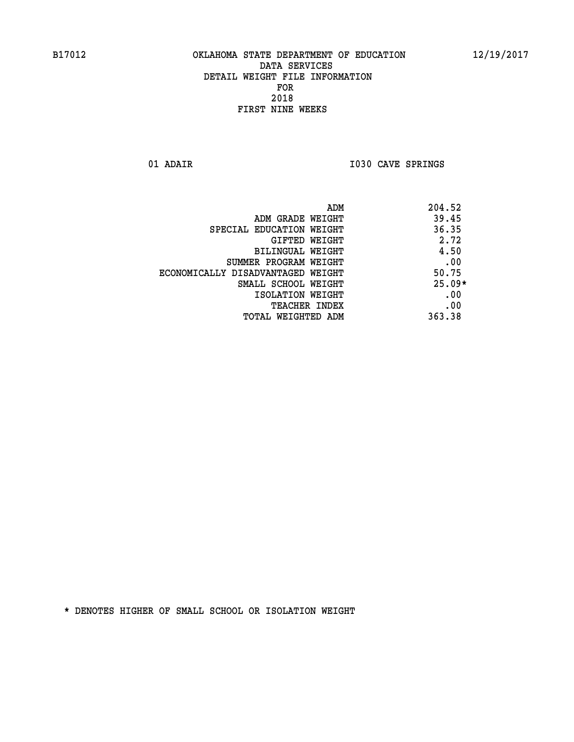01 ADAIR **I030 CAVE SPRINGS** 

|                                   | ADM<br>204.52 |          |
|-----------------------------------|---------------|----------|
| ADM GRADE WEIGHT                  |               | 39.45    |
| SPECIAL EDUCATION WEIGHT          |               | 36.35    |
| GIFTED WEIGHT                     |               | 2.72     |
| BILINGUAL WEIGHT                  |               | 4.50     |
| SUMMER PROGRAM WEIGHT             |               | .00      |
| ECONOMICALLY DISADVANTAGED WEIGHT |               | 50.75    |
| SMALL SCHOOL WEIGHT               |               | $25.09*$ |
| ISOLATION WEIGHT                  |               | .00      |
| <b>TEACHER INDEX</b>              |               | .00      |
| TOTAL WEIGHTED ADM                | 363.38        |          |
|                                   |               |          |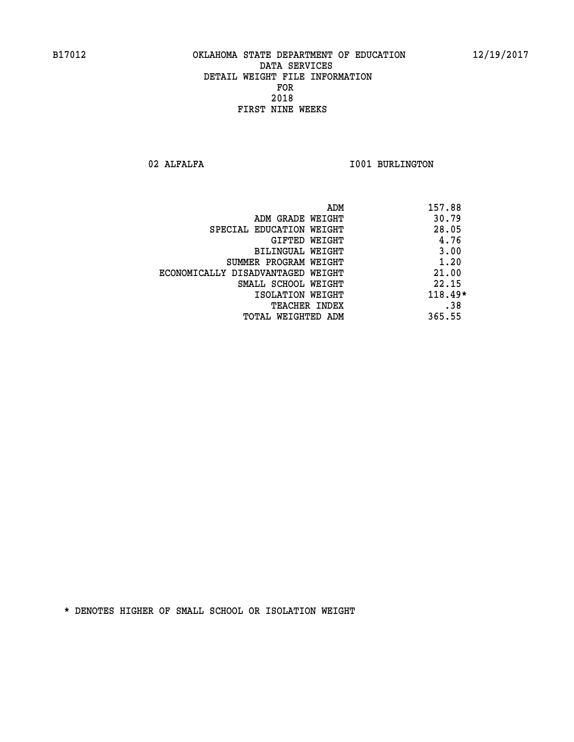02 ALFALFA **I001 BURLINGTON** 

|                                   | ADM | 157.88  |
|-----------------------------------|-----|---------|
| ADM GRADE WEIGHT                  |     | 30.79   |
| SPECIAL EDUCATION WEIGHT          |     | 28.05   |
| GIFTED WEIGHT                     |     | 4.76    |
| BILINGUAL WEIGHT                  |     | 3.00    |
| SUMMER PROGRAM WEIGHT             |     | 1.20    |
| ECONOMICALLY DISADVANTAGED WEIGHT |     | 21.00   |
| SMALL SCHOOL WEIGHT               |     | 22.15   |
| ISOLATION WEIGHT                  |     | 118.49* |
| TEACHER INDEX                     |     | .38     |
| TOTAL WEIGHTED ADM                |     | 365.55  |
|                                   |     |         |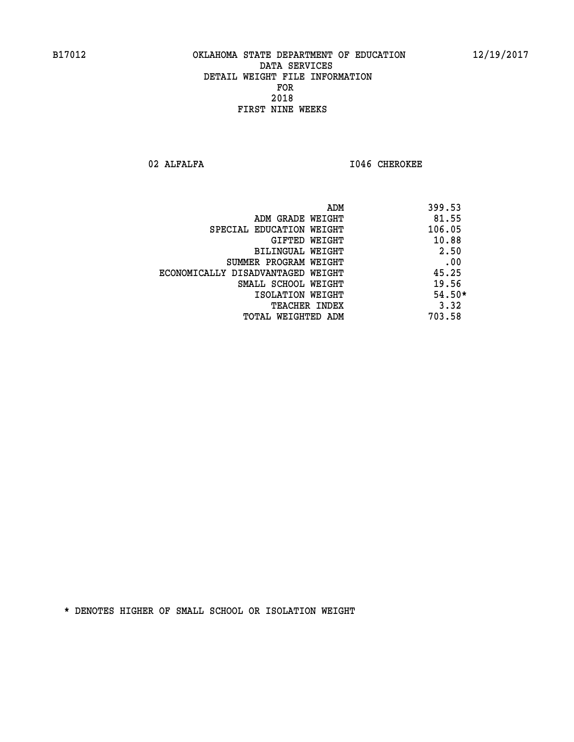**02 ALFALFA I046 CHEROKEE** 

|                                   | 399.53<br>ADM |
|-----------------------------------|---------------|
| ADM GRADE WEIGHT                  | 81.55         |
| SPECIAL EDUCATION WEIGHT          | 106.05        |
| GIFTED WEIGHT                     | 10.88         |
| BILINGUAL WEIGHT                  | 2.50          |
| SUMMER PROGRAM WEIGHT             | .00           |
| ECONOMICALLY DISADVANTAGED WEIGHT | 45.25         |
| SMALL SCHOOL WEIGHT               | 19.56         |
| ISOLATION WEIGHT                  | $54.50*$      |
| <b>TEACHER INDEX</b>              | 3.32          |
| TOTAL WEIGHTED ADM                | 703.58        |
|                                   |               |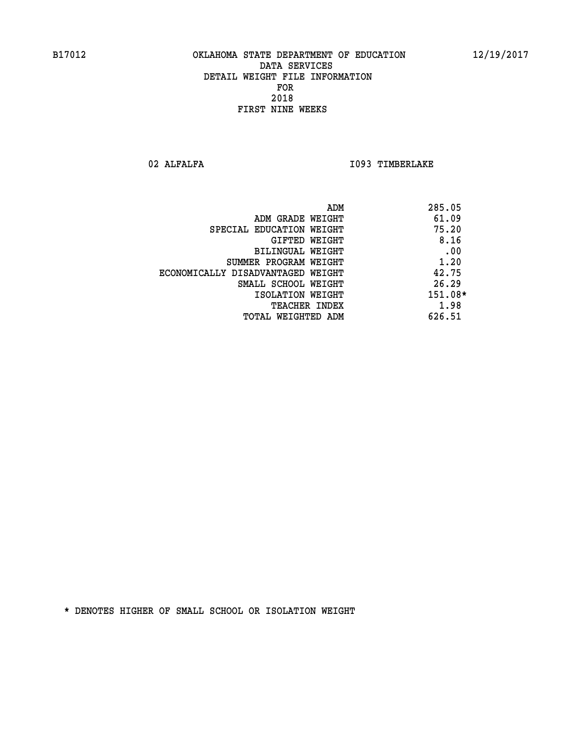02 ALFALFA **I093 TIMBERLAKE** 

| ADM<br>285.05                              |  |
|--------------------------------------------|--|
| 61.09<br>ADM GRADE WEIGHT                  |  |
| 75.20<br>SPECIAL EDUCATION WEIGHT          |  |
| 8.16<br>GIFTED WEIGHT                      |  |
| .00<br>BILINGUAL WEIGHT                    |  |
| 1.20<br>SUMMER PROGRAM WEIGHT              |  |
| 42.75<br>ECONOMICALLY DISADVANTAGED WEIGHT |  |
| 26.29<br>SMALL SCHOOL WEIGHT               |  |
| 151.08*<br>ISOLATION WEIGHT                |  |
| 1.98<br><b>TEACHER INDEX</b>               |  |
| 626.51<br>TOTAL WEIGHTED ADM               |  |
|                                            |  |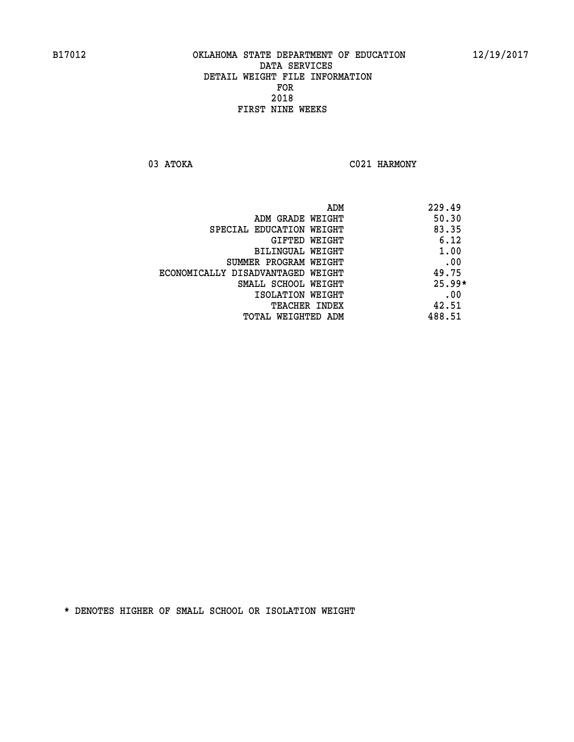03 ATOKA C021 HARMONY

|                                   | ADM<br>229.49 |  |
|-----------------------------------|---------------|--|
| ADM GRADE WEIGHT                  | 50.30         |  |
| SPECIAL EDUCATION WEIGHT          | 83.35         |  |
| GIFTED WEIGHT                     | 6.12          |  |
| BILINGUAL WEIGHT                  | 1.00          |  |
| SUMMER PROGRAM WEIGHT             | .00           |  |
| ECONOMICALLY DISADVANTAGED WEIGHT | 49.75         |  |
| SMALL SCHOOL WEIGHT               | $25.99*$      |  |
| ISOLATION WEIGHT                  | .00           |  |
| TEACHER INDEX                     | 42.51         |  |
| TOTAL WEIGHTED ADM                | 488.51        |  |
|                                   |               |  |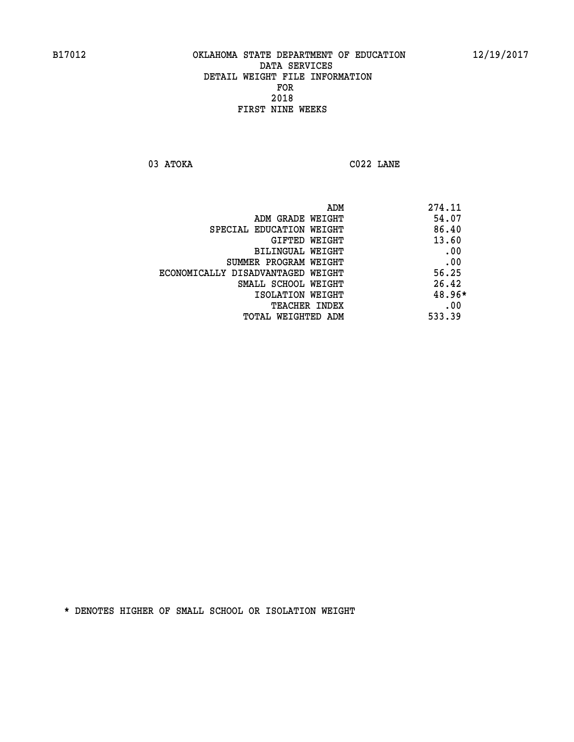**03 ATOKA C022 LANE** 

 **ADM 274.11 EXAMPLE WEIGHT 54.07 SPECIAL EDUCATION WEIGHT 86.40 GIFTED WEIGHT 43.60 BILINGUAL WEIGHT .00 SUMMER PROGRAM WEIGHT .00 ECONOMICALLY DISADVANTAGED WEIGHT 56.25 SMALL SCHOOL WEIGHT 26.42 ISOLATION WEIGHT 48.96\* TEACHER INDEX** .00  **TOTAL WEIGHTED ADM 533.39**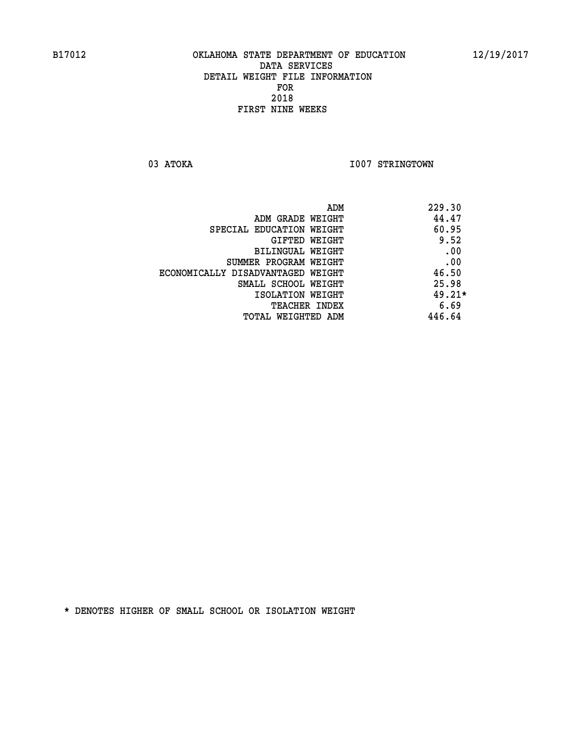03 ATOKA **I007 STRINGTOWN** 

| ADM<br>229.30 |                                   |
|---------------|-----------------------------------|
| 44.47         | ADM GRADE WEIGHT                  |
| 60.95         | SPECIAL EDUCATION WEIGHT          |
| 9.52          | GIFTED WEIGHT                     |
| .00           | BILINGUAL WEIGHT                  |
| .00           | SUMMER PROGRAM WEIGHT             |
| 46.50         | ECONOMICALLY DISADVANTAGED WEIGHT |
| 25.98         | SMALL SCHOOL WEIGHT               |
| $49.21*$      | ISOLATION WEIGHT                  |
| 6.69          | <b>TEACHER INDEX</b>              |
| 446.64        | TOTAL WEIGHTED ADM                |
|               |                                   |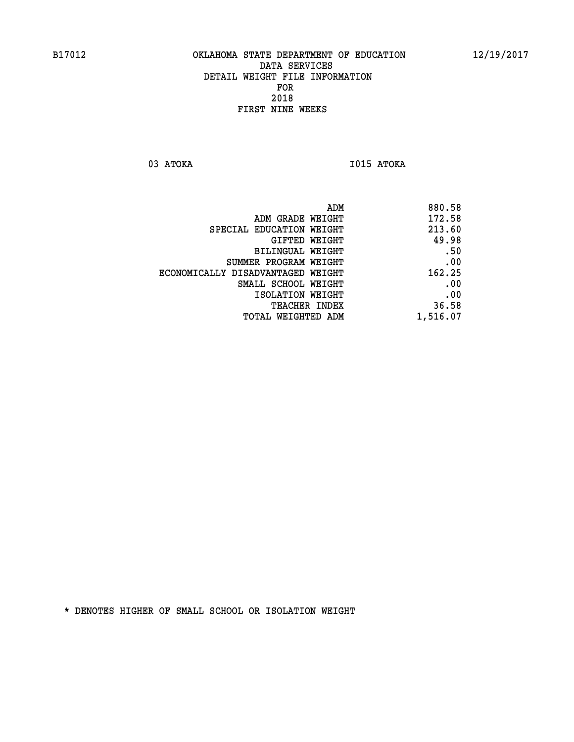**03 ATOKA I015 ATOKA** 

| 880.58   |
|----------|
| 172.58   |
| 213.60   |
| 49.98    |
| .50      |
| .00      |
| 162.25   |
| .00      |
| .00      |
| 36.58    |
| 1,516.07 |
|          |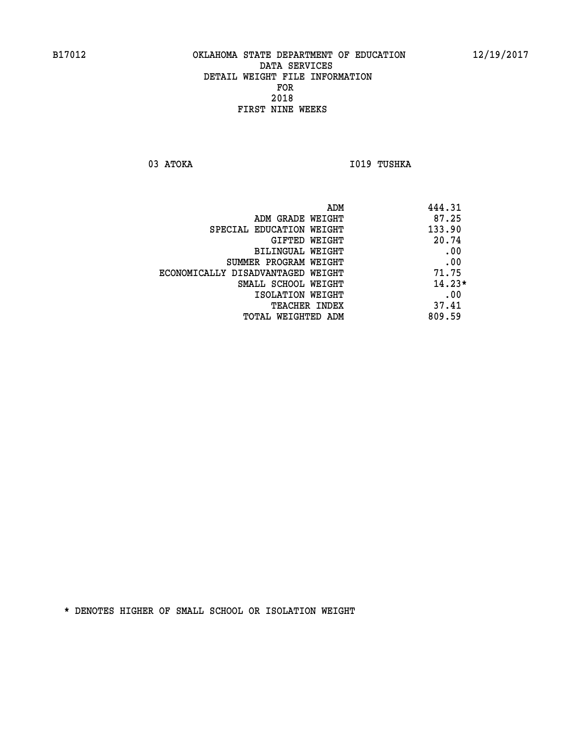03 ATOKA **I019 TUSHKA** 

| ADM                               | 444.31   |
|-----------------------------------|----------|
| ADM GRADE WEIGHT                  | 87.25    |
| SPECIAL EDUCATION WEIGHT          | 133.90   |
| GIFTED WEIGHT                     | 20.74    |
| BILINGUAL WEIGHT                  | .00      |
| SUMMER PROGRAM WEIGHT             | .00      |
| ECONOMICALLY DISADVANTAGED WEIGHT | 71.75    |
| SMALL SCHOOL WEIGHT               | $14.23*$ |
| ISOLATION WEIGHT                  | .00      |
| <b>TEACHER INDEX</b>              | 37.41    |
| TOTAL WEIGHTED ADM                | 809.59   |
|                                   |          |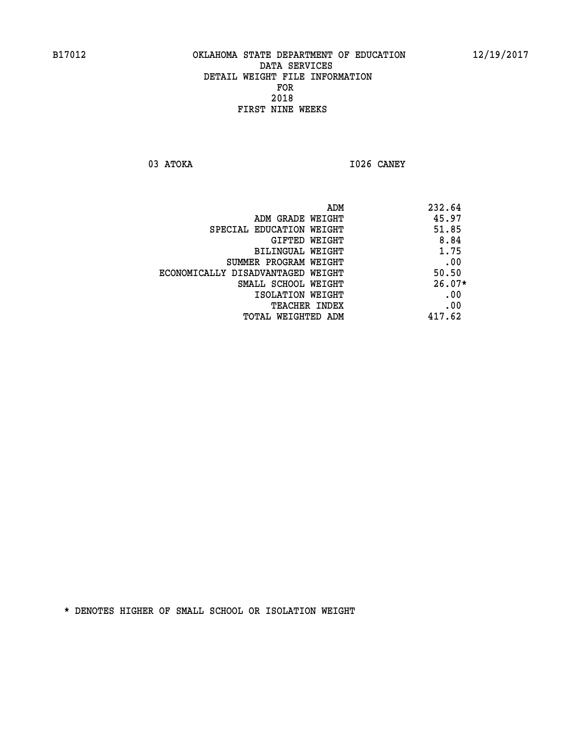**03 ATOKA I026 CANEY** 

|                                   | ADM | 232.64   |
|-----------------------------------|-----|----------|
| ADM GRADE WEIGHT                  |     | 45.97    |
| SPECIAL EDUCATION WEIGHT          |     | 51.85    |
| GIFTED WEIGHT                     |     | 8.84     |
| BILINGUAL WEIGHT                  |     | 1.75     |
| SUMMER PROGRAM WEIGHT             |     | .00      |
| ECONOMICALLY DISADVANTAGED WEIGHT |     | 50.50    |
| SMALL SCHOOL WEIGHT               |     | $26.07*$ |
| ISOLATION WEIGHT                  |     | .00      |
| <b>TEACHER INDEX</b>              |     | .00      |
| TOTAL WEIGHTED ADM                |     | 417.62   |
|                                   |     |          |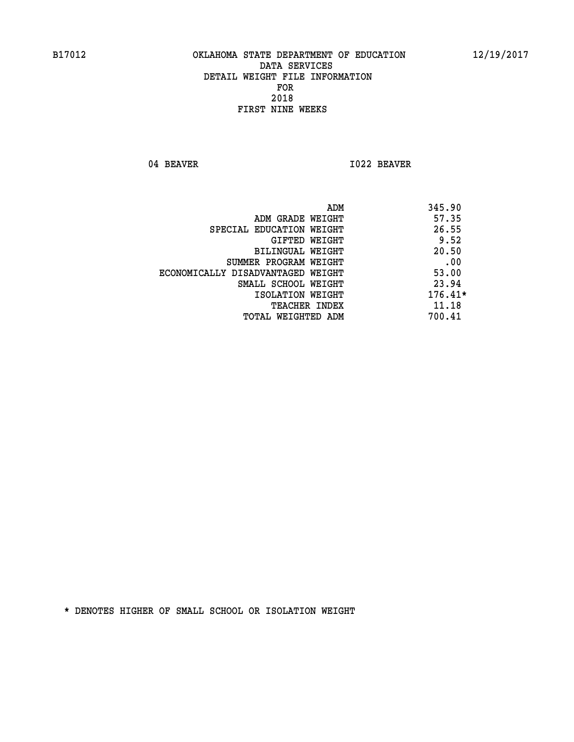04 BEAVER 1022 BEAVER

| ADM                               | 345.90    |
|-----------------------------------|-----------|
| ADM GRADE WEIGHT                  | 57.35     |
| SPECIAL EDUCATION WEIGHT          | 26.55     |
| GIFTED WEIGHT                     | 9.52      |
| BILINGUAL WEIGHT                  | 20.50     |
| SUMMER PROGRAM WEIGHT             | .00       |
| ECONOMICALLY DISADVANTAGED WEIGHT | 53.00     |
| SMALL SCHOOL WEIGHT               | 23.94     |
| ISOLATION WEIGHT                  | $176.41*$ |
| <b>TEACHER INDEX</b>              | 11.18     |
| TOTAL WEIGHTED ADM                | 700.41    |
|                                   |           |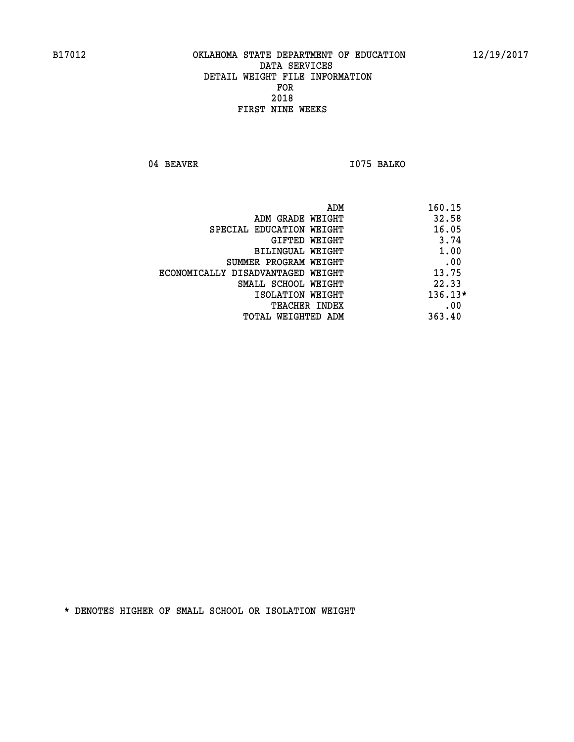04 BEAVER 1075 BALKO

|                                   | 160.15<br>ADM |
|-----------------------------------|---------------|
| ADM GRADE WEIGHT                  | 32.58         |
| SPECIAL EDUCATION WEIGHT          | 16.05         |
| GIFTED WEIGHT                     | 3.74          |
| BILINGUAL WEIGHT                  | 1.00          |
| SUMMER PROGRAM WEIGHT             | .00           |
| ECONOMICALLY DISADVANTAGED WEIGHT | 13.75         |
| SMALL SCHOOL WEIGHT               | 22.33         |
| ISOLATION WEIGHT                  | $136.13*$     |
| <b>TEACHER INDEX</b>              | .00           |
| TOTAL WEIGHTED ADM                | 363.40        |
|                                   |               |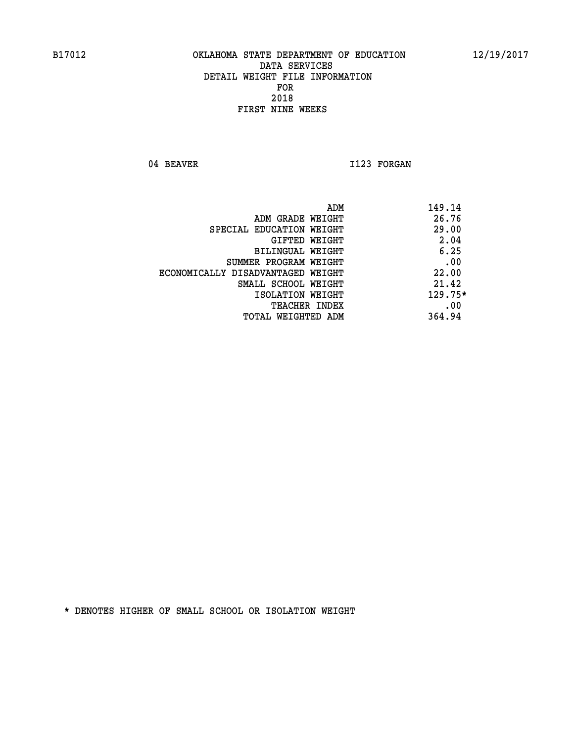04 BEAVER 1123 FORGAN

| 149.14<br>ADM                              |  |
|--------------------------------------------|--|
| 26.76<br>ADM GRADE WEIGHT                  |  |
| 29.00<br>SPECIAL EDUCATION WEIGHT          |  |
| 2.04<br>GIFTED WEIGHT                      |  |
| 6.25<br><b>BILINGUAL WEIGHT</b>            |  |
| .00<br>SUMMER PROGRAM WEIGHT               |  |
| 22.00<br>ECONOMICALLY DISADVANTAGED WEIGHT |  |
| 21.42<br>SMALL SCHOOL WEIGHT               |  |
| $129.75*$<br>ISOLATION WEIGHT              |  |
| .00<br><b>TEACHER INDEX</b>                |  |
| 364.94<br>TOTAL WEIGHTED ADM               |  |
|                                            |  |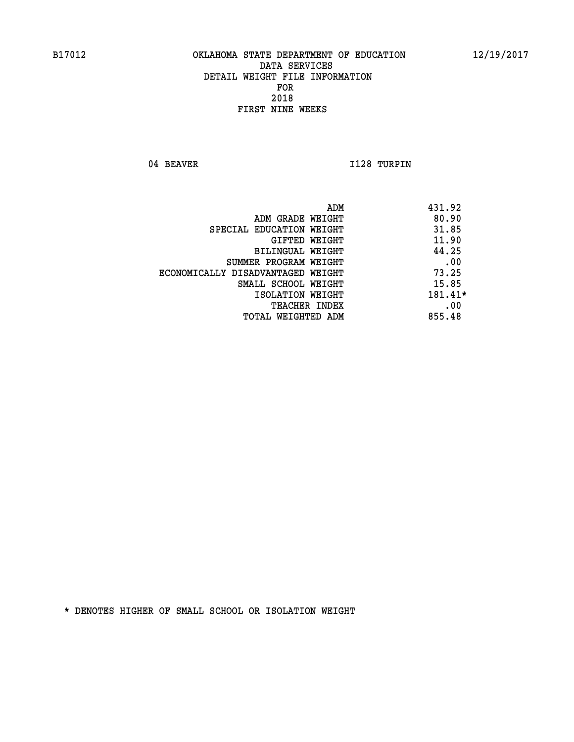04 BEAVER 1128 TURPIN

| ADM<br>431.92                              |  |
|--------------------------------------------|--|
| 80.90<br>ADM GRADE WEIGHT                  |  |
| 31.85<br>SPECIAL EDUCATION WEIGHT          |  |
| 11.90<br>GIFTED WEIGHT                     |  |
| 44.25<br><b>BILINGUAL WEIGHT</b>           |  |
| .00<br>SUMMER PROGRAM WEIGHT               |  |
| 73.25<br>ECONOMICALLY DISADVANTAGED WEIGHT |  |
| 15.85<br>SMALL SCHOOL WEIGHT               |  |
| 181.41*<br>ISOLATION WEIGHT                |  |
| .00<br><b>TEACHER INDEX</b>                |  |
| 855.48<br>TOTAL WEIGHTED ADM               |  |
|                                            |  |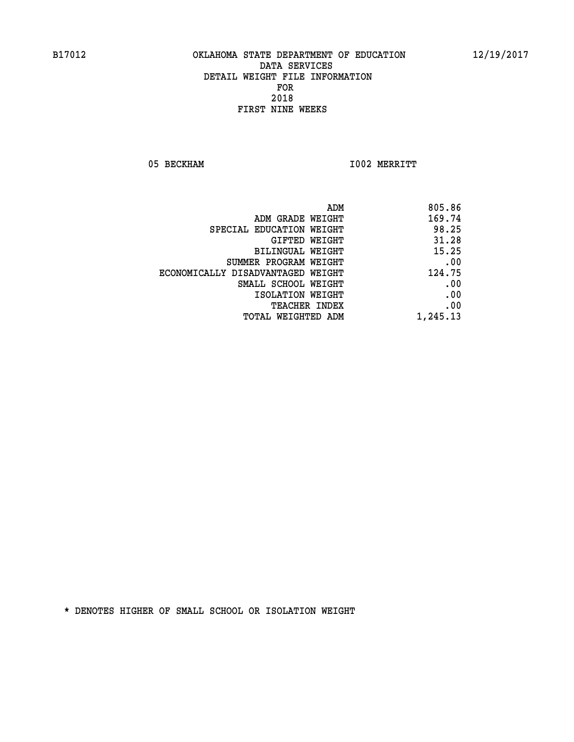05 BECKHAM 1002 MERRITT

|                                   | ADM<br>805.86 |
|-----------------------------------|---------------|
| ADM GRADE WEIGHT                  | 169.74        |
| SPECIAL EDUCATION WEIGHT          | 98.25         |
| <b>GIFTED WEIGHT</b>              | 31.28         |
| <b>BILINGUAL WEIGHT</b>           | 15.25         |
| SUMMER PROGRAM WEIGHT             | .00           |
| ECONOMICALLY DISADVANTAGED WEIGHT | 124.75        |
| SMALL SCHOOL WEIGHT               | .00           |
| ISOLATION WEIGHT                  | .00           |
| TEACHER INDEX                     | .00           |
| TOTAL WEIGHTED ADM                | 1,245.13      |
|                                   |               |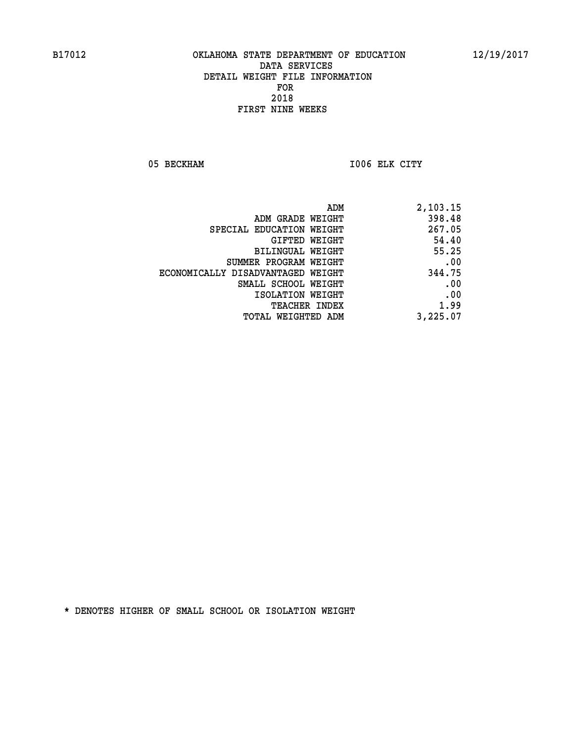05 BECKHAM 1006 ELK CITY

| 2,103.15 |
|----------|
| 398.48   |
| 267.05   |
| 54.40    |
| 55.25    |
| .00      |
| 344.75   |
| .00      |
| .00      |
| 1.99     |
| 3,225.07 |
|          |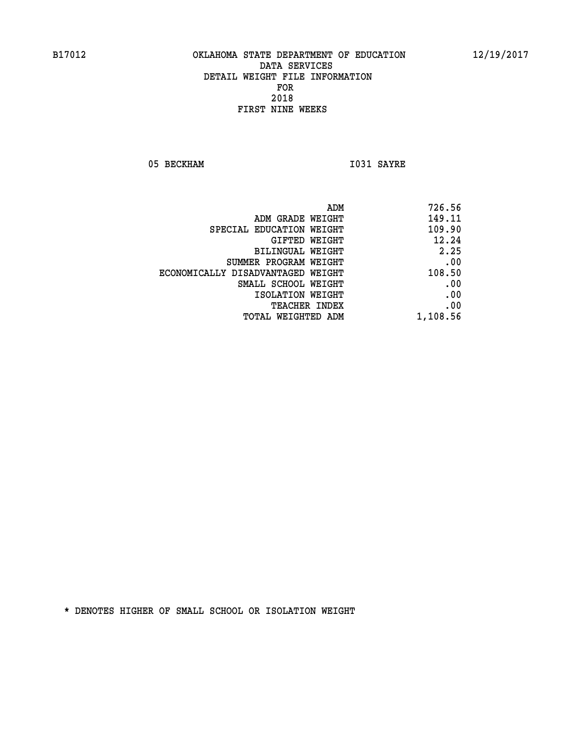05 BECKHAM 1031 SAYRE

|                                   | ADM      | 726.56 |
|-----------------------------------|----------|--------|
| ADM GRADE WEIGHT                  |          | 149.11 |
| SPECIAL EDUCATION WEIGHT          |          | 109.90 |
| GIFTED WEIGHT                     |          | 12.24  |
| BILINGUAL WEIGHT                  |          | 2.25   |
| SUMMER PROGRAM WEIGHT             |          | .00    |
| ECONOMICALLY DISADVANTAGED WEIGHT |          | 108.50 |
| SMALL SCHOOL WEIGHT               |          | .00    |
| ISOLATION WEIGHT                  |          | .00    |
| TEACHER INDEX                     |          | .00    |
| TOTAL WEIGHTED ADM                | 1,108.56 |        |
|                                   |          |        |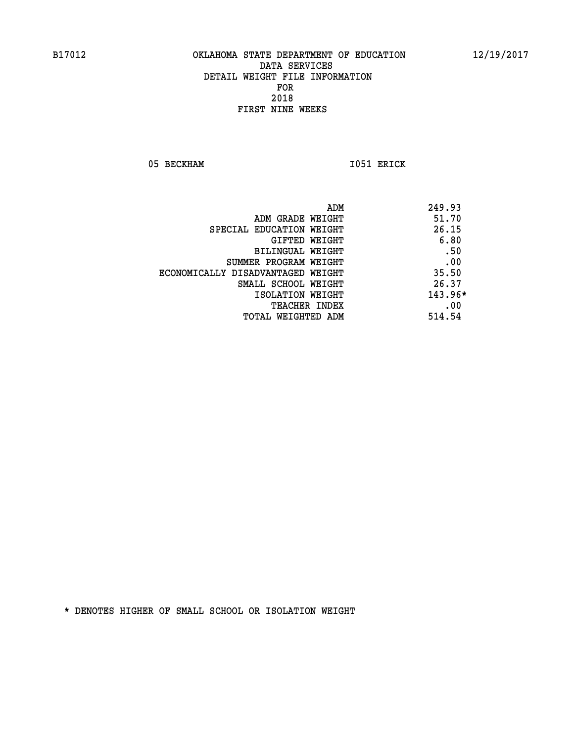05 BECKHAM 1051 ERICK

|                                   | ADM | 249.93    |
|-----------------------------------|-----|-----------|
| ADM GRADE WEIGHT                  |     | 51.70     |
| SPECIAL EDUCATION WEIGHT          |     | 26.15     |
| GIFTED WEIGHT                     |     | 6.80      |
| BILINGUAL WEIGHT                  |     | .50       |
| SUMMER PROGRAM WEIGHT             |     | .00       |
| ECONOMICALLY DISADVANTAGED WEIGHT |     | 35.50     |
| SMALL SCHOOL WEIGHT               |     | 26.37     |
| ISOLATION WEIGHT                  |     | $143.96*$ |
| TEACHER INDEX                     |     | .00       |
| TOTAL WEIGHTED ADM                |     | 514.54    |
|                                   |     |           |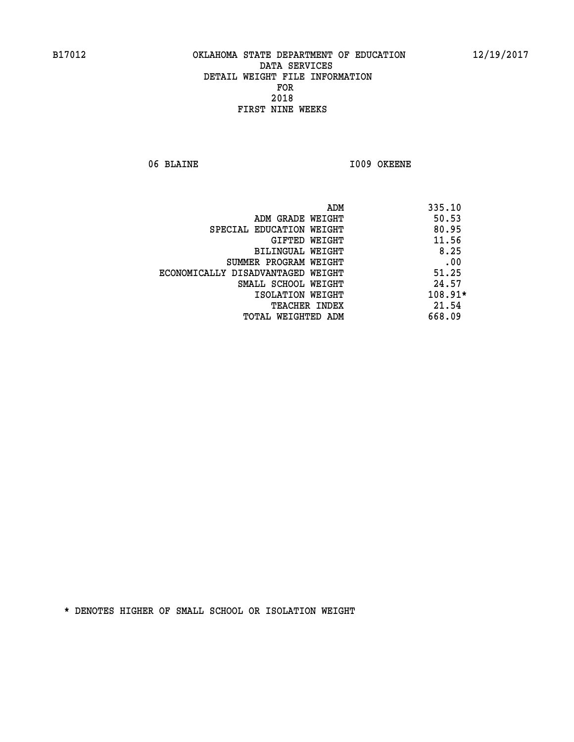06 BLAINE 1009 OKEENE

|                                   | ADM<br>335.10 |
|-----------------------------------|---------------|
| ADM GRADE WEIGHT                  | 50.53         |
| SPECIAL EDUCATION WEIGHT          | 80.95         |
| GIFTED WEIGHT                     | 11.56         |
| BILINGUAL WEIGHT                  | 8.25          |
| SUMMER PROGRAM WEIGHT             | .00           |
| ECONOMICALLY DISADVANTAGED WEIGHT | 51.25         |
| SMALL SCHOOL WEIGHT               | 24.57         |
| ISOLATION WEIGHT                  | $108.91*$     |
| <b>TEACHER INDEX</b>              | 21.54         |
| TOTAL WEIGHTED ADM                | 668.09        |
|                                   |               |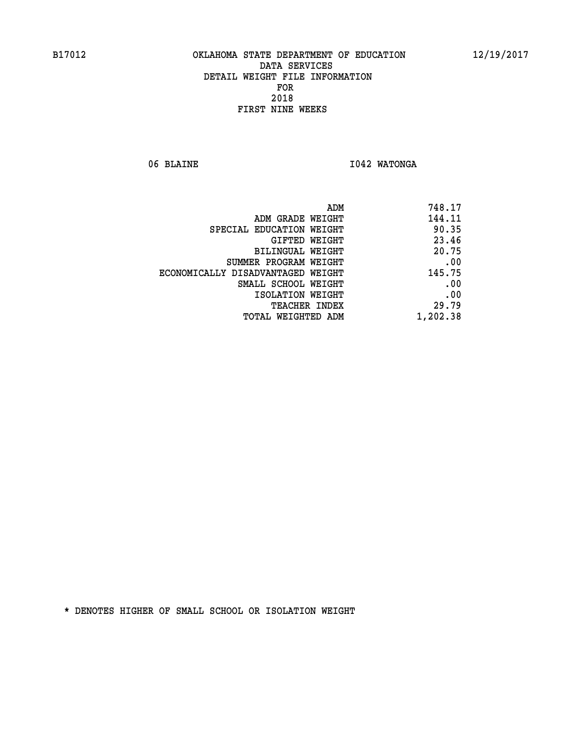06 BLAINE **I042 WATONGA** 

| 748.17   |
|----------|
| 144.11   |
| 90.35    |
| 23.46    |
| 20.75    |
| .00      |
| 145.75   |
| .00      |
| .00      |
| 29.79    |
| 1,202.38 |
|          |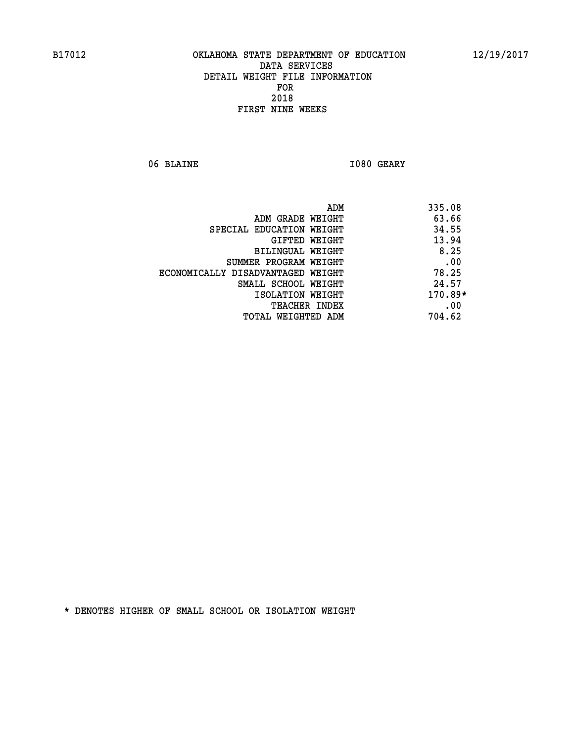06 BLAINE **I080 GEARY** 

|                                   | ADM | 335.08    |
|-----------------------------------|-----|-----------|
| ADM GRADE WEIGHT                  |     | 63.66     |
| SPECIAL EDUCATION WEIGHT          |     | 34.55     |
| GIFTED WEIGHT                     |     | 13.94     |
| BILINGUAL WEIGHT                  |     | 8.25      |
| SUMMER PROGRAM WEIGHT             |     | .00       |
| ECONOMICALLY DISADVANTAGED WEIGHT |     | 78.25     |
| SMALL SCHOOL WEIGHT               |     | 24.57     |
| ISOLATION WEIGHT                  |     | $170.89*$ |
| TEACHER INDEX                     |     | .00       |
| TOTAL WEIGHTED ADM                |     | 704.62    |
|                                   |     |           |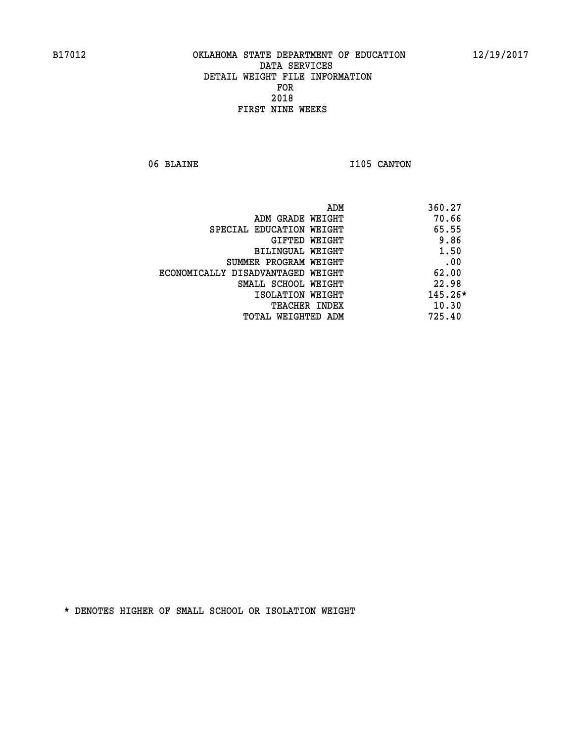06 BLAINE 1105 CANTON

| ADM                               | 360.27    |
|-----------------------------------|-----------|
| ADM GRADE WEIGHT                  | 70.66     |
| SPECIAL EDUCATION WEIGHT          | 65.55     |
| GIFTED WEIGHT                     | 9.86      |
| <b>BILINGUAL WEIGHT</b>           | 1.50      |
| SUMMER PROGRAM WEIGHT             | .00       |
| ECONOMICALLY DISADVANTAGED WEIGHT | 62.00     |
| SMALL SCHOOL WEIGHT               | 22.98     |
| ISOLATION WEIGHT                  | $145.26*$ |
| <b>TEACHER INDEX</b>              | 10.30     |
| TOTAL WEIGHTED ADM                | 725.40    |
|                                   |           |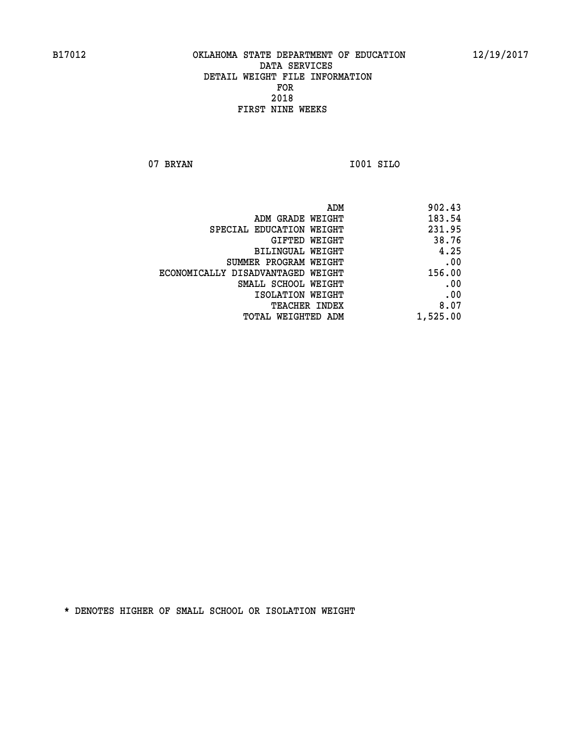**07 BRYAN I001 SILO** 

 **ADM 902.43 ADM GRADE WEIGHT 183.54 SPECIAL EDUCATION WEIGHT 231.95 GIFTED WEIGHT 38.76 BILINGUAL WEIGHT 4.25 SUMMER PROGRAM WEIGHT .00 ECONOMICALLY DISADVANTAGED WEIGHT 156.00 SMALL SCHOOL WEIGHT .00 EXECUTED ISOLATION WEIGHT AND RESOLATION WEIGHT TEACHER INDEX** 8.07  **TOTAL WEIGHTED ADM 1,525.00**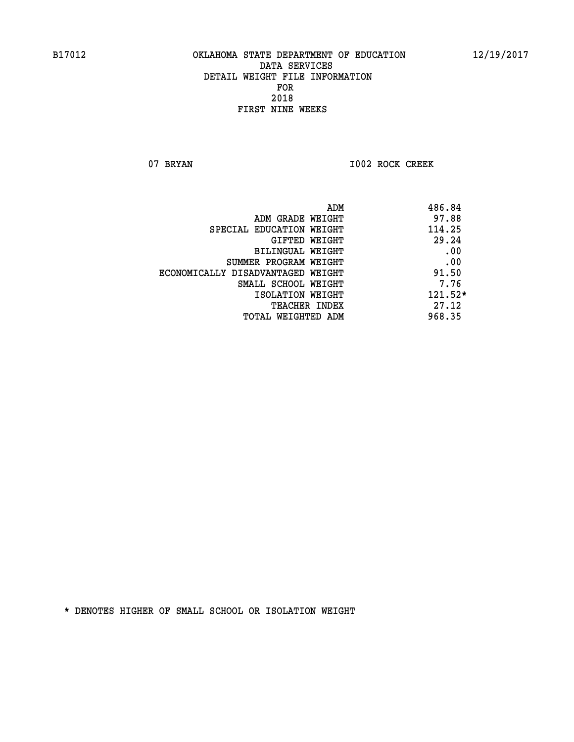07 BRYAN 1002 ROCK CREEK

| 486.84<br>ADM                              |      |
|--------------------------------------------|------|
| 97.88<br>ADM GRADE WEIGHT                  |      |
| 114.25<br>SPECIAL EDUCATION WEIGHT         |      |
| 29.24<br>GIFTED WEIGHT                     |      |
| BILINGUAL WEIGHT                           | .00  |
| SUMMER PROGRAM WEIGHT                      | .00  |
| 91.50<br>ECONOMICALLY DISADVANTAGED WEIGHT |      |
| SMALL SCHOOL WEIGHT                        | 7.76 |
| $121.52*$<br>ISOLATION WEIGHT              |      |
| 27.12<br><b>TEACHER INDEX</b>              |      |
| 968.35<br>TOTAL WEIGHTED ADM               |      |
|                                            |      |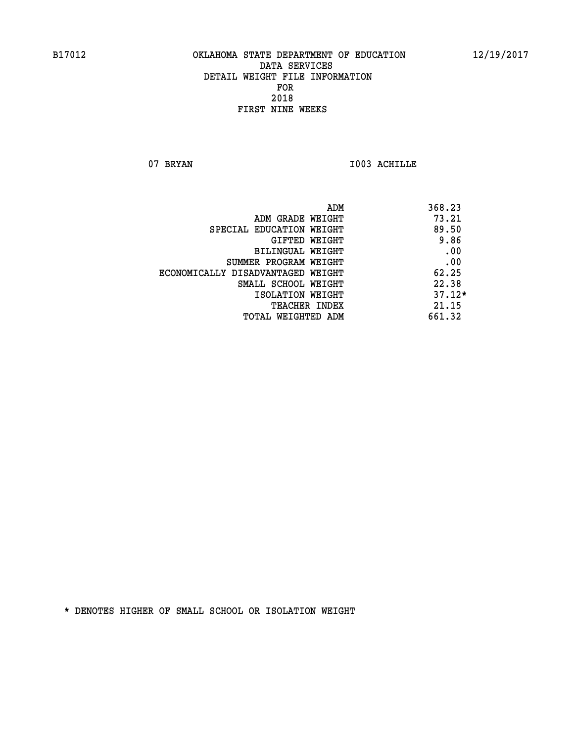07 BRYAN 1003 ACHILLE

| ADM                               | 368.23   |
|-----------------------------------|----------|
| ADM GRADE WEIGHT                  | 73.21    |
| SPECIAL EDUCATION WEIGHT          | 89.50    |
| GIFTED WEIGHT                     | 9.86     |
| BILINGUAL WEIGHT                  | .00      |
| SUMMER PROGRAM WEIGHT             | .00      |
| ECONOMICALLY DISADVANTAGED WEIGHT | 62.25    |
| SMALL SCHOOL WEIGHT               | 22.38    |
| ISOLATION WEIGHT                  | $37.12*$ |
| <b>TEACHER INDEX</b>              | 21.15    |
| TOTAL WEIGHTED ADM                | 661.32   |
|                                   |          |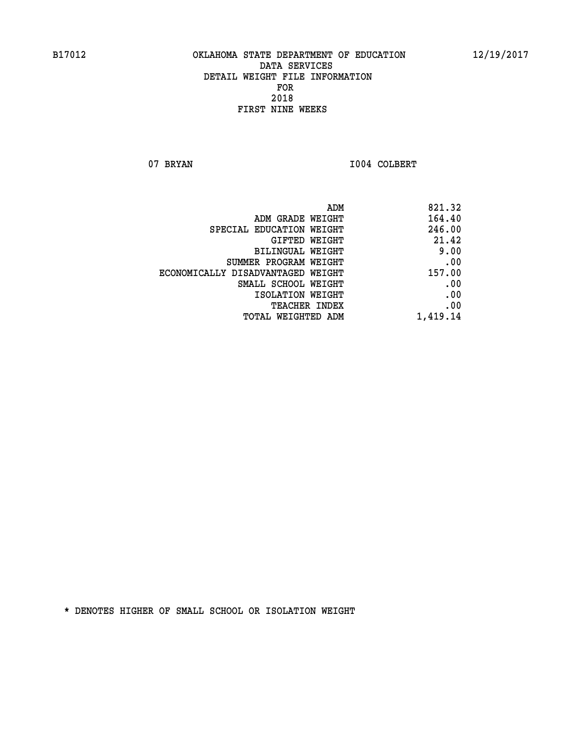07 BRYAN 1004 COLBERT

|                                   | ADM<br>821.32 |  |
|-----------------------------------|---------------|--|
| ADM GRADE WEIGHT                  | 164.40        |  |
| SPECIAL EDUCATION WEIGHT          | 246.00        |  |
| <b>GIFTED WEIGHT</b>              | 21.42         |  |
| <b>BILINGUAL WEIGHT</b>           | 9.00          |  |
| SUMMER PROGRAM WEIGHT             | .00           |  |
| ECONOMICALLY DISADVANTAGED WEIGHT | 157.00        |  |
| SMALL SCHOOL WEIGHT               | .00           |  |
| ISOLATION WEIGHT                  | .00           |  |
| TEACHER INDEX                     | .00           |  |
| TOTAL WEIGHTED ADM                | 1,419.14      |  |
|                                   |               |  |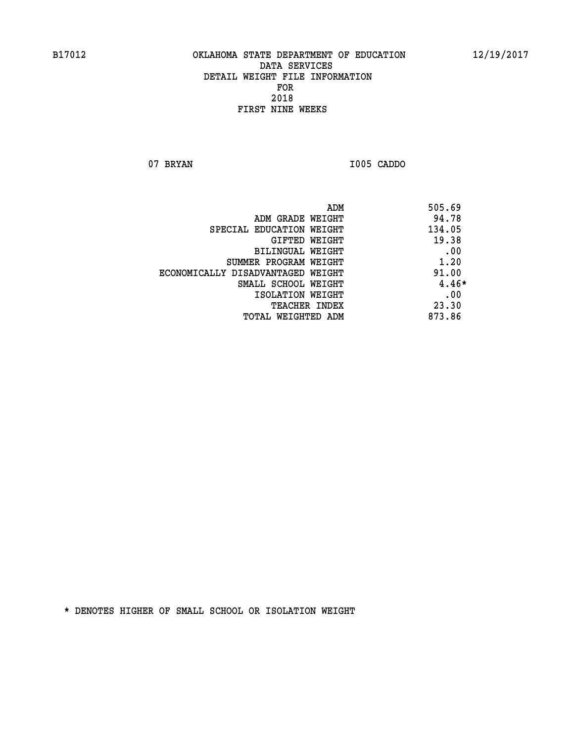**07 BRYAN I005 CADDO** 

| ADM                               | 505.69 |
|-----------------------------------|--------|
| ADM GRADE WEIGHT                  | 94.78  |
| SPECIAL EDUCATION WEIGHT          | 134.05 |
| GIFTED WEIGHT                     | 19.38  |
| BILINGUAL WEIGHT                  | .00    |
| SUMMER PROGRAM WEIGHT             | 1.20   |
| ECONOMICALLY DISADVANTAGED WEIGHT | 91.00  |
| SMALL SCHOOL WEIGHT               | 4.46*  |
| ISOLATION WEIGHT                  | .00    |
| <b>TEACHER INDEX</b>              | 23.30  |
| TOTAL WEIGHTED ADM                | 873.86 |
|                                   |        |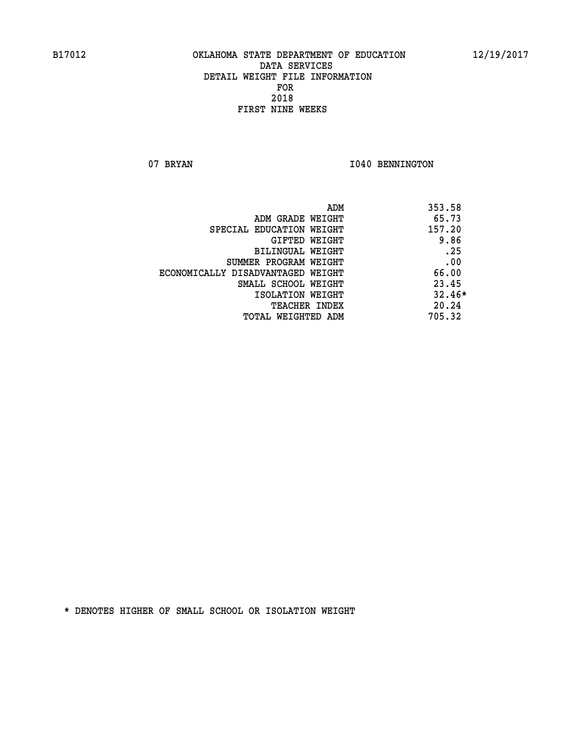07 BRYAN 1040 BENNINGTON

| ADM                               | 353.58   |
|-----------------------------------|----------|
| ADM GRADE WEIGHT                  | 65.73    |
| SPECIAL EDUCATION WEIGHT          | 157.20   |
| GIFTED WEIGHT                     | 9.86     |
| BILINGUAL WEIGHT                  | .25      |
| SUMMER PROGRAM WEIGHT             | .00      |
| ECONOMICALLY DISADVANTAGED WEIGHT | 66.00    |
| SMALL SCHOOL WEIGHT               | 23.45    |
| ISOLATION WEIGHT                  | $32.46*$ |
| TEACHER INDEX                     | 20.24    |
| TOTAL WEIGHTED ADM                | 705.32   |
|                                   |          |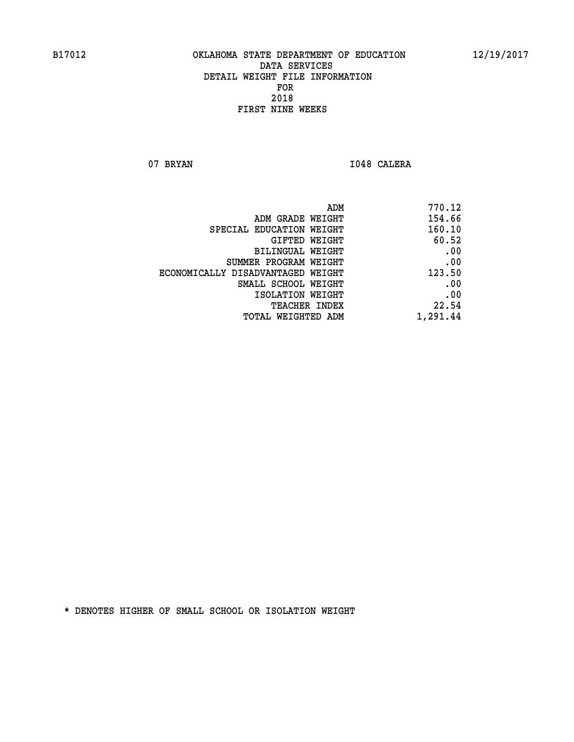07 BRYAN 1048 CALERA

| 770.12   |
|----------|
| 154.66   |
| 160.10   |
| 60.52    |
| .00      |
| .00      |
| 123.50   |
| .00      |
| .00      |
| 22.54    |
| 1,291.44 |
|          |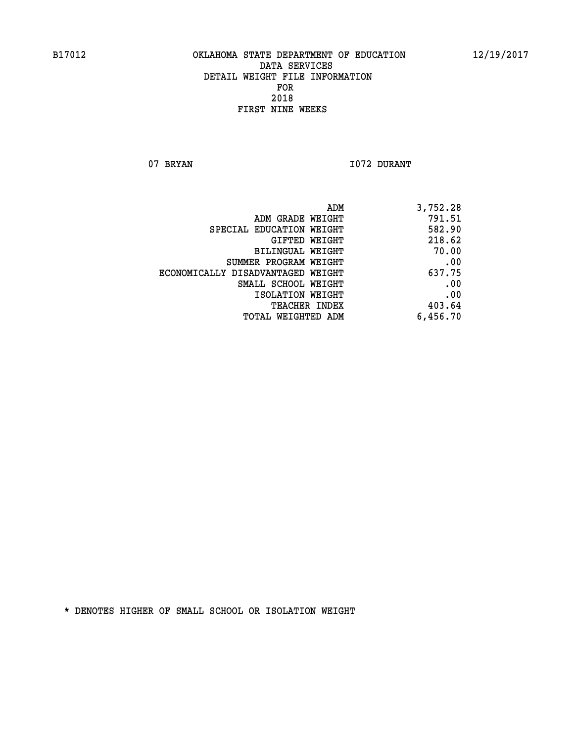07 BRYAN 1072 DURANT

| ADM                               | 3,752.28 |
|-----------------------------------|----------|
| ADM GRADE WEIGHT                  | 791.51   |
| SPECIAL EDUCATION WEIGHT          | 582.90   |
| GIFTED WEIGHT                     | 218.62   |
| BILINGUAL WEIGHT                  | 70.00    |
| SUMMER PROGRAM WEIGHT             | .00      |
| ECONOMICALLY DISADVANTAGED WEIGHT | 637.75   |
| SMALL SCHOOL WEIGHT               | .00      |
| ISOLATION WEIGHT                  | .00      |
| TEACHER INDEX                     | 403.64   |
| TOTAL WEIGHTED ADM                | 6,456.70 |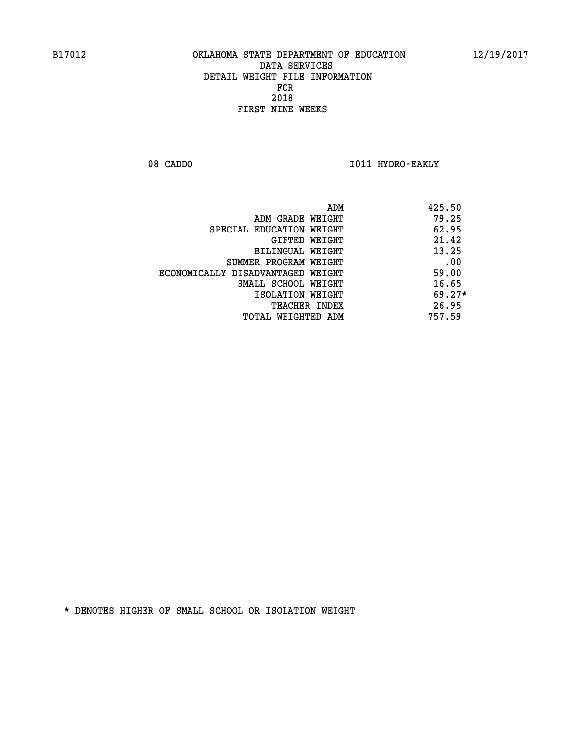08 CADDO **I011 HYDRO-EAKLY** 

|                                   | ADM | 425.50   |
|-----------------------------------|-----|----------|
| ADM GRADE WEIGHT                  |     | 79.25    |
| SPECIAL EDUCATION WEIGHT          |     | 62.95    |
| GIFTED WEIGHT                     |     | 21.42    |
| BILINGUAL WEIGHT                  |     | 13.25    |
| SUMMER PROGRAM WEIGHT             |     | .00      |
| ECONOMICALLY DISADVANTAGED WEIGHT |     | 59.00    |
| SMALL SCHOOL WEIGHT               |     | 16.65    |
| ISOLATION WEIGHT                  |     | $69.27*$ |
| <b>TEACHER INDEX</b>              |     | 26.95    |
| TOTAL WEIGHTED ADM                |     | 757.59   |
|                                   |     |          |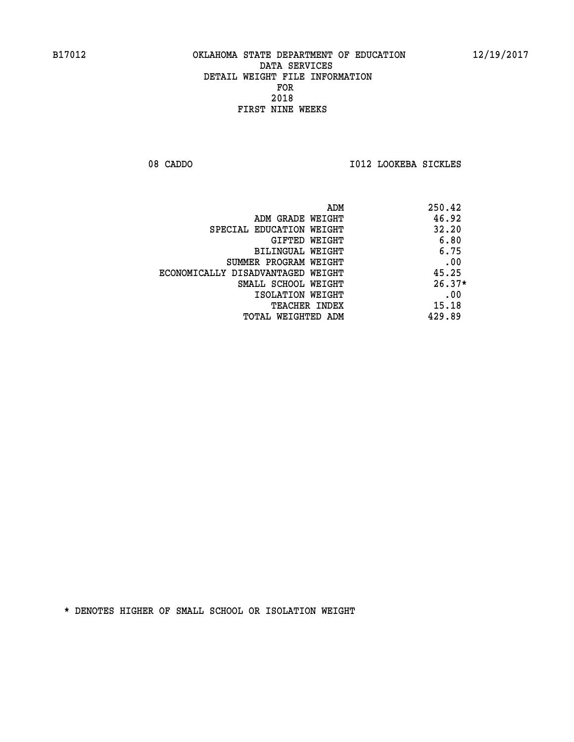08 CADDO **I012 LOOKEBA SICKLES** 

|                                   | ADM | 250.42   |
|-----------------------------------|-----|----------|
| ADM GRADE WEIGHT                  |     | 46.92    |
| SPECIAL EDUCATION WEIGHT          |     | 32.20    |
| GIFTED WEIGHT                     |     | 6.80     |
| BILINGUAL WEIGHT                  |     | 6.75     |
| SUMMER PROGRAM WEIGHT             |     | .00      |
| ECONOMICALLY DISADVANTAGED WEIGHT |     | 45.25    |
| SMALL SCHOOL WEIGHT               |     | $26.37*$ |
| ISOLATION WEIGHT                  |     | .00      |
| TEACHER INDEX                     |     | 15.18    |
| TOTAL WEIGHTED ADM                |     | 429.89   |
|                                   |     |          |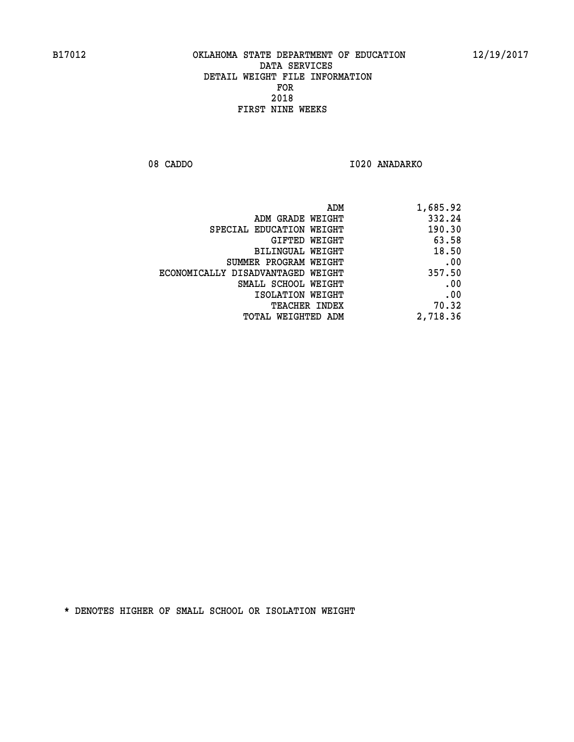08 CADDO 1020 ANADARKO

|                                   | ADM<br>1,685.92 |
|-----------------------------------|-----------------|
| ADM GRADE WEIGHT                  | 332.24          |
| SPECIAL EDUCATION WEIGHT          | 190.30          |
| GIFTED WEIGHT                     | 63.58           |
| <b>BILINGUAL WEIGHT</b>           | 18.50           |
| SUMMER PROGRAM WEIGHT             | .00             |
| ECONOMICALLY DISADVANTAGED WEIGHT | 357.50          |
| SMALL SCHOOL WEIGHT               | .00             |
| ISOLATION WEIGHT                  | .00             |
| TEACHER INDEX                     | 70.32           |
| TOTAL WEIGHTED ADM                | 2,718.36        |
|                                   |                 |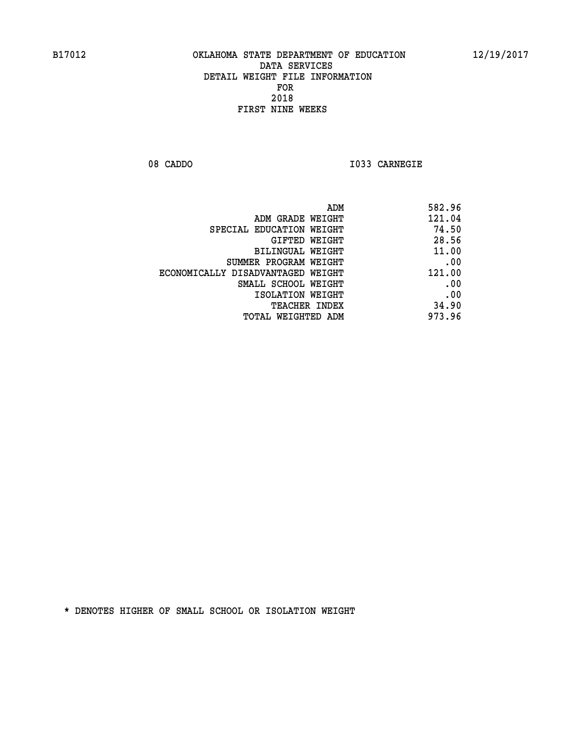**08 CADDO I033 CARNEGIE** 

| 582.96 |
|--------|
| 121.04 |
| 74.50  |
| 28.56  |
| 11.00  |
| .00    |
| 121.00 |
| .00    |
| .00    |
| 34.90  |
| 973.96 |
|        |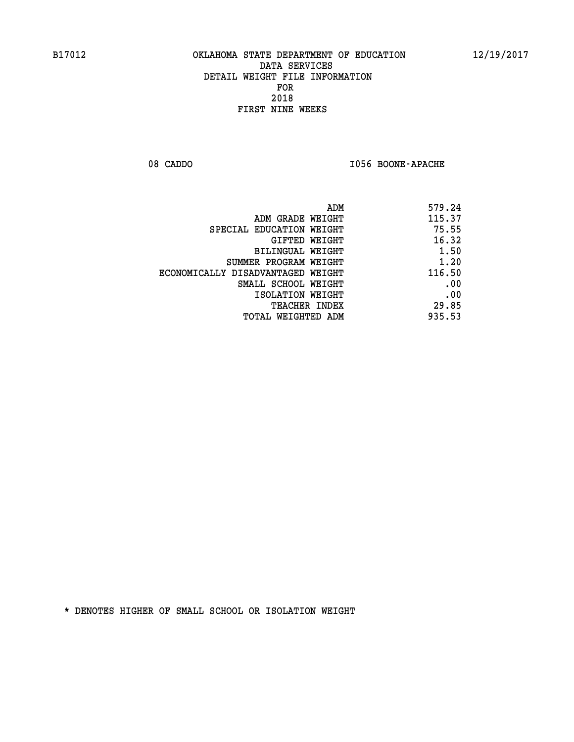08 CADDO **I056 BOONE-APACHE** 

| 579.24 |
|--------|
| 115.37 |
| 75.55  |
| 16.32  |
| 1.50   |
| 1.20   |
| 116.50 |
| .00    |
| .00    |
| 29.85  |
| 935.53 |
|        |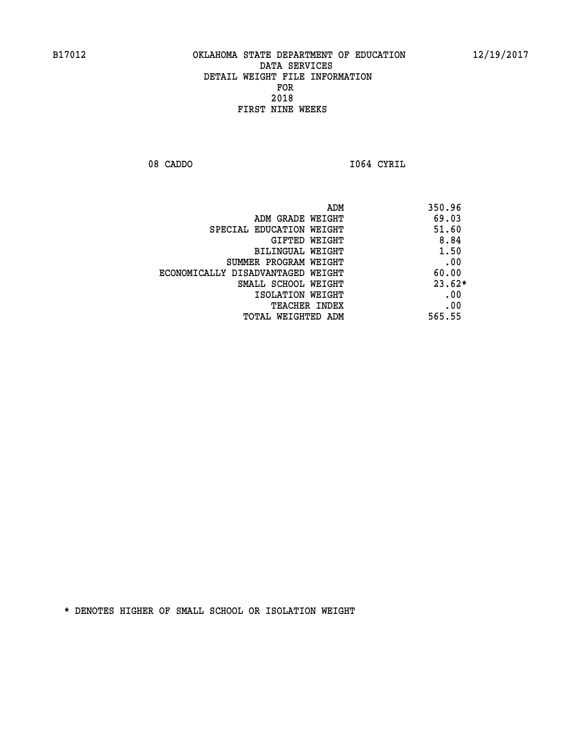08 CADDO **I064 CYRIL** 

 **ADM 350.96 ADM GRADE WEIGHT 69.03 SPECIAL EDUCATION WEIGHT 51.60 GIFTED WEIGHT 8.84 BILINGUAL WEIGHT 1.50 SUMMER PROGRAM WEIGHT .00 ECONOMICALLY DISADVANTAGED WEIGHT 60.00 SMALL SCHOOL WEIGHT 23.62\* EXECUTED ISOLATION WEIGHT AND RESOLATION WEIGHT TEACHER INDEX** .00  **TOTAL WEIGHTED ADM 565.55**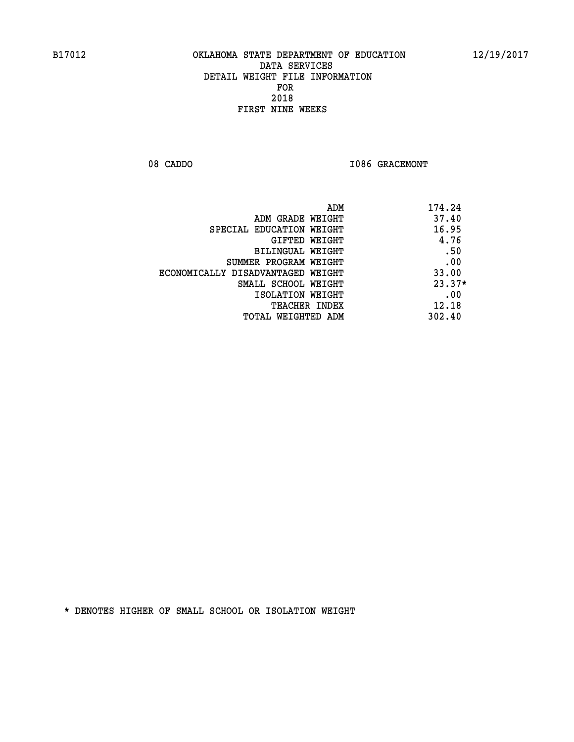08 CADDO **I086 GRACEMONT** 

|                                   | 174.24<br>ADM |
|-----------------------------------|---------------|
| ADM GRADE WEIGHT                  | 37.40         |
| SPECIAL EDUCATION WEIGHT          | 16.95         |
| GIFTED WEIGHT                     | 4.76          |
| BILINGUAL WEIGHT                  | .50           |
| SUMMER PROGRAM WEIGHT             | .00           |
| ECONOMICALLY DISADVANTAGED WEIGHT | 33.00         |
| SMALL SCHOOL WEIGHT               | $23.37*$      |
| ISOLATION WEIGHT                  | .00           |
| <b>TEACHER INDEX</b>              | 12.18         |
| TOTAL WEIGHTED ADM                | 302.40        |
|                                   |               |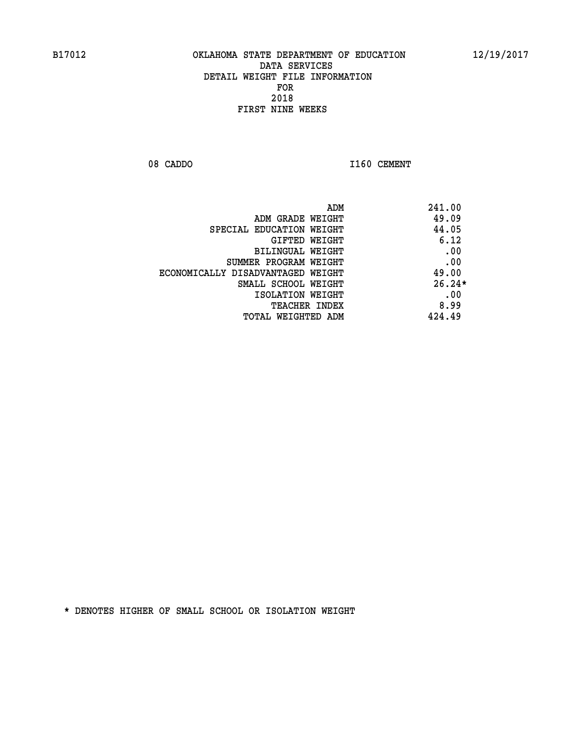08 CADDO 1160 CEMENT

| ADM                               | 241.00   |
|-----------------------------------|----------|
| ADM GRADE WEIGHT                  | 49.09    |
| SPECIAL EDUCATION WEIGHT          | 44.05    |
| <b>GIFTED WEIGHT</b>              | 6.12     |
| BILINGUAL WEIGHT                  | .00      |
| SUMMER PROGRAM WEIGHT             | .00      |
| ECONOMICALLY DISADVANTAGED WEIGHT | 49.00    |
| SMALL SCHOOL WEIGHT               | $26.24*$ |
| ISOLATION WEIGHT                  | .00      |
| <b>TEACHER INDEX</b>              | 8.99     |
| TOTAL WEIGHTED ADM                | 424.49   |
|                                   |          |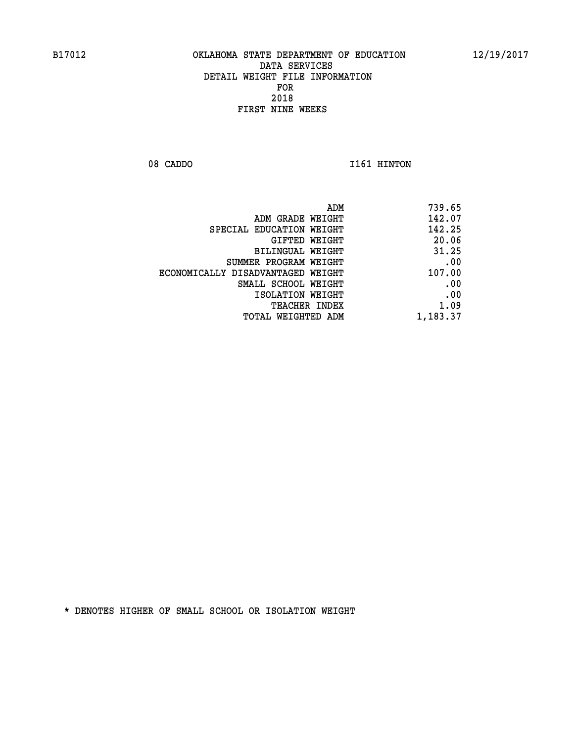08 CADDO 1161 HINTON

| 739.65   |
|----------|
| 142.07   |
| 142.25   |
| 20.06    |
| 31.25    |
| .00      |
| 107.00   |
| .00      |
| .00      |
| 1.09     |
| 1,183.37 |
|          |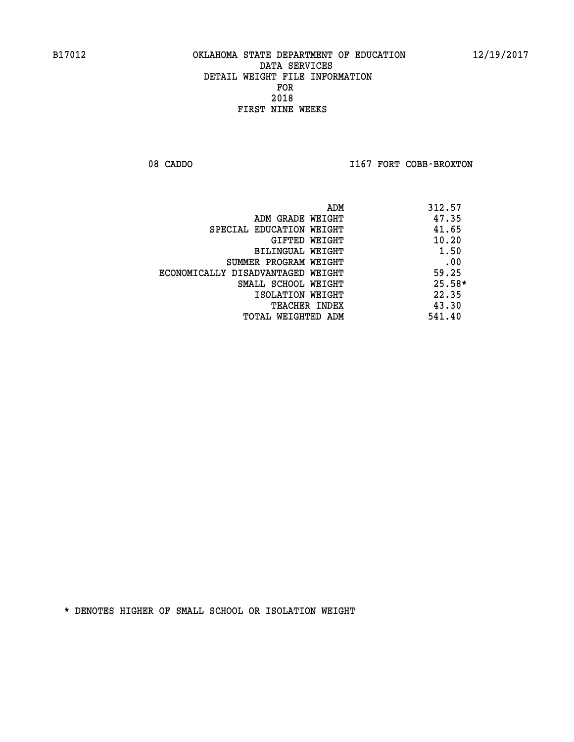08 CADDO **I167 FORT COBB-BROXTON** 

|                                   | 312.57<br>ADM |
|-----------------------------------|---------------|
| ADM GRADE WEIGHT                  | 47.35         |
| SPECIAL EDUCATION WEIGHT          | 41.65         |
| GIFTED WEIGHT                     | 10.20         |
| BILINGUAL WEIGHT                  | 1.50          |
| SUMMER PROGRAM WEIGHT             | .00           |
| ECONOMICALLY DISADVANTAGED WEIGHT | 59.25         |
| SMALL SCHOOL WEIGHT               | $25.58*$      |
| ISOLATION WEIGHT                  | 22.35         |
| <b>TEACHER INDEX</b>              | 43.30         |
| TOTAL WEIGHTED ADM                | 541.40        |
|                                   |               |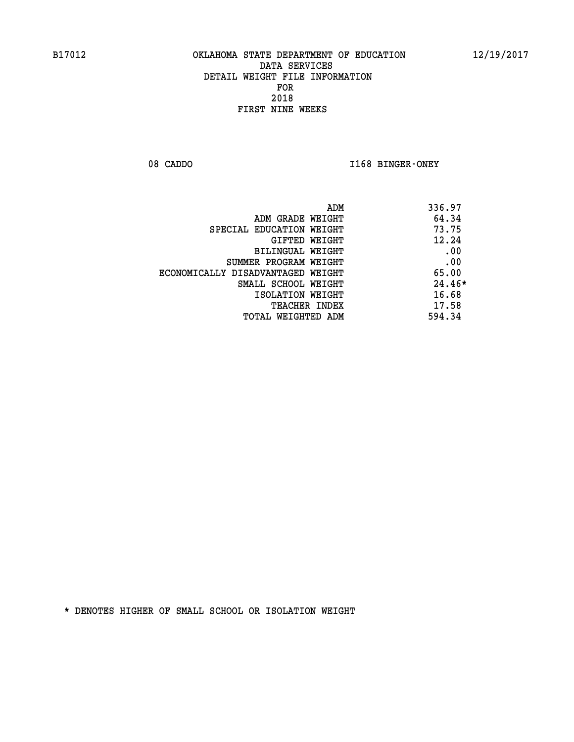08 CADDO **I168 BINGER-ONEY** 

| 336.97<br>ADM |                                   |
|---------------|-----------------------------------|
| 64.34         | ADM GRADE WEIGHT                  |
| 73.75         | SPECIAL EDUCATION WEIGHT          |
| 12.24         | GIFTED WEIGHT                     |
| .00           | BILINGUAL WEIGHT                  |
| .00           | SUMMER PROGRAM WEIGHT             |
| 65.00         | ECONOMICALLY DISADVANTAGED WEIGHT |
| $24.46*$      | SMALL SCHOOL WEIGHT               |
| 16.68         | ISOLATION WEIGHT                  |
| 17.58         | <b>TEACHER INDEX</b>              |
| 594.34        | TOTAL WEIGHTED ADM                |
|               |                                   |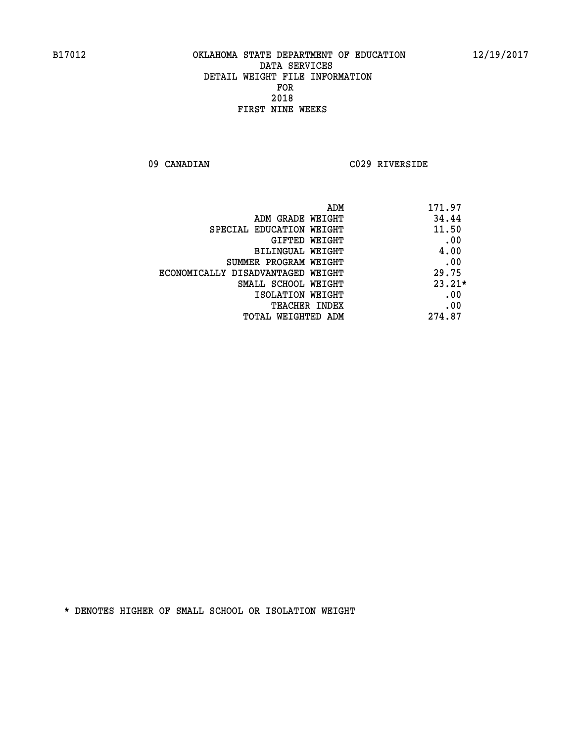**09 CANADIAN C029 RIVERSIDE** 

| ADM                               | 171.97   |
|-----------------------------------|----------|
| ADM GRADE WEIGHT                  | 34.44    |
| SPECIAL EDUCATION WEIGHT          | 11.50    |
| <b>GIFTED WEIGHT</b>              | .00      |
| BILINGUAL WEIGHT                  | 4.00     |
| SUMMER PROGRAM WEIGHT             | .00      |
| ECONOMICALLY DISADVANTAGED WEIGHT | 29.75    |
| SMALL SCHOOL WEIGHT               | $23.21*$ |
| ISOLATION WEIGHT                  | .00      |
| <b>TEACHER INDEX</b>              | .00      |
| TOTAL WEIGHTED ADM                | 274.87   |
|                                   |          |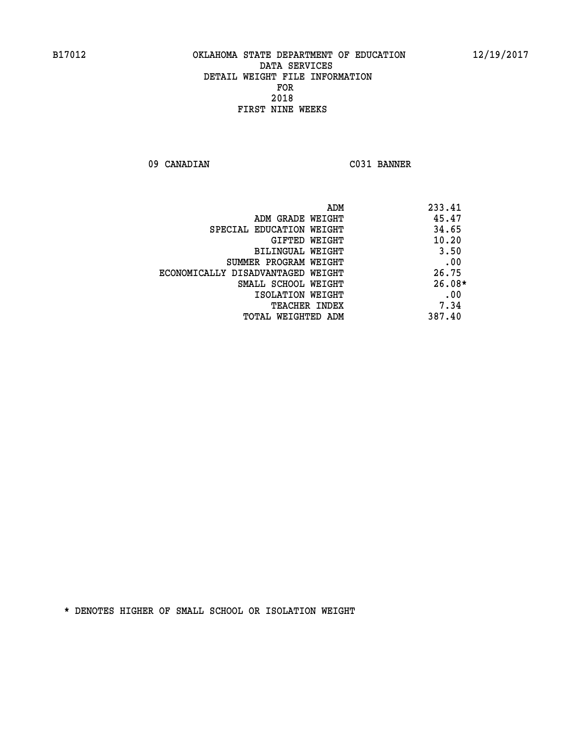**09 CANADIAN C031 BANNER** 

| ADM                               | 233.41   |
|-----------------------------------|----------|
| ADM GRADE WEIGHT                  | 45.47    |
| SPECIAL EDUCATION WEIGHT          | 34.65    |
| GIFTED WEIGHT                     | 10.20    |
| BILINGUAL WEIGHT                  | 3.50     |
| SUMMER PROGRAM WEIGHT             | .00      |
| ECONOMICALLY DISADVANTAGED WEIGHT | 26.75    |
| SMALL SCHOOL WEIGHT               | $26.08*$ |
| ISOLATION WEIGHT                  | .00      |
| <b>TEACHER INDEX</b>              | 7.34     |
| TOTAL WEIGHTED ADM                | 387.40   |
|                                   |          |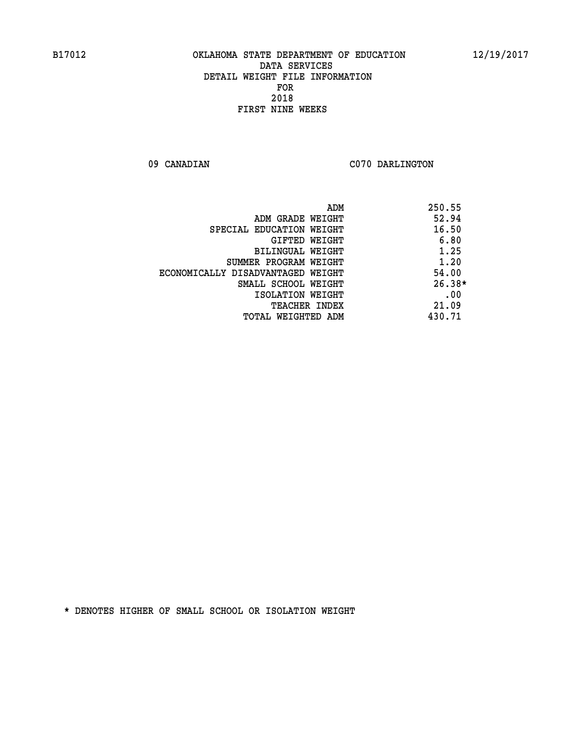09 CANADIAN C070 DARLINGTON

|                                   | 250.55<br>ADM |
|-----------------------------------|---------------|
| ADM GRADE WEIGHT                  | 52.94         |
| SPECIAL EDUCATION WEIGHT          | 16.50         |
| GIFTED WEIGHT                     | 6.80          |
| BILINGUAL WEIGHT                  | 1.25          |
| SUMMER PROGRAM WEIGHT             | 1.20          |
| ECONOMICALLY DISADVANTAGED WEIGHT | 54.00         |
| SMALL SCHOOL WEIGHT               | $26.38*$      |
| ISOLATION WEIGHT                  | .00           |
| <b>TEACHER INDEX</b>              | 21.09         |
| TOTAL WEIGHTED ADM                | 430.71        |
|                                   |               |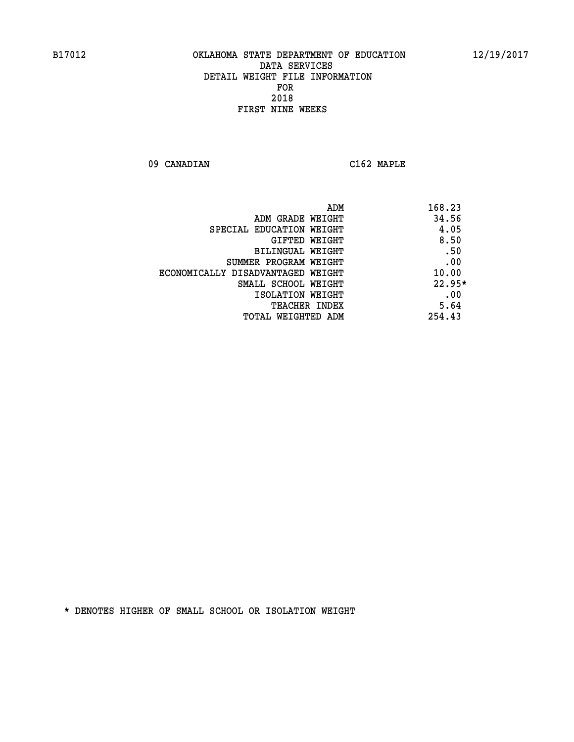**09 CANADIAN C162 MAPLE** 

|                                   | 168.23<br>ADM |
|-----------------------------------|---------------|
| ADM GRADE WEIGHT                  | 34.56         |
| SPECIAL EDUCATION WEIGHT          | 4.05          |
| <b>GIFTED WEIGHT</b>              | 8.50          |
| BILINGUAL WEIGHT                  | .50           |
| SUMMER PROGRAM WEIGHT             | .00           |
| ECONOMICALLY DISADVANTAGED WEIGHT | 10.00         |
| SMALL SCHOOL WEIGHT               | $22.95*$      |
| ISOLATION WEIGHT                  | .00           |
| <b>TEACHER INDEX</b>              | 5.64          |
| TOTAL WEIGHTED ADM                | 254.43        |
|                                   |               |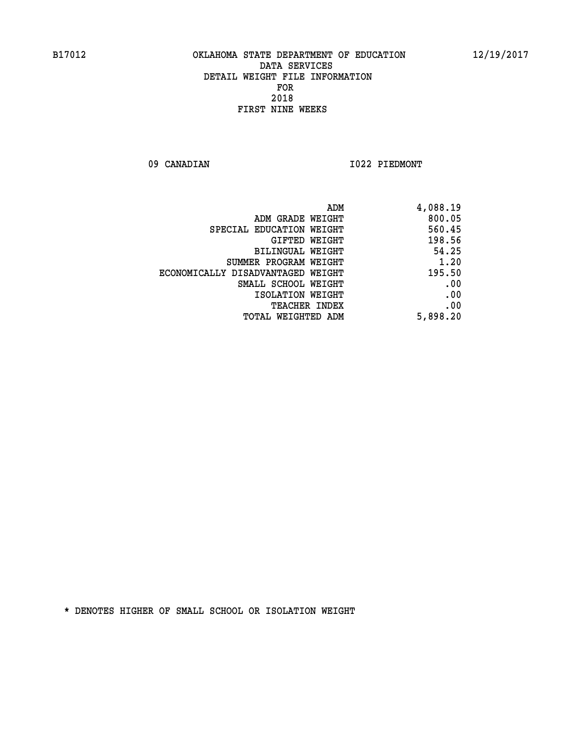09 CANADIAN 1022 PIEDMONT

| 4,088.19 | ADM                               |
|----------|-----------------------------------|
| 800.05   | ADM GRADE WEIGHT                  |
| 560.45   | SPECIAL EDUCATION WEIGHT          |
| 198.56   | GIFTED WEIGHT                     |
| 54.25    | BILINGUAL WEIGHT                  |
| 1.20     | SUMMER PROGRAM WEIGHT             |
| 195.50   | ECONOMICALLY DISADVANTAGED WEIGHT |
| .00      | SMALL SCHOOL WEIGHT               |
| .00      | ISOLATION WEIGHT                  |
| .00      | <b>TEACHER INDEX</b>              |
| 5,898.20 | <b>TOTAL WEIGHTED ADM</b>         |
|          |                                   |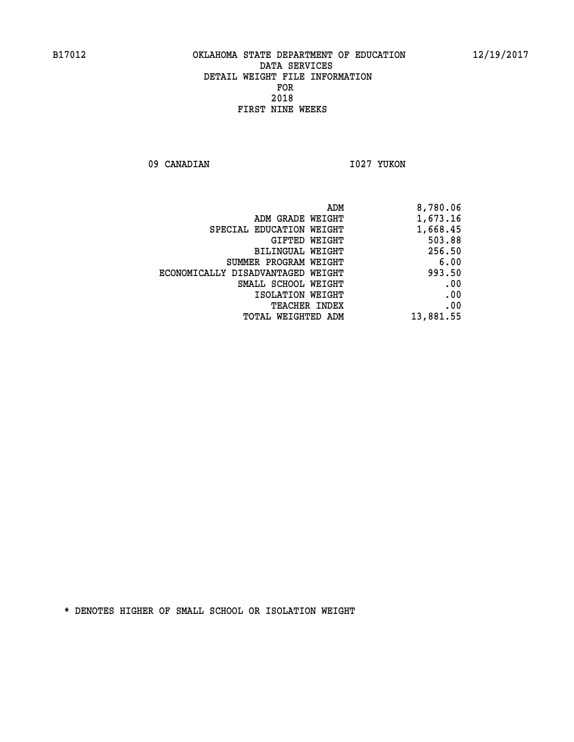09 CANADIAN 1027 YUKON

|                                   | ADM<br>8,780.06 |
|-----------------------------------|-----------------|
| ADM GRADE WEIGHT                  | 1,673.16        |
| SPECIAL EDUCATION WEIGHT          | 1,668.45        |
| GIFTED WEIGHT                     | 503.88          |
| BILINGUAL WEIGHT                  | 256.50          |
| SUMMER PROGRAM WEIGHT             | 6.00            |
| ECONOMICALLY DISADVANTAGED WEIGHT | 993.50          |
| SMALL SCHOOL WEIGHT               | .00             |
| ISOLATION WEIGHT                  | .00             |
| TEACHER INDEX                     | .00             |
| TOTAL WEIGHTED ADM                | 13,881.55       |
|                                   |                 |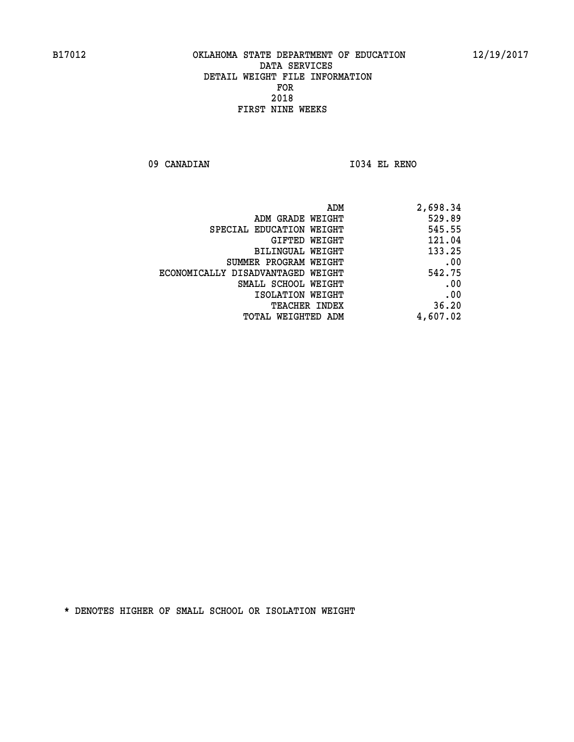**09 CANADIAN I034 EL RENO** 

|                                   | 2,698.34<br>ADM |
|-----------------------------------|-----------------|
| ADM GRADE WEIGHT                  | 529.89          |
| SPECIAL EDUCATION WEIGHT          | 545.55          |
| <b>GIFTED WEIGHT</b>              | 121.04          |
| BILINGUAL WEIGHT                  | 133.25          |
| SUMMER PROGRAM WEIGHT             | .00             |
| ECONOMICALLY DISADVANTAGED WEIGHT | 542.75          |
| SMALL SCHOOL WEIGHT               | .00             |
| ISOLATION WEIGHT                  | .00             |
| <b>TEACHER INDEX</b>              | 36.20           |
| TOTAL WEIGHTED ADM                | 4,607.02        |
|                                   |                 |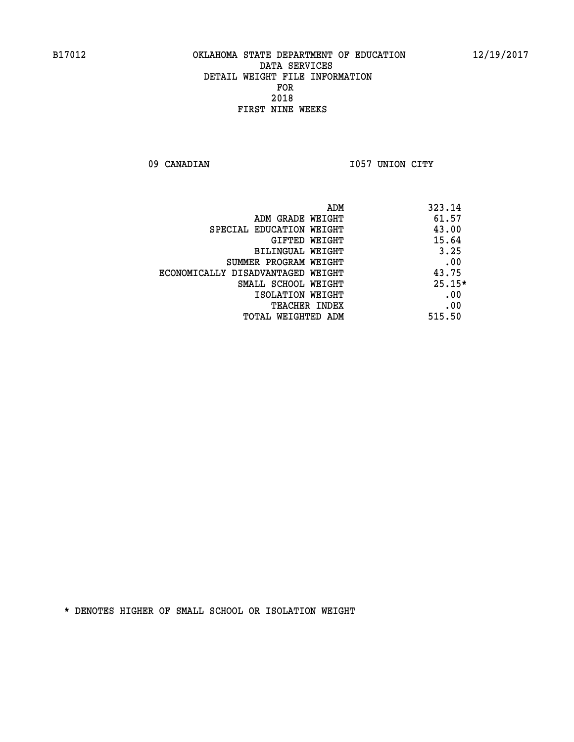09 CANADIAN 1057 UNION CITY

|                                   | ADM | 323.14   |
|-----------------------------------|-----|----------|
| ADM GRADE WEIGHT                  |     | 61.57    |
| SPECIAL EDUCATION WEIGHT          |     | 43.00    |
| <b>GIFTED WEIGHT</b>              |     | 15.64    |
| BILINGUAL WEIGHT                  |     | 3.25     |
| SUMMER PROGRAM WEIGHT             |     | .00      |
| ECONOMICALLY DISADVANTAGED WEIGHT |     | 43.75    |
| SMALL SCHOOL WEIGHT               |     | $25.15*$ |
| ISOLATION WEIGHT                  |     | .00      |
| <b>TEACHER INDEX</b>              |     | .00      |
| TOTAL WEIGHTED ADM                |     | 515.50   |
|                                   |     |          |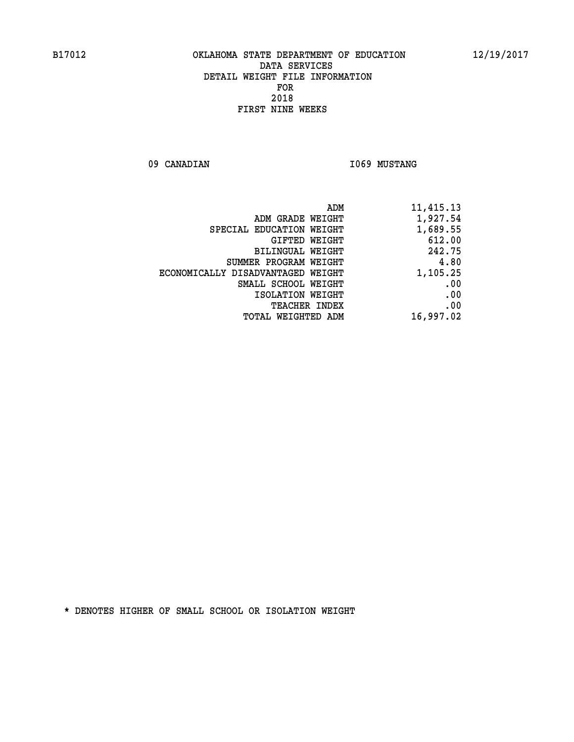09 CANADIAN 1069 MUSTANG

| 11,415.13 | ADM                               |
|-----------|-----------------------------------|
| 1,927.54  | ADM GRADE WEIGHT                  |
| 1,689.55  | SPECIAL EDUCATION WEIGHT          |
| 612.00    | GIFTED WEIGHT                     |
| 242.75    | BILINGUAL WEIGHT                  |
| 4.80      | SUMMER PROGRAM WEIGHT             |
| 1,105.25  | ECONOMICALLY DISADVANTAGED WEIGHT |
| .00       | SMALL SCHOOL WEIGHT               |
| .00       | ISOLATION WEIGHT                  |
| .00       | <b>TEACHER INDEX</b>              |
| 16,997.02 | TOTAL WEIGHTED ADM                |
|           |                                   |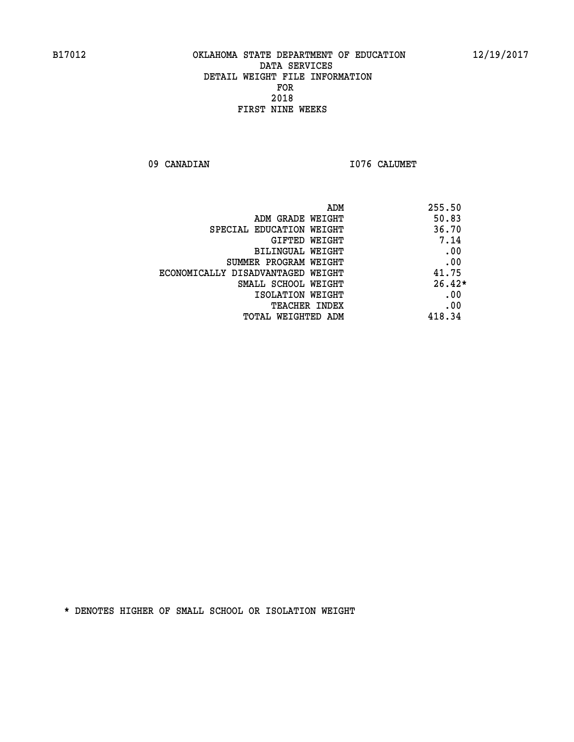09 CANADIAN 1076 CALUMET

| ADM                               | 255.50   |
|-----------------------------------|----------|
| ADM GRADE WEIGHT                  | 50.83    |
| SPECIAL EDUCATION WEIGHT          | 36.70    |
| <b>GIFTED WEIGHT</b>              | 7.14     |
| BILINGUAL WEIGHT                  | .00      |
| SUMMER PROGRAM WEIGHT             | .00      |
| ECONOMICALLY DISADVANTAGED WEIGHT | 41.75    |
| SMALL SCHOOL WEIGHT               | $26.42*$ |
| ISOLATION WEIGHT                  | .00      |
| <b>TEACHER INDEX</b>              | .00      |
| TOTAL WEIGHTED ADM                | 418.34   |
|                                   |          |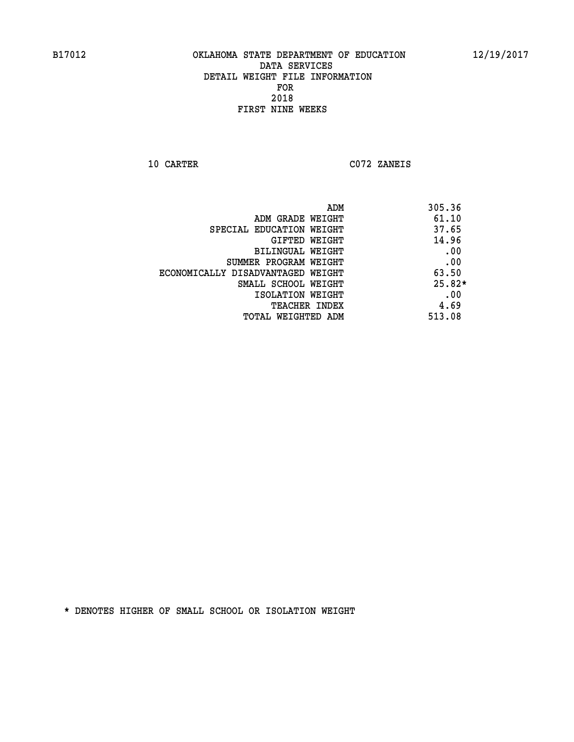**10 CARTER C072 ZANEIS** 

|                                   | ADM<br>305.36 |
|-----------------------------------|---------------|
| ADM GRADE WEIGHT                  | 61.10         |
| SPECIAL EDUCATION WEIGHT          | 37.65         |
| GIFTED WEIGHT                     | 14.96         |
| BILINGUAL WEIGHT                  | .00           |
| SUMMER PROGRAM WEIGHT             | .00           |
| ECONOMICALLY DISADVANTAGED WEIGHT | 63.50         |
| SMALL SCHOOL WEIGHT               | $25.82*$      |
| ISOLATION WEIGHT                  | .00           |
| <b>TEACHER INDEX</b>              | 4.69          |
| TOTAL WEIGHTED ADM                | 513.08        |
|                                   |               |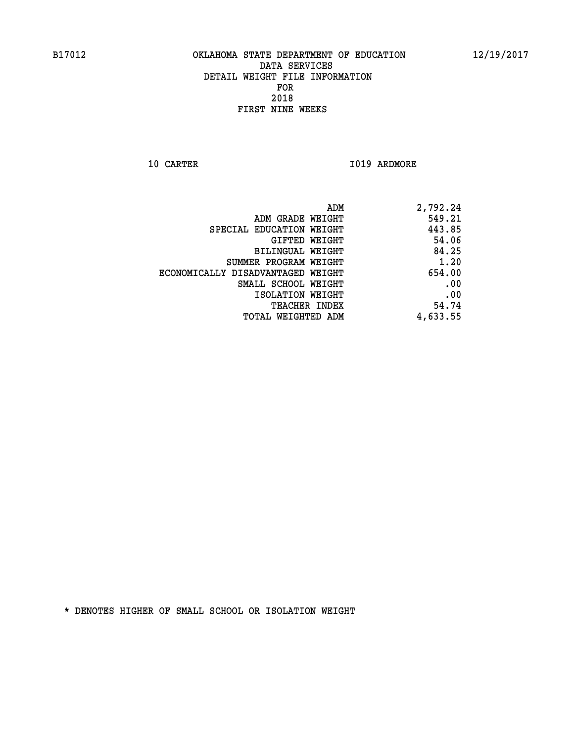**10 CARTER 1019 ARDMORE** 

| ADM                               | 2,792.24 |
|-----------------------------------|----------|
| ADM GRADE WEIGHT                  | 549.21   |
| SPECIAL EDUCATION WEIGHT          | 443.85   |
| GIFTED WEIGHT                     | 54.06    |
| BILINGUAL WEIGHT                  | 84.25    |
| SUMMER PROGRAM WEIGHT             | 1.20     |
| ECONOMICALLY DISADVANTAGED WEIGHT | 654.00   |
| SMALL SCHOOL WEIGHT               | .00      |
| ISOLATION WEIGHT                  | .00      |
| <b>TEACHER INDEX</b>              | 54.74    |
| TOTAL WEIGHTED ADM                | 4,633.55 |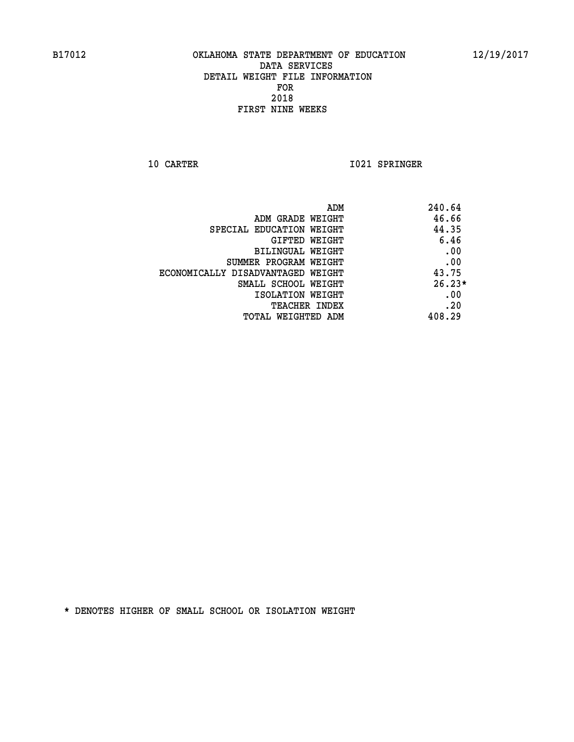**10 CARTER 1021 SPRINGER** 

| ADM                               | 240.64   |
|-----------------------------------|----------|
| ADM GRADE WEIGHT                  | 46.66    |
| SPECIAL EDUCATION WEIGHT          | 44.35    |
| GIFTED WEIGHT                     | 6.46     |
| BILINGUAL WEIGHT                  | .00      |
| SUMMER PROGRAM WEIGHT             | .00      |
| ECONOMICALLY DISADVANTAGED WEIGHT | 43.75    |
| SMALL SCHOOL WEIGHT               | $26.23*$ |
| ISOLATION WEIGHT                  | .00      |
| <b>TEACHER INDEX</b>              | .20      |
| TOTAL WEIGHTED ADM                | 408.29   |
|                                   |          |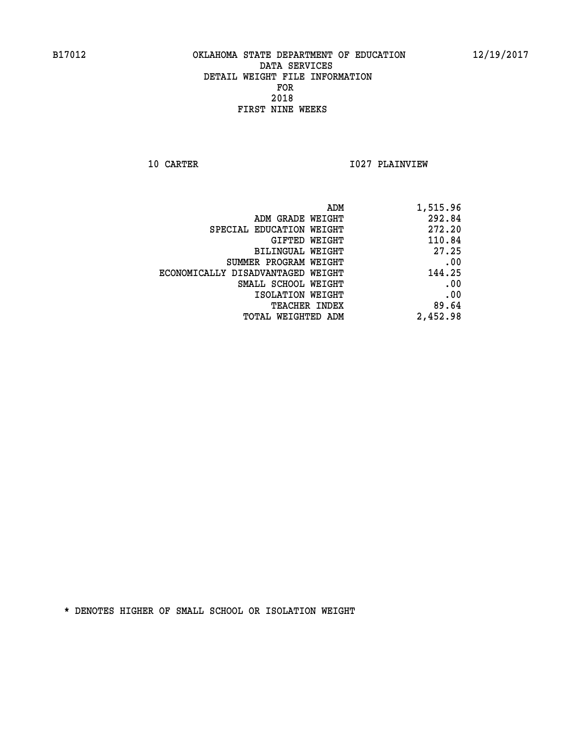**10 CARTER 1027 PLAINVIEW** 

| 1,515.96 |
|----------|
| 292.84   |
| 272.20   |
| 110.84   |
| 27.25    |
| .00      |
| 144.25   |
| .00      |
| .00      |
| 89.64    |
| 2,452.98 |
|          |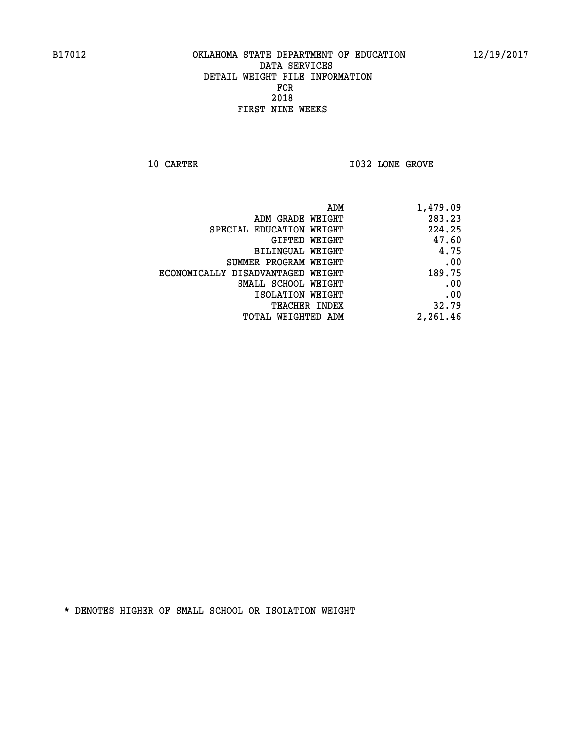**10 CARTER 10 CARTER 1032 LONE GROVE** 

| ADM                               | 1,479.09 |
|-----------------------------------|----------|
| ADM GRADE WEIGHT                  | 283.23   |
| SPECIAL EDUCATION WEIGHT          | 224.25   |
| GIFTED WEIGHT                     | 47.60    |
| BILINGUAL WEIGHT                  | 4.75     |
| SUMMER PROGRAM WEIGHT             | .00      |
| ECONOMICALLY DISADVANTAGED WEIGHT | 189.75   |
| SMALL SCHOOL WEIGHT               | .00      |
| ISOLATION WEIGHT                  | .00      |
| <b>TEACHER INDEX</b>              | 32.79    |
| <b>TOTAL WEIGHTED ADM</b>         | 2,261.46 |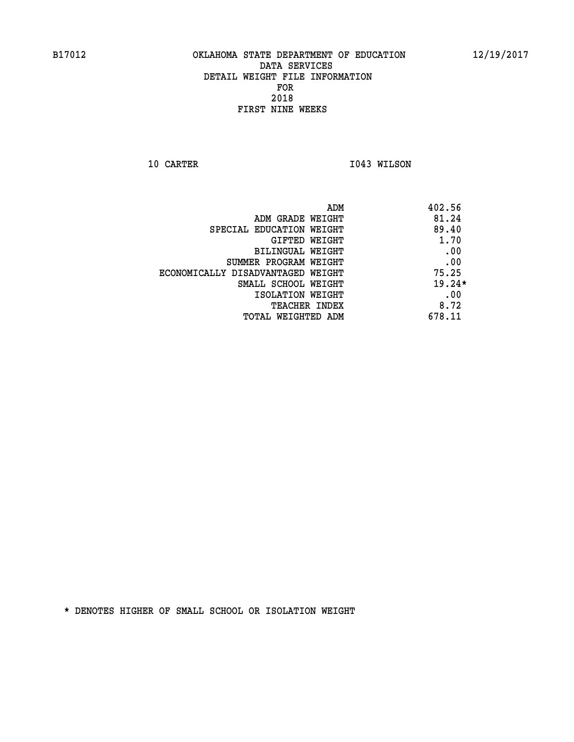**10 CARTER 1043 WILSON** 

|                                   | 402.56<br>ADM |
|-----------------------------------|---------------|
| ADM GRADE WEIGHT                  | 81.24         |
| SPECIAL EDUCATION WEIGHT          | 89.40         |
| GIFTED WEIGHT                     | 1.70          |
| BILINGUAL WEIGHT                  | .00           |
| SUMMER PROGRAM WEIGHT             | .00           |
| ECONOMICALLY DISADVANTAGED WEIGHT | 75.25         |
| SMALL SCHOOL WEIGHT               | $19.24*$      |
| ISOLATION WEIGHT                  | .00           |
| <b>TEACHER INDEX</b>              | 8.72          |
| TOTAL WEIGHTED ADM                | 678.11        |
|                                   |               |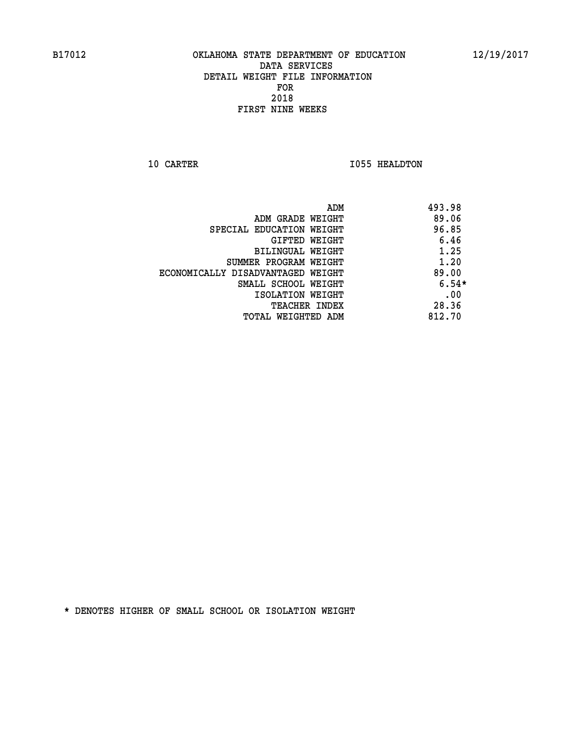**10 CARTER 1055 HEALDTON** 

| ADM                               | 493.98  |
|-----------------------------------|---------|
| ADM GRADE WEIGHT                  | 89.06   |
| SPECIAL EDUCATION WEIGHT          | 96.85   |
| GIFTED WEIGHT                     | 6.46    |
| BILINGUAL WEIGHT                  | 1.25    |
| SUMMER PROGRAM WEIGHT             | 1.20    |
| ECONOMICALLY DISADVANTAGED WEIGHT | 89.00   |
| SMALL SCHOOL WEIGHT               | $6.54*$ |
| ISOLATION WEIGHT                  | .00     |
| <b>TEACHER INDEX</b>              | 28.36   |
| TOTAL WEIGHTED ADM                | 812.70  |
|                                   |         |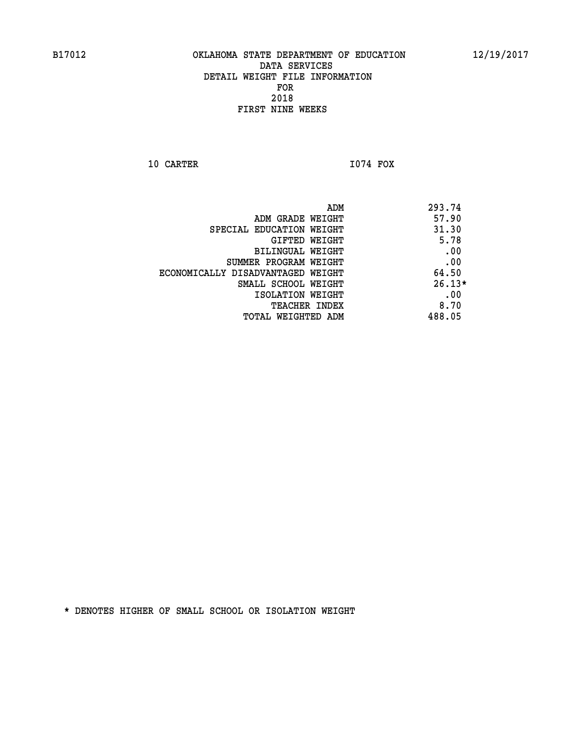**10 CARTER I074 FOX** 

 **ADM 293.74 EXAMPLE WEIGHT 4.1 ST ADM GRADE WEIGHT SPECIAL EDUCATION WEIGHT** 31.30 **GIFTED WEIGHT 5.78 BILINGUAL WEIGHT .00 SUMMER PROGRAM WEIGHT .00 ECONOMICALLY DISADVANTAGED WEIGHT 64.50 SMALL SCHOOL WEIGHT 26.13\* EXECUTED ISOLATION WEIGHT AND RESOLATION WEIGHT TEACHER INDEX** 8.70  **TOTAL WEIGHTED ADM 488.05**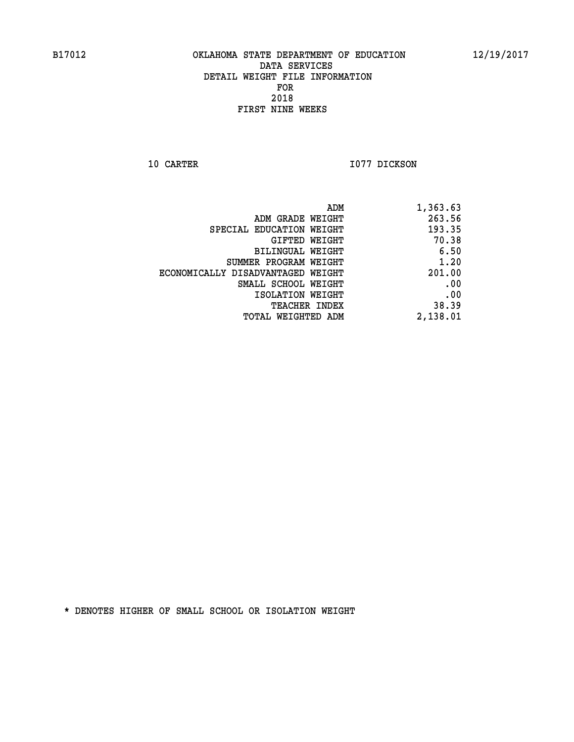**10 CARTER 1077 DICKSON** 

| ADM                               | 1,363.63 |
|-----------------------------------|----------|
| ADM GRADE WEIGHT                  | 263.56   |
| SPECIAL EDUCATION WEIGHT          | 193.35   |
| GIFTED WEIGHT                     | 70.38    |
| BILINGUAL WEIGHT                  | 6.50     |
| SUMMER PROGRAM WEIGHT             | 1.20     |
| ECONOMICALLY DISADVANTAGED WEIGHT | 201.00   |
| SMALL SCHOOL WEIGHT               | .00      |
| ISOLATION WEIGHT                  | .00      |
| TEACHER INDEX                     | 38.39    |
| TOTAL WEIGHTED ADM                | 2,138.01 |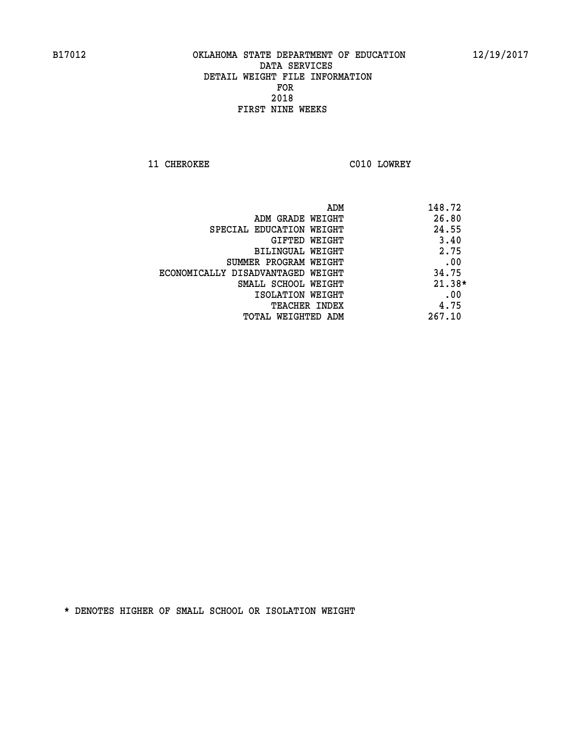**11 CHEROKEE C010 LOWREY** 

| ADM                               | 148.72   |
|-----------------------------------|----------|
| ADM GRADE WEIGHT                  | 26.80    |
| SPECIAL EDUCATION WEIGHT          | 24.55    |
| GIFTED WEIGHT                     | 3.40     |
| BILINGUAL WEIGHT                  | 2.75     |
| SUMMER PROGRAM WEIGHT             | .00      |
| ECONOMICALLY DISADVANTAGED WEIGHT | 34.75    |
| SMALL SCHOOL WEIGHT               | $21.38*$ |
| ISOLATION WEIGHT                  | .00      |
| <b>TEACHER INDEX</b>              | 4.75     |
| TOTAL WEIGHTED ADM                | 267.10   |
|                                   |          |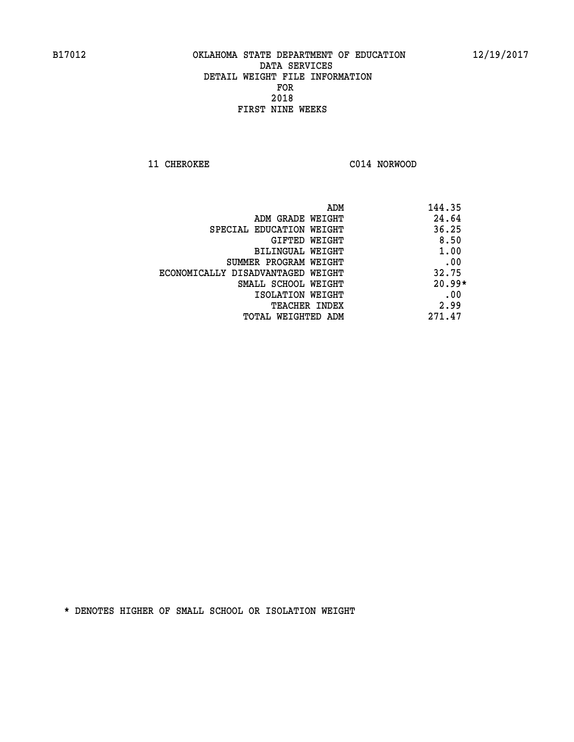**11 CHEROKEE C014 NORWOOD** 

| ADM                               | 144.35   |
|-----------------------------------|----------|
| ADM GRADE WEIGHT                  | 24.64    |
| SPECIAL EDUCATION WEIGHT          | 36.25    |
| GIFTED WEIGHT                     | 8.50     |
| <b>BILINGUAL WEIGHT</b>           | 1.00     |
| SUMMER PROGRAM WEIGHT             | .00      |
| ECONOMICALLY DISADVANTAGED WEIGHT | 32.75    |
| SMALL SCHOOL WEIGHT               | $20.99*$ |
| ISOLATION WEIGHT                  | .00      |
| <b>TEACHER INDEX</b>              | 2.99     |
| TOTAL WEIGHTED ADM                | 271.47   |
|                                   |          |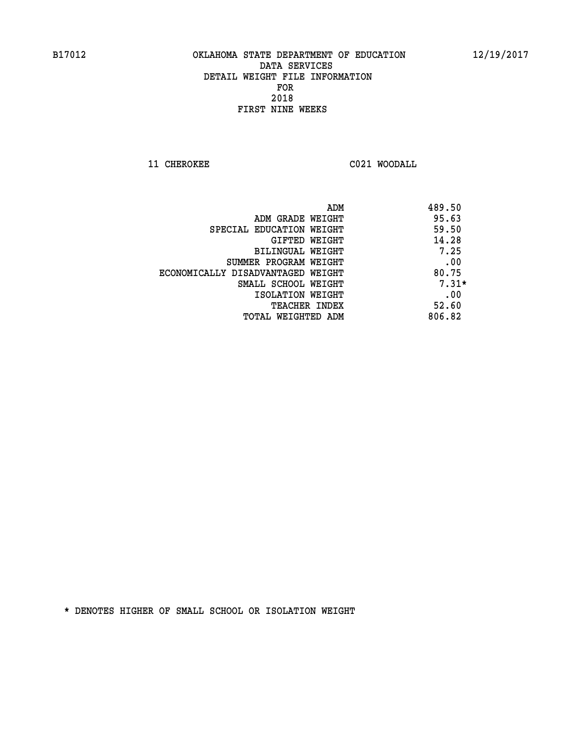**11 CHEROKEE C021 WOODALL** 

| ADM                               | 489.50  |
|-----------------------------------|---------|
| ADM GRADE WEIGHT                  | 95.63   |
| SPECIAL EDUCATION WEIGHT          | 59.50   |
| GIFTED WEIGHT                     | 14.28   |
| BILINGUAL WEIGHT                  | 7.25    |
| SUMMER PROGRAM WEIGHT             | .00     |
| ECONOMICALLY DISADVANTAGED WEIGHT | 80.75   |
| SMALL SCHOOL WEIGHT               | $7.31*$ |
| ISOLATION WEIGHT                  | .00     |
| <b>TEACHER INDEX</b>              | 52.60   |
| TOTAL WEIGHTED ADM                | 806.82  |
|                                   |         |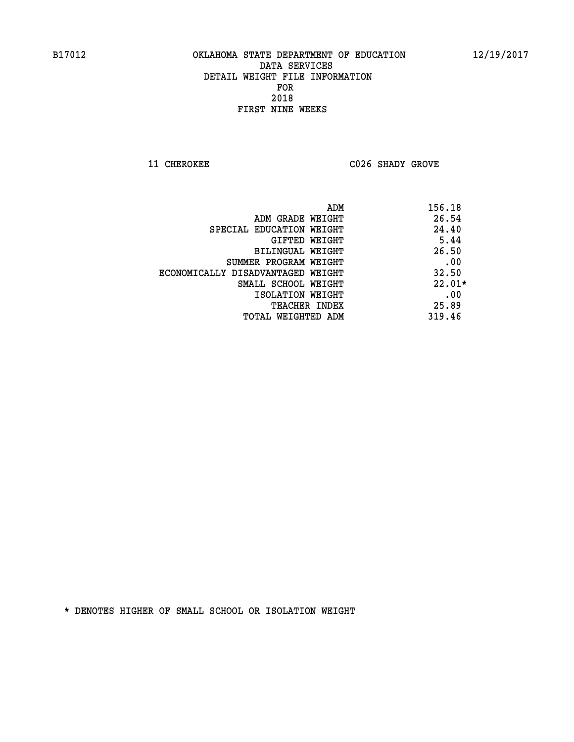**11 CHEROKEE C026 SHADY GROVE** 

| ADM                               | 156.18   |
|-----------------------------------|----------|
| ADM GRADE WEIGHT                  | 26.54    |
| SPECIAL EDUCATION WEIGHT          | 24.40    |
| GIFTED WEIGHT                     | 5.44     |
| BILINGUAL WEIGHT                  | 26.50    |
| SUMMER PROGRAM WEIGHT             | .00      |
| ECONOMICALLY DISADVANTAGED WEIGHT | 32.50    |
| SMALL SCHOOL WEIGHT               | $22.01*$ |
| ISOLATION WEIGHT                  | .00      |
| <b>TEACHER INDEX</b>              | 25.89    |
| TOTAL WEIGHTED ADM                | 319.46   |
|                                   |          |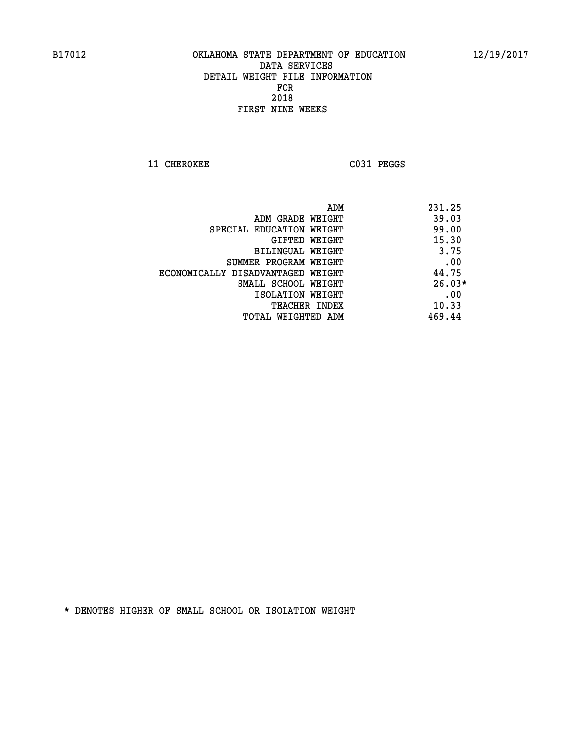11 CHEROKEE C031 PEGGS

|                                   | ADM | 231.25   |
|-----------------------------------|-----|----------|
| ADM GRADE WEIGHT                  |     | 39.03    |
| SPECIAL EDUCATION WEIGHT          |     | 99.00    |
| GIFTED WEIGHT                     |     | 15.30    |
| BILINGUAL WEIGHT                  |     | 3.75     |
| SUMMER PROGRAM WEIGHT             |     | .00      |
| ECONOMICALLY DISADVANTAGED WEIGHT |     | 44.75    |
| SMALL SCHOOL WEIGHT               |     | $26.03*$ |
| ISOLATION WEIGHT                  |     | .00      |
| <b>TEACHER INDEX</b>              |     | 10.33    |
| TOTAL WEIGHTED ADM                |     | 469.44   |
|                                   |     |          |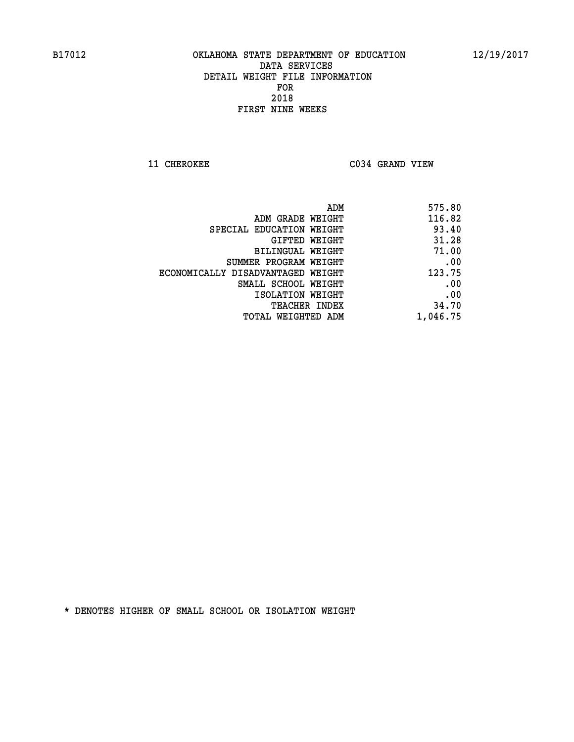**11 CHEROKEE C034 GRAND VIEW** 

| 575.80   |
|----------|
| 116.82   |
| 93.40    |
| 31.28    |
| 71.00    |
| .00      |
| 123.75   |
| .00      |
| .00      |
| 34.70    |
| 1,046.75 |
|          |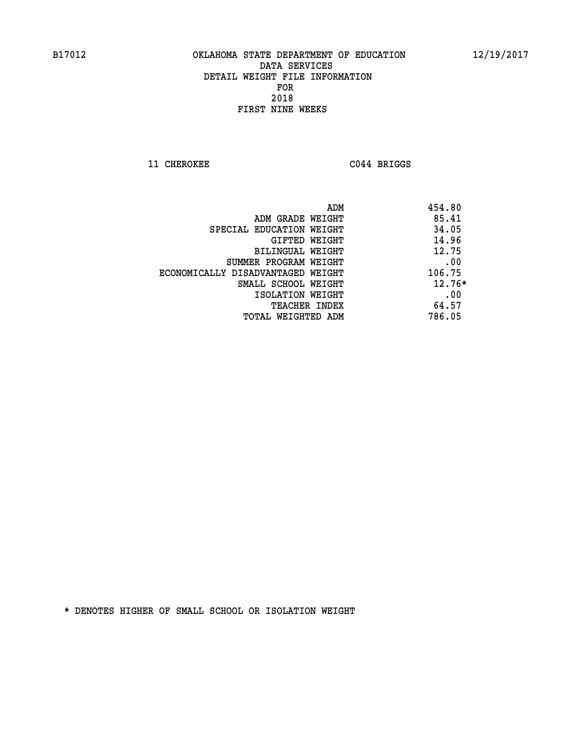**11 CHEROKEE C044 BRIGGS** 

| ADM                               | 454.80   |
|-----------------------------------|----------|
| ADM GRADE WEIGHT                  | 85.41    |
| SPECIAL EDUCATION WEIGHT          | 34.05    |
| GIFTED WEIGHT                     | 14.96    |
| <b>BILINGUAL WEIGHT</b>           | 12.75    |
| SUMMER PROGRAM WEIGHT             | .00      |
| ECONOMICALLY DISADVANTAGED WEIGHT | 106.75   |
| SMALL SCHOOL WEIGHT               | $12.76*$ |
| ISOLATION WEIGHT                  | .00      |
| <b>TEACHER INDEX</b>              | 64.57    |
| TOTAL WEIGHTED ADM                | 786.05   |
|                                   |          |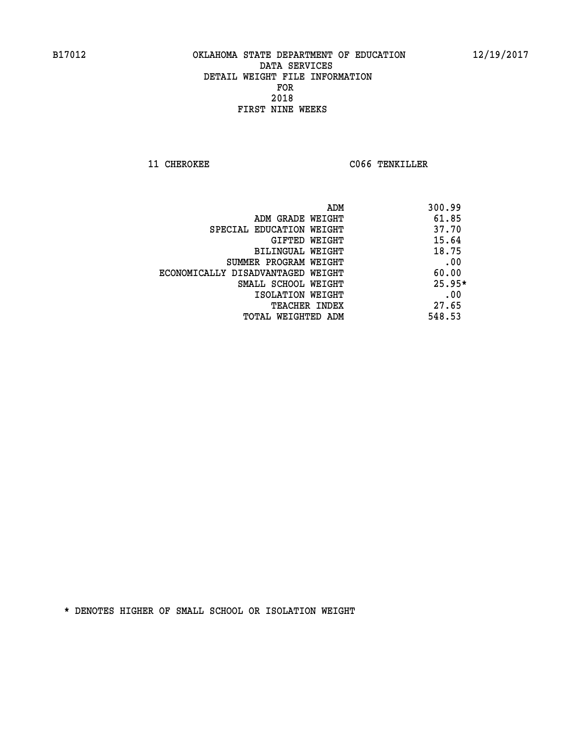**11 CHEROKEE CO66 TENKILLER** 

|                                   | 300.99<br>ADM |
|-----------------------------------|---------------|
| ADM GRADE WEIGHT                  | 61.85         |
| SPECIAL EDUCATION WEIGHT          | 37.70         |
| GIFTED WEIGHT                     | 15.64         |
| <b>BILINGUAL WEIGHT</b>           | 18.75         |
| SUMMER PROGRAM WEIGHT             | .00           |
| ECONOMICALLY DISADVANTAGED WEIGHT | 60.00         |
| SMALL SCHOOL WEIGHT               | $25.95*$      |
| ISOLATION WEIGHT                  | .00           |
| <b>TEACHER INDEX</b>              | 27.65         |
| TOTAL WEIGHTED ADM                | 548.53        |
|                                   |               |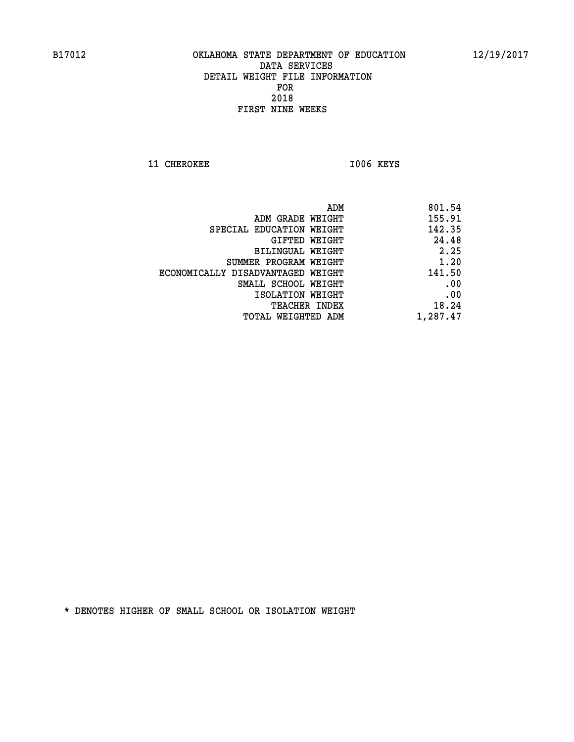**11 CHEROKEE 1006 KEYS** 

 **ADM 801.54 ADM GRADE WEIGHT 155.91 SPECIAL EDUCATION WEIGHT 142.35 GIFTED WEIGHT 24.48 BILINGUAL WEIGHT 2.25 SUMMER PROGRAM WEIGHT 1.20 ECONOMICALLY DISADVANTAGED WEIGHT 141.50 SMALL SCHOOL WEIGHT .00 EXECUTED ISOLATION WEIGHT AND RESOLATION WEIGHT TEACHER INDEX** 18.24  **TOTAL WEIGHTED ADM 1,287.47**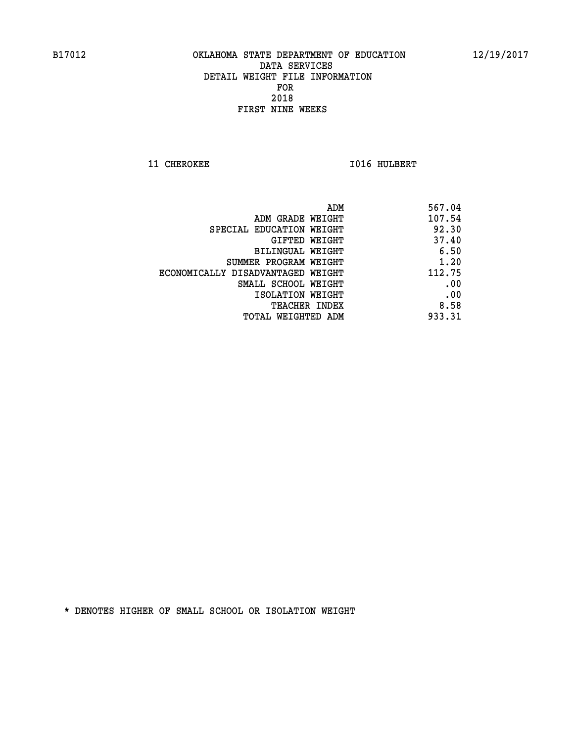**11 CHEROKEE 1016 HULBERT** 

|                                   | 567.04<br>ADM |
|-----------------------------------|---------------|
| ADM GRADE WEIGHT                  | 107.54        |
| SPECIAL EDUCATION WEIGHT          | 92.30         |
| GIFTED WEIGHT                     | 37.40         |
| BILINGUAL WEIGHT                  | 6.50          |
| SUMMER PROGRAM WEIGHT             | 1.20          |
| ECONOMICALLY DISADVANTAGED WEIGHT | 112.75        |
| SMALL SCHOOL WEIGHT               | .00           |
| ISOLATION WEIGHT                  | .00           |
| TEACHER INDEX                     | 8.58          |
| TOTAL WEIGHTED ADM                | 933.31        |
|                                   |               |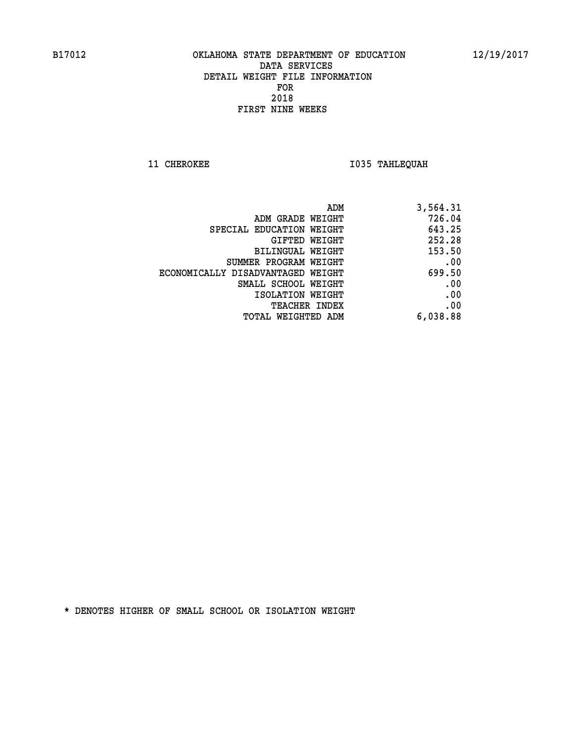**11 CHEROKEE 1035 TAHLEQUAH** 

| ADM                               | 3,564.31 |
|-----------------------------------|----------|
| ADM GRADE WEIGHT                  | 726.04   |
| SPECIAL EDUCATION WEIGHT          | 643.25   |
| <b>GIFTED WEIGHT</b>              | 252.28   |
| BILINGUAL WEIGHT                  | 153.50   |
| SUMMER PROGRAM WEIGHT             | .00      |
| ECONOMICALLY DISADVANTAGED WEIGHT | 699.50   |
| SMALL SCHOOL WEIGHT               | .00      |
| ISOLATION WEIGHT                  | .00      |
| <b>TEACHER INDEX</b>              | .00      |
| <b>TOTAL WEIGHTED ADM</b>         | 6,038.88 |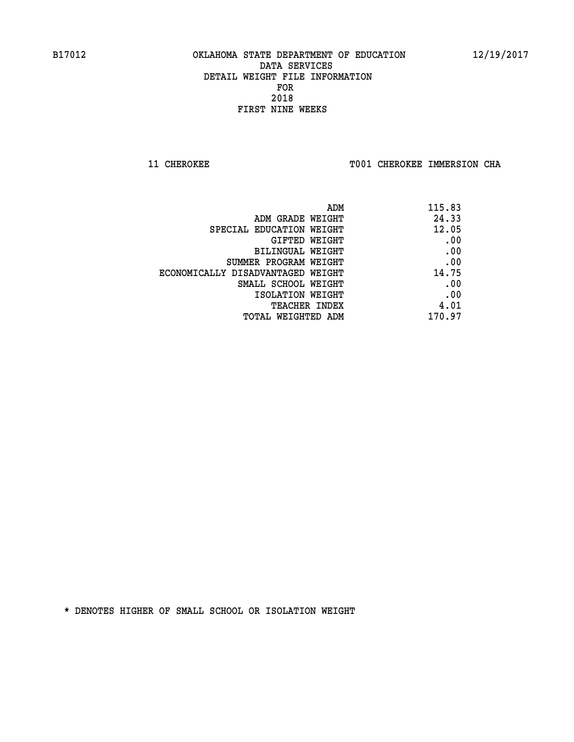**11 CHEROKEE TOO1 CHEROKEE IMMERSION CHA** 

| 115.83 |
|--------|
| 24.33  |
| 12.05  |
| .00    |
| .00    |
| .00    |
| 14.75  |
| .00    |
| .00    |
| 4.01   |
| 170.97 |
|        |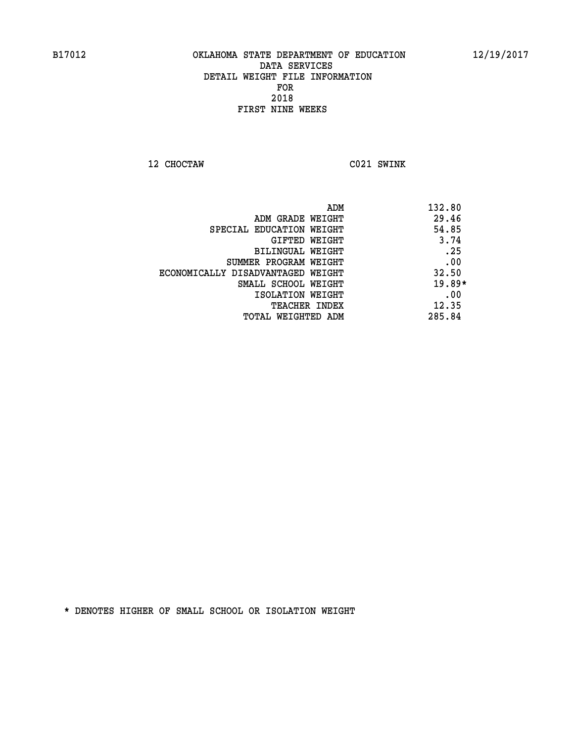**12 CHOCTAW C021 SWINK** 

| ADM                               | 132.80   |
|-----------------------------------|----------|
| ADM GRADE WEIGHT                  | 29.46    |
| SPECIAL EDUCATION WEIGHT          | 54.85    |
| GIFTED WEIGHT                     | 3.74     |
| BILINGUAL WEIGHT                  | .25      |
| SUMMER PROGRAM WEIGHT             | .00      |
| ECONOMICALLY DISADVANTAGED WEIGHT | 32.50    |
| SMALL SCHOOL WEIGHT               | $19.89*$ |
| ISOLATION WEIGHT                  | .00      |
| <b>TEACHER INDEX</b>              | 12.35    |
| TOTAL WEIGHTED ADM                | 285.84   |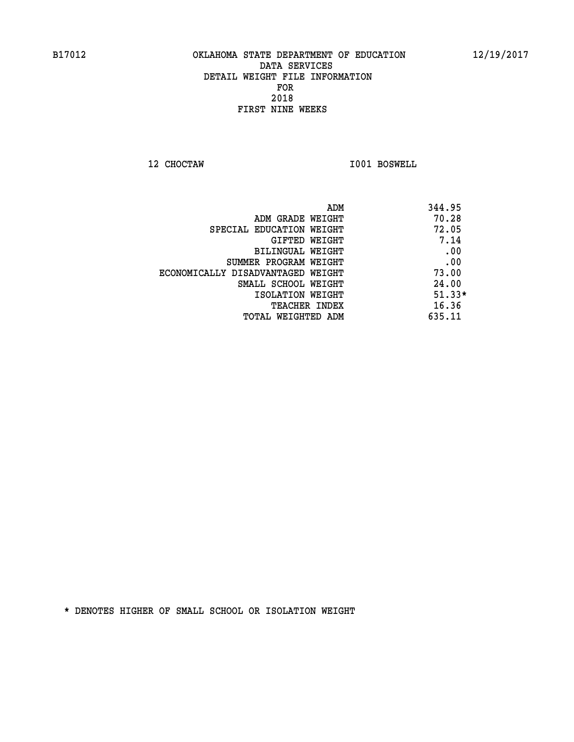**12 CHOCTAW I001 BOSWELL** 

|                                   | 344.95<br>ADM |
|-----------------------------------|---------------|
| ADM GRADE WEIGHT                  | 70.28         |
| SPECIAL EDUCATION WEIGHT          | 72.05         |
| GIFTED WEIGHT                     | 7.14          |
| BILINGUAL WEIGHT                  | .00           |
| SUMMER PROGRAM WEIGHT             | .00           |
| ECONOMICALLY DISADVANTAGED WEIGHT | 73.00         |
| SMALL SCHOOL WEIGHT               | 24.00         |
| ISOLATION WEIGHT                  | $51.33*$      |
| <b>TEACHER INDEX</b>              | 16.36         |
| TOTAL WEIGHTED ADM                | 635.11        |
|                                   |               |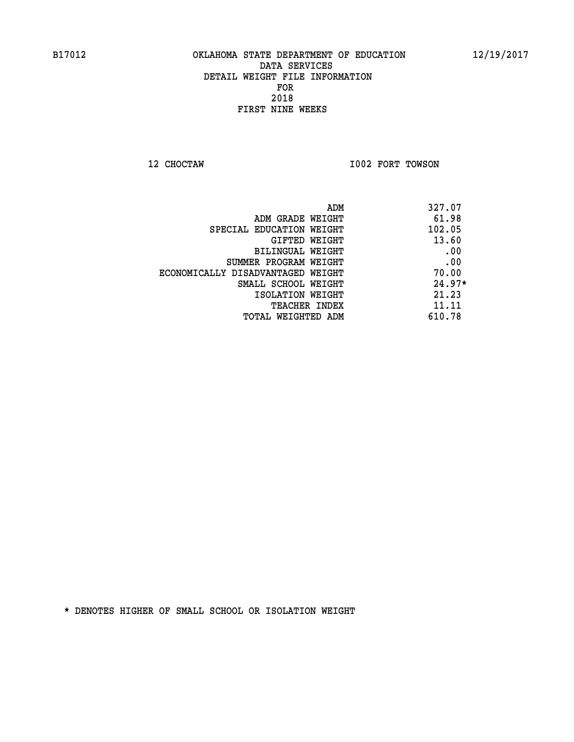**12 CHOCTAW I002 FORT TOWSON** 

| ADM                               | 327.07   |
|-----------------------------------|----------|
| ADM GRADE WEIGHT                  | 61.98    |
| SPECIAL EDUCATION WEIGHT          | 102.05   |
| GIFTED WEIGHT                     | 13.60    |
| BILINGUAL WEIGHT                  | .00      |
| SUMMER PROGRAM WEIGHT             | .00      |
| ECONOMICALLY DISADVANTAGED WEIGHT | 70.00    |
| SMALL SCHOOL WEIGHT               | $24.97*$ |
| ISOLATION WEIGHT                  | 21.23    |
| <b>TEACHER INDEX</b>              | 11.11    |
| TOTAL WEIGHTED ADM                | 610.78   |
|                                   |          |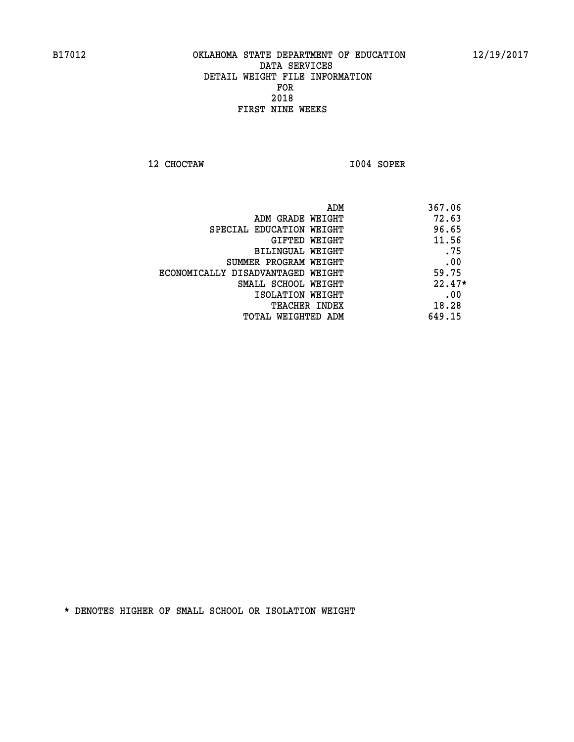**12 CHOCTAW I004 SOPER** 

| 367.06   |
|----------|
| 72.63    |
| 96.65    |
| 11.56    |
| .75      |
| .00      |
| 59.75    |
| $22.47*$ |
| .00      |
| 18.28    |
| 649.15   |
|          |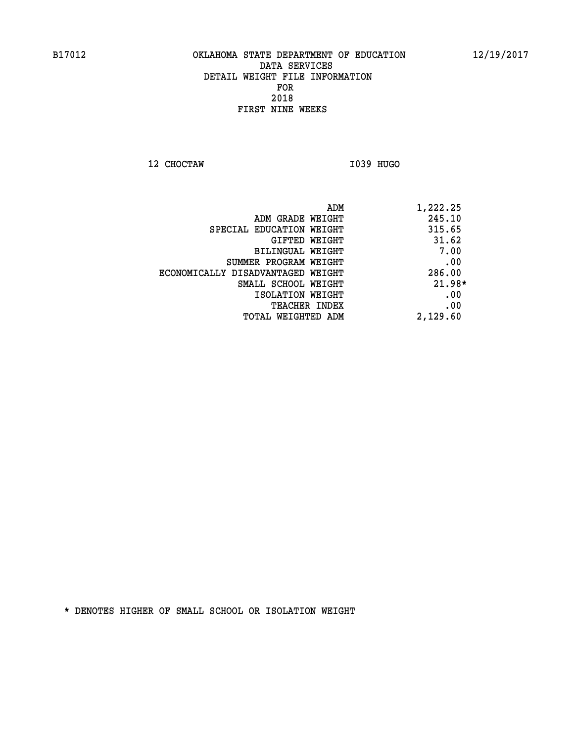**12 CHOCTAW I039 HUGO** 

|                                   | 1,222.25<br>ADM |
|-----------------------------------|-----------------|
| ADM GRADE WEIGHT                  | 245.10          |
| SPECIAL EDUCATION WEIGHT          | 315.65          |
| GIFTED WEIGHT                     | 31.62           |
| BILINGUAL WEIGHT                  | 7.00            |
| SUMMER PROGRAM WEIGHT             | .00             |
| ECONOMICALLY DISADVANTAGED WEIGHT | 286.00          |
| SMALL SCHOOL WEIGHT               | $21.98*$        |
| ISOLATION WEIGHT                  | .00             |
| <b>TEACHER INDEX</b>              | .00             |
| TOTAL WEIGHTED ADM                | 2,129.60        |
|                                   |                 |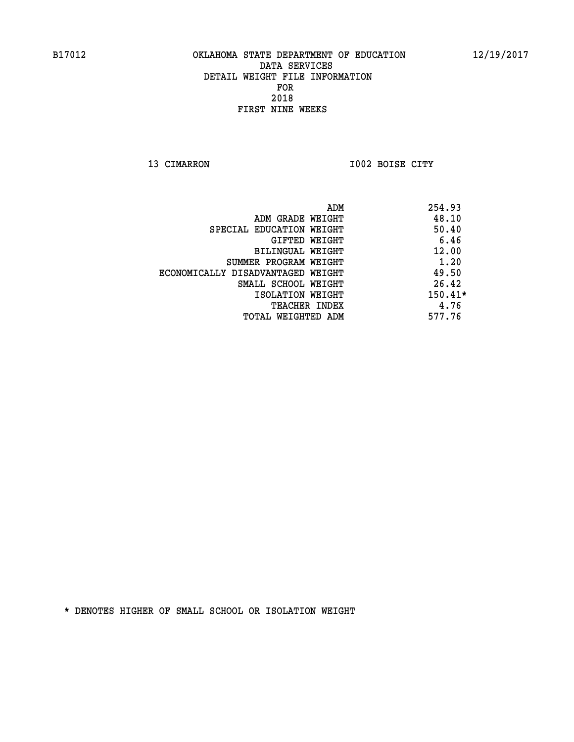**13 CIMARRON I002 BOISE CITY** 

|                                   | ADM | 254.93    |
|-----------------------------------|-----|-----------|
| ADM GRADE WEIGHT                  |     | 48.10     |
| SPECIAL EDUCATION WEIGHT          |     | 50.40     |
| GIFTED WEIGHT                     |     | 6.46      |
| BILINGUAL WEIGHT                  |     | 12.00     |
| SUMMER PROGRAM WEIGHT             |     | 1.20      |
| ECONOMICALLY DISADVANTAGED WEIGHT |     | 49.50     |
| SMALL SCHOOL WEIGHT               |     | 26.42     |
| ISOLATION WEIGHT                  |     | $150.41*$ |
| TEACHER INDEX                     |     | 4.76      |
| TOTAL WEIGHTED ADM                |     | 577.76    |
|                                   |     |           |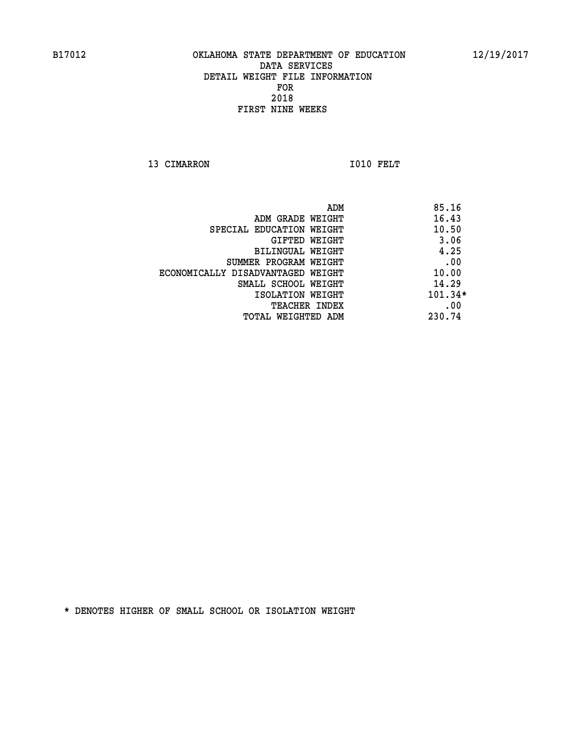13 CIMARRON 1010 FELT

| 85.16     |
|-----------|
| 16.43     |
| 10.50     |
| 3.06      |
| 4.25      |
| .00       |
| 10.00     |
| 14.29     |
| $101.34*$ |
| .00       |
| 230.74    |
|           |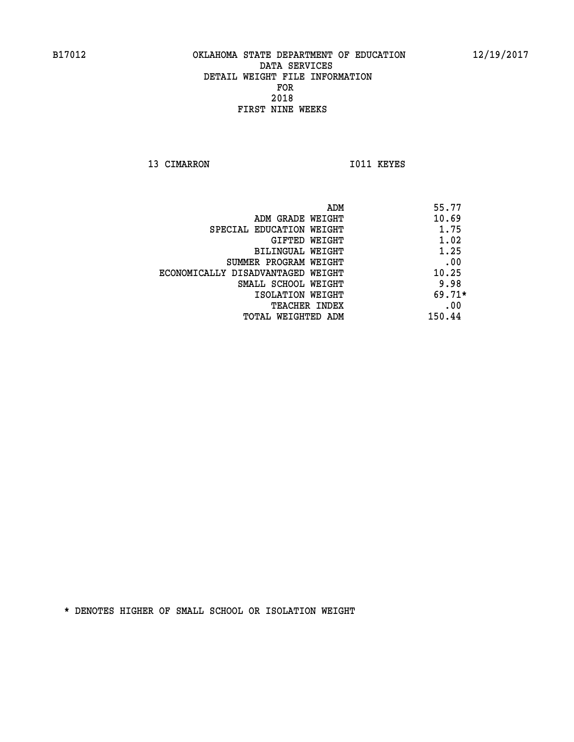13 CIMARRON 1011 KEYES

| ADM                               | 55.77    |
|-----------------------------------|----------|
| ADM GRADE WEIGHT                  | 10.69    |
| SPECIAL EDUCATION WEIGHT          | 1.75     |
| <b>GIFTED WEIGHT</b>              | 1.02     |
| BILINGUAL WEIGHT                  | 1.25     |
| SUMMER PROGRAM WEIGHT             | .00      |
| ECONOMICALLY DISADVANTAGED WEIGHT | 10.25    |
| SMALL SCHOOL WEIGHT               | 9.98     |
| ISOLATION WEIGHT                  | $69.71*$ |
| <b>TEACHER INDEX</b>              | .00      |
| TOTAL WEIGHTED ADM                | 150.44   |
|                                   |          |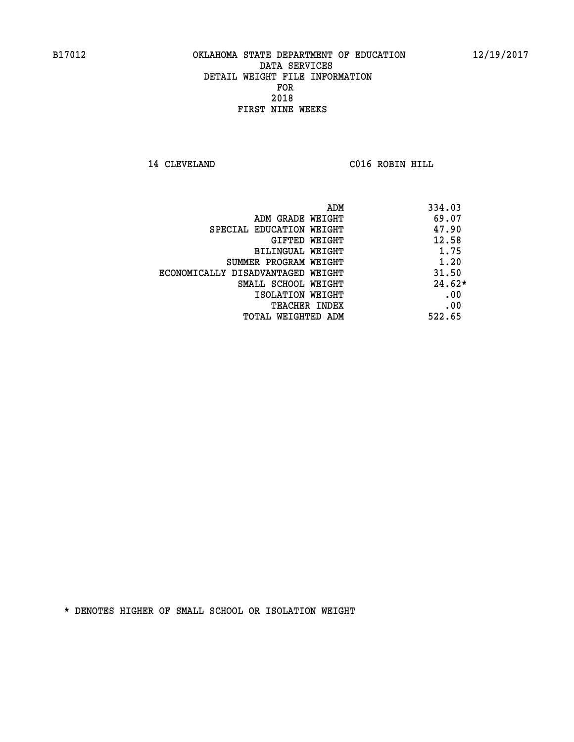**14 CLEVELAND C016 ROBIN HILL** 

|                                   | 334.03<br>ADM |
|-----------------------------------|---------------|
| ADM GRADE WEIGHT                  | 69.07         |
| SPECIAL EDUCATION WEIGHT          | 47.90         |
| GIFTED WEIGHT                     | 12.58         |
| <b>BILINGUAL WEIGHT</b>           | 1.75          |
| SUMMER PROGRAM WEIGHT             | 1.20          |
| ECONOMICALLY DISADVANTAGED WEIGHT | 31.50         |
| SMALL SCHOOL WEIGHT               | $24.62*$      |
| ISOLATION WEIGHT                  | .00           |
| <b>TEACHER INDEX</b>              | .00           |
| TOTAL WEIGHTED ADM                | 522.65        |
|                                   |               |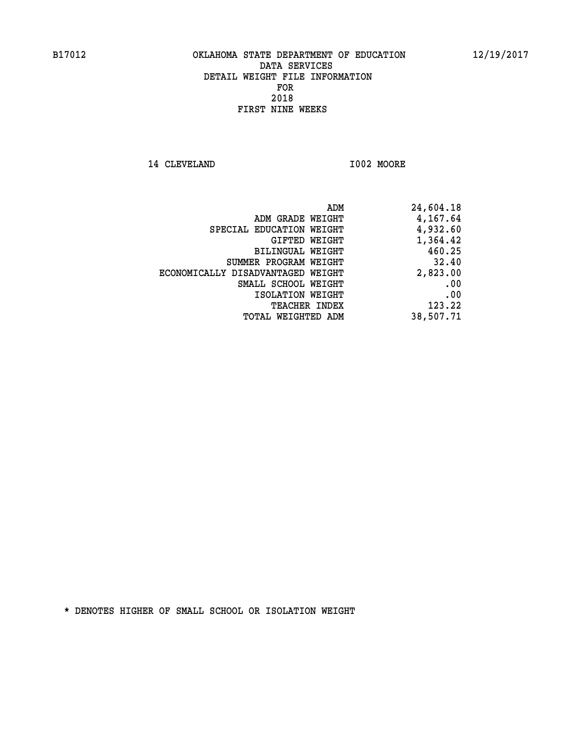**14 CLEVELAND I002 MOORE** 

| ADM                               | 24,604.18 |
|-----------------------------------|-----------|
| ADM GRADE WEIGHT                  | 4,167.64  |
| SPECIAL EDUCATION WEIGHT          | 4,932.60  |
| GIFTED WEIGHT                     | 1,364.42  |
| BILINGUAL WEIGHT                  | 460.25    |
| SUMMER PROGRAM WEIGHT             | 32.40     |
| ECONOMICALLY DISADVANTAGED WEIGHT | 2,823.00  |
| SMALL SCHOOL WEIGHT               | .00       |
| ISOLATION WEIGHT                  | .00       |
| <b>TEACHER INDEX</b>              | 123.22    |
| TOTAL WEIGHTED ADM                | 38,507.71 |
|                                   |           |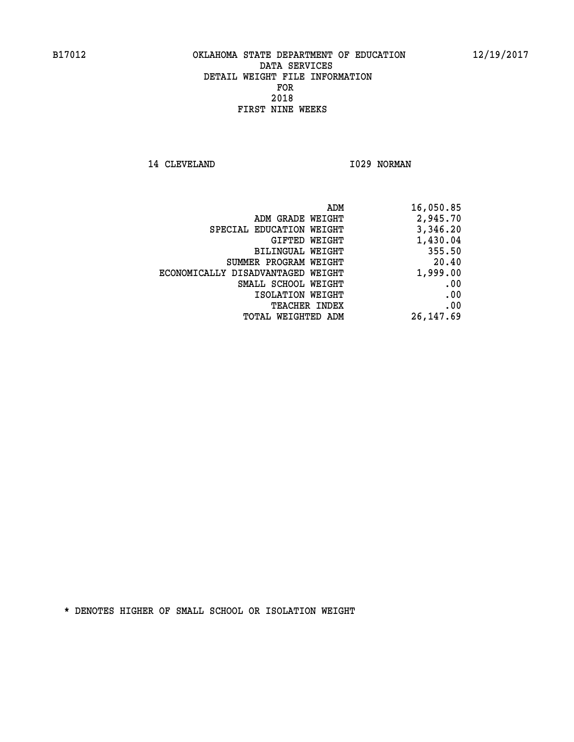14 CLEVELAND 1029 NORMAN

| 16,050.85  |
|------------|
| 2,945.70   |
| 3,346.20   |
| 1,430.04   |
| 355.50     |
| 20.40      |
| 1,999.00   |
| .00        |
| .00        |
| .00        |
| 26, 147.69 |
|            |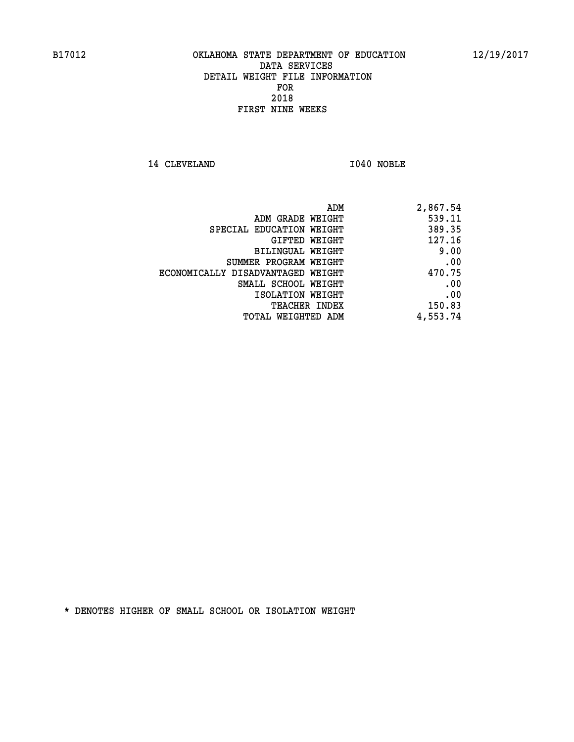**14 CLEVELAND I040 NOBLE** 

| 2,867.54 |
|----------|
| 539.11   |
| 389.35   |
| 127.16   |
| 9.00     |
| .00      |
| 470.75   |
| .00      |
| .00      |
| 150.83   |
| 4,553.74 |
|          |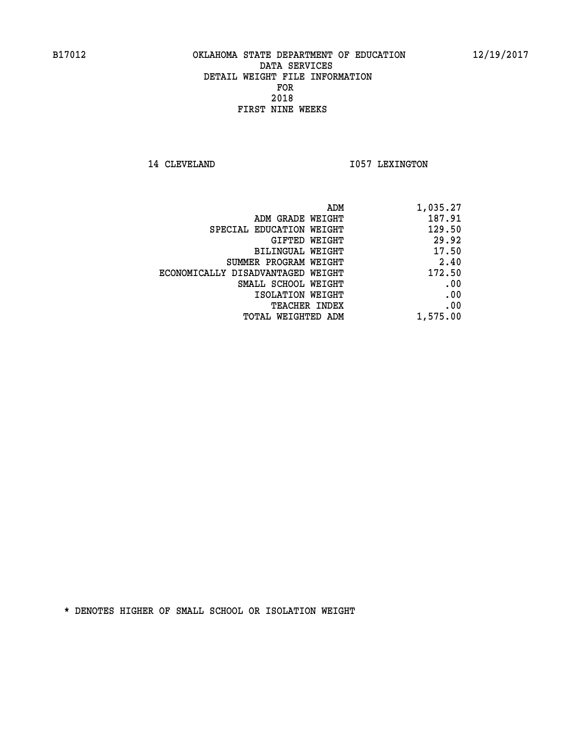14 CLEVELAND 1057 LEXINGTON

| ADM                               | 1,035.27 |
|-----------------------------------|----------|
| ADM GRADE WEIGHT                  | 187.91   |
| SPECIAL EDUCATION WEIGHT          | 129.50   |
| GIFTED WEIGHT                     | 29.92    |
| BILINGUAL WEIGHT                  | 17.50    |
| SUMMER PROGRAM WEIGHT             | 2.40     |
| ECONOMICALLY DISADVANTAGED WEIGHT | 172.50   |
| SMALL SCHOOL WEIGHT               | .00      |
| ISOLATION WEIGHT                  | .00      |
| <b>TEACHER INDEX</b>              | .00      |
| TOTAL WEIGHTED ADM                | 1,575.00 |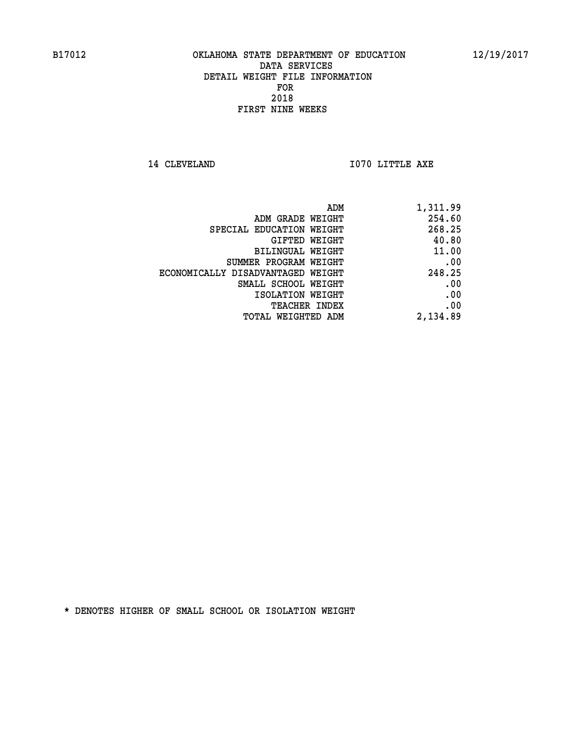**14 CLEVELAND 1070 LITTLE AXE** 

| 1,311.99 | ADM                               |
|----------|-----------------------------------|
| 254.60   | ADM GRADE WEIGHT                  |
| 268.25   | SPECIAL EDUCATION WEIGHT          |
| 40.80    | <b>GIFTED WEIGHT</b>              |
| 11.00    | BILINGUAL WEIGHT                  |
| .00      | SUMMER PROGRAM WEIGHT             |
| 248.25   | ECONOMICALLY DISADVANTAGED WEIGHT |
| .00      | SMALL SCHOOL WEIGHT               |
| .00      | ISOLATION WEIGHT                  |
| .00      | <b>TEACHER INDEX</b>              |
| 2,134.89 | TOTAL WEIGHTED ADM                |
|          |                                   |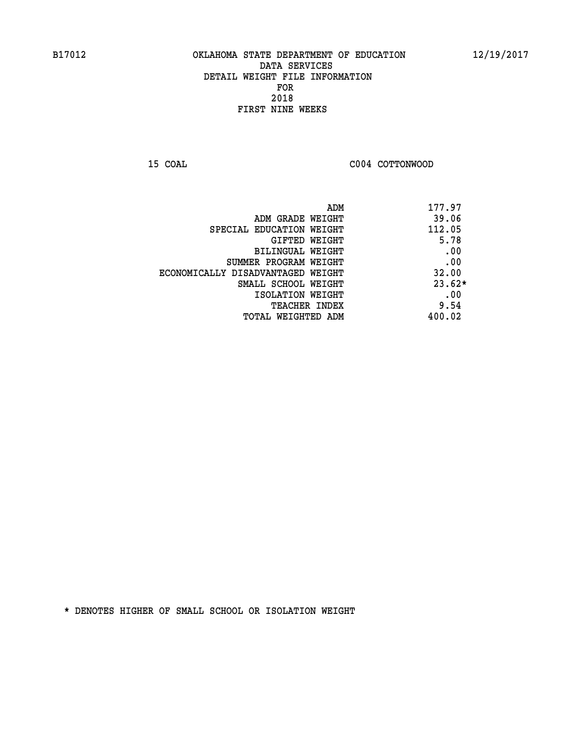**15 COAL COAL COAL COAL COAL COTTONWOOD** 

| ADM                               | 177.97   |
|-----------------------------------|----------|
| ADM GRADE WEIGHT                  | 39.06    |
| SPECIAL EDUCATION WEIGHT          | 112.05   |
| GIFTED WEIGHT                     | 5.78     |
| BILINGUAL WEIGHT                  | .00      |
| SUMMER PROGRAM WEIGHT             | .00      |
| ECONOMICALLY DISADVANTAGED WEIGHT | 32.00    |
| SMALL SCHOOL WEIGHT               | $23.62*$ |
| ISOLATION WEIGHT                  | .00      |
| <b>TEACHER INDEX</b>              | 9.54     |
| TOTAL WEIGHTED ADM                | 400.02   |
|                                   |          |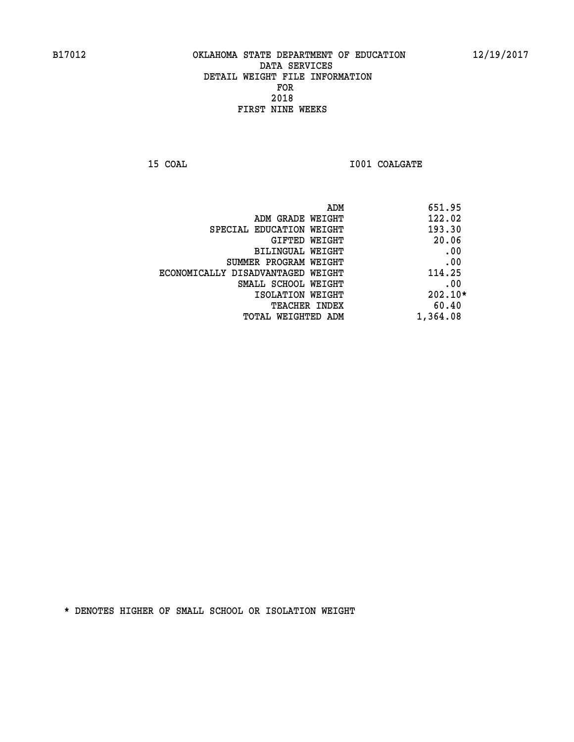**15 COAL 15 COAL I001 COALGATE** 

|                                   | ADM | 651.95   |
|-----------------------------------|-----|----------|
| ADM GRADE WEIGHT                  |     | 122.02   |
| SPECIAL EDUCATION WEIGHT          |     | 193.30   |
| GIFTED WEIGHT                     |     | 20.06    |
| BILINGUAL WEIGHT                  |     | .00      |
| SUMMER PROGRAM WEIGHT             |     | .00      |
| ECONOMICALLY DISADVANTAGED WEIGHT |     | 114.25   |
| SMALL SCHOOL WEIGHT               |     | .00      |
| ISOLATION WEIGHT                  |     | 202.10*  |
| <b>TEACHER INDEX</b>              |     | 60.40    |
| TOTAL WEIGHTED ADM                |     | 1,364.08 |
|                                   |     |          |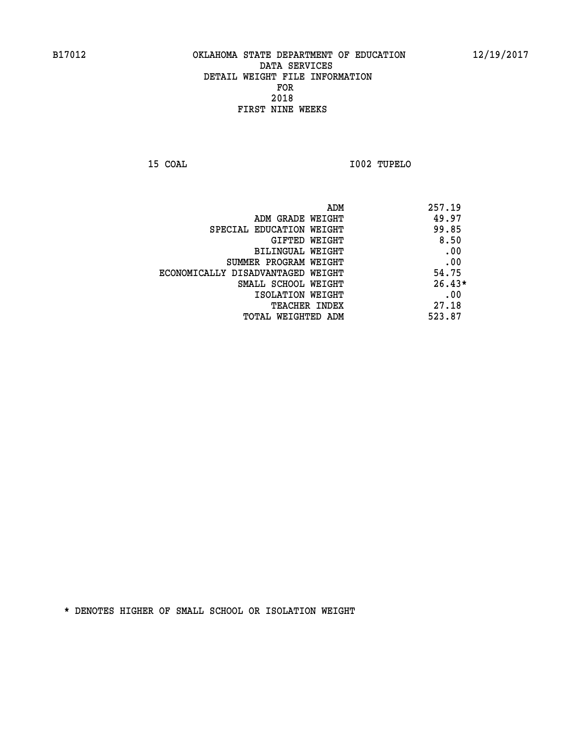**15 COAL I002 TUPELO** 

|                                   | 257.19<br>ADM |
|-----------------------------------|---------------|
| ADM GRADE WEIGHT                  | 49.97         |
| SPECIAL EDUCATION WEIGHT          | 99.85         |
| GIFTED WEIGHT                     | 8.50          |
| BILINGUAL WEIGHT                  | .00           |
| SUMMER PROGRAM WEIGHT             | .00           |
| ECONOMICALLY DISADVANTAGED WEIGHT | 54.75         |
| SMALL SCHOOL WEIGHT               | $26.43*$      |
| ISOLATION WEIGHT                  | .00           |
| TEACHER INDEX                     | 27.18         |
| TOTAL WEIGHTED ADM                | 523.87        |
|                                   |               |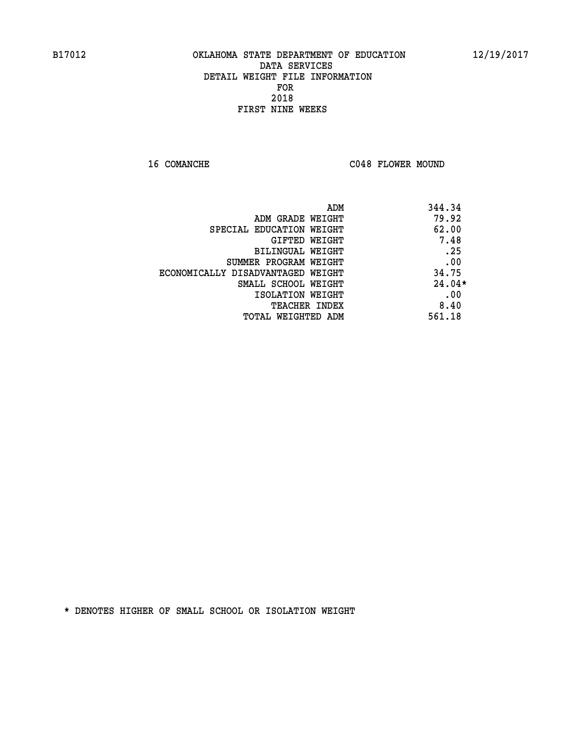16 COMANCHE C048 FLOWER MOUND

| ADM                               | 344.34   |
|-----------------------------------|----------|
| ADM GRADE WEIGHT                  | 79.92    |
| SPECIAL EDUCATION WEIGHT          | 62.00    |
| <b>GIFTED WEIGHT</b>              | 7.48     |
| <b>BILINGUAL WEIGHT</b>           | .25      |
| SUMMER PROGRAM WEIGHT             | .00      |
| ECONOMICALLY DISADVANTAGED WEIGHT | 34.75    |
| SMALL SCHOOL WEIGHT               | $24.04*$ |
| ISOLATION WEIGHT                  | .00      |
| <b>TEACHER INDEX</b>              | 8.40     |
| TOTAL WEIGHTED ADM                | 561.18   |
|                                   |          |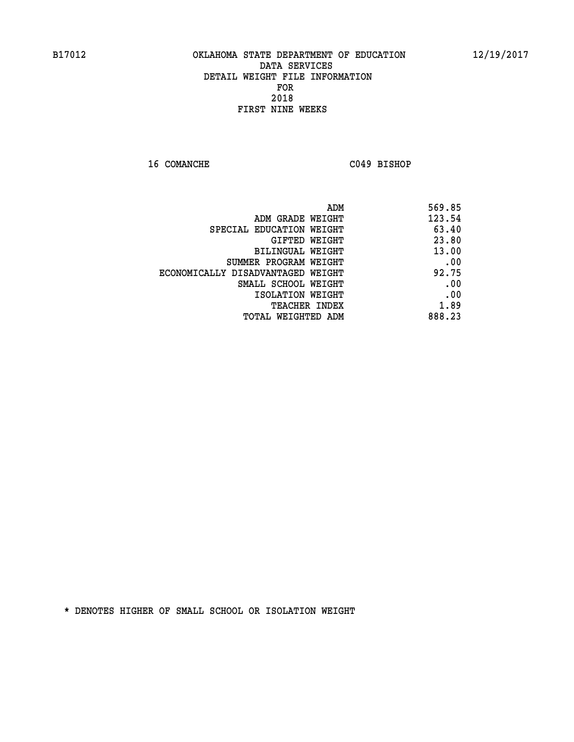**16 COMANCHE C049 BISHOP** 

| 569.85 |
|--------|
| 123.54 |
| 63.40  |
| 23.80  |
| 13.00  |
| .00    |
| 92.75  |
| .00    |
| .00    |
| 1.89   |
| 888.23 |
|        |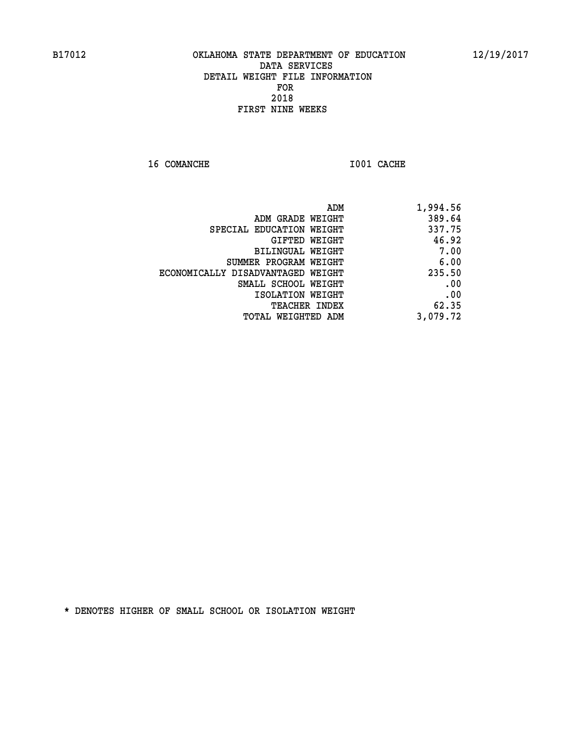**16 COMANCHE 1001 CACHE** 

| ADM                               | 1,994.56 |
|-----------------------------------|----------|
| ADM GRADE WEIGHT                  | 389.64   |
| SPECIAL EDUCATION WEIGHT          | 337.75   |
| GIFTED WEIGHT                     | 46.92    |
| BILINGUAL WEIGHT                  | 7.00     |
| SUMMER PROGRAM WEIGHT             | 6.00     |
| ECONOMICALLY DISADVANTAGED WEIGHT | 235.50   |
| SMALL SCHOOL WEIGHT               | .00      |
| ISOLATION WEIGHT                  | .00      |
| <b>TEACHER INDEX</b>              | 62.35    |
| TOTAL WEIGHTED ADM                | 3,079.72 |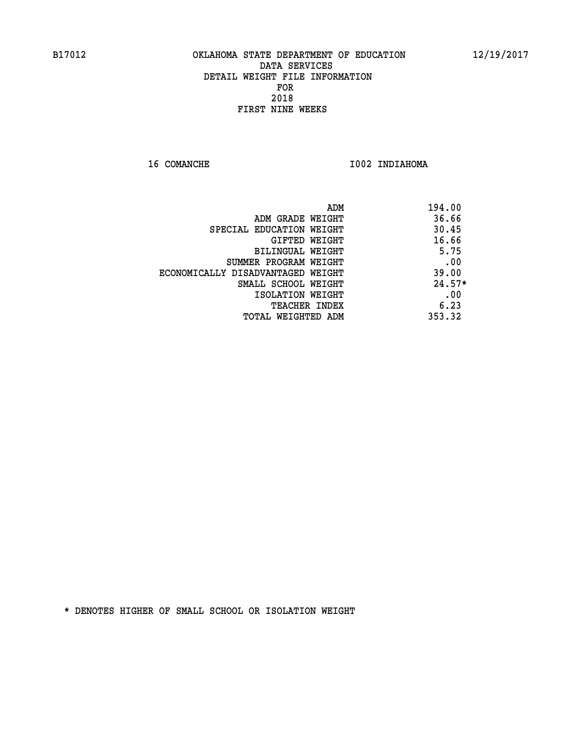**16 COMANCHE 1002 INDIAHOMA** 

|                                   | 194.00<br>ADM |
|-----------------------------------|---------------|
| ADM GRADE WEIGHT                  | 36.66         |
| SPECIAL EDUCATION WEIGHT          | 30.45         |
| GIFTED WEIGHT                     | 16.66         |
| BILINGUAL WEIGHT                  | 5.75          |
| SUMMER PROGRAM WEIGHT             | .00           |
| ECONOMICALLY DISADVANTAGED WEIGHT | 39.00         |
| SMALL SCHOOL WEIGHT               | $24.57*$      |
| ISOLATION WEIGHT                  | .00           |
| <b>TEACHER INDEX</b>              | 6.23          |
| TOTAL WEIGHTED ADM                | 353.32        |
|                                   |               |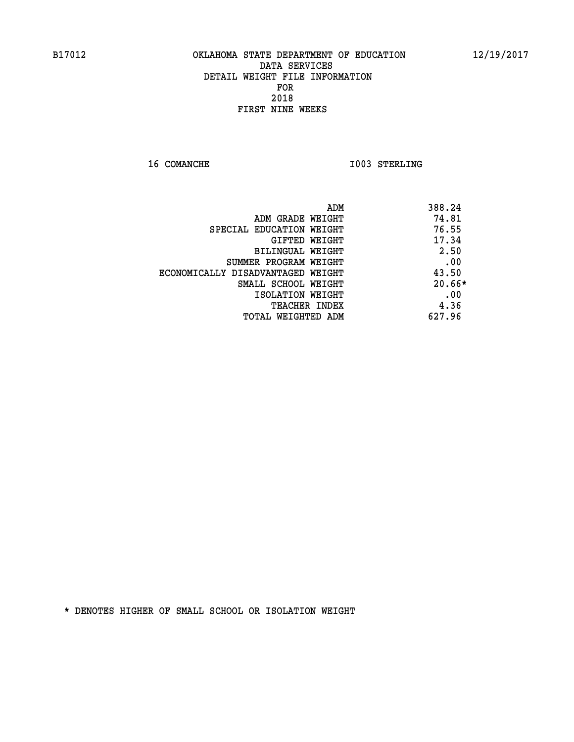**16 COMANCHE 1003 STERLING** 

| ADM                               | 388.24   |
|-----------------------------------|----------|
| ADM GRADE WEIGHT                  | 74.81    |
| SPECIAL EDUCATION WEIGHT          | 76.55    |
| <b>GIFTED WEIGHT</b>              | 17.34    |
| BILINGUAL WEIGHT                  | 2.50     |
| SUMMER PROGRAM WEIGHT             | .00      |
| ECONOMICALLY DISADVANTAGED WEIGHT | 43.50    |
| SMALL SCHOOL WEIGHT               | $20.66*$ |
| ISOLATION WEIGHT                  | .00      |
| <b>TEACHER INDEX</b>              | 4.36     |
| TOTAL WEIGHTED ADM                | 627.96   |
|                                   |          |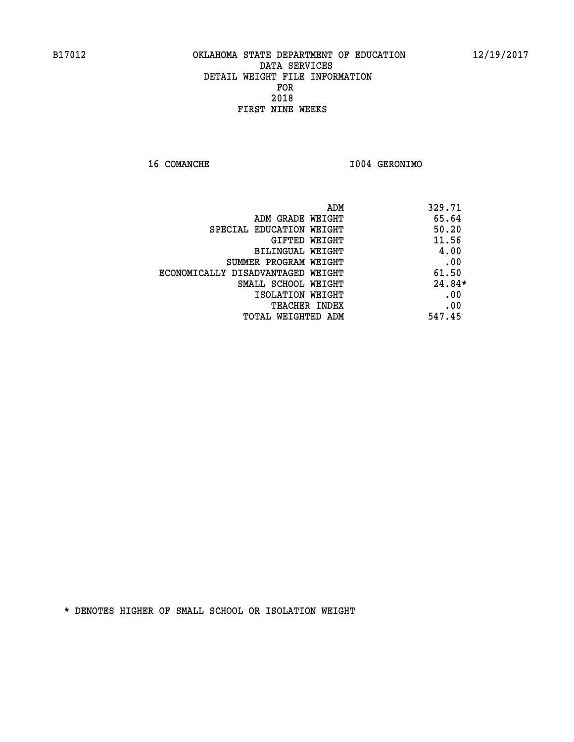**16 COMANCHE I004 GERONIMO** 

| ADM                               | 329.71   |
|-----------------------------------|----------|
| ADM GRADE WEIGHT                  | 65.64    |
| SPECIAL EDUCATION WEIGHT          | 50.20    |
| <b>GIFTED WEIGHT</b>              | 11.56    |
| BILINGUAL WEIGHT                  | 4.00     |
| SUMMER PROGRAM WEIGHT             | .00      |
| ECONOMICALLY DISADVANTAGED WEIGHT | 61.50    |
| SMALL SCHOOL WEIGHT               | $24.84*$ |
| ISOLATION WEIGHT                  | .00      |
| <b>TEACHER INDEX</b>              | .00      |
| TOTAL WEIGHTED ADM                | 547.45   |
|                                   |          |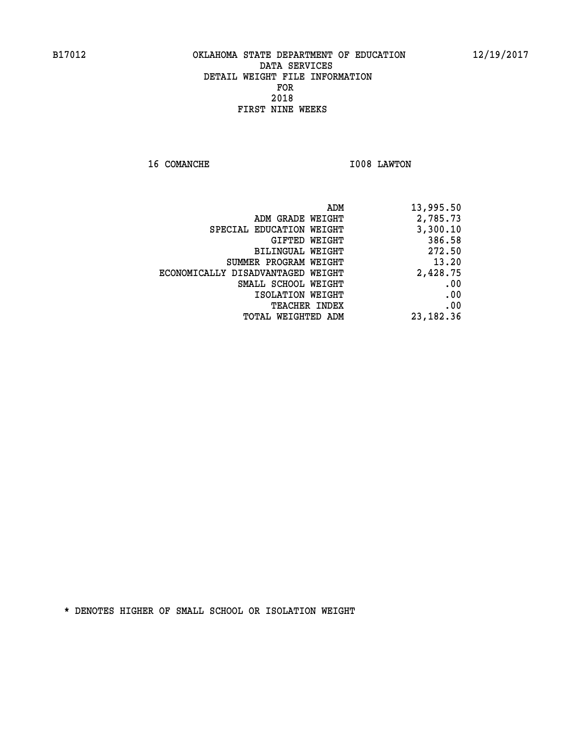**16 COMANCHE 1008 LAWTON** 

| 13,995.50   |
|-------------|
| 2,785.73    |
| 3,300.10    |
| 386.58      |
| 272.50      |
| 13.20       |
| 2,428.75    |
| .00         |
| .00         |
| .00         |
| 23, 182. 36 |
|             |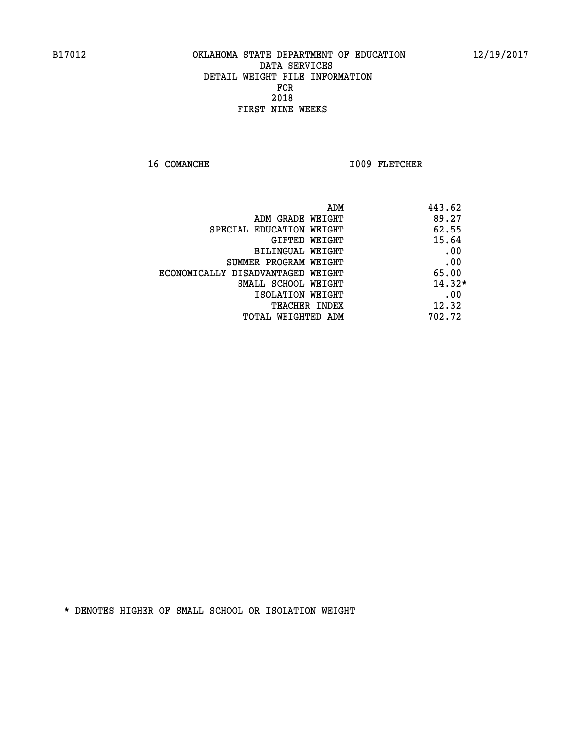16 COMANCHE 1009 FLETCHER

| ADM                               | 443.62   |
|-----------------------------------|----------|
| ADM GRADE WEIGHT                  | 89.27    |
| SPECIAL EDUCATION WEIGHT          | 62.55    |
| GIFTED WEIGHT                     | 15.64    |
| BILINGUAL WEIGHT                  | .00      |
| SUMMER PROGRAM WEIGHT             | .00      |
| ECONOMICALLY DISADVANTAGED WEIGHT | 65.00    |
| SMALL SCHOOL WEIGHT               | $14.32*$ |
| ISOLATION WEIGHT                  | .00      |
| <b>TEACHER INDEX</b>              | 12.32    |
| TOTAL WEIGHTED ADM                | 702.72   |
|                                   |          |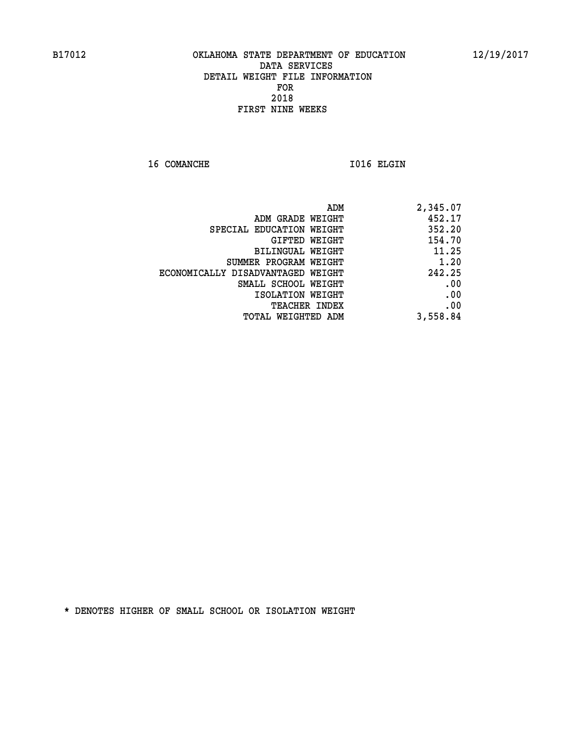16 COMANCHE 1016 ELGIN

|                                   | ADM<br>2,345.07 |  |
|-----------------------------------|-----------------|--|
| ADM GRADE WEIGHT                  | 452.17          |  |
| SPECIAL EDUCATION WEIGHT          | 352.20          |  |
| GIFTED WEIGHT                     | 154.70          |  |
| <b>BILINGUAL WEIGHT</b>           | 11.25           |  |
| SUMMER PROGRAM WEIGHT             | 1.20            |  |
| ECONOMICALLY DISADVANTAGED WEIGHT | 242.25          |  |
| SMALL SCHOOL WEIGHT               | .00             |  |
| ISOLATION WEIGHT                  | .00             |  |
| TEACHER INDEX                     | .00             |  |
| TOTAL WEIGHTED ADM                | 3,558.84        |  |
|                                   |                 |  |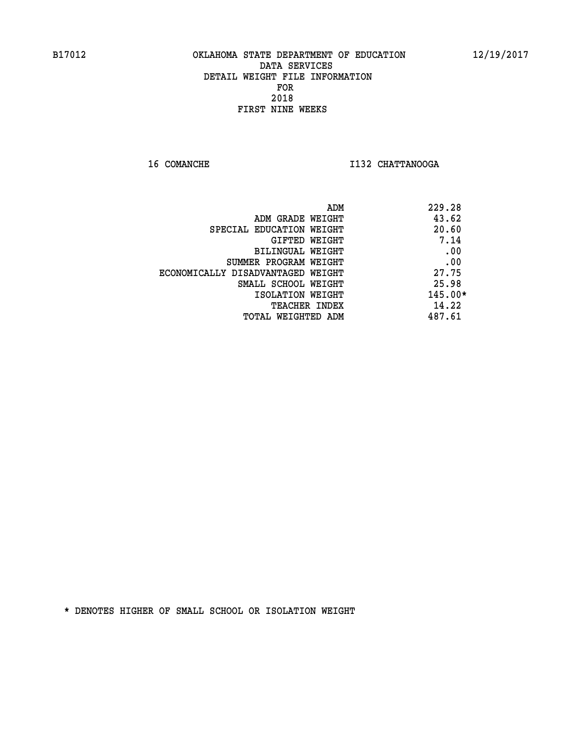**16 COMANCHE I132 CHATTANOOGA** 

|                                   | ADM | 229.28    |
|-----------------------------------|-----|-----------|
| ADM GRADE WEIGHT                  |     | 43.62     |
| SPECIAL EDUCATION WEIGHT          |     | 20.60     |
| GIFTED WEIGHT                     |     | 7.14      |
| BILINGUAL WEIGHT                  |     | .00       |
| SUMMER PROGRAM WEIGHT             |     | .00       |
| ECONOMICALLY DISADVANTAGED WEIGHT |     | 27.75     |
| SMALL SCHOOL WEIGHT               |     | 25.98     |
| ISOLATION WEIGHT                  |     | $145.00*$ |
| <b>TEACHER INDEX</b>              |     | 14.22     |
| TOTAL WEIGHTED ADM                |     | 487.61    |
|                                   |     |           |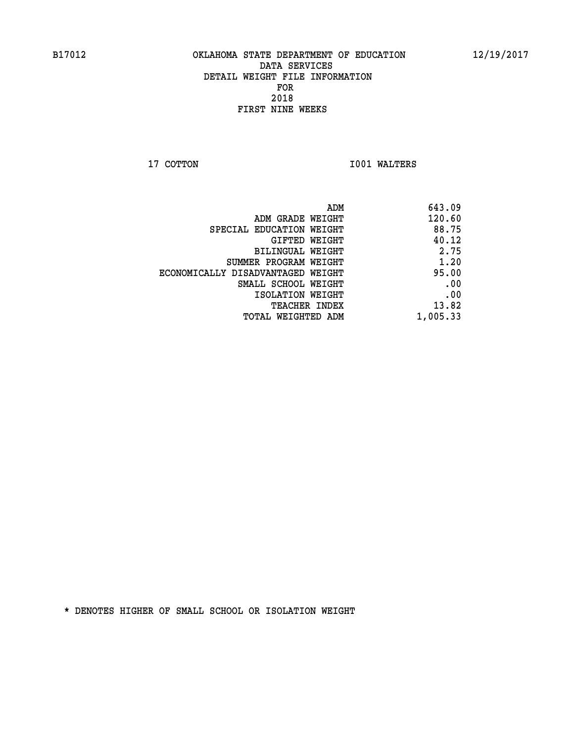**17 COTTON 1001 WALTERS** 

| 643.09   |
|----------|
| 120.60   |
| 88.75    |
| 40.12    |
| 2.75     |
| 1.20     |
| 95.00    |
| .00      |
| .00      |
| 13.82    |
| 1,005.33 |
|          |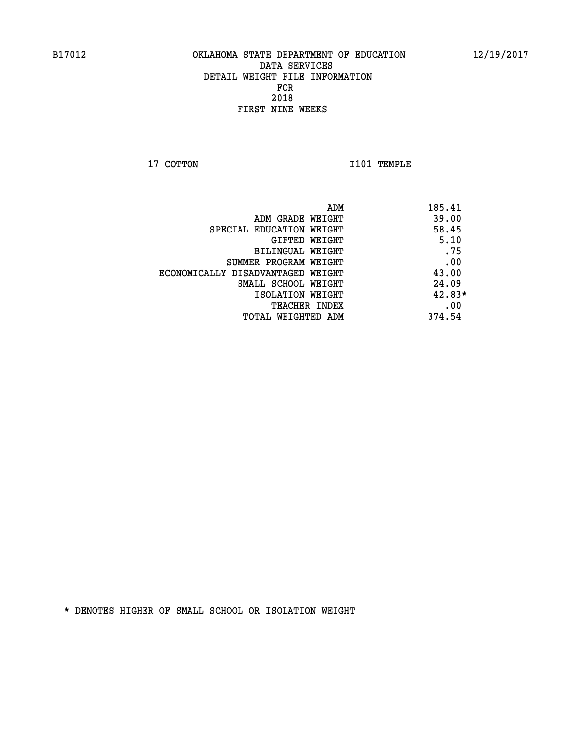**17 COTTON 1101 TEMPLE** 

| ADM                               | 185.41   |
|-----------------------------------|----------|
| ADM GRADE WEIGHT                  | 39.00    |
| SPECIAL EDUCATION WEIGHT          | 58.45    |
| <b>GIFTED WEIGHT</b>              | 5.10     |
| BILINGUAL WEIGHT                  | .75      |
| SUMMER PROGRAM WEIGHT             | .00      |
| ECONOMICALLY DISADVANTAGED WEIGHT | 43.00    |
| SMALL SCHOOL WEIGHT               | 24.09    |
| ISOLATION WEIGHT                  | $42.83*$ |
| <b>TEACHER INDEX</b>              | .00      |
| TOTAL WEIGHTED ADM                | 374.54   |
|                                   |          |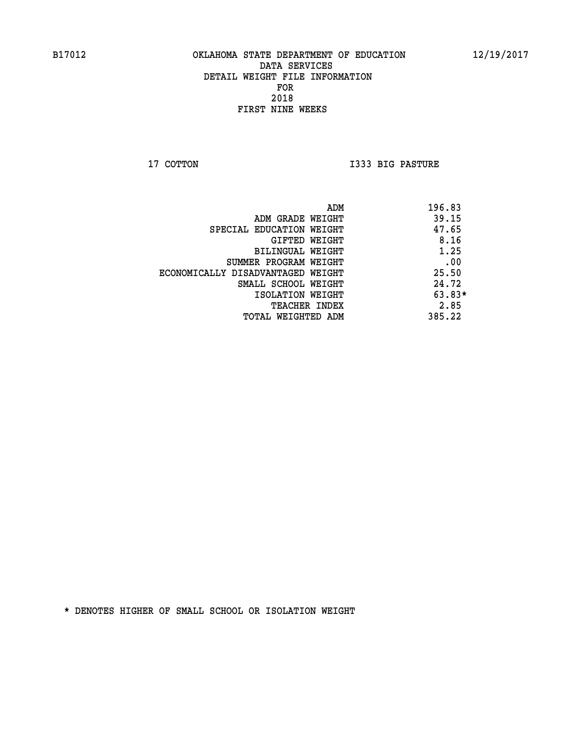**17 COTTON I333 BIG PASTURE** 

| ADM                               | 196.83   |
|-----------------------------------|----------|
| ADM GRADE WEIGHT                  | 39.15    |
| SPECIAL EDUCATION WEIGHT          | 47.65    |
| GIFTED WEIGHT                     | 8.16     |
| BILINGUAL WEIGHT                  | 1.25     |
| SUMMER PROGRAM WEIGHT             | .00      |
| ECONOMICALLY DISADVANTAGED WEIGHT | 25.50    |
| SMALL SCHOOL WEIGHT               | 24.72    |
| ISOLATION WEIGHT                  | $63.83*$ |
| TEACHER INDEX                     | 2.85     |
| TOTAL WEIGHTED ADM                | 385.22   |
|                                   |          |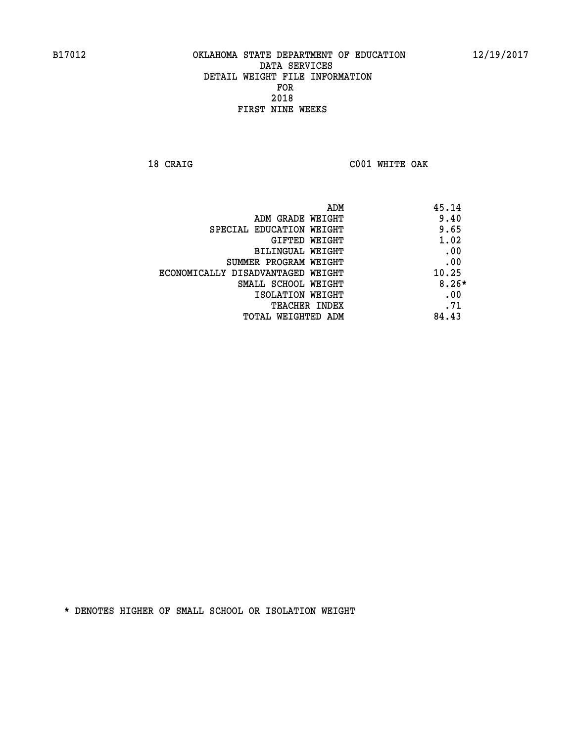**18 CRAIG C001 WHITE OAK** 

| 45.14<br>ADM |                                   |
|--------------|-----------------------------------|
| 9.40         | ADM GRADE WEIGHT                  |
| 9.65         | SPECIAL EDUCATION WEIGHT          |
| 1.02         | GIFTED WEIGHT                     |
| .00          | BILINGUAL WEIGHT                  |
| .00          | SUMMER PROGRAM WEIGHT             |
| 10.25        | ECONOMICALLY DISADVANTAGED WEIGHT |
| $8.26*$      | SMALL SCHOOL WEIGHT               |
| .00          | ISOLATION WEIGHT                  |
| .71          | TEACHER INDEX                     |
| 84.43        | TOTAL WEIGHTED ADM                |
|              |                                   |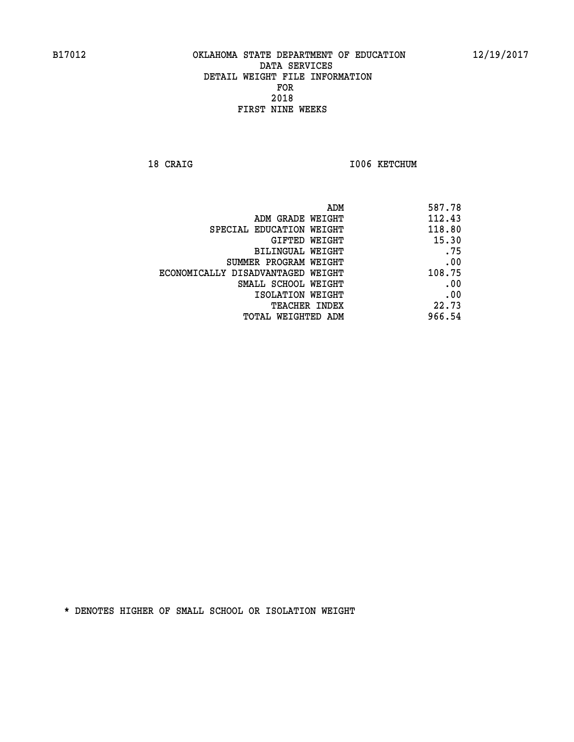18 CRAIG **I006 KETCHUM** 

| 587.78 |
|--------|
| 112.43 |
| 118.80 |
| 15.30  |
| .75    |
| .00    |
| 108.75 |
| .00    |
| .00    |
| 22.73  |
| 966.54 |
|        |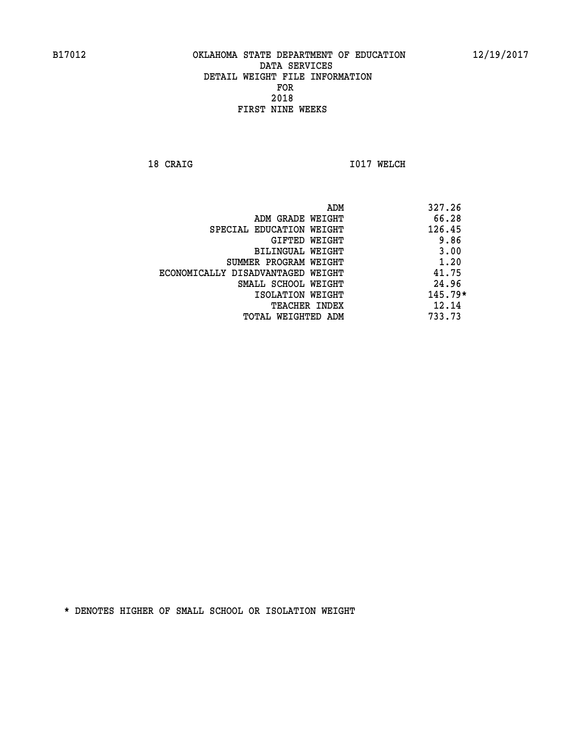**18 CRAIG 1017 WELCH** 

|                                   | ADM | 327.26    |
|-----------------------------------|-----|-----------|
| ADM GRADE WEIGHT                  |     | 66.28     |
| SPECIAL EDUCATION WEIGHT          |     | 126.45    |
| GIFTED WEIGHT                     |     | 9.86      |
| BILINGUAL WEIGHT                  |     | 3.00      |
| SUMMER PROGRAM WEIGHT             |     | 1.20      |
| ECONOMICALLY DISADVANTAGED WEIGHT |     | 41.75     |
| SMALL SCHOOL WEIGHT               |     | 24.96     |
| ISOLATION WEIGHT                  |     | $145.79*$ |
| <b>TEACHER INDEX</b>              |     | 12.14     |
| TOTAL WEIGHTED ADM                |     | 733.73    |
|                                   |     |           |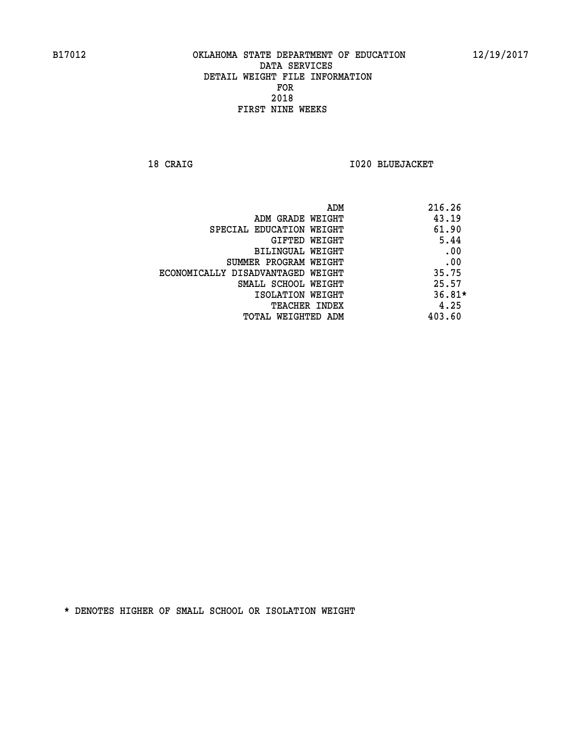**18 CRAIG I020 BLUEJACKET** 

| ADM                               | 216.26   |
|-----------------------------------|----------|
| ADM GRADE WEIGHT                  | 43.19    |
| SPECIAL EDUCATION WEIGHT          | 61.90    |
| GIFTED WEIGHT                     | 5.44     |
| BILINGUAL WEIGHT                  | .00      |
| SUMMER PROGRAM WEIGHT             | .00      |
| ECONOMICALLY DISADVANTAGED WEIGHT | 35.75    |
| SMALL SCHOOL WEIGHT               | 25.57    |
| ISOLATION WEIGHT                  | $36.81*$ |
| <b>TEACHER INDEX</b>              | 4.25     |
| TOTAL WEIGHTED ADM                | 403.60   |
|                                   |          |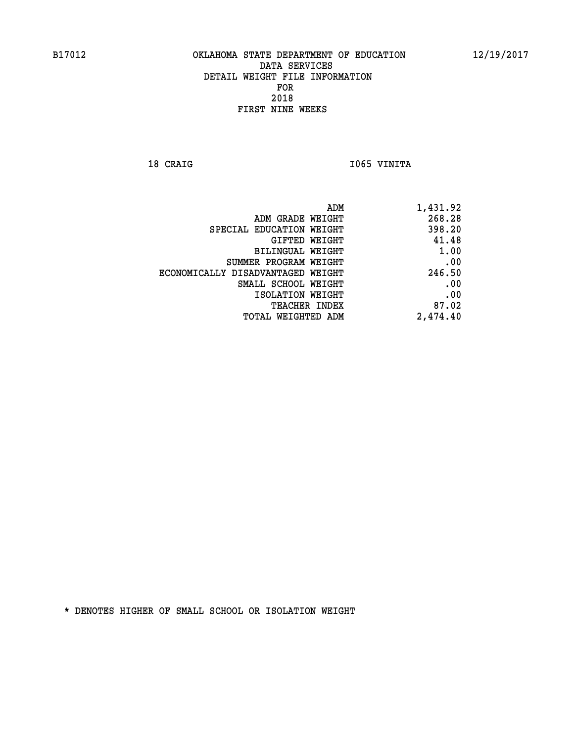18 CRAIG **I**065 VINITA

| ADM                               | 1,431.92 |
|-----------------------------------|----------|
| ADM GRADE WEIGHT                  | 268.28   |
| SPECIAL EDUCATION WEIGHT          | 398.20   |
| <b>GIFTED WEIGHT</b>              | 41.48    |
| <b>BILINGUAL WEIGHT</b>           | 1.00     |
| SUMMER PROGRAM WEIGHT             | .00      |
| ECONOMICALLY DISADVANTAGED WEIGHT | 246.50   |
| SMALL SCHOOL WEIGHT               | .00      |
| ISOLATION WEIGHT                  | .00      |
| TEACHER INDEX                     | 87.02    |
| TOTAL WEIGHTED ADM                | 2,474.40 |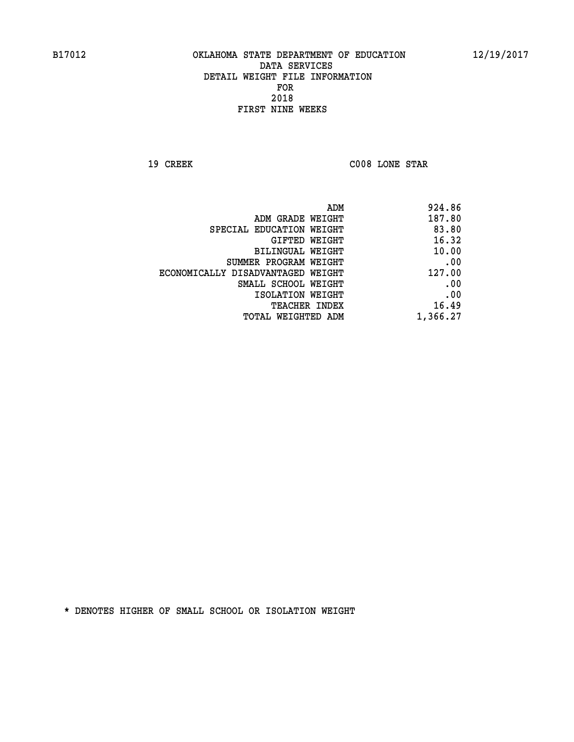**19 CREEK C008 LONE STAR** 

| 924.86   |
|----------|
| 187.80   |
| 83.80    |
| 16.32    |
| 10.00    |
| .00      |
| 127.00   |
| .00      |
| .00      |
| 16.49    |
| 1,366.27 |
|          |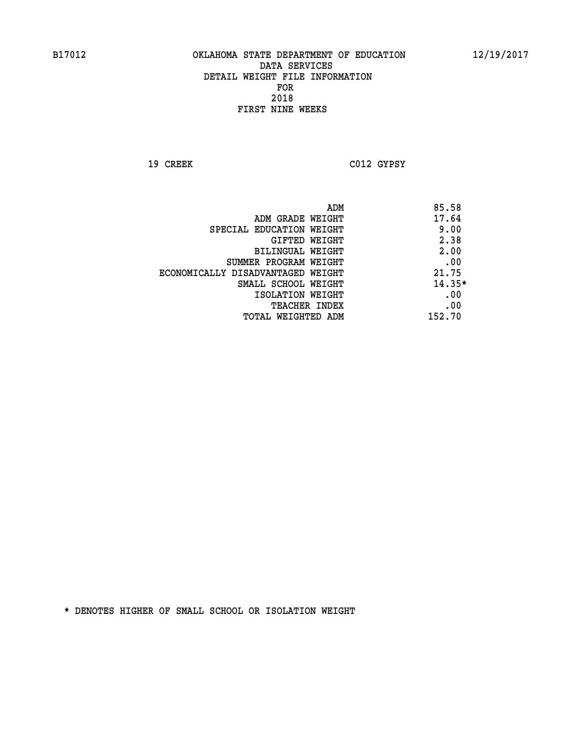**19 CREEK C012 GYPSY** 

| ADM                               | 85.58    |
|-----------------------------------|----------|
| ADM GRADE WEIGHT                  | 17.64    |
| SPECIAL EDUCATION WEIGHT          | 9.00     |
| GIFTED WEIGHT                     | 2.38     |
| BILINGUAL WEIGHT                  | 2.00     |
| SUMMER PROGRAM WEIGHT             | .00      |
| ECONOMICALLY DISADVANTAGED WEIGHT | 21.75    |
| SMALL SCHOOL WEIGHT               | $14.35*$ |
| ISOLATION WEIGHT                  | .00      |
| TEACHER INDEX                     | .00      |
| TOTAL WEIGHTED ADM                | 152.70   |
|                                   |          |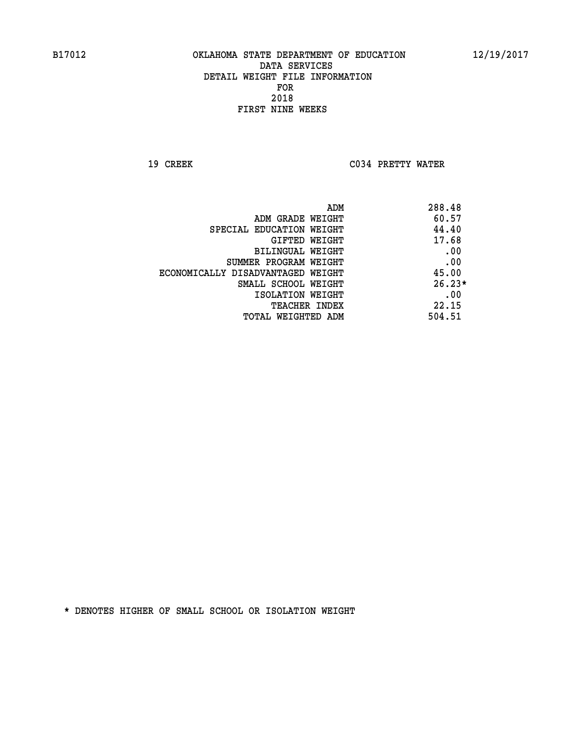**19 CREEK C034 PRETTY WATER** 

|                                   | ADM<br>288.48 |
|-----------------------------------|---------------|
| ADM GRADE WEIGHT                  | 60.57         |
| SPECIAL EDUCATION WEIGHT          | 44.40         |
| GIFTED WEIGHT                     | 17.68         |
| BILINGUAL WEIGHT                  | .00           |
| SUMMER PROGRAM WEIGHT             | .00           |
| ECONOMICALLY DISADVANTAGED WEIGHT | 45.00         |
| SMALL SCHOOL WEIGHT               | $26.23*$      |
| ISOLATION WEIGHT                  | .00           |
| <b>TEACHER INDEX</b>              | 22.15         |
| TOTAL WEIGHTED ADM                | 504.51        |
|                                   |               |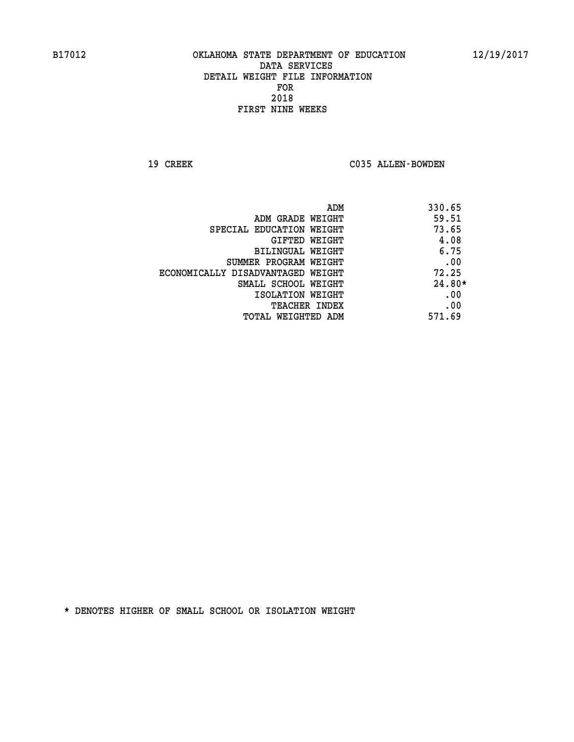19 CREEK C035 ALLEN-BOWDEN

| ADM                               | 330.65   |
|-----------------------------------|----------|
| ADM GRADE WEIGHT                  | 59.51    |
| SPECIAL EDUCATION WEIGHT          | 73.65    |
| GIFTED WEIGHT                     | 4.08     |
| BILINGUAL WEIGHT                  | 6.75     |
| SUMMER PROGRAM WEIGHT             | .00      |
| ECONOMICALLY DISADVANTAGED WEIGHT | 72.25    |
| SMALL SCHOOL WEIGHT               | $24.80*$ |
| ISOLATION WEIGHT                  | .00      |
| <b>TEACHER INDEX</b>              | .00      |
| TOTAL WEIGHTED ADM                | 571.69   |
|                                   |          |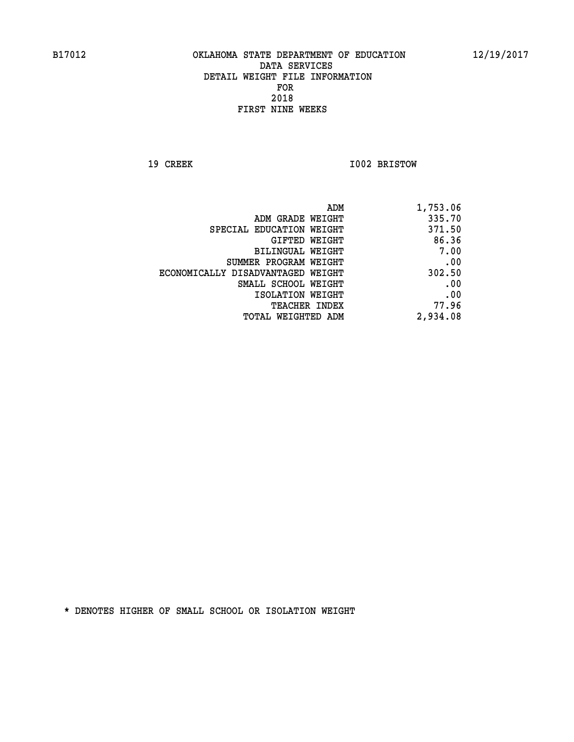**19 CREEK 1002 BRISTOW** 

| ADM                               | 1,753.06 |
|-----------------------------------|----------|
| ADM GRADE WEIGHT                  | 335.70   |
| SPECIAL EDUCATION WEIGHT          | 371.50   |
| <b>GIFTED WEIGHT</b>              | 86.36    |
| BILINGUAL WEIGHT                  | 7.00     |
| SUMMER PROGRAM WEIGHT             | .00      |
| ECONOMICALLY DISADVANTAGED WEIGHT | 302.50   |
| SMALL SCHOOL WEIGHT               | .00      |
| ISOLATION WEIGHT                  | .00      |
| <b>TEACHER INDEX</b>              | 77.96    |
| <b>TOTAL WEIGHTED ADM</b>         | 2,934.08 |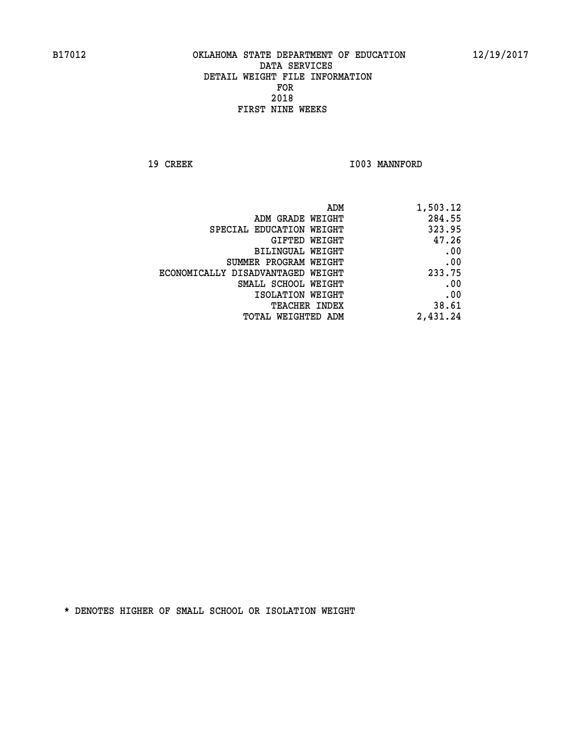19 CREEK 1003 MANNFORD

|                                   | ADM<br>1,503.12 |
|-----------------------------------|-----------------|
| ADM GRADE WEIGHT                  | 284.55          |
| SPECIAL EDUCATION WEIGHT          | 323.95          |
| GIFTED WEIGHT                     | 47.26           |
| BILINGUAL WEIGHT                  | .00             |
| SUMMER PROGRAM WEIGHT             | .00             |
| ECONOMICALLY DISADVANTAGED WEIGHT | 233.75          |
| SMALL SCHOOL WEIGHT               | .00             |
| ISOLATION WEIGHT                  | .00             |
| <b>TEACHER INDEX</b>              | 38.61           |
| TOTAL WEIGHTED ADM                | 2,431.24        |
|                                   |                 |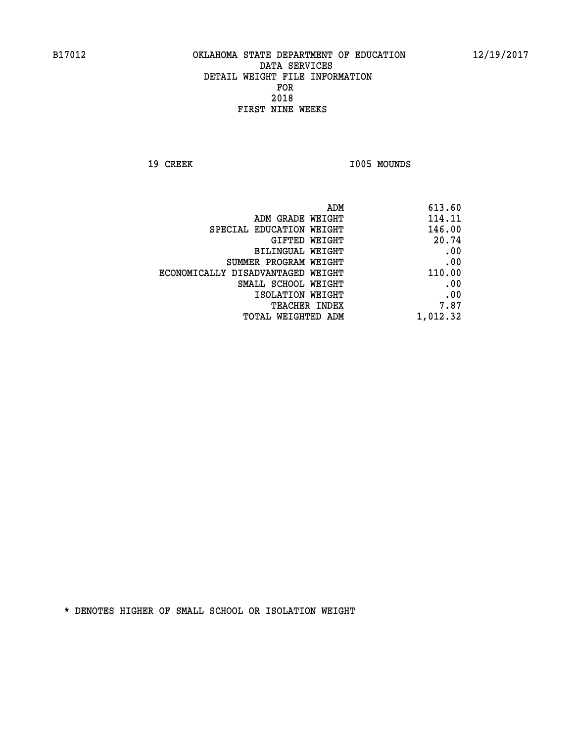19 CREEK 1005 MOUNDS

|                                   | ADM<br>613.60 |
|-----------------------------------|---------------|
| ADM GRADE WEIGHT                  | 114.11        |
| SPECIAL EDUCATION WEIGHT          | 146.00        |
| <b>GIFTED WEIGHT</b>              | 20.74         |
| <b>BILINGUAL WEIGHT</b>           | .00           |
| SUMMER PROGRAM WEIGHT             | .00           |
| ECONOMICALLY DISADVANTAGED WEIGHT | 110.00        |
| SMALL SCHOOL WEIGHT               | .00           |
| ISOLATION WEIGHT                  | .00           |
| TEACHER INDEX                     | 7.87          |
| TOTAL WEIGHTED ADM                | 1,012.32      |
|                                   |               |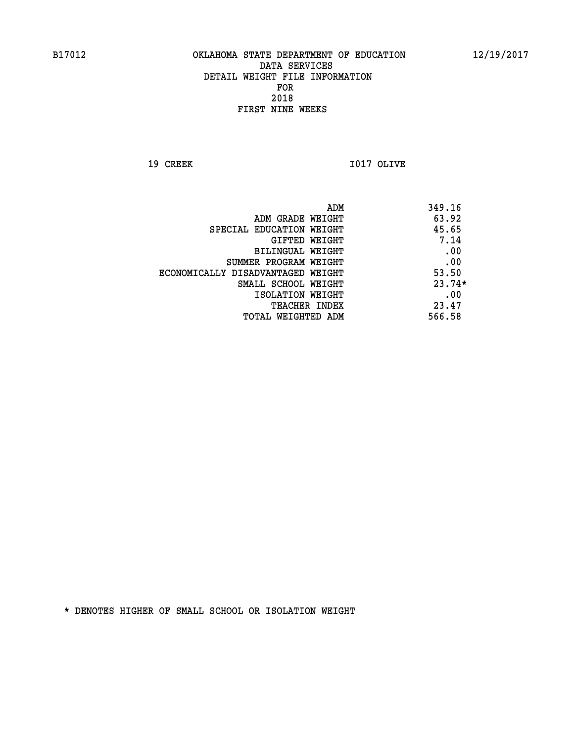**19 CREEK I017 OLIVE** 

|                                   | 349.16<br>ADM |
|-----------------------------------|---------------|
| ADM GRADE WEIGHT                  | 63.92         |
| SPECIAL EDUCATION WEIGHT          | 45.65         |
| GIFTED WEIGHT                     | 7.14          |
| BILINGUAL WEIGHT                  | .00           |
| SUMMER PROGRAM WEIGHT             | .00           |
| ECONOMICALLY DISADVANTAGED WEIGHT | 53.50         |
| SMALL SCHOOL WEIGHT               | $23.74*$      |
| ISOLATION WEIGHT                  | .00           |
| TEACHER INDEX                     | 23.47         |
| TOTAL WEIGHTED ADM                | 566.58        |
|                                   |               |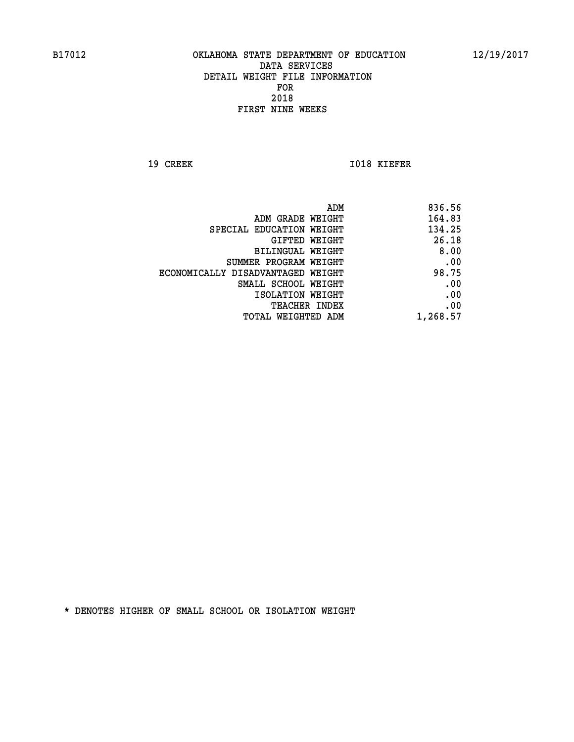**19 CREEK I018 KIEFER** 

| ADM                               | 836.56   |
|-----------------------------------|----------|
| ADM GRADE WEIGHT                  | 164.83   |
| SPECIAL EDUCATION WEIGHT          | 134.25   |
| GIFTED WEIGHT                     | 26.18    |
| BILINGUAL WEIGHT                  | 8.00     |
| SUMMER PROGRAM WEIGHT             | .00      |
| ECONOMICALLY DISADVANTAGED WEIGHT | 98.75    |
| SMALL SCHOOL WEIGHT               | .00      |
| ISOLATION WEIGHT                  | .00      |
| <b>TEACHER INDEX</b>              | .00      |
| TOTAL WEIGHTED ADM                | 1,268.57 |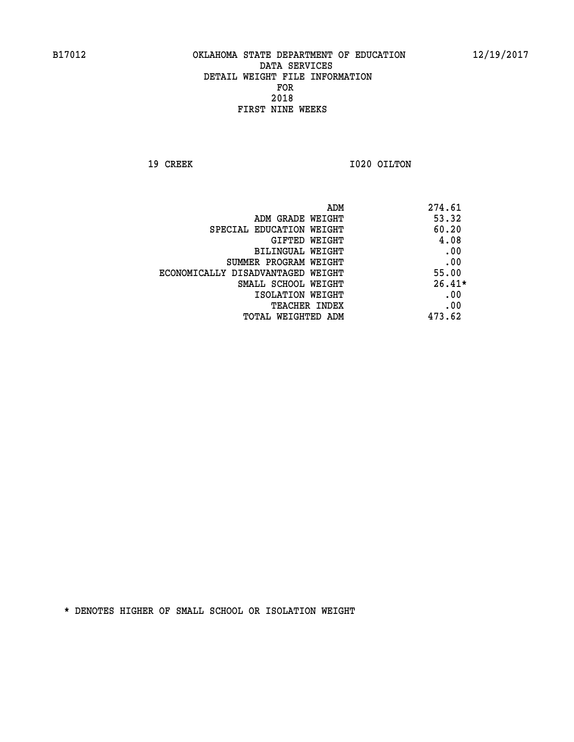**19 CREEK 1020 OILTON** 

| 274.61<br>ADM                              |  |
|--------------------------------------------|--|
| 53.32<br>ADM GRADE WEIGHT                  |  |
| 60.20<br>SPECIAL EDUCATION WEIGHT          |  |
| 4.08<br>GIFTED WEIGHT                      |  |
| .00<br>BILINGUAL WEIGHT                    |  |
| .00<br>SUMMER PROGRAM WEIGHT               |  |
| 55.00<br>ECONOMICALLY DISADVANTAGED WEIGHT |  |
| $26.41*$<br>SMALL SCHOOL WEIGHT            |  |
| .00<br>ISOLATION WEIGHT                    |  |
| .00<br><b>TEACHER INDEX</b>                |  |
| 473.62<br>TOTAL WEIGHTED ADM               |  |
|                                            |  |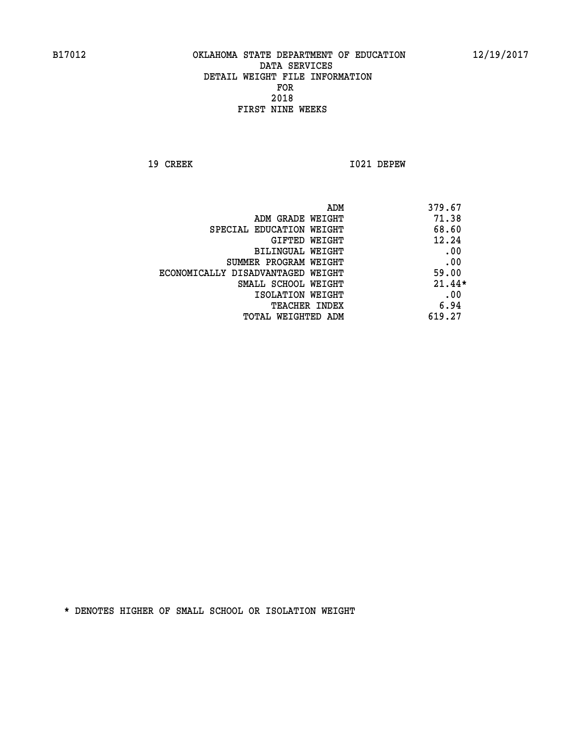**19 CREEK I021 DEPEW** 

| 379.67   |
|----------|
| 71.38    |
| 68.60    |
| 12.24    |
| .00      |
| .00      |
| 59.00    |
| $21.44*$ |
| .00      |
| 6.94     |
| 619.27   |
|          |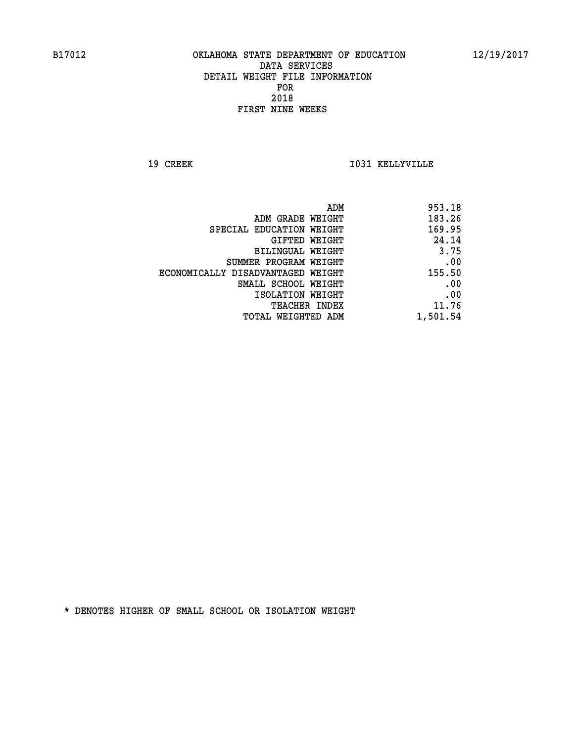**19 CREEK I031 KELLYVILLE** 

| 953.18   |
|----------|
| 183.26   |
| 169.95   |
| 24.14    |
| 3.75     |
| .00      |
| 155.50   |
| .00      |
| .00      |
| 11.76    |
| 1,501.54 |
|          |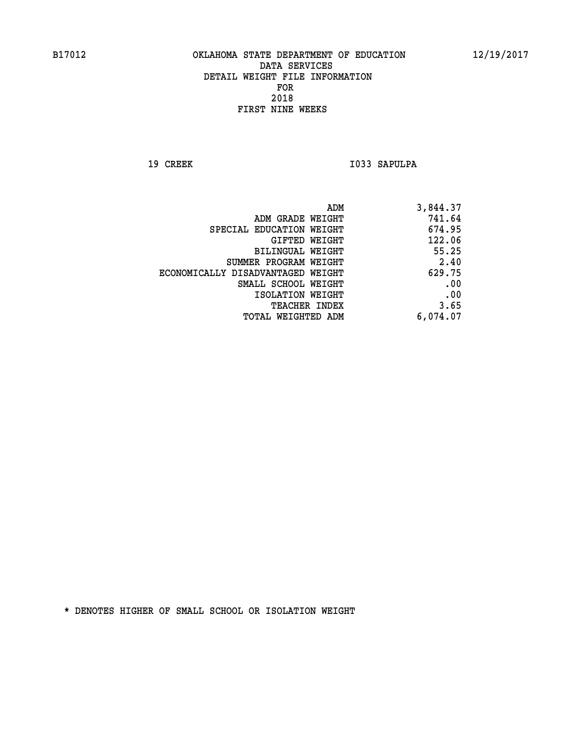19 CREEK 1033 SAPULPA

| ADM                               | 3,844.37 |
|-----------------------------------|----------|
| ADM GRADE WEIGHT                  | 741.64   |
| SPECIAL EDUCATION WEIGHT          | 674.95   |
| GIFTED WEIGHT                     | 122.06   |
| BILINGUAL WEIGHT                  | 55.25    |
| SUMMER PROGRAM WEIGHT             | 2.40     |
| ECONOMICALLY DISADVANTAGED WEIGHT | 629.75   |
| SMALL SCHOOL WEIGHT               | .00      |
| ISOLATION WEIGHT                  | .00      |
| TEACHER INDEX                     | 3.65     |
| TOTAL WEIGHTED ADM                | 6,074.07 |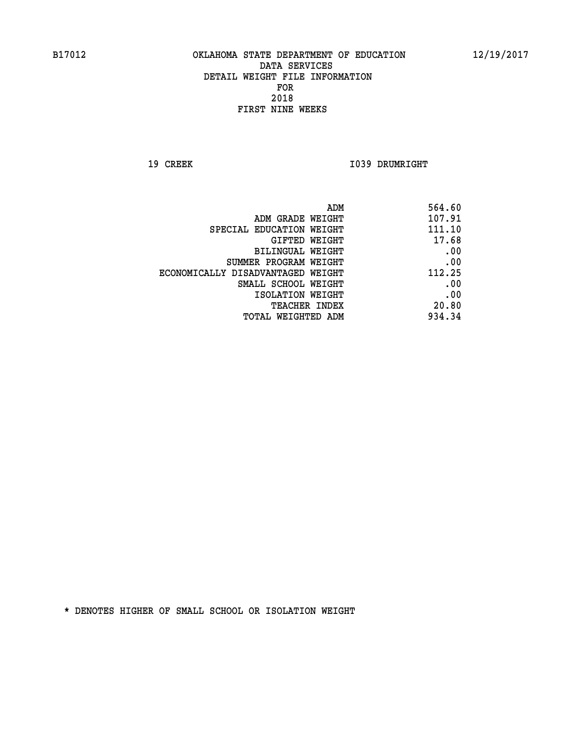**19 CREEK 1039 DRUMRIGHT** 

| 564.60                                                                                                                                       |
|----------------------------------------------------------------------------------------------------------------------------------------------|
| 107.91                                                                                                                                       |
| 111.10                                                                                                                                       |
| 17.68                                                                                                                                        |
| .00                                                                                                                                          |
| .00                                                                                                                                          |
| 112.25                                                                                                                                       |
| .00                                                                                                                                          |
| .00                                                                                                                                          |
| 20.80                                                                                                                                        |
| 934.34                                                                                                                                       |
| ADM GRADE WEIGHT<br>GIFTED WEIGHT<br>SUMMER PROGRAM WEIGHT<br>ECONOMICALLY DISADVANTAGED WEIGHT<br>SMALL SCHOOL WEIGHT<br>TOTAL WEIGHTED ADM |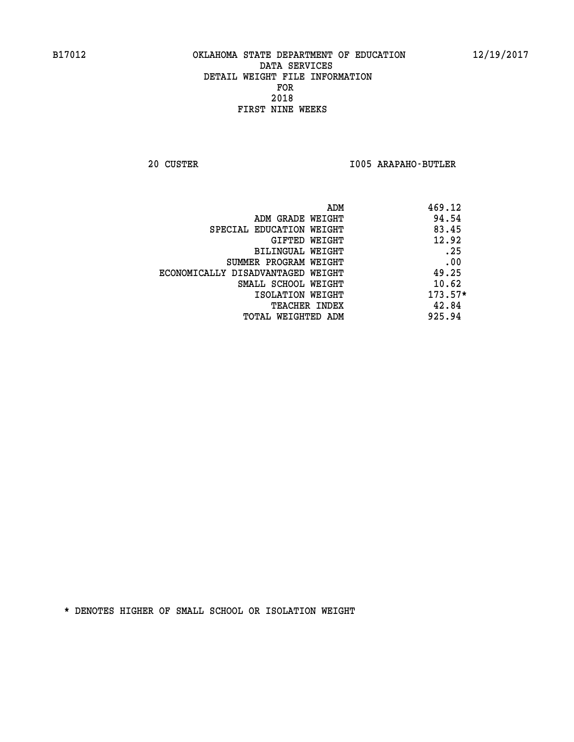**20 CUSTER I005 ARAPAHO-BUTLER** 

| 469.12<br>ADM                     |                                   |
|-----------------------------------|-----------------------------------|
| 94.54<br>ADM GRADE WEIGHT         |                                   |
| 83.45<br>SPECIAL EDUCATION WEIGHT |                                   |
| 12.92<br>GIFTED WEIGHT            |                                   |
| .25<br><b>BILINGUAL WEIGHT</b>    |                                   |
| .00<br>SUMMER PROGRAM WEIGHT      |                                   |
| 49.25                             | ECONOMICALLY DISADVANTAGED WEIGHT |
| 10.62<br>SMALL SCHOOL WEIGHT      |                                   |
| $173.57*$<br>ISOLATION WEIGHT     |                                   |
| 42.84<br><b>TEACHER INDEX</b>     |                                   |
| 925.94<br>TOTAL WEIGHTED ADM      |                                   |
|                                   |                                   |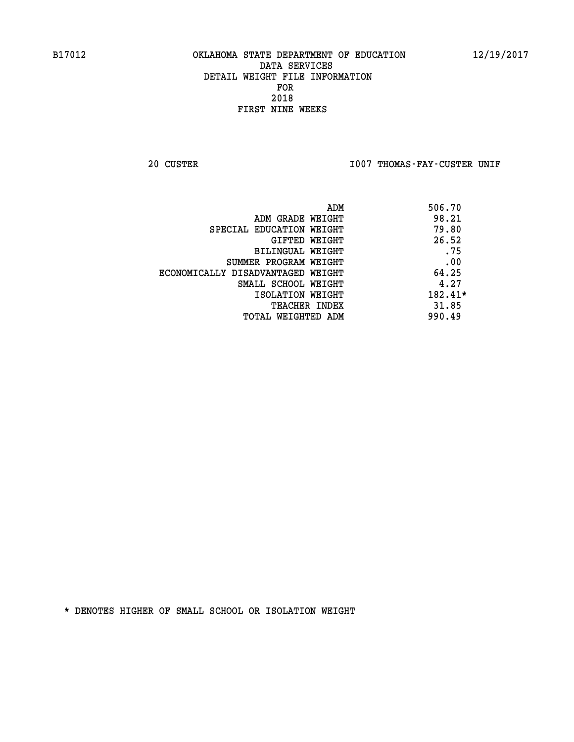20 CUSTER **IOO7 THOMAS-FAY-CUSTER UNIF** 

|                                   | 506.70<br>ADM |  |
|-----------------------------------|---------------|--|
| ADM GRADE WEIGHT                  | 98.21         |  |
| SPECIAL EDUCATION WEIGHT          | 79.80         |  |
| GIFTED WEIGHT                     | 26.52         |  |
| BILINGUAL WEIGHT                  | .75           |  |
| SUMMER PROGRAM WEIGHT             | .00           |  |
| ECONOMICALLY DISADVANTAGED WEIGHT | 64.25         |  |
| SMALL SCHOOL WEIGHT               | 4.27          |  |
| ISOLATION WEIGHT                  | 182.41*       |  |
| <b>TEACHER INDEX</b>              | 31.85         |  |
| TOTAL WEIGHTED ADM                | 990.49        |  |
|                                   |               |  |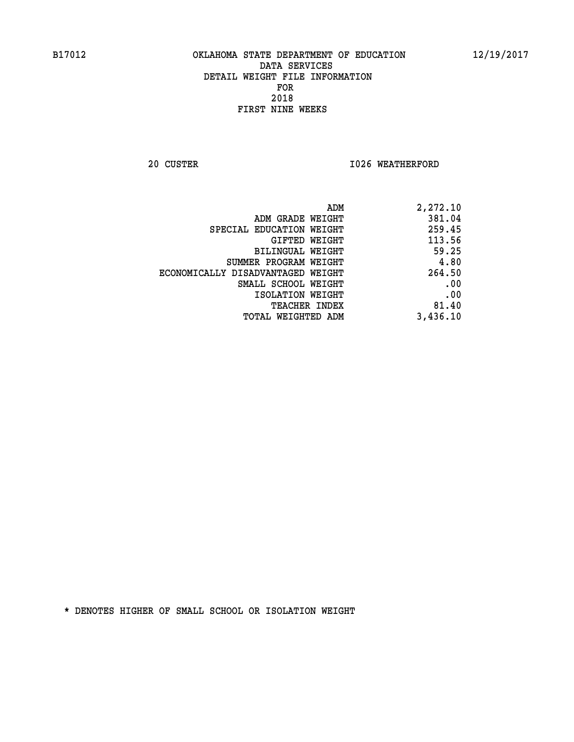**20 CUSTER 1026 WEATHERFORD** 

| 2,272.10 |
|----------|
| 381.04   |
| 259.45   |
| 113.56   |
| 59.25    |
| 4.80     |
| 264.50   |
| .00      |
| .00      |
| 81.40    |
| 3,436.10 |
|          |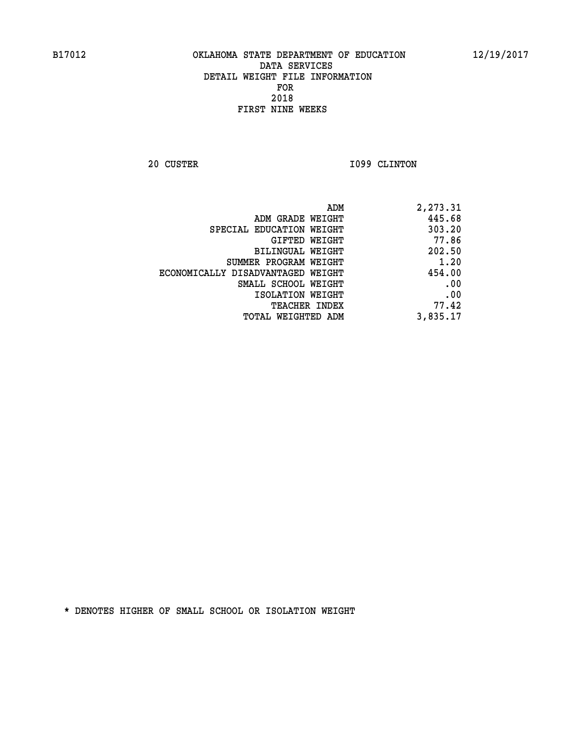**20 CUSTER 1099 CLINTON** 

| 2,273.31 |
|----------|
| 445.68   |
| 303.20   |
| 77.86    |
| 202.50   |
| 1.20     |
| 454.00   |
| .00      |
| .00      |
| 77.42    |
| 3,835.17 |
|          |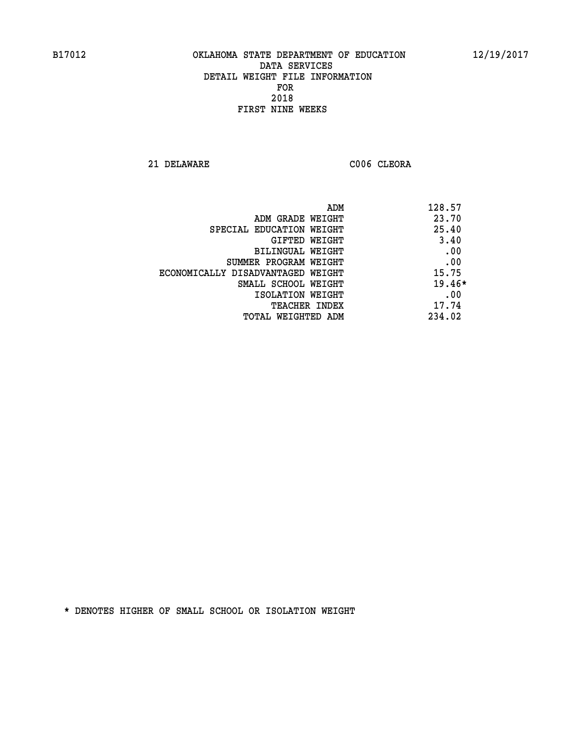**21 DELAWARE C006 CLEORA** 

| ADM                               | 128.57   |
|-----------------------------------|----------|
| ADM GRADE WEIGHT                  | 23.70    |
| SPECIAL EDUCATION WEIGHT          | 25.40    |
| GIFTED WEIGHT                     | 3.40     |
| BILINGUAL WEIGHT                  | .00      |
| SUMMER PROGRAM WEIGHT             | .00      |
| ECONOMICALLY DISADVANTAGED WEIGHT | 15.75    |
| SMALL SCHOOL WEIGHT               | $19.46*$ |
| ISOLATION WEIGHT                  | .00      |
| <b>TEACHER INDEX</b>              | 17.74    |
| TOTAL WEIGHTED ADM                | 234.02   |
|                                   |          |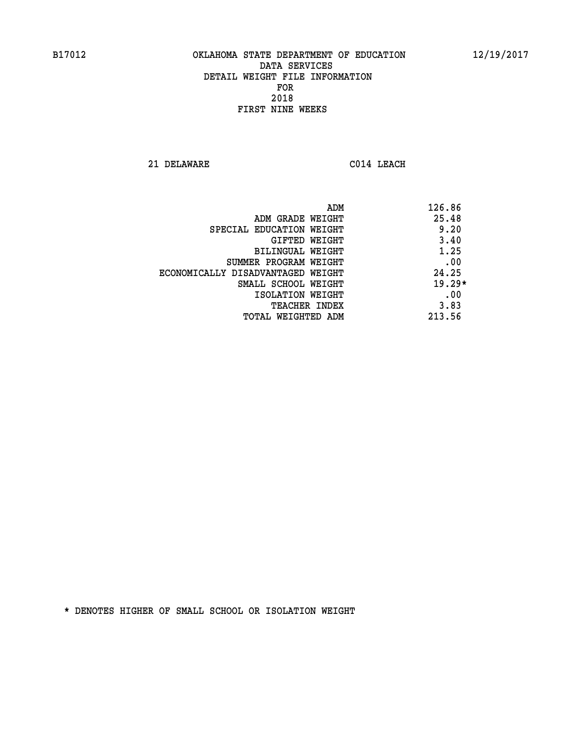**21 DELAWARE C014 LEACH** 

|                                   | 126.86<br>ADM |
|-----------------------------------|---------------|
| ADM GRADE WEIGHT                  | 25.48         |
| SPECIAL EDUCATION WEIGHT          | 9.20          |
| GIFTED WEIGHT                     | 3.40          |
| BILINGUAL WEIGHT                  | 1.25          |
| SUMMER PROGRAM WEIGHT             | .00           |
| ECONOMICALLY DISADVANTAGED WEIGHT | 24.25         |
| SMALL SCHOOL WEIGHT               | $19.29*$      |
| ISOLATION WEIGHT                  | .00           |
| <b>TEACHER INDEX</b>              | 3.83          |
| TOTAL WEIGHTED ADM                | 213.56        |
|                                   |               |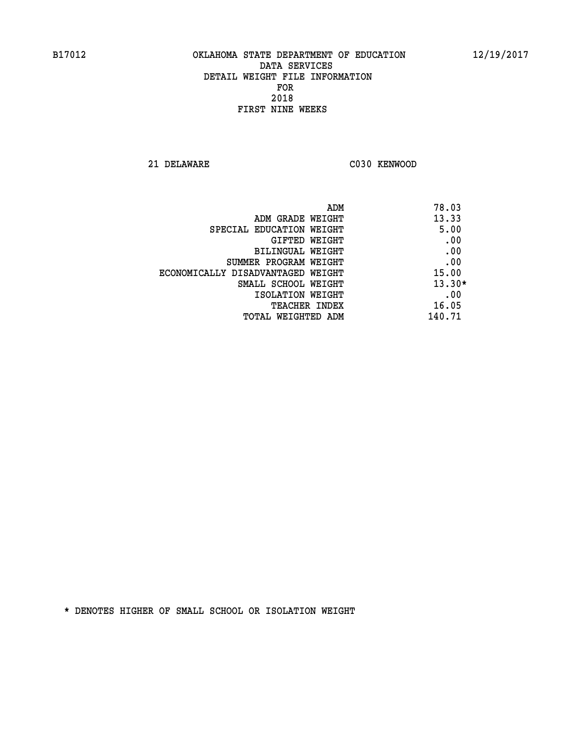**21 DELAWARE C030 KENWOOD** 

| ADM                               | 78.03    |
|-----------------------------------|----------|
| ADM GRADE WEIGHT                  | 13.33    |
| SPECIAL EDUCATION WEIGHT          | 5.00     |
| GIFTED WEIGHT                     | .00      |
| BILINGUAL WEIGHT                  | .00      |
| SUMMER PROGRAM WEIGHT             | .00      |
| ECONOMICALLY DISADVANTAGED WEIGHT | 15.00    |
| SMALL SCHOOL WEIGHT               | $13.30*$ |
| ISOLATION WEIGHT                  | .00      |
| <b>TEACHER INDEX</b>              | 16.05    |
| TOTAL WEIGHTED ADM                | 140.71   |
|                                   |          |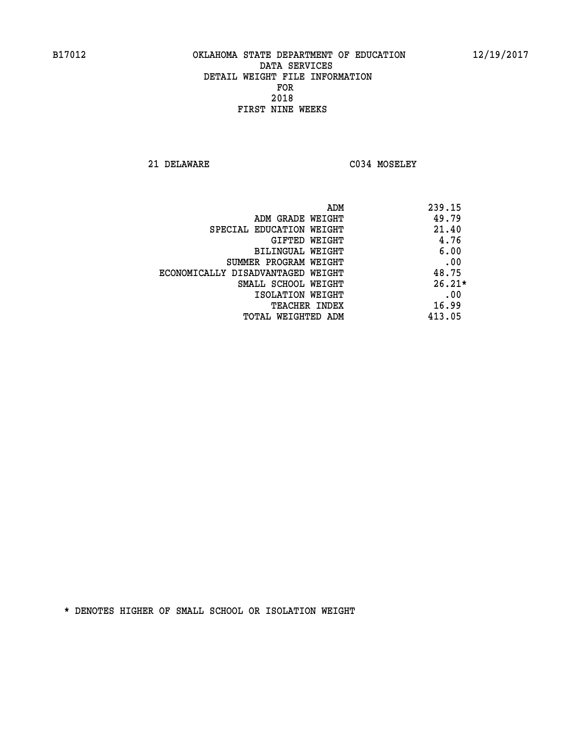**21 DELAWARE C034 MOSELEY** 

| ADM                               | 239.15   |
|-----------------------------------|----------|
| ADM GRADE WEIGHT                  | 49.79    |
| SPECIAL EDUCATION WEIGHT          | 21.40    |
| GIFTED WEIGHT                     | 4.76     |
| BILINGUAL WEIGHT                  | 6.00     |
| SUMMER PROGRAM WEIGHT             | .00      |
| ECONOMICALLY DISADVANTAGED WEIGHT | 48.75    |
| SMALL SCHOOL WEIGHT               | $26.21*$ |
| ISOLATION WEIGHT                  | .00      |
| <b>TEACHER INDEX</b>              | 16.99    |
| TOTAL WEIGHTED ADM                | 413.05   |
|                                   |          |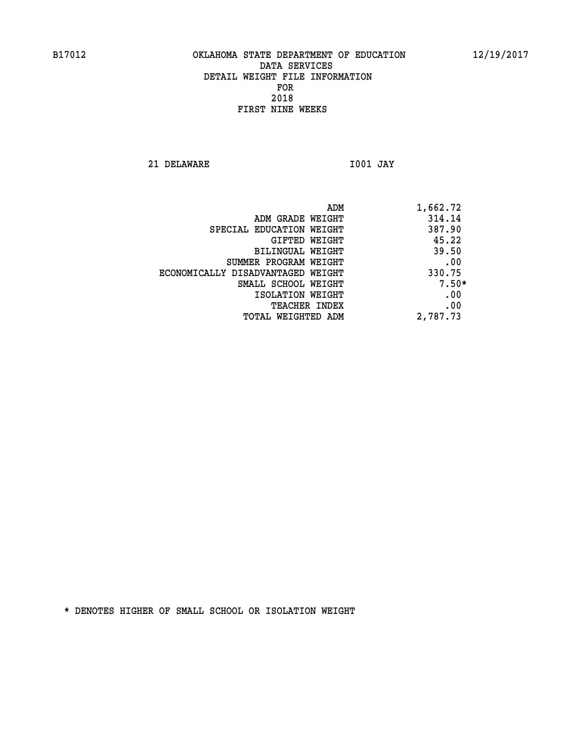**21 DELAWARE I001 JAY** 

|                                   | ADM | 1,662.72 |
|-----------------------------------|-----|----------|
| ADM GRADE WEIGHT                  |     | 314.14   |
| SPECIAL EDUCATION WEIGHT          |     | 387.90   |
| GIFTED WEIGHT                     |     | 45.22    |
| BILINGUAL WEIGHT                  |     | 39.50    |
| SUMMER PROGRAM WEIGHT             |     | .00      |
| ECONOMICALLY DISADVANTAGED WEIGHT |     | 330.75   |
| SMALL SCHOOL WEIGHT               |     | $7.50*$  |
| ISOLATION WEIGHT                  |     | .00      |
| <b>TEACHER INDEX</b>              |     | .00      |
| TOTAL WEIGHTED ADM                |     | 2,787.73 |
|                                   |     |          |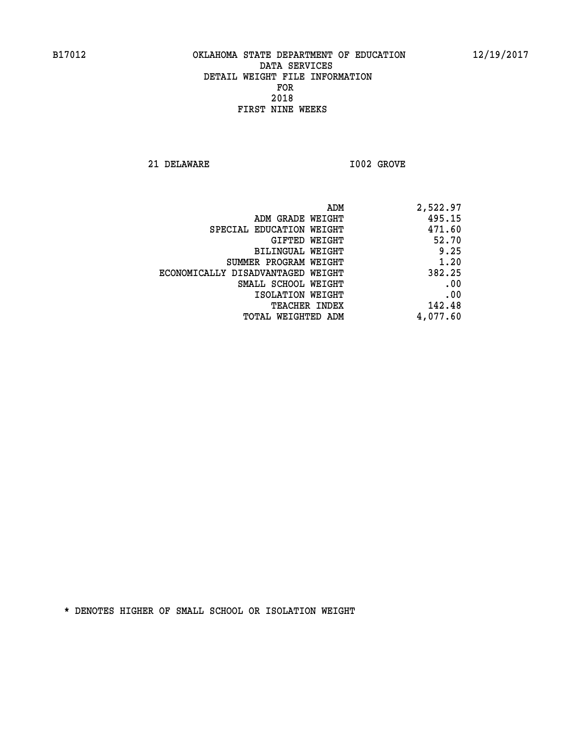**21 DELAWARE I002 GROVE** 

| 2,522.97 |
|----------|
| 495.15   |
| 471.60   |
| 52.70    |
| 9.25     |
| 1.20     |
| 382.25   |
| .00      |
| .00      |
| 142.48   |
| 4,077.60 |
|          |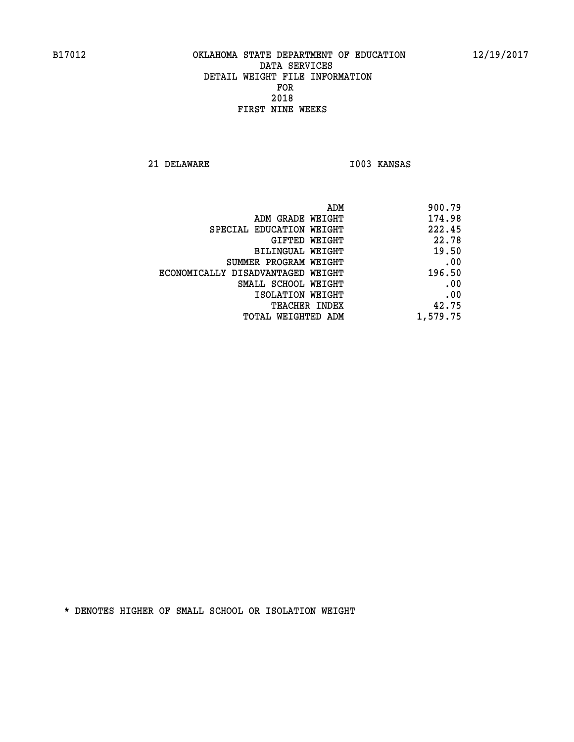**21 DELAWARE I003 KANSAS** 

| 900.79   |
|----------|
| 174.98   |
| 222.45   |
| 22.78    |
| 19.50    |
| .00      |
| 196.50   |
| .00      |
| .00      |
| 42.75    |
| 1,579.75 |
|          |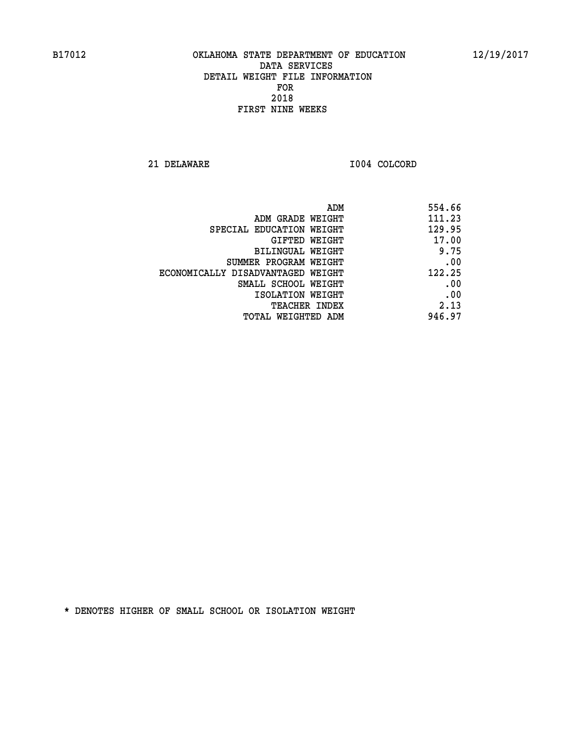**21 DELAWARE I004 COLCORD** 

| 554.66 |
|--------|
| 111.23 |
| 129.95 |
| 17.00  |
| 9.75   |
| .00    |
| 122.25 |
| .00    |
| .00    |
| 2.13   |
| 946.97 |
|        |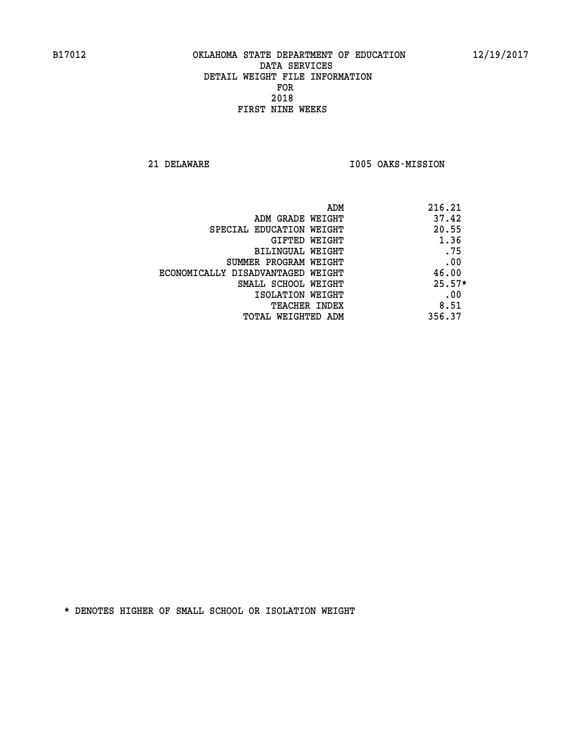**21 DELAWARE I005 OAKS-MISSION** 

|                                   | 216.21<br>ADM |
|-----------------------------------|---------------|
| ADM GRADE WEIGHT                  | 37.42         |
| SPECIAL EDUCATION WEIGHT          | 20.55         |
| GIFTED WEIGHT                     | 1.36          |
| BILINGUAL WEIGHT                  | .75           |
| SUMMER PROGRAM WEIGHT             | .00           |
| ECONOMICALLY DISADVANTAGED WEIGHT | 46.00         |
| SMALL SCHOOL WEIGHT               | $25.57*$      |
| ISOLATION WEIGHT                  | .00           |
| TEACHER INDEX                     | 8.51          |
| TOTAL WEIGHTED ADM                | 356.37        |
|                                   |               |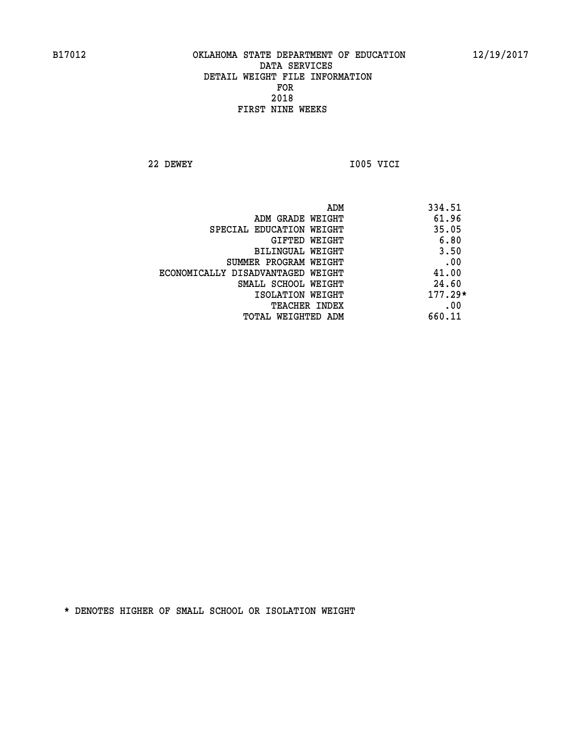**22 DEWEY I005 VICI** 

 **ADM 334.51 EXAMPLE WEIGHT 61.96 SPECIAL EDUCATION WEIGHT** 35.05  **GIFTED WEIGHT 6.80 BILINGUAL WEIGHT** 3.50 **SUMMER PROGRAM WEIGHT .00 ECONOMICALLY DISADVANTAGED WEIGHT 41.00 SMALL SCHOOL WEIGHT** 24.60  **ISOLATION WEIGHT 177.29\* TEACHER INDEX** .00  **TOTAL WEIGHTED ADM 660.11**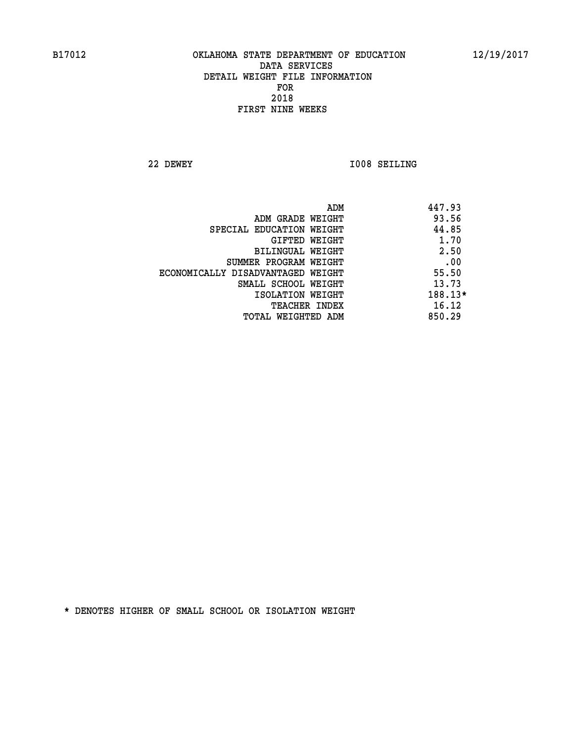**22 DEWEY I008 SEILING** 

|                                   | ADM                  | 447.93    |
|-----------------------------------|----------------------|-----------|
| ADM GRADE WEIGHT                  |                      | 93.56     |
| SPECIAL EDUCATION WEIGHT          |                      | 44.85     |
|                                   | GIFTED WEIGHT        | 1.70      |
| BILINGUAL WEIGHT                  |                      | 2.50      |
| SUMMER PROGRAM WEIGHT             |                      | .00       |
| ECONOMICALLY DISADVANTAGED WEIGHT |                      | 55.50     |
| SMALL SCHOOL WEIGHT               |                      | 13.73     |
| ISOLATION WEIGHT                  |                      | $188.13*$ |
|                                   | <b>TEACHER INDEX</b> | 16.12     |
| TOTAL WEIGHTED ADM                |                      | 850.29    |
|                                   |                      |           |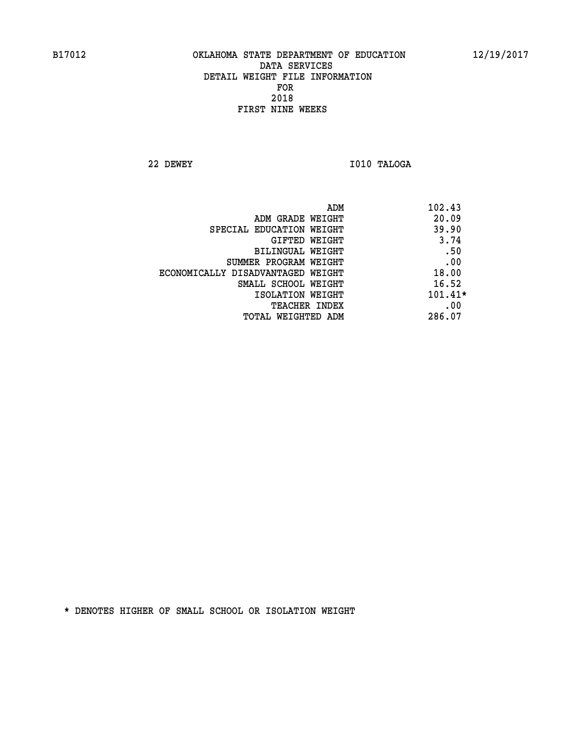**22 DEWEY I010 TALOGA** 

|                                   | ADM | 102.43    |
|-----------------------------------|-----|-----------|
| ADM GRADE WEIGHT                  |     | 20.09     |
| SPECIAL EDUCATION WEIGHT          |     | 39.90     |
| GIFTED WEIGHT                     |     | 3.74      |
| BILINGUAL WEIGHT                  |     | .50       |
| SUMMER PROGRAM WEIGHT             |     | .00       |
| ECONOMICALLY DISADVANTAGED WEIGHT |     | 18.00     |
| SMALL SCHOOL WEIGHT               |     | 16.52     |
| ISOLATION WEIGHT                  |     | $101.41*$ |
| TEACHER INDEX                     |     | .00       |
| TOTAL WEIGHTED ADM                |     | 286.07    |
|                                   |     |           |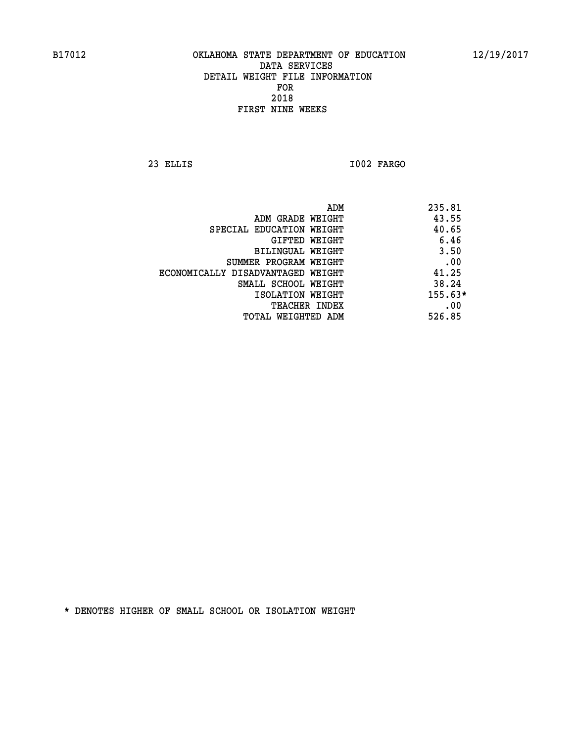**23 ELLIS I002 FARGO** 

|                                   | ADM | 235.81    |
|-----------------------------------|-----|-----------|
| ADM GRADE WEIGHT                  |     | 43.55     |
| SPECIAL EDUCATION WEIGHT          |     | 40.65     |
| GIFTED WEIGHT                     |     | 6.46      |
| BILINGUAL WEIGHT                  |     | 3.50      |
| SUMMER PROGRAM WEIGHT             |     | .00       |
| ECONOMICALLY DISADVANTAGED WEIGHT |     | 41.25     |
| SMALL SCHOOL WEIGHT               |     | 38.24     |
| ISOLATION WEIGHT                  |     | $155.63*$ |
| <b>TEACHER INDEX</b>              |     | .00       |
| TOTAL WEIGHTED ADM                |     | 526.85    |
|                                   |     |           |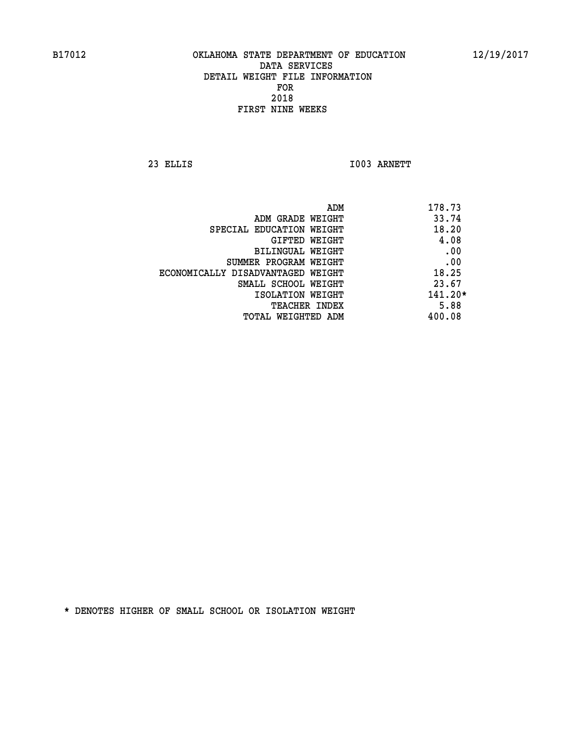**23 ELLIS I003 ARNETT** 

| ADM                               | 178.73    |
|-----------------------------------|-----------|
| ADM GRADE WEIGHT                  | 33.74     |
| SPECIAL EDUCATION WEIGHT          | 18.20     |
| GIFTED WEIGHT                     | 4.08      |
| BILINGUAL WEIGHT                  | .00       |
| SUMMER PROGRAM WEIGHT             | .00       |
| ECONOMICALLY DISADVANTAGED WEIGHT | 18.25     |
| SMALL SCHOOL WEIGHT               | 23.67     |
| ISOLATION WEIGHT                  | $141.20*$ |
| <b>TEACHER INDEX</b>              | 5.88      |
| TOTAL WEIGHTED ADM                | 400.08    |
|                                   |           |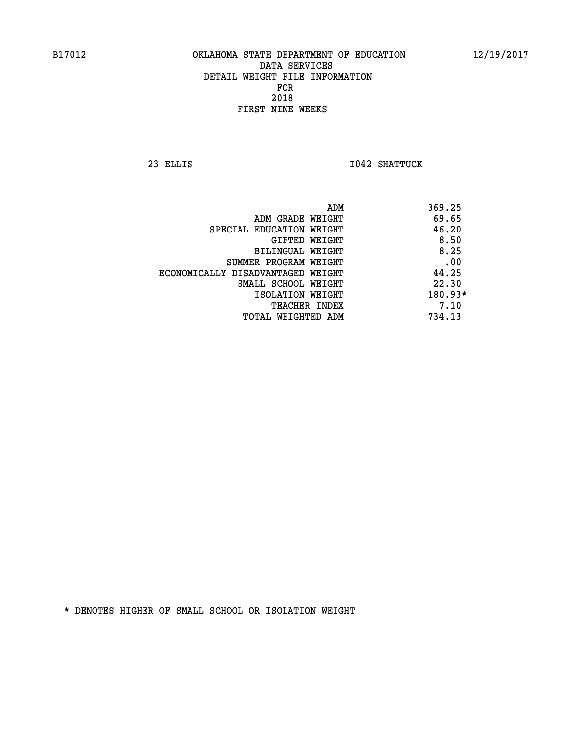**23 ELLIS I042 SHATTUCK** 

|                                   | ADM | 369.25    |
|-----------------------------------|-----|-----------|
| ADM GRADE WEIGHT                  |     | 69.65     |
| SPECIAL EDUCATION WEIGHT          |     | 46.20     |
| GIFTED WEIGHT                     |     | 8.50      |
| BILINGUAL WEIGHT                  |     | 8.25      |
| SUMMER PROGRAM WEIGHT             |     | .00       |
| ECONOMICALLY DISADVANTAGED WEIGHT |     | 44.25     |
| SMALL SCHOOL WEIGHT               |     | 22.30     |
| ISOLATION WEIGHT                  |     | $180.93*$ |
| TEACHER INDEX                     |     | 7.10      |
| TOTAL WEIGHTED ADM                |     | 734.13    |
|                                   |     |           |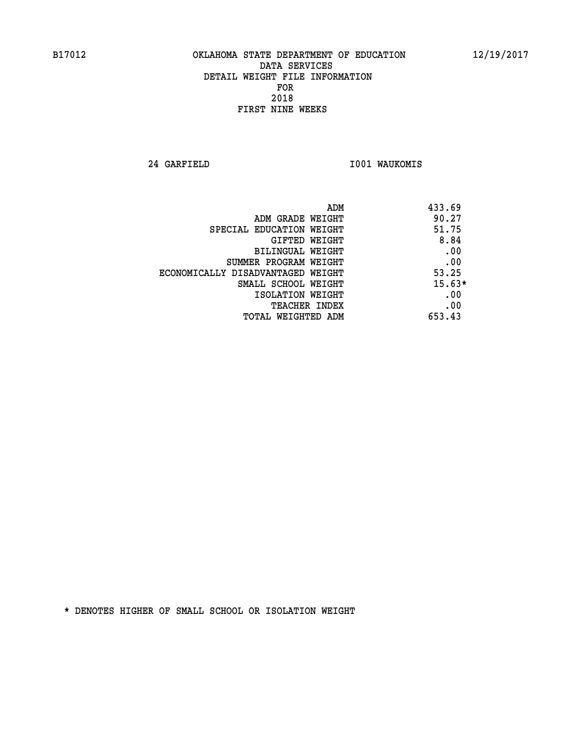**24 GARFIELD I001 WAUKOMIS** 

| ADM                               | 433.69   |
|-----------------------------------|----------|
| ADM GRADE WEIGHT                  | 90.27    |
| SPECIAL EDUCATION WEIGHT          | 51.75    |
| <b>GIFTED WEIGHT</b>              | 8.84     |
| BILINGUAL WEIGHT                  | .00      |
| SUMMER PROGRAM WEIGHT             | .00      |
| ECONOMICALLY DISADVANTAGED WEIGHT | 53.25    |
| SMALL SCHOOL WEIGHT               | $15.63*$ |
| ISOLATION WEIGHT                  | .00      |
| <b>TEACHER INDEX</b>              | .00      |
| TOTAL WEIGHTED ADM                | 653.43   |
|                                   |          |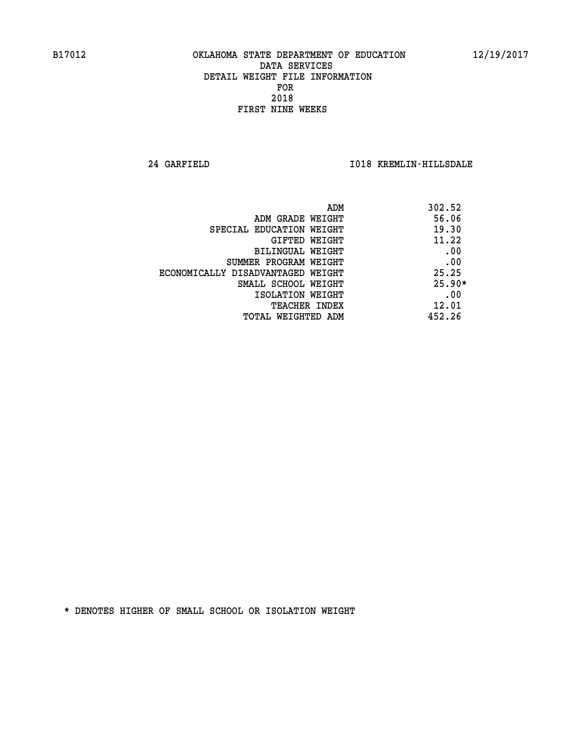**24 GARFIELD I018 KREMLIN-HILLSDALE** 

|                                   | 302.52<br>ADM |
|-----------------------------------|---------------|
| ADM GRADE WEIGHT                  | 56.06         |
| SPECIAL EDUCATION WEIGHT          | 19.30         |
| GIFTED WEIGHT                     | 11.22         |
| BILINGUAL WEIGHT                  | .00           |
| SUMMER PROGRAM WEIGHT             | .00           |
| ECONOMICALLY DISADVANTAGED WEIGHT | 25.25         |
| SMALL SCHOOL WEIGHT               | $25.90*$      |
| ISOLATION WEIGHT                  | .00           |
| <b>TEACHER INDEX</b>              | 12.01         |
| TOTAL WEIGHTED ADM                | 452.26        |
|                                   |               |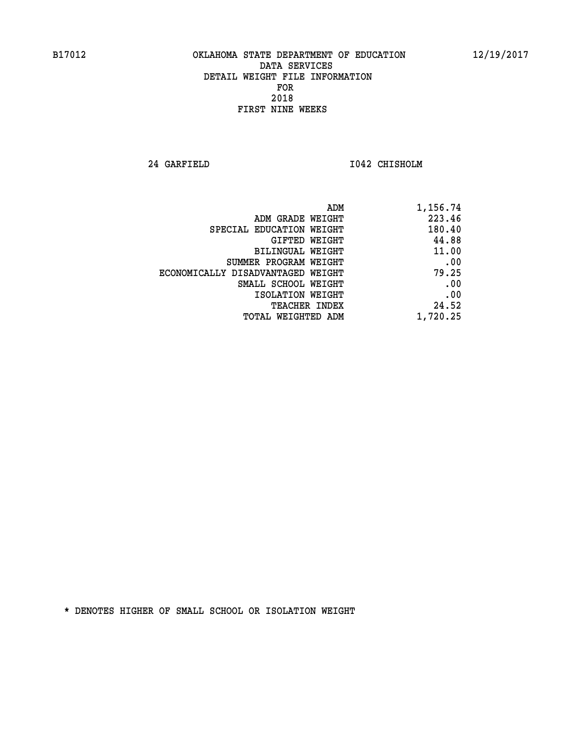**24 GARFIELD I042 CHISHOLM** 

| 1,156.74 |
|----------|
| 223.46   |
| 180.40   |
| 44.88    |
| 11.00    |
| .00      |
| 79.25    |
| .00      |
| .00      |
| 24.52    |
| 1,720.25 |
|          |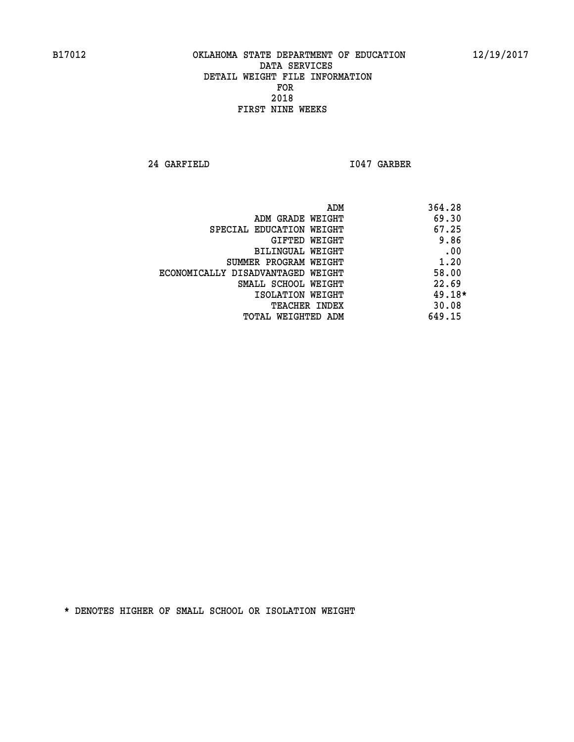**24 GARFIELD I047 GARBER** 

| ADM                               | 364.28   |
|-----------------------------------|----------|
| ADM GRADE WEIGHT                  | 69.30    |
| SPECIAL EDUCATION WEIGHT          | 67.25    |
| GIFTED WEIGHT                     | 9.86     |
| <b>BILINGUAL WEIGHT</b>           | .00      |
| SUMMER PROGRAM WEIGHT             | 1.20     |
| ECONOMICALLY DISADVANTAGED WEIGHT | 58.00    |
| SMALL SCHOOL WEIGHT               | 22.69    |
| ISOLATION WEIGHT                  | $49.18*$ |
| <b>TEACHER INDEX</b>              | 30.08    |
| TOTAL WEIGHTED ADM                | 649.15   |
|                                   |          |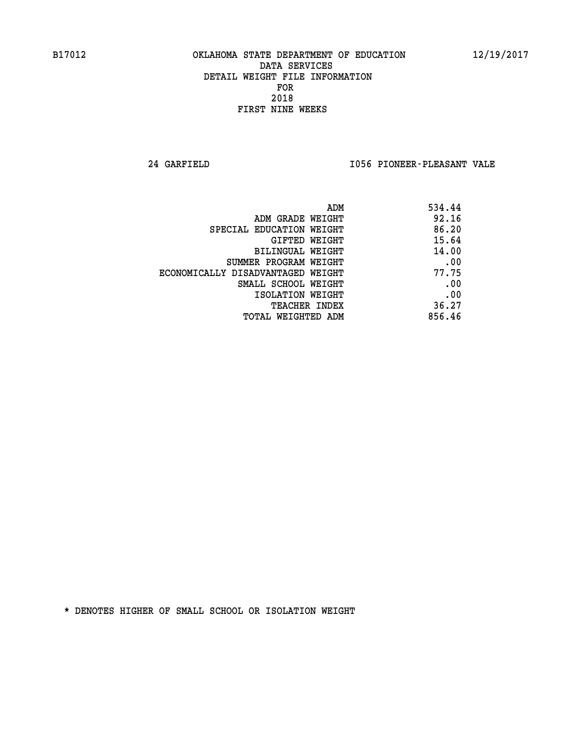**24 GARFIELD I056 PIONEER-PLEASANT VALE** 

| ADM                               | 534.44 |
|-----------------------------------|--------|
| ADM GRADE WEIGHT                  | 92.16  |
| SPECIAL EDUCATION WEIGHT          | 86.20  |
| GIFTED WEIGHT                     | 15.64  |
| BILINGUAL WEIGHT                  | 14.00  |
| SUMMER PROGRAM WEIGHT             | .00    |
| ECONOMICALLY DISADVANTAGED WEIGHT | 77.75  |
| SMALL SCHOOL WEIGHT               | .00    |
| ISOLATION WEIGHT                  | .00    |
| <b>TEACHER INDEX</b>              | 36.27  |
| TOTAL WEIGHTED ADM                | 856.46 |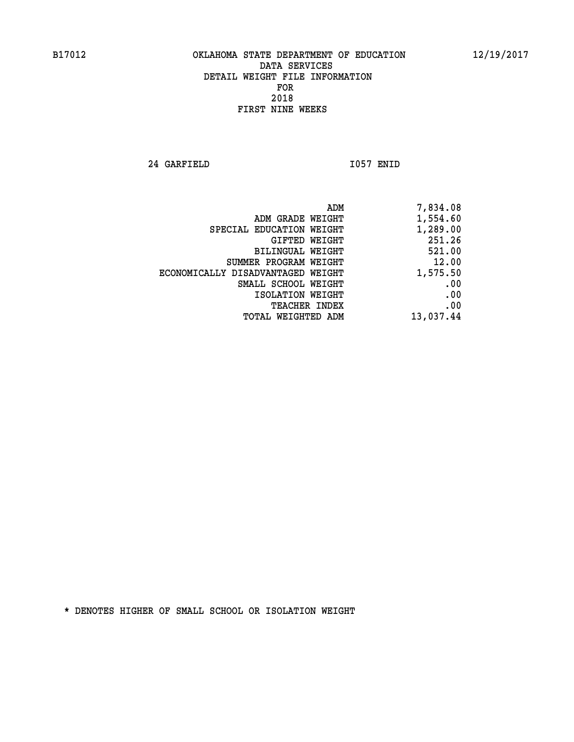**24 GARFIELD I057 ENID** 

|                                   | 7,834.08<br>ADM |
|-----------------------------------|-----------------|
| ADM GRADE WEIGHT                  | 1,554.60        |
| SPECIAL EDUCATION WEIGHT          | 1,289.00        |
| GIFTED WEIGHT                     | 251.26          |
| BILINGUAL WEIGHT                  | 521.00          |
| SUMMER PROGRAM WEIGHT             | 12.00           |
| ECONOMICALLY DISADVANTAGED WEIGHT | 1,575.50        |
| SMALL SCHOOL WEIGHT               | .00             |
| ISOLATION WEIGHT                  | .00             |
| TEACHER INDEX                     | .00             |
| TOTAL WEIGHTED ADM                | 13,037.44       |
|                                   |                 |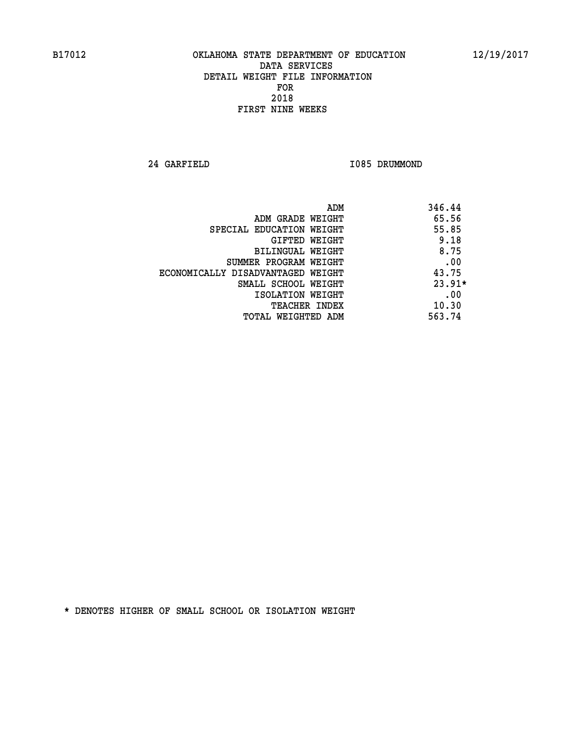**24 GARFIELD I085 DRUMMOND** 

| ADM                               | 346.44   |
|-----------------------------------|----------|
| ADM GRADE WEIGHT                  | 65.56    |
| SPECIAL EDUCATION WEIGHT          | 55.85    |
| GIFTED WEIGHT                     | 9.18     |
| BILINGUAL WEIGHT                  | 8.75     |
| SUMMER PROGRAM WEIGHT             | .00      |
| ECONOMICALLY DISADVANTAGED WEIGHT | 43.75    |
| SMALL SCHOOL WEIGHT               | $23.91*$ |
| ISOLATION WEIGHT                  | .00      |
| <b>TEACHER INDEX</b>              | 10.30    |
| TOTAL WEIGHTED ADM                | 563.74   |
|                                   |          |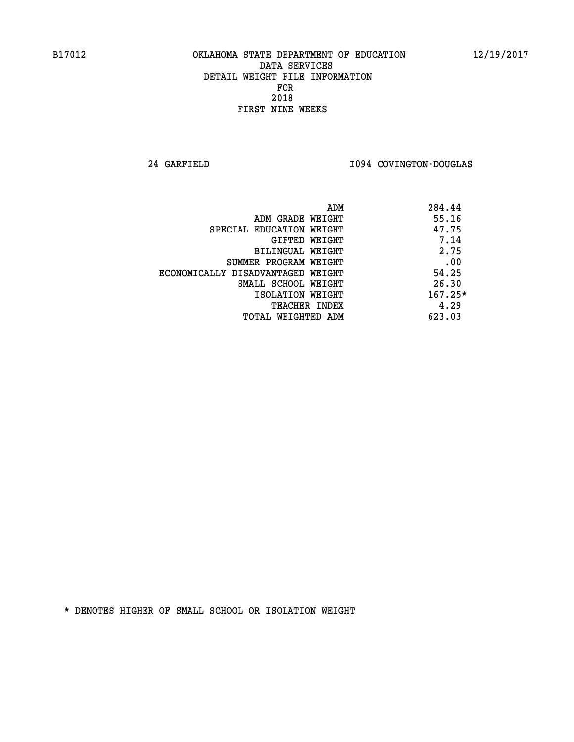**24 GARFIELD I094 COVINGTON-DOUGLAS** 

| 284.44<br>ADM |                                   |
|---------------|-----------------------------------|
| 55.16         | ADM GRADE WEIGHT                  |
| 47.75         | SPECIAL EDUCATION WEIGHT          |
| 7.14          | GIFTED WEIGHT                     |
| 2.75          | BILINGUAL WEIGHT                  |
| .00           | SUMMER PROGRAM WEIGHT             |
| 54.25         | ECONOMICALLY DISADVANTAGED WEIGHT |
| 26.30         | SMALL SCHOOL WEIGHT               |
| $167.25*$     | ISOLATION WEIGHT                  |
| 4.29          | <b>TEACHER INDEX</b>              |
| 623.03        | TOTAL WEIGHTED ADM                |
|               |                                   |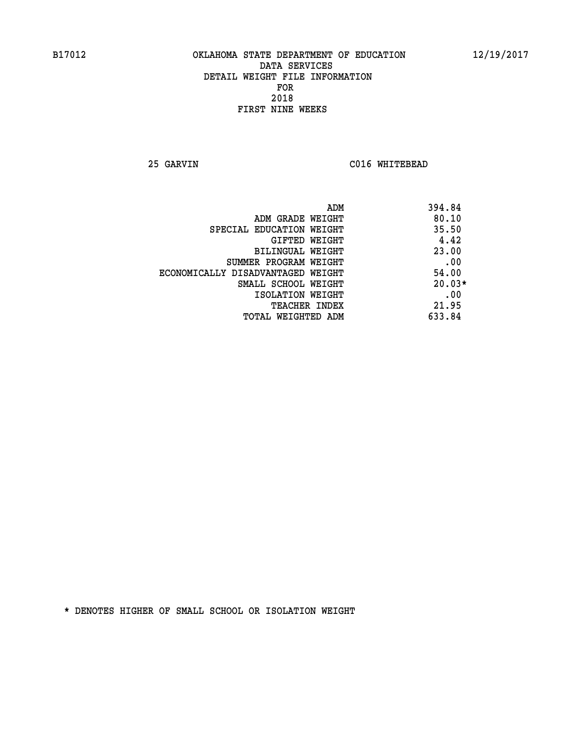**25 GARVIN C016 WHITEBEAD** 

| ADM                               | 394.84   |
|-----------------------------------|----------|
| ADM GRADE WEIGHT                  | 80.10    |
| SPECIAL EDUCATION WEIGHT          | 35.50    |
| GIFTED WEIGHT                     | 4.42     |
| BILINGUAL WEIGHT                  | 23.00    |
| SUMMER PROGRAM WEIGHT             | .00      |
| ECONOMICALLY DISADVANTAGED WEIGHT | 54.00    |
| SMALL SCHOOL WEIGHT               | $20.03*$ |
| ISOLATION WEIGHT                  | .00      |
| <b>TEACHER INDEX</b>              | 21.95    |
| TOTAL WEIGHTED ADM                | 633.84   |
|                                   |          |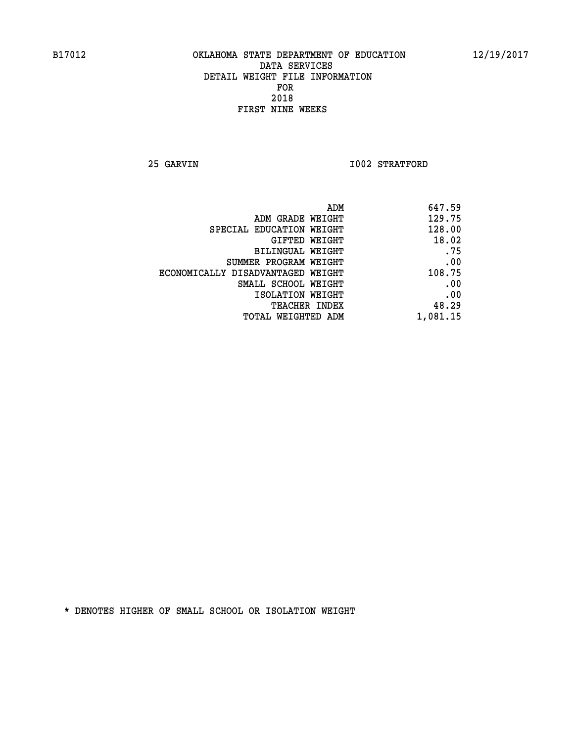**25 GARVIN 1002 STRATFORD** 

| 647.59   |
|----------|
| 129.75   |
| 128.00   |
| 18.02    |
| .75      |
| .00      |
| 108.75   |
| .00      |
| .00      |
| 48.29    |
| 1,081.15 |
|          |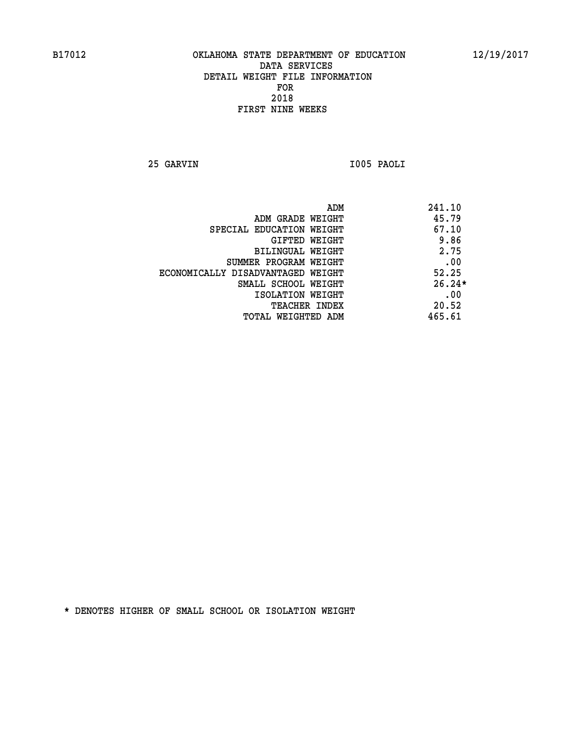**25 GARVIN I005 PAOLI** 

|                                   | ADM | 241.10   |
|-----------------------------------|-----|----------|
| ADM GRADE WEIGHT                  |     | 45.79    |
| SPECIAL EDUCATION WEIGHT          |     | 67.10    |
| GIFTED WEIGHT                     |     | 9.86     |
| BILINGUAL WEIGHT                  |     | 2.75     |
| SUMMER PROGRAM WEIGHT             |     | .00      |
| ECONOMICALLY DISADVANTAGED WEIGHT |     | 52.25    |
| SMALL SCHOOL WEIGHT               |     | $26.24*$ |
| ISOLATION WEIGHT                  |     | .00      |
| <b>TEACHER INDEX</b>              |     | 20.52    |
| TOTAL WEIGHTED ADM                |     | 465.61   |
|                                   |     |          |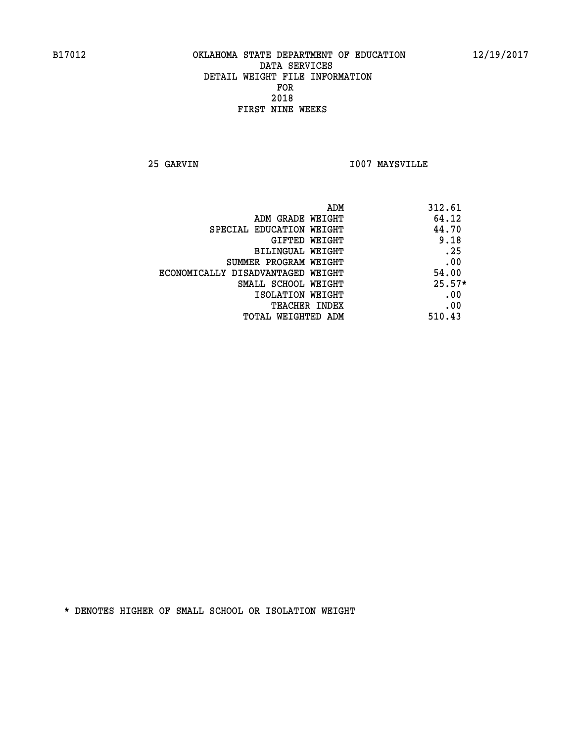**25 GARVIN I007 MAYSVILLE** 

| ADM                               | 312.61   |
|-----------------------------------|----------|
| ADM GRADE WEIGHT                  | 64.12    |
| SPECIAL EDUCATION WEIGHT          | 44.70    |
| GIFTED WEIGHT                     | 9.18     |
| BILINGUAL WEIGHT                  | .25      |
| SUMMER PROGRAM WEIGHT             | .00      |
| ECONOMICALLY DISADVANTAGED WEIGHT | 54.00    |
| SMALL SCHOOL WEIGHT               | $25.57*$ |
| ISOLATION WEIGHT                  | .00      |
| <b>TEACHER INDEX</b>              | .00      |
| TOTAL WEIGHTED ADM                | 510.43   |
|                                   |          |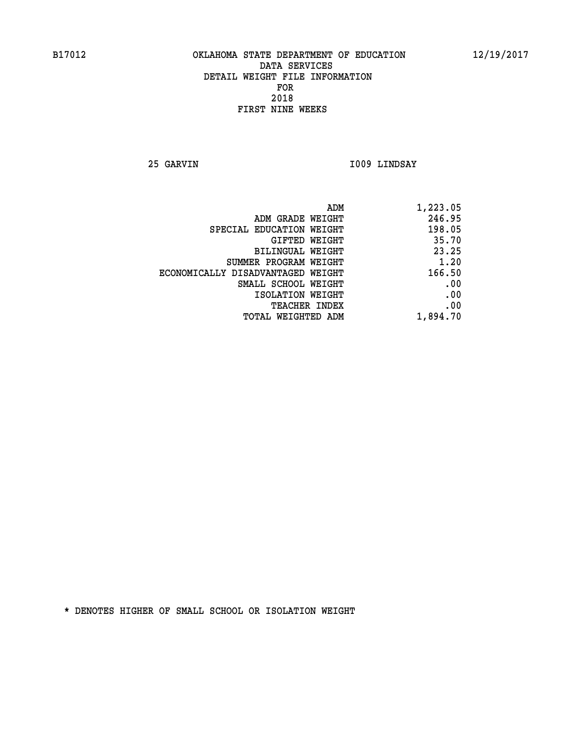**25 GARVIN I009 LINDSAY** 

| 1,223.05 |
|----------|
| 246.95   |
| 198.05   |
| 35.70    |
| 23.25    |
| 1.20     |
| 166.50   |
| .00      |
| .00      |
| .00      |
| 1,894.70 |
|          |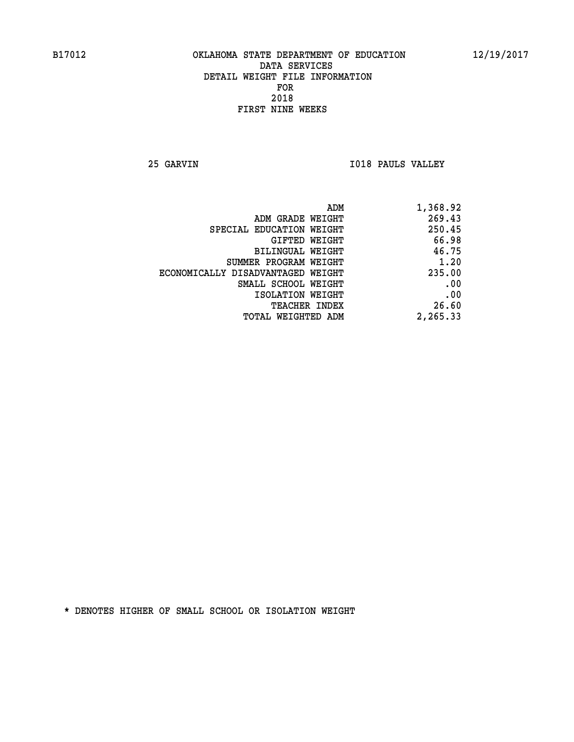**25 GARVIN I018 PAULS VALLEY** 

| 1,368.92 |
|----------|
| 269.43   |
| 250.45   |
| 66.98    |
| 46.75    |
| 1.20     |
| 235.00   |
| .00      |
| .00      |
| 26.60    |
| 2,265.33 |
|          |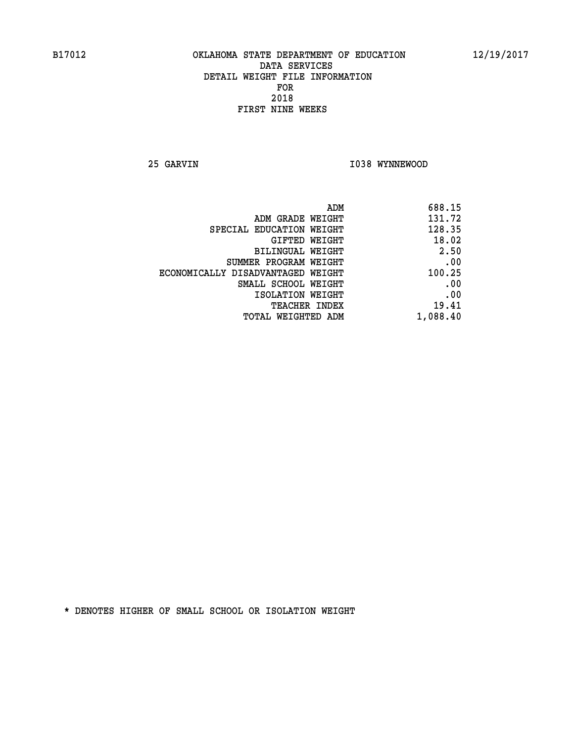**25 GARVIN 1038 WYNNEWOOD** 

| 688.15   |
|----------|
| 131.72   |
| 128.35   |
| 18.02    |
| 2.50     |
| .00      |
| 100.25   |
| .00      |
| .00      |
| 19.41    |
| 1,088.40 |
|          |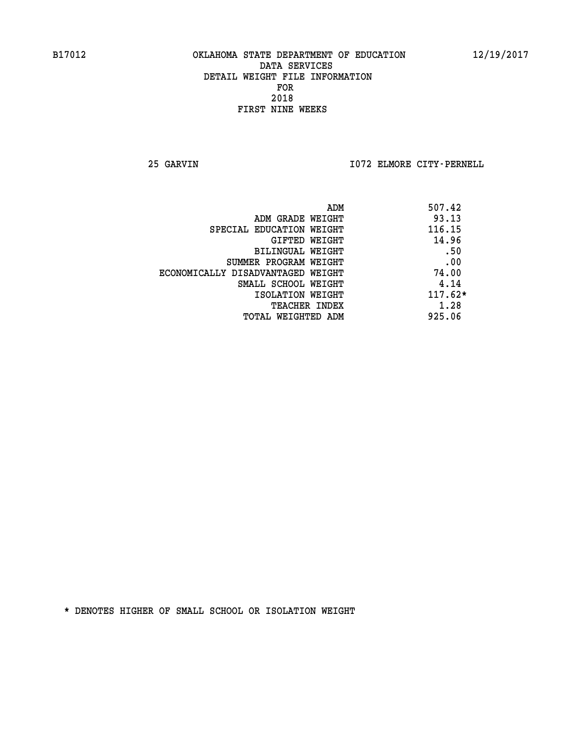**25 GARVIN I072 ELMORE CITY-PERNELL** 

| 507.42<br>ADM                              |  |
|--------------------------------------------|--|
| 93.13<br>ADM GRADE WEIGHT                  |  |
| 116.15<br>SPECIAL EDUCATION WEIGHT         |  |
| 14.96<br>GIFTED WEIGHT                     |  |
| .50<br>BILINGUAL WEIGHT                    |  |
| .00<br>SUMMER PROGRAM WEIGHT               |  |
| 74.00<br>ECONOMICALLY DISADVANTAGED WEIGHT |  |
| 4.14<br>SMALL SCHOOL WEIGHT                |  |
| $117.62*$<br>ISOLATION WEIGHT              |  |
| 1.28<br><b>TEACHER INDEX</b>               |  |
| 925.06<br>TOTAL WEIGHTED ADM               |  |
|                                            |  |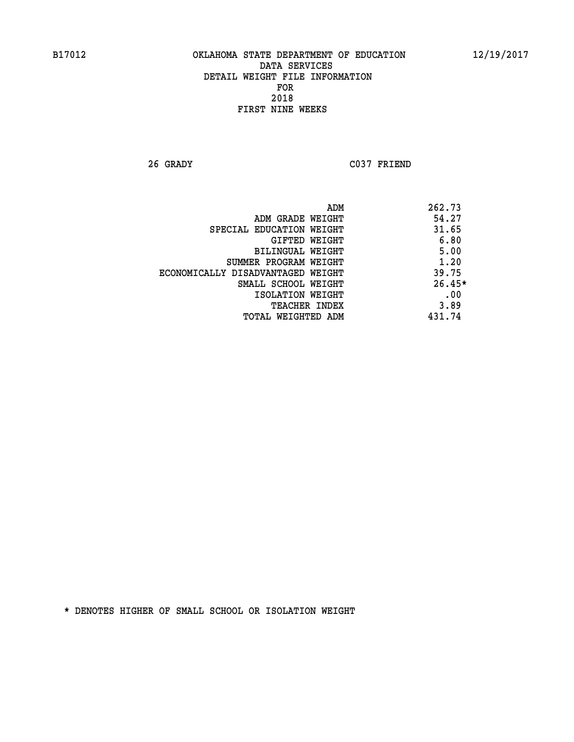**26 GRADY C037 FRIEND** 

|                                   | ADM | 262.73   |
|-----------------------------------|-----|----------|
| ADM GRADE WEIGHT                  |     | 54.27    |
| SPECIAL EDUCATION WEIGHT          |     | 31.65    |
| GIFTED WEIGHT                     |     | 6.80     |
| BILINGUAL WEIGHT                  |     | 5.00     |
| SUMMER PROGRAM WEIGHT             |     | 1.20     |
| ECONOMICALLY DISADVANTAGED WEIGHT |     | 39.75    |
| SMALL SCHOOL WEIGHT               |     | $26.45*$ |
| ISOLATION WEIGHT                  |     | .00      |
| TEACHER INDEX                     |     | 3.89     |
| TOTAL WEIGHTED ADM                |     | 431.74   |
|                                   |     |          |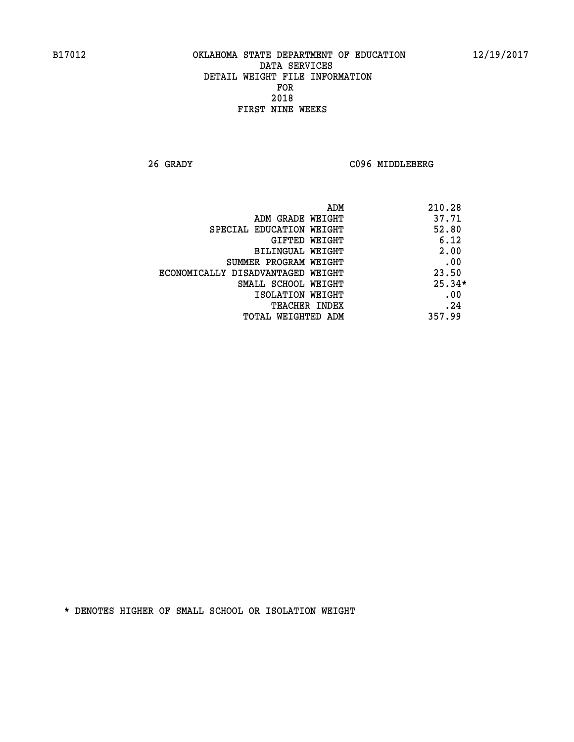**26 GRADY C096 MIDDLEBERG** 

|                                   | 210.28<br>ADM |
|-----------------------------------|---------------|
| ADM GRADE WEIGHT                  | 37.71         |
| SPECIAL EDUCATION WEIGHT          | 52.80         |
| <b>GIFTED WEIGHT</b>              | 6.12          |
| BILINGUAL WEIGHT                  | 2.00          |
| SUMMER PROGRAM WEIGHT             | .00           |
| ECONOMICALLY DISADVANTAGED WEIGHT | 23.50         |
| SMALL SCHOOL WEIGHT               | $25.34*$      |
| ISOLATION WEIGHT                  | .00           |
| <b>TEACHER INDEX</b>              | .24           |
| TOTAL WEIGHTED ADM                | 357.99        |
|                                   |               |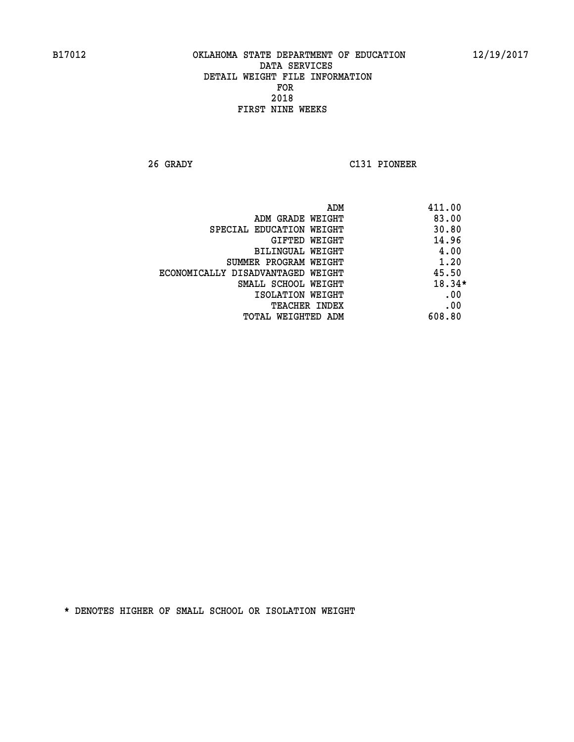**26 GRADY C131 PIONEER** 

|                                   | 411.00<br>ADM |
|-----------------------------------|---------------|
| ADM GRADE WEIGHT                  | 83.00         |
| SPECIAL EDUCATION WEIGHT          | 30.80         |
| GIFTED WEIGHT                     | 14.96         |
| <b>BILINGUAL WEIGHT</b>           | 4.00          |
| SUMMER PROGRAM WEIGHT             | 1.20          |
| ECONOMICALLY DISADVANTAGED WEIGHT | 45.50         |
| SMALL SCHOOL WEIGHT               | $18.34*$      |
| ISOLATION WEIGHT                  | .00           |
| <b>TEACHER INDEX</b>              | .00           |
| TOTAL WEIGHTED ADM                | 608.80        |
|                                   |               |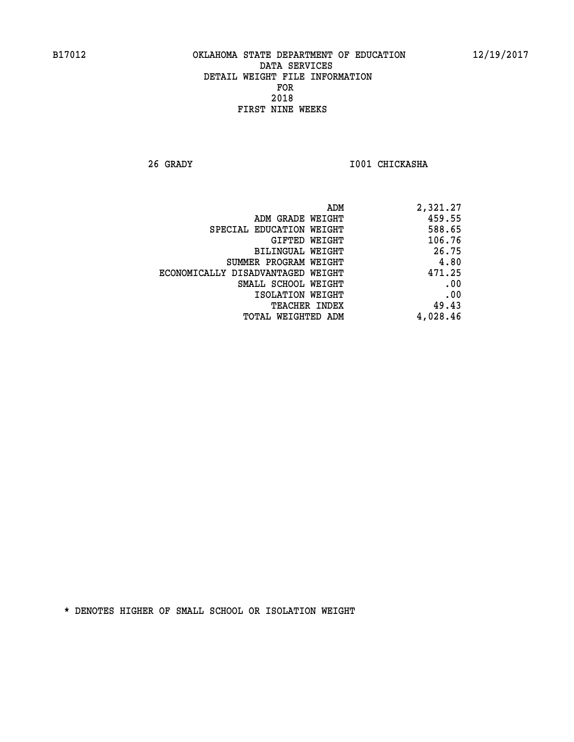**26 GRADY I001 CHICKASHA** 

| 2,321.27 |
|----------|
| 459.55   |
| 588.65   |
| 106.76   |
| 26.75    |
| 4.80     |
| 471.25   |
| .00      |
| .00      |
| 49.43    |
| 4,028.46 |
|          |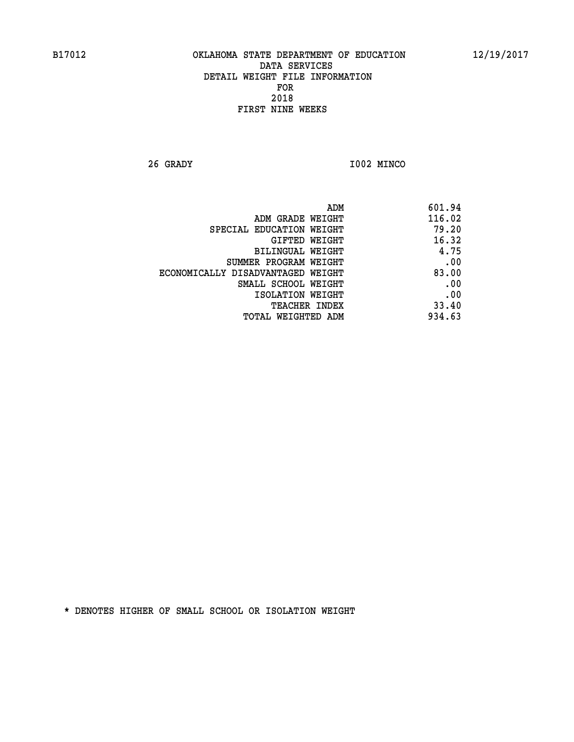**26 GRADY I002 MINCO** 

| ADM                               | 601.94 |
|-----------------------------------|--------|
| ADM GRADE WEIGHT                  | 116.02 |
| SPECIAL EDUCATION WEIGHT          | 79.20  |
| GIFTED WEIGHT                     | 16.32  |
| BILINGUAL WEIGHT                  | 4.75   |
| SUMMER PROGRAM WEIGHT             | .00    |
| ECONOMICALLY DISADVANTAGED WEIGHT | 83.00  |
| SMALL SCHOOL WEIGHT               | .00    |
| ISOLATION WEIGHT                  | .00    |
| <b>TEACHER INDEX</b>              | 33.40  |
| TOTAL WEIGHTED ADM                | 934.63 |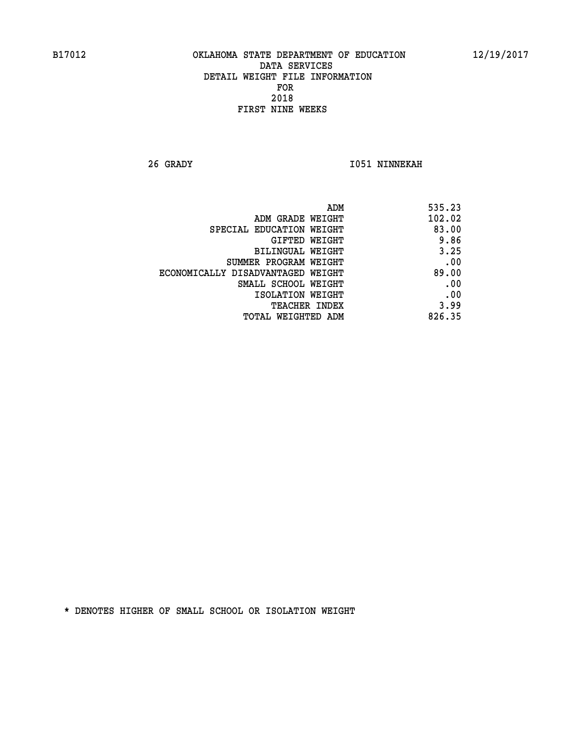**26 GRADY I051 NINNEKAH** 

| 535.23 |
|--------|
| 102.02 |
| 83.00  |
| 9.86   |
| 3.25   |
| .00    |
| 89.00  |
| .00    |
| .00    |
| 3.99   |
| 826.35 |
|        |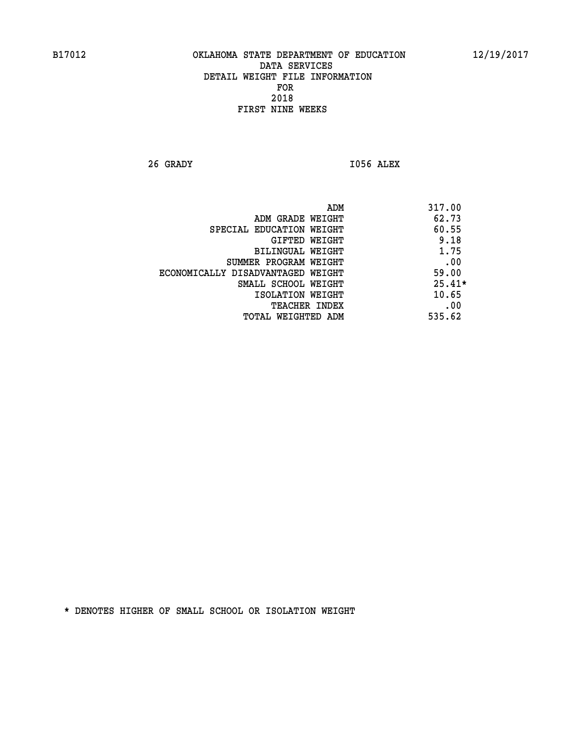**26 GRADY I056 ALEX** 

|                                   | 317.00<br>ADM |
|-----------------------------------|---------------|
| ADM GRADE WEIGHT                  | 62.73         |
| SPECIAL EDUCATION WEIGHT          | 60.55         |
| GIFTED WEIGHT                     | 9.18          |
| BILINGUAL WEIGHT                  | 1.75          |
| SUMMER PROGRAM WEIGHT             | .00           |
| ECONOMICALLY DISADVANTAGED WEIGHT | 59.00         |
| SMALL SCHOOL WEIGHT               | $25.41*$      |
| ISOLATION WEIGHT                  | 10.65         |
| <b>TEACHER INDEX</b>              | .00           |
| TOTAL WEIGHTED ADM                | 535.62        |
|                                   |               |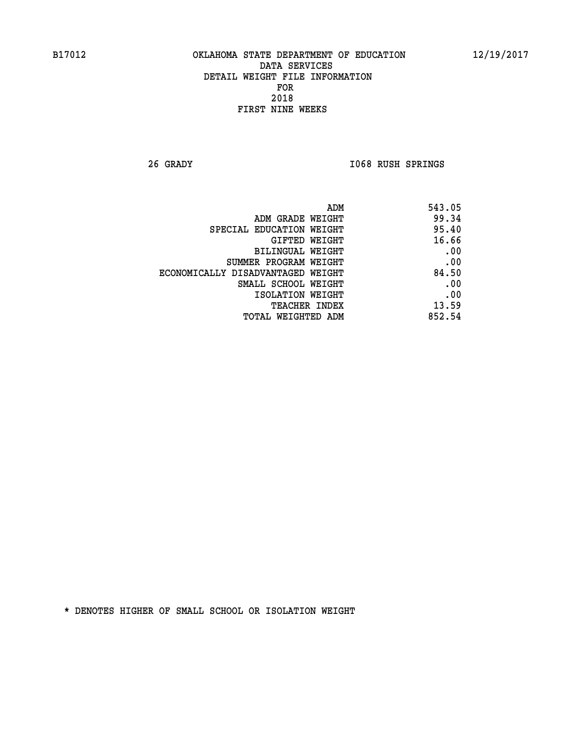**26 GRADY I068 RUSH SPRINGS** 

| 543.05 |
|--------|
| 99.34  |
| 95.40  |
| 16.66  |
| .00    |
| .00    |
| 84.50  |
| .00    |
| .00    |
| 13.59  |
| 852.54 |
|        |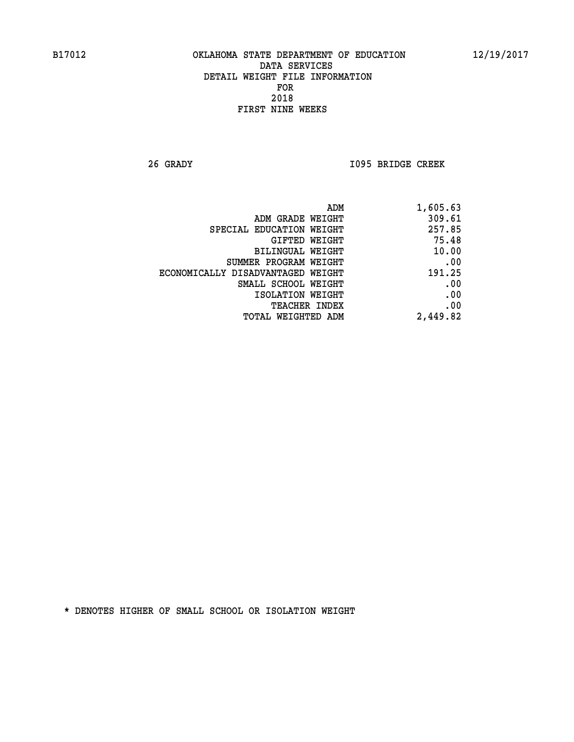**26 GRADY I095 BRIDGE CREEK** 

| ADM                               | 1,605.63 |
|-----------------------------------|----------|
| ADM GRADE WEIGHT                  | 309.61   |
| SPECIAL EDUCATION WEIGHT          | 257.85   |
| GIFTED WEIGHT                     | 75.48    |
| BILINGUAL WEIGHT                  | 10.00    |
| SUMMER PROGRAM WEIGHT             | .00      |
| ECONOMICALLY DISADVANTAGED WEIGHT | 191.25   |
| SMALL SCHOOL WEIGHT               | .00      |
| ISOLATION WEIGHT                  | .00      |
| <b>TEACHER INDEX</b>              | .00      |
| <b>TOTAL WEIGHTED ADM</b>         | 2,449.82 |
|                                   |          |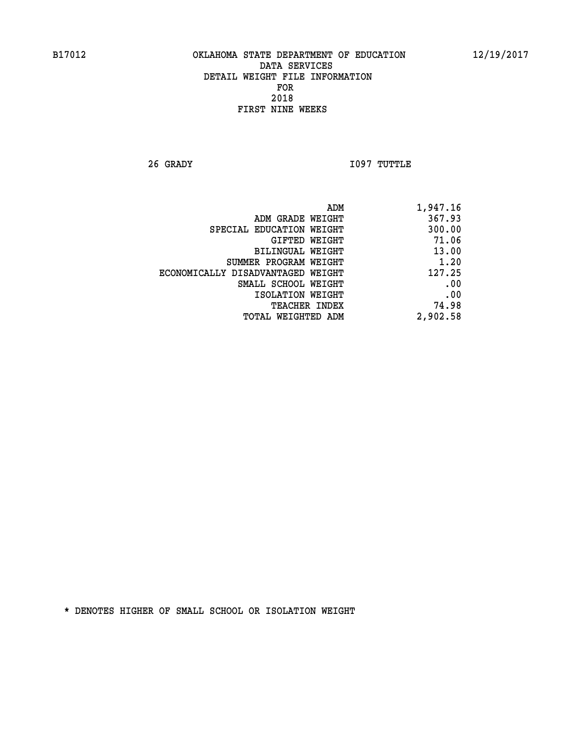**26 GRADY I097 TUTTLE** 

| 1,947.16 |
|----------|
| 367.93   |
| 300.00   |
| 71.06    |
| 13.00    |
| 1.20     |
| 127.25   |
| .00      |
| .00      |
| 74.98    |
| 2,902.58 |
|          |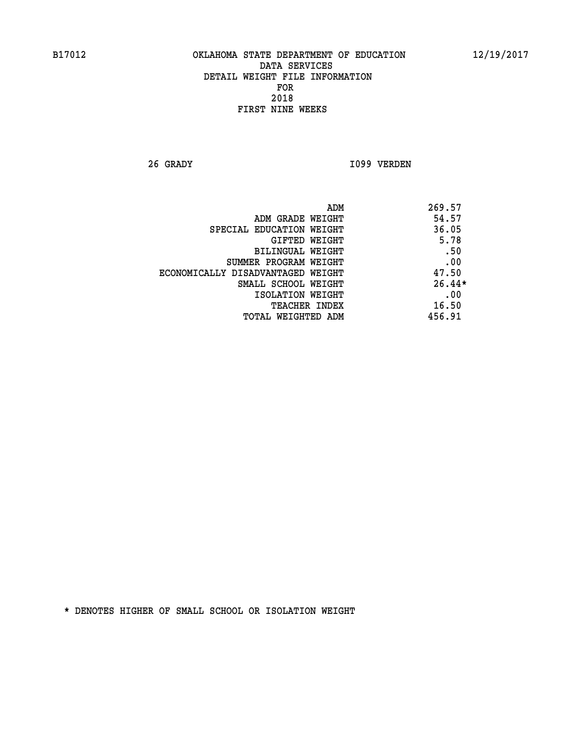**26 GRADY I099 VERDEN** 

| ADM                               | 269.57   |
|-----------------------------------|----------|
| ADM GRADE WEIGHT                  | 54.57    |
| SPECIAL EDUCATION WEIGHT          | 36.05    |
| GIFTED WEIGHT                     | 5.78     |
| BILINGUAL WEIGHT                  | .50      |
| SUMMER PROGRAM WEIGHT             | .00      |
| ECONOMICALLY DISADVANTAGED WEIGHT | 47.50    |
| SMALL SCHOOL WEIGHT               | $26.44*$ |
| ISOLATION WEIGHT                  | .00      |
| <b>TEACHER INDEX</b>              | 16.50    |
| TOTAL WEIGHTED ADM                | 456.91   |
|                                   |          |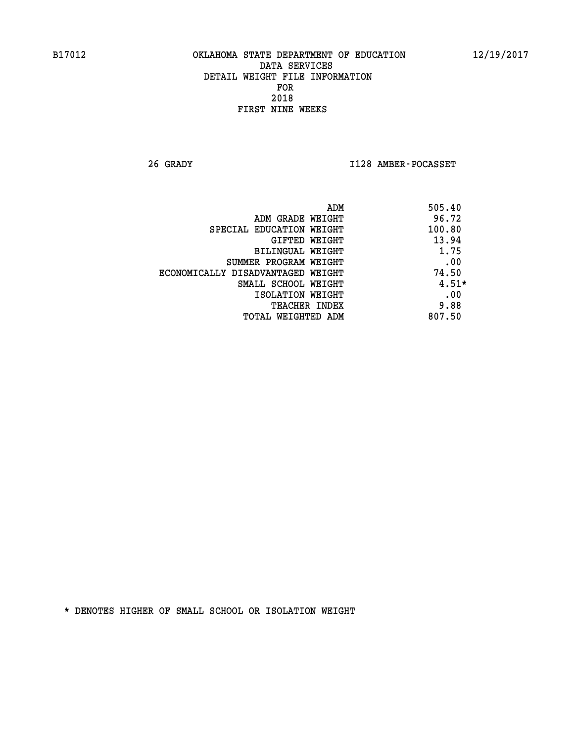**26 GRADY I128 AMBER-POCASSET** 

|                                   | ADM | 505.40  |
|-----------------------------------|-----|---------|
| ADM GRADE WEIGHT                  |     | 96.72   |
| SPECIAL EDUCATION WEIGHT          |     | 100.80  |
| GIFTED WEIGHT                     |     | 13.94   |
| BILINGUAL WEIGHT                  |     | 1.75    |
| SUMMER PROGRAM WEIGHT             |     | .00     |
| ECONOMICALLY DISADVANTAGED WEIGHT |     | 74.50   |
| SMALL SCHOOL WEIGHT               |     | $4.51*$ |
| ISOLATION WEIGHT                  |     | .00     |
| <b>TEACHER INDEX</b>              |     | 9.88    |
| TOTAL WEIGHTED ADM                |     | 807.50  |
|                                   |     |         |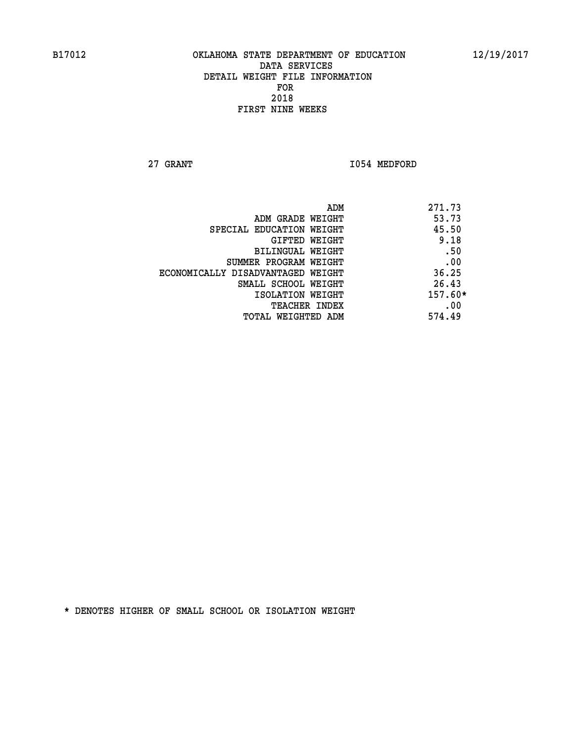**27 GRANT 1054 MEDFORD** 

| ADM<br>271.73                              |     |
|--------------------------------------------|-----|
| 53.73<br>ADM GRADE WEIGHT                  |     |
| 45.50<br>SPECIAL EDUCATION WEIGHT          |     |
| 9.18<br>GIFTED WEIGHT                      |     |
| BILINGUAL WEIGHT                           | .50 |
| SUMMER PROGRAM WEIGHT                      | .00 |
| 36.25<br>ECONOMICALLY DISADVANTAGED WEIGHT |     |
| 26.43<br>SMALL SCHOOL WEIGHT               |     |
| $157.60*$<br>ISOLATION WEIGHT              |     |
| <b>TEACHER INDEX</b>                       | .00 |
| 574.49<br>TOTAL WEIGHTED ADM               |     |
|                                            |     |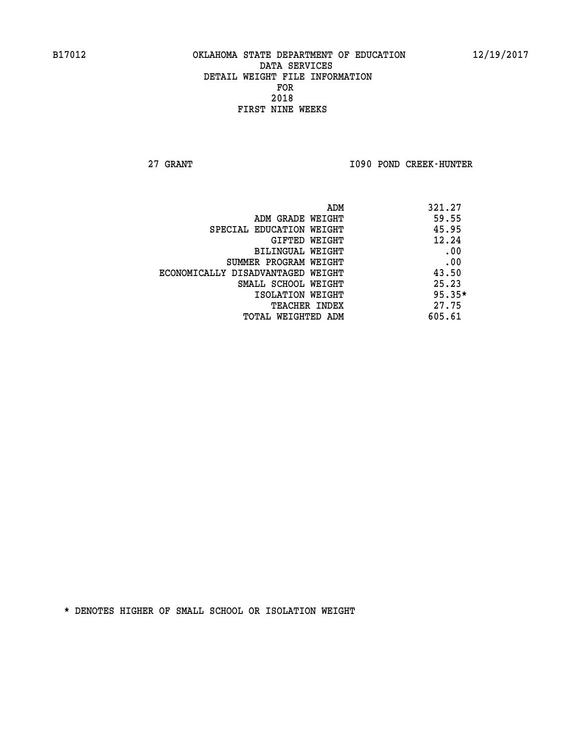**27 GRANT I090 POND CREEK-HUNTER** 

| ADM                               | 321.27   |
|-----------------------------------|----------|
| ADM GRADE WEIGHT                  | 59.55    |
| SPECIAL EDUCATION WEIGHT          | 45.95    |
| GIFTED WEIGHT                     | 12.24    |
| <b>BILINGUAL WEIGHT</b>           | .00      |
| SUMMER PROGRAM WEIGHT             | .00      |
| ECONOMICALLY DISADVANTAGED WEIGHT | 43.50    |
| SMALL SCHOOL WEIGHT               | 25.23    |
| ISOLATION WEIGHT                  | $95.35*$ |
| <b>TEACHER INDEX</b>              | 27.75    |
| TOTAL WEIGHTED ADM                | 605.61   |
|                                   |          |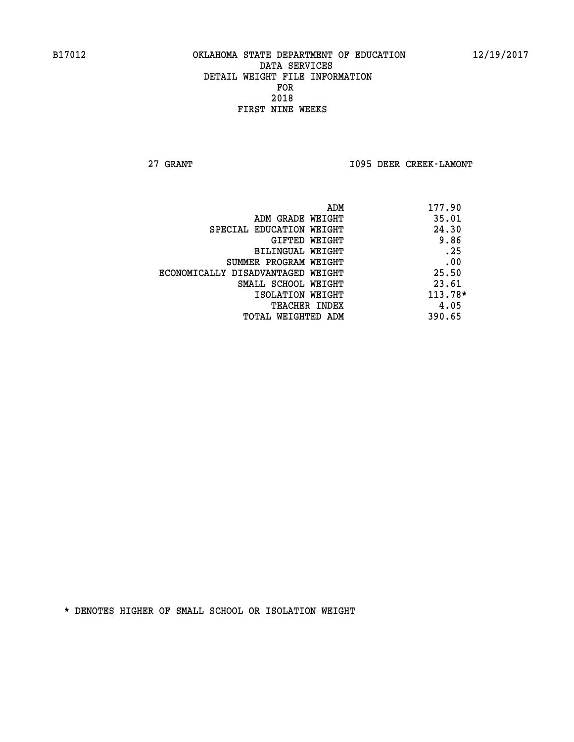**27 GRANT I095 DEER CREEK-LAMONT** 

|                                   | 177.90<br>ADM |
|-----------------------------------|---------------|
| ADM GRADE WEIGHT                  | 35.01         |
| SPECIAL EDUCATION WEIGHT          | 24.30         |
| GIFTED WEIGHT                     | 9.86          |
| BILINGUAL WEIGHT                  | .25           |
| SUMMER PROGRAM WEIGHT             | .00           |
| ECONOMICALLY DISADVANTAGED WEIGHT | 25.50         |
| SMALL SCHOOL WEIGHT               | 23.61         |
| ISOLATION WEIGHT                  | 113.78*       |
| <b>TEACHER INDEX</b>              | 4.05          |
| TOTAL WEIGHTED ADM                | 390.65        |
|                                   |               |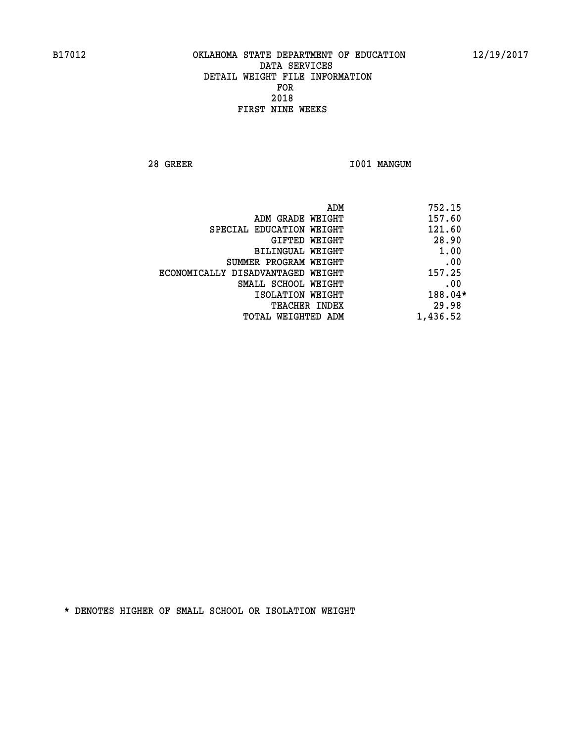**28 GREER I001 MANGUM** 

| ADM                               | 752.15   |
|-----------------------------------|----------|
| ADM GRADE WEIGHT                  | 157.60   |
| SPECIAL EDUCATION WEIGHT          | 121.60   |
| GIFTED WEIGHT                     | 28.90    |
| BILINGUAL WEIGHT                  | 1.00     |
| SUMMER PROGRAM WEIGHT             | .00      |
| ECONOMICALLY DISADVANTAGED WEIGHT | 157.25   |
| SMALL SCHOOL WEIGHT               | .00      |
| ISOLATION WEIGHT                  | 188.04*  |
| <b>TEACHER INDEX</b>              | 29.98    |
| TOTAL WEIGHTED ADM                | 1,436.52 |
|                                   |          |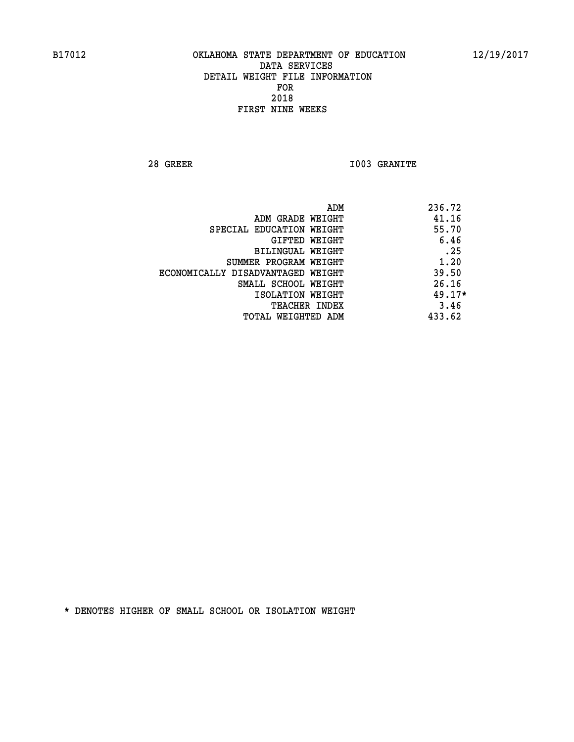**28 GREER I003 GRANITE** 

|                                   | ADM | 236.72   |
|-----------------------------------|-----|----------|
| ADM GRADE WEIGHT                  |     | 41.16    |
| SPECIAL EDUCATION WEIGHT          |     | 55.70    |
| GIFTED WEIGHT                     |     | 6.46     |
| BILINGUAL WEIGHT                  |     | .25      |
| SUMMER PROGRAM WEIGHT             |     | 1.20     |
| ECONOMICALLY DISADVANTAGED WEIGHT |     | 39.50    |
| SMALL SCHOOL WEIGHT               |     | 26.16    |
| ISOLATION WEIGHT                  |     | $49.17*$ |
| TEACHER INDEX                     |     | 3.46     |
| TOTAL WEIGHTED ADM                |     | 433.62   |
|                                   |     |          |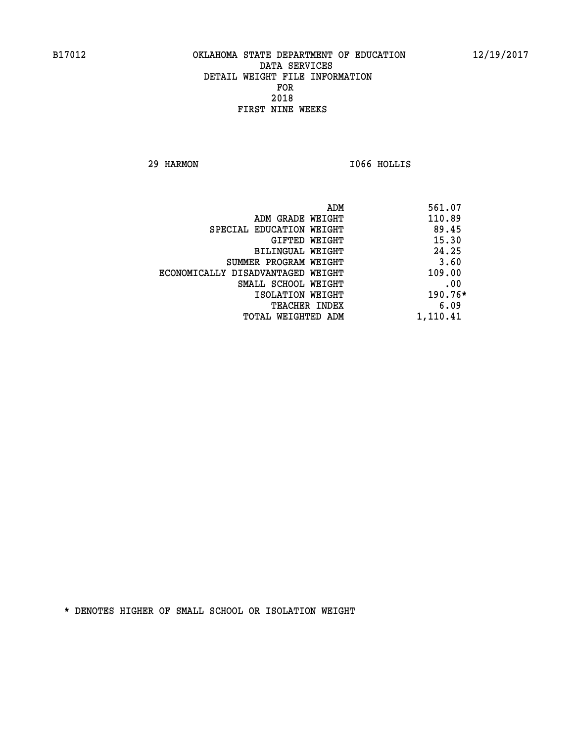**29 HARMON I066 HOLLIS** 

|                                   | ADM | 561.07    |
|-----------------------------------|-----|-----------|
| ADM GRADE WEIGHT                  |     | 110.89    |
| SPECIAL EDUCATION WEIGHT          |     | 89.45     |
| GIFTED WEIGHT                     |     | 15.30     |
| BILINGUAL WEIGHT                  |     | 24.25     |
| SUMMER PROGRAM WEIGHT             |     | 3.60      |
| ECONOMICALLY DISADVANTAGED WEIGHT |     | 109.00    |
| SMALL SCHOOL WEIGHT               |     | .00       |
| ISOLATION WEIGHT                  |     | $190.76*$ |
| TEACHER INDEX                     |     | 6.09      |
| TOTAL WEIGHTED ADM                |     | 1,110.41  |
|                                   |     |           |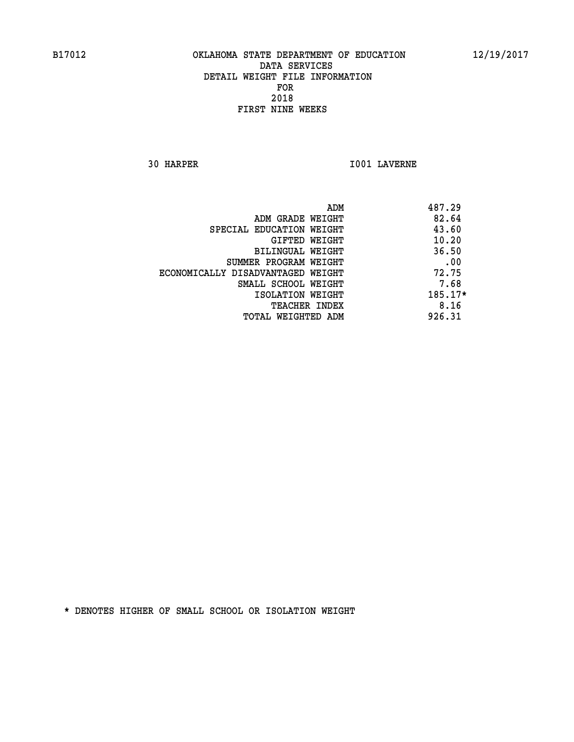**30 HARPER I001 LAVERNE** 

| ADM                               | 487.29  |
|-----------------------------------|---------|
| ADM GRADE WEIGHT                  | 82.64   |
| SPECIAL EDUCATION WEIGHT          | 43.60   |
| GIFTED WEIGHT                     | 10.20   |
| BILINGUAL WEIGHT                  | 36.50   |
| SUMMER PROGRAM WEIGHT             | .00     |
| ECONOMICALLY DISADVANTAGED WEIGHT | 72.75   |
| SMALL SCHOOL WEIGHT               | 7.68    |
| ISOLATION WEIGHT                  | 185.17* |
| <b>TEACHER INDEX</b>              | 8.16    |
| TOTAL WEIGHTED ADM                | 926.31  |
|                                   |         |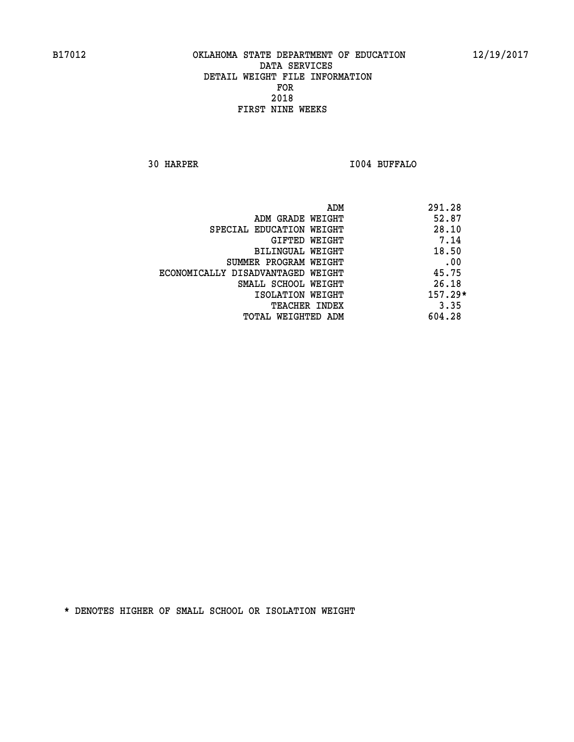**30 HARPER I004 BUFFALO** 

|                                   | ADM | 291.28    |
|-----------------------------------|-----|-----------|
| ADM GRADE WEIGHT                  |     | 52.87     |
| SPECIAL EDUCATION WEIGHT          |     | 28.10     |
| GIFTED WEIGHT                     |     | 7.14      |
| BILINGUAL WEIGHT                  |     | 18.50     |
| SUMMER PROGRAM WEIGHT             |     | .00       |
| ECONOMICALLY DISADVANTAGED WEIGHT |     | 45.75     |
| SMALL SCHOOL WEIGHT               |     | 26.18     |
| ISOLATION WEIGHT                  |     | $157.29*$ |
| TEACHER INDEX                     |     | 3.35      |
| TOTAL WEIGHTED ADM                |     | 604.28    |
|                                   |     |           |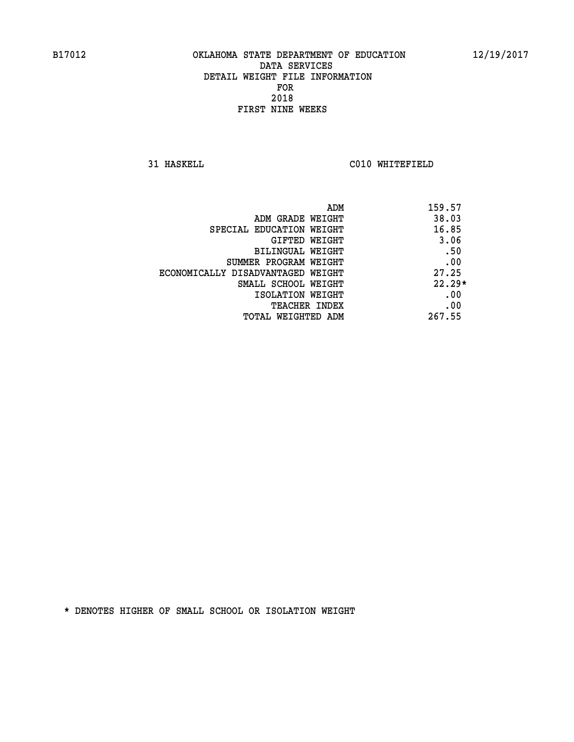**31 HASKELL C010 WHITEFIELD** 

| ADM                               | 159.57   |
|-----------------------------------|----------|
| ADM GRADE WEIGHT                  | 38.03    |
| SPECIAL EDUCATION WEIGHT          | 16.85    |
| GIFTED WEIGHT                     | 3.06     |
| BILINGUAL WEIGHT                  | .50      |
| SUMMER PROGRAM WEIGHT             | .00      |
| ECONOMICALLY DISADVANTAGED WEIGHT | 27.25    |
| SMALL SCHOOL WEIGHT               | $22.29*$ |
| ISOLATION WEIGHT                  | .00      |
| TEACHER INDEX                     | .00      |
| TOTAL WEIGHTED ADM                | 267.55   |
|                                   |          |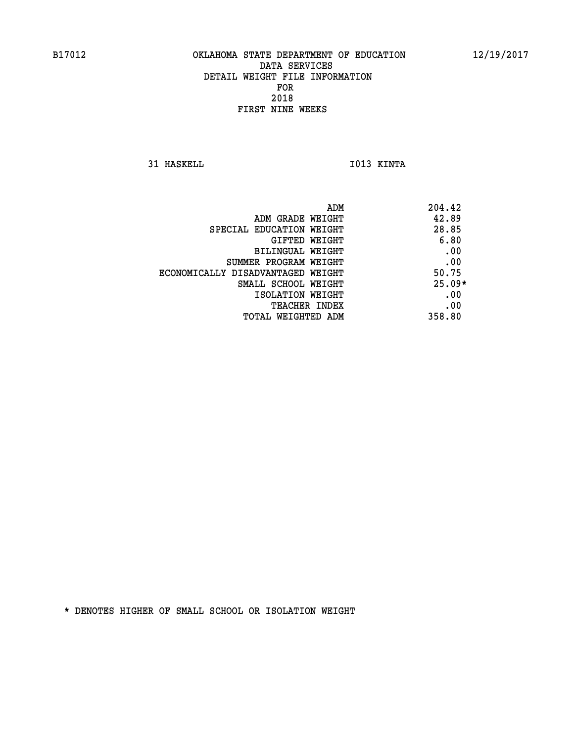**31 HASKELL IO13 KINTA** 

| ADM                               | 204.42   |
|-----------------------------------|----------|
| ADM GRADE WEIGHT                  | 42.89    |
| SPECIAL EDUCATION WEIGHT          | 28.85    |
| GIFTED WEIGHT                     | 6.80     |
| BILINGUAL WEIGHT                  | .00      |
| SUMMER PROGRAM WEIGHT             | .00      |
| ECONOMICALLY DISADVANTAGED WEIGHT | 50.75    |
| SMALL SCHOOL WEIGHT               | $25.09*$ |
| ISOLATION WEIGHT                  | .00      |
| <b>TEACHER INDEX</b>              | .00      |
| TOTAL WEIGHTED ADM                | 358.80   |
|                                   |          |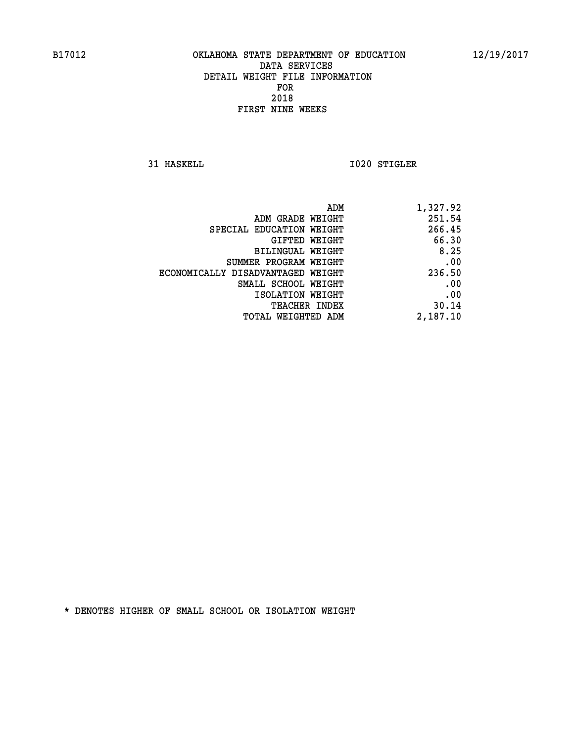**31 HASKELL 1020 STIGLER** 

| 1,327.92 |
|----------|
| 251.54   |
| 266.45   |
| 66.30    |
| 8.25     |
| .00      |
| 236.50   |
| .00      |
| .00      |
| 30.14    |
| 2,187.10 |
|          |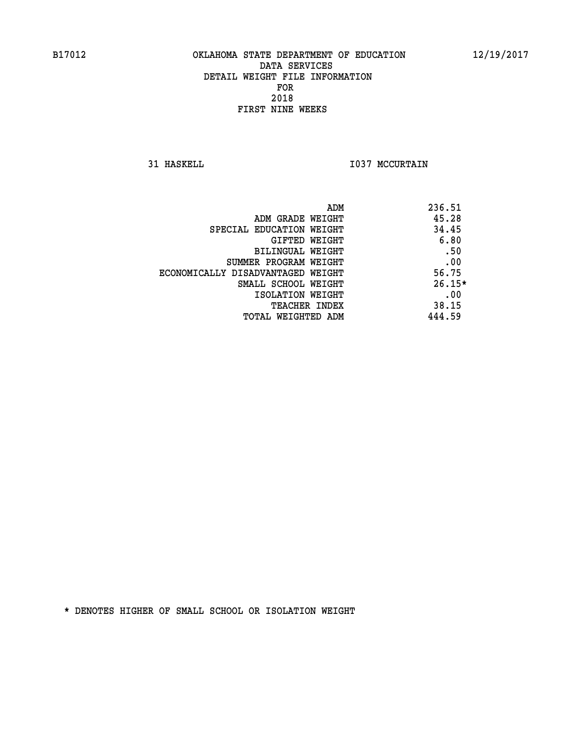**31 HASKELL TO37 MCCURTAIN** 

| ADM                               | 236.51   |
|-----------------------------------|----------|
| ADM GRADE WEIGHT                  | 45.28    |
| SPECIAL EDUCATION WEIGHT          | 34.45    |
| GIFTED WEIGHT                     | 6.80     |
| BILINGUAL WEIGHT                  | .50      |
| SUMMER PROGRAM WEIGHT             | .00      |
| ECONOMICALLY DISADVANTAGED WEIGHT | 56.75    |
| SMALL SCHOOL WEIGHT               | $26.15*$ |
| ISOLATION WEIGHT                  | .00      |
| TEACHER INDEX                     | 38.15    |
| TOTAL WEIGHTED ADM                | 444.59   |
|                                   |          |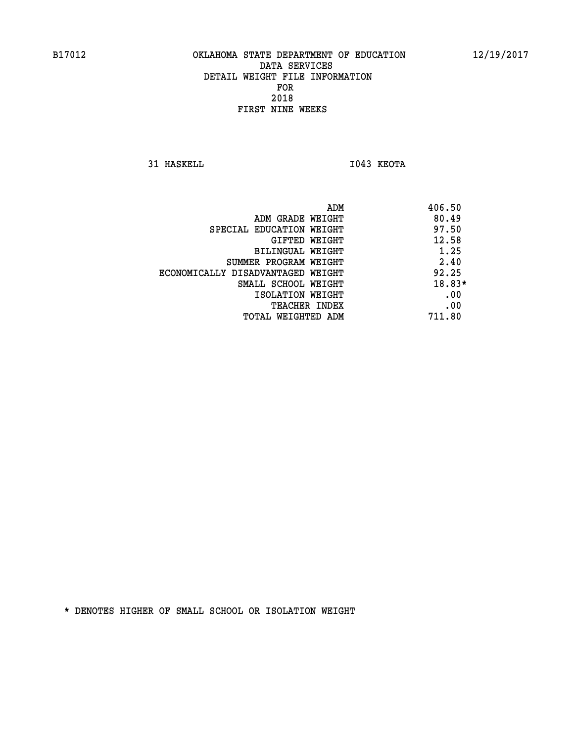**31 HASKELL IO43 KEOTA** 

| 406.50 |
|--------|
| 80.49  |
| 97.50  |
| 12.58  |
| 1.25   |
| 2.40   |
| 92.25  |
| 18.83* |
| .00    |
| .00    |
| 711.80 |
|        |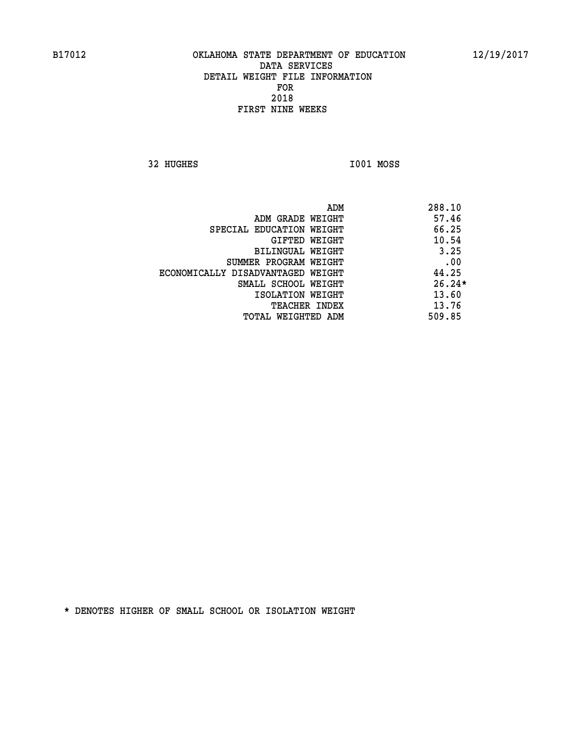**32 HUGHES I001 MOSS** 

 **ADM 288.10 EXAMPLE WEIGHT 46 ADM GRADE WEIGHT SPECIAL EDUCATION WEIGHT 66.25 GIFTED WEIGHT 40.54 BILINGUAL WEIGHT** 3.25 **SUMMER PROGRAM WEIGHT .00 ECONOMICALLY DISADVANTAGED WEIGHT 44.25 SMALL SCHOOL WEIGHT 26.24\* 13.60** ISOLATION WEIGHT **13.60 TEACHER INDEX** 13.76  **TOTAL WEIGHTED ADM 509.85**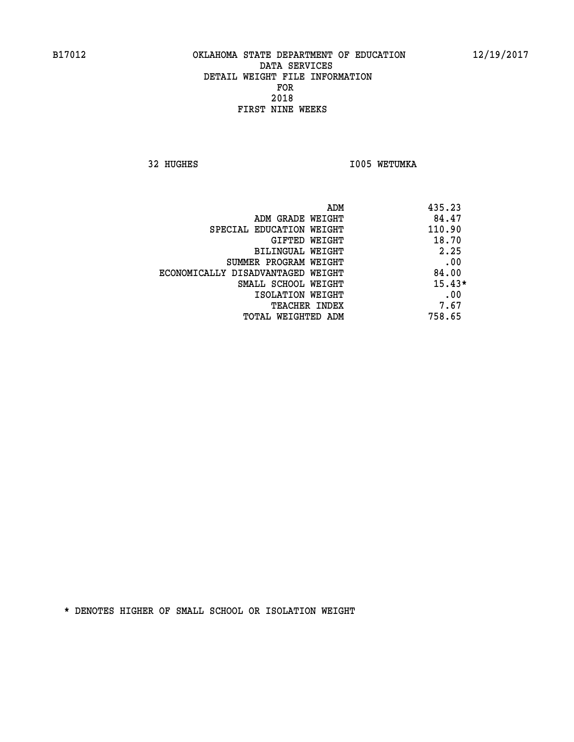**32 HUGHES 1005 WETUMKA** 

| ADM                               | 435.23   |
|-----------------------------------|----------|
| ADM GRADE WEIGHT                  | 84.47    |
| SPECIAL EDUCATION WEIGHT          | 110.90   |
| GIFTED WEIGHT                     | 18.70    |
| BILINGUAL WEIGHT                  | 2.25     |
| SUMMER PROGRAM WEIGHT             | .00      |
| ECONOMICALLY DISADVANTAGED WEIGHT | 84.00    |
| SMALL SCHOOL WEIGHT               | $15.43*$ |
| ISOLATION WEIGHT                  | .00      |
| <b>TEACHER INDEX</b>              | 7.67     |
| TOTAL WEIGHTED ADM                | 758.65   |
|                                   |          |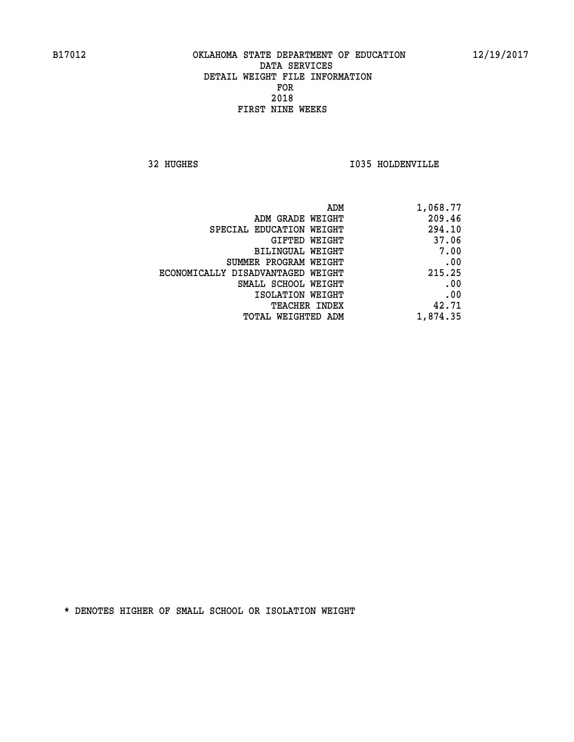**32 HUGHES I035 HOLDENVILLE** 

| 1,068.77 |
|----------|
| 209.46   |
| 294.10   |
| 37.06    |
| 7.00     |
| .00      |
| 215.25   |
| .00      |
| .00      |
| 42.71    |
| 1,874.35 |
|          |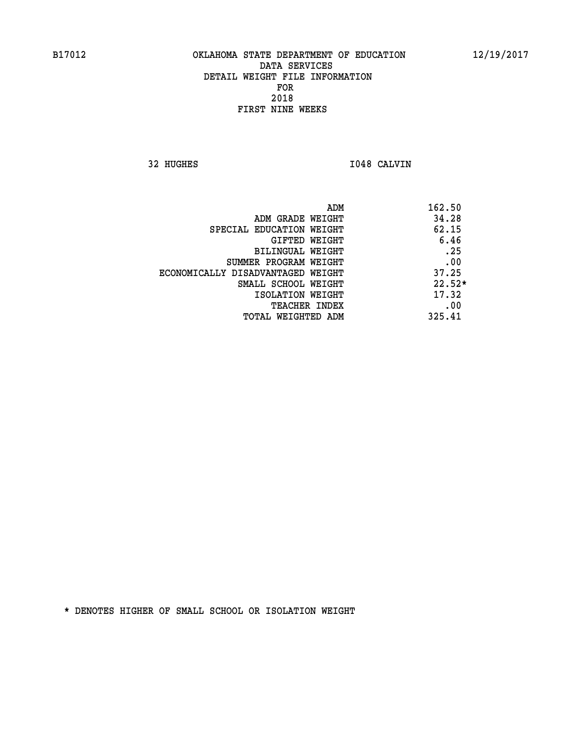**32 HUGHES I048 CALVIN** 

| 162.50   |
|----------|
| 34.28    |
| 62.15    |
| 6.46     |
| .25      |
| .00      |
| 37.25    |
| $22.52*$ |
| 17.32    |
| .00      |
| 325.41   |
|          |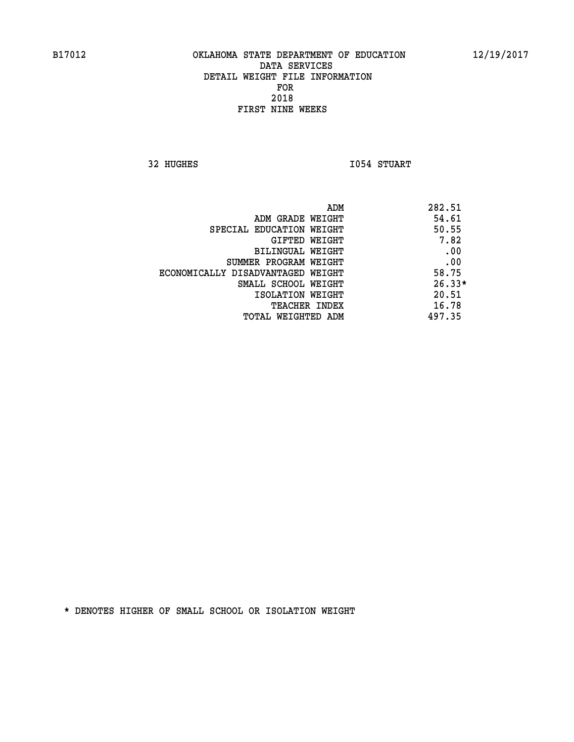**32 HUGHES 1054 STUART** 

| ADM                               | 282.51   |
|-----------------------------------|----------|
| ADM GRADE WEIGHT                  | 54.61    |
| SPECIAL EDUCATION WEIGHT          | 50.55    |
| GIFTED WEIGHT                     | 7.82     |
| BILINGUAL WEIGHT                  | .00      |
| SUMMER PROGRAM WEIGHT             | .00      |
| ECONOMICALLY DISADVANTAGED WEIGHT | 58.75    |
| SMALL SCHOOL WEIGHT               | $26.33*$ |
| ISOLATION WEIGHT                  | 20.51    |
| TEACHER INDEX                     | 16.78    |
| TOTAL WEIGHTED ADM                | 497.35   |
|                                   |          |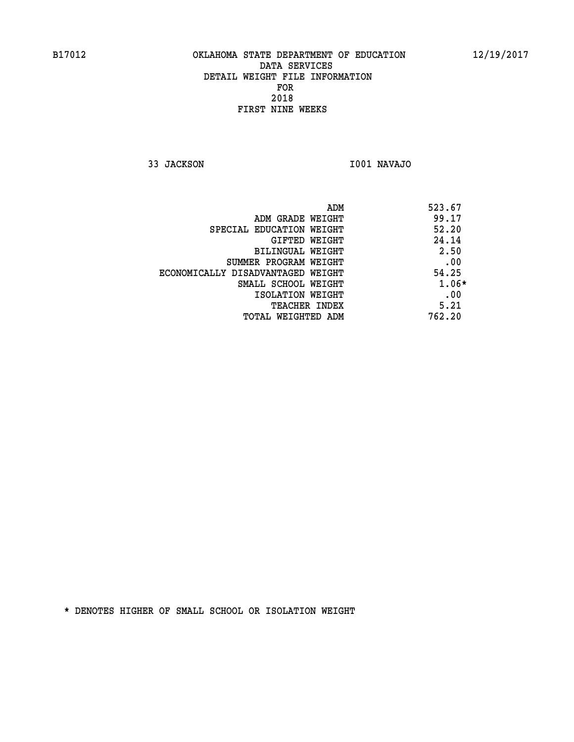**33 JACKSON I001 NAVAJO** 

| ADM                               | 523.67 |
|-----------------------------------|--------|
| ADM GRADE WEIGHT                  | 99.17  |
| SPECIAL EDUCATION WEIGHT          | 52.20  |
| GIFTED WEIGHT                     | 24.14  |
| BILINGUAL WEIGHT                  | 2.50   |
| SUMMER PROGRAM WEIGHT             | .00    |
| ECONOMICALLY DISADVANTAGED WEIGHT | 54.25  |
| SMALL SCHOOL WEIGHT               | 1.06*  |
| ISOLATION WEIGHT                  | .00    |
| <b>TEACHER INDEX</b>              | 5.21   |
| TOTAL WEIGHTED ADM                | 762.20 |
|                                   |        |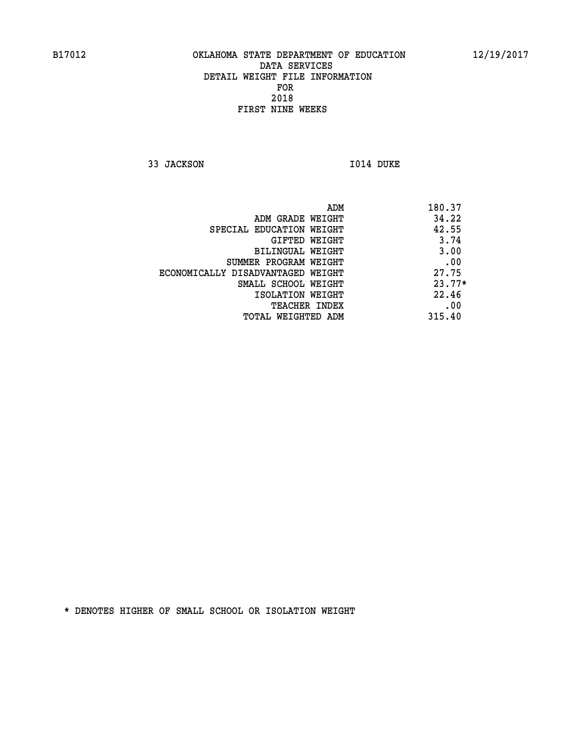**33 JACKSON I014 DUKE** 

 **ADM 180.37 ADM GRADE WEIGHT 34.22 SPECIAL EDUCATION WEIGHT 42.55 GIFTED WEIGHT** 3.74 **BILINGUAL WEIGHT 3.00 SUMMER PROGRAM WEIGHT .00 ECONOMICALLY DISADVANTAGED WEIGHT 27.75 SMALL SCHOOL WEIGHT 23.77\* 1SOLATION WEIGHT 22.46 TEACHER INDEX** .00  **TOTAL WEIGHTED ADM 315.40**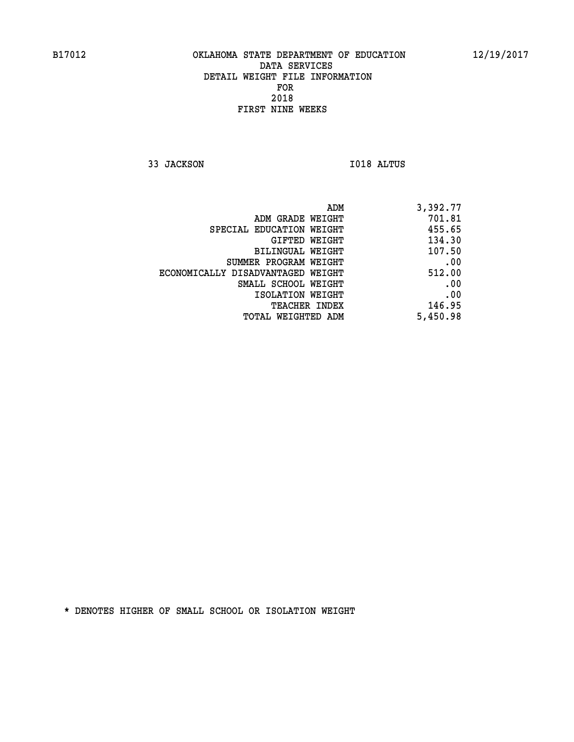**33 JACKSON I018 ALTUS** 

| 3,392.77 |
|----------|
| 701.81   |
| 455.65   |
| 134.30   |
| 107.50   |
| .00      |
| 512.00   |
| .00      |
| .00      |
| 146.95   |
| 5,450.98 |
|          |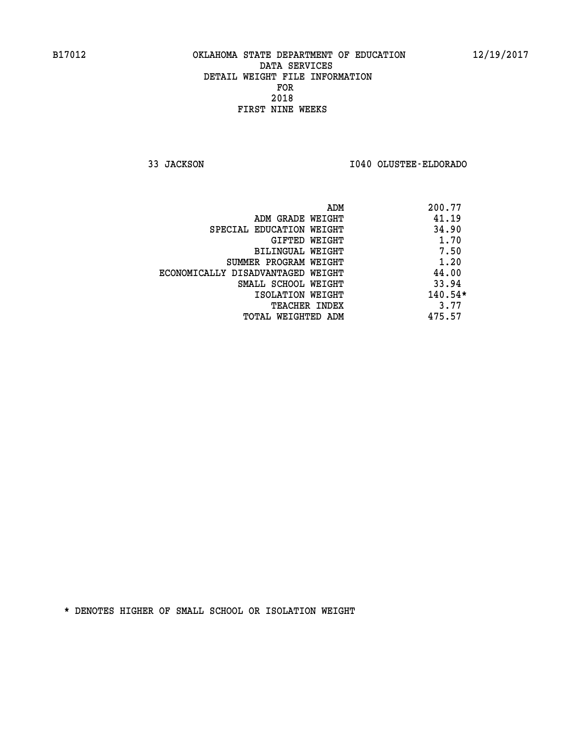**33 JACKSON I040 OLUSTEE-ELDORADO** 

| ADM                               | 200.77    |
|-----------------------------------|-----------|
| ADM GRADE WEIGHT                  | 41.19     |
| SPECIAL EDUCATION WEIGHT          | 34.90     |
| GIFTED WEIGHT                     | 1.70      |
| <b>BILINGUAL WEIGHT</b>           | 7.50      |
| SUMMER PROGRAM WEIGHT             | 1.20      |
| ECONOMICALLY DISADVANTAGED WEIGHT | 44.00     |
| SMALL SCHOOL WEIGHT               | 33.94     |
| ISOLATION WEIGHT                  | $140.54*$ |
| <b>TEACHER INDEX</b>              | 3.77      |
| TOTAL WEIGHTED ADM                | 475.57    |
|                                   |           |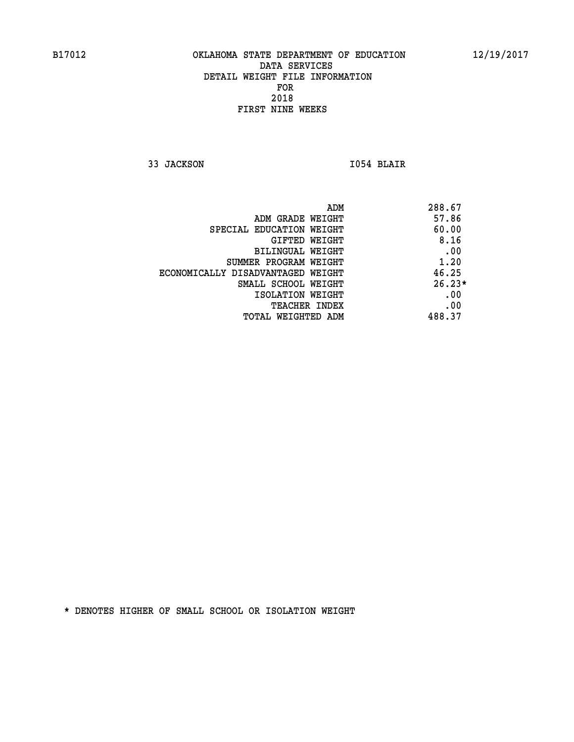**33 JACKSON I054 BLAIR** 

| ADM                               | 288.67   |
|-----------------------------------|----------|
| ADM GRADE WEIGHT                  | 57.86    |
| SPECIAL EDUCATION WEIGHT          | 60.00    |
| GIFTED WEIGHT                     | 8.16     |
| BILINGUAL WEIGHT                  | .00      |
| SUMMER PROGRAM WEIGHT             | 1.20     |
| ECONOMICALLY DISADVANTAGED WEIGHT | 46.25    |
| SMALL SCHOOL WEIGHT               | $26.23*$ |
| ISOLATION WEIGHT                  | .00      |
| <b>TEACHER INDEX</b>              | .00      |
| TOTAL WEIGHTED ADM                | 488.37   |
|                                   |          |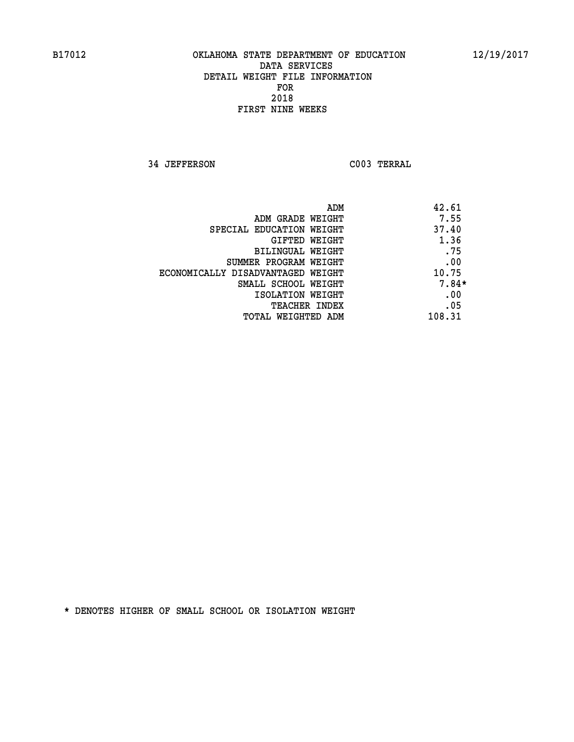**34 JEFFERSON C003 TERRAL** 

| 42.61<br>ADM                |                                   |
|-----------------------------|-----------------------------------|
| 7.55<br>ADM GRADE WEIGHT    |                                   |
| 37.40                       | SPECIAL EDUCATION WEIGHT          |
| 1.36<br>GIFTED WEIGHT       |                                   |
| .75<br>BILINGUAL WEIGHT     |                                   |
| .00                         | SUMMER PROGRAM WEIGHT             |
| 10.75                       | ECONOMICALLY DISADVANTAGED WEIGHT |
| $7.84*$                     | SMALL SCHOOL WEIGHT               |
| .00<br>ISOLATION WEIGHT     |                                   |
| .05<br><b>TEACHER INDEX</b> |                                   |
| 108.31                      | TOTAL WEIGHTED ADM                |
|                             |                                   |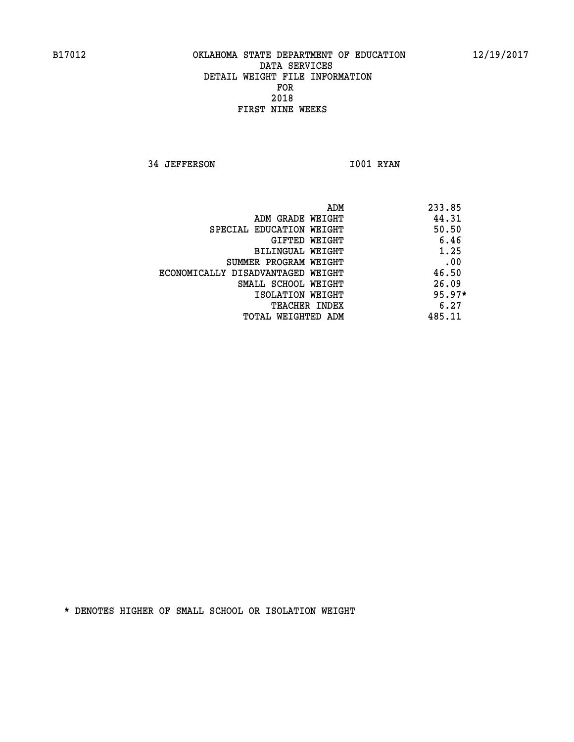**34 JEFFERSON 1001 RYAN** 

|                                   | 233.85<br>ADM |
|-----------------------------------|---------------|
| ADM GRADE WEIGHT                  | 44.31         |
| SPECIAL EDUCATION WEIGHT          | 50.50         |
| GIFTED WEIGHT                     | 6.46          |
| BILINGUAL WEIGHT                  | 1.25          |
| SUMMER PROGRAM WEIGHT             | .00           |
| ECONOMICALLY DISADVANTAGED WEIGHT | 46.50         |
| SMALL SCHOOL WEIGHT               | 26.09         |
| ISOLATION WEIGHT                  | $95.97*$      |
| <b>TEACHER INDEX</b>              | 6.27          |
| TOTAL WEIGHTED ADM                | 485.11        |
|                                   |               |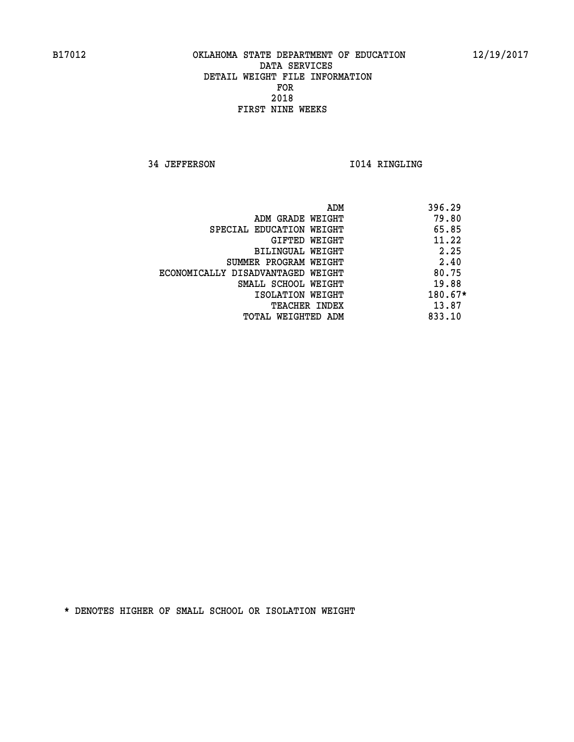**34 JEFFERSON 1014 RINGLING** 

|                                   | 396.29<br>ADM |
|-----------------------------------|---------------|
| ADM GRADE WEIGHT                  | 79.80         |
| SPECIAL EDUCATION WEIGHT          | 65.85         |
| GIFTED WEIGHT                     | 11.22         |
| BILINGUAL WEIGHT                  | 2.25          |
| SUMMER PROGRAM WEIGHT             | 2.40          |
| ECONOMICALLY DISADVANTAGED WEIGHT | 80.75         |
| SMALL SCHOOL WEIGHT               | 19.88         |
| ISOLATION WEIGHT                  | $180.67*$     |
| <b>TEACHER INDEX</b>              | 13.87         |
| TOTAL WEIGHTED ADM                | 833.10        |
|                                   |               |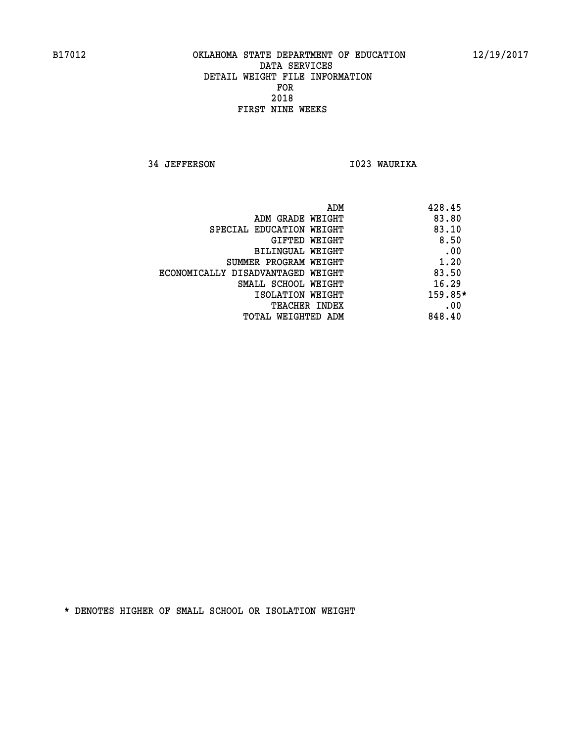**34 JEFFERSON I023 WAURIKA** 

| 428.45<br>ADM |                                   |
|---------------|-----------------------------------|
| 83.80         | ADM GRADE WEIGHT                  |
| 83.10         | SPECIAL EDUCATION WEIGHT          |
| 8.50          | GIFTED WEIGHT                     |
| .00           | <b>BILINGUAL WEIGHT</b>           |
| 1.20          | SUMMER PROGRAM WEIGHT             |
| 83.50         | ECONOMICALLY DISADVANTAGED WEIGHT |
| 16.29         | SMALL SCHOOL WEIGHT               |
| 159.85*       | ISOLATION WEIGHT                  |
| .00           | <b>TEACHER INDEX</b>              |
| 848.40        | TOTAL WEIGHTED ADM                |
|               |                                   |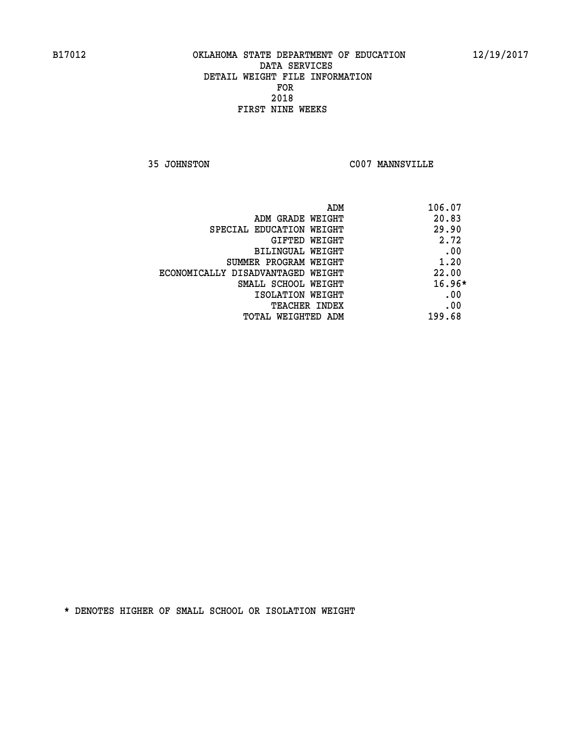**35 JOHNSTON C007 MANNSVILLE** 

| ADM<br>106.07 |                                   |
|---------------|-----------------------------------|
| 20.83         | ADM GRADE WEIGHT                  |
| 29.90         | SPECIAL EDUCATION WEIGHT          |
| 2.72          | <b>GIFTED WEIGHT</b>              |
| .00           | BILINGUAL WEIGHT                  |
| 1.20          | SUMMER PROGRAM WEIGHT             |
| 22.00         | ECONOMICALLY DISADVANTAGED WEIGHT |
| $16.96*$      | SMALL SCHOOL WEIGHT               |
| .00           | ISOLATION WEIGHT                  |
| .00           | <b>TEACHER INDEX</b>              |
| 199.68        | TOTAL WEIGHTED ADM                |
|               |                                   |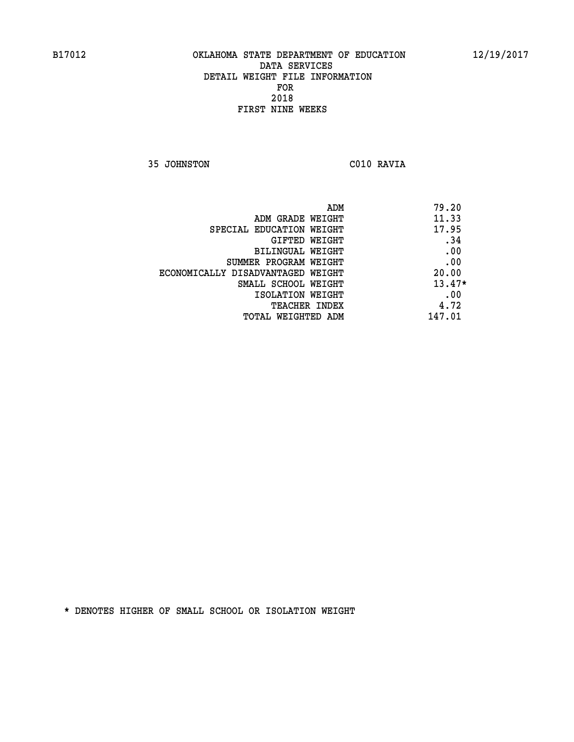**35 JOHNSTON C010 RAVIA** 

| 79.20    |
|----------|
| 11.33    |
| 17.95    |
| .34      |
| .00      |
| .00      |
| 20.00    |
| $13.47*$ |
| .00      |
| 4.72     |
| 147.01   |
|          |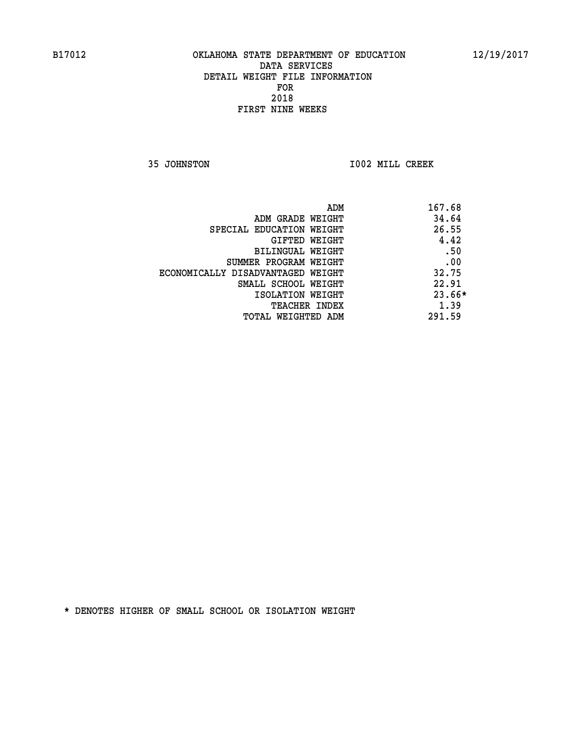**35 JOHNSTON I002 MILL CREEK** 

| 167.68<br>ADM                     |          |
|-----------------------------------|----------|
| ADM GRADE WEIGHT                  | 34.64    |
| SPECIAL EDUCATION WEIGHT          | 26.55    |
| GIFTED WEIGHT                     | 4.42     |
| BILINGUAL WEIGHT                  | .50      |
| SUMMER PROGRAM WEIGHT             | .00      |
| ECONOMICALLY DISADVANTAGED WEIGHT | 32.75    |
| SMALL SCHOOL WEIGHT               | 22.91    |
| ISOLATION WEIGHT                  | $23.66*$ |
| <b>TEACHER INDEX</b>              | 1.39     |
| 291.59<br>TOTAL WEIGHTED ADM      |          |
|                                   |          |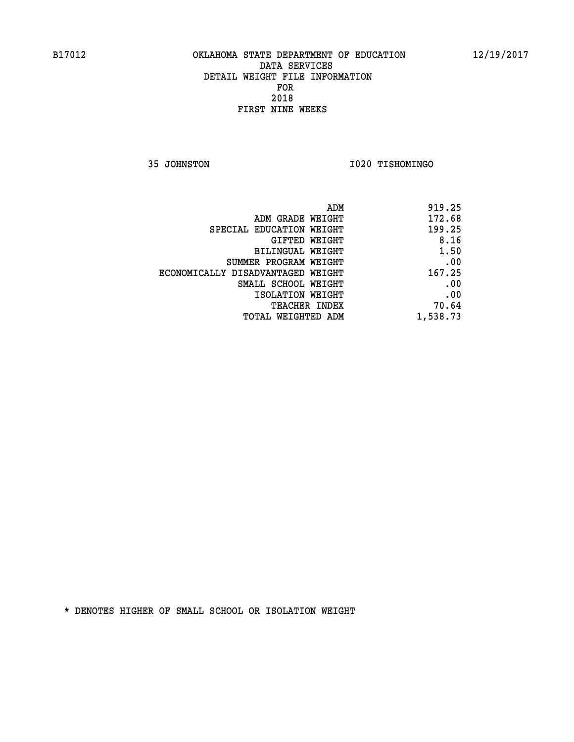**35 JOHNSTON I020 TISHOMINGO** 

|                                   | ADM<br>919.25 |  |
|-----------------------------------|---------------|--|
| ADM GRADE WEIGHT                  | 172.68        |  |
| SPECIAL EDUCATION WEIGHT          | 199.25        |  |
| GIFTED WEIGHT                     | 8.16          |  |
| <b>BILINGUAL WEIGHT</b>           | 1.50          |  |
| SUMMER PROGRAM WEIGHT             | .00           |  |
| ECONOMICALLY DISADVANTAGED WEIGHT | 167.25        |  |
| SMALL SCHOOL WEIGHT               | .00           |  |
| ISOLATION WEIGHT                  | .00           |  |
| TEACHER INDEX                     | 70.64         |  |
| TOTAL WEIGHTED ADM                | 1,538.73      |  |
|                                   |               |  |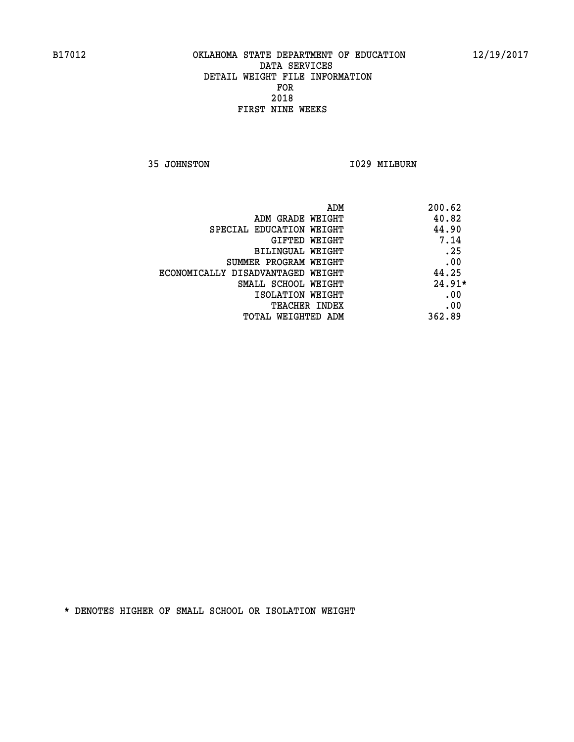**35 JOHNSTON 1029 MILBURN** 

|                                   | ADM<br>200.62 |
|-----------------------------------|---------------|
| ADM GRADE WEIGHT                  | 40.82         |
| SPECIAL EDUCATION WEIGHT          | 44.90         |
| <b>GIFTED WEIGHT</b>              | 7.14          |
| BILINGUAL WEIGHT                  | .25           |
| SUMMER PROGRAM WEIGHT             | .00           |
| ECONOMICALLY DISADVANTAGED WEIGHT | 44.25         |
| SMALL SCHOOL WEIGHT               | $24.91*$      |
| ISOLATION WEIGHT                  | .00           |
| <b>TEACHER INDEX</b>              | .00           |
| TOTAL WEIGHTED ADM                | 362.89        |
|                                   |               |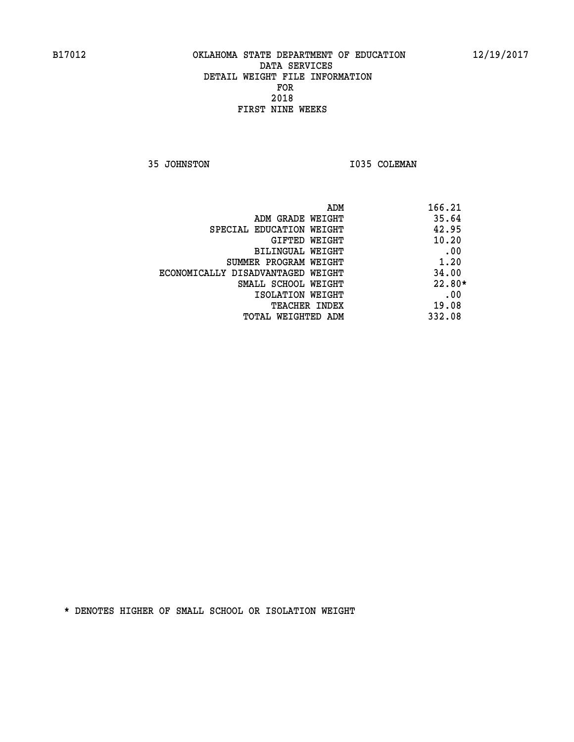**35 JOHNSTON 1035 COLEMAN** 

| ADM                               | 166.21   |
|-----------------------------------|----------|
| ADM GRADE WEIGHT                  | 35.64    |
| SPECIAL EDUCATION WEIGHT          | 42.95    |
| GIFTED WEIGHT                     | 10.20    |
| <b>BILINGUAL WEIGHT</b>           | .00      |
| SUMMER PROGRAM WEIGHT             | 1.20     |
| ECONOMICALLY DISADVANTAGED WEIGHT | 34.00    |
| SMALL SCHOOL WEIGHT               | $22.80*$ |
| ISOLATION WEIGHT                  | .00      |
| <b>TEACHER INDEX</b>              | 19.08    |
| TOTAL WEIGHTED ADM                | 332.08   |
|                                   |          |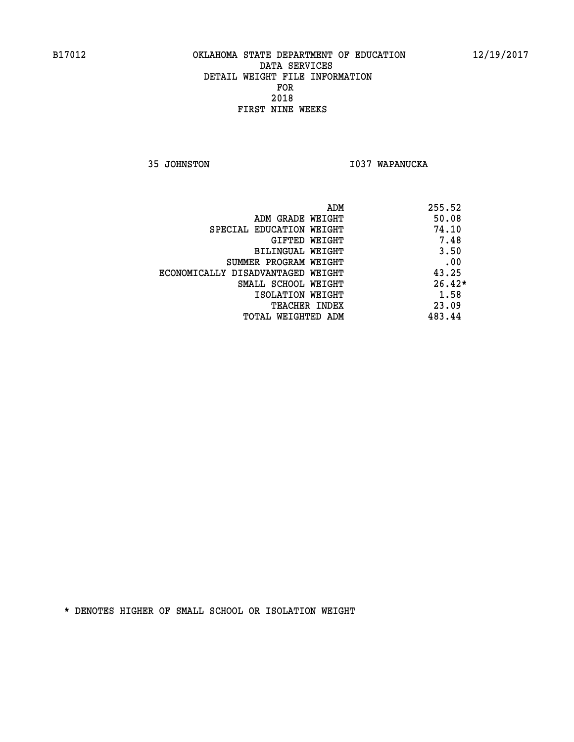**35 JOHNSTON I037 WAPANUCKA** 

|                                   | 255.52<br>ADM |
|-----------------------------------|---------------|
| ADM GRADE WEIGHT                  | 50.08         |
| SPECIAL EDUCATION WEIGHT          | 74.10         |
| GIFTED WEIGHT                     | 7.48          |
| <b>BILINGUAL WEIGHT</b>           | 3.50          |
| SUMMER PROGRAM WEIGHT             | .00           |
| ECONOMICALLY DISADVANTAGED WEIGHT | 43.25         |
| SMALL SCHOOL WEIGHT               | $26.42*$      |
| ISOLATION WEIGHT                  | 1.58          |
| <b>TEACHER INDEX</b>              | 23.09         |
| TOTAL WEIGHTED ADM                | 483.44        |
|                                   |               |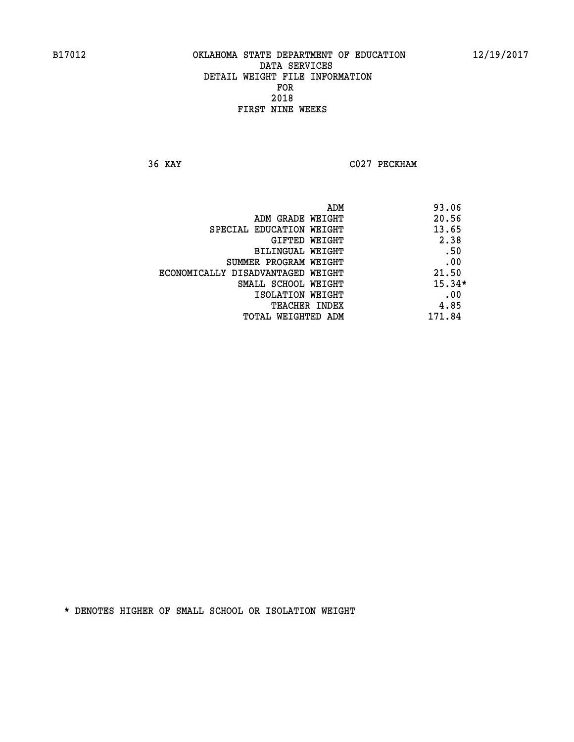**36 KAY C027 PECKHAM** 

|                                   | ADM | 93.06    |
|-----------------------------------|-----|----------|
| ADM GRADE WEIGHT                  |     | 20.56    |
| SPECIAL EDUCATION WEIGHT          |     | 13.65    |
| GIFTED WEIGHT                     |     | 2.38     |
| BILINGUAL WEIGHT                  |     | .50      |
| SUMMER PROGRAM WEIGHT             |     | .00      |
| ECONOMICALLY DISADVANTAGED WEIGHT |     | 21.50    |
| SMALL SCHOOL WEIGHT               |     | $15.34*$ |
| ISOLATION WEIGHT                  |     | .00      |
| TEACHER INDEX                     |     | 4.85     |
| TOTAL WEIGHTED ADM                |     | 171.84   |
|                                   |     |          |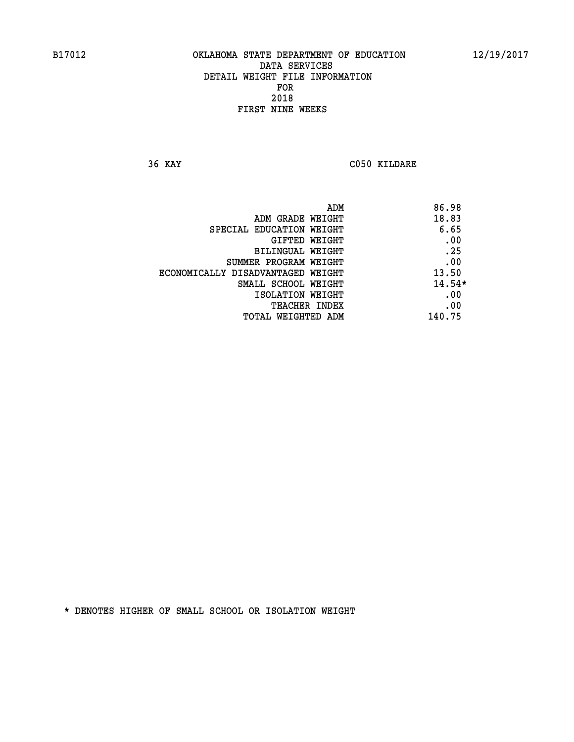**36 KAY C050 KILDARE** 

| ADM                               | 86.98    |
|-----------------------------------|----------|
| ADM GRADE WEIGHT                  | 18.83    |
| SPECIAL EDUCATION WEIGHT          | 6.65     |
| GIFTED WEIGHT                     | .00      |
| BILINGUAL WEIGHT                  | .25      |
| SUMMER PROGRAM WEIGHT             | .00      |
| ECONOMICALLY DISADVANTAGED WEIGHT | 13.50    |
| SMALL SCHOOL WEIGHT               | $14.54*$ |
| ISOLATION WEIGHT                  | .00      |
| <b>TEACHER INDEX</b>              | .00      |
| TOTAL WEIGHTED ADM                | 140.75   |
|                                   |          |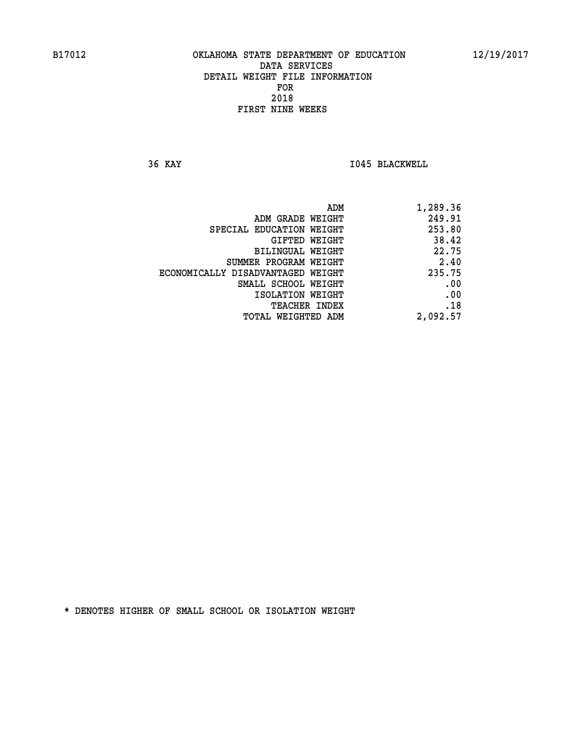**36 KAY I045 BLACKWELL** 

|                                   | 1,289.36<br>ADM |  |
|-----------------------------------|-----------------|--|
| ADM GRADE WEIGHT                  | 249.91          |  |
| SPECIAL EDUCATION WEIGHT          | 253.80          |  |
| GIFTED WEIGHT                     | 38.42           |  |
| BILINGUAL WEIGHT                  | 22.75           |  |
| SUMMER PROGRAM WEIGHT             | 2.40            |  |
| ECONOMICALLY DISADVANTAGED WEIGHT | 235.75          |  |
| SMALL SCHOOL WEIGHT               | .00             |  |
| ISOLATION WEIGHT                  | .00             |  |
| TEACHER INDEX                     | .18             |  |
| TOTAL WEIGHTED ADM                | 2,092.57        |  |
|                                   |                 |  |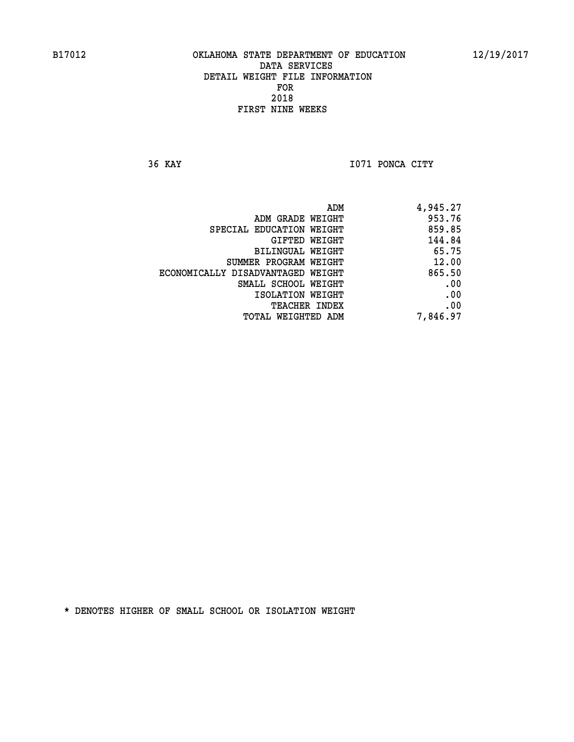**36 KAY I071 PONCA CITY** 

| 4,945.27 |
|----------|
| 953.76   |
| 859.85   |
| 144.84   |
| 65.75    |
| 12.00    |
| 865.50   |
| .00      |
| .00      |
| .00      |
| 7,846.97 |
|          |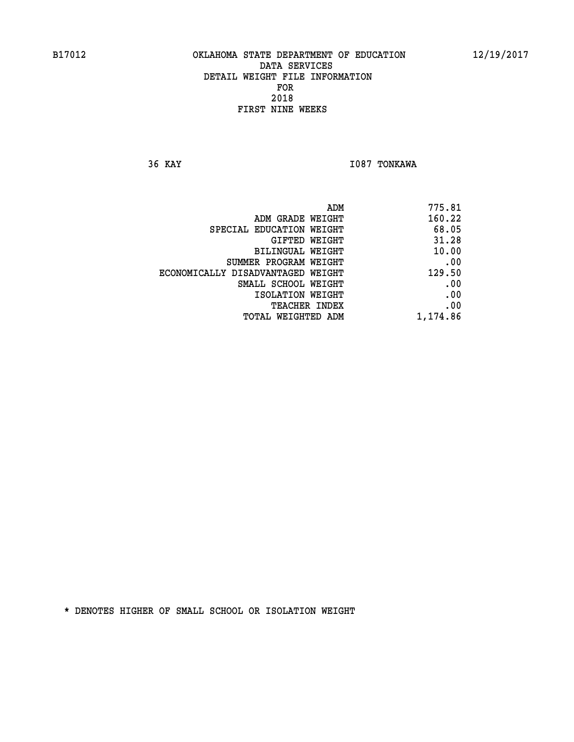**36 KAY I087 TONKAWA** 

|                                   | 775.81<br>ADM |  |
|-----------------------------------|---------------|--|
| ADM GRADE WEIGHT                  | 160.22        |  |
| SPECIAL EDUCATION WEIGHT          | 68.05         |  |
| GIFTED WEIGHT                     | 31.28         |  |
| BILINGUAL WEIGHT                  | 10.00         |  |
| SUMMER PROGRAM WEIGHT             | .00           |  |
| ECONOMICALLY DISADVANTAGED WEIGHT | 129.50        |  |
| SMALL SCHOOL WEIGHT               | .00           |  |
| ISOLATION WEIGHT                  | .00           |  |
| TEACHER INDEX                     | .00           |  |
| TOTAL WEIGHTED ADM                | 1,174.86      |  |
|                                   |               |  |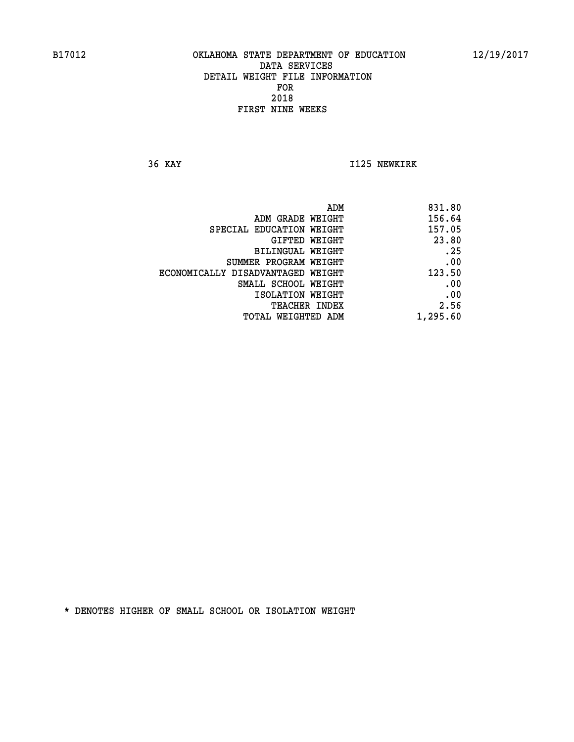**36 KAY I125 NEWKIRK** 

| 831.80   |
|----------|
| 156.64   |
| 157.05   |
| 23.80    |
| .25      |
| .00      |
| 123.50   |
| .00      |
| .00      |
| 2.56     |
| 1,295.60 |
|          |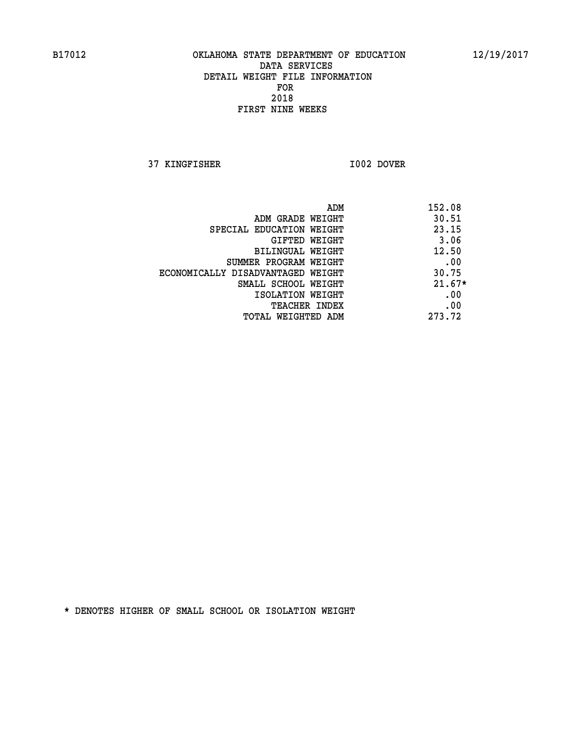**37 KINGFISHER I002 DOVER** 

| ADM                               | 152.08   |
|-----------------------------------|----------|
| ADM GRADE WEIGHT                  | 30.51    |
| SPECIAL EDUCATION WEIGHT          | 23.15    |
| GIFTED WEIGHT                     | 3.06     |
| BILINGUAL WEIGHT                  | 12.50    |
| SUMMER PROGRAM WEIGHT             | .00      |
| ECONOMICALLY DISADVANTAGED WEIGHT | 30.75    |
| SMALL SCHOOL WEIGHT               | $21.67*$ |
| ISOLATION WEIGHT                  | .00      |
| <b>TEACHER INDEX</b>              | .00      |
| TOTAL WEIGHTED ADM                | 273.72   |
|                                   |          |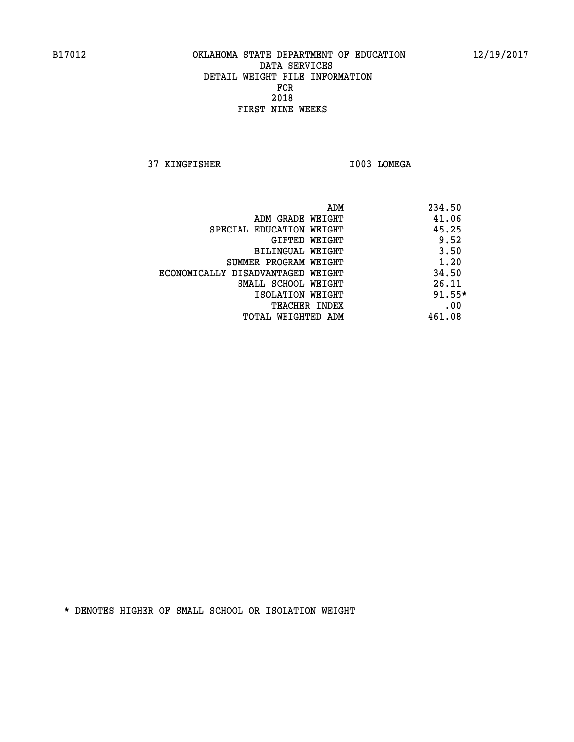**37 KINGFISHER I003 LOMEGA** 

|                                   | ADM<br>234.50 |  |
|-----------------------------------|---------------|--|
| ADM GRADE WEIGHT                  | 41.06         |  |
| SPECIAL EDUCATION WEIGHT          | 45.25         |  |
| GIFTED WEIGHT                     | 9.52          |  |
| BILINGUAL WEIGHT                  | 3.50          |  |
| SUMMER PROGRAM WEIGHT             | 1.20          |  |
| ECONOMICALLY DISADVANTAGED WEIGHT | 34.50         |  |
| SMALL SCHOOL WEIGHT               | 26.11         |  |
| ISOLATION WEIGHT                  | $91.55*$      |  |
| <b>TEACHER INDEX</b>              | .00           |  |
| TOTAL WEIGHTED ADM                | 461.08        |  |
|                                   |               |  |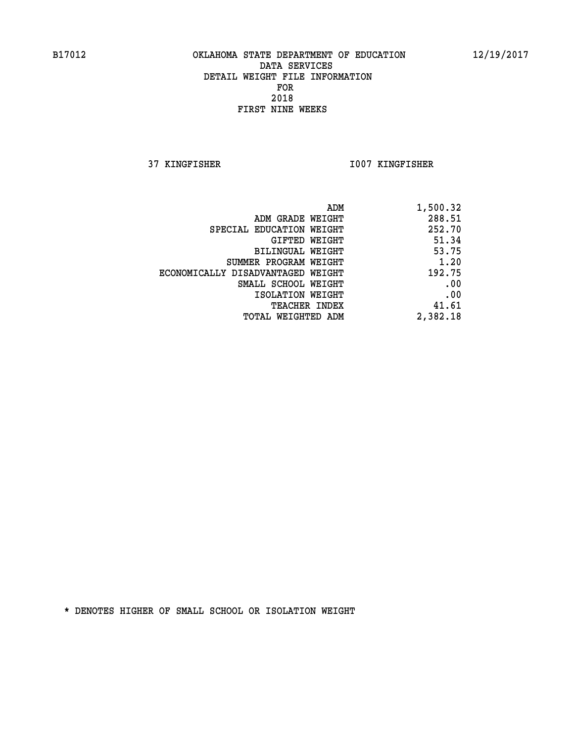**37 KINGFISHER I007 KINGFISHER** 

| ADM                               | 1,500.32 |
|-----------------------------------|----------|
| ADM GRADE WEIGHT                  | 288.51   |
| SPECIAL EDUCATION WEIGHT          | 252.70   |
| GIFTED WEIGHT                     | 51.34    |
| BILINGUAL WEIGHT                  | 53.75    |
| SUMMER PROGRAM WEIGHT             | 1.20     |
| ECONOMICALLY DISADVANTAGED WEIGHT | 192.75   |
| SMALL SCHOOL WEIGHT               | .00      |
| ISOLATION WEIGHT                  | .00      |
| TEACHER INDEX                     | 41.61    |
| TOTAL WEIGHTED ADM                | 2,382.18 |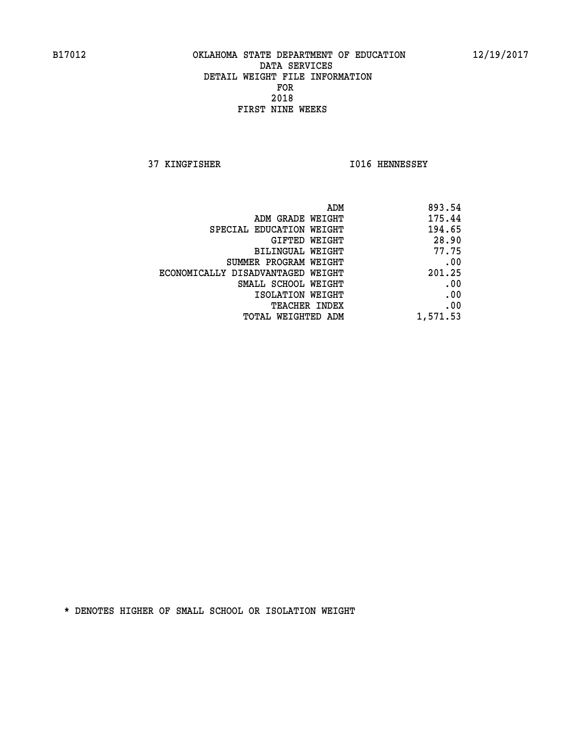**37 KINGFISHER I016 HENNESSEY** 

| ADM                               | 893.54   |
|-----------------------------------|----------|
| ADM GRADE WEIGHT                  | 175.44   |
| SPECIAL EDUCATION WEIGHT          | 194.65   |
| GIFTED WEIGHT                     | 28.90    |
| <b>BILINGUAL WEIGHT</b>           | 77.75    |
| SUMMER PROGRAM WEIGHT             | .00      |
| ECONOMICALLY DISADVANTAGED WEIGHT | 201.25   |
| SMALL SCHOOL WEIGHT               | .00      |
| ISOLATION WEIGHT                  | .00      |
| TEACHER INDEX                     | .00      |
| TOTAL WEIGHTED ADM                | 1,571.53 |
|                                   |          |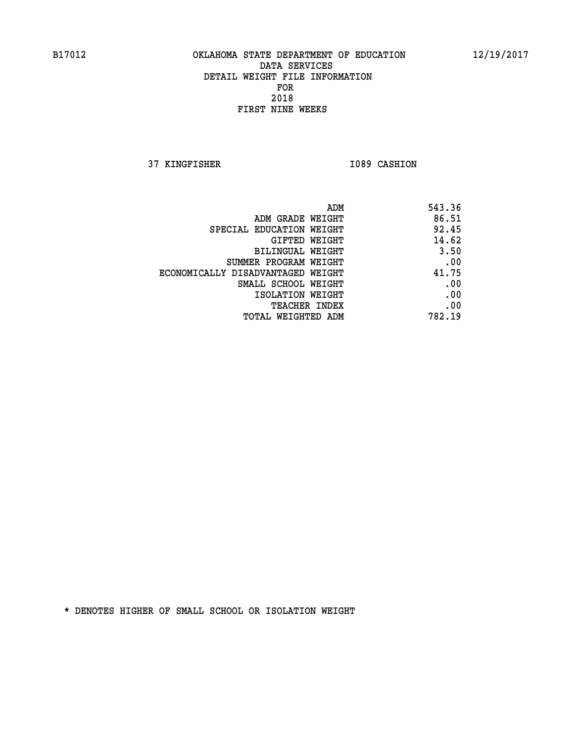**37 KINGFISHER I089 CASHION** 

|                                   | ADM<br>543.36 |
|-----------------------------------|---------------|
| ADM GRADE WEIGHT                  | 86.51         |
| SPECIAL EDUCATION WEIGHT          | 92.45         |
| <b>GIFTED WEIGHT</b>              | 14.62         |
| <b>BILINGUAL WEIGHT</b>           | 3.50          |
| SUMMER PROGRAM WEIGHT             | .00           |
| ECONOMICALLY DISADVANTAGED WEIGHT | 41.75         |
| SMALL SCHOOL WEIGHT               | .00           |
| ISOLATION WEIGHT                  | .00           |
| TEACHER INDEX                     | .00           |
| TOTAL WEIGHTED ADM                | 782.19        |
|                                   |               |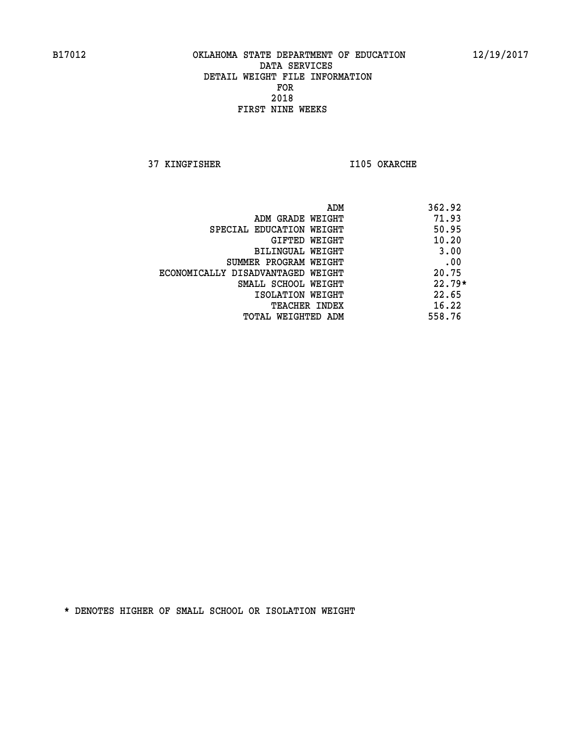**37 KINGFISHER I105 OKARCHE** 

| ADM                               | 362.92   |
|-----------------------------------|----------|
| ADM GRADE WEIGHT                  | 71.93    |
| SPECIAL EDUCATION WEIGHT          | 50.95    |
| GIFTED WEIGHT                     | 10.20    |
| BILINGUAL WEIGHT                  | 3.00     |
| SUMMER PROGRAM WEIGHT             | .00      |
| ECONOMICALLY DISADVANTAGED WEIGHT | 20.75    |
| SMALL SCHOOL WEIGHT               | $22.79*$ |
| ISOLATION WEIGHT                  | 22.65    |
| TEACHER INDEX                     | 16.22    |
| TOTAL WEIGHTED ADM                | 558.76   |
|                                   |          |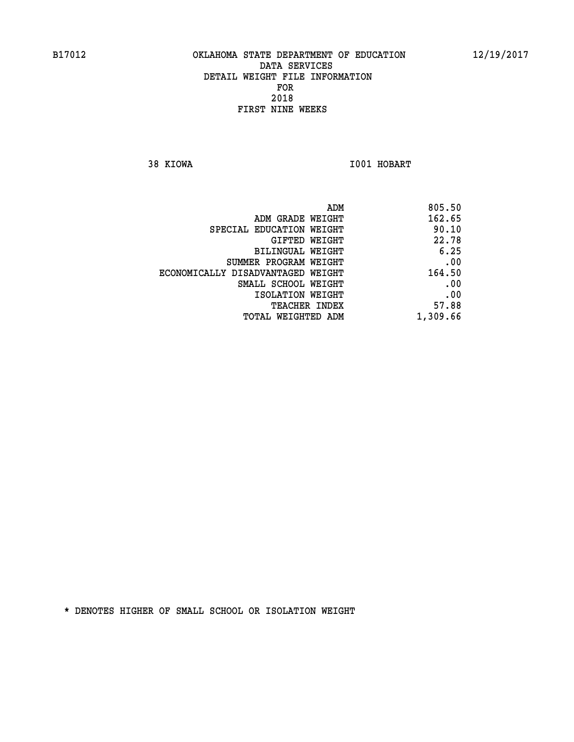**38 KIOWA I001 HOBART** 

| 805.50   |
|----------|
| 162.65   |
| 90.10    |
| 22.78    |
| 6.25     |
| .00      |
| 164.50   |
| .00      |
| .00      |
| 57.88    |
| 1,309.66 |
|          |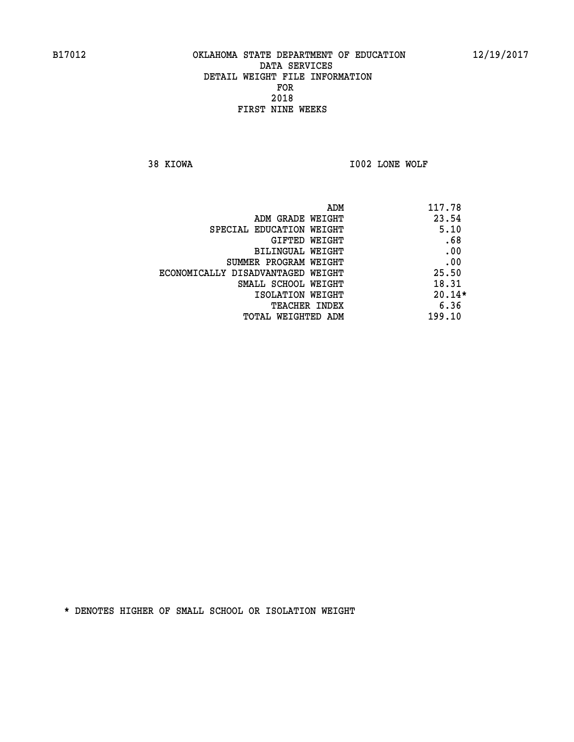**38 KIOWA I002 LONE WOLF** 

| ADM                               | 117.78   |
|-----------------------------------|----------|
| ADM GRADE WEIGHT                  | 23.54    |
| SPECIAL EDUCATION WEIGHT          | 5.10     |
| GIFTED WEIGHT                     | .68      |
| BILINGUAL WEIGHT                  | .00      |
| SUMMER PROGRAM WEIGHT             | .00      |
| ECONOMICALLY DISADVANTAGED WEIGHT | 25.50    |
| SMALL SCHOOL WEIGHT               | 18.31    |
| ISOLATION WEIGHT                  | $20.14*$ |
| <b>TEACHER INDEX</b>              | 6.36     |
| TOTAL WEIGHTED ADM                | 199.10   |
|                                   |          |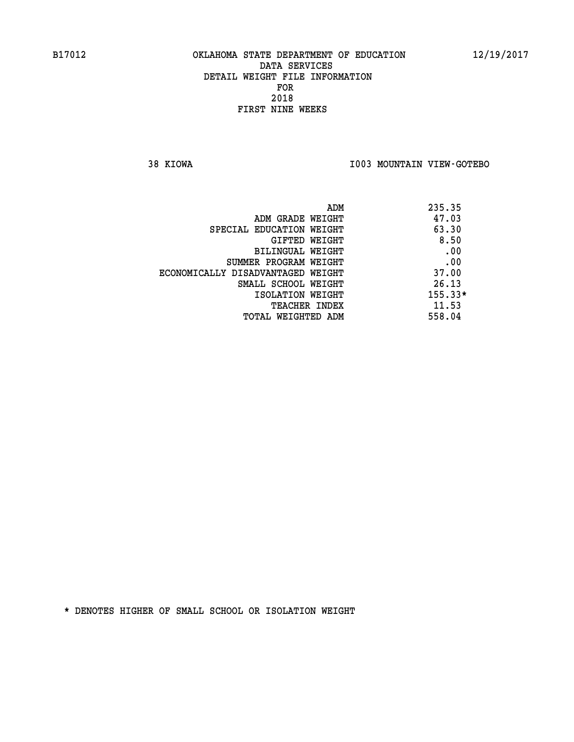**38 KIOWA I003 MOUNTAIN VIEW-GOTEBO** 

|                                   | ADM | 235.35    |
|-----------------------------------|-----|-----------|
| ADM GRADE WEIGHT                  |     | 47.03     |
| SPECIAL EDUCATION WEIGHT          |     | 63.30     |
| GIFTED WEIGHT                     |     | 8.50      |
| BILINGUAL WEIGHT                  |     | .00       |
| SUMMER PROGRAM WEIGHT             |     | .00       |
| ECONOMICALLY DISADVANTAGED WEIGHT |     | 37.00     |
| SMALL SCHOOL WEIGHT               |     | 26.13     |
| ISOLATION WEIGHT                  |     | $155.33*$ |
| <b>TEACHER INDEX</b>              |     | 11.53     |
| TOTAL WEIGHTED ADM                |     | 558.04    |
|                                   |     |           |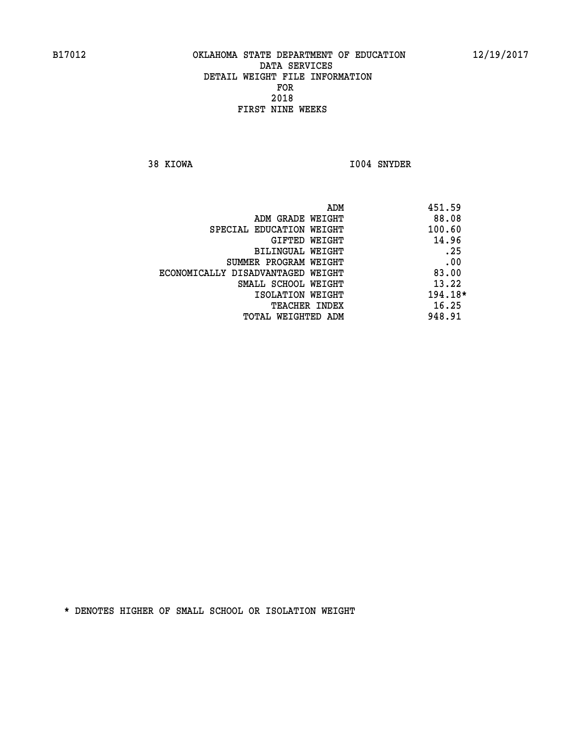**38 KIOWA I004 SNYDER** 

|                                   | ADM | 451.59  |
|-----------------------------------|-----|---------|
| ADM GRADE WEIGHT                  |     | 88.08   |
| SPECIAL EDUCATION WEIGHT          |     | 100.60  |
| GIFTED WEIGHT                     |     | 14.96   |
| BILINGUAL WEIGHT                  |     | .25     |
| SUMMER PROGRAM WEIGHT             |     | .00     |
| ECONOMICALLY DISADVANTAGED WEIGHT |     | 83.00   |
| SMALL SCHOOL WEIGHT               |     | 13.22   |
| ISOLATION WEIGHT                  |     | 194.18* |
| TEACHER INDEX                     |     | 16.25   |
| TOTAL WEIGHTED ADM                |     | 948.91  |
|                                   |     |         |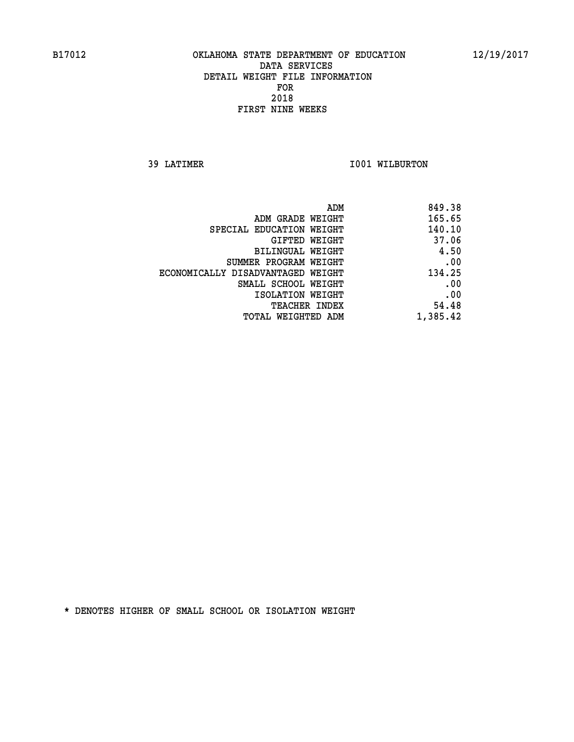**39 LATIMER 1001 WILBURTON** 

| 849.38   |
|----------|
| 165.65   |
| 140.10   |
| 37.06    |
| 4.50     |
| .00      |
| 134.25   |
| .00      |
| .00      |
| 54.48    |
| 1,385.42 |
|          |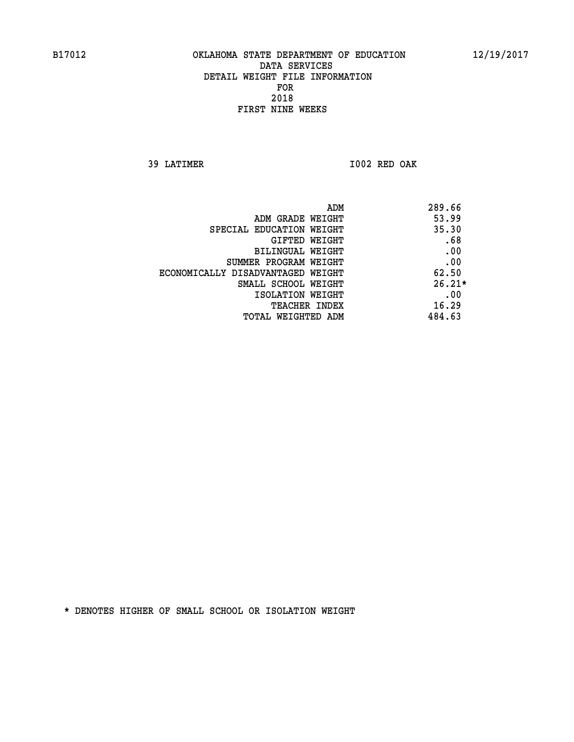**39 LATIMER I002 RED OAK** 

| ADM                               | 289.66   |
|-----------------------------------|----------|
| ADM GRADE WEIGHT                  | 53.99    |
| SPECIAL EDUCATION WEIGHT          | 35.30    |
| GIFTED WEIGHT                     | .68      |
| BILINGUAL WEIGHT                  | .00      |
| SUMMER PROGRAM WEIGHT             | .00      |
| ECONOMICALLY DISADVANTAGED WEIGHT | 62.50    |
| SMALL SCHOOL WEIGHT               | $26.21*$ |
| ISOLATION WEIGHT                  | .00      |
| <b>TEACHER INDEX</b>              | 16.29    |
| TOTAL WEIGHTED ADM                | 484.63   |
|                                   |          |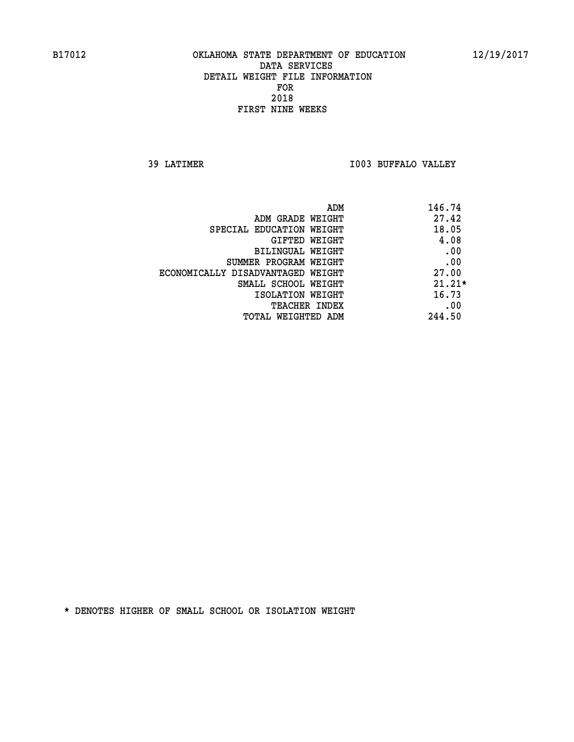**39 LATIMER I003 BUFFALO VALLEY** 

| 146.74<br>ADM                     |                                   |
|-----------------------------------|-----------------------------------|
| 27.42<br>ADM GRADE WEIGHT         |                                   |
| 18.05<br>SPECIAL EDUCATION WEIGHT |                                   |
| 4.08<br><b>GIFTED WEIGHT</b>      |                                   |
| .00<br>BILINGUAL WEIGHT           |                                   |
| .00<br>SUMMER PROGRAM WEIGHT      |                                   |
| 27.00                             | ECONOMICALLY DISADVANTAGED WEIGHT |
| $21.21*$<br>SMALL SCHOOL WEIGHT   |                                   |
| 16.73<br>ISOLATION WEIGHT         |                                   |
| .00<br><b>TEACHER INDEX</b>       |                                   |
| 244.50<br>TOTAL WEIGHTED ADM      |                                   |
|                                   |                                   |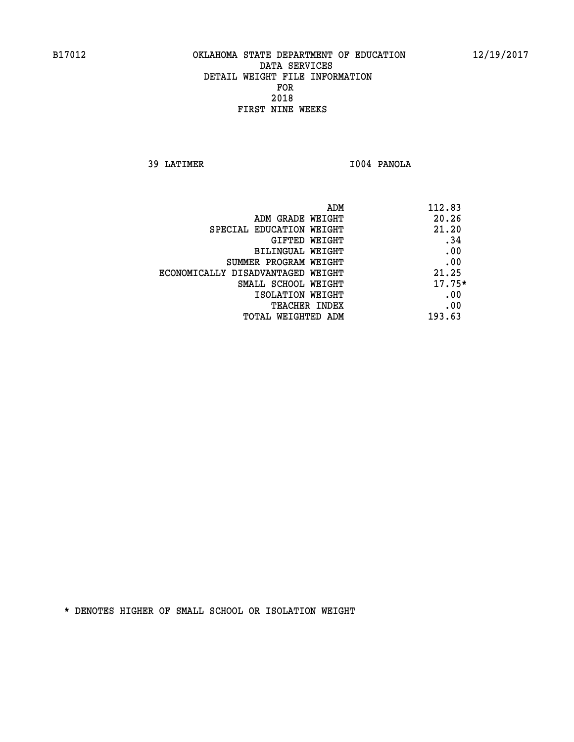**39 LATIMER I004 PANOLA** 

| ADM                               | 112.83   |
|-----------------------------------|----------|
| ADM GRADE WEIGHT                  | 20.26    |
| SPECIAL EDUCATION WEIGHT          | 21.20    |
| GIFTED WEIGHT                     | .34      |
| BILINGUAL WEIGHT                  | .00      |
| SUMMER PROGRAM WEIGHT             | .00      |
| ECONOMICALLY DISADVANTAGED WEIGHT | 21.25    |
| SMALL SCHOOL WEIGHT               | $17.75*$ |
| ISOLATION WEIGHT                  | .00      |
| TEACHER INDEX                     | .00      |
| TOTAL WEIGHTED ADM                | 193.63   |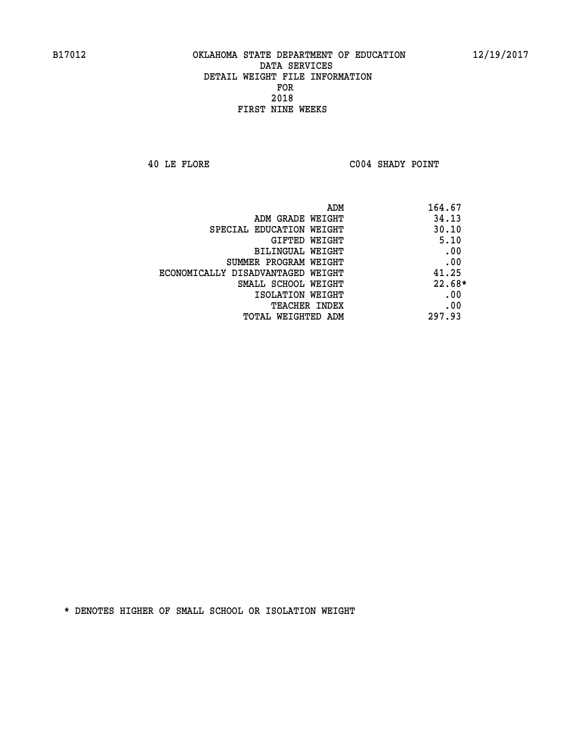**40 LE FLORE C004 SHADY POINT** 

| ADM                               | 164.67   |
|-----------------------------------|----------|
| ADM GRADE WEIGHT                  | 34.13    |
| SPECIAL EDUCATION WEIGHT          | 30.10    |
| GIFTED WEIGHT                     | 5.10     |
| BILINGUAL WEIGHT                  | .00      |
| SUMMER PROGRAM WEIGHT             | .00      |
| ECONOMICALLY DISADVANTAGED WEIGHT | 41.25    |
| SMALL SCHOOL WEIGHT               | $22.68*$ |
| ISOLATION WEIGHT                  | .00      |
| <b>TEACHER INDEX</b>              | .00      |
| TOTAL WEIGHTED ADM                | 297.93   |
|                                   |          |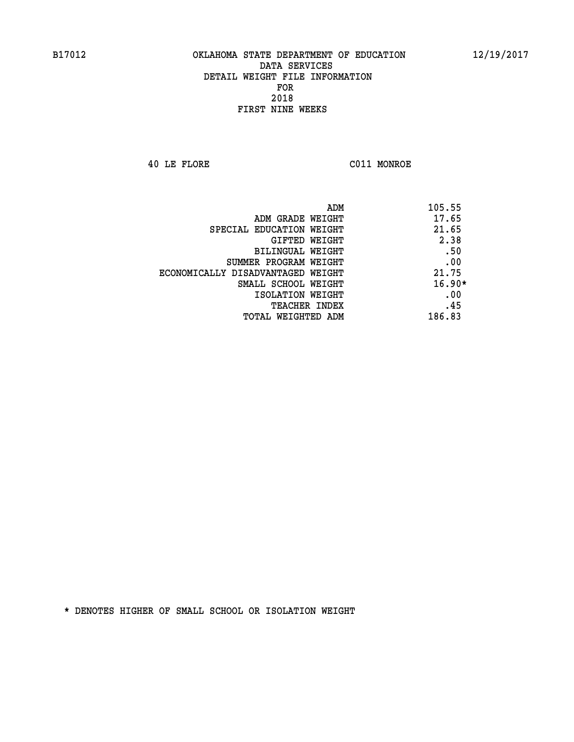**40 LE FLORE C011 MONROE** 

| 105.55   | ADM                               |
|----------|-----------------------------------|
| 17.65    | ADM GRADE WEIGHT                  |
| 21.65    | SPECIAL EDUCATION WEIGHT          |
| 2.38     | <b>GIFTED WEIGHT</b>              |
| .50      | BILINGUAL WEIGHT                  |
| .00      | SUMMER PROGRAM WEIGHT             |
| 21.75    | ECONOMICALLY DISADVANTAGED WEIGHT |
| $16.90*$ | SMALL SCHOOL WEIGHT               |
| .00      | ISOLATION WEIGHT                  |
| .45      | <b>TEACHER INDEX</b>              |
| 186.83   | TOTAL WEIGHTED ADM                |
|          |                                   |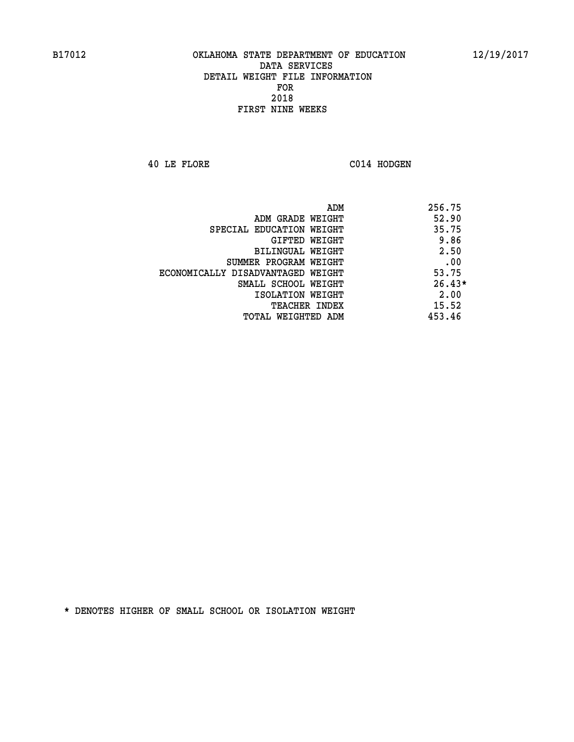**40 LE FLORE C014 HODGEN** 

|                                   | 256.75<br>ADM |
|-----------------------------------|---------------|
| ADM GRADE WEIGHT                  | 52.90         |
| SPECIAL EDUCATION WEIGHT          | 35.75         |
| GIFTED WEIGHT                     | 9.86          |
| <b>BILINGUAL WEIGHT</b>           | 2.50          |
| SUMMER PROGRAM WEIGHT             | .00           |
| ECONOMICALLY DISADVANTAGED WEIGHT | 53.75         |
| SMALL SCHOOL WEIGHT               | $26.43*$      |
| ISOLATION WEIGHT                  | 2.00          |
| <b>TEACHER INDEX</b>              | 15.52         |
| TOTAL WEIGHTED ADM                | 453.46        |
|                                   |               |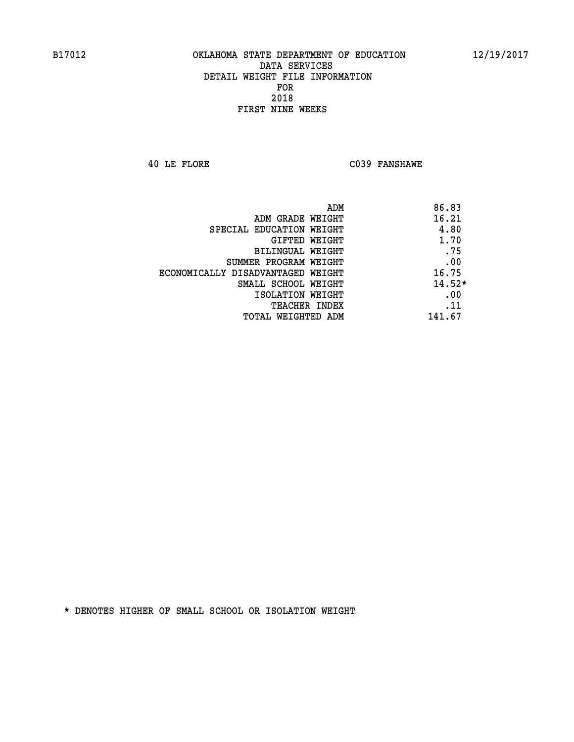**40 LE FLORE C039 FANSHAWE** 

| ADM                               | 86.83    |
|-----------------------------------|----------|
| ADM GRADE WEIGHT                  | 16.21    |
| SPECIAL EDUCATION WEIGHT          | 4.80     |
| GIFTED WEIGHT                     | 1.70     |
| <b>BILINGUAL WEIGHT</b>           | .75      |
| SUMMER PROGRAM WEIGHT             | .00      |
| ECONOMICALLY DISADVANTAGED WEIGHT | 16.75    |
| SMALL SCHOOL WEIGHT               | $14.52*$ |
| ISOLATION WEIGHT                  | .00      |
| <b>TEACHER INDEX</b>              | .11      |
| TOTAL WEIGHTED ADM                | 141.67   |
|                                   |          |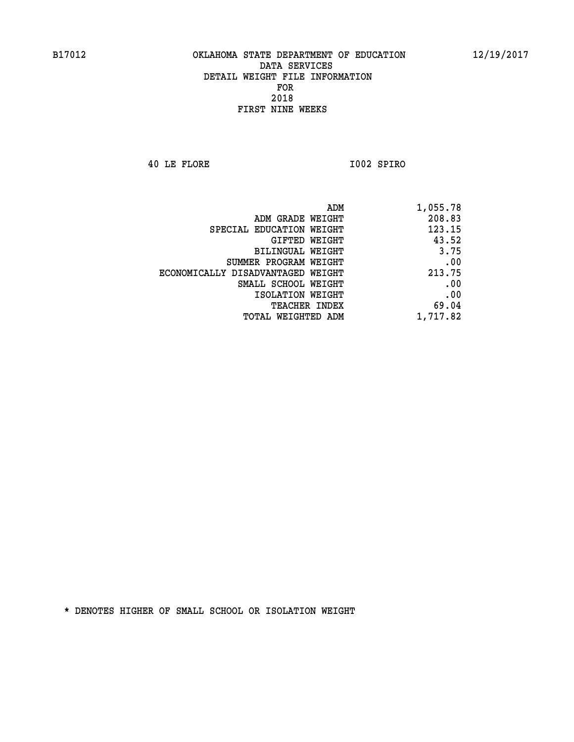**40 LE FLORE I002 SPIRO** 

| 1,055.78 |
|----------|
| 208.83   |
| 123.15   |
| 43.52    |
| 3.75     |
| .00      |
| 213.75   |
| .00      |
| .00      |
| 69.04    |
| 1,717.82 |
|          |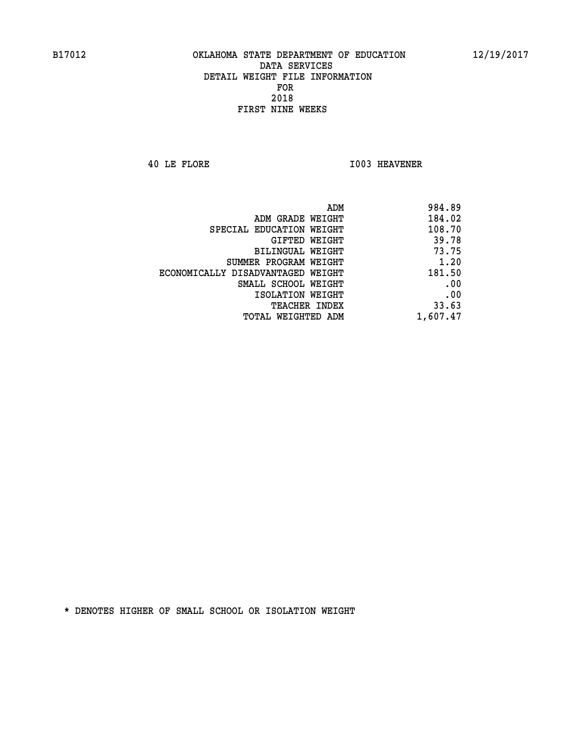**40 LE FLORE I003 HEAVENER** 

| 984.89<br>ADM                               |
|---------------------------------------------|
| 184.02<br>ADM GRADE WEIGHT                  |
| 108.70<br>SPECIAL EDUCATION WEIGHT          |
| 39.78<br>GIFTED WEIGHT                      |
| 73.75<br>BILINGUAL WEIGHT                   |
| 1.20<br>SUMMER PROGRAM WEIGHT               |
| 181.50<br>ECONOMICALLY DISADVANTAGED WEIGHT |
| .00<br>SMALL SCHOOL WEIGHT                  |
| .00<br>ISOLATION WEIGHT                     |
| 33.63<br>TEACHER INDEX                      |
| 1,607.47<br>TOTAL WEIGHTED ADM              |
|                                             |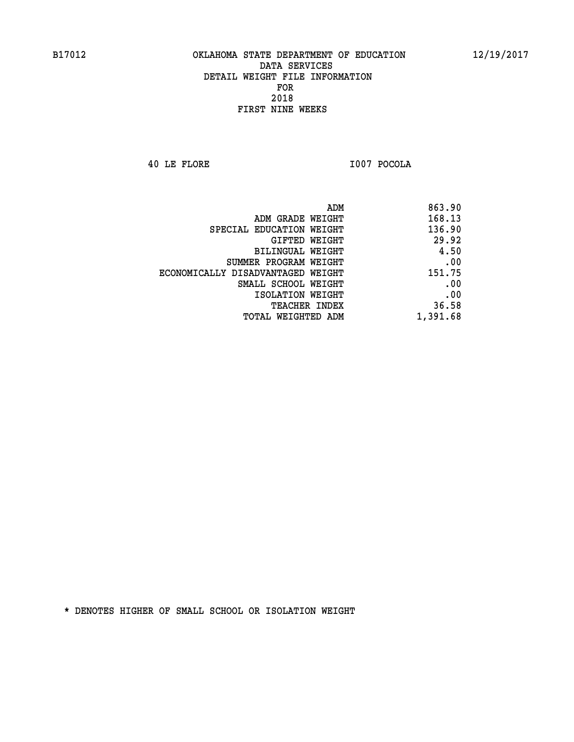**40 LE FLORE I007 POCOLA** 

| 863.90   |
|----------|
| 168.13   |
| 136.90   |
| 29.92    |
| 4.50     |
| .00      |
| 151.75   |
| .00      |
| .00      |
| 36.58    |
| 1,391.68 |
|          |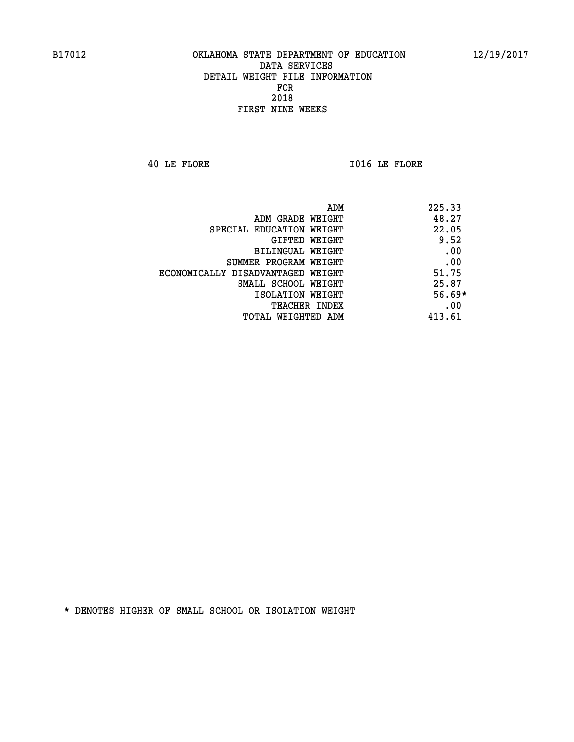**40 LE FLORE I016 LE FLORE** 

|                                   | 225.33<br>ADM |  |
|-----------------------------------|---------------|--|
| ADM GRADE WEIGHT                  | 48.27         |  |
| SPECIAL EDUCATION WEIGHT          | 22.05         |  |
| GIFTED WEIGHT                     | 9.52          |  |
| BILINGUAL WEIGHT                  | .00           |  |
| SUMMER PROGRAM WEIGHT             | .00           |  |
| ECONOMICALLY DISADVANTAGED WEIGHT | 51.75         |  |
| SMALL SCHOOL WEIGHT               | 25.87         |  |
| ISOLATION WEIGHT                  | $56.69*$      |  |
| TEACHER INDEX                     | .00           |  |
| TOTAL WEIGHTED ADM                | 413.61        |  |
|                                   |               |  |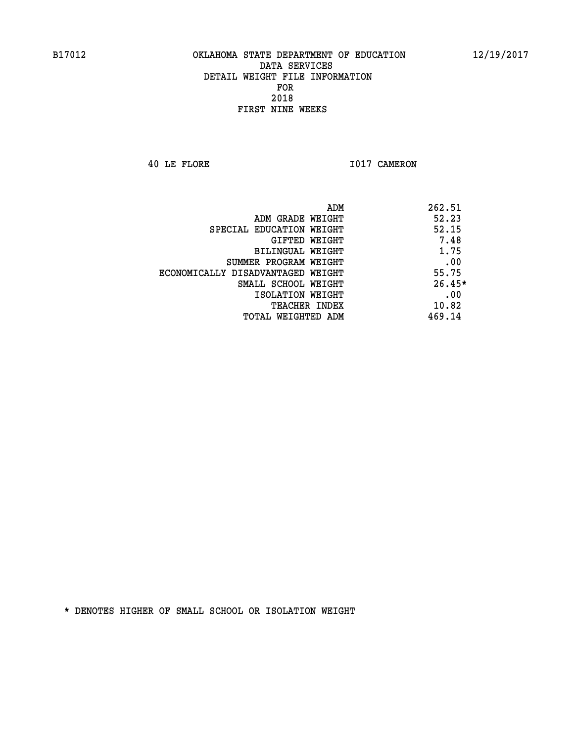**40 LE FLORE 1017 CAMERON** 

|                                   | ADM<br>262.51 |          |
|-----------------------------------|---------------|----------|
| ADM GRADE WEIGHT                  | 52.23         |          |
| SPECIAL EDUCATION WEIGHT          |               | 52.15    |
| GIFTED WEIGHT                     |               | 7.48     |
| BILINGUAL WEIGHT                  |               | 1.75     |
| SUMMER PROGRAM WEIGHT             |               | .00      |
| ECONOMICALLY DISADVANTAGED WEIGHT |               | 55.75    |
| SMALL SCHOOL WEIGHT               |               | $26.45*$ |
| ISOLATION WEIGHT                  |               | .00      |
| <b>TEACHER INDEX</b>              |               | 10.82    |
| TOTAL WEIGHTED ADM                | 469.14        |          |
|                                   |               |          |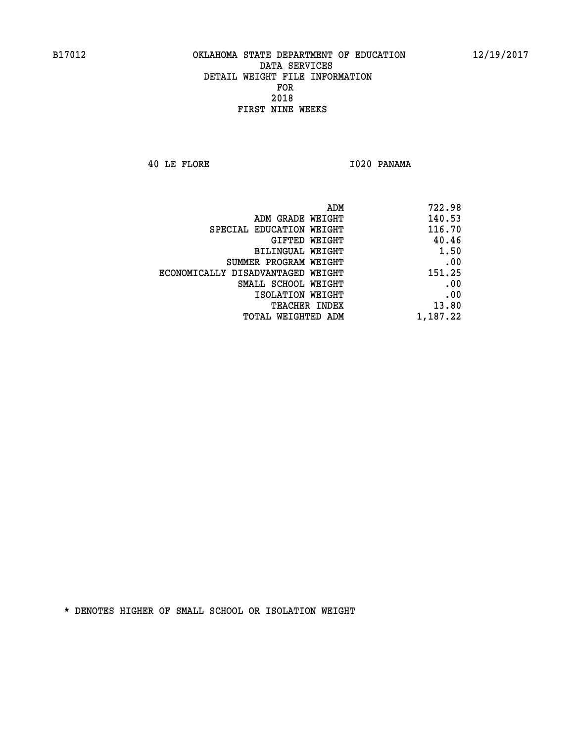**40 LE FLORE I020 PANAMA** 

| 722.98   |
|----------|
| 140.53   |
| 116.70   |
| 40.46    |
| 1.50     |
| .00      |
| 151.25   |
| .00      |
| .00      |
| 13.80    |
| 1,187.22 |
|          |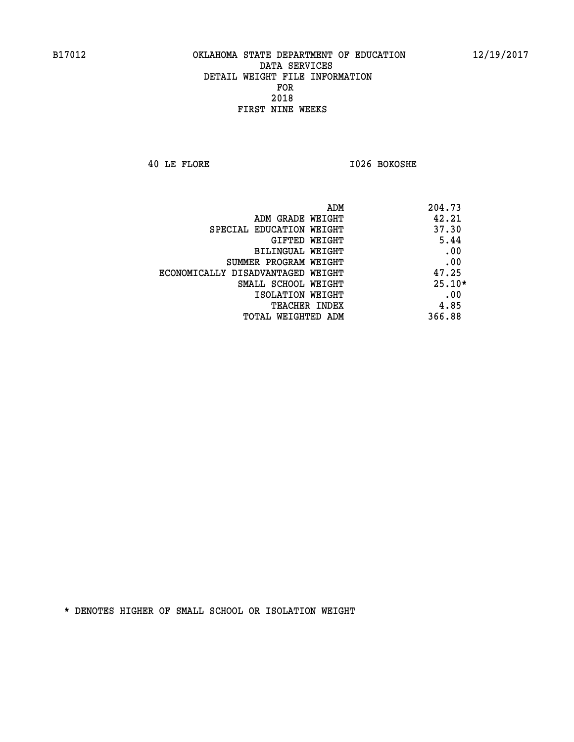**40 LE FLORE I026 BOKOSHE** 

| ADM                               | 204.73   |
|-----------------------------------|----------|
| ADM GRADE WEIGHT                  | 42.21    |
| SPECIAL EDUCATION WEIGHT          | 37.30    |
| GIFTED WEIGHT                     | 5.44     |
| BILINGUAL WEIGHT                  | .00      |
| SUMMER PROGRAM WEIGHT             | .00      |
| ECONOMICALLY DISADVANTAGED WEIGHT | 47.25    |
| SMALL SCHOOL WEIGHT               | $25.10*$ |
| ISOLATION WEIGHT                  | .00      |
| <b>TEACHER INDEX</b>              | 4.85     |
| TOTAL WEIGHTED ADM                | 366.88   |
|                                   |          |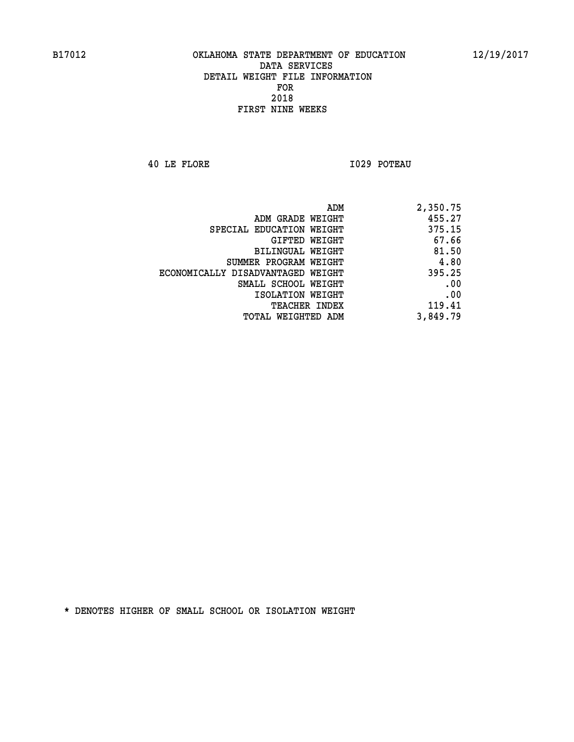**40 LE FLORE I029 POTEAU** 

| ADM                               | 2,350.75 |
|-----------------------------------|----------|
| ADM GRADE WEIGHT                  | 455.27   |
| SPECIAL EDUCATION WEIGHT          | 375.15   |
| GIFTED WEIGHT                     | 67.66    |
| BILINGUAL WEIGHT                  | 81.50    |
| SUMMER PROGRAM WEIGHT             | 4.80     |
| ECONOMICALLY DISADVANTAGED WEIGHT | 395.25   |
| SMALL SCHOOL WEIGHT               | .00      |
| ISOLATION WEIGHT                  | .00      |
| TEACHER INDEX                     | 119.41   |
| TOTAL WEIGHTED ADM                | 3,849.79 |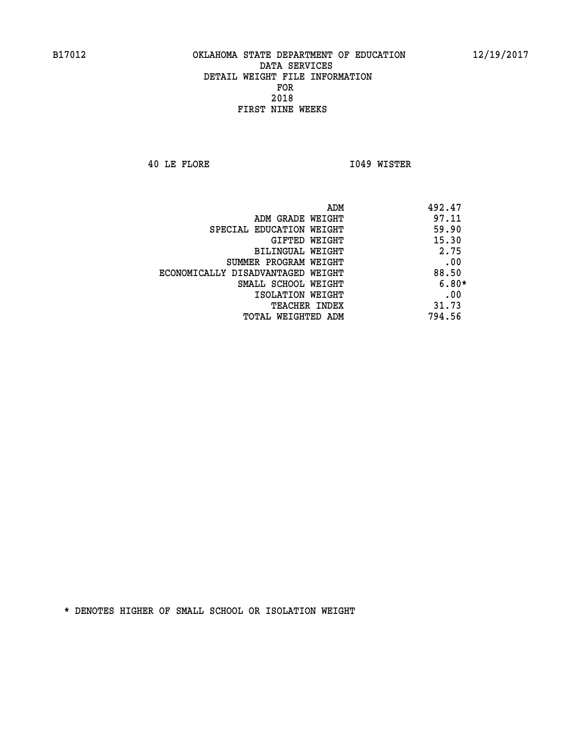**40 LE FLORE I049 WISTER** 

| ADM<br>492.47                              |  |  |
|--------------------------------------------|--|--|
| 97.11<br>ADM GRADE WEIGHT                  |  |  |
| 59.90<br>SPECIAL EDUCATION WEIGHT          |  |  |
| 15.30<br><b>GIFTED WEIGHT</b>              |  |  |
| 2.75<br>BILINGUAL WEIGHT                   |  |  |
| .00<br>SUMMER PROGRAM WEIGHT               |  |  |
| 88.50<br>ECONOMICALLY DISADVANTAGED WEIGHT |  |  |
| $6.80*$<br>SMALL SCHOOL WEIGHT             |  |  |
| .00<br>ISOLATION WEIGHT                    |  |  |
| 31.73<br><b>TEACHER INDEX</b>              |  |  |
| 794.56<br>TOTAL WEIGHTED ADM               |  |  |
|                                            |  |  |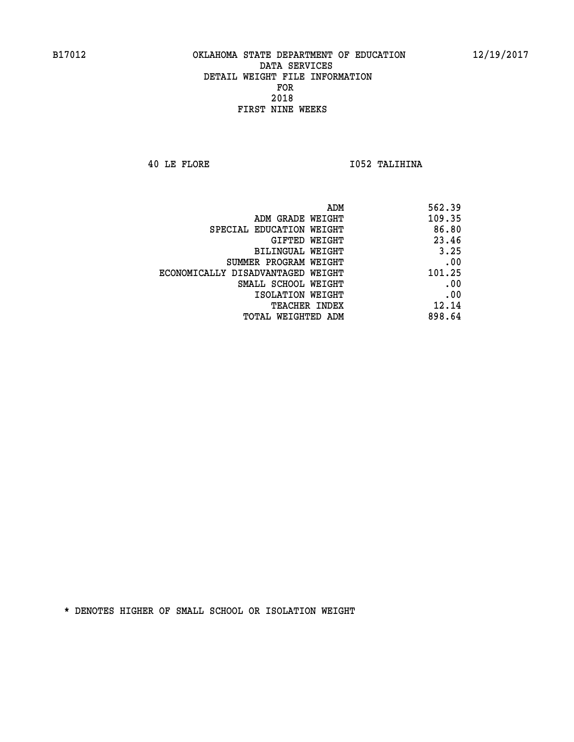**40 LE FLORE I052 TALIHINA** 

| 562.39                                                                                                                                                                                                                                          |
|-------------------------------------------------------------------------------------------------------------------------------------------------------------------------------------------------------------------------------------------------|
| 109.35                                                                                                                                                                                                                                          |
| 86.80                                                                                                                                                                                                                                           |
| 23.46                                                                                                                                                                                                                                           |
| 3.25                                                                                                                                                                                                                                            |
| .00                                                                                                                                                                                                                                             |
| 101.25                                                                                                                                                                                                                                          |
| .00                                                                                                                                                                                                                                             |
| .00                                                                                                                                                                                                                                             |
| 12.14                                                                                                                                                                                                                                           |
| 898.64                                                                                                                                                                                                                                          |
| ADM GRADE WEIGHT<br>SPECIAL EDUCATION WEIGHT<br>GIFTED WEIGHT<br><b>BILINGUAL WEIGHT</b><br>SUMMER PROGRAM WEIGHT<br>ECONOMICALLY DISADVANTAGED WEIGHT<br>SMALL SCHOOL WEIGHT<br>ISOLATION WEIGHT<br><b>TEACHER INDEX</b><br>TOTAL WEIGHTED ADM |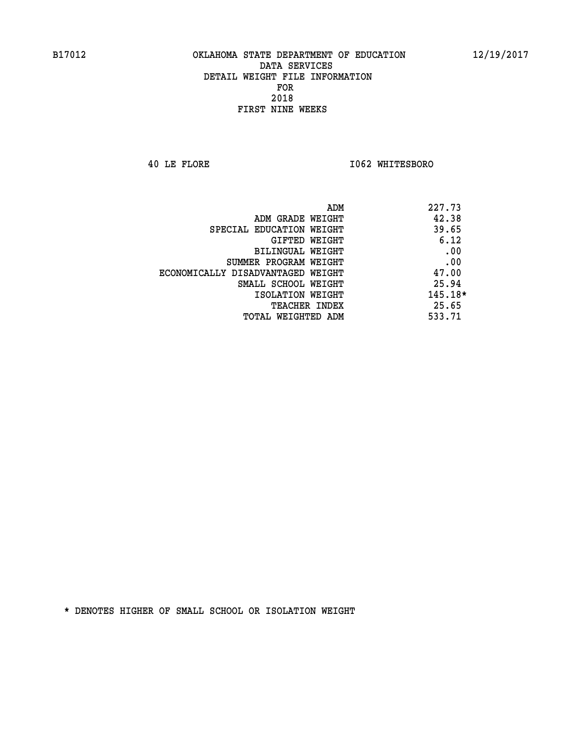**40 LE FLORE I062 WHITESBORO** 

| ADM                               | 227.73    |
|-----------------------------------|-----------|
| ADM GRADE WEIGHT                  | 42.38     |
| SPECIAL EDUCATION WEIGHT          | 39.65     |
| GIFTED WEIGHT                     | 6.12      |
| <b>BILINGUAL WEIGHT</b>           | .00       |
| SUMMER PROGRAM WEIGHT             | .00       |
| ECONOMICALLY DISADVANTAGED WEIGHT | 47.00     |
| SMALL SCHOOL WEIGHT               | 25.94     |
| ISOLATION WEIGHT                  | $145.18*$ |
| <b>TEACHER INDEX</b>              | 25.65     |
| TOTAL WEIGHTED ADM                | 533.71    |
|                                   |           |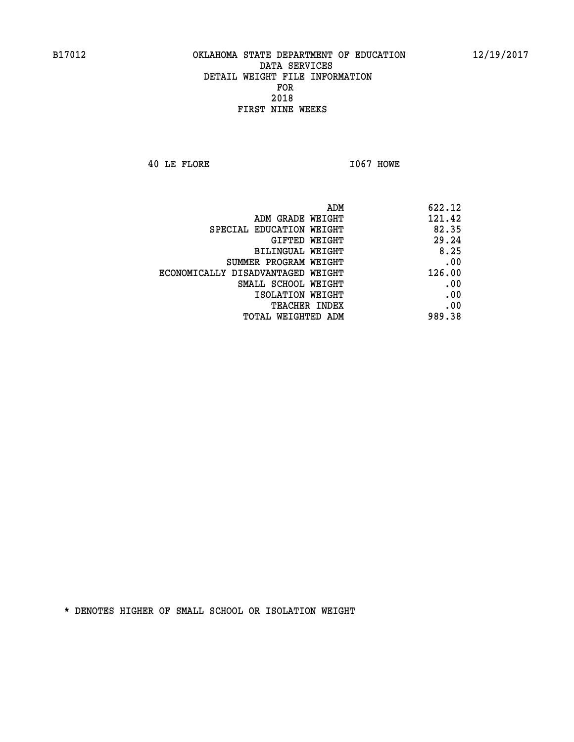**40 LE FLORE I067 HOWE** 

|                                   | ADM<br>622.12 |
|-----------------------------------|---------------|
| ADM GRADE WEIGHT                  | 121.42        |
| SPECIAL EDUCATION WEIGHT          | 82.35         |
| <b>GIFTED WEIGHT</b>              | 29.24         |
| <b>BILINGUAL WEIGHT</b>           | 8.25          |
| SUMMER PROGRAM WEIGHT             | .00           |
| ECONOMICALLY DISADVANTAGED WEIGHT | 126.00        |
| SMALL SCHOOL WEIGHT               | .00           |
| ISOLATION WEIGHT                  | .00           |
| TEACHER INDEX                     | .00           |
| TOTAL WEIGHTED ADM                | 989.38        |
|                                   |               |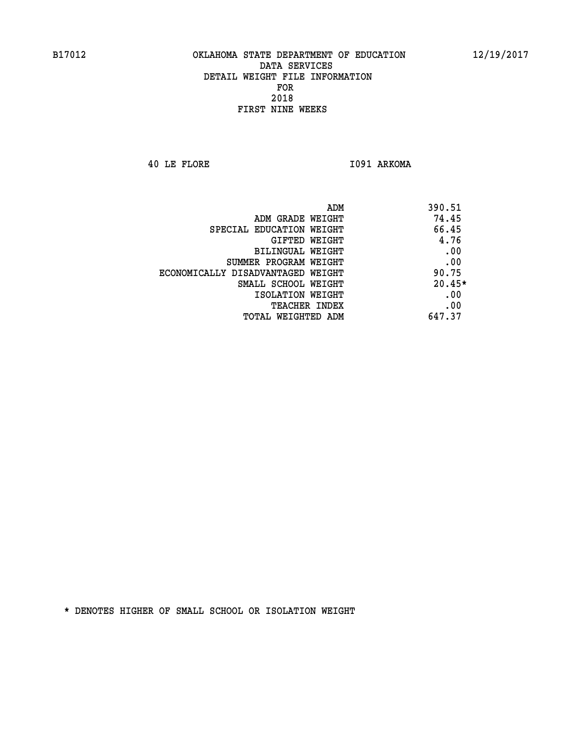**40 LE FLORE I091 ARKOMA** 

| ADM<br>390.51                              |  |
|--------------------------------------------|--|
| 74.45<br>ADM GRADE WEIGHT                  |  |
| 66.45<br>SPECIAL EDUCATION WEIGHT          |  |
| 4.76<br><b>GIFTED WEIGHT</b>               |  |
| .00<br>BILINGUAL WEIGHT                    |  |
| .00<br>SUMMER PROGRAM WEIGHT               |  |
| 90.75<br>ECONOMICALLY DISADVANTAGED WEIGHT |  |
| $20.45*$<br>SMALL SCHOOL WEIGHT            |  |
| .00<br>ISOLATION WEIGHT                    |  |
| .00<br><b>TEACHER INDEX</b>                |  |
| 647.37<br>TOTAL WEIGHTED ADM               |  |
|                                            |  |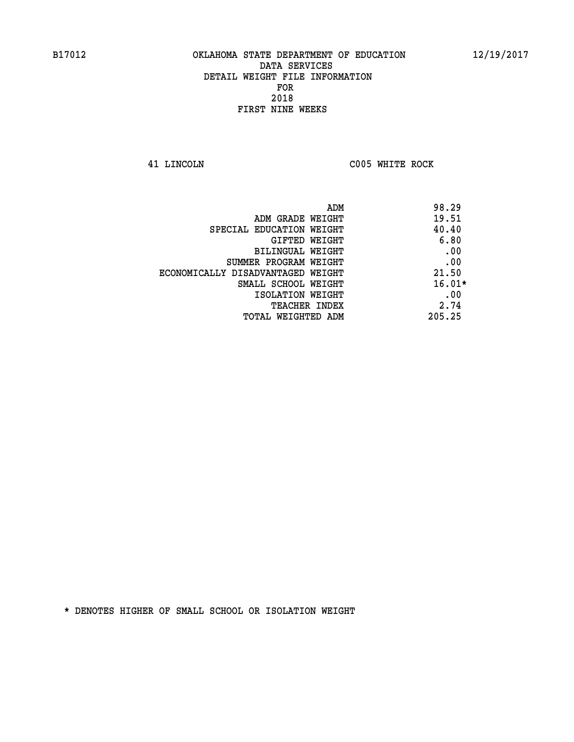**41 LINCOLN C005 WHITE ROCK** 

|                                   | 98.29<br>ADM |  |
|-----------------------------------|--------------|--|
| ADM GRADE WEIGHT                  | 19.51        |  |
| SPECIAL EDUCATION WEIGHT          | 40.40        |  |
| GIFTED WEIGHT                     | 6.80         |  |
| BILINGUAL WEIGHT                  | .00          |  |
| SUMMER PROGRAM WEIGHT             | .00          |  |
| ECONOMICALLY DISADVANTAGED WEIGHT | 21.50        |  |
| SMALL SCHOOL WEIGHT               | $16.01*$     |  |
| ISOLATION WEIGHT                  | .00          |  |
| TEACHER INDEX                     | 2.74         |  |
| TOTAL WEIGHTED ADM                | 205.25       |  |
|                                   |              |  |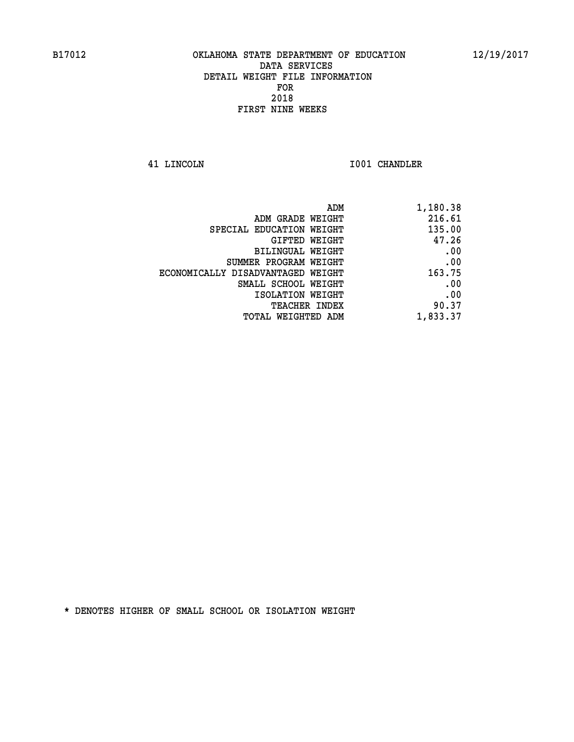**41 LINCOLN I001 CHANDLER** 

| ADM                               | 1,180.38 |
|-----------------------------------|----------|
| ADM GRADE WEIGHT                  | 216.61   |
| SPECIAL EDUCATION WEIGHT          | 135.00   |
| GIFTED WEIGHT                     | 47.26    |
| <b>BILINGUAL WEIGHT</b>           | .00      |
| SUMMER PROGRAM WEIGHT             | .00      |
| ECONOMICALLY DISADVANTAGED WEIGHT | 163.75   |
| SMALL SCHOOL WEIGHT               | .00      |
| ISOLATION WEIGHT                  | .00      |
| TEACHER INDEX                     | 90.37    |
| TOTAL WEIGHTED ADM                | 1,833.37 |
|                                   |          |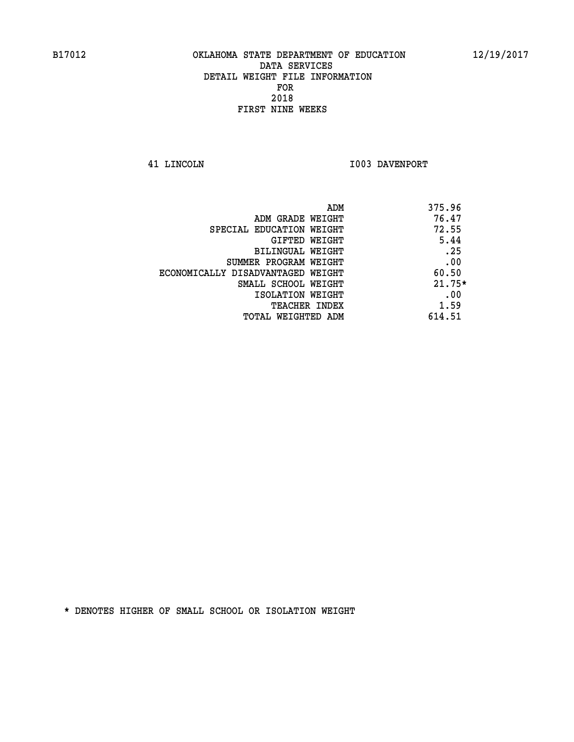**41 LINCOLN 1003 DAVENPORT** 

| ADM                               | 375.96   |
|-----------------------------------|----------|
| ADM GRADE WEIGHT                  | 76.47    |
| SPECIAL EDUCATION WEIGHT          | 72.55    |
| GIFTED WEIGHT                     | 5.44     |
| BILINGUAL WEIGHT                  | .25      |
| SUMMER PROGRAM WEIGHT             | .00      |
| ECONOMICALLY DISADVANTAGED WEIGHT | 60.50    |
| SMALL SCHOOL WEIGHT               | $21.75*$ |
| ISOLATION WEIGHT                  | .00      |
| TEACHER INDEX                     | 1.59     |
| TOTAL WEIGHTED ADM                | 614.51   |
|                                   |          |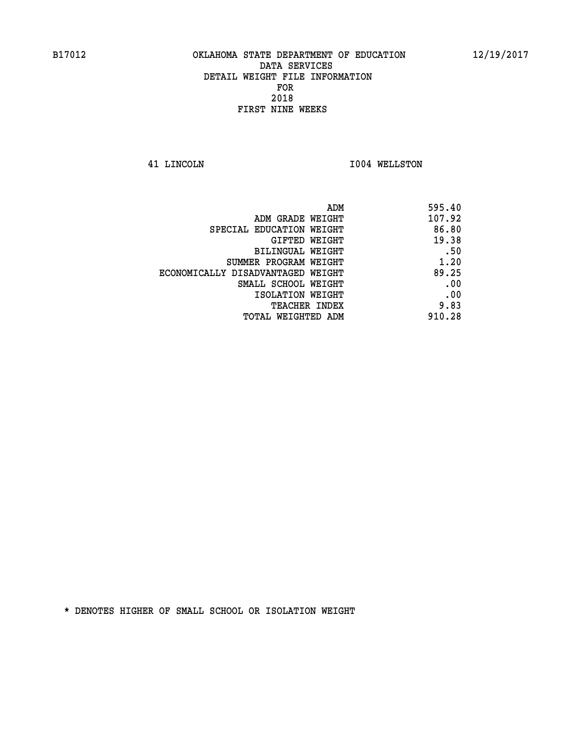**41 LINCOLN I004 WELLSTON** 

| 595.40 |
|--------|
| 107.92 |
| 86.80  |
| 19.38  |
| .50    |
| 1.20   |
| 89.25  |
| .00    |
| .00    |
| 9.83   |
| 910.28 |
|        |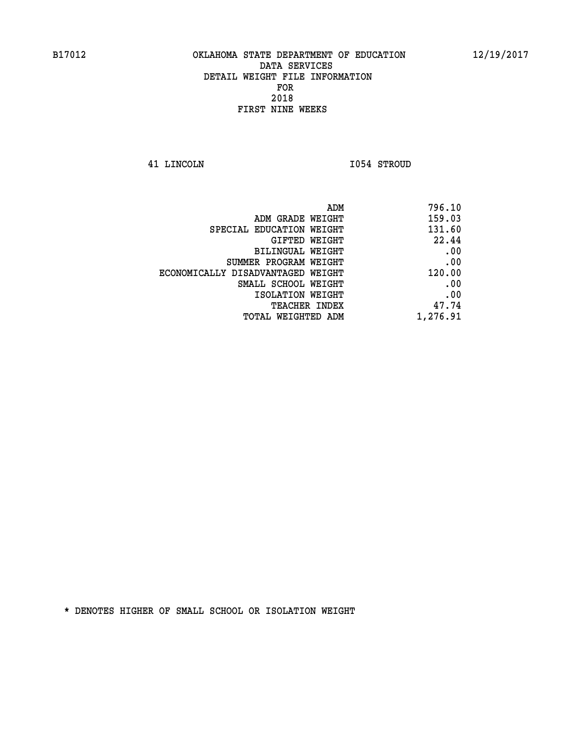**41 LINCOLN I054 STROUD** 

| 796.10   |
|----------|
| 159.03   |
| 131.60   |
| 22.44    |
| .00      |
| .00      |
| 120.00   |
| .00      |
| .00      |
| 47.74    |
| 1,276.91 |
|          |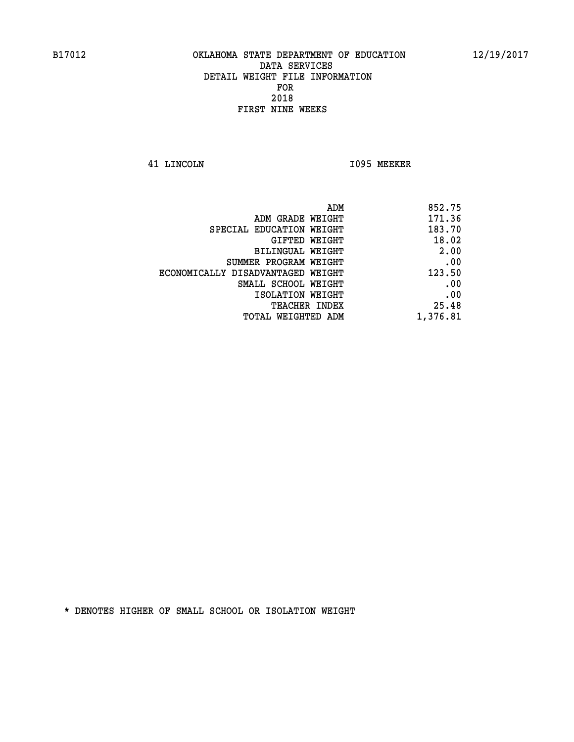**41 LINCOLN I095 MEEKER** 

| 852.75                                                                                                                                                                                                                                   |
|------------------------------------------------------------------------------------------------------------------------------------------------------------------------------------------------------------------------------------------|
| 171.36                                                                                                                                                                                                                                   |
| 183.70                                                                                                                                                                                                                                   |
| 18.02                                                                                                                                                                                                                                    |
| 2.00                                                                                                                                                                                                                                     |
| .00                                                                                                                                                                                                                                      |
| 123.50                                                                                                                                                                                                                                   |
| .00                                                                                                                                                                                                                                      |
| .00                                                                                                                                                                                                                                      |
| 25.48                                                                                                                                                                                                                                    |
| 1,376.81                                                                                                                                                                                                                                 |
| ADM<br>ADM GRADE WEIGHT<br>SPECIAL EDUCATION WEIGHT<br>GIFTED WEIGHT<br>BILINGUAL WEIGHT<br>SUMMER PROGRAM WEIGHT<br>ECONOMICALLY DISADVANTAGED WEIGHT<br>SMALL SCHOOL WEIGHT<br>ISOLATION WEIGHT<br>TEACHER INDEX<br>TOTAL WEIGHTED ADM |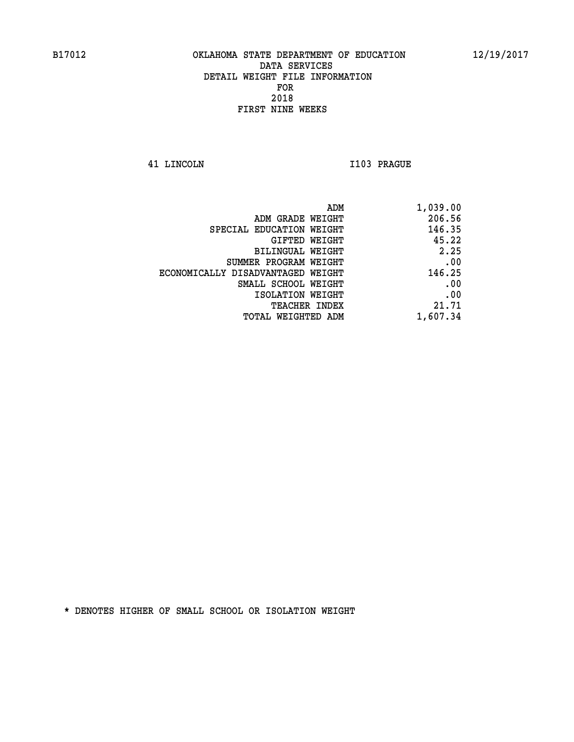**41 LINCOLN I103 PRAGUE** 

| 1,039.00 |
|----------|
| 206.56   |
| 146.35   |
| 45.22    |
| 2.25     |
| .00      |
| 146.25   |
| .00      |
| .00      |
| 21.71    |
| 1,607.34 |
|          |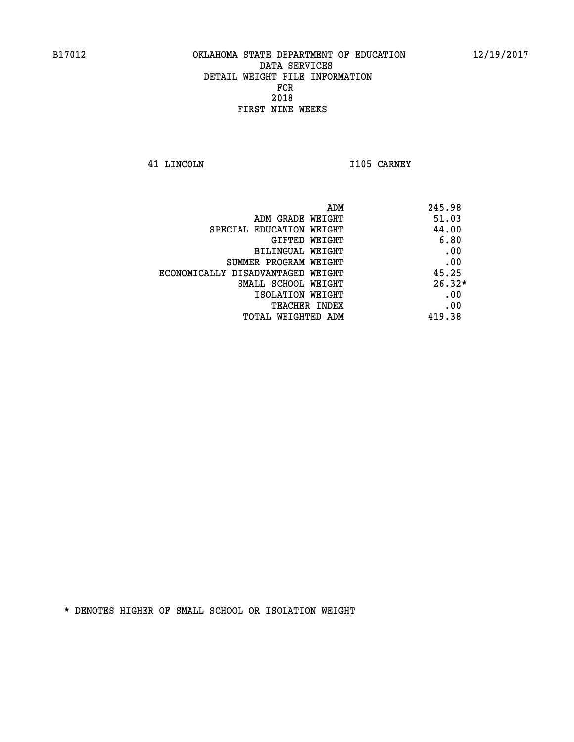**41 LINCOLN I105 CARNEY** 

| ADM                               | 245.98   |
|-----------------------------------|----------|
| ADM GRADE WEIGHT                  | 51.03    |
| SPECIAL EDUCATION WEIGHT          | 44.00    |
| GIFTED WEIGHT                     | 6.80     |
| <b>BILINGUAL WEIGHT</b>           | .00      |
| SUMMER PROGRAM WEIGHT             | .00      |
| ECONOMICALLY DISADVANTAGED WEIGHT | 45.25    |
| SMALL SCHOOL WEIGHT               | $26.32*$ |
| ISOLATION WEIGHT                  | .00      |
| <b>TEACHER INDEX</b>              | .00      |
| TOTAL WEIGHTED ADM                | 419.38   |
|                                   |          |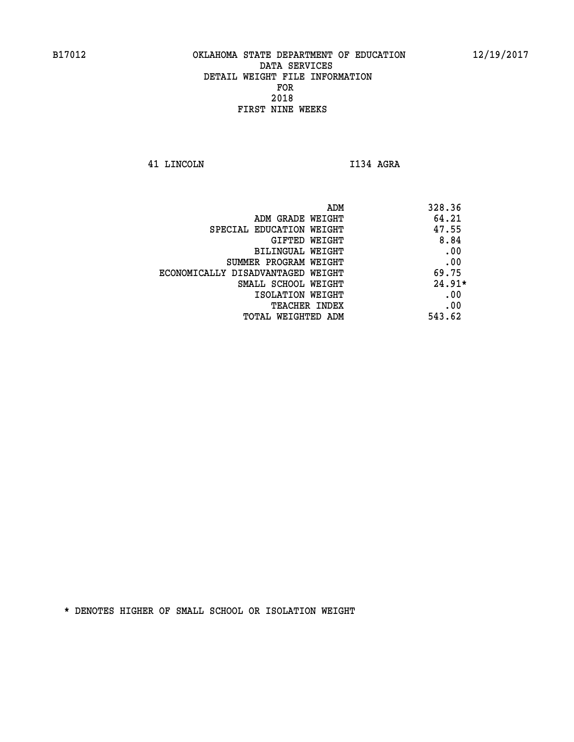**41 LINCOLN I134 AGRA** 

|                                   | 328.36<br>ADM |
|-----------------------------------|---------------|
| ADM GRADE WEIGHT                  | 64.21         |
| SPECIAL EDUCATION WEIGHT          | 47.55         |
| GIFTED WEIGHT                     | 8.84          |
| BILINGUAL WEIGHT                  | .00           |
| SUMMER PROGRAM WEIGHT             | .00           |
| ECONOMICALLY DISADVANTAGED WEIGHT | 69.75         |
| SMALL SCHOOL WEIGHT               | $24.91*$      |
| ISOLATION WEIGHT                  | .00           |
| <b>TEACHER INDEX</b>              | .00           |
| TOTAL WEIGHTED ADM                | 543.62        |
|                                   |               |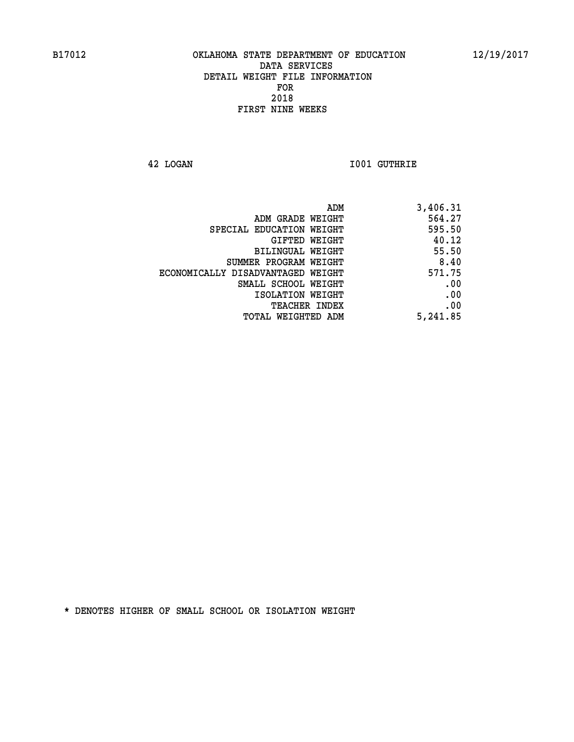**42 LOGAN I001 GUTHRIE** 

| ADM                               | 3,406.31 |
|-----------------------------------|----------|
| ADM GRADE WEIGHT                  | 564.27   |
| SPECIAL EDUCATION WEIGHT          | 595.50   |
| GIFTED WEIGHT                     | 40.12    |
| BILINGUAL WEIGHT                  | 55.50    |
| SUMMER PROGRAM WEIGHT             | 8.40     |
| ECONOMICALLY DISADVANTAGED WEIGHT | 571.75   |
| SMALL SCHOOL WEIGHT               | .00      |
| ISOLATION WEIGHT                  | .00      |
| <b>TEACHER INDEX</b>              | .00      |
| TOTAL WEIGHTED ADM                | 5,241.85 |
|                                   |          |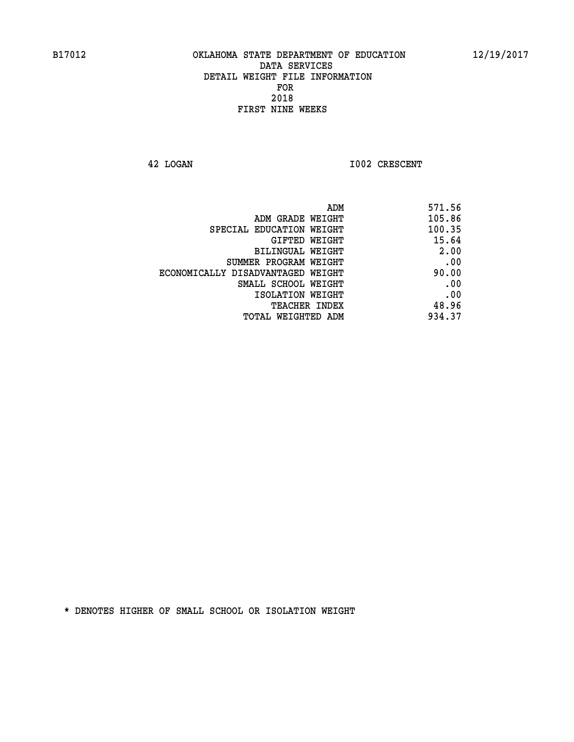**42 LOGAN I002 CRESCENT** 

| 571.56 |
|--------|
| 105.86 |
| 100.35 |
| 15.64  |
| 2.00   |
| .00    |
| 90.00  |
| .00    |
| .00    |
| 48.96  |
| 934.37 |
|        |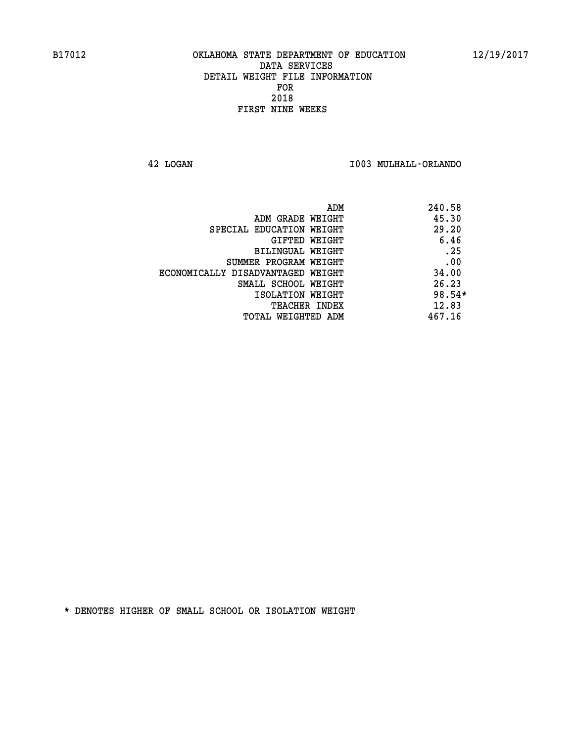**42 LOGAN I003 MULHALL-ORLANDO** 

| ADM                               | 240.58 |
|-----------------------------------|--------|
| ADM GRADE WEIGHT                  | 45.30  |
| SPECIAL EDUCATION WEIGHT          | 29.20  |
| <b>GIFTED WEIGHT</b>              | 6.46   |
| BILINGUAL WEIGHT                  | .25    |
| SUMMER PROGRAM WEIGHT             | .00    |
| ECONOMICALLY DISADVANTAGED WEIGHT | 34.00  |
| SMALL SCHOOL WEIGHT               | 26.23  |
| ISOLATION WEIGHT                  | 98.54* |
| <b>TEACHER INDEX</b>              | 12.83  |
| TOTAL WEIGHTED ADM                | 467.16 |
|                                   |        |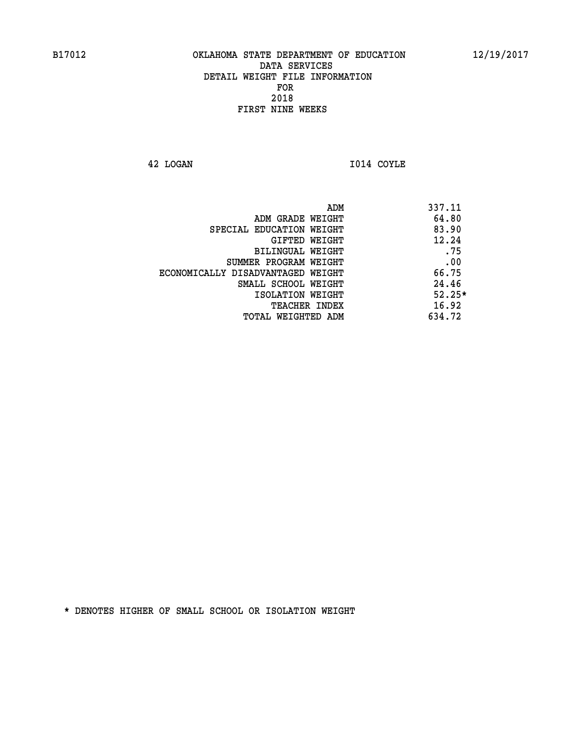**42 LOGAN I014 COYLE** 

|                                   | 337.11<br>ADM |  |
|-----------------------------------|---------------|--|
| ADM GRADE WEIGHT                  | 64.80         |  |
| SPECIAL EDUCATION WEIGHT          | 83.90         |  |
| GIFTED WEIGHT                     | 12.24         |  |
| BILINGUAL WEIGHT                  | .75           |  |
| SUMMER PROGRAM WEIGHT             | .00           |  |
| ECONOMICALLY DISADVANTAGED WEIGHT | 66.75         |  |
| SMALL SCHOOL WEIGHT               | 24.46         |  |
| ISOLATION WEIGHT                  | $52.25*$      |  |
| <b>TEACHER INDEX</b>              | 16.92         |  |
| TOTAL WEIGHTED ADM                | 634.72        |  |
|                                   |               |  |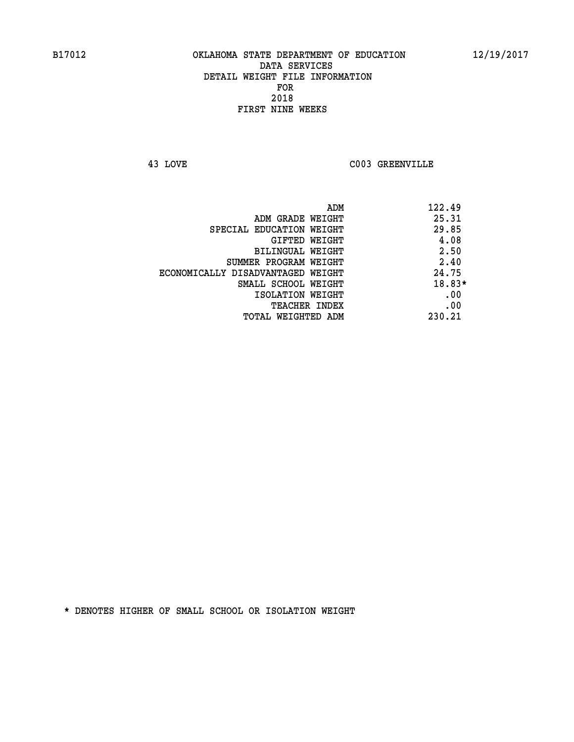**43 LOVE C003 GREENVILLE** 

|                                   | ADM | 122.49 |
|-----------------------------------|-----|--------|
| ADM GRADE WEIGHT                  |     | 25.31  |
| SPECIAL EDUCATION WEIGHT          |     | 29.85  |
| GIFTED WEIGHT                     |     | 4.08   |
| BILINGUAL WEIGHT                  |     | 2.50   |
| SUMMER PROGRAM WEIGHT             |     | 2.40   |
| ECONOMICALLY DISADVANTAGED WEIGHT |     | 24.75  |
| SMALL SCHOOL WEIGHT               |     | 18.83* |
| ISOLATION WEIGHT                  |     | .00    |
| TEACHER INDEX                     |     | .00    |
| TOTAL WEIGHTED ADM                |     | 230.21 |
|                                   |     |        |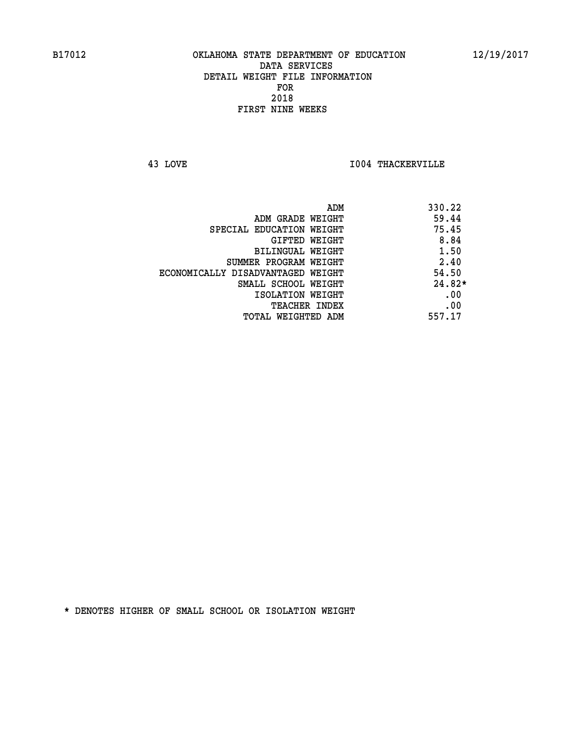**43 LOVE I004 THACKERVILLE** 

|                                   | ADM | 330.22   |
|-----------------------------------|-----|----------|
| ADM GRADE WEIGHT                  |     | 59.44    |
| SPECIAL EDUCATION WEIGHT          |     | 75.45    |
| GIFTED WEIGHT                     |     | 8.84     |
| BILINGUAL WEIGHT                  |     | 1.50     |
| SUMMER PROGRAM WEIGHT             |     | 2.40     |
| ECONOMICALLY DISADVANTAGED WEIGHT |     | 54.50    |
| SMALL SCHOOL WEIGHT               |     | $24.82*$ |
| ISOLATION WEIGHT                  |     | .00      |
| <b>TEACHER INDEX</b>              |     | .00      |
| TOTAL WEIGHTED ADM                |     | 557.17   |
|                                   |     |          |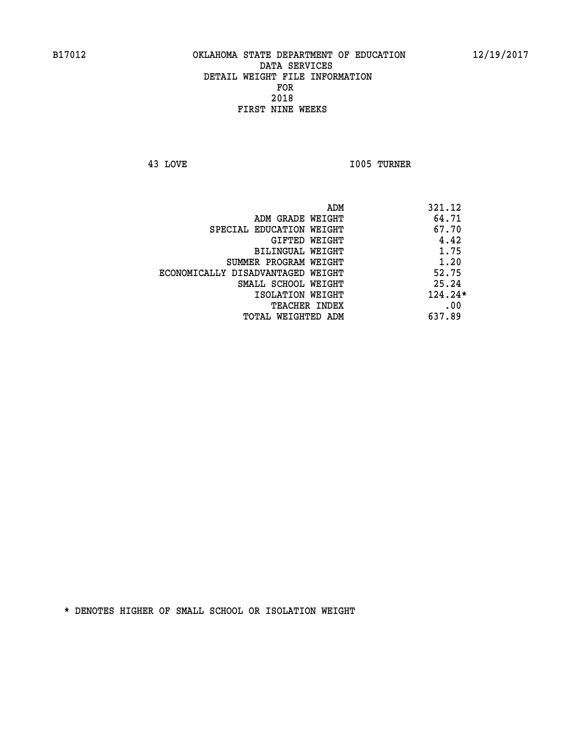**43 LOVE I005 TURNER** 

|                                   | ADM | 321.12    |
|-----------------------------------|-----|-----------|
| ADM GRADE WEIGHT                  |     | 64.71     |
| SPECIAL EDUCATION WEIGHT          |     | 67.70     |
| GIFTED WEIGHT                     |     | 4.42      |
| BILINGUAL WEIGHT                  |     | 1.75      |
| SUMMER PROGRAM WEIGHT             |     | 1.20      |
| ECONOMICALLY DISADVANTAGED WEIGHT |     | 52.75     |
| SMALL SCHOOL WEIGHT               |     | 25.24     |
| ISOLATION WEIGHT                  |     | $124.24*$ |
| TEACHER INDEX                     |     | .00       |
| TOTAL WEIGHTED ADM                |     | 637.89    |
|                                   |     |           |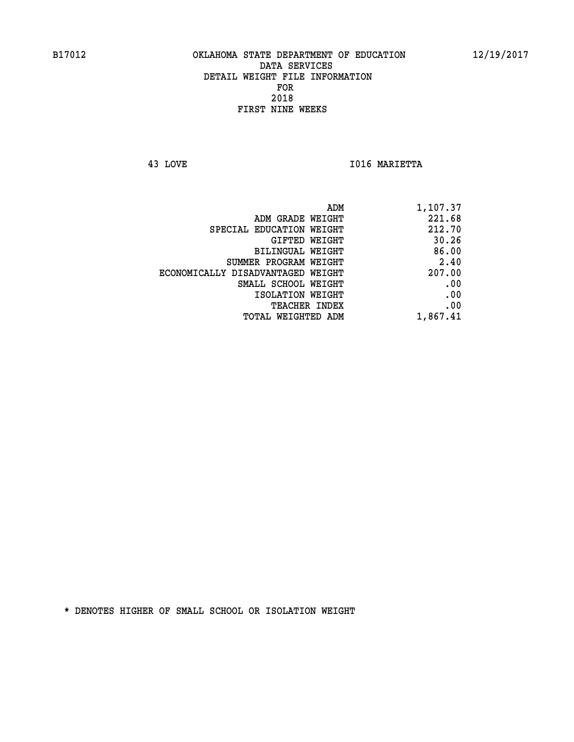**43 LOVE I016 MARIETTA** 

| ADM                               | 1,107.37 |
|-----------------------------------|----------|
| ADM GRADE WEIGHT                  | 221.68   |
| SPECIAL EDUCATION WEIGHT          | 212.70   |
| GIFTED WEIGHT                     | 30.26    |
| <b>BILINGUAL WEIGHT</b>           | 86.00    |
| SUMMER PROGRAM WEIGHT             | 2.40     |
| ECONOMICALLY DISADVANTAGED WEIGHT | 207.00   |
| SMALL SCHOOL WEIGHT               | .00      |
| ISOLATION WEIGHT                  | .00      |
| TEACHER INDEX                     | .00      |
| TOTAL WEIGHTED ADM                | 1,867.41 |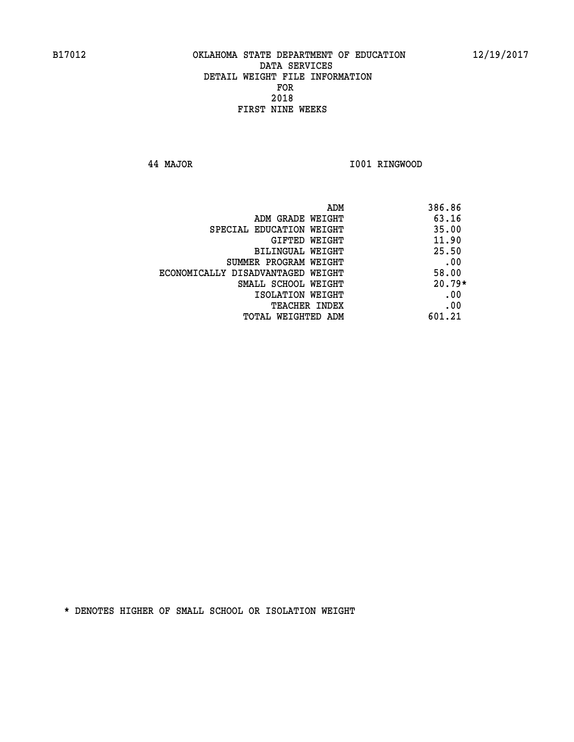**44 MAJOR I001 RINGWOOD** 

|                                   | ADM<br>386.86 |
|-----------------------------------|---------------|
| ADM GRADE WEIGHT                  | 63.16         |
| SPECIAL EDUCATION WEIGHT          | 35.00         |
| GIFTED WEIGHT                     | 11.90         |
| BILINGUAL WEIGHT                  | 25.50         |
| SUMMER PROGRAM WEIGHT             | .00           |
| ECONOMICALLY DISADVANTAGED WEIGHT | 58.00         |
| SMALL SCHOOL WEIGHT               | $20.79*$      |
| ISOLATION WEIGHT                  | .00           |
| <b>TEACHER INDEX</b>              | .00           |
| TOTAL WEIGHTED ADM                | 601.21        |
|                                   |               |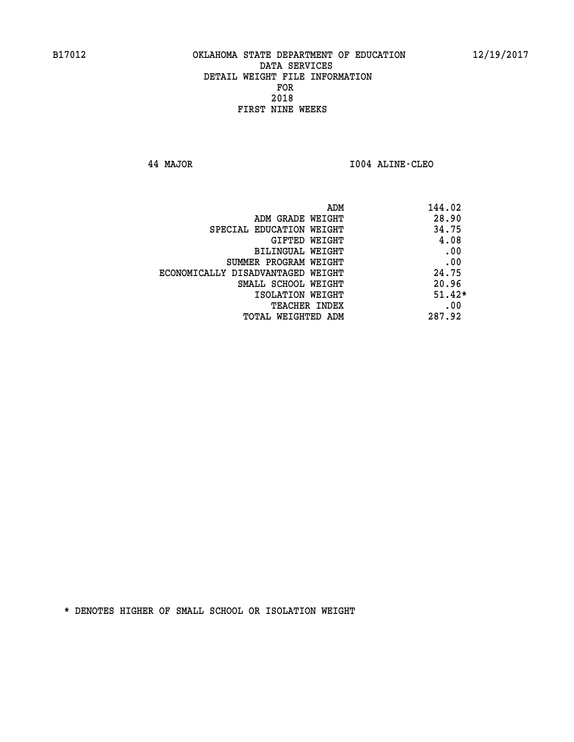**44 MAJOR I004 ALINE-CLEO** 

| ADM<br>144.02                              |  |
|--------------------------------------------|--|
| 28.90<br>ADM GRADE WEIGHT                  |  |
| 34.75<br>SPECIAL EDUCATION WEIGHT          |  |
| 4.08<br>GIFTED WEIGHT                      |  |
| .00<br>BILINGUAL WEIGHT                    |  |
| .00<br>SUMMER PROGRAM WEIGHT               |  |
| 24.75<br>ECONOMICALLY DISADVANTAGED WEIGHT |  |
| 20.96<br>SMALL SCHOOL WEIGHT               |  |
| $51.42*$<br>ISOLATION WEIGHT               |  |
| .00<br><b>TEACHER INDEX</b>                |  |
| 287.92<br>TOTAL WEIGHTED ADM               |  |
|                                            |  |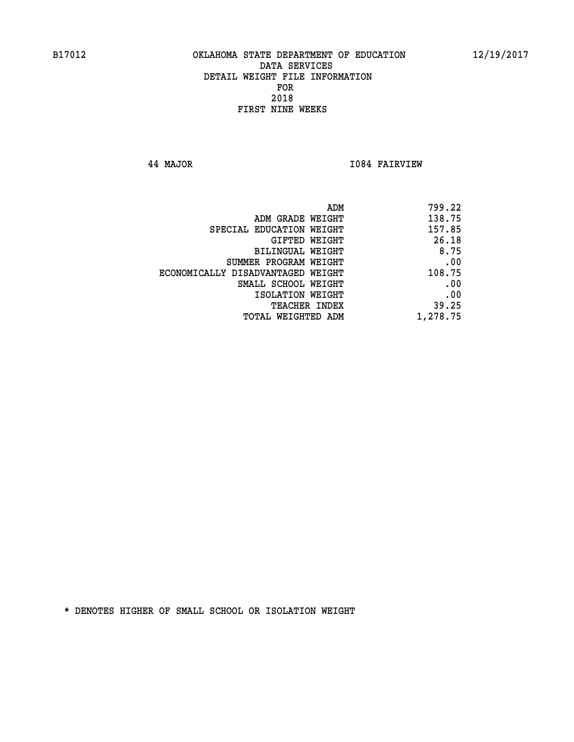**44 MAJOR I084 FAIRVIEW** 

| 799.22   |
|----------|
| 138.75   |
| 157.85   |
| 26.18    |
| 8.75     |
| .00      |
| 108.75   |
| .00      |
| .00      |
| 39.25    |
| 1,278.75 |
|          |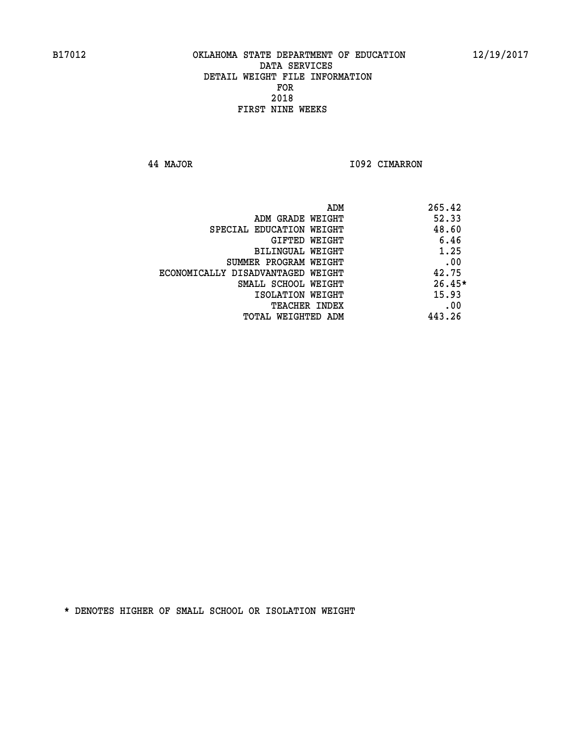**44 MAJOR I092 CIMARRON** 

|                                   | ADM | 265.42   |
|-----------------------------------|-----|----------|
| ADM GRADE WEIGHT                  |     | 52.33    |
| SPECIAL EDUCATION WEIGHT          |     | 48.60    |
| GIFTED WEIGHT                     |     | 6.46     |
| BILINGUAL WEIGHT                  |     | 1.25     |
| SUMMER PROGRAM WEIGHT             |     | .00      |
| ECONOMICALLY DISADVANTAGED WEIGHT |     | 42.75    |
| SMALL SCHOOL WEIGHT               |     | $26.45*$ |
| ISOLATION WEIGHT                  |     | 15.93    |
| TEACHER INDEX                     |     | .00      |
| TOTAL WEIGHTED ADM                |     | 443.26   |
|                                   |     |          |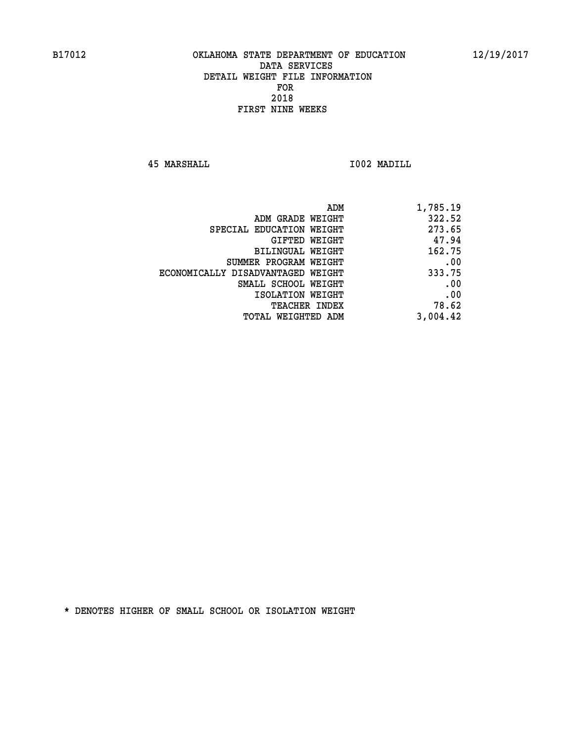**45 MARSHALL I002 MADILL** 

| ADM                               | 1,785.19 |
|-----------------------------------|----------|
| ADM GRADE WEIGHT                  | 322.52   |
| SPECIAL EDUCATION WEIGHT          | 273.65   |
| GIFTED<br>WEIGHT                  | 47.94    |
| BILINGUAL WEIGHT                  | 162.75   |
| SUMMER PROGRAM WEIGHT             | .00      |
| ECONOMICALLY DISADVANTAGED WEIGHT | 333.75   |
| SMALL SCHOOL WEIGHT               | .00      |
| ISOLATION WEIGHT                  | .00      |
| <b>TEACHER INDEX</b>              | 78.62    |
| WEIGHTED ADM<br>TOTAL             | 3,004.42 |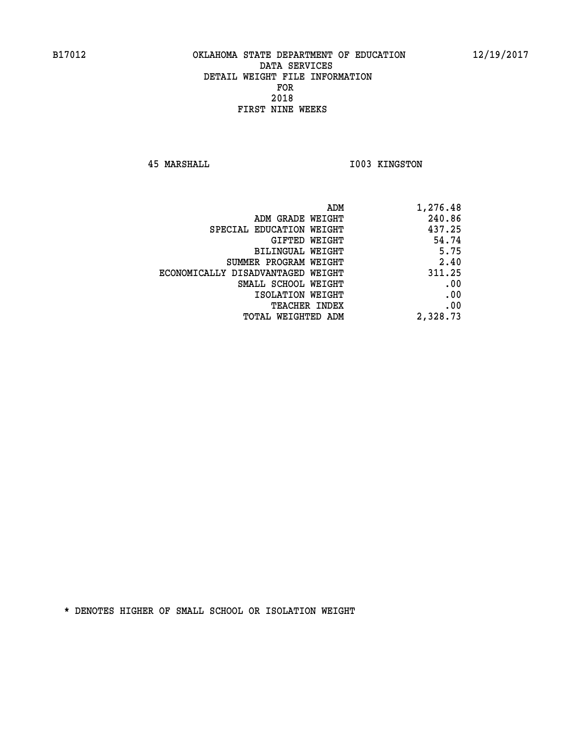**45 MARSHALL I003 KINGSTON** 

| 1,276.48 |
|----------|
| 240.86   |
| 437.25   |
| 54.74    |
| 5.75     |
| 2.40     |
| 311.25   |
| .00      |
| .00      |
| .00      |
| 2,328.73 |
|          |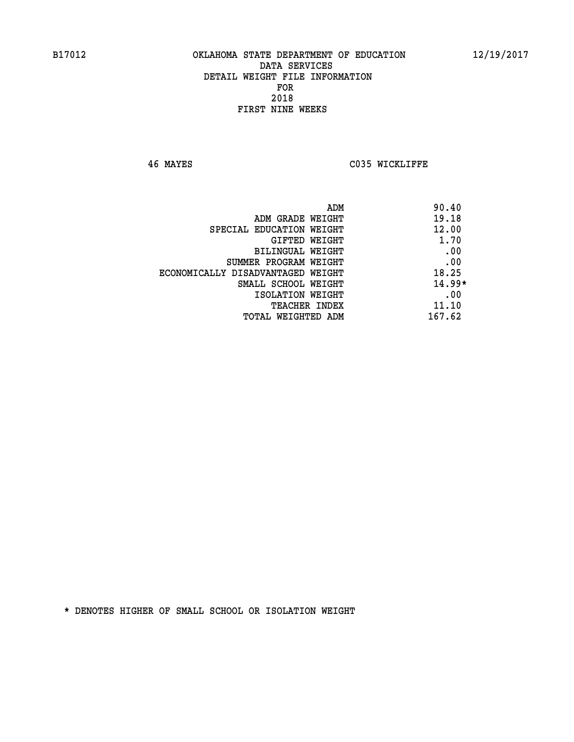**46 MAYES C035 WICKLIFFE** 

| ADM                               | 90.40    |
|-----------------------------------|----------|
| ADM GRADE WEIGHT                  | 19.18    |
| SPECIAL EDUCATION WEIGHT          | 12.00    |
| GIFTED WEIGHT                     | 1.70     |
| BILINGUAL WEIGHT                  | .00      |
| SUMMER PROGRAM WEIGHT             | .00      |
| ECONOMICALLY DISADVANTAGED WEIGHT | 18.25    |
| SMALL SCHOOL WEIGHT               | $14.99*$ |
| ISOLATION WEIGHT                  | .00      |
| <b>TEACHER INDEX</b>              | 11.10    |
| TOTAL WEIGHTED ADM                | 167.62   |
|                                   |          |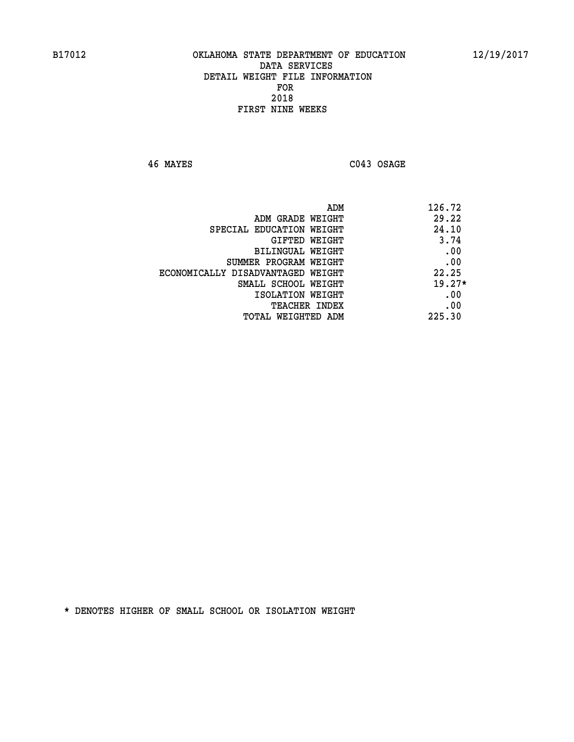**46 MAYES C043 OSAGE** 

| ADM                               | 126.72   |
|-----------------------------------|----------|
| ADM GRADE WEIGHT                  | 29.22    |
| SPECIAL EDUCATION WEIGHT          | 24.10    |
| GIFTED WEIGHT                     | 3.74     |
| BILINGUAL WEIGHT                  | .00      |
| SUMMER PROGRAM WEIGHT             | .00      |
| ECONOMICALLY DISADVANTAGED WEIGHT | 22.25    |
| SMALL SCHOOL WEIGHT               | $19.27*$ |
| ISOLATION WEIGHT                  | .00      |
| TEACHER INDEX                     | .00      |
| TOTAL WEIGHTED ADM                | 225.30   |
|                                   |          |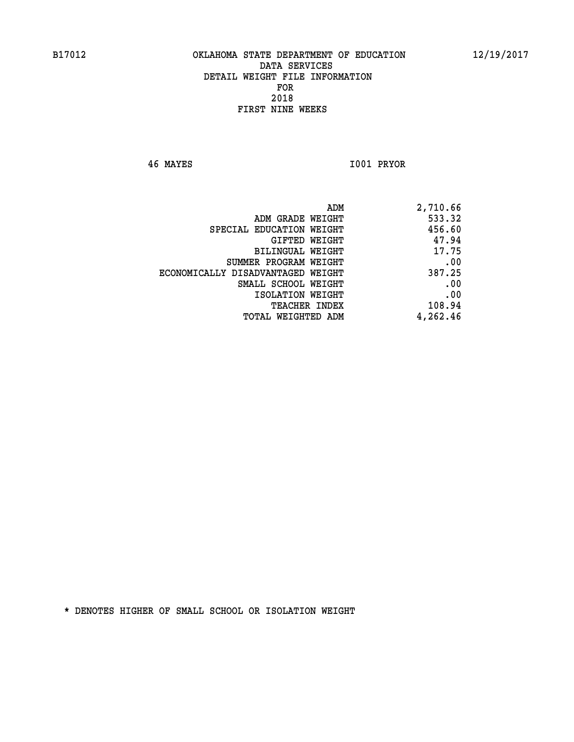**46 MAYES I001 PRYOR** 

| ADM                               | 2,710.66 |
|-----------------------------------|----------|
| ADM GRADE WEIGHT                  | 533.32   |
| SPECIAL EDUCATION WEIGHT          | 456.60   |
| GIFTED WEIGHT                     | 47.94    |
| <b>BILINGUAL WEIGHT</b>           | 17.75    |
| SUMMER PROGRAM WEIGHT             | .00      |
| ECONOMICALLY DISADVANTAGED WEIGHT | 387.25   |
| SMALL SCHOOL WEIGHT               | .00      |
| ISOLATION WEIGHT                  | .00      |
| TEACHER INDEX                     | 108.94   |
| TOTAL WEIGHTED ADM                | 4,262.46 |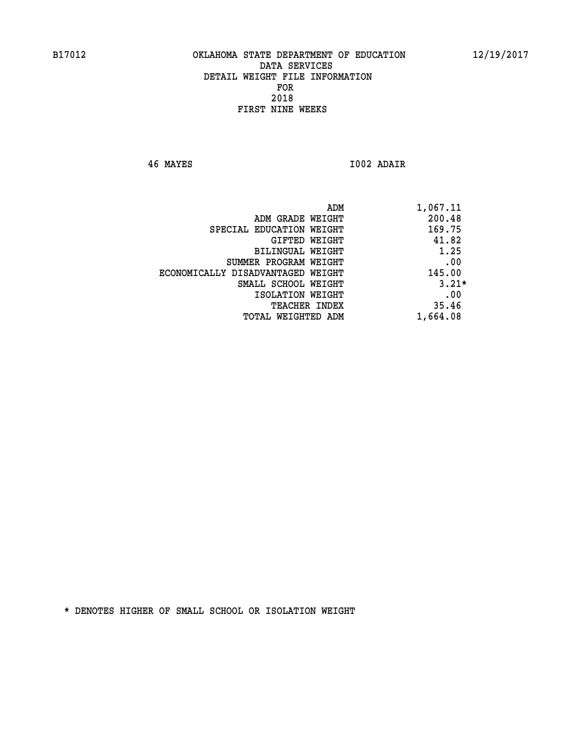**46 MAYES I002 ADAIR** 

|                                   | 1,067.11<br>ADM |         |
|-----------------------------------|-----------------|---------|
| ADM GRADE WEIGHT                  |                 | 200.48  |
| SPECIAL EDUCATION WEIGHT          |                 | 169.75  |
| GIFTED WEIGHT                     |                 | 41.82   |
| BILINGUAL WEIGHT                  |                 | 1.25    |
| SUMMER PROGRAM WEIGHT             |                 | .00     |
| ECONOMICALLY DISADVANTAGED WEIGHT |                 | 145.00  |
| SMALL SCHOOL WEIGHT               |                 | $3.21*$ |
| ISOLATION WEIGHT                  |                 | .00     |
| <b>TEACHER INDEX</b>              |                 | 35.46   |
| TOTAL WEIGHTED ADM                | 1,664.08        |         |
|                                   |                 |         |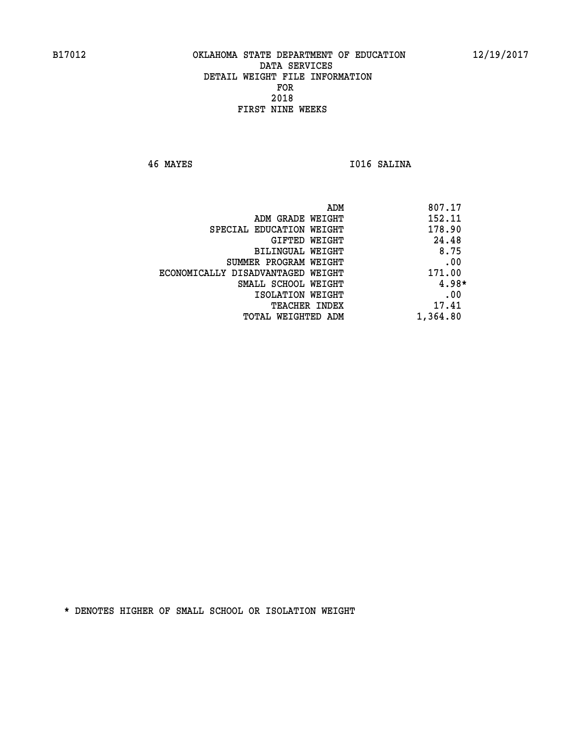**46 MAYES I016 SALINA** 

| ADM                               | 807.17   |
|-----------------------------------|----------|
| ADM GRADE WEIGHT                  | 152.11   |
| SPECIAL EDUCATION WEIGHT          | 178.90   |
| GIFTED WEIGHT                     | 24.48    |
| BILINGUAL WEIGHT                  | 8.75     |
| SUMMER PROGRAM WEIGHT             | .00      |
| ECONOMICALLY DISADVANTAGED WEIGHT | 171.00   |
| SMALL SCHOOL WEIGHT               | $4.98*$  |
| ISOLATION WEIGHT                  | .00      |
| <b>TEACHER INDEX</b>              | 17.41    |
| TOTAL WEIGHTED ADM                | 1,364.80 |
|                                   |          |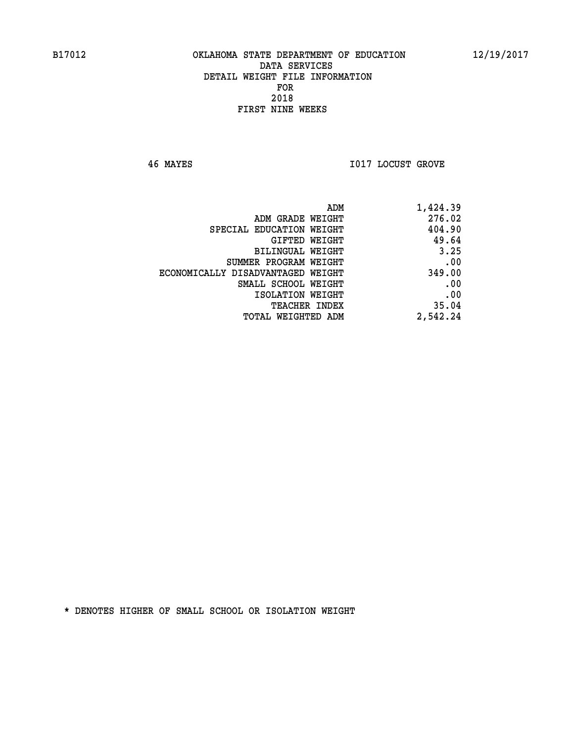**46 MAYES I017 LOCUST GROVE** 

| 1,424.39 |
|----------|
| 276.02   |
| 404.90   |
| 49.64    |
| 3.25     |
| .00      |
| 349.00   |
| .00      |
| .00      |
| 35.04    |
| 2,542.24 |
|          |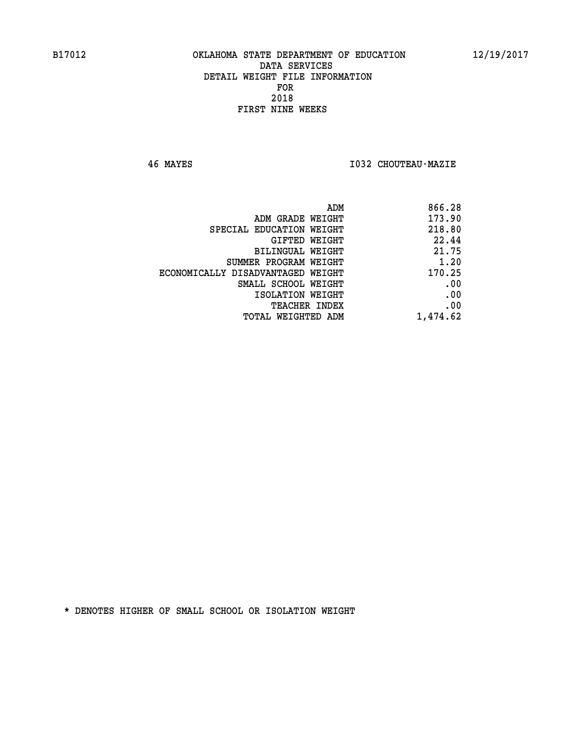**46 MAYES I032 CHOUTEAU-MAZIE** 

| ADM                               | 866.28   |
|-----------------------------------|----------|
| ADM GRADE WEIGHT                  | 173.90   |
| SPECIAL EDUCATION WEIGHT          | 218.80   |
| GIFTED WEIGHT                     | 22.44    |
| <b>BILINGUAL WEIGHT</b>           | 21.75    |
| SUMMER PROGRAM WEIGHT             | 1.20     |
| ECONOMICALLY DISADVANTAGED WEIGHT | 170.25   |
| SMALL SCHOOL WEIGHT               | .00      |
| ISOLATION WEIGHT                  | .00      |
| <b>TEACHER INDEX</b>              | .00      |
| TOTAL WEIGHTED ADM                | 1,474.62 |
|                                   |          |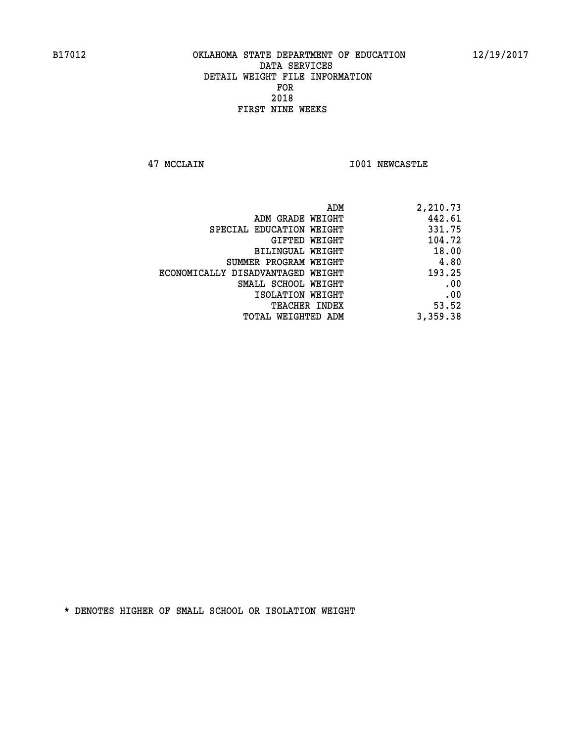**47 MCCLAIN I001 NEWCASTLE** 

| ADM                               | 2,210.73 |
|-----------------------------------|----------|
| ADM GRADE WEIGHT                  | 442.61   |
| SPECIAL EDUCATION WEIGHT          | 331.75   |
| GIFTED WEIGHT                     | 104.72   |
| <b>BILINGUAL WEIGHT</b>           | 18.00    |
| SUMMER PROGRAM WEIGHT             | 4.80     |
| ECONOMICALLY DISADVANTAGED WEIGHT | 193.25   |
| SMALL SCHOOL WEIGHT               | .00      |
| ISOLATION WEIGHT                  | .00      |
| <b>TEACHER INDEX</b>              | 53.52    |
| TOTAL WEIGHTED ADM                | 3,359.38 |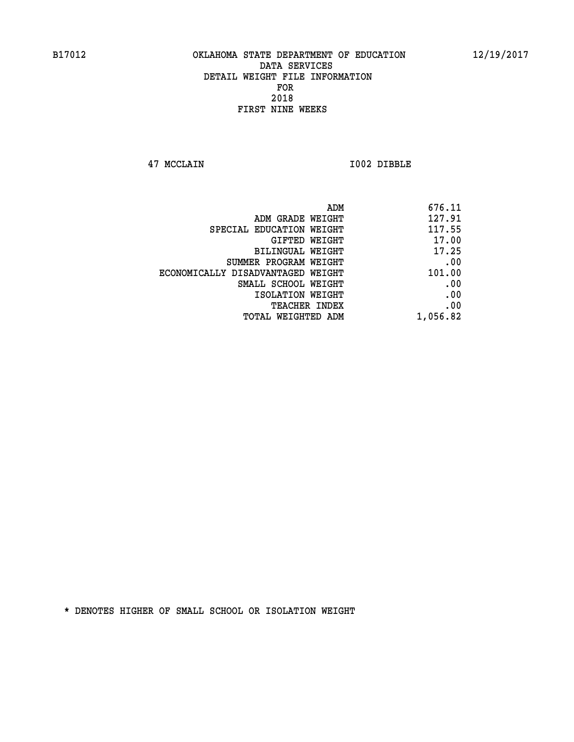**47 MCCLAIN I002 DIBBLE** 

|                                   | 676.11<br>ADM |
|-----------------------------------|---------------|
| ADM GRADE WEIGHT                  | 127.91        |
| SPECIAL EDUCATION WEIGHT          | 117.55        |
| GIFTED WEIGHT                     | 17.00         |
| BILINGUAL WEIGHT                  | 17.25         |
| SUMMER PROGRAM WEIGHT             | .00           |
| ECONOMICALLY DISADVANTAGED WEIGHT | 101.00        |
| SMALL SCHOOL WEIGHT               | .00           |
| ISOLATION WEIGHT                  | .00           |
| TEACHER INDEX                     | .00           |
| TOTAL WEIGHTED ADM                | 1,056.82      |
|                                   |               |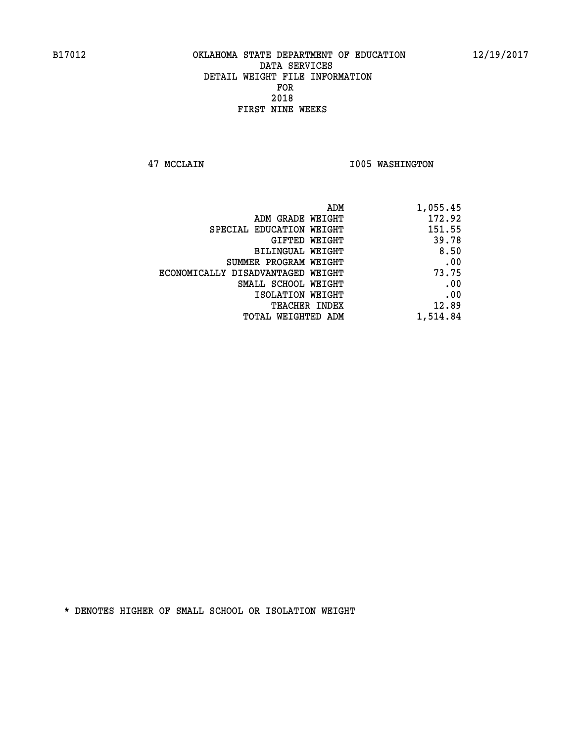**47 MCCLAIN I005 WASHINGTON** 

| ADM                               | 1,055.45 |
|-----------------------------------|----------|
| ADM GRADE WEIGHT                  | 172.92   |
| SPECIAL EDUCATION WEIGHT          | 151.55   |
| GIFTED WEIGHT                     | 39.78    |
| <b>BILINGUAL WEIGHT</b>           | 8.50     |
| SUMMER PROGRAM WEIGHT             | .00      |
| ECONOMICALLY DISADVANTAGED WEIGHT | 73.75    |
| SMALL SCHOOL WEIGHT               | .00      |
| ISOLATION WEIGHT                  | .00      |
| TEACHER INDEX                     | 12.89    |
| TOTAL WEIGHTED ADM                | 1,514.84 |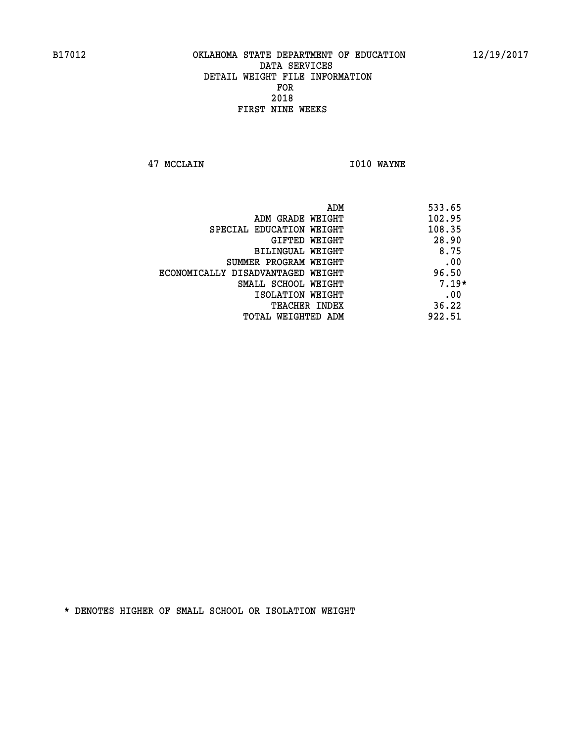**47 MCCLAIN I010 WAYNE** 

 **ADM 533.65 EXAMPLE WEIGHT 102.95 SPECIAL EDUCATION WEIGHT 108.35 GIFTED WEIGHT 28.90 BILINGUAL WEIGHT 6.75 SUMMER PROGRAM WEIGHT .00 ECONOMICALLY DISADVANTAGED WEIGHT 96.50 SMALL SCHOOL WEIGHT 7.19\* EXECUTED ISOLATION WEIGHT AND RESOLATION WEIGHT TEACHER INDEX** 36.22  **TOTAL WEIGHTED ADM 922.51**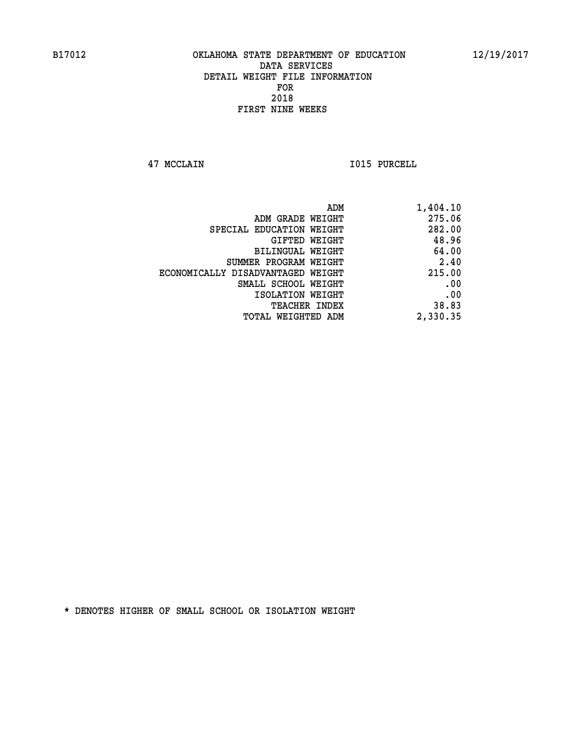**47 MCCLAIN I015 PURCELL** 

| 275.06<br>ADM GRADE WEIGHT<br>282.00<br>SPECIAL EDUCATION WEIGHT<br>48.96<br>GIFTED WEIGHT<br>64.00<br><b>BILINGUAL WEIGHT</b><br>2.40<br>SUMMER PROGRAM WEIGHT<br>215.00<br>ECONOMICALLY DISADVANTAGED WEIGHT<br>.00<br>SMALL SCHOOL WEIGHT<br>.00<br>ISOLATION WEIGHT<br>38.83<br>TEACHER INDEX<br>2,330.35<br>TOTAL WEIGHTED ADM | ADM<br>1,404.10 |
|-------------------------------------------------------------------------------------------------------------------------------------------------------------------------------------------------------------------------------------------------------------------------------------------------------------------------------------|-----------------|
|                                                                                                                                                                                                                                                                                                                                     |                 |
|                                                                                                                                                                                                                                                                                                                                     |                 |
|                                                                                                                                                                                                                                                                                                                                     |                 |
|                                                                                                                                                                                                                                                                                                                                     |                 |
|                                                                                                                                                                                                                                                                                                                                     |                 |
|                                                                                                                                                                                                                                                                                                                                     |                 |
|                                                                                                                                                                                                                                                                                                                                     |                 |
|                                                                                                                                                                                                                                                                                                                                     |                 |
|                                                                                                                                                                                                                                                                                                                                     |                 |
|                                                                                                                                                                                                                                                                                                                                     |                 |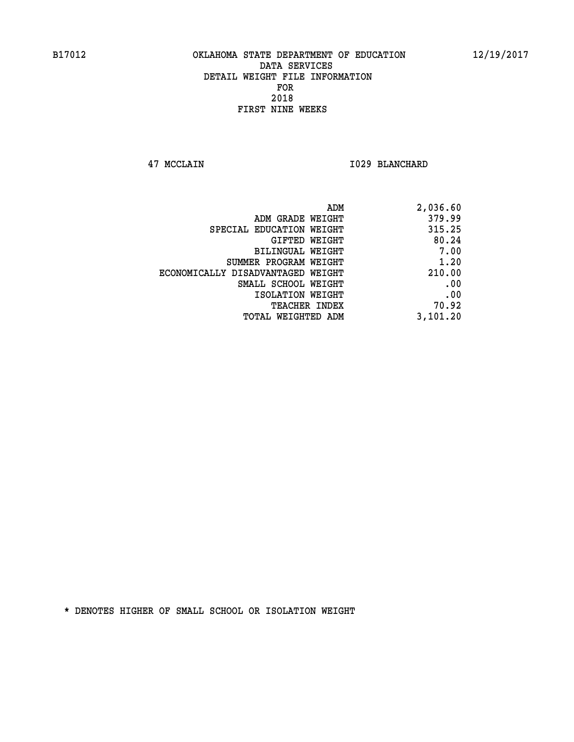**47 MCCLAIN I029 BLANCHARD** 

| ADM                               | 2,036.60 |
|-----------------------------------|----------|
| ADM GRADE WEIGHT                  | 379.99   |
| SPECIAL EDUCATION WEIGHT          | 315.25   |
| GIFTED WEIGHT                     | 80.24    |
| BILINGUAL WEIGHT                  | 7.00     |
| SUMMER PROGRAM WEIGHT             | 1.20     |
| ECONOMICALLY DISADVANTAGED WEIGHT | 210.00   |
| SMALL SCHOOL WEIGHT               | .00      |
| ISOLATION WEIGHT                  | .00      |
| TEACHER INDEX                     | 70.92    |
| TOTAL WEIGHTED ADM                | 3,101.20 |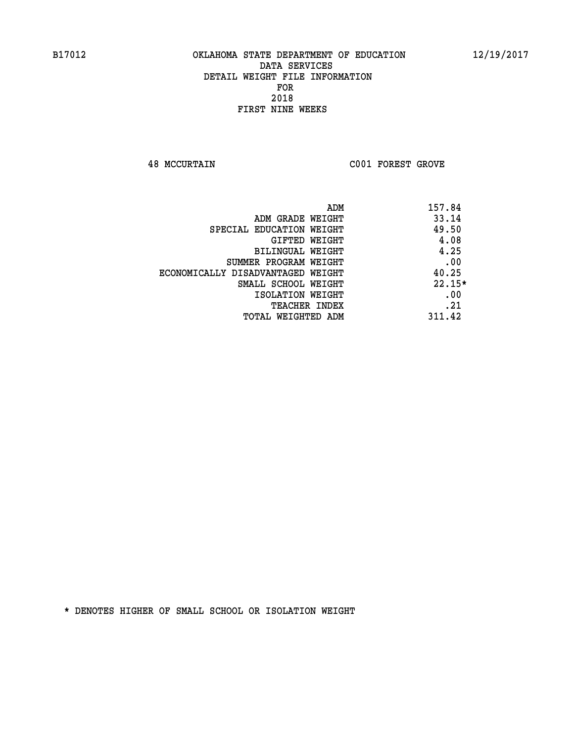**48 MCCURTAIN C001 FOREST GROVE** 

|                                   | 157.84<br>ADM |  |
|-----------------------------------|---------------|--|
| ADM GRADE WEIGHT                  | 33.14         |  |
| SPECIAL EDUCATION WEIGHT          | 49.50         |  |
| GIFTED WEIGHT                     | 4.08          |  |
| BILINGUAL WEIGHT                  | 4.25          |  |
| SUMMER PROGRAM WEIGHT             | .00           |  |
| ECONOMICALLY DISADVANTAGED WEIGHT | 40.25         |  |
| SMALL SCHOOL WEIGHT               | $22.15*$      |  |
| ISOLATION WEIGHT                  | .00           |  |
| TEACHER INDEX                     | .21           |  |
| TOTAL WEIGHTED ADM                | 311.42        |  |
|                                   |               |  |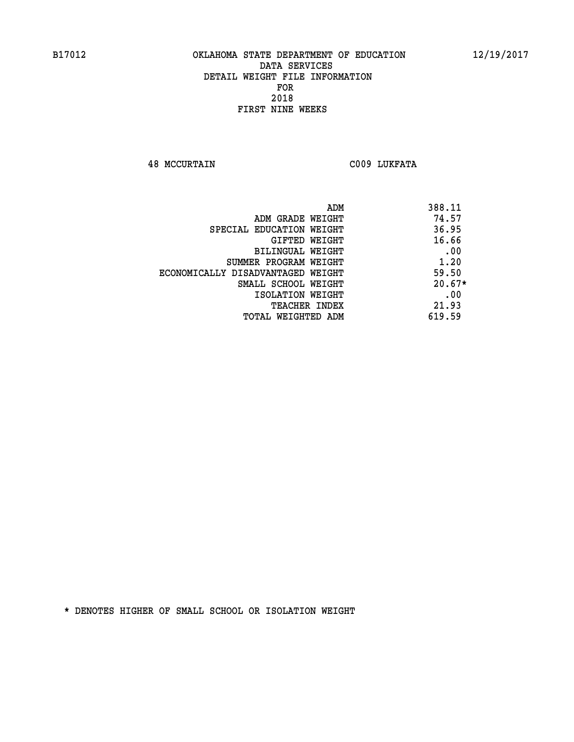**48 MCCURTAIN C009 LUKFATA** 

| ADM                               | 388.11   |
|-----------------------------------|----------|
| ADM GRADE WEIGHT                  | 74.57    |
| SPECIAL EDUCATION WEIGHT          | 36.95    |
| GIFTED WEIGHT                     | 16.66    |
| <b>BILINGUAL WEIGHT</b>           | .00      |
| SUMMER PROGRAM WEIGHT             | 1.20     |
| ECONOMICALLY DISADVANTAGED WEIGHT | 59.50    |
| SMALL SCHOOL WEIGHT               | $20.67*$ |
| ISOLATION WEIGHT                  | .00      |
| <b>TEACHER INDEX</b>              | 21.93    |
| TOTAL WEIGHTED ADM                | 619.59   |
|                                   |          |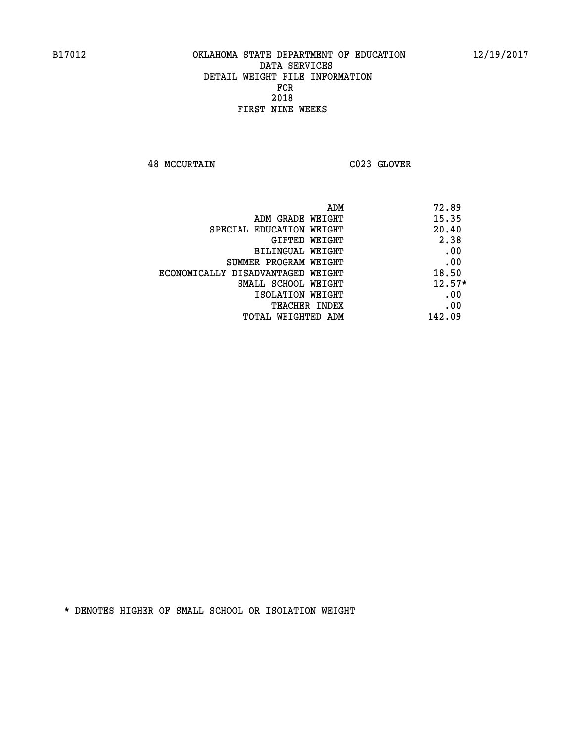**48 MCCURTAIN C023 GLOVER** 

| ADM                               | 72.89    |
|-----------------------------------|----------|
| ADM GRADE WEIGHT                  | 15.35    |
| SPECIAL EDUCATION WEIGHT          | 20.40    |
| GIFTED WEIGHT                     | 2.38     |
| <b>BILINGUAL WEIGHT</b>           | .00      |
| SUMMER PROGRAM WEIGHT             | .00      |
| ECONOMICALLY DISADVANTAGED WEIGHT | 18.50    |
| SMALL SCHOOL WEIGHT               | $12.57*$ |
| ISOLATION WEIGHT                  | .00      |
| <b>TEACHER INDEX</b>              | .00      |
| TOTAL WEIGHTED ADM                | 142.09   |
|                                   |          |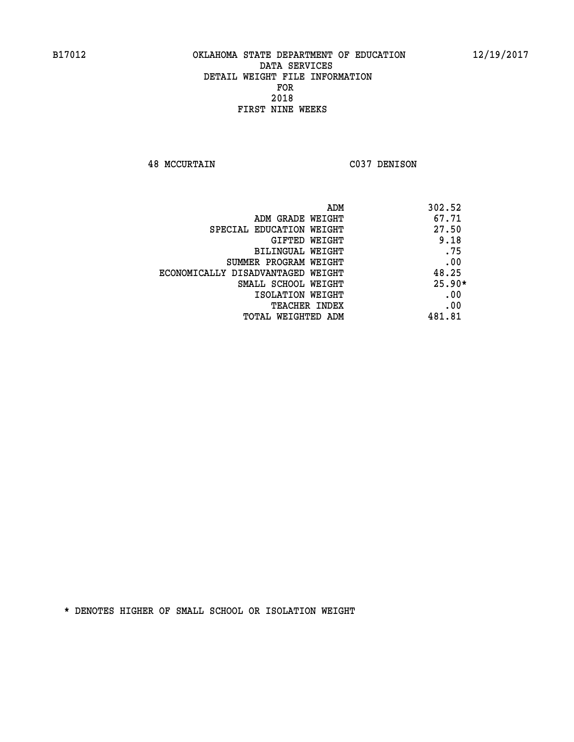**48 MCCURTAIN C037 DENISON** 

| ADM                               | 302.52   |
|-----------------------------------|----------|
| ADM GRADE WEIGHT                  | 67.71    |
| SPECIAL EDUCATION WEIGHT          | 27.50    |
| GIFTED WEIGHT                     | 9.18     |
| BILINGUAL WEIGHT                  | .75      |
| SUMMER PROGRAM WEIGHT             | .00      |
| ECONOMICALLY DISADVANTAGED WEIGHT | 48.25    |
| SMALL SCHOOL WEIGHT               | $25.90*$ |
| ISOLATION WEIGHT                  | .00      |
| <b>TEACHER INDEX</b>              | .00      |
| TOTAL WEIGHTED ADM                | 481.81   |
|                                   |          |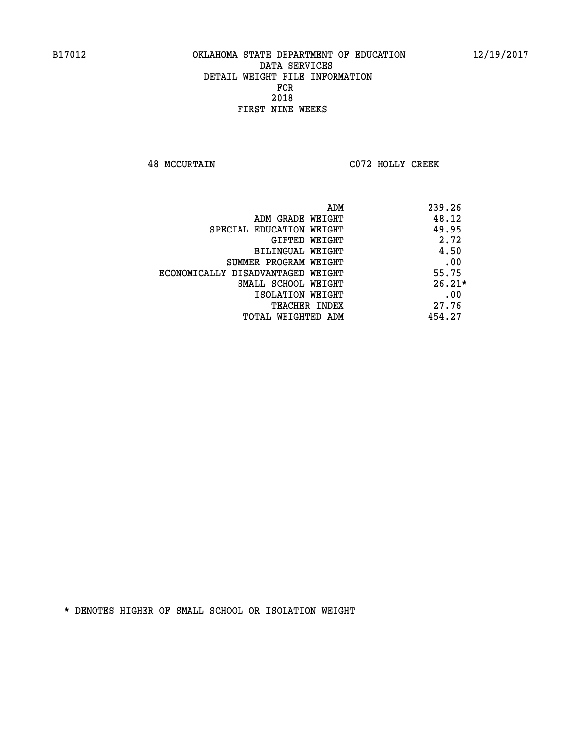**48 MCCURTAIN C072 HOLLY CREEK** 

| ADM                               | 239.26   |
|-----------------------------------|----------|
| ADM GRADE WEIGHT                  | 48.12    |
| SPECIAL EDUCATION WEIGHT          | 49.95    |
| GIFTED WEIGHT                     | 2.72     |
| BILINGUAL WEIGHT                  | 4.50     |
| SUMMER PROGRAM WEIGHT             | .00      |
| ECONOMICALLY DISADVANTAGED WEIGHT | 55.75    |
| SMALL SCHOOL WEIGHT               | $26.21*$ |
| ISOLATION WEIGHT                  | .00      |
| <b>TEACHER INDEX</b>              | 27.76    |
| TOTAL WEIGHTED ADM                | 454.27   |
|                                   |          |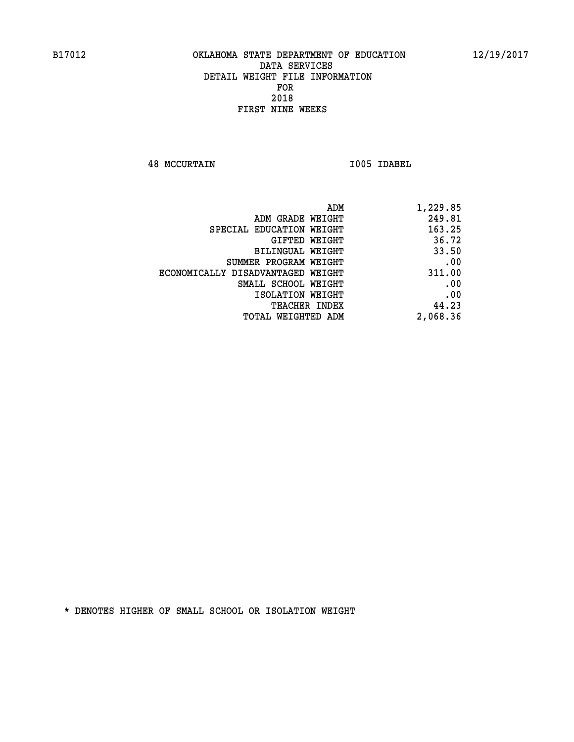**48 MCCURTAIN I005 IDABEL** 

| ADM                               | 1,229.85 |
|-----------------------------------|----------|
| ADM GRADE WEIGHT                  | 249.81   |
| SPECIAL EDUCATION WEIGHT          | 163.25   |
| GIFTED WEIGHT                     | 36.72    |
| BILINGUAL WEIGHT                  | 33.50    |
| SUMMER PROGRAM WEIGHT             | .00      |
| ECONOMICALLY DISADVANTAGED WEIGHT | 311.00   |
| SMALL SCHOOL WEIGHT               | .00      |
| ISOLATION WEIGHT                  | .00      |
| <b>TEACHER INDEX</b>              | 44.23    |
| <b>TOTAL WEIGHTED ADM</b>         | 2,068.36 |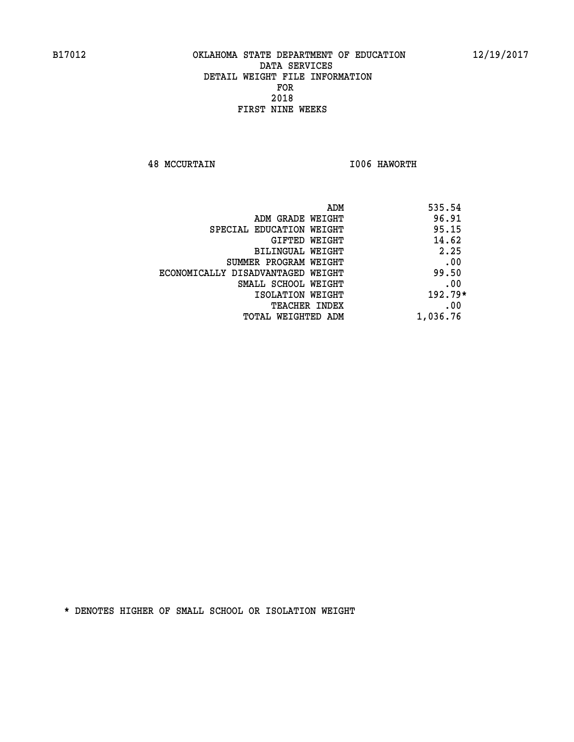**48 MCCURTAIN I006 HAWORTH** 

| ADM<br>535.54                 |                                   |
|-------------------------------|-----------------------------------|
| 96.91<br>ADM GRADE WEIGHT     |                                   |
| 95.15                         | SPECIAL EDUCATION WEIGHT          |
| 14.62<br>GIFTED WEIGHT        |                                   |
| 2.25<br>BILINGUAL WEIGHT      |                                   |
| .00                           | SUMMER PROGRAM WEIGHT             |
| 99.50                         | ECONOMICALLY DISADVANTAGED WEIGHT |
| .00                           | SMALL SCHOOL WEIGHT               |
| $192.79*$<br>ISOLATION WEIGHT |                                   |
| .00<br>TEACHER INDEX          |                                   |
| 1,036.76                      | TOTAL WEIGHTED ADM                |
|                               |                                   |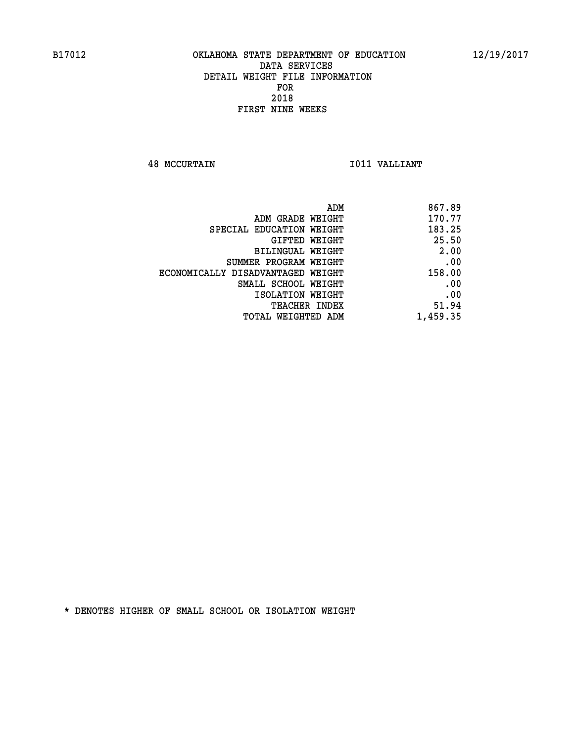**48 MCCURTAIN I011 VALLIANT** 

| ADM                               | 867.89   |
|-----------------------------------|----------|
| ADM GRADE WEIGHT                  | 170.77   |
| SPECIAL EDUCATION WEIGHT          | 183.25   |
| GIFTED WEIGHT                     | 25.50    |
| BILINGUAL WEIGHT                  | 2.00     |
| SUMMER PROGRAM WEIGHT             | .00      |
| ECONOMICALLY DISADVANTAGED WEIGHT | 158.00   |
| SMALL SCHOOL WEIGHT               | .00      |
| ISOLATION WEIGHT                  | .00      |
| TEACHER INDEX                     | 51.94    |
| TOTAL WEIGHTED ADM                | 1,459.35 |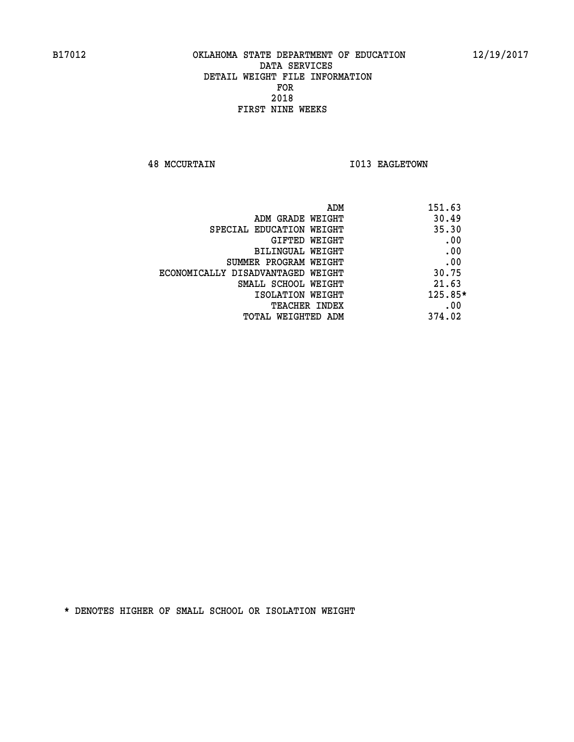**48 MCCURTAIN I013 EAGLETOWN** 

| ADM                               | 151.63    |
|-----------------------------------|-----------|
| ADM GRADE WEIGHT                  | 30.49     |
| SPECIAL EDUCATION WEIGHT          | 35.30     |
| GIFTED WEIGHT                     | .00       |
| BILINGUAL WEIGHT                  | .00       |
| SUMMER PROGRAM WEIGHT             | .00       |
| ECONOMICALLY DISADVANTAGED WEIGHT | 30.75     |
| SMALL SCHOOL WEIGHT               | 21.63     |
| ISOLATION WEIGHT                  | $125.85*$ |
| <b>TEACHER INDEX</b>              | .00       |
| TOTAL WEIGHTED ADM                | 374.02    |
|                                   |           |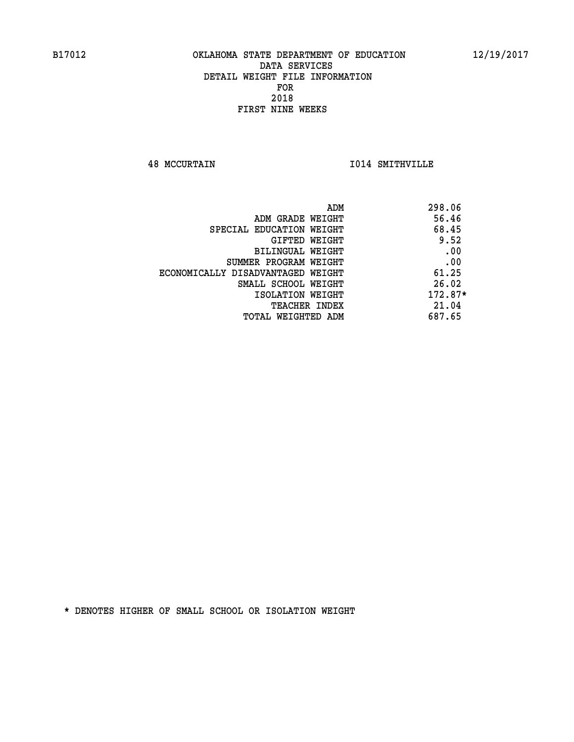**48 MCCURTAIN I014 SMITHVILLE** 

| 298.06<br>ADM |                                   |
|---------------|-----------------------------------|
| 56.46         | ADM GRADE WEIGHT                  |
| 68.45         | SPECIAL EDUCATION WEIGHT          |
| 9.52          | GIFTED WEIGHT                     |
| .00           | BILINGUAL WEIGHT                  |
| .00           | SUMMER PROGRAM WEIGHT             |
| 61.25         | ECONOMICALLY DISADVANTAGED WEIGHT |
| 26.02         | SMALL SCHOOL WEIGHT               |
| 172.87*       | ISOLATION WEIGHT                  |
| 21.04         | <b>TEACHER INDEX</b>              |
| 687.65        | TOTAL WEIGHTED ADM                |
|               |                                   |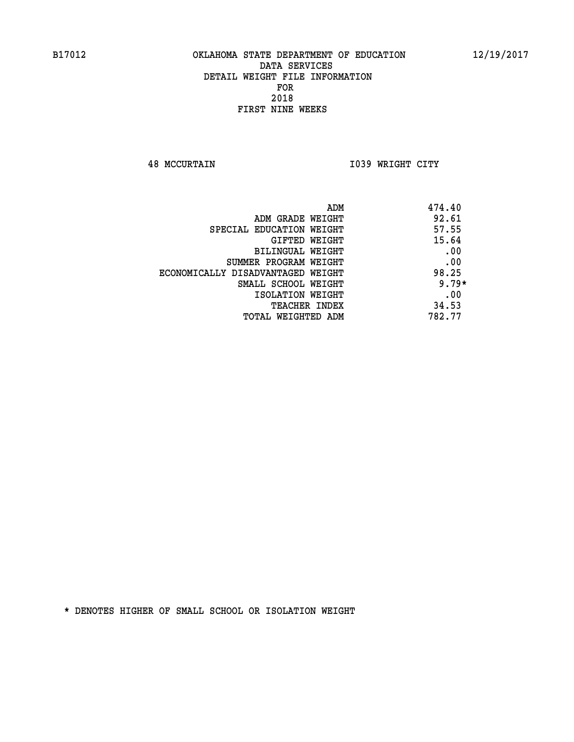**48 MCCURTAIN I039 WRIGHT CITY** 

| 474.40<br>ADM                              |         |
|--------------------------------------------|---------|
| 92.61<br>ADM GRADE WEIGHT                  |         |
| 57.55<br>SPECIAL EDUCATION WEIGHT          |         |
| 15.64<br>GIFTED WEIGHT                     |         |
| BILINGUAL WEIGHT                           | .00     |
| SUMMER PROGRAM WEIGHT                      | .00     |
| 98.25<br>ECONOMICALLY DISADVANTAGED WEIGHT |         |
| SMALL SCHOOL WEIGHT                        | $9.79*$ |
| ISOLATION WEIGHT                           | .00     |
| 34.53<br><b>TEACHER INDEX</b>              |         |
| 782.77<br>TOTAL WEIGHTED ADM               |         |
|                                            |         |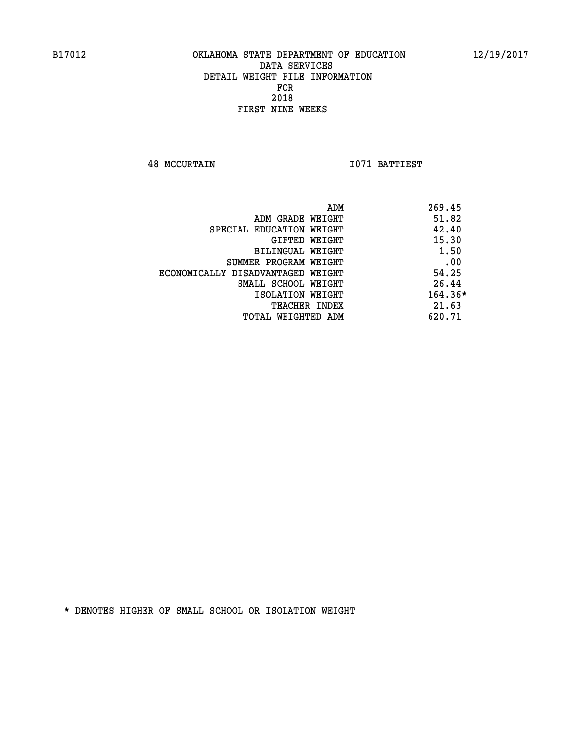**48 MCCURTAIN I071 BATTIEST** 

|                                   | ADM | 269.45  |
|-----------------------------------|-----|---------|
| ADM GRADE WEIGHT                  |     | 51.82   |
| SPECIAL EDUCATION WEIGHT          |     | 42.40   |
| GIFTED WEIGHT                     |     | 15.30   |
| BILINGUAL WEIGHT                  |     | 1.50    |
| SUMMER PROGRAM WEIGHT             |     | .00     |
| ECONOMICALLY DISADVANTAGED WEIGHT |     | 54.25   |
| SMALL SCHOOL WEIGHT               |     | 26.44   |
| ISOLATION WEIGHT                  |     | 164.36* |
| <b>TEACHER INDEX</b>              |     | 21.63   |
| TOTAL WEIGHTED ADM                |     | 620.71  |
|                                   |     |         |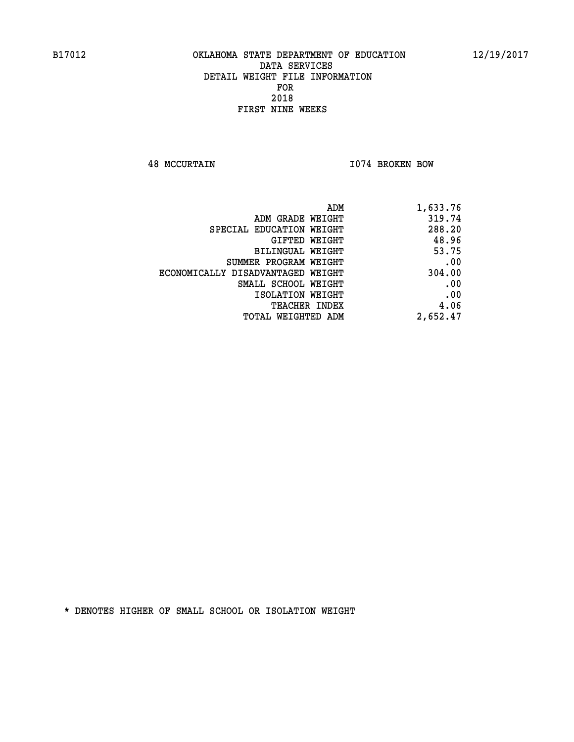**48 MCCURTAIN I074 BROKEN BOW** 

| ADM                               | 1,633.76 |
|-----------------------------------|----------|
| ADM GRADE WEIGHT                  | 319.74   |
| SPECIAL EDUCATION WEIGHT          | 288.20   |
| <b>GIFTED WEIGHT</b>              | 48.96    |
| BILINGUAL WEIGHT                  | 53.75    |
| SUMMER PROGRAM WEIGHT             | .00      |
| ECONOMICALLY DISADVANTAGED WEIGHT | 304.00   |
| SMALL SCHOOL WEIGHT               | .00      |
| ISOLATION WEIGHT                  | .00      |
| <b>TEACHER INDEX</b>              | 4.06     |
| TOTAL WEIGHTED ADM                | 2,652.47 |
|                                   |          |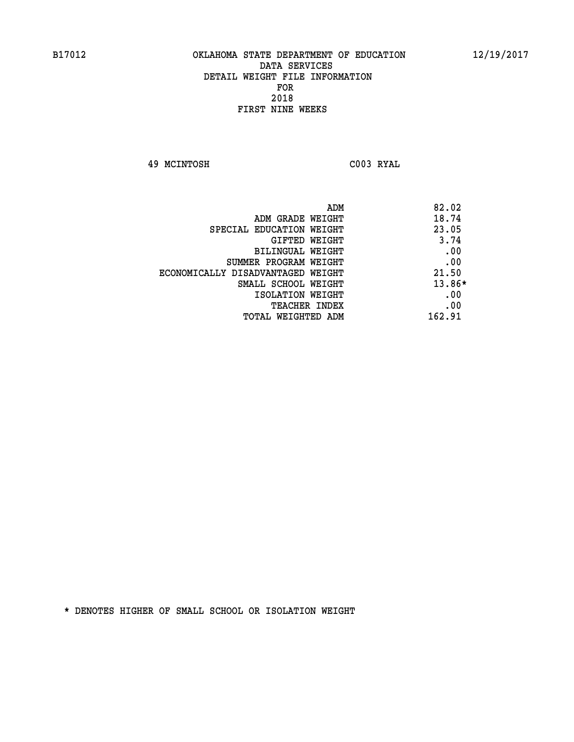**49 MCINTOSH C003 RYAL** 

| ADM                               | 82.02  |
|-----------------------------------|--------|
| ADM GRADE WEIGHT                  | 18.74  |
| SPECIAL EDUCATION WEIGHT          | 23.05  |
| GIFTED WEIGHT                     | 3.74   |
| BILINGUAL WEIGHT                  | .00    |
| SUMMER PROGRAM WEIGHT             | .00    |
| ECONOMICALLY DISADVANTAGED WEIGHT | 21.50  |
| SMALL SCHOOL WEIGHT               | 13.86* |
| ISOLATION WEIGHT                  | .00    |
| <b>TEACHER INDEX</b>              | .00    |
| TOTAL WEIGHTED ADM                | 162.91 |
|                                   |        |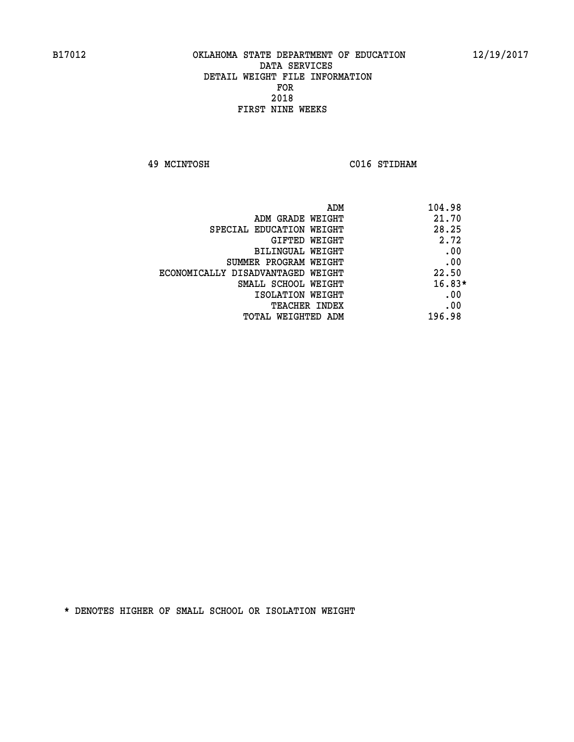**49 MCINTOSH C016 STIDHAM** 

| ADM                               | 104.98   |
|-----------------------------------|----------|
| ADM GRADE WEIGHT                  | 21.70    |
| SPECIAL EDUCATION WEIGHT          | 28.25    |
| GIFTED WEIGHT                     | 2.72     |
| BILINGUAL WEIGHT                  | .00      |
| SUMMER PROGRAM WEIGHT             | .00      |
| ECONOMICALLY DISADVANTAGED WEIGHT | 22.50    |
| SMALL SCHOOL WEIGHT               | $16.83*$ |
| ISOLATION WEIGHT                  | .00      |
| <b>TEACHER INDEX</b>              | .00      |
| TOTAL WEIGHTED ADM                | 196.98   |
|                                   |          |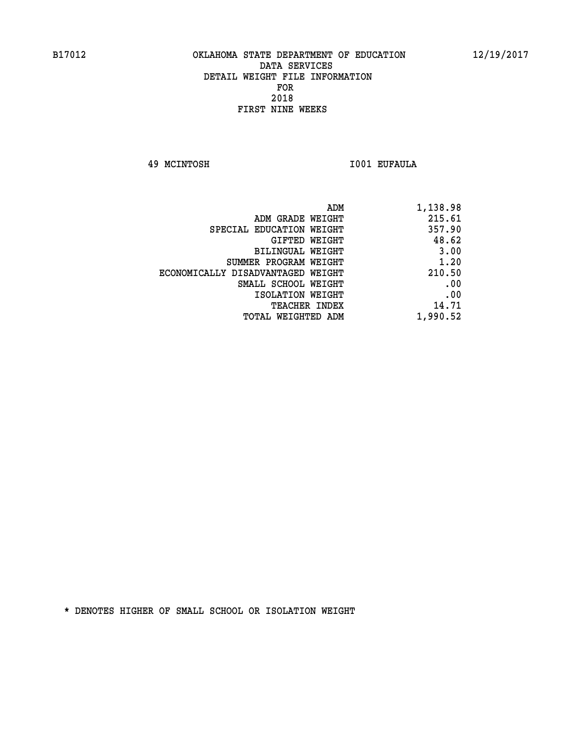**49 MCINTOSH I001 EUFAULA** 

| 1,138.98 |
|----------|
| 215.61   |
| 357.90   |
| 48.62    |
| 3.00     |
| 1.20     |
| 210.50   |
| .00      |
| .00      |
| 14.71    |
| 1,990.52 |
|          |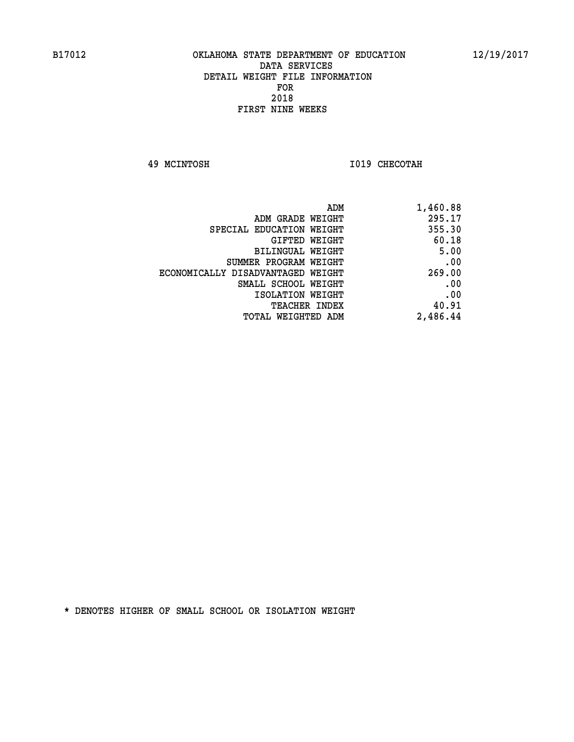**49 MCINTOSH I019 CHECOTAH** 

| ADM                               | 1,460.88 |
|-----------------------------------|----------|
| ADM GRADE WEIGHT                  | 295.17   |
| SPECIAL EDUCATION WEIGHT          | 355.30   |
| GIFTED WEIGHT                     | 60.18    |
| BILINGUAL WEIGHT                  | 5.00     |
| SUMMER PROGRAM WEIGHT             | .00      |
| ECONOMICALLY DISADVANTAGED WEIGHT | 269.00   |
| SMALL SCHOOL WEIGHT               | .00      |
| ISOLATION WEIGHT                  | .00      |
| <b>TEACHER INDEX</b>              | 40.91    |
| TOTAL WEIGHTED ADM                | 2,486.44 |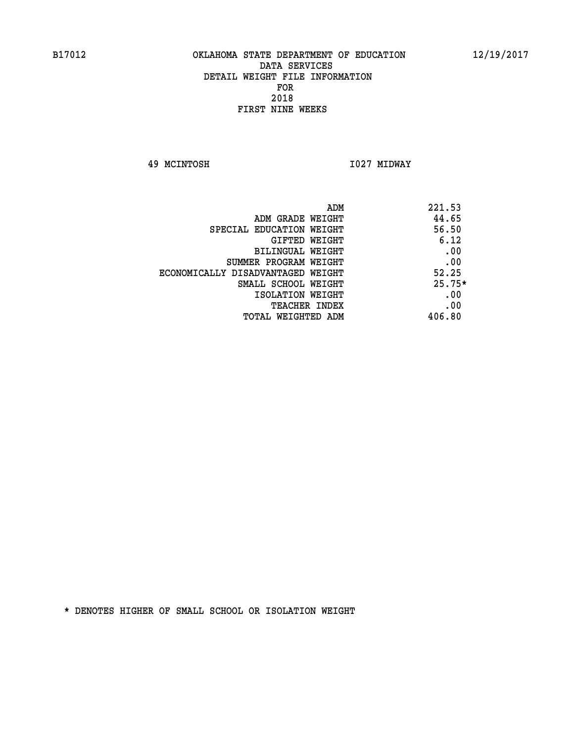**49 MCINTOSH I027 MIDWAY** 

| ADM<br>221.53 |                                   |
|---------------|-----------------------------------|
| 44.65         | ADM GRADE WEIGHT                  |
| 56.50         | SPECIAL EDUCATION WEIGHT          |
| 6.12          | <b>GIFTED WEIGHT</b>              |
| .00           | BILINGUAL WEIGHT                  |
| .00           | SUMMER PROGRAM WEIGHT             |
| 52.25         | ECONOMICALLY DISADVANTAGED WEIGHT |
| $25.75*$      | SMALL SCHOOL WEIGHT               |
| .00           | ISOLATION WEIGHT                  |
| .00           | <b>TEACHER INDEX</b>              |
| 406.80        | TOTAL WEIGHTED ADM                |
|               |                                   |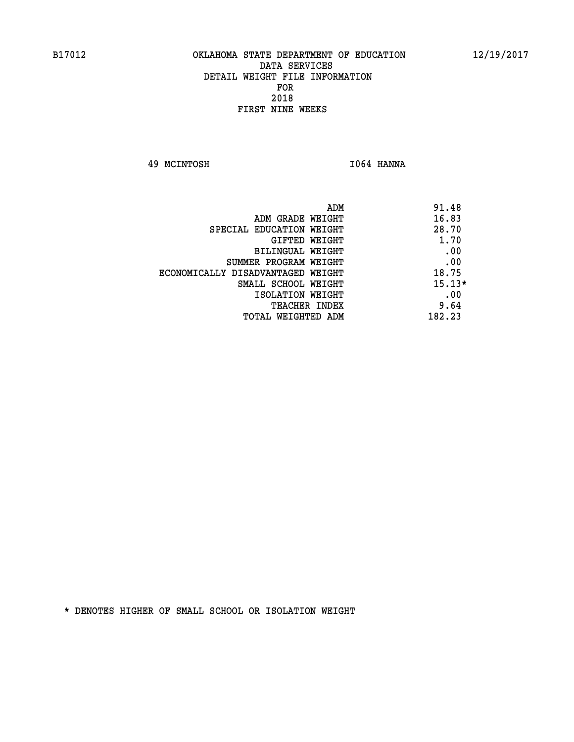**49 MCINTOSH I064 HANNA** 

| ADM                               | 91.48    |
|-----------------------------------|----------|
| ADM GRADE WEIGHT                  | 16.83    |
| SPECIAL EDUCATION WEIGHT          | 28.70    |
| GIFTED WEIGHT                     | 1.70     |
| BILINGUAL WEIGHT                  | .00      |
| SUMMER PROGRAM WEIGHT             | .00      |
| ECONOMICALLY DISADVANTAGED WEIGHT | 18.75    |
| SMALL SCHOOL WEIGHT               | $15.13*$ |
| ISOLATION WEIGHT                  | .00      |
| <b>TEACHER INDEX</b>              | 9.64     |
| TOTAL WEIGHTED ADM                | 182.23   |
|                                   |          |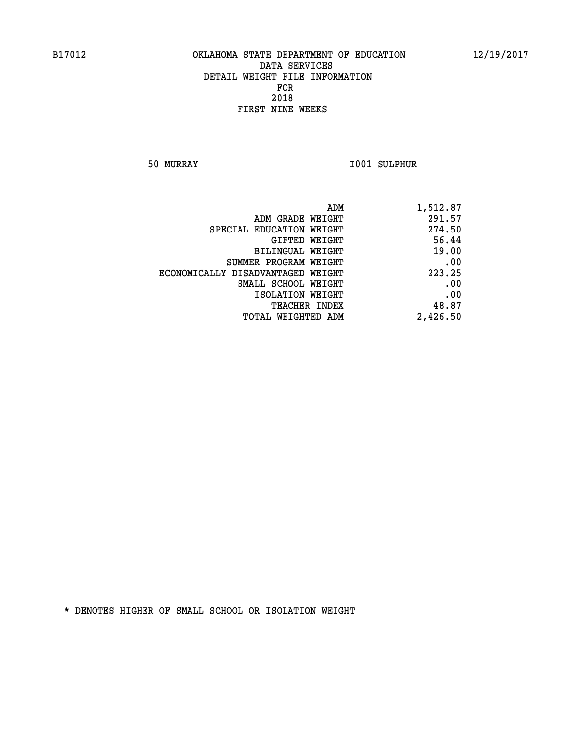**50 MURRAY I001 SULPHUR** 

| 1,512.87 |
|----------|
| 291.57   |
| 274.50   |
| 56.44    |
| 19.00    |
| .00      |
| 223.25   |
| .00      |
| .00      |
| 48.87    |
| 2,426.50 |
|          |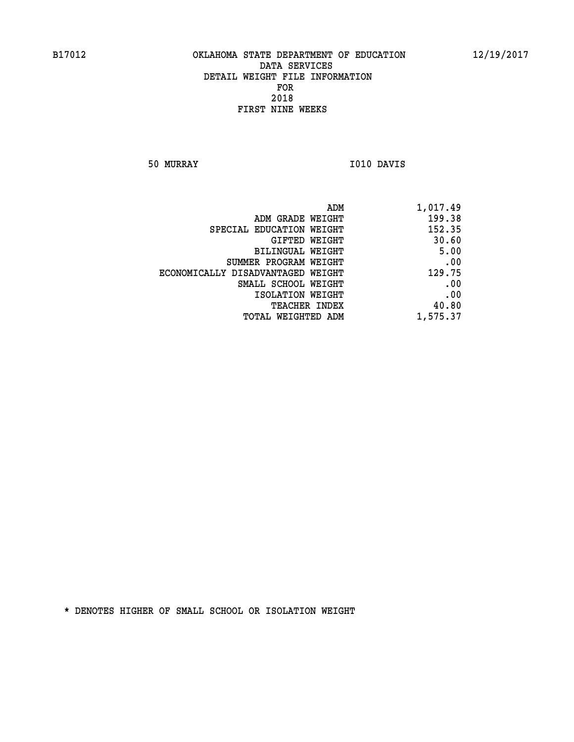**50 MURRAY I010 DAVIS** 

| 1,017.49 |
|----------|
| 199.38   |
| 152.35   |
| 30.60    |
| 5.00     |
| .00      |
| 129.75   |
| .00      |
| .00      |
| 40.80    |
| 1,575.37 |
|          |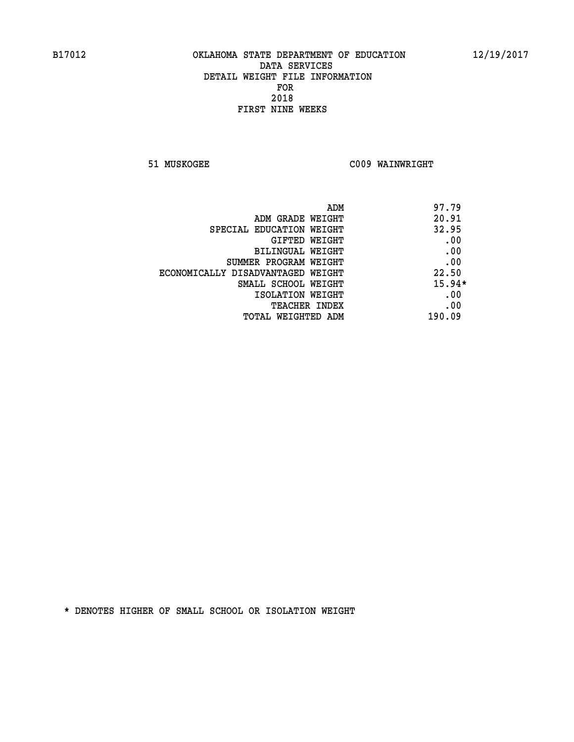**51 MUSKOGEE C009 WAINWRIGHT** 

|                                   | 97.79<br>ADM |
|-----------------------------------|--------------|
| ADM GRADE WEIGHT                  | 20.91        |
| SPECIAL EDUCATION WEIGHT          | 32.95        |
| GIFTED WEIGHT                     | .00          |
| BILINGUAL WEIGHT                  | .00          |
| SUMMER PROGRAM WEIGHT             | .00          |
| ECONOMICALLY DISADVANTAGED WEIGHT | 22.50        |
| SMALL SCHOOL WEIGHT               | $15.94*$     |
| ISOLATION WEIGHT                  | .00          |
| <b>TEACHER INDEX</b>              | .00          |
| TOTAL WEIGHTED ADM                | 190.09       |
|                                   |              |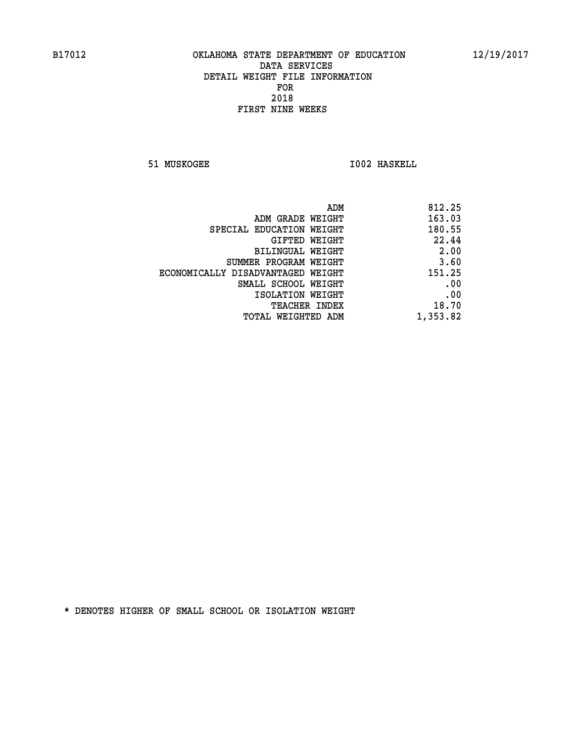**51 MUSKOGEE 1002 HASKELL** 

| 812.25   |
|----------|
| 163.03   |
| 180.55   |
| 22.44    |
| 2.00     |
| 3.60     |
| 151.25   |
| .00      |
| .00      |
| 18.70    |
| 1,353.82 |
|          |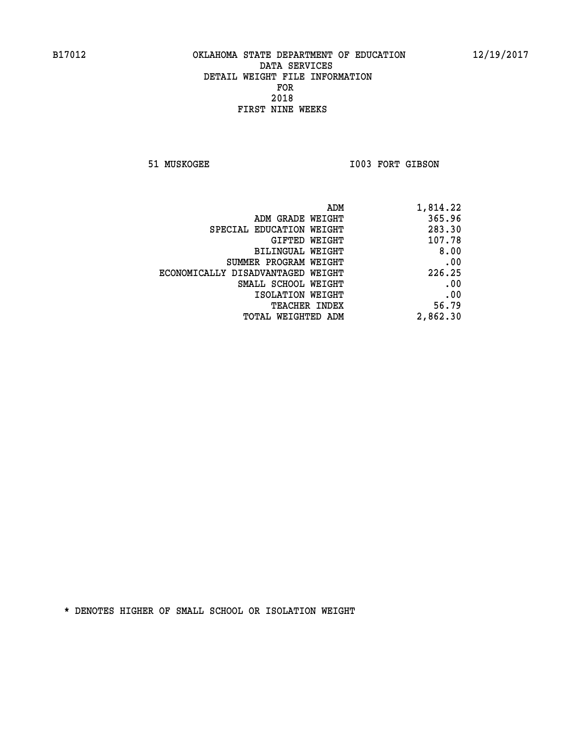51 MUSKOGEE 1003 FORT GIBSON

| 1,814.22 |
|----------|
| 365.96   |
| 283.30   |
| 107.78   |
| 8.00     |
| .00      |
| 226.25   |
| .00      |
| .00      |
| 56.79    |
| 2,862.30 |
|          |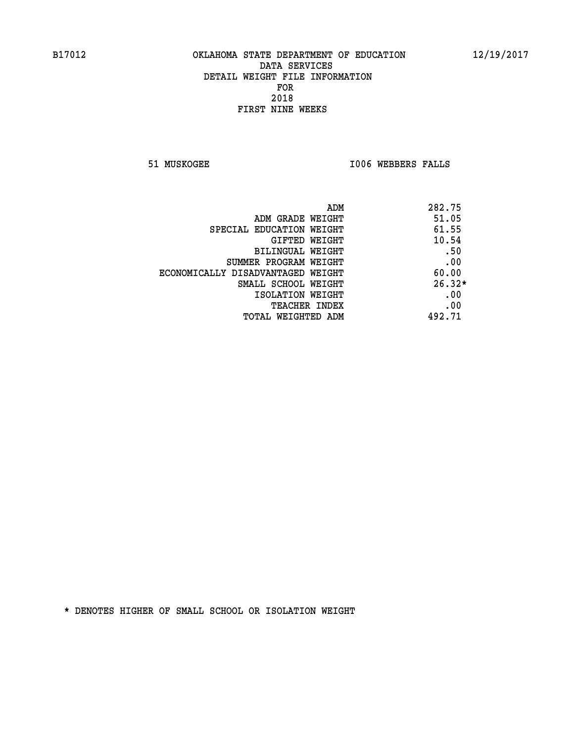**51 MUSKOGEE I006 WEBBERS FALLS** 

| ADM                               | 282.75   |
|-----------------------------------|----------|
| ADM GRADE WEIGHT                  | 51.05    |
| SPECIAL EDUCATION WEIGHT          | 61.55    |
| <b>GIFTED WEIGHT</b>              | 10.54    |
| BILINGUAL WEIGHT                  | .50      |
| SUMMER PROGRAM WEIGHT             | .00      |
| ECONOMICALLY DISADVANTAGED WEIGHT | 60.00    |
| SMALL SCHOOL WEIGHT               | $26.32*$ |
| ISOLATION WEIGHT                  | .00      |
| <b>TEACHER INDEX</b>              | .00      |
| TOTAL WEIGHTED ADM                | 492.71   |
|                                   |          |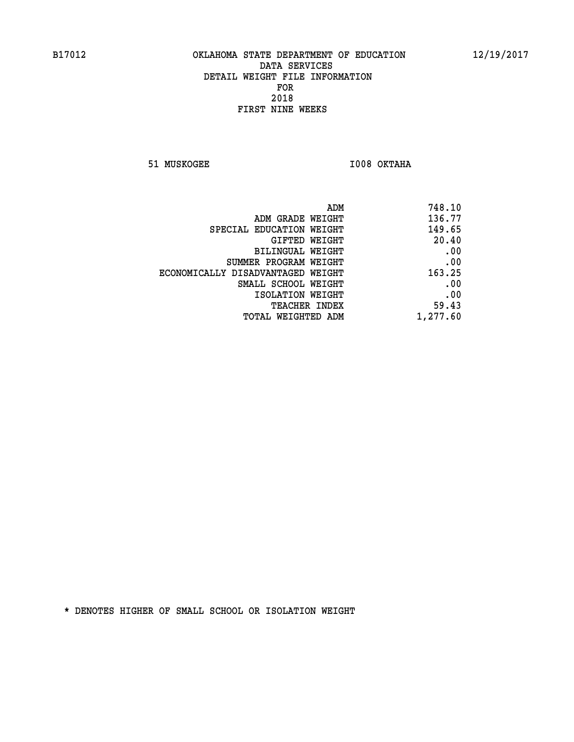**51 MUSKOGEE I008 OKTAHA** 

| 748.10   |
|----------|
| 136.77   |
| 149.65   |
| 20.40    |
| .00      |
| .00      |
| 163.25   |
| .00      |
| .00      |
| 59.43    |
| 1,277.60 |
|          |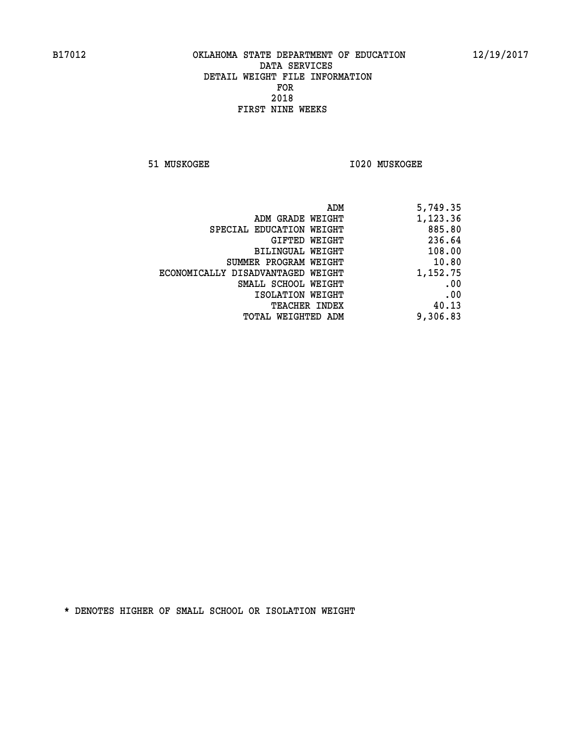**51 MUSKOGEE I020 MUSKOGEE** 

| 5,749.35 |
|----------|
| 1,123.36 |
| 885.80   |
| 236.64   |
| 108.00   |
| 10.80    |
| 1,152.75 |
| .00      |
| .00      |
| 40.13    |
| 9,306.83 |
|          |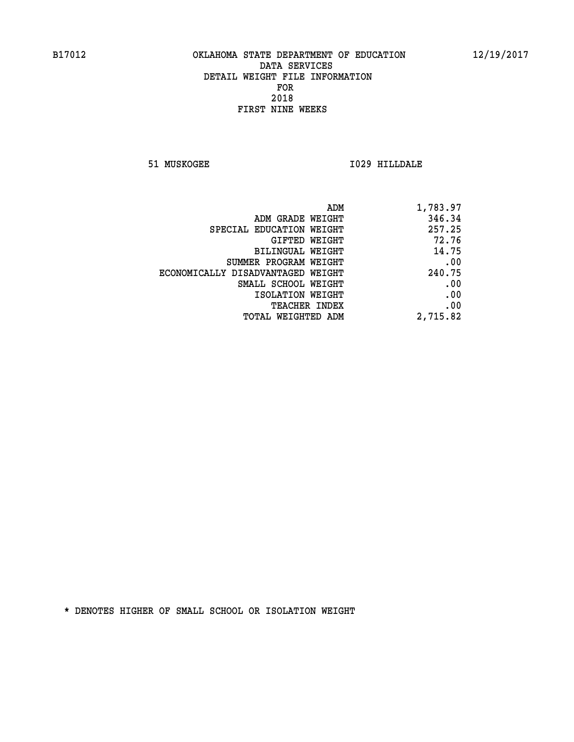**51 MUSKOGEE I029 HILLDALE** 

| ADM                               | 1,783.97 |
|-----------------------------------|----------|
| ADM GRADE WEIGHT                  | 346.34   |
| SPECIAL EDUCATION WEIGHT          | 257.25   |
| <b>GIFTED WEIGHT</b>              | 72.76    |
| BILINGUAL WEIGHT                  | 14.75    |
| SUMMER PROGRAM WEIGHT             | .00      |
| ECONOMICALLY DISADVANTAGED WEIGHT | 240.75   |
| SMALL SCHOOL WEIGHT               | .00      |
| ISOLATION WEIGHT                  | .00      |
| <b>TEACHER INDEX</b>              | .00      |
| <b>TOTAL WEIGHTED ADM</b>         | 2,715.82 |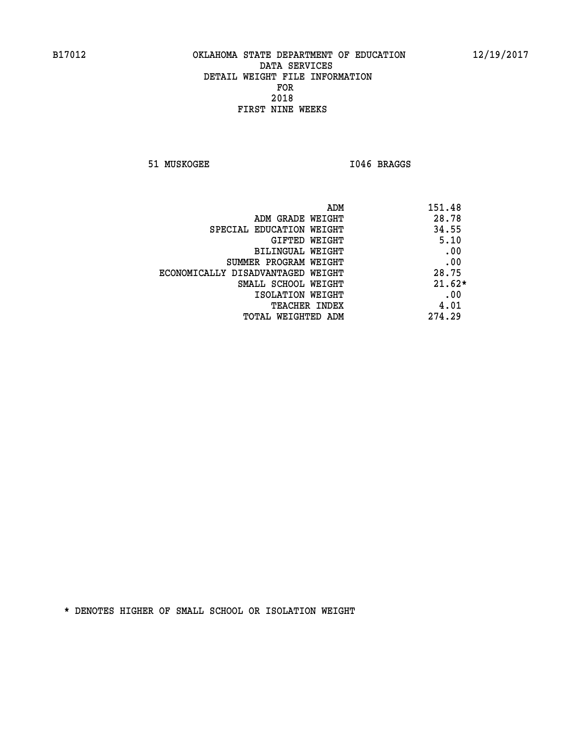**51 MUSKOGEE I046 BRAGGS** 

| ADM<br>151.48                              |  |
|--------------------------------------------|--|
| 28.78<br>ADM GRADE WEIGHT                  |  |
| 34.55<br>SPECIAL EDUCATION WEIGHT          |  |
| 5.10<br>GIFTED WEIGHT                      |  |
| .00<br>BILINGUAL WEIGHT                    |  |
| .00<br>SUMMER PROGRAM WEIGHT               |  |
| 28.75<br>ECONOMICALLY DISADVANTAGED WEIGHT |  |
| $21.62*$<br>SMALL SCHOOL WEIGHT            |  |
| .00<br>ISOLATION WEIGHT                    |  |
| 4.01<br><b>TEACHER INDEX</b>               |  |
| 274.29<br>TOTAL WEIGHTED ADM               |  |
|                                            |  |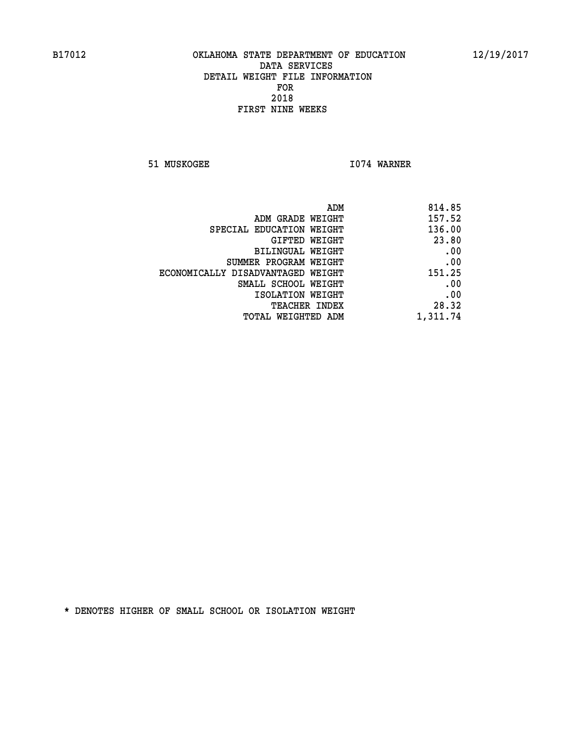**51 MUSKOGEE 1074 WARNER** 

| 814.85   |
|----------|
| 157.52   |
| 136.00   |
| 23.80    |
| .00      |
| .00      |
| 151.25   |
| .00      |
| .00      |
| 28.32    |
| 1,311.74 |
|          |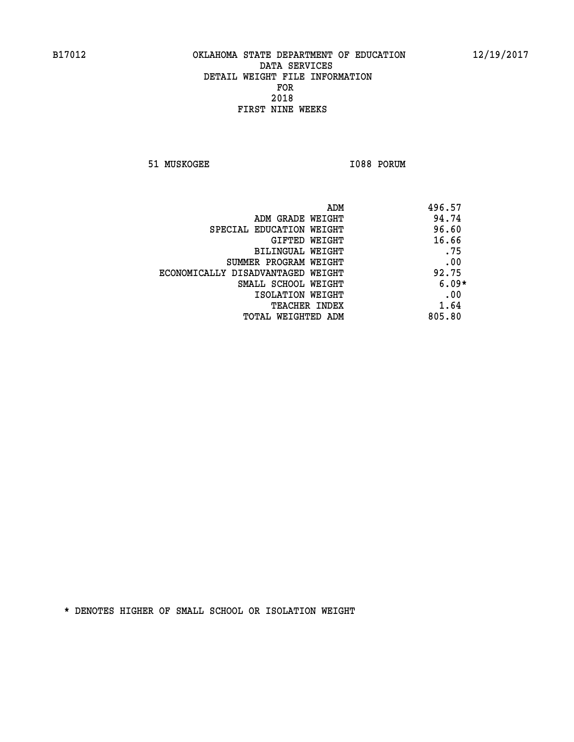**51 MUSKOGEE 1088 PORUM** 

| ADM<br>496.57 |                                   |
|---------------|-----------------------------------|
| 94.74         | ADM GRADE WEIGHT                  |
| 96.60         | SPECIAL EDUCATION WEIGHT          |
| 16.66         | <b>GIFTED WEIGHT</b>              |
| .75           | BILINGUAL WEIGHT                  |
| .00           | SUMMER PROGRAM WEIGHT             |
| 92.75         | ECONOMICALLY DISADVANTAGED WEIGHT |
| $6.09*$       | SMALL SCHOOL WEIGHT               |
| .00           | ISOLATION WEIGHT                  |
| 1.64          | <b>TEACHER INDEX</b>              |
| 805.80        | TOTAL WEIGHTED ADM                |
|               |                                   |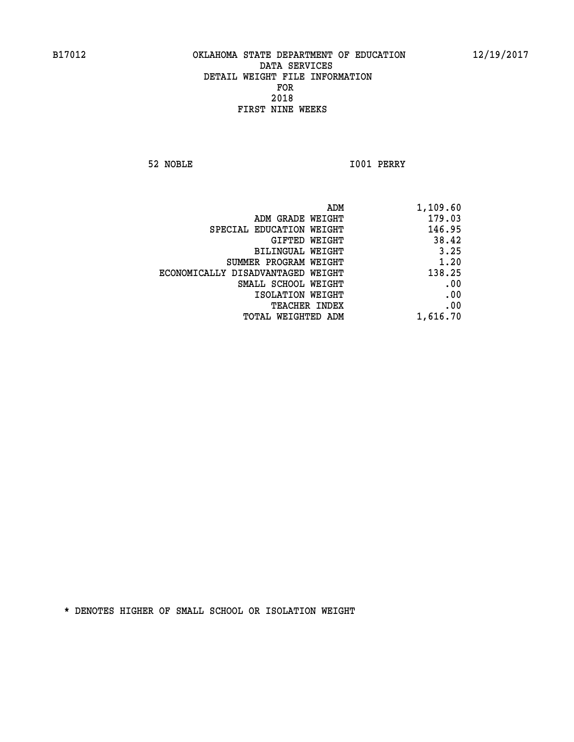**52 NOBLE I001 PERRY** 

|                                   | ADM<br>1,109.60 |
|-----------------------------------|-----------------|
| ADM GRADE WEIGHT                  | 179.03          |
| SPECIAL EDUCATION WEIGHT          | 146.95          |
| GIFTED WEIGHT                     | 38.42           |
| <b>BILINGUAL WEIGHT</b>           | 3.25            |
| SUMMER PROGRAM WEIGHT             | 1.20            |
| ECONOMICALLY DISADVANTAGED WEIGHT | 138.25          |
| SMALL SCHOOL WEIGHT               | .00             |
| ISOLATION WEIGHT                  | .00             |
| TEACHER INDEX                     | .00             |
| TOTAL WEIGHTED ADM                | 1,616.70        |
|                                   |                 |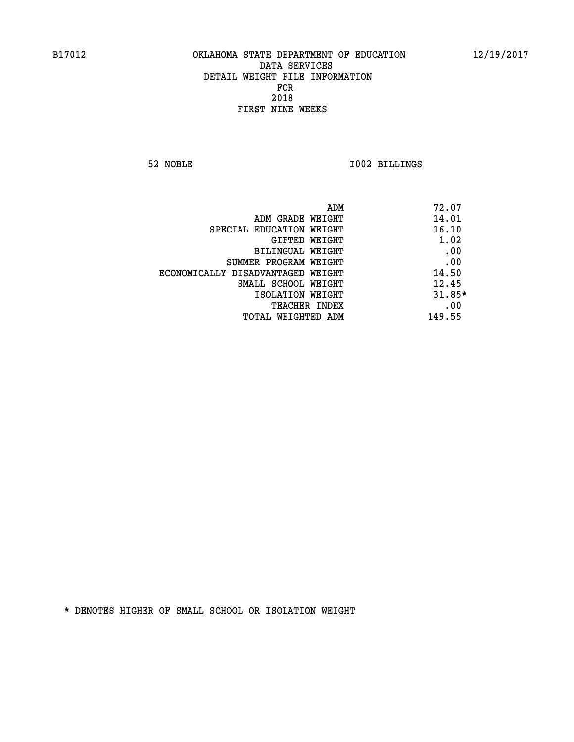**52 NOBLE I002 BILLINGS** 

|                                   | ADM | 72.07    |
|-----------------------------------|-----|----------|
| ADM GRADE WEIGHT                  |     | 14.01    |
| SPECIAL EDUCATION WEIGHT          |     | 16.10    |
| GIFTED WEIGHT                     |     | 1.02     |
| BILINGUAL WEIGHT                  |     | .00      |
| SUMMER PROGRAM WEIGHT             |     | .00      |
| ECONOMICALLY DISADVANTAGED WEIGHT |     | 14.50    |
| SMALL SCHOOL WEIGHT               |     | 12.45    |
| ISOLATION WEIGHT                  |     | $31.85*$ |
| TEACHER INDEX                     |     | .00      |
| TOTAL WEIGHTED ADM                |     | 149.55   |
|                                   |     |          |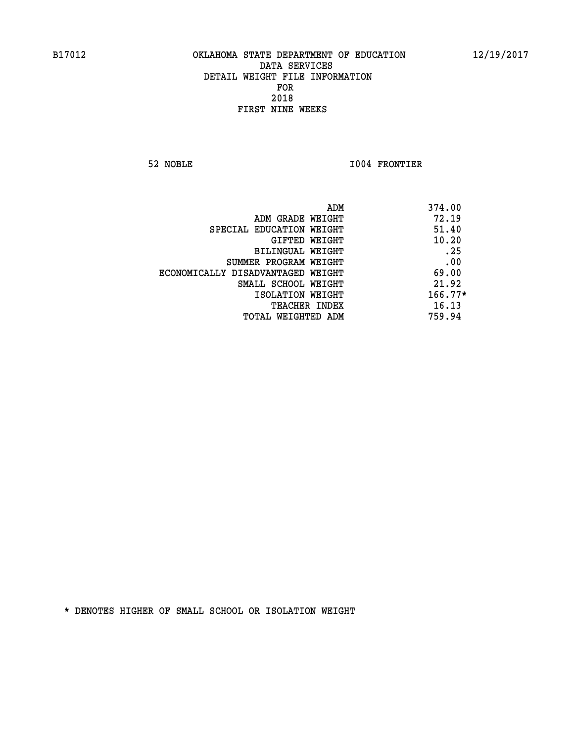**52 NOBLE I004 FRONTIER** 

| 374.00<br>ADM                              |  |
|--------------------------------------------|--|
| 72.19<br>ADM GRADE WEIGHT                  |  |
| 51.40<br>SPECIAL EDUCATION WEIGHT          |  |
| 10.20<br>GIFTED WEIGHT                     |  |
| .25<br>BILINGUAL WEIGHT                    |  |
| .00<br>SUMMER PROGRAM WEIGHT               |  |
| 69.00<br>ECONOMICALLY DISADVANTAGED WEIGHT |  |
| 21.92<br>SMALL SCHOOL WEIGHT               |  |
| $166.77*$<br>ISOLATION WEIGHT              |  |
| 16.13<br><b>TEACHER INDEX</b>              |  |
| 759.94<br>TOTAL WEIGHTED ADM               |  |
|                                            |  |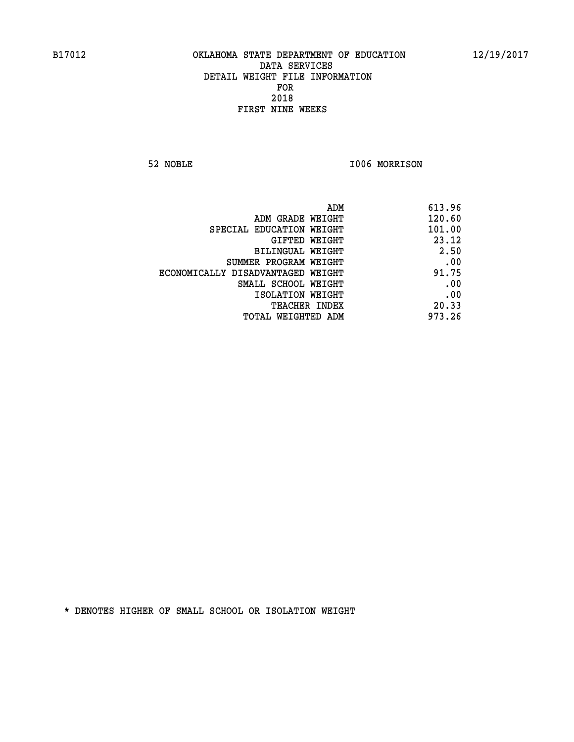**52 NOBLE I006 MORRISON** 

| 613.96 |
|--------|
| 120.60 |
| 101.00 |
| 23.12  |
| 2.50   |
| .00    |
| 91.75  |
| .00    |
| .00    |
| 20.33  |
| 973.26 |
|        |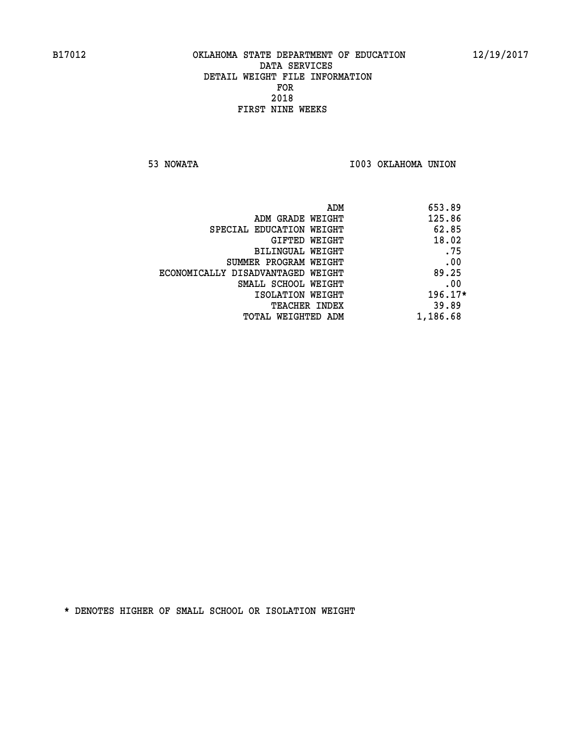**53 NOWATA I003 OKLAHOMA UNION** 

| 653.89<br>ADM |                                   |
|---------------|-----------------------------------|
| 125.86        | ADM GRADE WEIGHT                  |
| 62.85         | SPECIAL EDUCATION WEIGHT          |
| 18.02         | GIFTED WEIGHT                     |
| .75           | BILINGUAL WEIGHT                  |
| .00           | SUMMER PROGRAM WEIGHT             |
| 89.25         | ECONOMICALLY DISADVANTAGED WEIGHT |
| .00           | SMALL SCHOOL WEIGHT               |
| $196.17*$     | ISOLATION WEIGHT                  |
| 39.89         | <b>TEACHER INDEX</b>              |
| 1,186.68      | TOTAL WEIGHTED ADM                |
|               |                                   |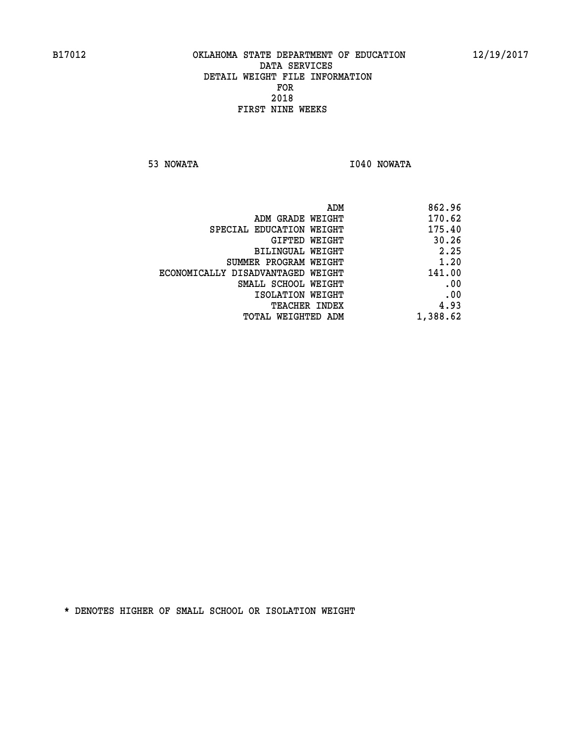**53 NOWATA I040 NOWATA** 

| 862.96   |
|----------|
| 170.62   |
| 175.40   |
| 30.26    |
| 2.25     |
| 1.20     |
| 141.00   |
| .00      |
| .00      |
| 4.93     |
| 1,388.62 |
|          |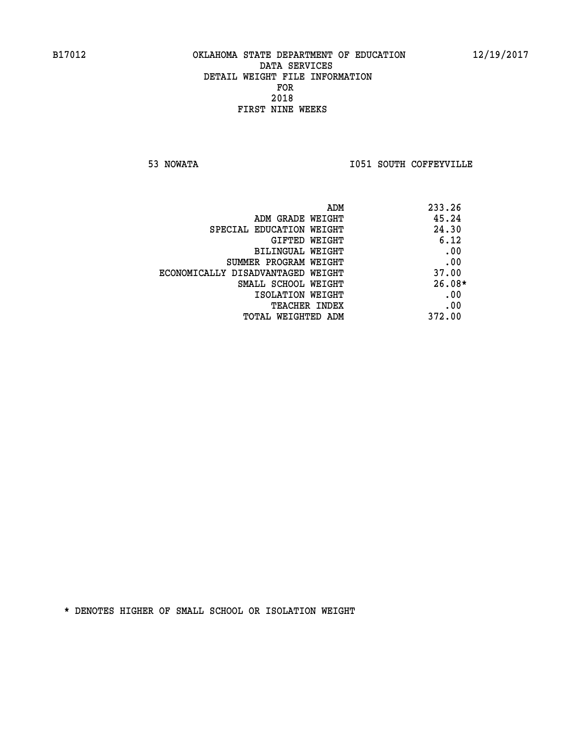**53 NOWATA I051 SOUTH COFFEYVILLE** 

|                                   | 233.26<br>ADM |
|-----------------------------------|---------------|
| ADM GRADE WEIGHT                  | 45.24         |
| SPECIAL EDUCATION WEIGHT          | 24.30         |
| GIFTED WEIGHT                     | 6.12          |
| BILINGUAL WEIGHT                  | .00           |
| SUMMER PROGRAM WEIGHT             | .00           |
| ECONOMICALLY DISADVANTAGED WEIGHT | 37.00         |
| SMALL SCHOOL WEIGHT               | $26.08*$      |
| ISOLATION WEIGHT                  | .00           |
| TEACHER INDEX                     | .00           |
| TOTAL WEIGHTED ADM                | 372.00        |
|                                   |               |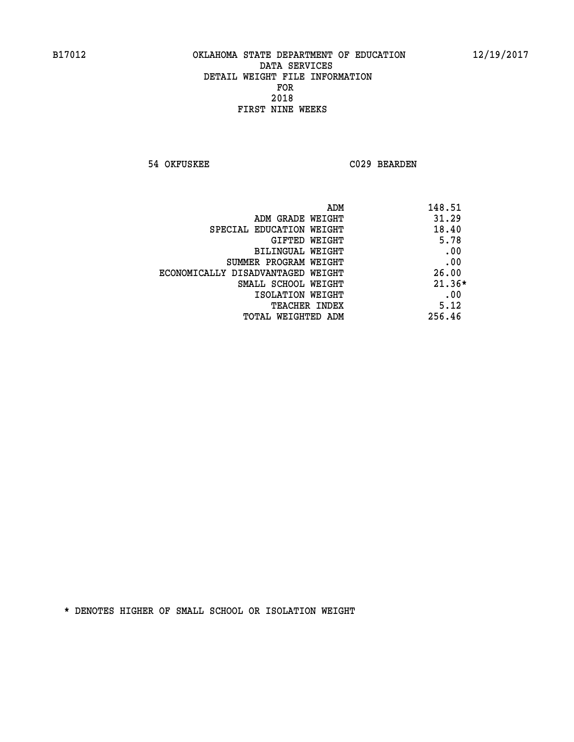**54 OKFUSKEE C029 BEARDEN** 

| ADM<br>148.51 |                                   |
|---------------|-----------------------------------|
| 31.29         | ADM GRADE WEIGHT                  |
| 18.40         | SPECIAL EDUCATION WEIGHT          |
| 5.78          | <b>GIFTED WEIGHT</b>              |
| .00           | BILINGUAL WEIGHT                  |
| .00           | SUMMER PROGRAM WEIGHT             |
| 26.00         | ECONOMICALLY DISADVANTAGED WEIGHT |
| $21.36*$      | SMALL SCHOOL WEIGHT               |
| .00           | ISOLATION WEIGHT                  |
| 5.12          | <b>TEACHER INDEX</b>              |
| 256.46        | TOTAL WEIGHTED ADM                |
|               |                                   |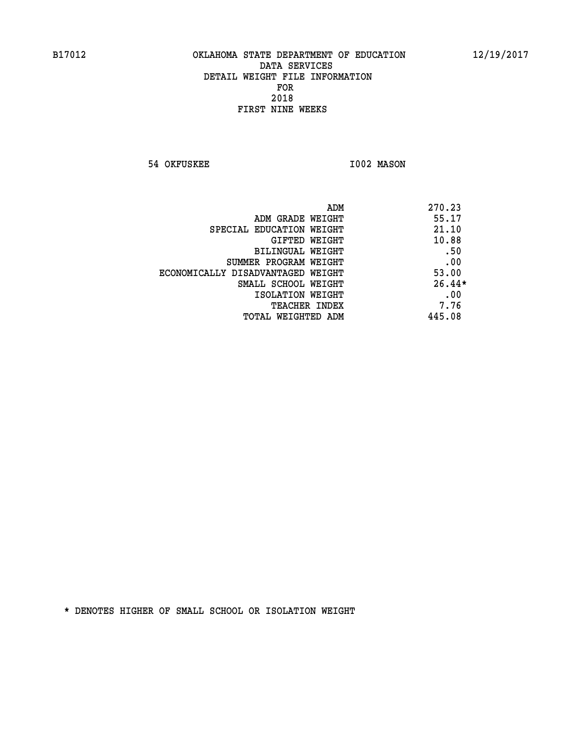**54 OKFUSKEE 1002 MASON** 

|                                   | 270.23<br>ADM |
|-----------------------------------|---------------|
| ADM GRADE WEIGHT                  | 55.17         |
| SPECIAL EDUCATION WEIGHT          | 21.10         |
| GIFTED WEIGHT                     | 10.88         |
| BILINGUAL WEIGHT                  | .50           |
| SUMMER PROGRAM WEIGHT             | .00           |
| ECONOMICALLY DISADVANTAGED WEIGHT | 53.00         |
| SMALL SCHOOL WEIGHT               | $26.44*$      |
| ISOLATION WEIGHT                  | .00           |
| <b>TEACHER INDEX</b>              | 7.76          |
| TOTAL WEIGHTED ADM                | 445.08        |
|                                   |               |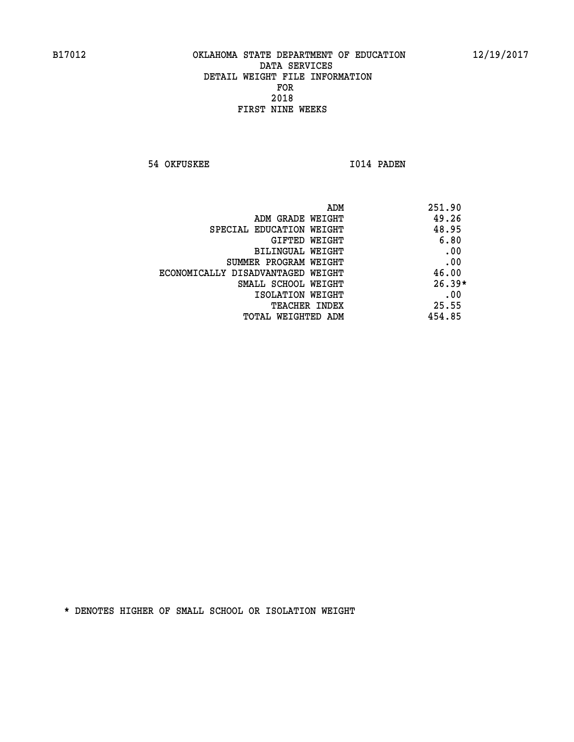**54 OKFUSKEE 1014 PADEN** 

| 251.90<br>ADM                              |  |
|--------------------------------------------|--|
| 49.26<br>ADM GRADE WEIGHT                  |  |
| 48.95<br>SPECIAL EDUCATION WEIGHT          |  |
| 6.80<br>GIFTED WEIGHT                      |  |
| .00<br><b>BILINGUAL WEIGHT</b>             |  |
| .00<br>SUMMER PROGRAM WEIGHT               |  |
| 46.00<br>ECONOMICALLY DISADVANTAGED WEIGHT |  |
| $26.39*$<br>SMALL SCHOOL WEIGHT            |  |
| .00<br>ISOLATION WEIGHT                    |  |
| 25.55<br><b>TEACHER INDEX</b>              |  |
| 454.85<br>TOTAL WEIGHTED ADM               |  |
|                                            |  |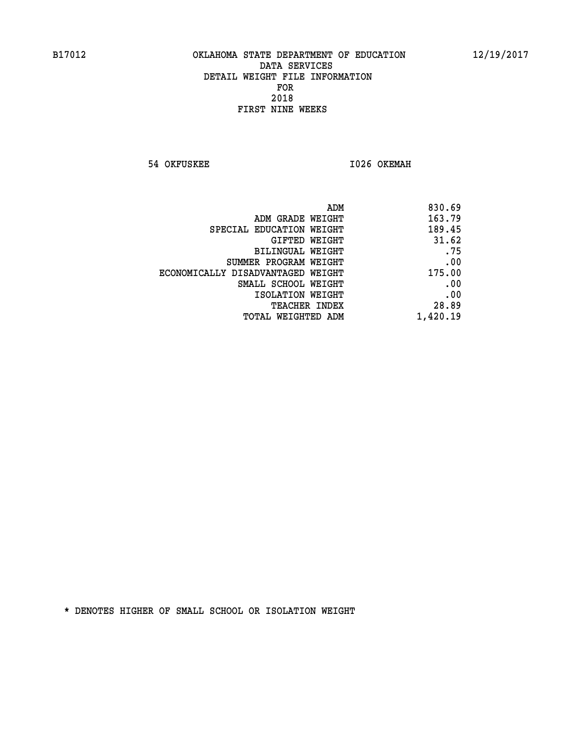**54 OKFUSKEE 1026 OKEMAH** 

|                                   | 830.69<br>ADM |
|-----------------------------------|---------------|
| ADM GRADE WEIGHT                  | 163.79        |
| SPECIAL EDUCATION WEIGHT          | 189.45        |
| GIFTED WEIGHT                     | 31.62         |
| BILINGUAL WEIGHT                  | .75           |
| SUMMER PROGRAM WEIGHT             | .00           |
| ECONOMICALLY DISADVANTAGED WEIGHT | 175.00        |
| SMALL SCHOOL WEIGHT               | .00           |
| ISOLATION WEIGHT                  | .00           |
| TEACHER INDEX                     | 28.89         |
| TOTAL WEIGHTED ADM                | 1,420.19      |
|                                   |               |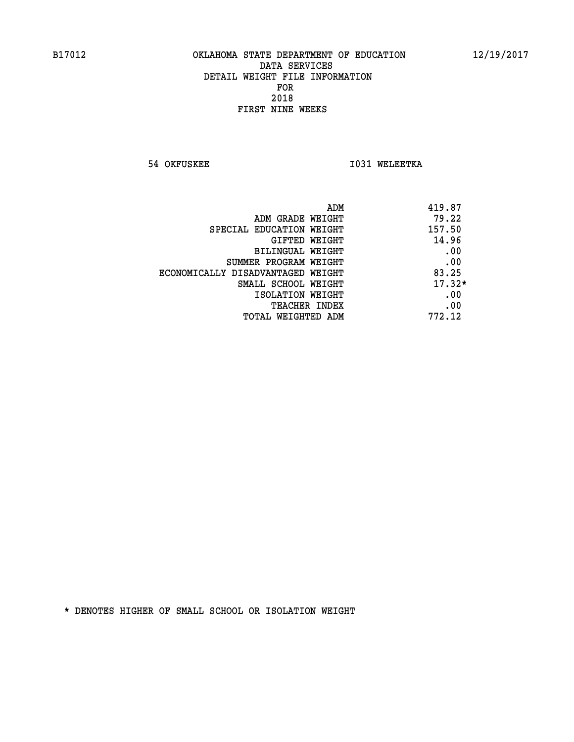**54 OKFUSKEE 1031 WELEETKA** 

| ADM<br>419.87                              |          |
|--------------------------------------------|----------|
| 79.22<br>ADM GRADE WEIGHT                  |          |
| 157.50<br>SPECIAL EDUCATION WEIGHT         |          |
| 14.96<br><b>GIFTED WEIGHT</b>              |          |
| BILINGUAL WEIGHT                           | .00      |
| SUMMER PROGRAM WEIGHT                      | .00      |
| 83.25<br>ECONOMICALLY DISADVANTAGED WEIGHT |          |
| SMALL SCHOOL WEIGHT                        | $17.32*$ |
| ISOLATION WEIGHT                           | .00      |
| <b>TEACHER INDEX</b>                       | .00      |
| 772.12<br>TOTAL WEIGHTED ADM               |          |
|                                            |          |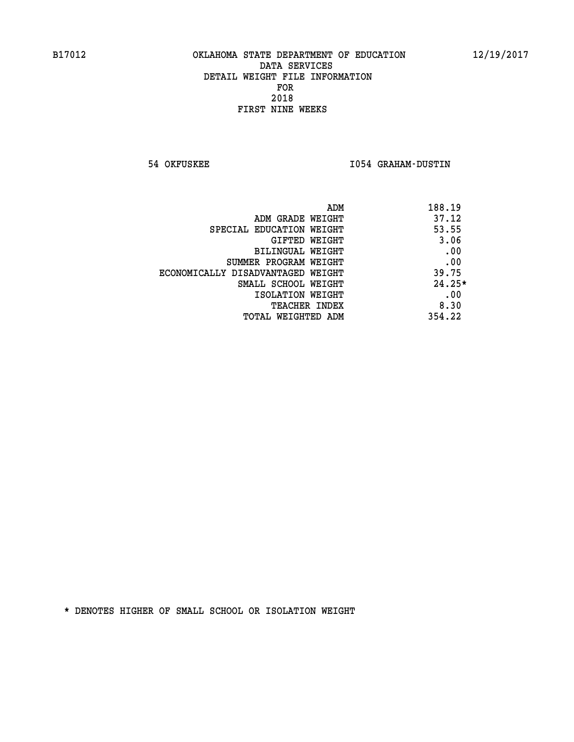**54 OKFUSKEE I054 GRAHAM-DUSTIN** 

|                                   | 188.19<br>ADM |  |
|-----------------------------------|---------------|--|
| ADM GRADE WEIGHT                  | 37.12         |  |
| SPECIAL EDUCATION WEIGHT          | 53.55         |  |
| GIFTED WEIGHT                     | 3.06          |  |
| BILINGUAL WEIGHT                  | .00           |  |
| SUMMER PROGRAM WEIGHT             | .00           |  |
| ECONOMICALLY DISADVANTAGED WEIGHT | 39.75         |  |
| SMALL SCHOOL WEIGHT               | $24.25*$      |  |
| ISOLATION WEIGHT                  | .00           |  |
| <b>TEACHER INDEX</b>              | 8.30          |  |
| TOTAL WEIGHTED ADM                | 354.22        |  |
|                                   |               |  |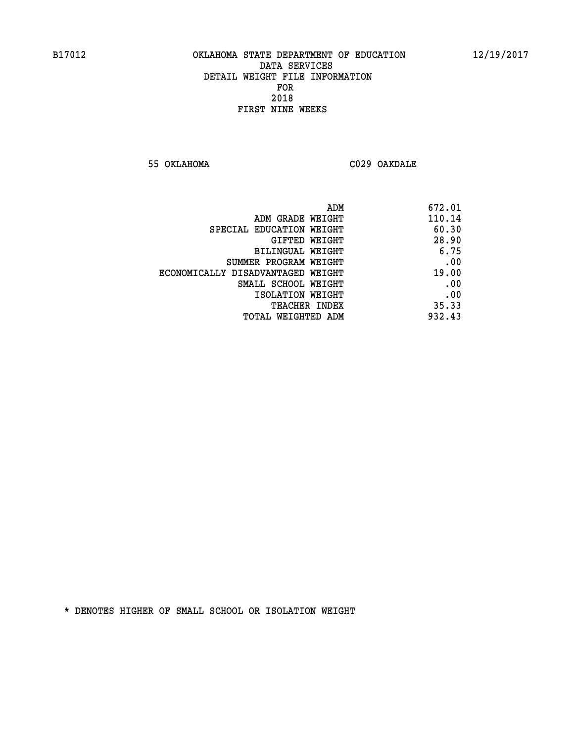**55 OKLAHOMA C029 OAKDALE** 

| 672.01 |
|--------|
| 110.14 |
| 60.30  |
| 28.90  |
| 6.75   |
| .00    |
| 19.00  |
| .00    |
| .00    |
| 35.33  |
| 932.43 |
|        |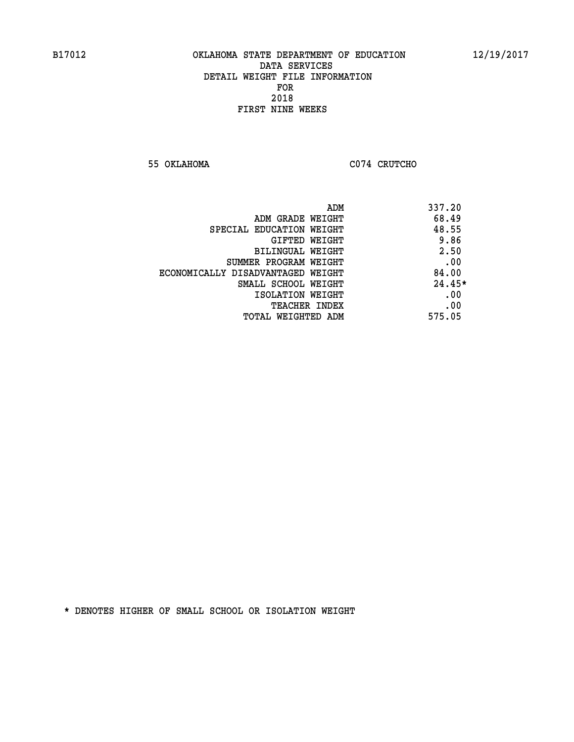**55 OKLAHOMA C074 CRUTCHO** 

| ADM                               | 337.20   |
|-----------------------------------|----------|
| ADM GRADE WEIGHT                  | 68.49    |
| SPECIAL EDUCATION WEIGHT          | 48.55    |
| <b>GIFTED WEIGHT</b>              | 9.86     |
| BILINGUAL WEIGHT                  | 2.50     |
| SUMMER PROGRAM WEIGHT             | .00      |
| ECONOMICALLY DISADVANTAGED WEIGHT | 84.00    |
| SMALL SCHOOL WEIGHT               | $24.45*$ |
| ISOLATION WEIGHT                  | .00      |
| <b>TEACHER INDEX</b>              | .00      |
| TOTAL WEIGHTED ADM                | 575.05   |
|                                   |          |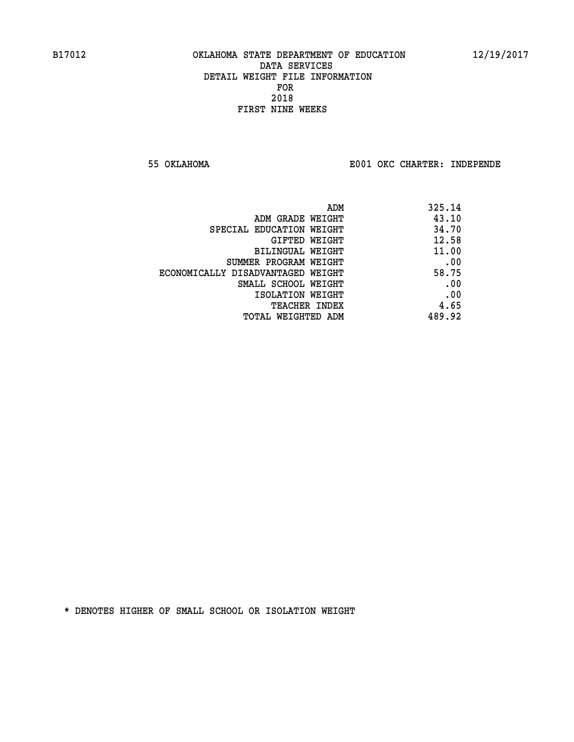**55 OKLAHOMA E001 OKC CHARTER: INDEPENDE**

| 325.14 |
|--------|
| 43.10  |
| 34.70  |
| 12.58  |
| 11.00  |
| .00    |
| 58.75  |
| .00    |
| .00    |
| 4.65   |
| 489.92 |
|        |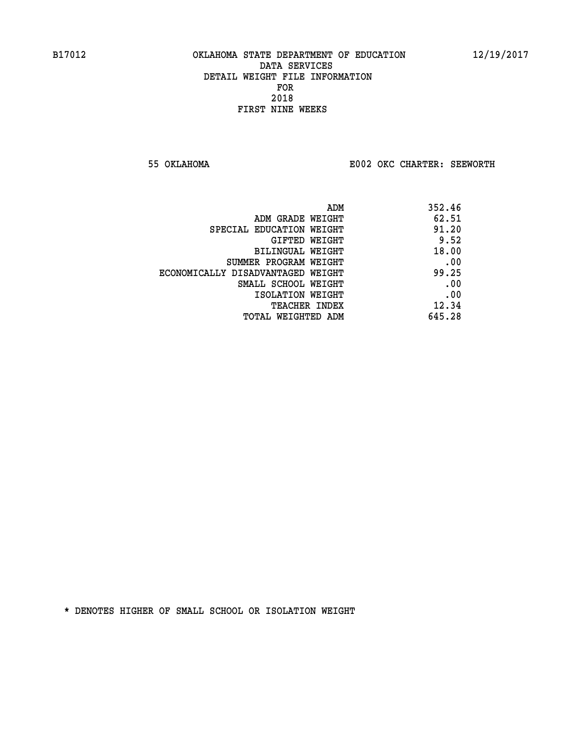**55 OKLAHOMA E002 OKC CHARTER: SEEWORTH** 

| ADM                               | 352.46 |
|-----------------------------------|--------|
| ADM GRADE WEIGHT                  | 62.51  |
| SPECIAL EDUCATION WEIGHT          | 91.20  |
| GIFTED WEIGHT                     | 9.52   |
| BILINGUAL WEIGHT                  | 18.00  |
| SUMMER PROGRAM WEIGHT             | .00    |
| ECONOMICALLY DISADVANTAGED WEIGHT | 99.25  |
| SMALL SCHOOL WEIGHT               | .00    |
| ISOLATION WEIGHT                  | .00    |
| <b>TEACHER INDEX</b>              | 12.34  |
| TOTAL WEIGHTED ADM                | 645.28 |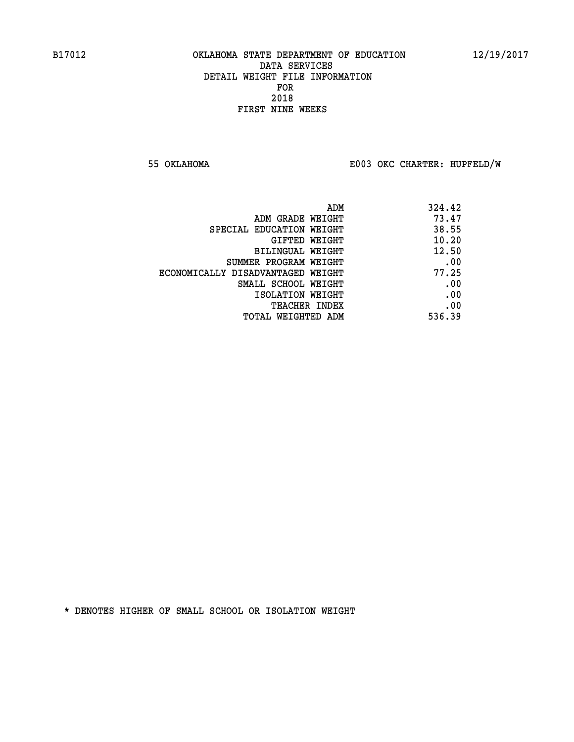**55 OKLAHOMA E003 OKC CHARTER: HUPFELD/W**

|                                   | 324.42<br>ADM |  |
|-----------------------------------|---------------|--|
| ADM GRADE WEIGHT                  | 73.47         |  |
| SPECIAL EDUCATION WEIGHT          | 38.55         |  |
| GIFTED WEIGHT                     | 10.20         |  |
| BILINGUAL WEIGHT                  | 12.50         |  |
| SUMMER PROGRAM WEIGHT             | .00           |  |
| ECONOMICALLY DISADVANTAGED WEIGHT | 77.25         |  |
| SMALL SCHOOL WEIGHT               | .00           |  |
| ISOLATION WEIGHT                  | .00           |  |
| <b>TEACHER INDEX</b>              | .00           |  |
| TOTAL WEIGHTED ADM                | 536.39        |  |
|                                   |               |  |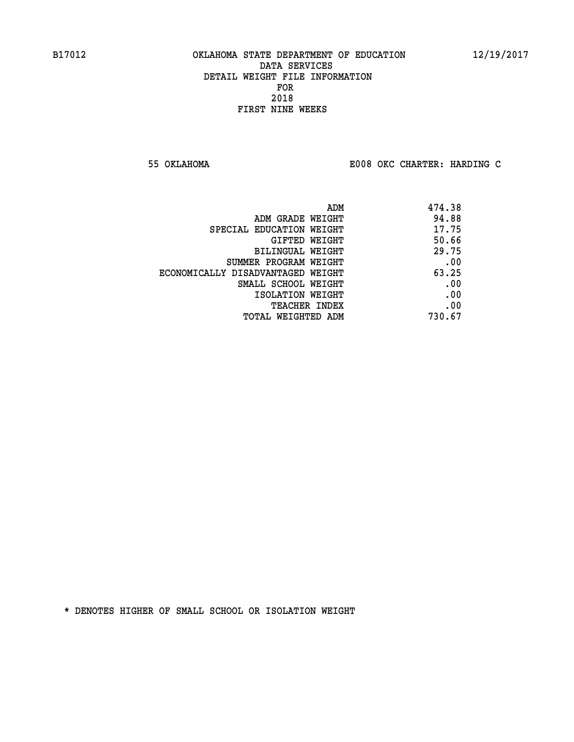**55 OKLAHOMA E008 OKC CHARTER: HARDING C**

| 474.38 |
|--------|
| 94.88  |
| 17.75  |
| 50.66  |
| 29.75  |
| .00    |
| 63.25  |
| .00    |
| .00    |
| .00    |
| 730.67 |
|        |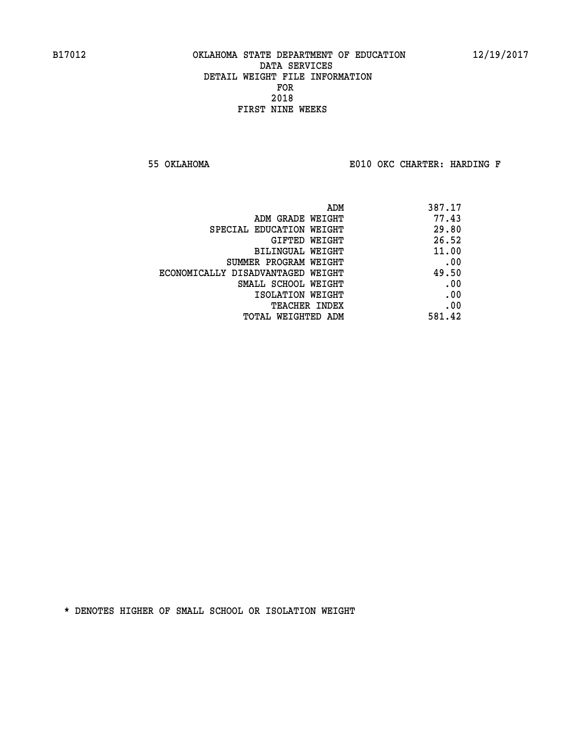**55 OKLAHOMA E010 OKC CHARTER: HARDING F**

| 387.17 |
|--------|
| 77.43  |
| 29.80  |
| 26.52  |
| 11.00  |
| .00    |
| 49.50  |
| .00    |
| .00    |
| .00    |
| 581.42 |
|        |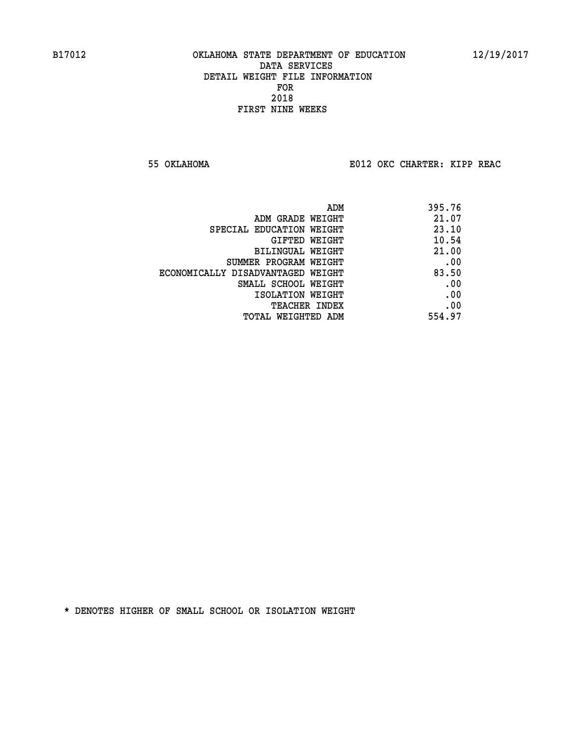**55 OKLAHOMA E012 OKC CHARTER: KIPP REAC**

| ADM                               | 395.76 |
|-----------------------------------|--------|
| ADM GRADE WEIGHT                  | 21.07  |
| SPECIAL EDUCATION WEIGHT          | 23.10  |
| GIFTED WEIGHT                     | 10.54  |
| BILINGUAL WEIGHT                  | 21.00  |
| SUMMER PROGRAM WEIGHT             | .00    |
| ECONOMICALLY DISADVANTAGED WEIGHT | 83.50  |
| SMALL SCHOOL WEIGHT               | .00    |
| ISOLATION WEIGHT                  | .00    |
| TEACHER INDEX                     | .00    |
| TOTAL WEIGHTED ADM                | 554.97 |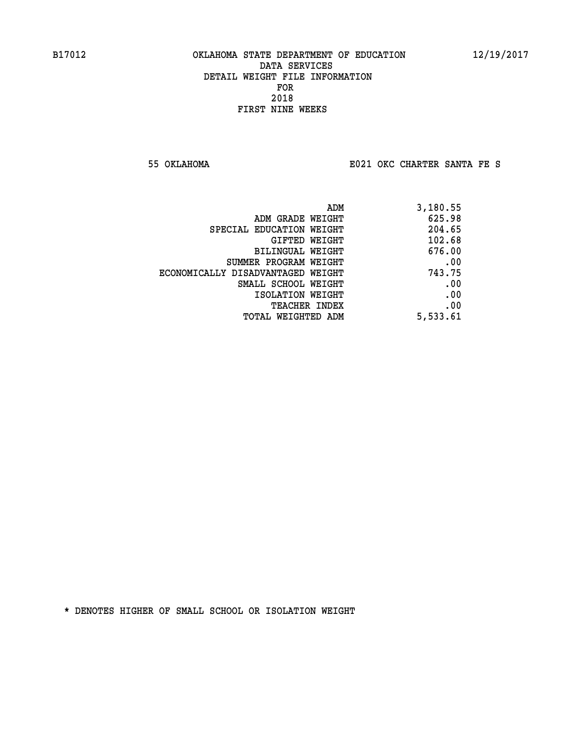**55 OKLAHOMA E021 OKC CHARTER SANTA FE S**

| 3,180.55 |
|----------|
| 625.98   |
| 204.65   |
| 102.68   |
| 676.00   |
| .00      |
| 743.75   |
| .00      |
| .00      |
| .00      |
| 5,533.61 |
|          |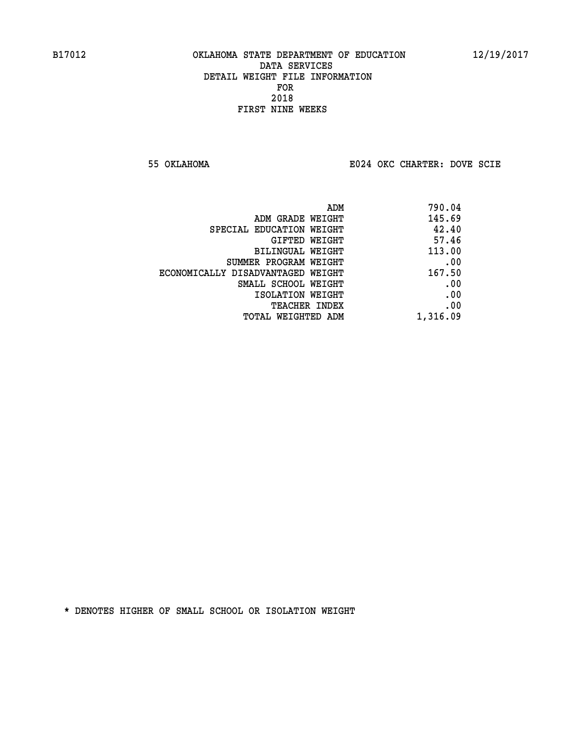**55 OKLAHOMA E024 OKC CHARTER: DOVE SCIE**

|                                   | 790.04<br>ADM |  |
|-----------------------------------|---------------|--|
| ADM GRADE WEIGHT                  | 145.69        |  |
| SPECIAL EDUCATION WEIGHT          | 42.40         |  |
| GIFTED WEIGHT                     | 57.46         |  |
| BILINGUAL WEIGHT                  | 113.00        |  |
| SUMMER PROGRAM WEIGHT             | .00           |  |
| ECONOMICALLY DISADVANTAGED WEIGHT | 167.50        |  |
| SMALL SCHOOL WEIGHT               | .00           |  |
| ISOLATION WEIGHT                  | .00           |  |
| TEACHER INDEX                     | .00           |  |
| TOTAL WEIGHTED ADM                | 1,316.09      |  |
|                                   |               |  |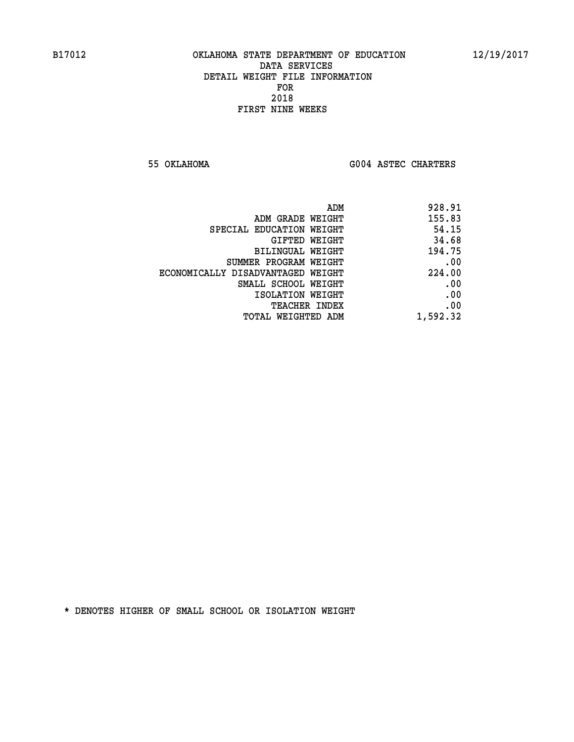**55 OKLAHOMA G004 ASTEC CHARTERS** 

| ADM                               | 928.91   |
|-----------------------------------|----------|
| ADM GRADE WEIGHT                  | 155.83   |
| SPECIAL EDUCATION WEIGHT          | 54.15    |
| GIFTED WEIGHT                     | 34.68    |
| BILINGUAL WEIGHT                  | 194.75   |
| SUMMER PROGRAM WEIGHT             | .00      |
| ECONOMICALLY DISADVANTAGED WEIGHT | 224.00   |
| SMALL SCHOOL WEIGHT               | .00      |
| ISOLATION WEIGHT                  | .00      |
| <b>TEACHER INDEX</b>              | .00      |
| TOTAL WEIGHTED ADM                | 1,592.32 |
|                                   |          |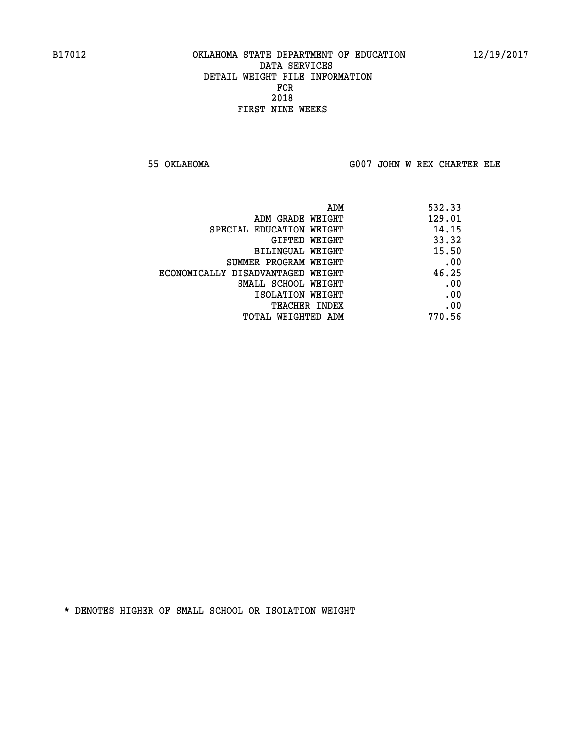**55 OKLAHOMA G007 JOHN W REX CHARTER ELE**

|                                   | ADM | 532.33 |
|-----------------------------------|-----|--------|
| ADM GRADE WEIGHT                  |     | 129.01 |
| SPECIAL EDUCATION WEIGHT          |     | 14.15  |
| GIFTED WEIGHT                     |     | 33.32  |
| BILINGUAL WEIGHT                  |     | 15.50  |
| SUMMER PROGRAM WEIGHT             |     | .00    |
| ECONOMICALLY DISADVANTAGED WEIGHT |     | 46.25  |
| SMALL SCHOOL WEIGHT               |     | .00    |
| ISOLATION WEIGHT                  |     | .00    |
| TEACHER INDEX                     |     | .00    |
| TOTAL WEIGHTED ADM                |     | 770.56 |
|                                   |     |        |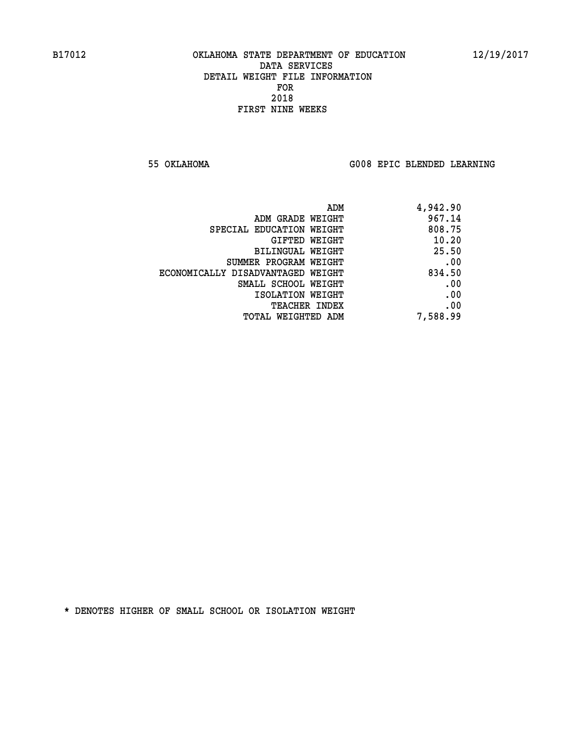**55 OKLAHOMA G008 EPIC BLENDED LEARNING** 

| ADM                               | 4,942.90 |
|-----------------------------------|----------|
| ADM GRADE WEIGHT                  | 967.14   |
| SPECIAL EDUCATION WEIGHT          | 808.75   |
| GIFTED WEIGHT                     | 10.20    |
| BILINGUAL WEIGHT                  | 25.50    |
| SUMMER PROGRAM WEIGHT             | .00      |
| ECONOMICALLY DISADVANTAGED WEIGHT | 834.50   |
| SMALL SCHOOL WEIGHT               | .00      |
| ISOLATION WEIGHT                  | .00      |
| <b>TEACHER INDEX</b>              | .00      |
| TOTAL WEIGHTED ADM                | 7,588.99 |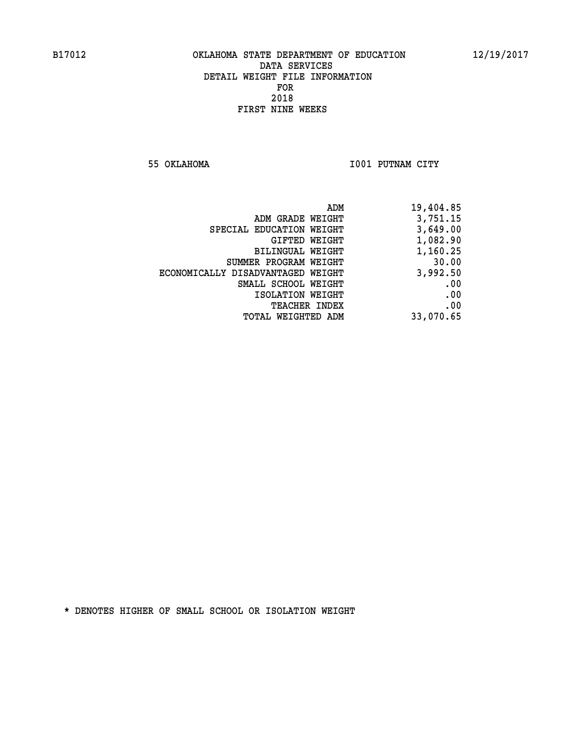**55 OKLAHOMA I001 PUTNAM CITY** 

| 19,404.85 |
|-----------|
| 3,751.15  |
| 3,649.00  |
| 1,082.90  |
| 1,160.25  |
| 30.00     |
| 3,992.50  |
| .00       |
| .00       |
| .00       |
| 33,070.65 |
|           |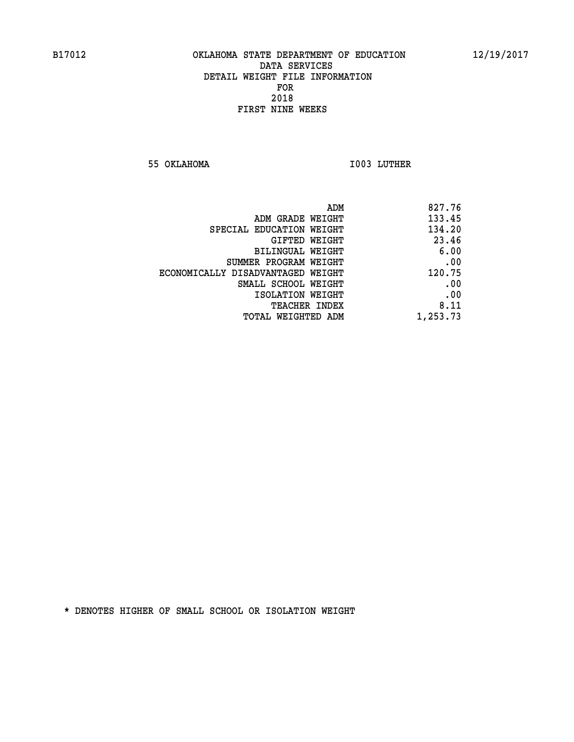**55 OKLAHOMA I003 LUTHER** 

|                                   | ADM<br>827.76 |
|-----------------------------------|---------------|
| ADM GRADE WEIGHT                  | 133.45        |
| SPECIAL EDUCATION WEIGHT          | 134.20        |
| GIFTED WEIGHT                     | 23.46         |
| BILINGUAL WEIGHT                  | 6.00          |
| SUMMER PROGRAM WEIGHT             | .00           |
| ECONOMICALLY DISADVANTAGED WEIGHT | 120.75        |
| SMALL SCHOOL WEIGHT               | .00           |
| ISOLATION WEIGHT                  | .00           |
| <b>TEACHER INDEX</b>              | 8.11          |
| TOTAL WEIGHTED ADM                | 1,253.73      |
|                                   |               |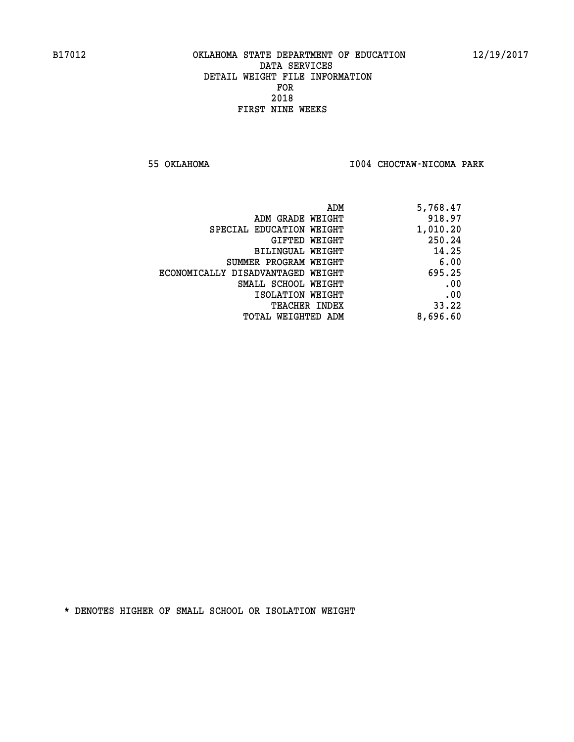**55 OKLAHOMA I004 CHOCTAW-NICOMA PARK** 

| ADM                               | 5,768.47 |
|-----------------------------------|----------|
| ADM GRADE WEIGHT                  | 918.97   |
| SPECIAL EDUCATION WEIGHT          | 1,010.20 |
| GIFTED WEIGHT                     | 250.24   |
| BILINGUAL WEIGHT                  | 14.25    |
| SUMMER PROGRAM WEIGHT             | 6.00     |
| ECONOMICALLY DISADVANTAGED WEIGHT | 695.25   |
| SMALL SCHOOL WEIGHT               | .00      |
| ISOLATION WEIGHT                  | .00      |
| <b>TEACHER INDEX</b>              | 33.22    |
| TOTAL WEIGHTED ADM                | 8,696.60 |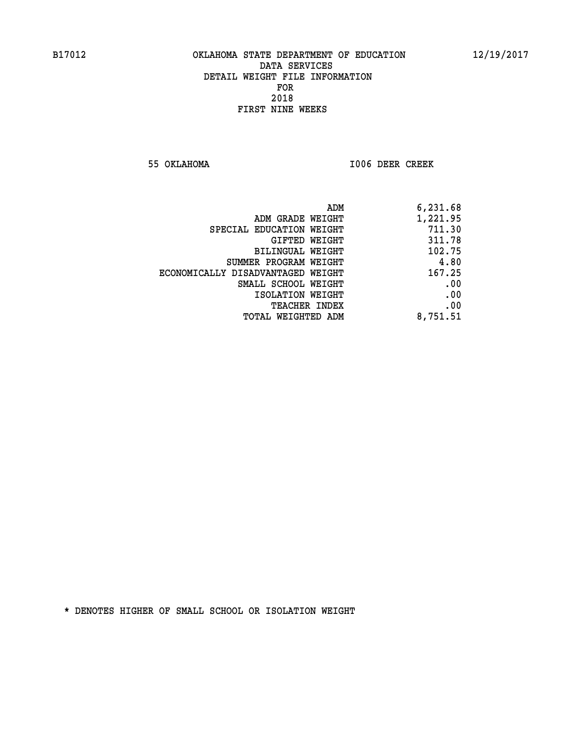**55 OKLAHOMA I006 DEER CREEK** 

| 6,231.68 |
|----------|
| 1,221.95 |
| 711.30   |
| 311.78   |
| 102.75   |
| 4.80     |
| 167.25   |
| .00      |
| .00      |
| .00      |
| 8,751.51 |
|          |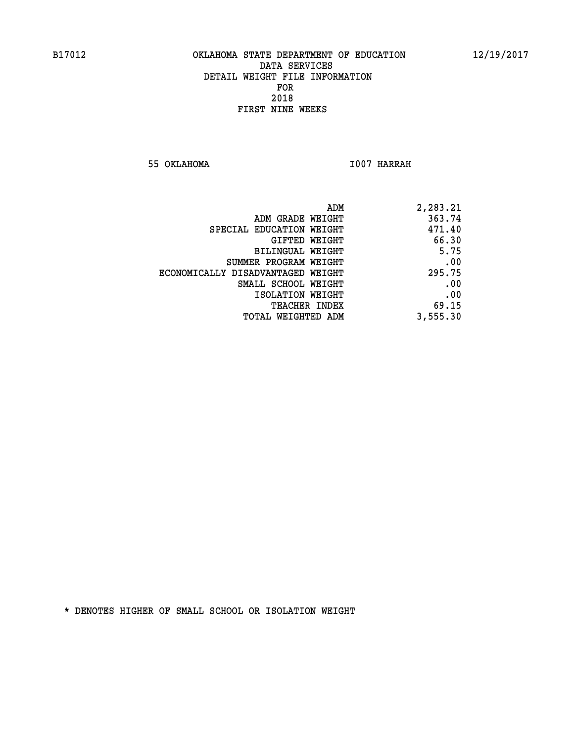**55 OKLAHOMA I007 HARRAH** 

| 2,283.21 |
|----------|
| 363.74   |
| 471.40   |
| 66.30    |
| 5.75     |
| .00      |
| 295.75   |
| .00      |
| .00      |
| 69.15    |
| 3,555.30 |
|          |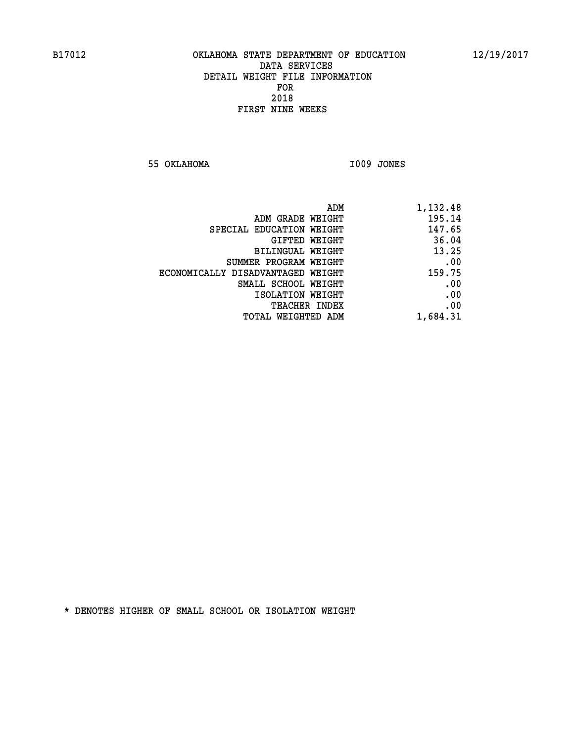**55 OKLAHOMA I009 JONES** 

|                                   | 1,132.48<br>ADM |  |
|-----------------------------------|-----------------|--|
| ADM GRADE WEIGHT                  | 195.14          |  |
| SPECIAL EDUCATION WEIGHT          | 147.65          |  |
| GIFTED WEIGHT                     | 36.04           |  |
| <b>BILINGUAL WEIGHT</b>           | 13.25           |  |
| SUMMER PROGRAM WEIGHT             | .00             |  |
| ECONOMICALLY DISADVANTAGED WEIGHT | 159.75          |  |
| SMALL SCHOOL WEIGHT               | .00             |  |
| ISOLATION WEIGHT                  | .00             |  |
| TEACHER INDEX                     | .00             |  |
| TOTAL WEIGHTED ADM                | 1,684.31        |  |
|                                   |                 |  |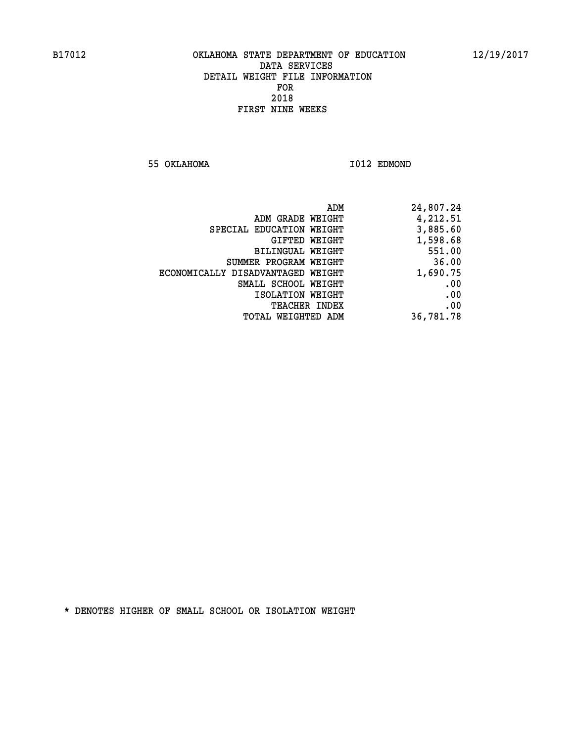**55 OKLAHOMA I012 EDMOND** 

| ADM                               | 24,807.24 |
|-----------------------------------|-----------|
| ADM GRADE WEIGHT                  | 4,212.51  |
| SPECIAL EDUCATION WEIGHT          | 3,885.60  |
| GIFTED WEIGHT                     | 1,598.68  |
| BILINGUAL WEIGHT                  | 551.00    |
| SUMMER PROGRAM WEIGHT             | 36.00     |
| ECONOMICALLY DISADVANTAGED WEIGHT | 1,690.75  |
| SMALL SCHOOL WEIGHT               | .00       |
| ISOLATION WEIGHT                  | .00       |
| <b>TEACHER INDEX</b>              | .00       |
| TOTAL WEIGHTED ADM                | 36,781.78 |
|                                   |           |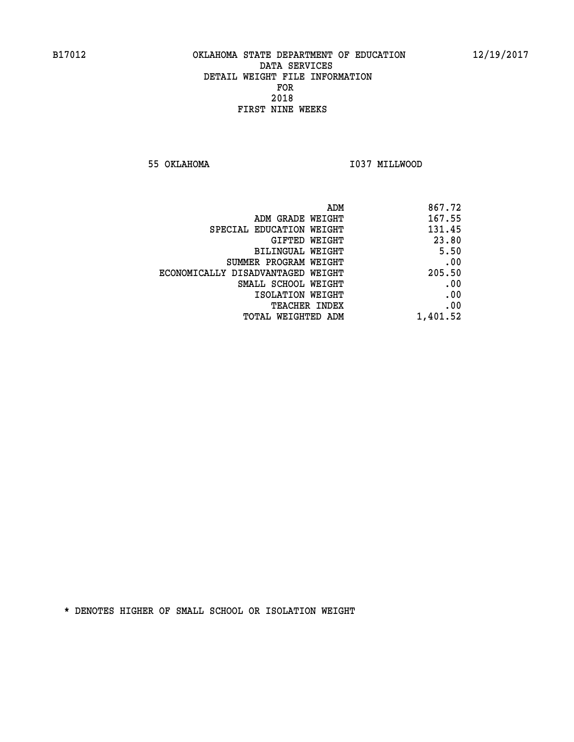**55 OKLAHOMA I037 MILLWOOD** 

| ADM                               | 867.72   |
|-----------------------------------|----------|
| ADM GRADE WEIGHT                  | 167.55   |
| SPECIAL EDUCATION WEIGHT          | 131.45   |
| <b>GIFTED WEIGHT</b>              | 23.80    |
| BILINGUAL WEIGHT                  | 5.50     |
| SUMMER PROGRAM WEIGHT             | .00      |
| ECONOMICALLY DISADVANTAGED WEIGHT | 205.50   |
| SMALL SCHOOL WEIGHT               | .00      |
| ISOLATION WEIGHT                  | .00      |
| <b>TEACHER INDEX</b>              | .00      |
| TOTAL WEIGHTED ADM                | 1,401.52 |
|                                   |          |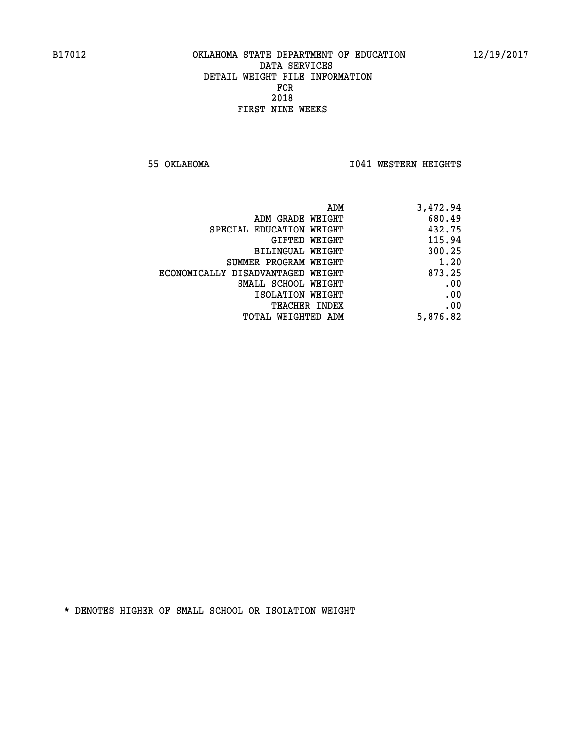**55 OKLAHOMA I041 WESTERN HEIGHTS** 

| ADM                               | 3,472.94 |
|-----------------------------------|----------|
| ADM GRADE WEIGHT                  | 680.49   |
| SPECIAL EDUCATION WEIGHT          | 432.75   |
| <b>GIFTED WEIGHT</b>              | 115.94   |
| BILINGUAL WEIGHT                  | 300.25   |
| SUMMER PROGRAM WEIGHT             | 1.20     |
| ECONOMICALLY DISADVANTAGED WEIGHT | 873.25   |
| SMALL SCHOOL WEIGHT               | .00      |
| ISOLATION WEIGHT                  | .00      |
| <b>TEACHER INDEX</b>              | .00      |
| TOTAL WEIGHTED ADM                | 5,876.82 |
|                                   |          |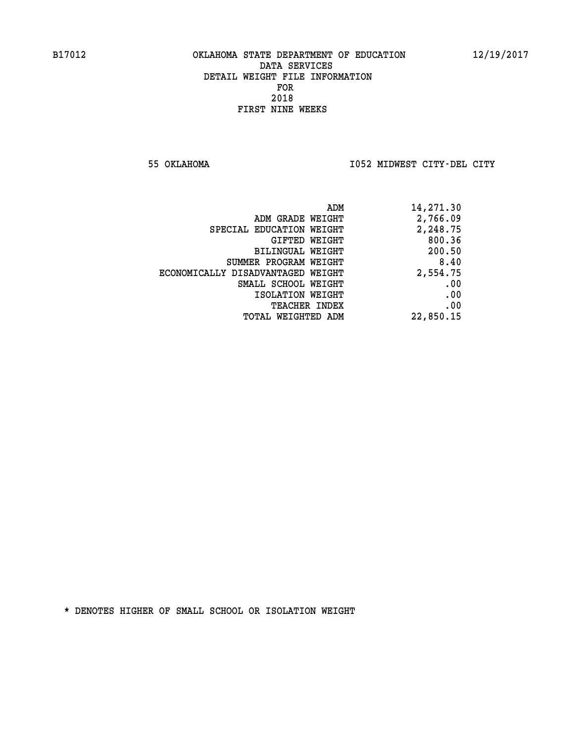**55 OKLAHOMA I052 MIDWEST CITY-DEL CITY** 

| ADM                               | 14,271.30 |
|-----------------------------------|-----------|
| ADM GRADE WEIGHT                  | 2,766.09  |
| SPECIAL EDUCATION WEIGHT          | 2,248.75  |
| GIFTED WEIGHT                     | 800.36    |
| <b>BILINGUAL WEIGHT</b>           | 200.50    |
| SUMMER PROGRAM WEIGHT             | 8.40      |
| ECONOMICALLY DISADVANTAGED WEIGHT | 2,554.75  |
| SMALL SCHOOL WEIGHT               | .00       |
| ISOLATION WEIGHT                  | .00       |
| TEACHER INDEX                     | .00       |
| TOTAL WEIGHTED ADM                | 22,850.15 |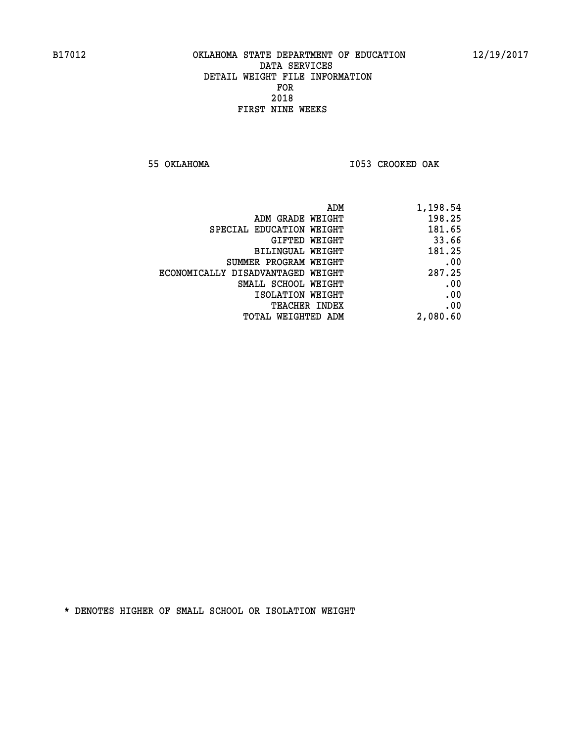**55 OKLAHOMA I053 CROOKED OAK** 

| ADM<br>1,198.54                             |     |
|---------------------------------------------|-----|
| 198.25<br>ADM GRADE WEIGHT                  |     |
| 181.65<br>SPECIAL EDUCATION WEIGHT          |     |
| 33.66<br>GIFTED WEIGHT                      |     |
| 181.25<br>BILINGUAL WEIGHT                  |     |
| SUMMER PROGRAM WEIGHT                       | .00 |
| 287.25<br>ECONOMICALLY DISADVANTAGED WEIGHT |     |
| SMALL SCHOOL WEIGHT                         | .00 |
| ISOLATION WEIGHT                            | .00 |
| <b>TEACHER INDEX</b>                        | .00 |
| 2,080.60<br><b>TOTAL WEIGHTED ADM</b>       |     |
|                                             |     |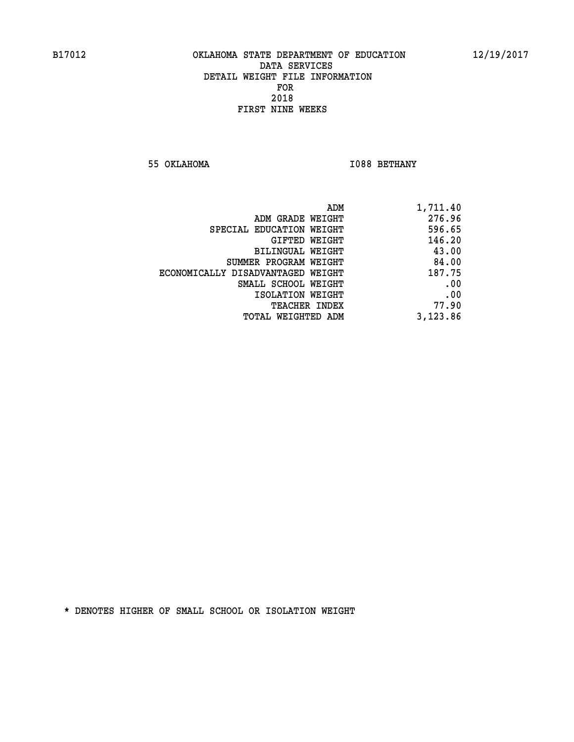**55 OKLAHOMA I088 BETHANY** 

| 1,711.40 |
|----------|
| 276.96   |
| 596.65   |
| 146.20   |
| 43.00    |
| 84.00    |
| 187.75   |
| .00      |
| .00      |
| 77.90    |
| 3,123.86 |
|          |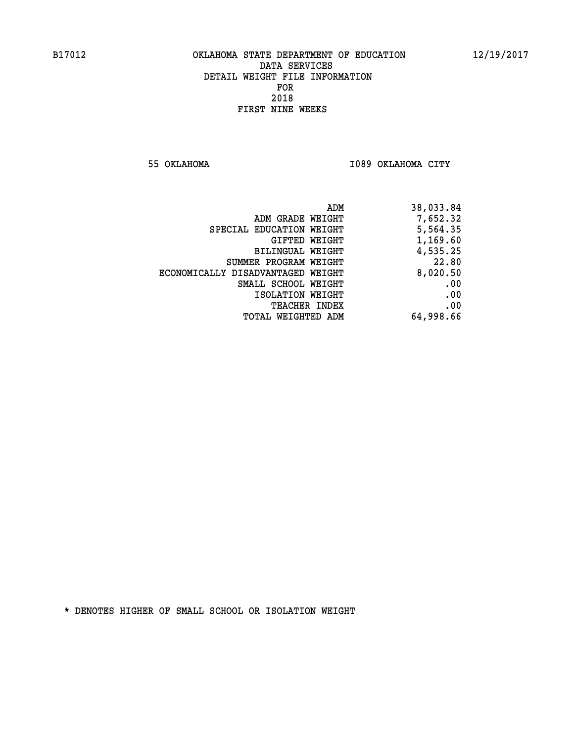**55 OKLAHOMA I089 OKLAHOMA CITY** 

| 38,033.84 |
|-----------|
| 7,652.32  |
| 5,564.35  |
| 1,169.60  |
| 4,535.25  |
| 22.80     |
| 8,020.50  |
| .00       |
| .00       |
| .00       |
| 64,998.66 |
|           |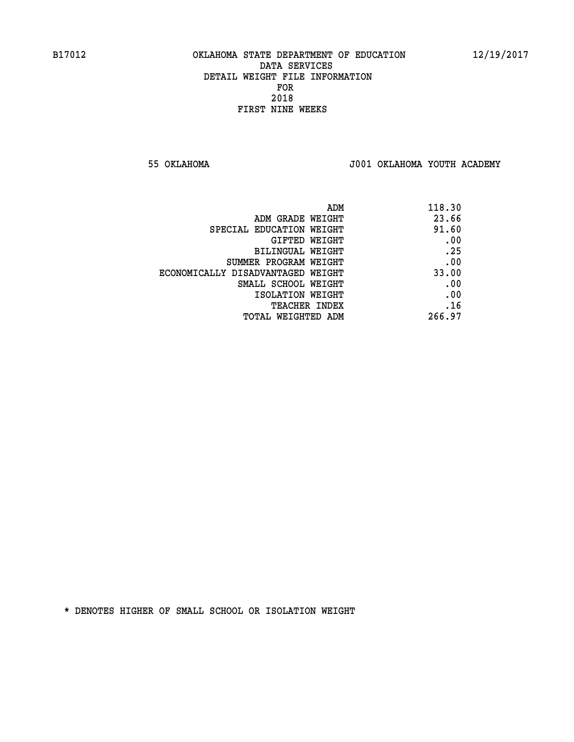**55 OKLAHOMA J001 OKLAHOMA YOUTH ACADEMY**

| ADM                               | 118.30 |
|-----------------------------------|--------|
| ADM GRADE WEIGHT                  | 23.66  |
| SPECIAL EDUCATION WEIGHT          | 91.60  |
| GIFTED WEIGHT                     | .00    |
| BILINGUAL WEIGHT                  | .25    |
| SUMMER PROGRAM WEIGHT             | .00    |
| ECONOMICALLY DISADVANTAGED WEIGHT | 33.00  |
| SMALL SCHOOL WEIGHT               | .00    |
| ISOLATION WEIGHT                  | .00    |
| <b>TEACHER INDEX</b>              | .16    |
| TOTAL WEIGHTED ADM                | 266.97 |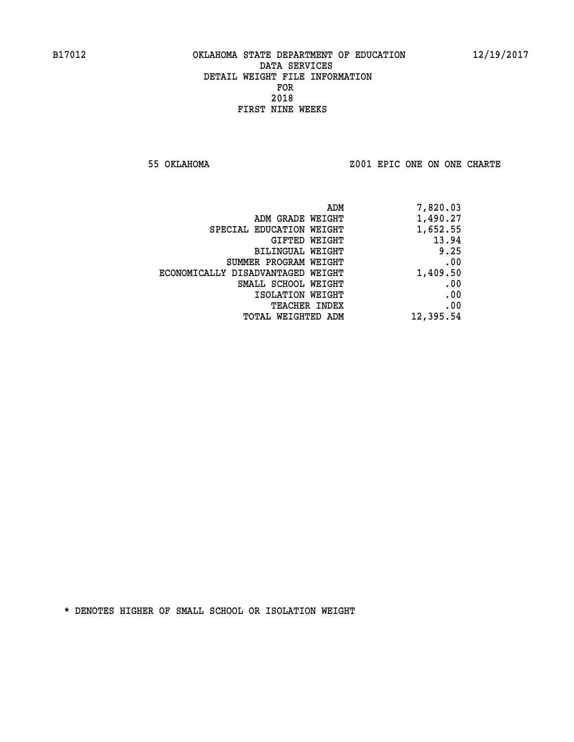**55 OKLAHOMA Z001 EPIC ONE ON ONE CHARTE**

| ADM                               | 7,820.03  |
|-----------------------------------|-----------|
| ADM GRADE WEIGHT                  | 1,490.27  |
| SPECIAL EDUCATION WEIGHT          | 1,652.55  |
| GIFTED WEIGHT                     | 13.94     |
| BILINGUAL WEIGHT                  | 9.25      |
| SUMMER PROGRAM WEIGHT             | .00       |
| ECONOMICALLY DISADVANTAGED WEIGHT | 1,409.50  |
| SMALL SCHOOL WEIGHT               | .00       |
| ISOLATION WEIGHT                  | .00       |
| <b>TEACHER INDEX</b>              | .00       |
| TOTAL WEIGHTED ADM                | 12,395.54 |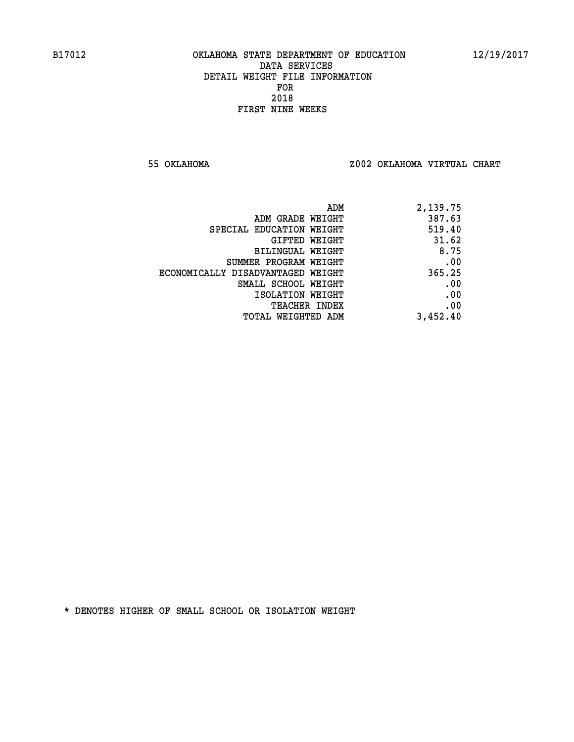**55 OKLAHOMA Z002 OKLAHOMA VIRTUAL CHART**

| ADM                               | 2,139.75 |
|-----------------------------------|----------|
| ADM GRADE WEIGHT                  | 387.63   |
| SPECIAL EDUCATION WEIGHT          | 519.40   |
| GIFTED WEIGHT                     | 31.62    |
| <b>BILINGUAL WEIGHT</b>           | 8.75     |
| SUMMER PROGRAM WEIGHT             | .00      |
| ECONOMICALLY DISADVANTAGED WEIGHT | 365.25   |
| SMALL SCHOOL WEIGHT               | .00      |
| ISOLATION WEIGHT                  | .00      |
| TEACHER INDEX                     | .00      |
| TOTAL WEIGHTED ADM                | 3,452.40 |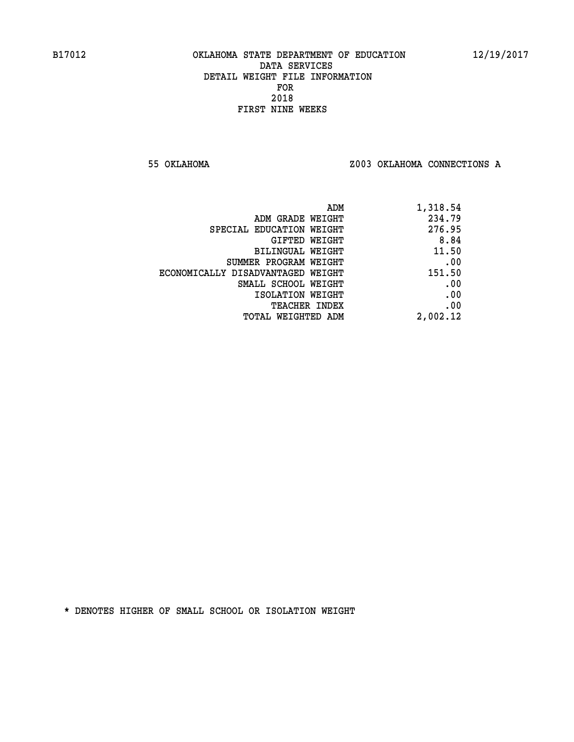**55 OKLAHOMA Z003 OKLAHOMA CONNECTIONS A**

| ADM                               | 1,318.54 |
|-----------------------------------|----------|
| ADM GRADE WEIGHT                  | 234.79   |
| SPECIAL EDUCATION WEIGHT          | 276.95   |
| GIFTED WEIGHT                     | 8.84     |
| <b>BILINGUAL WEIGHT</b>           | 11.50    |
| SUMMER PROGRAM WEIGHT             | .00      |
| ECONOMICALLY DISADVANTAGED WEIGHT | 151.50   |
| SMALL SCHOOL WEIGHT               | .00      |
| ISOLATION WEIGHT                  | .00      |
| TEACHER INDEX                     | .00      |
| TOTAL WEIGHTED ADM                | 2,002.12 |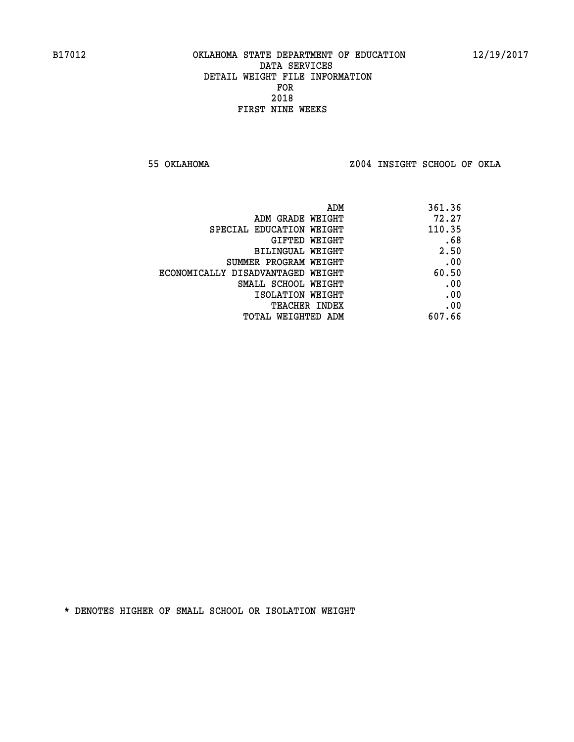**55 OKLAHOMA Z004 INSIGHT SCHOOL OF OKLA**

| 361.36 |
|--------|
| 72.27  |
| 110.35 |
| .68    |
| 2.50   |
| .00    |
| 60.50  |
| .00    |
| .00    |
| .00    |
| 607.66 |
|        |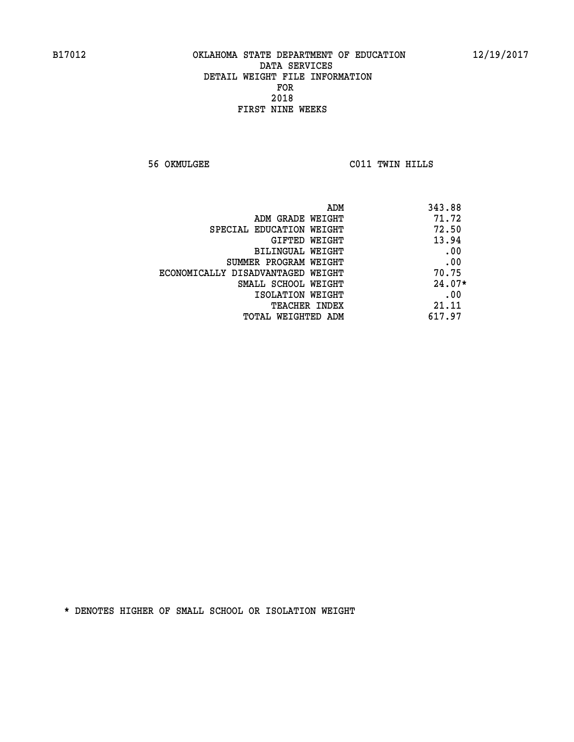**56 OKMULGEE C011 TWIN HILLS** 

| ADM                               | 343.88   |
|-----------------------------------|----------|
| ADM GRADE WEIGHT                  | 71.72    |
| SPECIAL EDUCATION WEIGHT          | 72.50    |
| GIFTED WEIGHT                     | 13.94    |
| BILINGUAL WEIGHT                  | .00      |
| SUMMER PROGRAM WEIGHT             | .00      |
| ECONOMICALLY DISADVANTAGED WEIGHT | 70.75    |
| SMALL SCHOOL WEIGHT               | $24.07*$ |
| ISOLATION WEIGHT                  | .00      |
| <b>TEACHER INDEX</b>              | 21.11    |
| TOTAL WEIGHTED ADM                | 617.97   |
|                                   |          |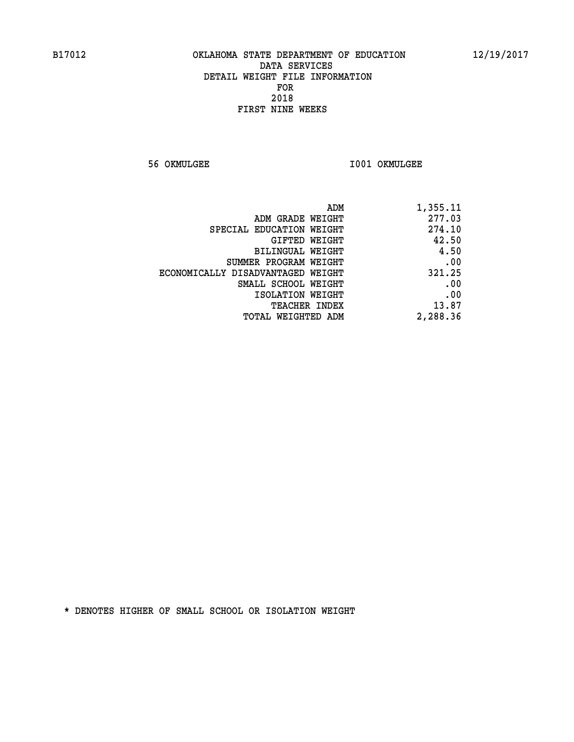**56 OKMULGEE I001 OKMULGEE** 

| ADM                               | 1,355.11 |
|-----------------------------------|----------|
| ADM GRADE WEIGHT                  | 277.03   |
| SPECIAL EDUCATION WEIGHT          | 274.10   |
| GIFTED WEIGHT                     | 42.50    |
| BILINGUAL WEIGHT                  | 4.50     |
| SUMMER PROGRAM WEIGHT             | .00      |
| ECONOMICALLY DISADVANTAGED WEIGHT | 321.25   |
| SMALL SCHOOL WEIGHT               | .00      |
| ISOLATION WEIGHT                  | .00      |
| TEACHER INDEX                     | 13.87    |
| TOTAL WEIGHTED ADM                | 2,288.36 |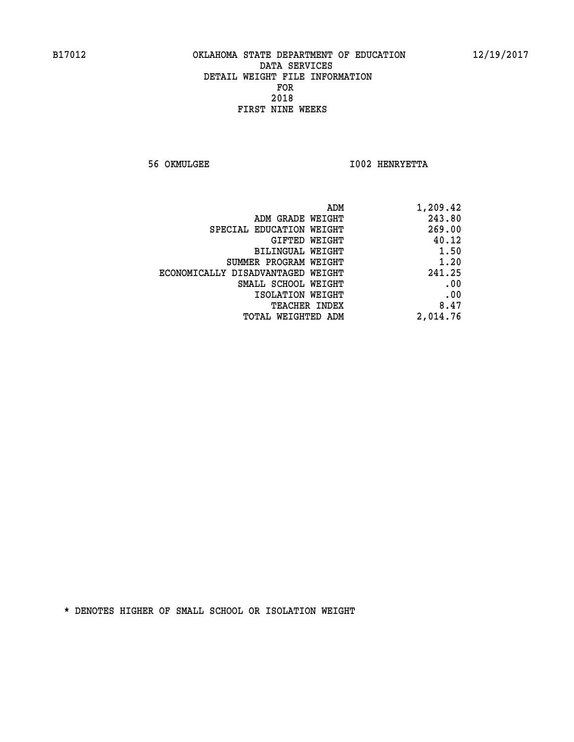**56 OKMULGEE I002 HENRYETTA** 

| 1,209.42 |
|----------|
| 243.80   |
| 269.00   |
| 40.12    |
| 1.50     |
| 1.20     |
| 241.25   |
| .00      |
| .00      |
| 8.47     |
| 2,014.76 |
|          |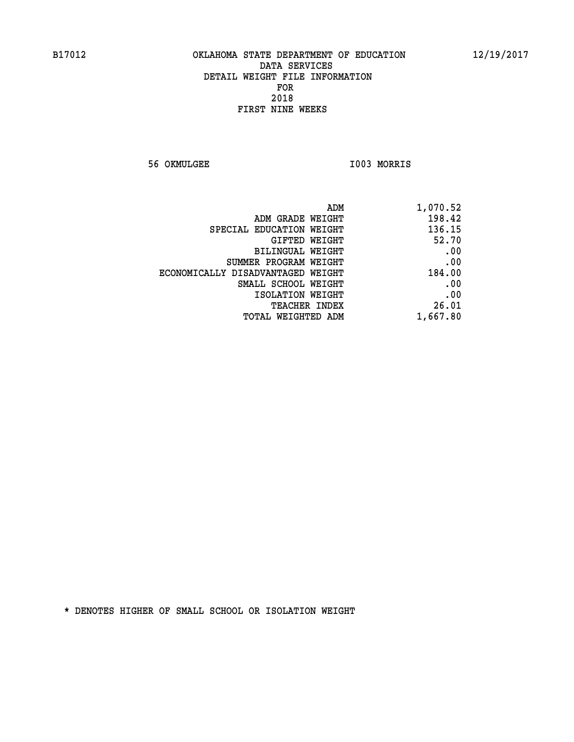**56 OKMULGEE I003 MORRIS** 

| 1,070.52 |
|----------|
| 198.42   |
| 136.15   |
| 52.70    |
| .00      |
| .00      |
| 184.00   |
| .00      |
| .00      |
| 26.01    |
| 1,667.80 |
|          |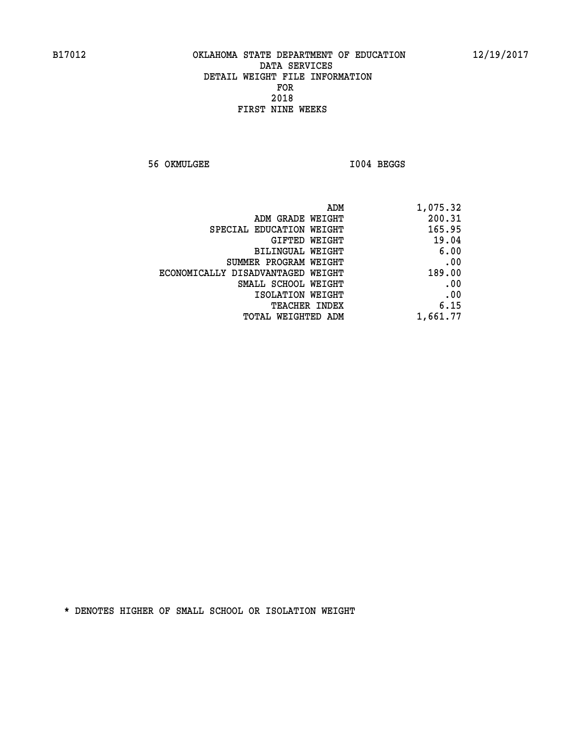**56 OKMULGEE I004 BEGGS** 

| 1,075.32 | ADM                               |
|----------|-----------------------------------|
| 200.31   | ADM GRADE WEIGHT                  |
| 165.95   | SPECIAL EDUCATION WEIGHT          |
| 19.04    | GIFTED WEIGHT                     |
| 6.00     | BILINGUAL WEIGHT                  |
| .00      | SUMMER PROGRAM WEIGHT             |
| 189.00   | ECONOMICALLY DISADVANTAGED WEIGHT |
| .00      | SMALL SCHOOL WEIGHT               |
| .00      | ISOLATION WEIGHT                  |
| 6.15     | <b>TEACHER INDEX</b>              |
| 1,661.77 | <b>TOTAL WEIGHTED ADM</b>         |
|          |                                   |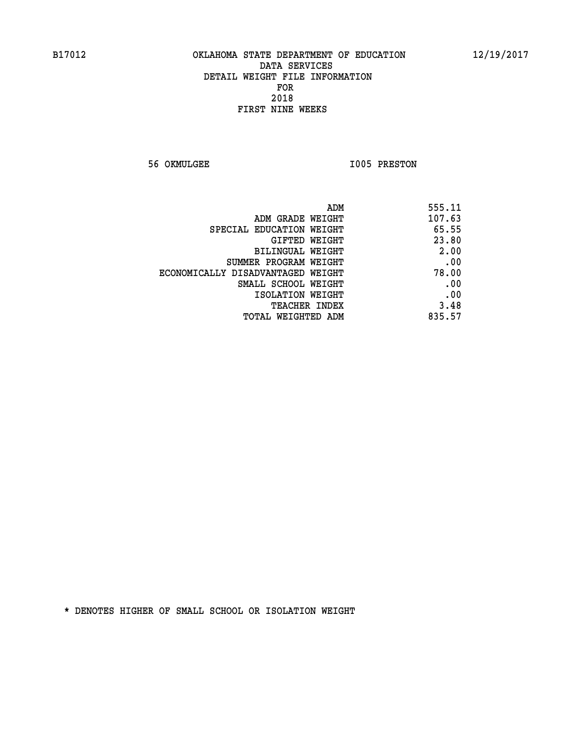**56 OKMULGEE 1005 PRESTON** 

| ADM                               | 555.11 |
|-----------------------------------|--------|
| ADM GRADE WEIGHT                  | 107.63 |
| SPECIAL EDUCATION WEIGHT          | 65.55  |
| GIFTED WEIGHT                     | 23.80  |
| <b>BILINGUAL WEIGHT</b>           | 2.00   |
| SUMMER PROGRAM WEIGHT             | .00    |
| ECONOMICALLY DISADVANTAGED WEIGHT | 78.00  |
| SMALL SCHOOL WEIGHT               | .00    |
| ISOLATION WEIGHT                  | .00    |
| TEACHER INDEX                     | 3.48   |
| TOTAL WEIGHTED ADM                | 835.57 |
|                                   |        |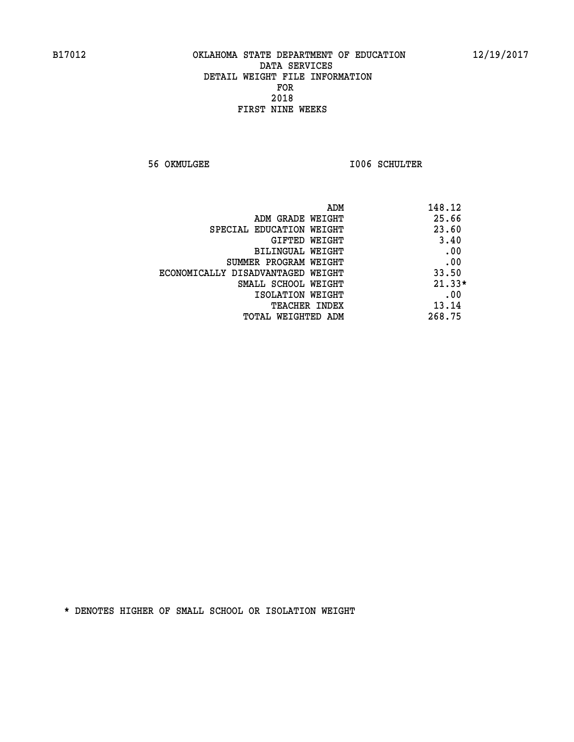**56 OKMULGEE I006 SCHULTER** 

| ADM<br>148.12                 |                                   |
|-------------------------------|-----------------------------------|
| 25.66                         | ADM GRADE WEIGHT                  |
| 23.60                         | SPECIAL EDUCATION WEIGHT          |
| 3.40<br><b>GIFTED WEIGHT</b>  |                                   |
| .00                           | BILINGUAL WEIGHT                  |
| .00                           | SUMMER PROGRAM WEIGHT             |
| 33.50                         | ECONOMICALLY DISADVANTAGED WEIGHT |
| $21.33*$                      | SMALL SCHOOL WEIGHT               |
| .00                           | ISOLATION WEIGHT                  |
| 13.14<br><b>TEACHER INDEX</b> |                                   |
| 268.75                        | TOTAL WEIGHTED ADM                |
|                               |                                   |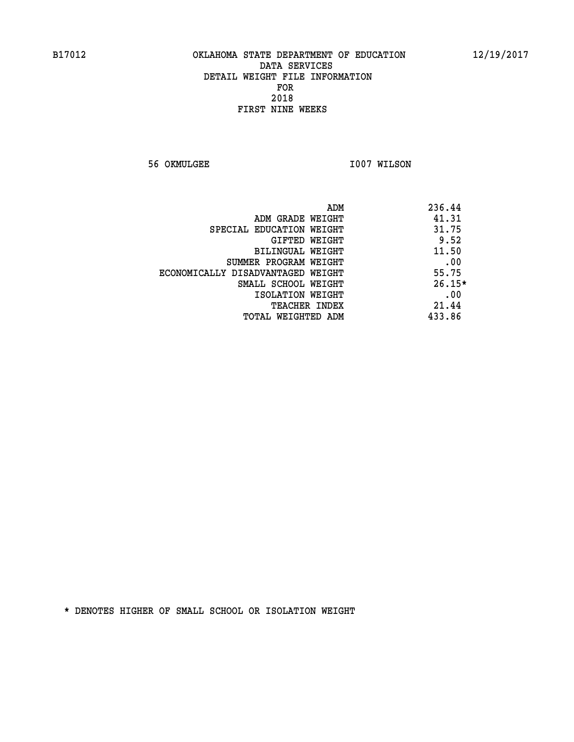**56 OKMULGEE 1007 WILSON** 

|                                   | ADM | 236.44   |
|-----------------------------------|-----|----------|
| ADM GRADE WEIGHT                  |     | 41.31    |
| SPECIAL EDUCATION WEIGHT          |     | 31.75    |
| GIFTED WEIGHT                     |     | 9.52     |
| BILINGUAL WEIGHT                  |     | 11.50    |
| SUMMER PROGRAM WEIGHT             |     | .00      |
| ECONOMICALLY DISADVANTAGED WEIGHT |     | 55.75    |
| SMALL SCHOOL WEIGHT               |     | $26.15*$ |
| ISOLATION WEIGHT                  |     | .00      |
| TEACHER INDEX                     |     | 21.44    |
| TOTAL WEIGHTED ADM                |     | 433.86   |
|                                   |     |          |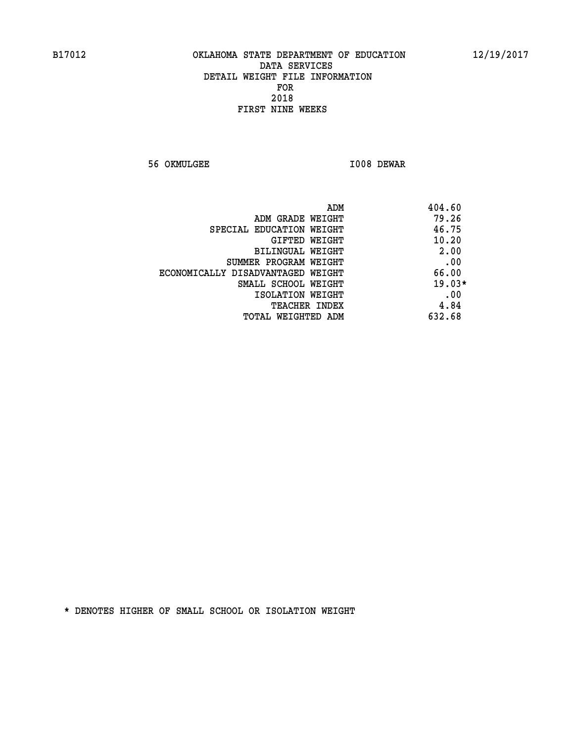**56 OKMULGEE I008 DEWAR** 

| ADM                               | 404.60   |
|-----------------------------------|----------|
| ADM GRADE WEIGHT                  | 79.26    |
| SPECIAL EDUCATION WEIGHT          | 46.75    |
| GIFTED WEIGHT                     | 10.20    |
| BILINGUAL WEIGHT                  | 2.00     |
| SUMMER PROGRAM WEIGHT             | .00      |
| ECONOMICALLY DISADVANTAGED WEIGHT | 66.00    |
| SMALL SCHOOL WEIGHT               | $19.03*$ |
| ISOLATION WEIGHT                  | .00      |
| <b>TEACHER INDEX</b>              | 4.84     |
| TOTAL WEIGHTED ADM                | 632.68   |
|                                   |          |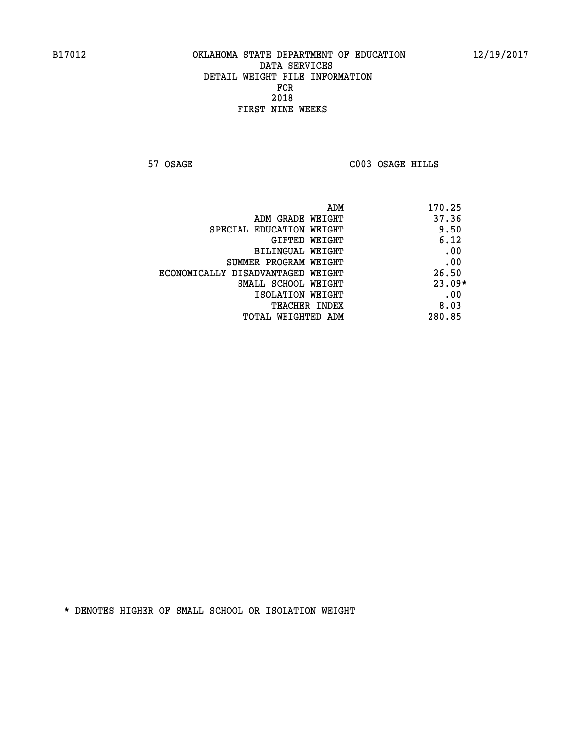**57 OSAGE C003 OSAGE HILLS** 

|                                   | 170.25<br>ADM |
|-----------------------------------|---------------|
| ADM GRADE WEIGHT                  | 37.36         |
| SPECIAL EDUCATION WEIGHT          | 9.50          |
| GIFTED WEIGHT                     | 6.12          |
| BILINGUAL WEIGHT                  | .00           |
| SUMMER PROGRAM WEIGHT             | .00           |
| ECONOMICALLY DISADVANTAGED WEIGHT | 26.50         |
| SMALL SCHOOL WEIGHT               | $23.09*$      |
| ISOLATION WEIGHT                  | .00           |
| TEACHER INDEX                     | 8.03          |
| TOTAL WEIGHTED ADM                | 280.85        |
|                                   |               |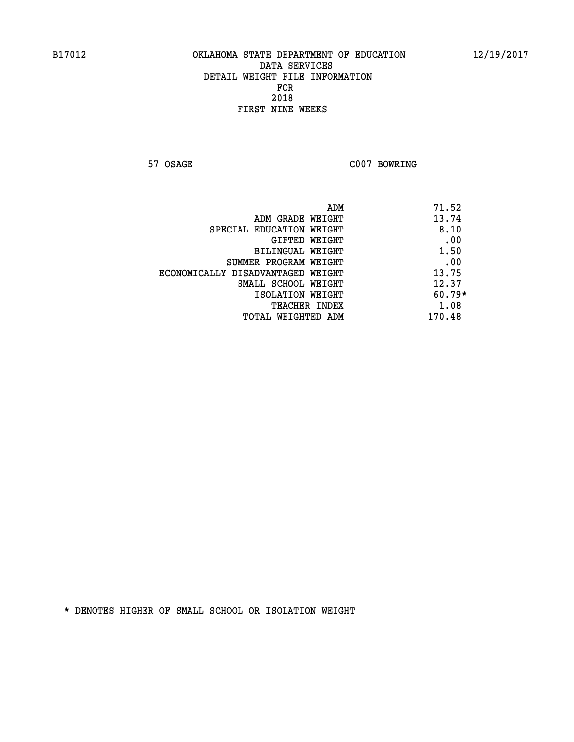**57 OSAGE C007 BOWRING** 

| ADM                               | 71.52    |
|-----------------------------------|----------|
| ADM GRADE WEIGHT                  | 13.74    |
| SPECIAL EDUCATION WEIGHT          | 8.10     |
| GIFTED WEIGHT                     | .00      |
| BILINGUAL WEIGHT                  | 1.50     |
| SUMMER PROGRAM WEIGHT             | .00      |
| ECONOMICALLY DISADVANTAGED WEIGHT | 13.75    |
| SMALL SCHOOL WEIGHT               | 12.37    |
| ISOLATION WEIGHT                  | $60.79*$ |
| <b>TEACHER INDEX</b>              | 1.08     |
| TOTAL WEIGHTED ADM                | 170.48   |
|                                   |          |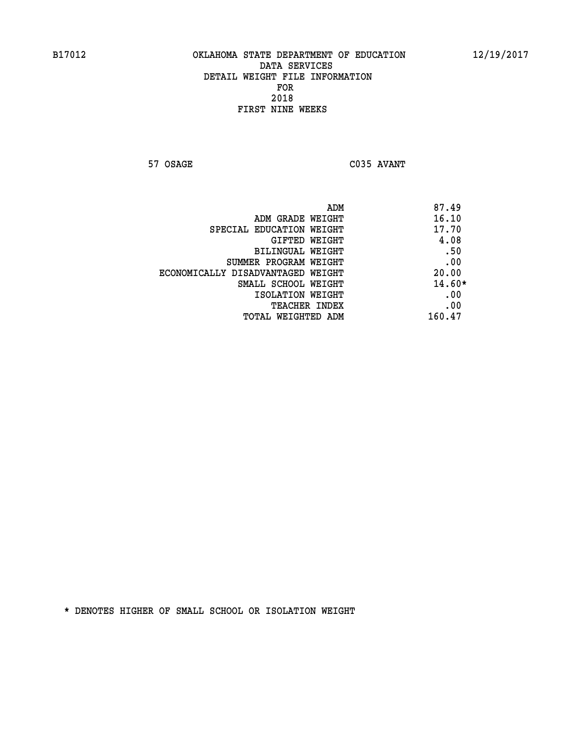**57 OSAGE C035 AVANT** 

|                                   | 87.49<br>ADM |
|-----------------------------------|--------------|
| ADM GRADE WEIGHT                  | 16.10        |
| SPECIAL EDUCATION WEIGHT          | 17.70        |
| GIFTED WEIGHT                     | 4.08         |
| BILINGUAL WEIGHT                  | .50          |
| SUMMER PROGRAM WEIGHT             | .00          |
| ECONOMICALLY DISADVANTAGED WEIGHT | 20.00        |
| SMALL SCHOOL WEIGHT               | $14.60*$     |
| ISOLATION WEIGHT                  | .00          |
| TEACHER INDEX                     | .00          |
| TOTAL WEIGHTED ADM                | 160.47       |
|                                   |              |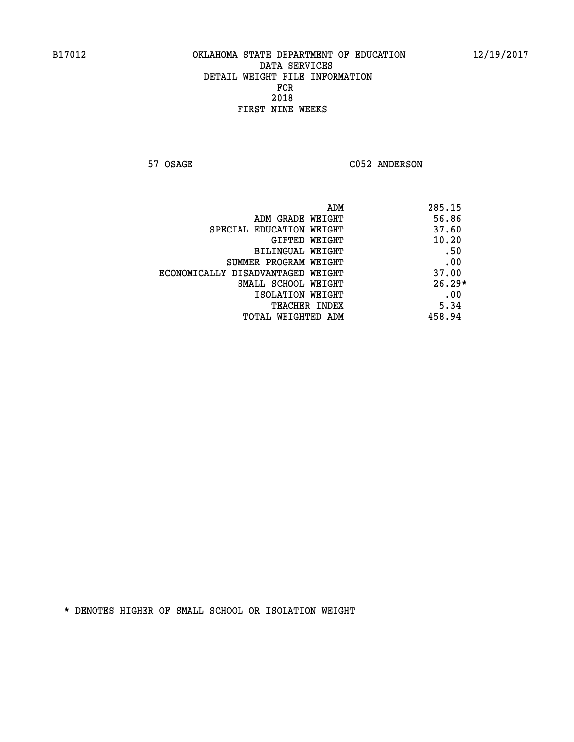57 OSAGE C052 ANDERSON

| ADM                               | 285.15   |
|-----------------------------------|----------|
| ADM GRADE WEIGHT                  | 56.86    |
| SPECIAL EDUCATION WEIGHT          | 37.60    |
| GIFTED WEIGHT                     | 10.20    |
| BILINGUAL WEIGHT                  | .50      |
| SUMMER PROGRAM WEIGHT             | .00      |
| ECONOMICALLY DISADVANTAGED WEIGHT | 37.00    |
| SMALL SCHOOL WEIGHT               | $26.29*$ |
| ISOLATION WEIGHT                  | .00      |
| <b>TEACHER INDEX</b>              | 5.34     |
| TOTAL WEIGHTED ADM                | 458.94   |
|                                   |          |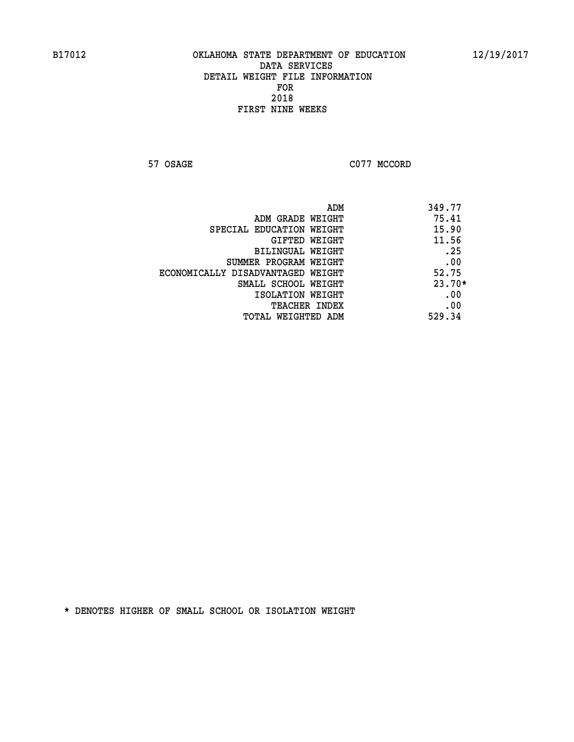**57 OSAGE C077 MCCORD** 

| 349.77   |
|----------|
| 75.41    |
| 15.90    |
| 11.56    |
| .25      |
| .00      |
| 52.75    |
| $23.70*$ |
| .00      |
| .00      |
| 529.34   |
|          |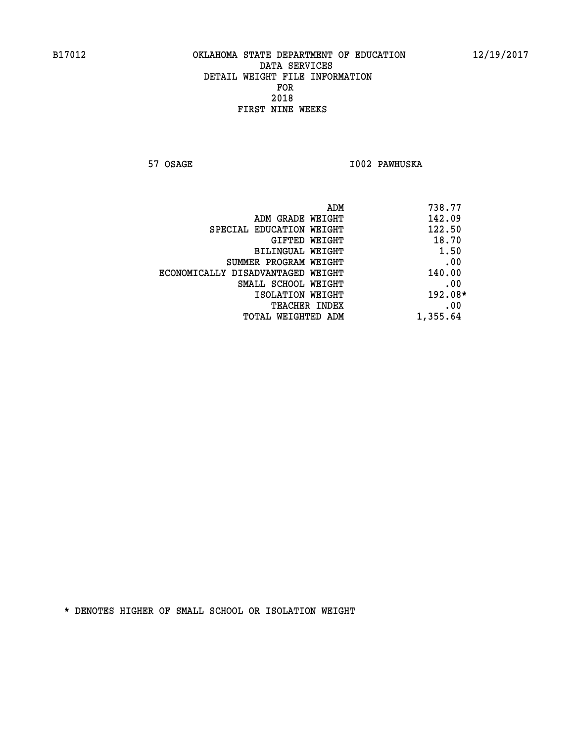**57 OSAGE I002 PAWHUSKA** 

| 738.77<br>ADM |                                   |
|---------------|-----------------------------------|
| 142.09        | ADM GRADE WEIGHT                  |
| 122.50        | SPECIAL EDUCATION WEIGHT          |
| 18.70         | GIFTED WEIGHT                     |
| 1.50          | BILINGUAL WEIGHT                  |
| .00           | SUMMER PROGRAM WEIGHT             |
| 140.00        | ECONOMICALLY DISADVANTAGED WEIGHT |
| .00           | SMALL SCHOOL WEIGHT               |
| $192.08*$     | ISOLATION WEIGHT                  |
| .00           | <b>TEACHER INDEX</b>              |
| 1,355.64      | TOTAL WEIGHTED ADM                |
|               |                                   |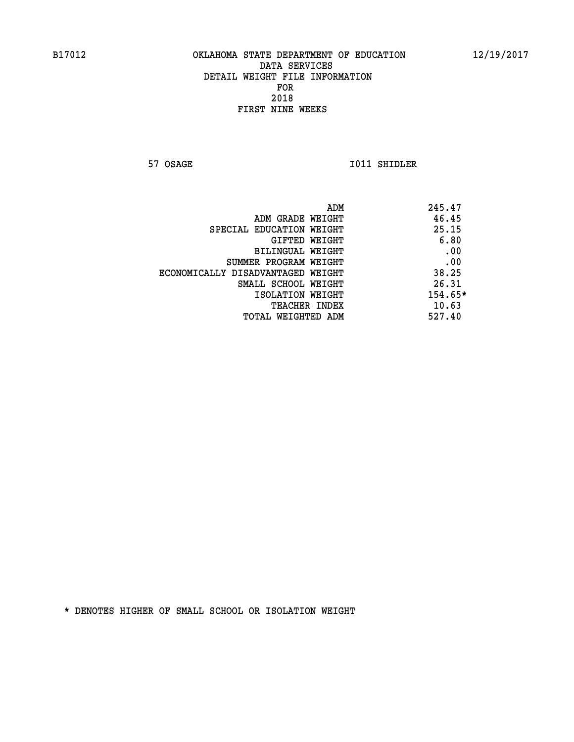**57 OSAGE 1011 SHIDLER** 

|                                   | ADM | 245.47  |
|-----------------------------------|-----|---------|
| ADM GRADE WEIGHT                  |     | 46.45   |
| SPECIAL EDUCATION WEIGHT          |     | 25.15   |
| GIFTED WEIGHT                     |     | 6.80    |
| BILINGUAL WEIGHT                  |     | .00     |
| SUMMER PROGRAM WEIGHT             |     | .00     |
| ECONOMICALLY DISADVANTAGED WEIGHT |     | 38.25   |
| SMALL SCHOOL WEIGHT               |     | 26.31   |
| ISOLATION WEIGHT                  |     | 154.65* |
| TEACHER INDEX                     |     | 10.63   |
| TOTAL WEIGHTED ADM                |     | 527.40  |
|                                   |     |         |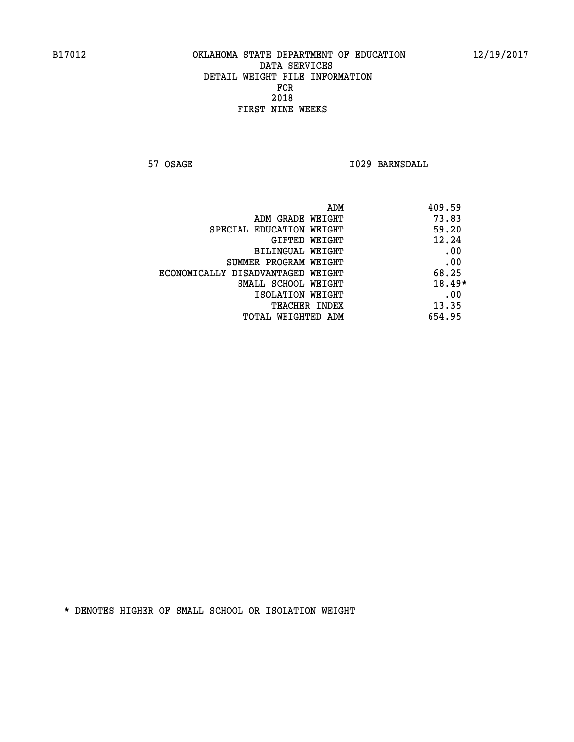**57 OSAGE 1029 BARNSDALL** 

| 409.59<br>ADM                              |  |
|--------------------------------------------|--|
| 73.83<br>ADM GRADE WEIGHT                  |  |
| 59.20<br>SPECIAL EDUCATION WEIGHT          |  |
| 12.24<br>GIFTED WEIGHT                     |  |
| .00<br>BILINGUAL WEIGHT                    |  |
| .00<br>SUMMER PROGRAM WEIGHT               |  |
| 68.25<br>ECONOMICALLY DISADVANTAGED WEIGHT |  |
| $18.49*$<br>SMALL SCHOOL WEIGHT            |  |
| .00<br>ISOLATION WEIGHT                    |  |
| 13.35<br><b>TEACHER INDEX</b>              |  |
| 654.95<br>TOTAL WEIGHTED ADM               |  |
|                                            |  |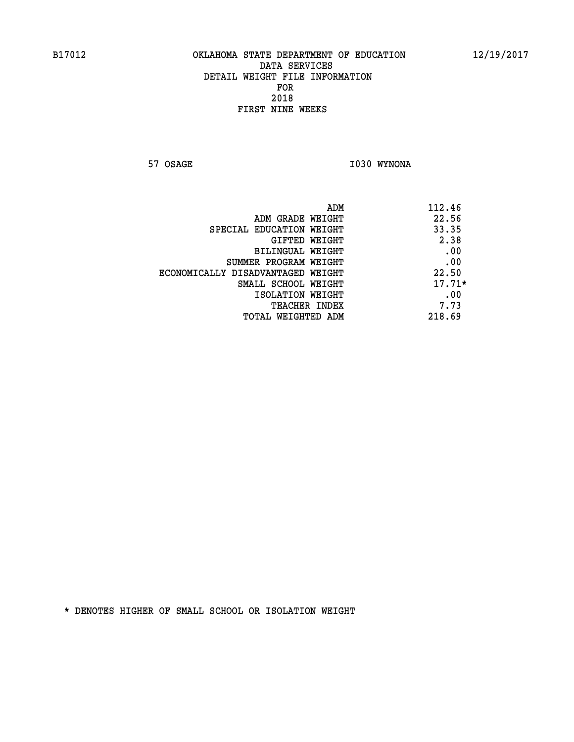**57 OSAGE 1030 WYNONA** 

| ADM                               | 112.46   |
|-----------------------------------|----------|
| ADM GRADE WEIGHT                  | 22.56    |
| SPECIAL EDUCATION WEIGHT          | 33.35    |
| GIFTED WEIGHT                     | 2.38     |
| BILINGUAL WEIGHT                  | .00      |
| SUMMER PROGRAM WEIGHT             | .00      |
| ECONOMICALLY DISADVANTAGED WEIGHT | 22.50    |
| SMALL SCHOOL WEIGHT               | $17.71*$ |
| ISOLATION WEIGHT                  | .00      |
| <b>TEACHER INDEX</b>              | 7.73     |
| TOTAL WEIGHTED ADM                | 218.69   |
|                                   |          |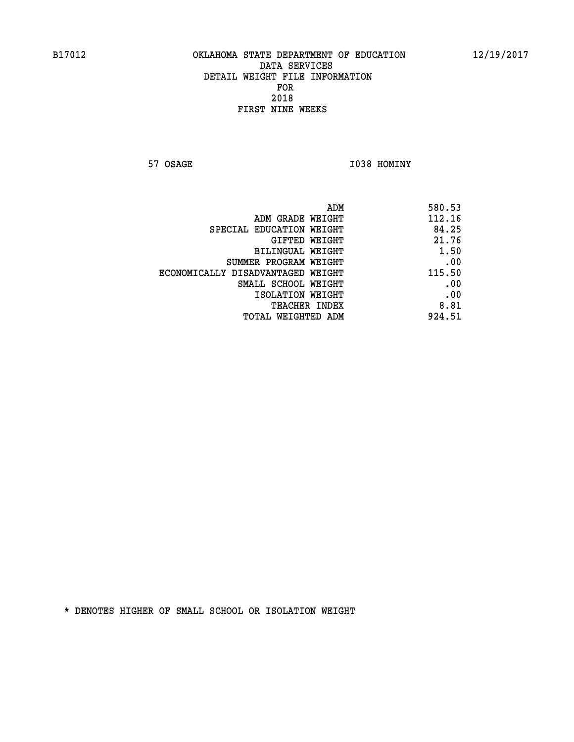**57 OSAGE 1038 HOMINY** 

| ADM                               | 580.53 |
|-----------------------------------|--------|
| ADM GRADE WEIGHT                  | 112.16 |
| SPECIAL EDUCATION WEIGHT          | 84.25  |
| GIFTED WEIGHT                     | 21.76  |
| BILINGUAL WEIGHT                  | 1.50   |
| SUMMER PROGRAM WEIGHT             | .00    |
| ECONOMICALLY DISADVANTAGED WEIGHT | 115.50 |
| SMALL SCHOOL WEIGHT               | .00    |
| ISOLATION WEIGHT                  | .00    |
| <b>TEACHER INDEX</b>              | 8.81   |
| TOTAL WEIGHTED ADM                | 924.51 |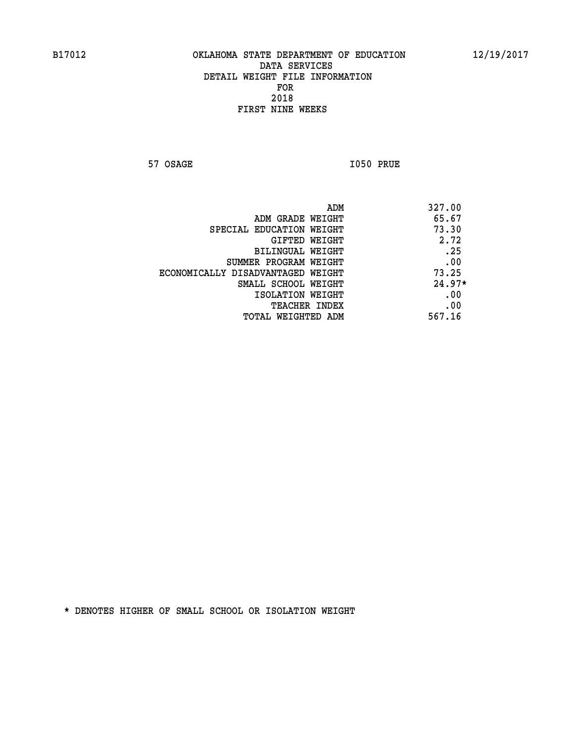**57 OSAGE I050 PRUE** 

| ADM                               | 327.00   |
|-----------------------------------|----------|
| ADM GRADE WEIGHT                  | 65.67    |
| SPECIAL EDUCATION WEIGHT          | 73.30    |
| GIFTED WEIGHT                     | 2.72     |
| BILINGUAL WEIGHT                  | .25      |
| SUMMER PROGRAM WEIGHT             | .00      |
| ECONOMICALLY DISADVANTAGED WEIGHT | 73.25    |
| SMALL SCHOOL WEIGHT               | $24.97*$ |
| ISOLATION WEIGHT                  | .00      |
| <b>TEACHER INDEX</b>              | .00      |
| TOTAL WEIGHTED ADM                | 567.16   |
|                                   |          |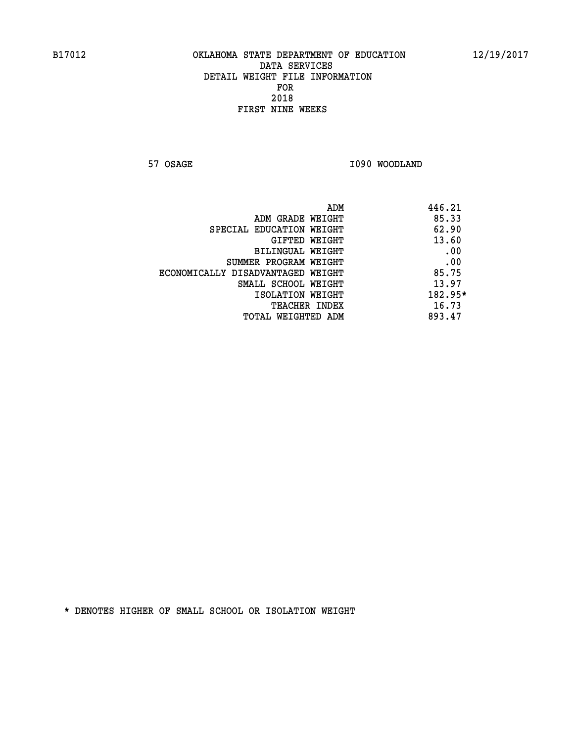**57 OSAGE 1090 WOODLAND** 

|                                   | ADM | 446.21  |
|-----------------------------------|-----|---------|
| ADM GRADE WEIGHT                  |     | 85.33   |
| SPECIAL EDUCATION WEIGHT          |     | 62.90   |
| GIFTED WEIGHT                     |     | 13.60   |
| BILINGUAL WEIGHT                  |     | .00     |
| SUMMER PROGRAM WEIGHT             |     | .00     |
| ECONOMICALLY DISADVANTAGED WEIGHT |     | 85.75   |
| SMALL SCHOOL WEIGHT               |     | 13.97   |
| ISOLATION WEIGHT                  |     | 182.95* |
| TEACHER INDEX                     |     | 16.73   |
| TOTAL WEIGHTED ADM                |     | 893.47  |
|                                   |     |         |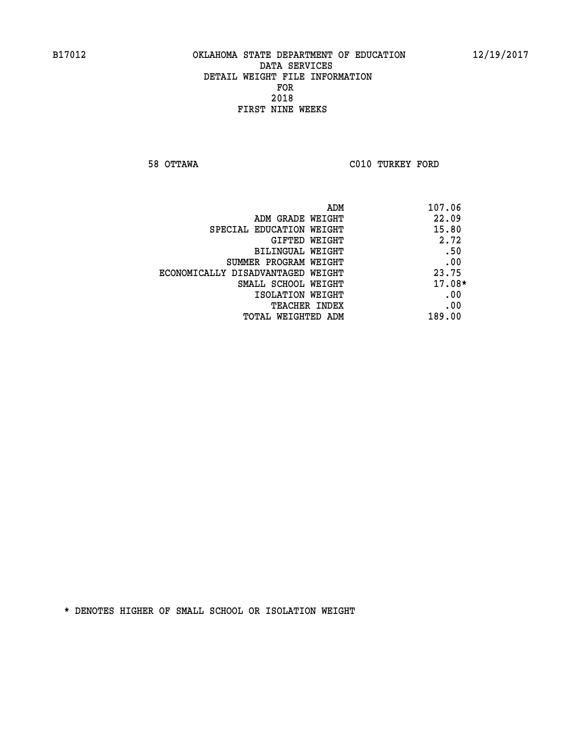**58 OTTAWA C010 TURKEY FORD** 

| ADM                               | 107.06   |
|-----------------------------------|----------|
| ADM GRADE WEIGHT                  | 22.09    |
| SPECIAL EDUCATION WEIGHT          | 15.80    |
| <b>GIFTED WEIGHT</b>              | 2.72     |
| <b>BILINGUAL WEIGHT</b>           | .50      |
| SUMMER PROGRAM WEIGHT             | .00      |
| ECONOMICALLY DISADVANTAGED WEIGHT | 23.75    |
| SMALL SCHOOL WEIGHT               | $17.08*$ |
| ISOLATION WEIGHT                  | .00      |
| <b>TEACHER INDEX</b>              | .00      |
| TOTAL WEIGHTED ADM                | 189.00   |
|                                   |          |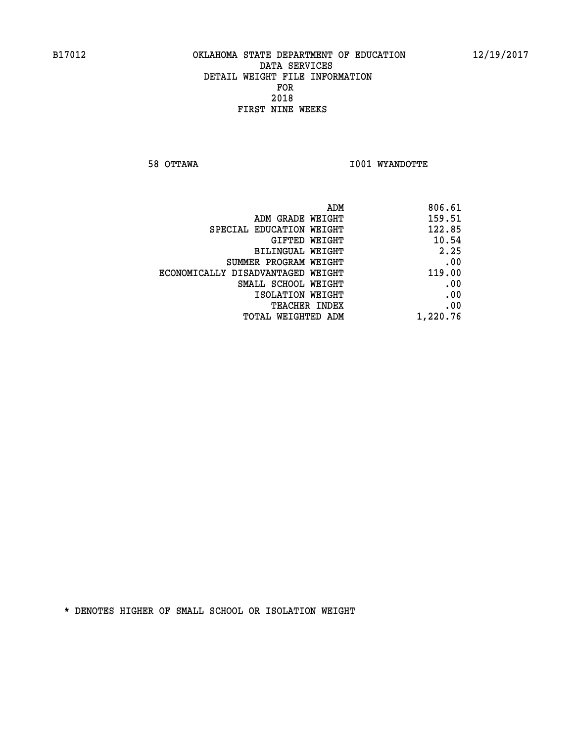**58 OTTAWA I001 WYANDOTTE** 

| ADM                               | 806.61   |
|-----------------------------------|----------|
| ADM GRADE WEIGHT                  | 159.51   |
| SPECIAL EDUCATION WEIGHT          | 122.85   |
| GIFTED WEIGHT                     | 10.54    |
| BILINGUAL WEIGHT                  | 2.25     |
| SUMMER PROGRAM WEIGHT             | .00      |
| ECONOMICALLY DISADVANTAGED WEIGHT | 119.00   |
| SMALL SCHOOL WEIGHT               | .00      |
| ISOLATION WEIGHT                  | .00      |
| TEACHER INDEX                     | .00      |
| TOTAL WEIGHTED ADM                | 1,220.76 |
|                                   |          |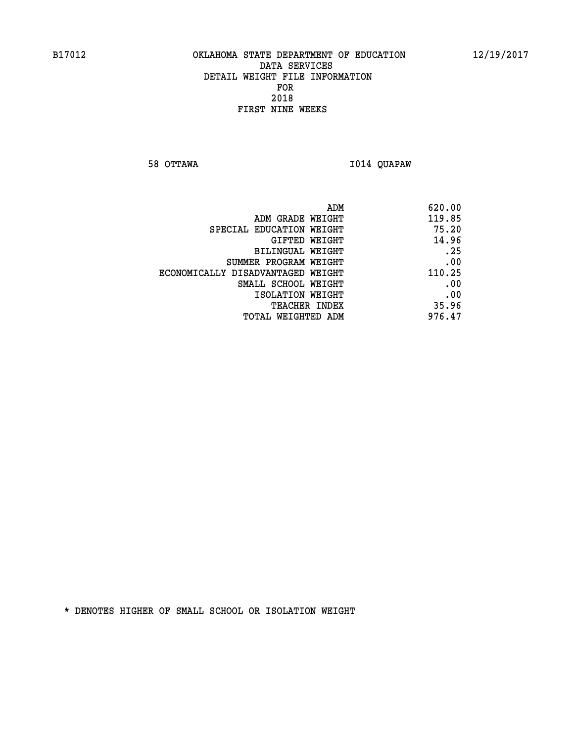**58 OTTAWA I014 QUAPAW** 

| 620.00                                                                                |
|---------------------------------------------------------------------------------------|
| 119.85<br>ADM GRADE WEIGHT                                                            |
| 75.20                                                                                 |
| 14.96                                                                                 |
| .25<br><b>BILINGUAL WEIGHT</b>                                                        |
| .00<br>SUMMER PROGRAM WEIGHT                                                          |
| 110.25<br>ECONOMICALLY DISADVANTAGED WEIGHT                                           |
| .00<br>SMALL SCHOOL WEIGHT                                                            |
| .00                                                                                   |
| 35.96                                                                                 |
| 976.47<br>TOTAL WEIGHTED ADM                                                          |
| ADM<br>SPECIAL EDUCATION WEIGHT<br>GIFTED WEIGHT<br>ISOLATION WEIGHT<br>TEACHER INDEX |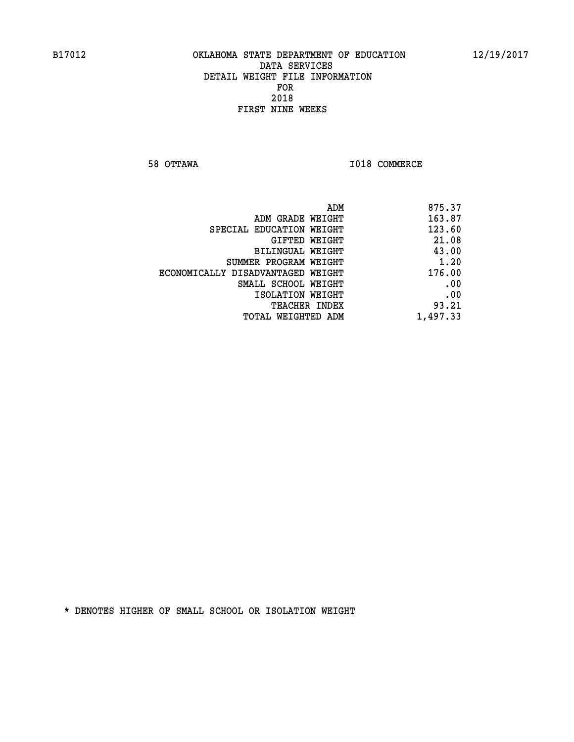**58 OTTAWA I018 COMMERCE** 

| 875.37   |
|----------|
| 163.87   |
| 123.60   |
| 21.08    |
| 43.00    |
| 1.20     |
| 176.00   |
| .00      |
| .00      |
| 93.21    |
| 1,497.33 |
|          |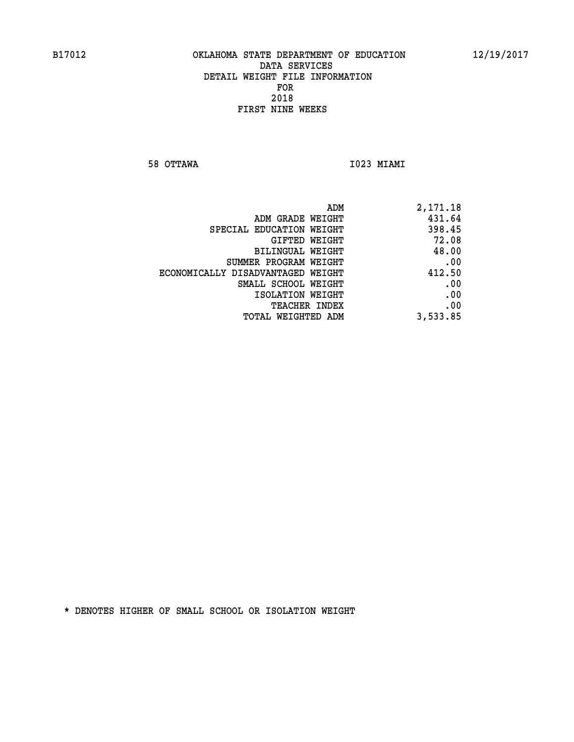**58 OTTAWA I023 MIAMI** 

| ADM                               | 2,171.18 |
|-----------------------------------|----------|
| ADM GRADE WEIGHT                  | 431.64   |
| SPECIAL EDUCATION WEIGHT          | 398.45   |
| GIFTED WEIGHT                     | 72.08    |
| BILINGUAL WEIGHT                  | 48.00    |
| SUMMER PROGRAM WEIGHT             | .00      |
| ECONOMICALLY DISADVANTAGED WEIGHT | 412.50   |
| SMALL SCHOOL WEIGHT               | .00      |
| ISOLATION WEIGHT                  | .00      |
| <b>TEACHER INDEX</b>              | .00      |
| TOTAL WEIGHTED ADM                | 3,533.85 |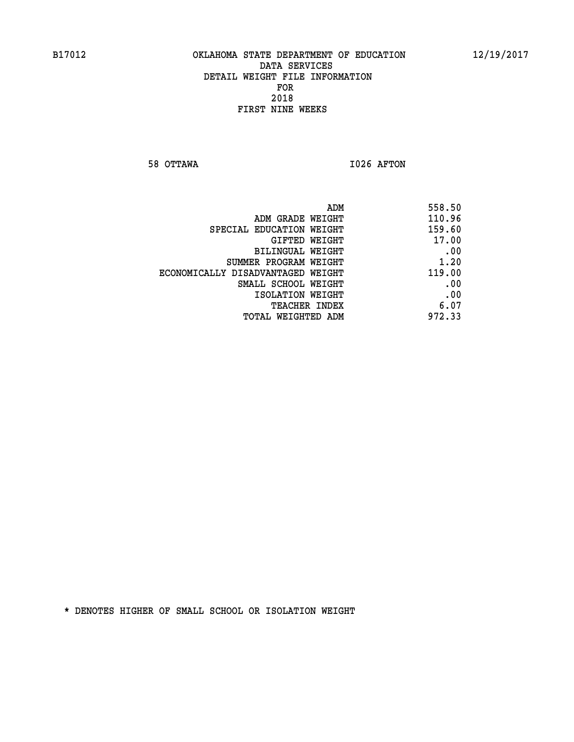**58 OTTAWA I026 AFTON** 

| ADM                               | 558.50 |
|-----------------------------------|--------|
| ADM GRADE WEIGHT                  | 110.96 |
| SPECIAL EDUCATION WEIGHT          | 159.60 |
| GIFTED WEIGHT                     | 17.00  |
| BILINGUAL WEIGHT                  | .00    |
| SUMMER PROGRAM WEIGHT             | 1.20   |
| ECONOMICALLY DISADVANTAGED WEIGHT | 119.00 |
| SMALL SCHOOL WEIGHT               | .00    |
| ISOLATION WEIGHT                  | .00    |
| <b>TEACHER INDEX</b>              | 6.07   |
| TOTAL WEIGHTED ADM                | 972.33 |
|                                   |        |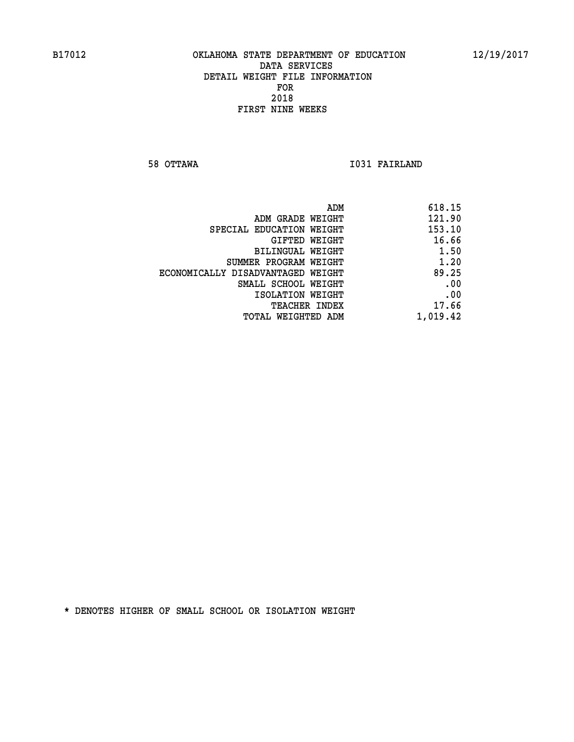**58 OTTAWA I031 FAIRLAND** 

| 618.15   |
|----------|
| 121.90   |
| 153.10   |
| 16.66    |
| 1.50     |
| 1.20     |
| 89.25    |
| .00      |
| .00      |
| 17.66    |
| 1,019.42 |
|          |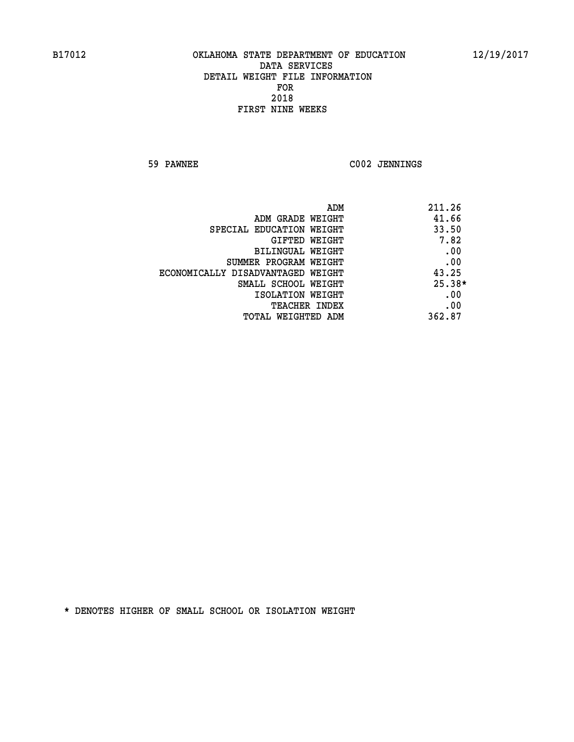**59 PAWNEE C002 JENNINGS** 

| ADM                               | 211.26   |
|-----------------------------------|----------|
| ADM GRADE WEIGHT                  | 41.66    |
| SPECIAL EDUCATION WEIGHT          | 33.50    |
| GIFTED WEIGHT                     | 7.82     |
| BILINGUAL WEIGHT                  | .00      |
| SUMMER PROGRAM WEIGHT             | .00      |
| ECONOMICALLY DISADVANTAGED WEIGHT | 43.25    |
| SMALL SCHOOL WEIGHT               | $25.38*$ |
| ISOLATION WEIGHT                  | .00      |
| <b>TEACHER INDEX</b>              | .00      |
| TOTAL WEIGHTED ADM                | 362.87   |
|                                   |          |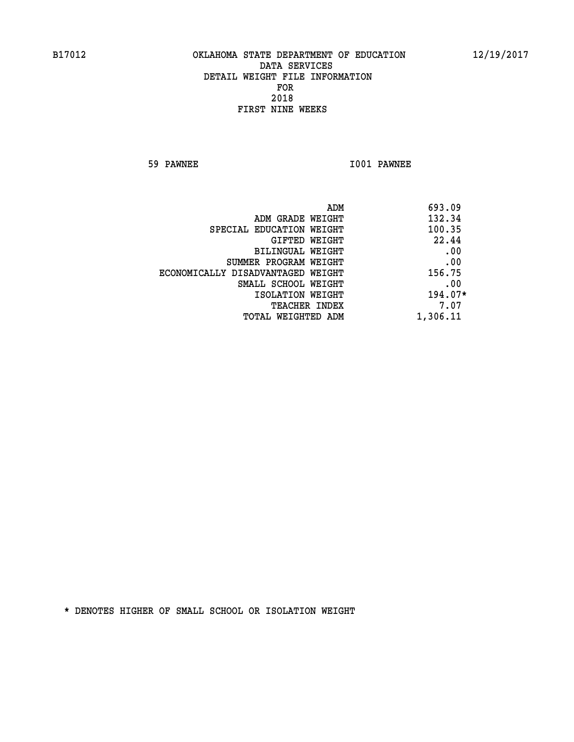**59 PAWNEE I001 PAWNEE** 

|                                   | ADM | 693.09    |
|-----------------------------------|-----|-----------|
| ADM GRADE WEIGHT                  |     | 132.34    |
| SPECIAL EDUCATION WEIGHT          |     | 100.35    |
| GIFTED WEIGHT                     |     | 22.44     |
| BILINGUAL WEIGHT                  |     | .00       |
| SUMMER PROGRAM WEIGHT             |     | .00       |
| ECONOMICALLY DISADVANTAGED WEIGHT |     | 156.75    |
| SMALL SCHOOL WEIGHT               |     | .00       |
| ISOLATION WEIGHT                  |     | $194.07*$ |
| TEACHER INDEX                     |     | 7.07      |
| TOTAL WEIGHTED ADM                |     | 1,306.11  |
|                                   |     |           |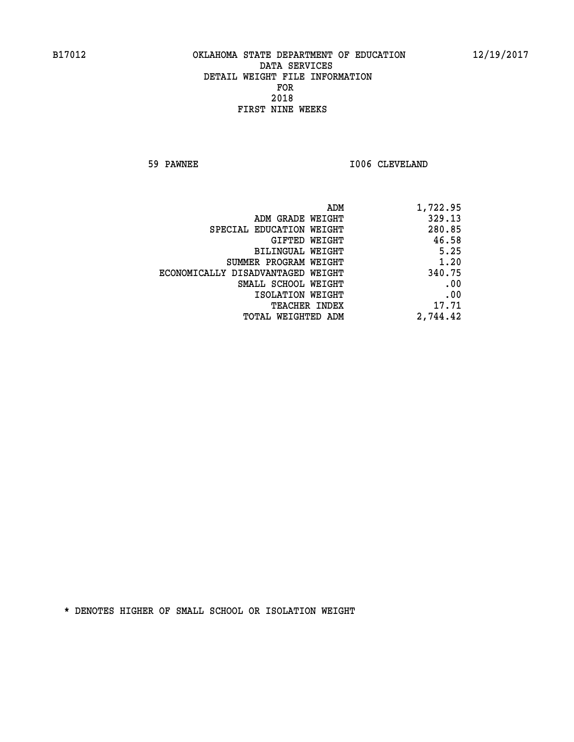**59 PAWNEE 1006 CLEVELAND** 

| 1,722.95 |
|----------|
| 329.13   |
| 280.85   |
| 46.58    |
| 5.25     |
| 1.20     |
| 340.75   |
| .00      |
| .00      |
| 17.71    |
| 2,744.42 |
|          |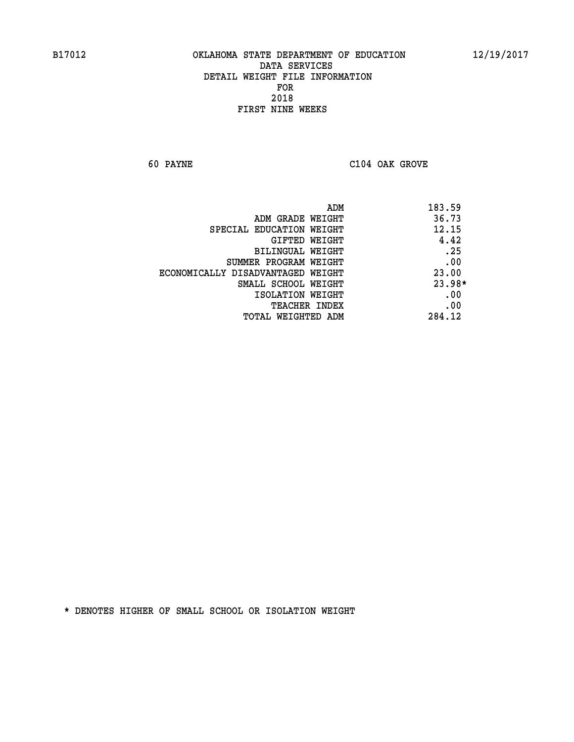**60 PAYNE C104 OAK GROVE** 

| ADM<br>183.59 |                                   |
|---------------|-----------------------------------|
| 36.73         | ADM GRADE WEIGHT                  |
| 12.15         | SPECIAL EDUCATION WEIGHT          |
| 4.42          | <b>GIFTED WEIGHT</b>              |
| .25           | <b>BILINGUAL WEIGHT</b>           |
| .00           | SUMMER PROGRAM WEIGHT             |
| 23.00         | ECONOMICALLY DISADVANTAGED WEIGHT |
| 23.98*        | SMALL SCHOOL WEIGHT               |
| .00           | ISOLATION WEIGHT                  |
| .00           | <b>TEACHER INDEX</b>              |
| 284.12        | TOTAL WEIGHTED ADM                |
|               |                                   |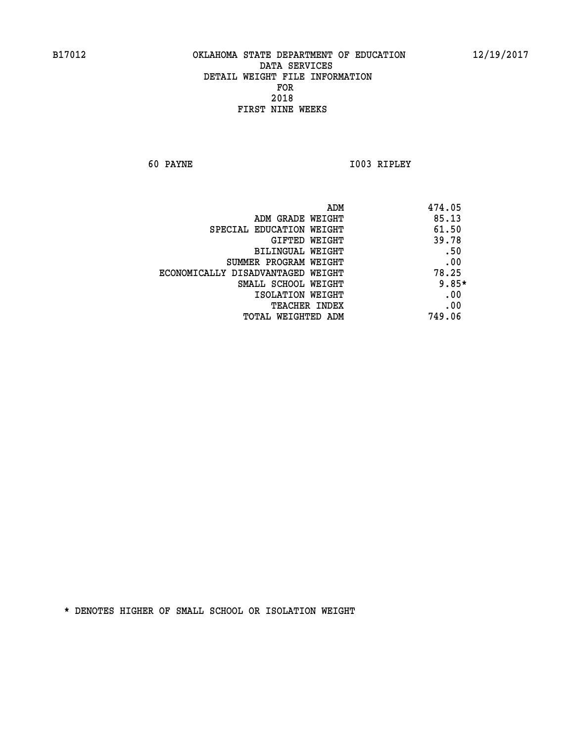**60 PAYNE I003 RIPLEY** 

| ADM                               | 474.05  |
|-----------------------------------|---------|
| ADM GRADE WEIGHT                  | 85.13   |
| SPECIAL EDUCATION WEIGHT          | 61.50   |
| GIFTED WEIGHT                     | 39.78   |
| BILINGUAL WEIGHT                  | .50     |
| SUMMER PROGRAM WEIGHT             | .00     |
| ECONOMICALLY DISADVANTAGED WEIGHT | 78.25   |
| SMALL SCHOOL WEIGHT               | $9.85*$ |
| ISOLATION WEIGHT                  | .00     |
| <b>TEACHER INDEX</b>              | .00     |
| TOTAL WEIGHTED ADM                | 749.06  |
|                                   |         |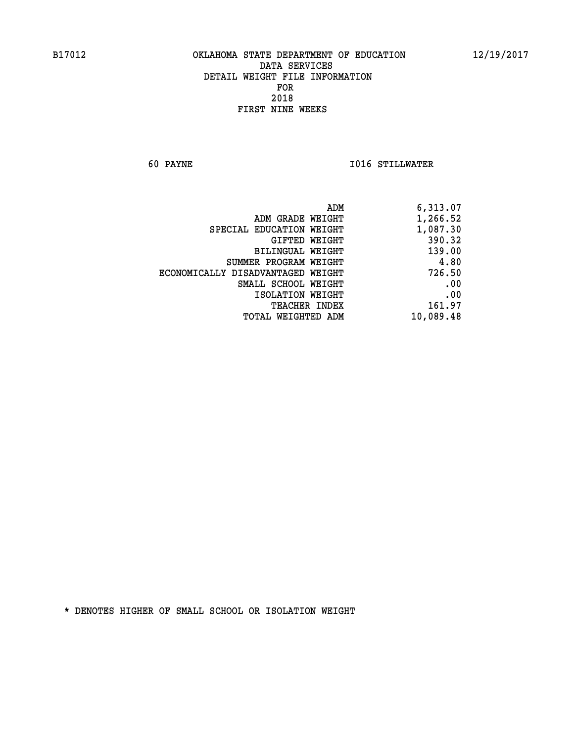**60 PAYNE I016 STILLWATER** 

|                                   | ADM | 6,313.07  |
|-----------------------------------|-----|-----------|
| ADM GRADE WEIGHT                  |     | 1,266.52  |
| SPECIAL EDUCATION WEIGHT          |     | 1,087.30  |
| GIFTED WEIGHT                     |     | 390.32    |
| <b>BILINGUAL WEIGHT</b>           |     | 139.00    |
| SUMMER PROGRAM WEIGHT             |     | 4.80      |
| ECONOMICALLY DISADVANTAGED WEIGHT |     | 726.50    |
| SMALL SCHOOL WEIGHT               |     | .00       |
| ISOLATION WEIGHT                  |     | .00       |
| TEACHER INDEX                     |     | 161.97    |
| TOTAL WEIGHTED ADM                |     | 10,089.48 |
|                                   |     |           |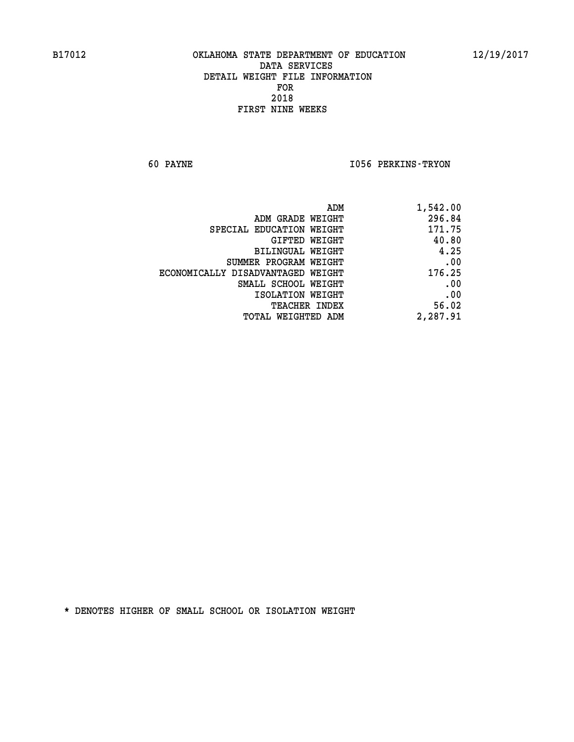**60 PAYNE I056 PERKINS-TRYON** 

| ADM<br>1,542.00                             |  |
|---------------------------------------------|--|
| 296.84<br>ADM GRADE WEIGHT                  |  |
| 171.75<br>SPECIAL EDUCATION WEIGHT          |  |
| 40.80<br>GIFTED WEIGHT                      |  |
| 4.25<br>BILINGUAL WEIGHT                    |  |
| .00<br>SUMMER PROGRAM WEIGHT                |  |
| 176.25<br>ECONOMICALLY DISADVANTAGED WEIGHT |  |
| .00<br>SMALL SCHOOL WEIGHT                  |  |
| .00<br>ISOLATION WEIGHT                     |  |
| 56.02<br><b>TEACHER INDEX</b>               |  |
| 2,287.91<br><b>TOTAL WEIGHTED ADM</b>       |  |
|                                             |  |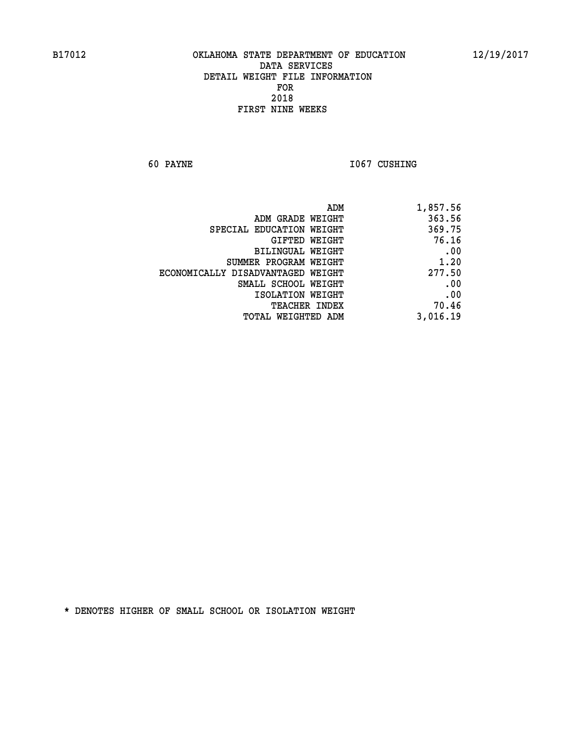**60 PAYNE 1067 CUSHING** 

| 1,857.56 |
|----------|
| 363.56   |
| 369.75   |
| 76.16    |
| .00      |
| 1.20     |
| 277.50   |
| .00      |
| .00      |
| 70.46    |
| 3,016.19 |
|          |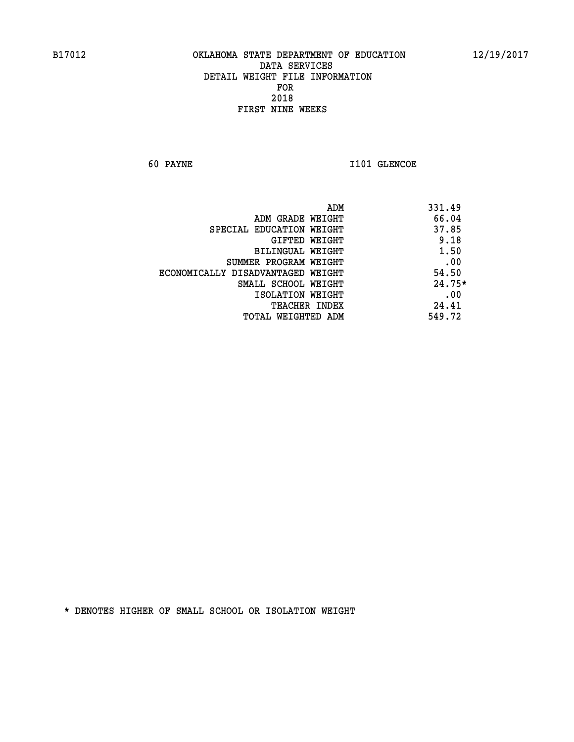**60 PAYNE I101 GLENCOE** 

| ADM                               | 331.49   |
|-----------------------------------|----------|
| ADM GRADE WEIGHT                  | 66.04    |
| SPECIAL EDUCATION WEIGHT          | 37.85    |
| GIFTED WEIGHT                     | 9.18     |
| BILINGUAL WEIGHT                  | 1.50     |
| SUMMER PROGRAM WEIGHT             | .00      |
| ECONOMICALLY DISADVANTAGED WEIGHT | 54.50    |
| SMALL SCHOOL WEIGHT               | $24.75*$ |
| ISOLATION WEIGHT                  | .00      |
| <b>TEACHER INDEX</b>              | 24.41    |
| TOTAL WEIGHTED ADM                | 549.72   |
|                                   |          |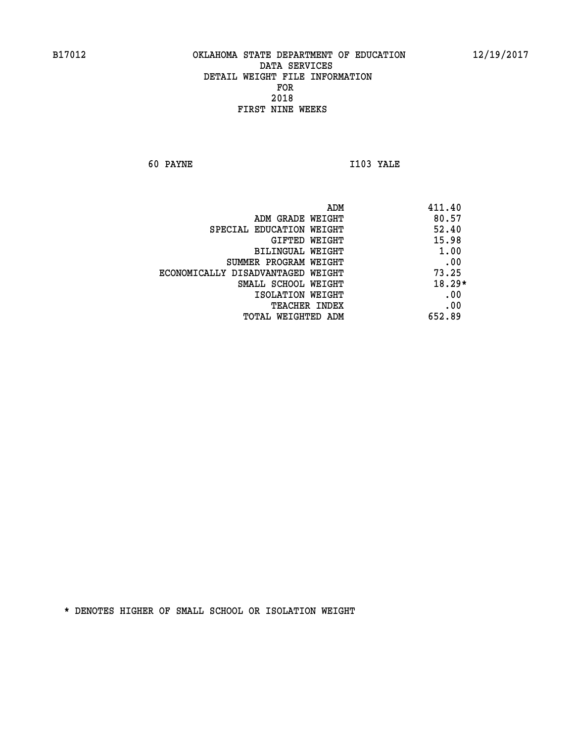**60 PAYNE I103 YALE** 

|                                   | ADM | 411.40   |
|-----------------------------------|-----|----------|
| ADM GRADE WEIGHT                  |     | 80.57    |
| SPECIAL EDUCATION WEIGHT          |     | 52.40    |
| GIFTED WEIGHT                     |     | 15.98    |
| BILINGUAL WEIGHT                  |     | 1.00     |
| SUMMER PROGRAM WEIGHT             |     | .00      |
| ECONOMICALLY DISADVANTAGED WEIGHT |     | 73.25    |
| SMALL SCHOOL WEIGHT               |     | $18.29*$ |
| ISOLATION WEIGHT                  |     | .00      |
| <b>TEACHER INDEX</b>              |     | .00      |
| TOTAL WEIGHTED ADM                |     | 652.89   |
|                                   |     |          |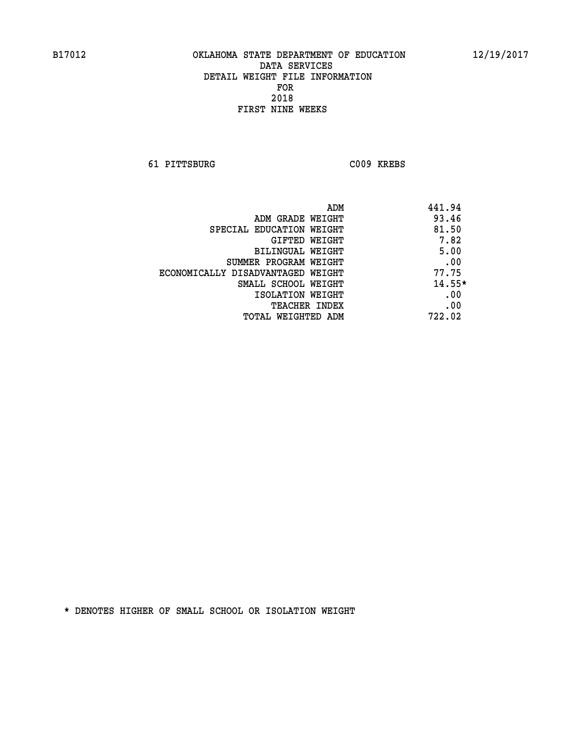**61 PITTSBURG C009 KREBS** 

| ADM                               | 441.94   |
|-----------------------------------|----------|
| ADM GRADE WEIGHT                  | 93.46    |
| SPECIAL EDUCATION WEIGHT          | 81.50    |
| GIFTED WEIGHT                     | 7.82     |
| BILINGUAL WEIGHT                  | 5.00     |
| SUMMER PROGRAM WEIGHT             | .00      |
| ECONOMICALLY DISADVANTAGED WEIGHT | 77.75    |
| SMALL SCHOOL WEIGHT               | $14.55*$ |
| ISOLATION WEIGHT                  | .00      |
| <b>TEACHER INDEX</b>              | .00      |
| TOTAL WEIGHTED ADM                | 722.02   |
|                                   |          |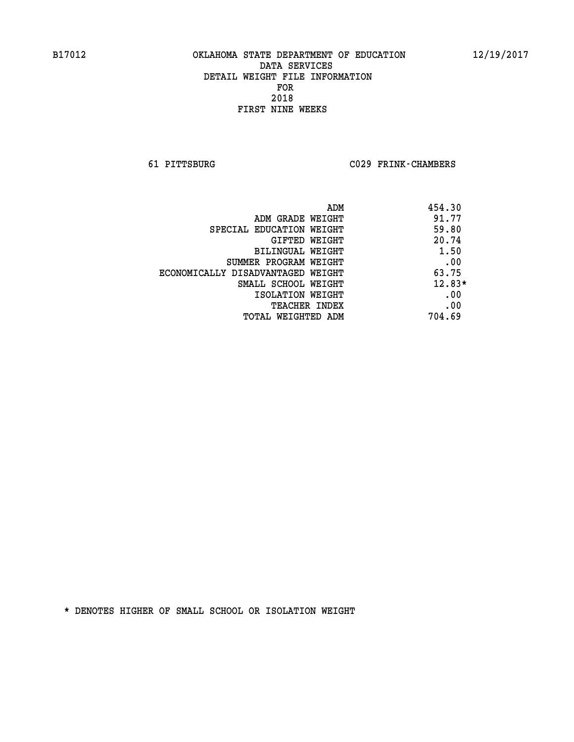**61 PITTSBURG C029 FRINK-CHAMBERS** 

|                                   | 454.30<br>ADM |          |
|-----------------------------------|---------------|----------|
| ADM GRADE WEIGHT                  |               | 91.77    |
| SPECIAL EDUCATION WEIGHT          |               | 59.80    |
| GIFTED WEIGHT                     |               | 20.74    |
| BILINGUAL WEIGHT                  |               | 1.50     |
| SUMMER PROGRAM WEIGHT             |               | .00      |
| ECONOMICALLY DISADVANTAGED WEIGHT |               | 63.75    |
| SMALL SCHOOL WEIGHT               |               | $12.83*$ |
| ISOLATION WEIGHT                  |               | .00      |
| <b>TEACHER INDEX</b>              |               | .00      |
| TOTAL WEIGHTED ADM                |               | 704.69   |
|                                   |               |          |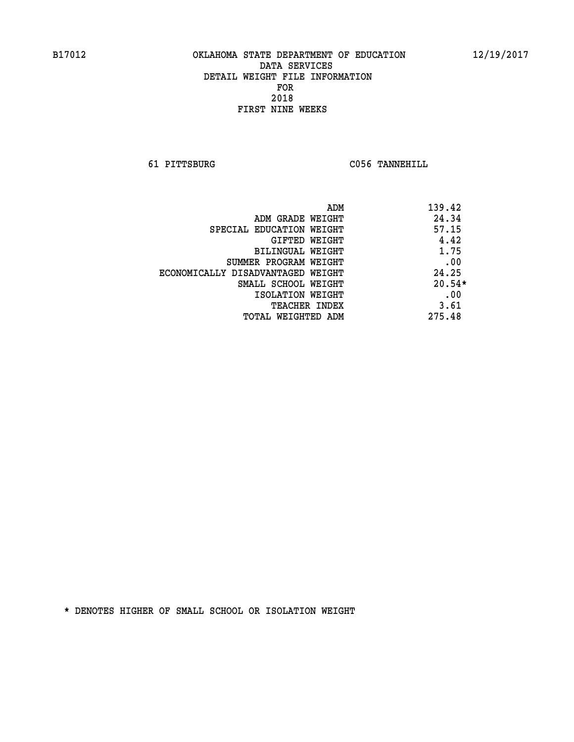**61 PITTSBURG C056 TANNEHILL** 

| ADM                               | 139.42   |
|-----------------------------------|----------|
| ADM GRADE WEIGHT                  | 24.34    |
| SPECIAL EDUCATION WEIGHT          | 57.15    |
| <b>GIFTED WEIGHT</b>              | 4.42     |
| BILINGUAL WEIGHT                  | 1.75     |
| SUMMER PROGRAM WEIGHT             | .00      |
| ECONOMICALLY DISADVANTAGED WEIGHT | 24.25    |
| SMALL SCHOOL WEIGHT               | $20.54*$ |
| ISOLATION WEIGHT                  | .00      |
| <b>TEACHER INDEX</b>              | 3.61     |
| TOTAL WEIGHTED ADM                | 275.48   |
|                                   |          |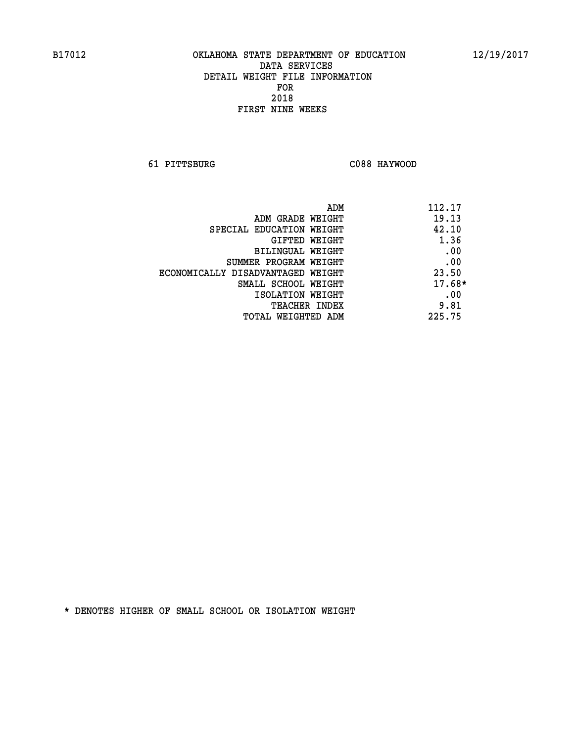**61 PITTSBURG C088 HAYWOOD** 

| ADM                               | 112.17   |
|-----------------------------------|----------|
| ADM GRADE WEIGHT                  | 19.13    |
| SPECIAL EDUCATION WEIGHT          | 42.10    |
| GIFTED WEIGHT                     | 1.36     |
| BILINGUAL WEIGHT                  | .00      |
| SUMMER PROGRAM WEIGHT             | .00      |
| ECONOMICALLY DISADVANTAGED WEIGHT | 23.50    |
| SMALL SCHOOL WEIGHT               | $17.68*$ |
| ISOLATION WEIGHT                  | .00      |
| <b>TEACHER INDEX</b>              | 9.81     |
| TOTAL WEIGHTED ADM                | 225.75   |
|                                   |          |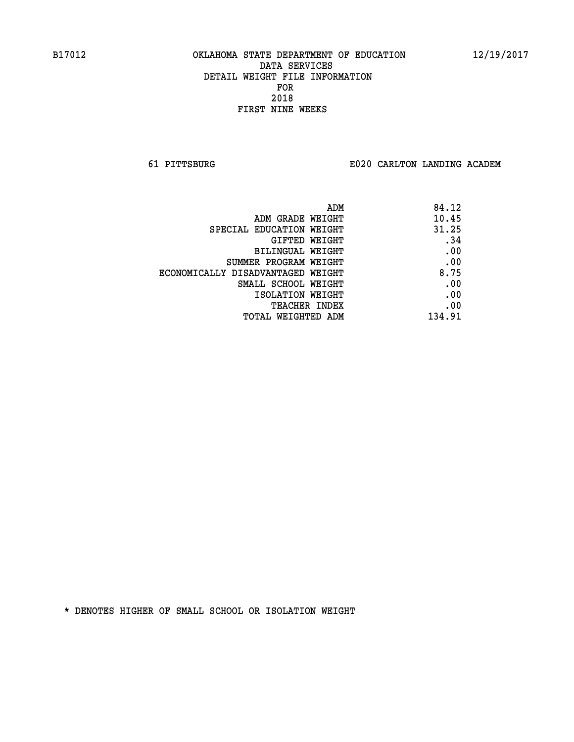**61 PITTSBURG E020 CARLTON LANDING ACADEM**

| ADM                               | 84.12  |
|-----------------------------------|--------|
| ADM GRADE WEIGHT                  | 10.45  |
| SPECIAL EDUCATION WEIGHT          | 31.25  |
| GIFTED WEIGHT                     | .34    |
| BILINGUAL WEIGHT                  | .00    |
| SUMMER PROGRAM WEIGHT             | .00    |
| ECONOMICALLY DISADVANTAGED WEIGHT | 8.75   |
| SMALL SCHOOL WEIGHT               | .00    |
| ISOLATION WEIGHT                  | .00    |
| <b>TEACHER INDEX</b>              | .00    |
| TOTAL WEIGHTED ADM                | 134.91 |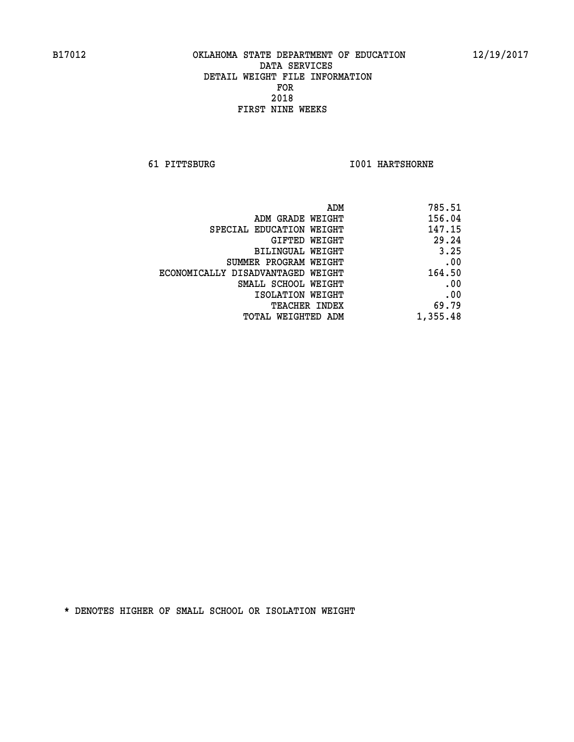**61 PITTSBURG I001 HARTSHORNE** 

| 785.51   |
|----------|
| 156.04   |
| 147.15   |
| 29.24    |
| 3.25     |
| .00      |
| 164.50   |
| .00      |
| .00      |
| 69.79    |
| 1,355.48 |
|          |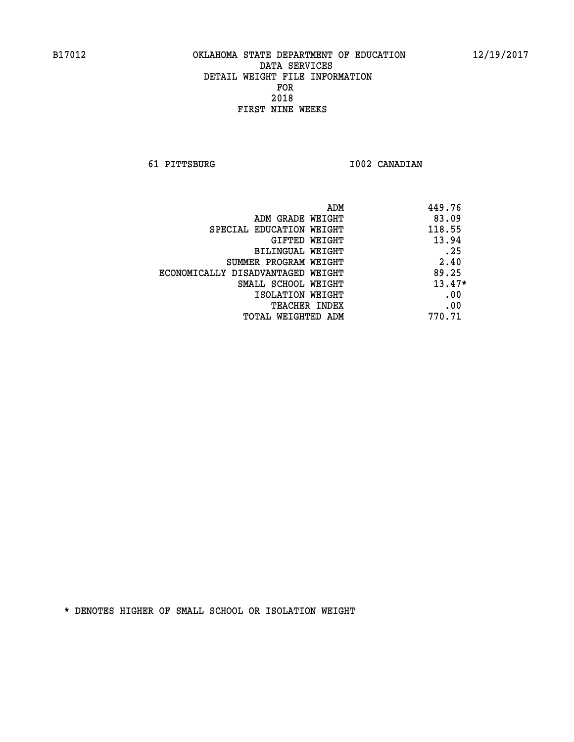**61 PITTSBURG I002 CANADIAN** 

| ADM                               | 449.76   |
|-----------------------------------|----------|
| ADM GRADE WEIGHT                  | 83.09    |
| SPECIAL EDUCATION WEIGHT          | 118.55   |
| GIFTED WEIGHT                     | 13.94    |
| BILINGUAL WEIGHT                  | .25      |
| SUMMER PROGRAM WEIGHT             | 2.40     |
| ECONOMICALLY DISADVANTAGED WEIGHT | 89.25    |
| SMALL SCHOOL WEIGHT               | $13.47*$ |
| ISOLATION WEIGHT                  | .00      |
| <b>TEACHER INDEX</b>              | .00      |
| TOTAL WEIGHTED ADM                | 770.71   |
|                                   |          |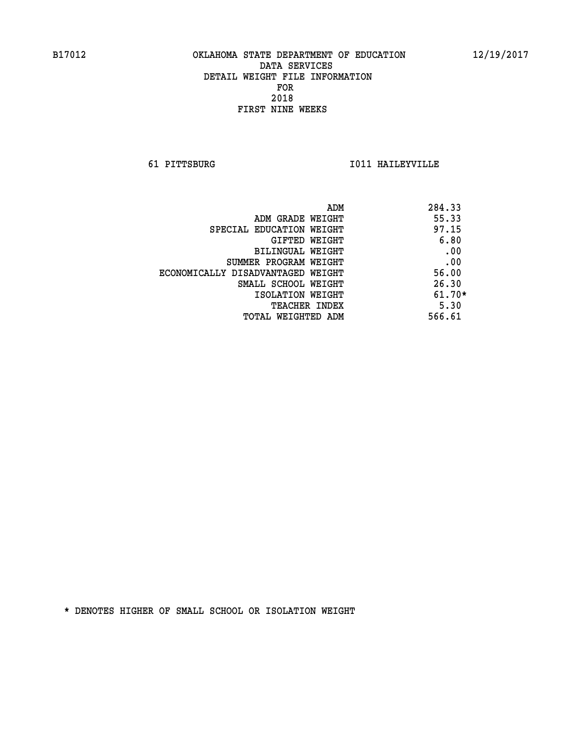**61 PITTSBURG I011 HAILEYVILLE** 

| ADM                               | 284.33   |
|-----------------------------------|----------|
| ADM GRADE WEIGHT                  | 55.33    |
| SPECIAL EDUCATION WEIGHT          | 97.15    |
| GIFTED WEIGHT                     | 6.80     |
| BILINGUAL WEIGHT                  | .00      |
| SUMMER PROGRAM WEIGHT             | .00      |
| ECONOMICALLY DISADVANTAGED WEIGHT | 56.00    |
| SMALL SCHOOL WEIGHT               | 26.30    |
| ISOLATION WEIGHT                  | $61.70*$ |
| <b>TEACHER INDEX</b>              | 5.30     |
| TOTAL WEIGHTED ADM                | 566.61   |
|                                   |          |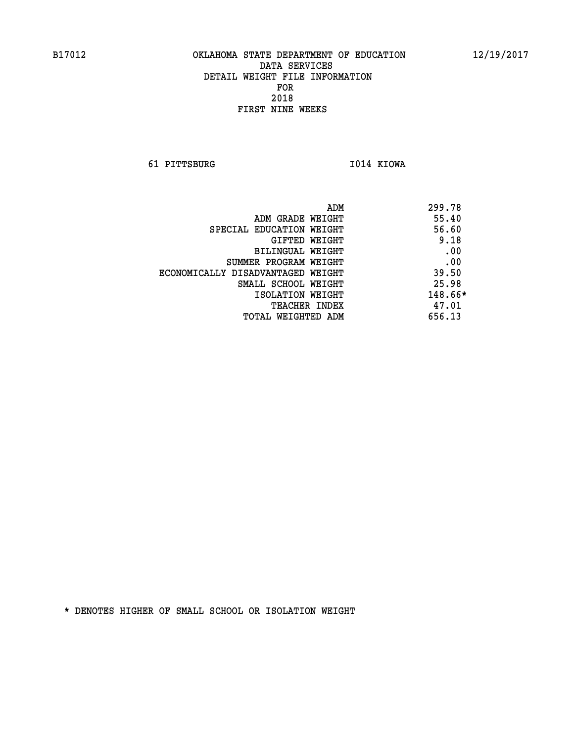**61 PITTSBURG I014 KIOWA** 

| ADM                               | 299.78  |
|-----------------------------------|---------|
| ADM GRADE WEIGHT                  | 55.40   |
| SPECIAL EDUCATION WEIGHT          | 56.60   |
| GIFTED WEIGHT                     | 9.18    |
| BILINGUAL WEIGHT                  | .00     |
| SUMMER PROGRAM WEIGHT             | .00     |
| ECONOMICALLY DISADVANTAGED WEIGHT | 39.50   |
| SMALL SCHOOL WEIGHT               | 25.98   |
| ISOLATION WEIGHT                  | 148.66* |
| <b>TEACHER INDEX</b>              | 47.01   |
| TOTAL WEIGHTED ADM                | 656.13  |
|                                   |         |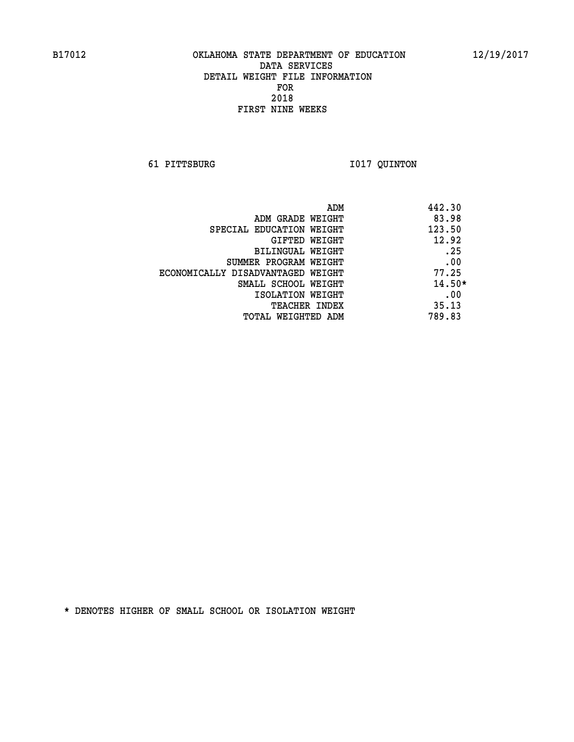**61 PITTSBURG I017 QUINTON** 

|                                   | 442.30<br>ADM |
|-----------------------------------|---------------|
| ADM GRADE WEIGHT                  | 83.98         |
| SPECIAL EDUCATION WEIGHT          | 123.50        |
| GIFTED WEIGHT                     | 12.92         |
| BILINGUAL WEIGHT                  | .25           |
| SUMMER PROGRAM WEIGHT             | .00           |
| ECONOMICALLY DISADVANTAGED WEIGHT | 77.25         |
| SMALL SCHOOL WEIGHT               | $14.50*$      |
| ISOLATION WEIGHT                  | .00           |
| TEACHER INDEX                     | 35.13         |
| TOTAL WEIGHTED ADM                | 789.83        |
|                                   |               |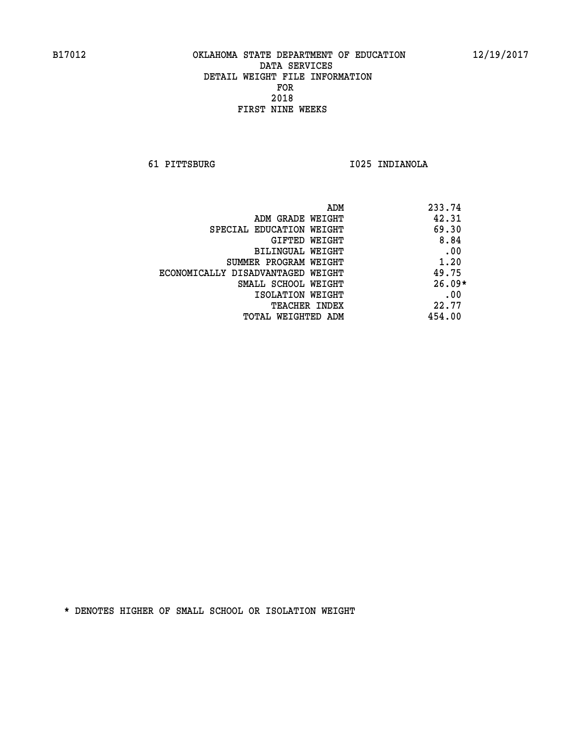**61 PITTSBURG I025 INDIANOLA** 

| ADM                               | 233.74   |
|-----------------------------------|----------|
| ADM GRADE WEIGHT                  | 42.31    |
| SPECIAL EDUCATION WEIGHT          | 69.30    |
| GIFTED WEIGHT                     | 8.84     |
| <b>BILINGUAL WEIGHT</b>           | .00      |
| SUMMER PROGRAM WEIGHT             | 1.20     |
| ECONOMICALLY DISADVANTAGED WEIGHT | 49.75    |
| SMALL SCHOOL WEIGHT               | $26.09*$ |
| ISOLATION WEIGHT                  | .00      |
| <b>TEACHER INDEX</b>              | 22.77    |
| TOTAL WEIGHTED ADM                | 454.00   |
|                                   |          |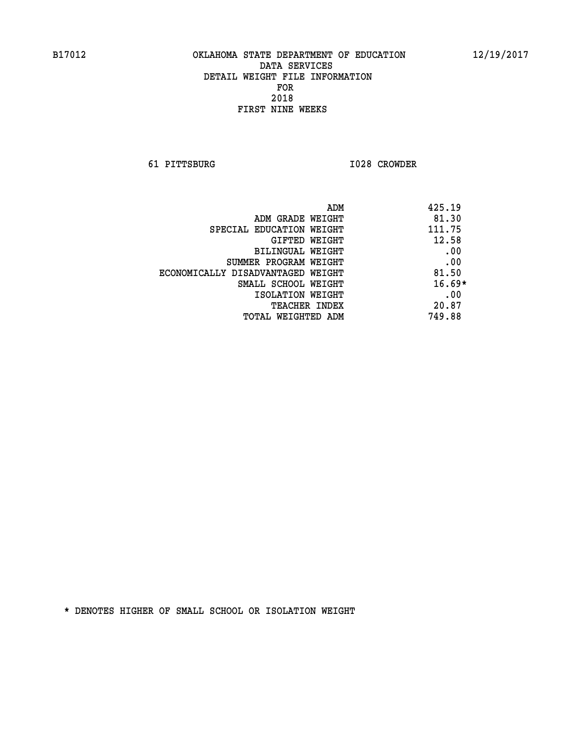**61 PITTSBURG I028 CROWDER** 

| ADM                               | 425.19   |
|-----------------------------------|----------|
| ADM GRADE WEIGHT                  | 81.30    |
| SPECIAL EDUCATION WEIGHT          | 111.75   |
| GIFTED WEIGHT                     | 12.58    |
| BILINGUAL WEIGHT                  | .00      |
| SUMMER PROGRAM WEIGHT             | .00      |
| ECONOMICALLY DISADVANTAGED WEIGHT | 81.50    |
| SMALL SCHOOL WEIGHT               | $16.69*$ |
| ISOLATION WEIGHT                  | .00      |
| <b>TEACHER INDEX</b>              | 20.87    |
| TOTAL WEIGHTED ADM                | 749.88   |
|                                   |          |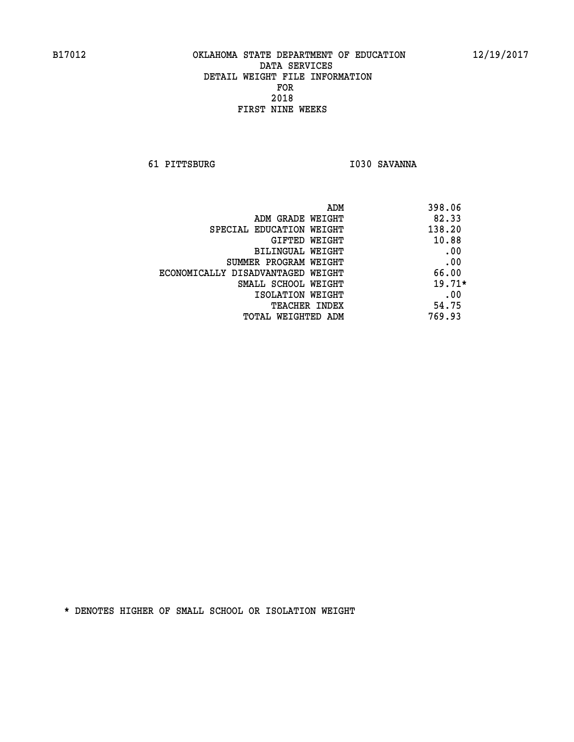**61 PITTSBURG I030 SAVANNA** 

| ADM                               | 398.06   |
|-----------------------------------|----------|
| ADM GRADE WEIGHT                  | 82.33    |
| SPECIAL EDUCATION WEIGHT          | 138.20   |
| GIFTED WEIGHT                     | 10.88    |
| BILINGUAL WEIGHT                  | .00      |
| SUMMER PROGRAM WEIGHT             | .00      |
| ECONOMICALLY DISADVANTAGED WEIGHT | 66.00    |
| SMALL SCHOOL WEIGHT               | $19.71*$ |
| ISOLATION WEIGHT                  | .00      |
| <b>TEACHER INDEX</b>              | 54.75    |
| TOTAL WEIGHTED ADM                | 769.93   |
|                                   |          |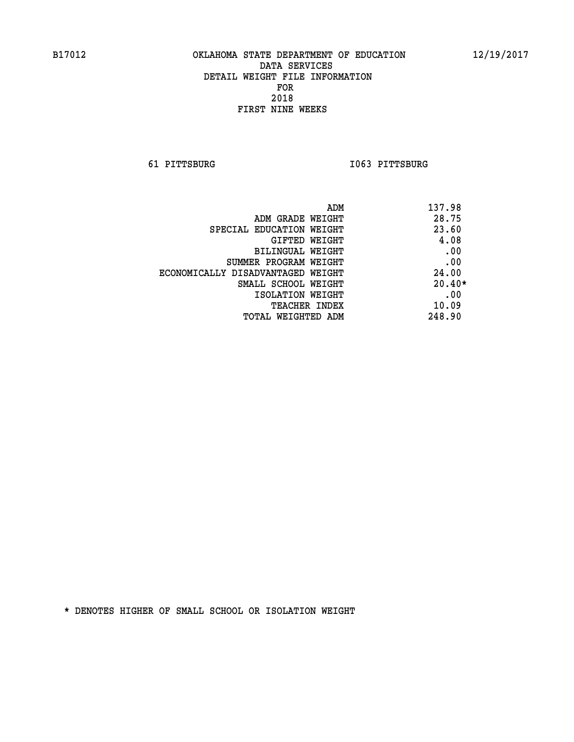**61 PITTSBURG I063 PITTSBURG** 

| ADM                               | 137.98   |
|-----------------------------------|----------|
| ADM GRADE WEIGHT                  | 28.75    |
| SPECIAL EDUCATION WEIGHT          | 23.60    |
| GIFTED WEIGHT                     | 4.08     |
| BILINGUAL WEIGHT                  | .00      |
| SUMMER PROGRAM WEIGHT             | .00      |
| ECONOMICALLY DISADVANTAGED WEIGHT | 24.00    |
| SMALL SCHOOL WEIGHT               | $20.40*$ |
| ISOLATION WEIGHT                  | .00      |
| <b>TEACHER INDEX</b>              | 10.09    |
| TOTAL WEIGHTED ADM                | 248.90   |
|                                   |          |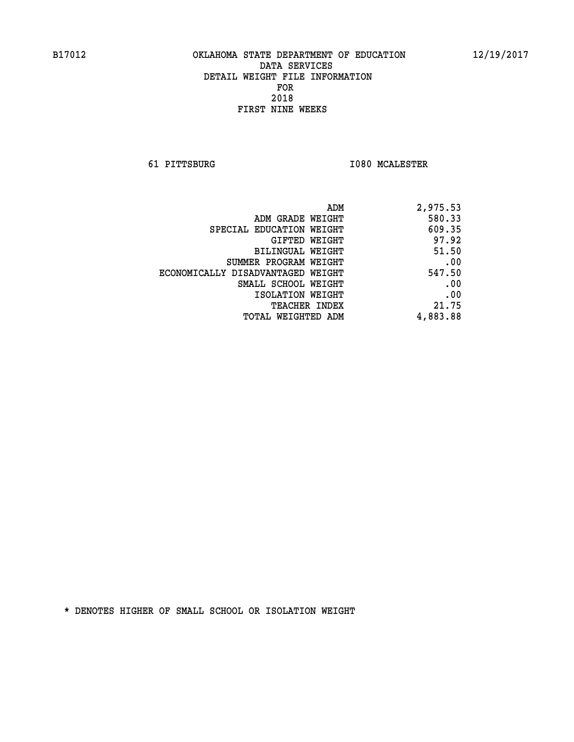**61 PITTSBURG I080 MCALESTER** 

| 2,975.53 |
|----------|
| 580.33   |
| 609.35   |
| 97.92    |
| 51.50    |
| .00      |
| 547.50   |
| .00      |
| .00      |
| 21.75    |
| 4,883.88 |
|          |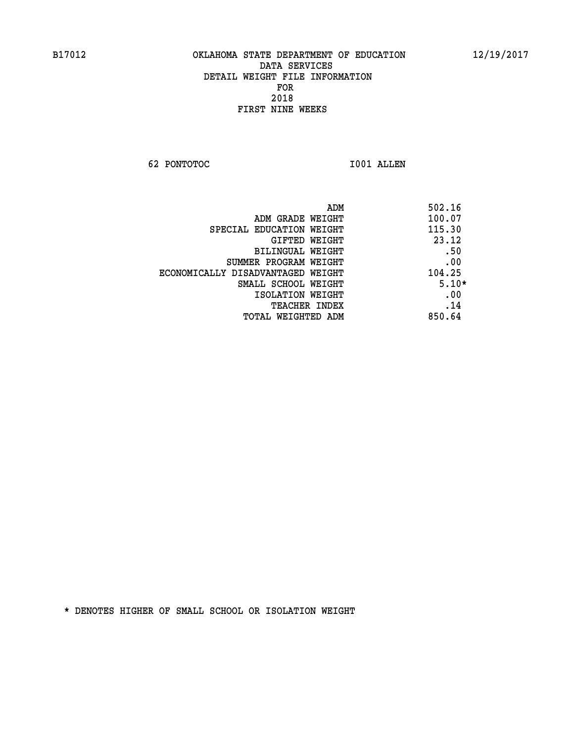**62 PONTOTOC I001 ALLEN** 

| ADM<br>502.16 |                                   |
|---------------|-----------------------------------|
| 100.07        | ADM GRADE WEIGHT                  |
| 115.30        | SPECIAL EDUCATION WEIGHT          |
| 23.12         | <b>GIFTED WEIGHT</b>              |
| .50           | BILINGUAL WEIGHT                  |
| .00           | SUMMER PROGRAM WEIGHT             |
| 104.25        | ECONOMICALLY DISADVANTAGED WEIGHT |
| $5.10*$       | SMALL SCHOOL WEIGHT               |
| .00           | ISOLATION WEIGHT                  |
| .14           | <b>TEACHER INDEX</b>              |
| 850.64        | TOTAL WEIGHTED ADM                |
|               |                                   |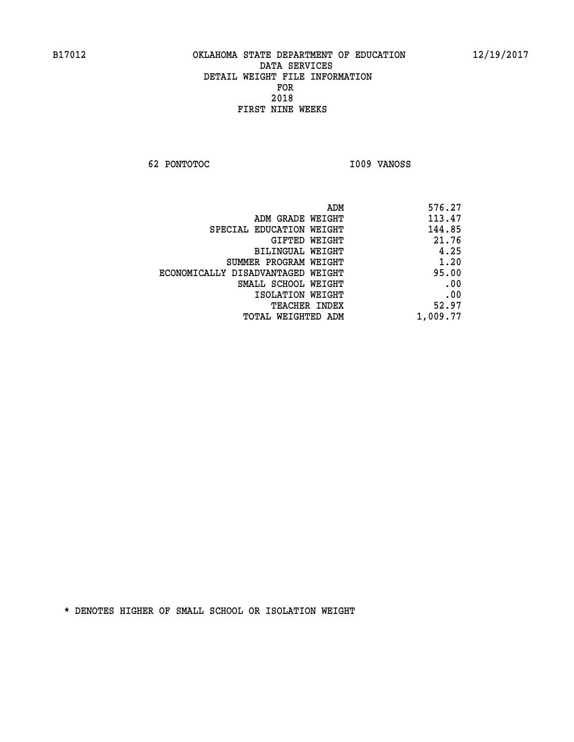**62 PONTOTOC I009 VANOSS** 

| ADM                               | 576.27   |
|-----------------------------------|----------|
| ADM GRADE WEIGHT                  | 113.47   |
| SPECIAL EDUCATION WEIGHT          | 144.85   |
| GIFTED WEIGHT                     | 21.76    |
| BILINGUAL WEIGHT                  | 4.25     |
| SUMMER PROGRAM WEIGHT             | 1.20     |
| ECONOMICALLY DISADVANTAGED WEIGHT | 95.00    |
| SMALL SCHOOL WEIGHT               | .00      |
| ISOLATION WEIGHT                  | .00      |
| <b>TEACHER INDEX</b>              | 52.97    |
| TOTAL WEIGHTED ADM                | 1,009.77 |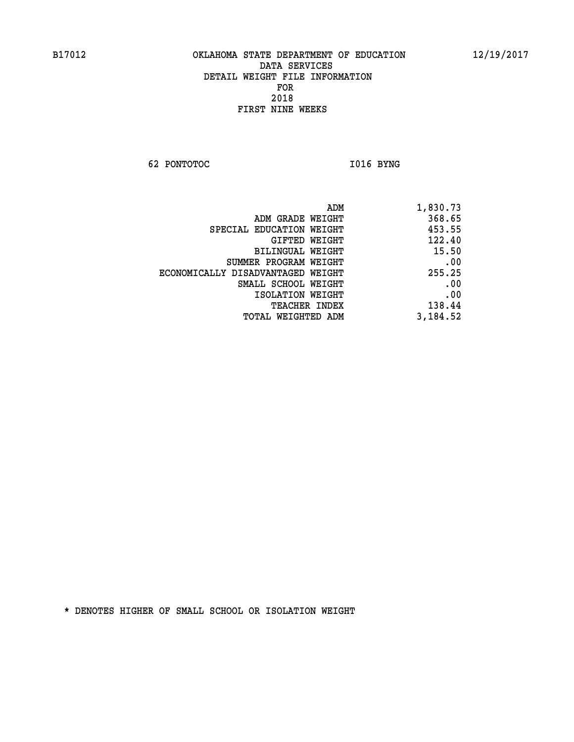**62 PONTOTOC I016 BYNG** 

| 1,830.73 |
|----------|
| 368.65   |
| 453.55   |
| 122.40   |
| 15.50    |
| .00      |
| 255.25   |
| .00      |
| .00      |
| 138.44   |
| 3,184.52 |
|          |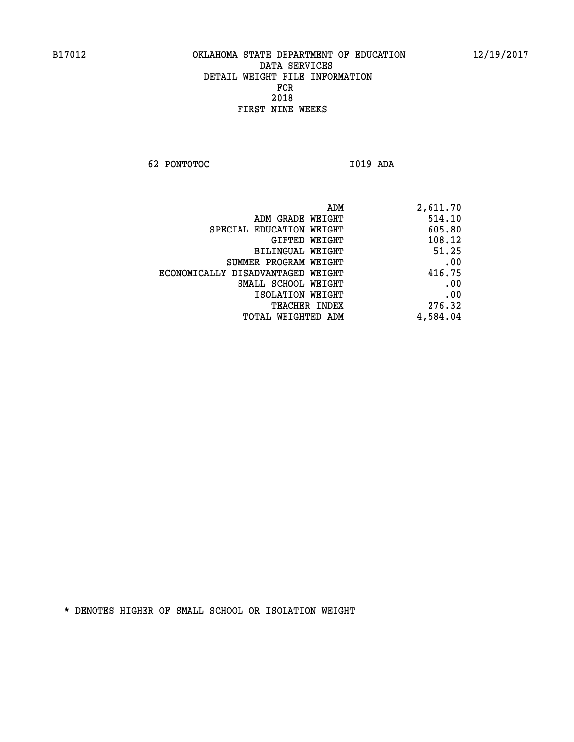**62 PONTOTOC I019 ADA** 

| ADM                               | 2,611.70 |
|-----------------------------------|----------|
| ADM GRADE WEIGHT                  | 514.10   |
| SPECIAL EDUCATION WEIGHT          | 605.80   |
| GIFTED WEIGHT                     | 108.12   |
| BILINGUAL WEIGHT                  | 51.25    |
| SUMMER PROGRAM WEIGHT             | .00      |
| ECONOMICALLY DISADVANTAGED WEIGHT | 416.75   |
| SMALL SCHOOL WEIGHT               | .00      |
| ISOLATION WEIGHT                  | .00      |
| <b>TEACHER INDEX</b>              | 276.32   |
| TOTAL WEIGHTED ADM                | 4,584.04 |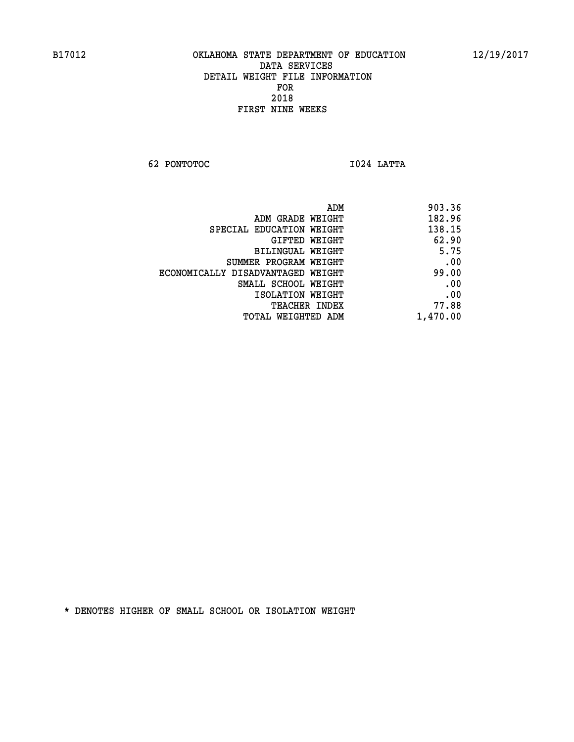**62 PONTOTOC I024 LATTA** 

|                                   | 903.36<br>ADM |
|-----------------------------------|---------------|
| ADM GRADE WEIGHT                  | 182.96        |
| SPECIAL EDUCATION WEIGHT          | 138.15        |
| GIFTED WEIGHT                     | 62.90         |
| BILINGUAL WEIGHT                  | 5.75          |
| SUMMER PROGRAM WEIGHT             | .00           |
| ECONOMICALLY DISADVANTAGED WEIGHT | 99.00         |
| SMALL SCHOOL WEIGHT               | .00           |
| ISOLATION WEIGHT                  | .00           |
| <b>TEACHER INDEX</b>              | 77.88         |
| TOTAL WEIGHTED ADM                | 1,470.00      |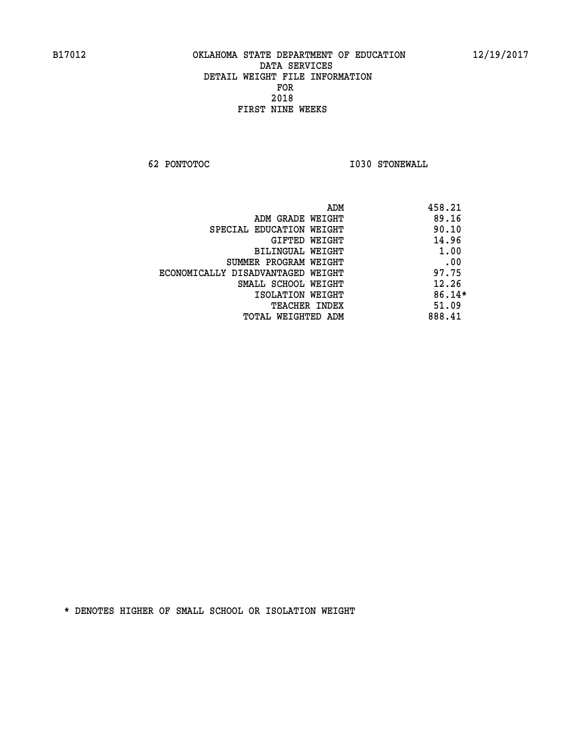**62 PONTOTOC I030 STONEWALL** 

| 458.21<br>ADM                              |  |
|--------------------------------------------|--|
| 89.16<br>ADM GRADE WEIGHT                  |  |
| 90.10<br>SPECIAL EDUCATION WEIGHT          |  |
| 14.96<br>GIFTED WEIGHT                     |  |
| 1.00<br>BILINGUAL WEIGHT                   |  |
| .00<br>SUMMER PROGRAM WEIGHT               |  |
| 97.75<br>ECONOMICALLY DISADVANTAGED WEIGHT |  |
| 12.26<br>SMALL SCHOOL WEIGHT               |  |
| $86.14*$<br>ISOLATION WEIGHT               |  |
| 51.09<br><b>TEACHER INDEX</b>              |  |
| 888.41<br>TOTAL WEIGHTED ADM               |  |
|                                            |  |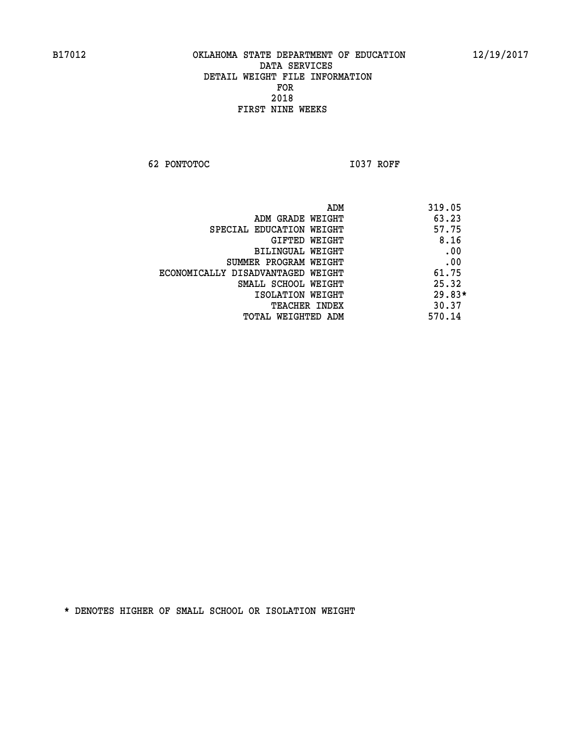**62 PONTOTOC I037 ROFF** 

 **ADM 319.05 ADM GRADE WEIGHT 63.23 SPECIAL EDUCATION WEIGHT 57.75 GIFTED WEIGHT 8.16 BILINGUAL WEIGHT .00 SUMMER PROGRAM WEIGHT .00 ECONOMICALLY DISADVANTAGED WEIGHT 61.75 SMALL SCHOOL WEIGHT** 25.32  **ISOLATION WEIGHT 29.83\* TEACHER INDEX** 30.37  **TOTAL WEIGHTED ADM 570.14**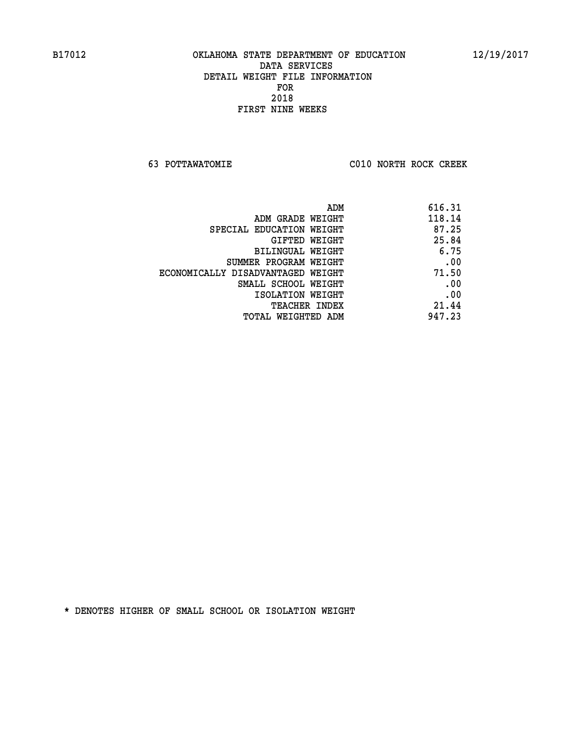**63 POTTAWATOMIE C010 NORTH ROCK CREEK** 

| ADM                               | 616.31 |
|-----------------------------------|--------|
| ADM GRADE WEIGHT                  | 118.14 |
| SPECIAL EDUCATION WEIGHT          | 87.25  |
| GIFTED WEIGHT                     | 25.84  |
| <b>BILINGUAL WEIGHT</b>           | 6.75   |
| SUMMER PROGRAM WEIGHT             | .00    |
| ECONOMICALLY DISADVANTAGED WEIGHT | 71.50  |
| SMALL SCHOOL WEIGHT               | .00    |
| ISOLATION WEIGHT                  | .00    |
| TEACHER INDEX                     | 21.44  |
| TOTAL WEIGHTED ADM                | 947.23 |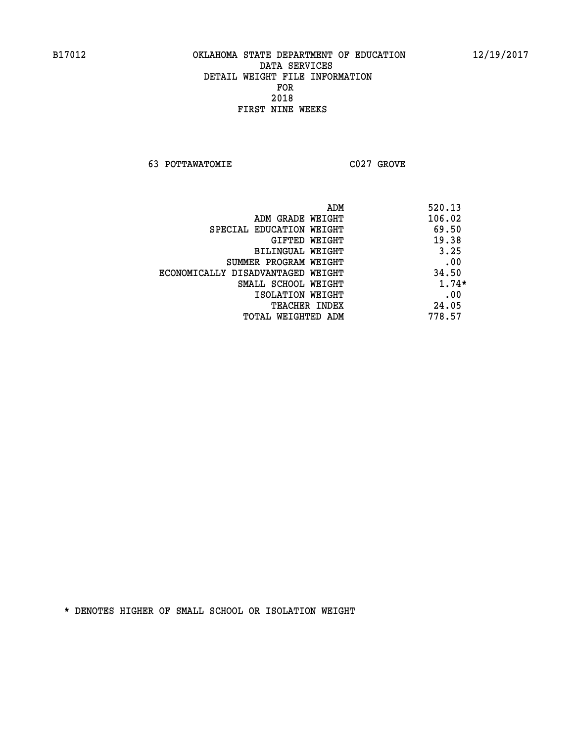**63 POTTAWATOMIE C027 GROVE** 

|                                   | ADM | 520.13  |
|-----------------------------------|-----|---------|
| ADM GRADE WEIGHT                  |     | 106.02  |
| SPECIAL EDUCATION WEIGHT          |     | 69.50   |
| GIFTED WEIGHT                     |     | 19.38   |
| BILINGUAL WEIGHT                  |     | 3.25    |
| SUMMER PROGRAM WEIGHT             |     | .00     |
| ECONOMICALLY DISADVANTAGED WEIGHT |     | 34.50   |
| SMALL SCHOOL WEIGHT               |     | $1.74*$ |
| ISOLATION WEIGHT                  |     | .00     |
| <b>TEACHER INDEX</b>              |     | 24.05   |
| TOTAL WEIGHTED ADM                |     | 778.57  |
|                                   |     |         |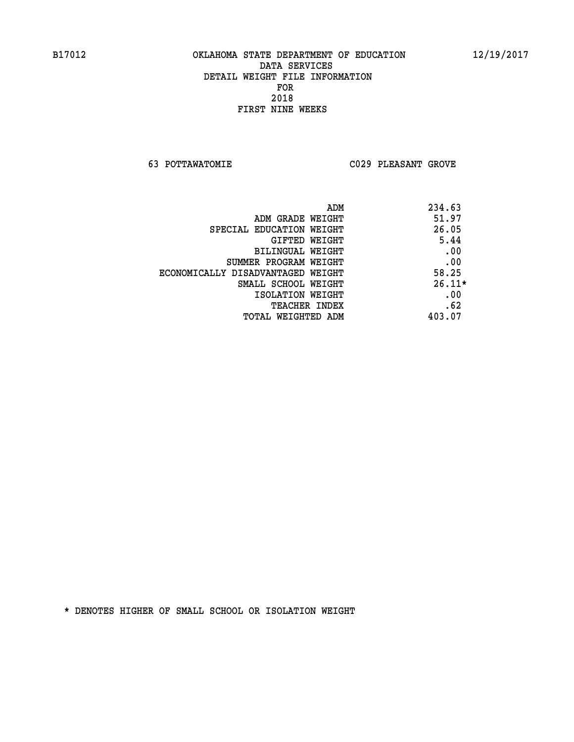**63 POTTAWATOMIE C029 PLEASANT GROVE** 

| ADM                               | 234.63   |
|-----------------------------------|----------|
| ADM GRADE WEIGHT                  | 51.97    |
| SPECIAL EDUCATION WEIGHT          | 26.05    |
| <b>GIFTED WEIGHT</b>              | 5.44     |
| BILINGUAL WEIGHT                  | .00      |
| SUMMER PROGRAM WEIGHT             | .00      |
| ECONOMICALLY DISADVANTAGED WEIGHT | 58.25    |
| SMALL SCHOOL WEIGHT               | $26.11*$ |
| ISOLATION WEIGHT                  | .00      |
| <b>TEACHER INDEX</b>              | .62      |
| TOTAL WEIGHTED ADM                | 403.07   |
|                                   |          |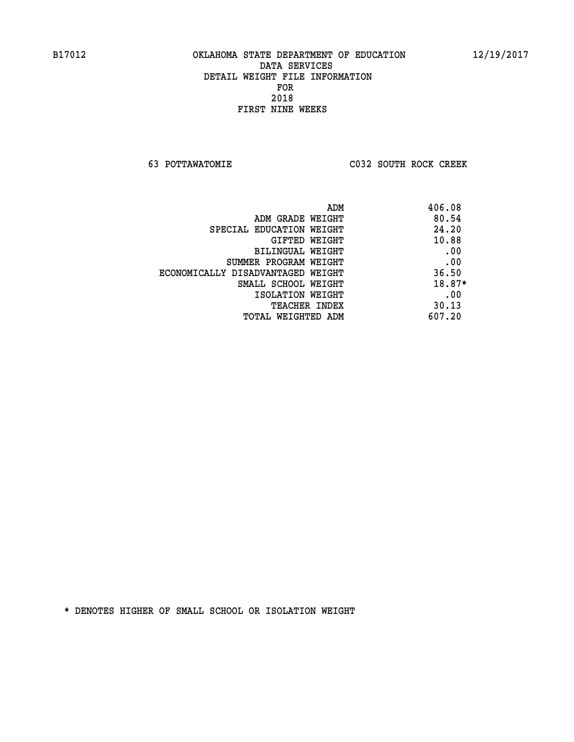**63 POTTAWATOMIE C032 SOUTH ROCK CREEK** 

|                                   | ADM | 406.08 |
|-----------------------------------|-----|--------|
| ADM GRADE WEIGHT                  |     | 80.54  |
| SPECIAL EDUCATION WEIGHT          |     | 24.20  |
| GIFTED WEIGHT                     |     | 10.88  |
| BILINGUAL WEIGHT                  |     | .00    |
| SUMMER PROGRAM WEIGHT             |     | .00    |
| ECONOMICALLY DISADVANTAGED WEIGHT |     | 36.50  |
| SMALL SCHOOL WEIGHT               |     | 18.87* |
| ISOLATION WEIGHT                  |     | .00    |
| <b>TEACHER INDEX</b>              |     | 30.13  |
| TOTAL WEIGHTED ADM                |     | 607.20 |
|                                   |     |        |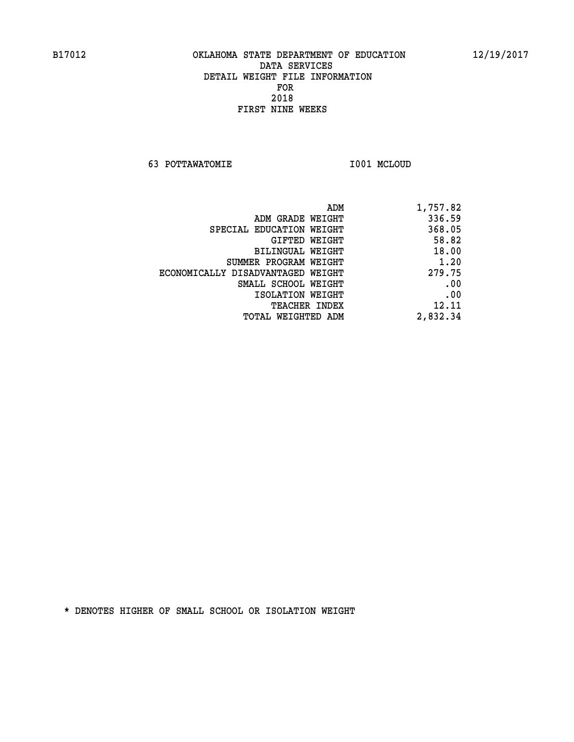**63 POTTAWATOMIE I001 MCLOUD** 

| 1,757.82 |
|----------|
| 336.59   |
| 368.05   |
| 58.82    |
| 18.00    |
| 1.20     |
| 279.75   |
| .00      |
| .00      |
| 12.11    |
| 2,832.34 |
|          |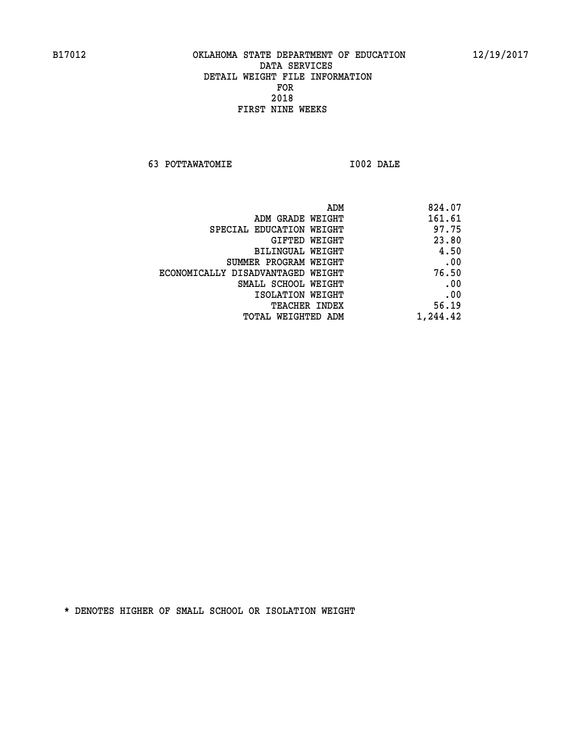**63 POTTAWATOMIE I002 DALE** 

| ADM                               | 824.07   |
|-----------------------------------|----------|
| ADM GRADE WEIGHT                  | 161.61   |
| SPECIAL EDUCATION WEIGHT          | 97.75    |
| GIFTED WEIGHT                     | 23.80    |
| BILINGUAL WEIGHT                  | 4.50     |
| SUMMER PROGRAM WEIGHT             | .00      |
| ECONOMICALLY DISADVANTAGED WEIGHT | 76.50    |
| SMALL SCHOOL WEIGHT               | .00      |
| ISOLATION WEIGHT                  | .00      |
| <b>TEACHER INDEX</b>              | 56.19    |
| TOTAL WEIGHTED ADM                | 1,244.42 |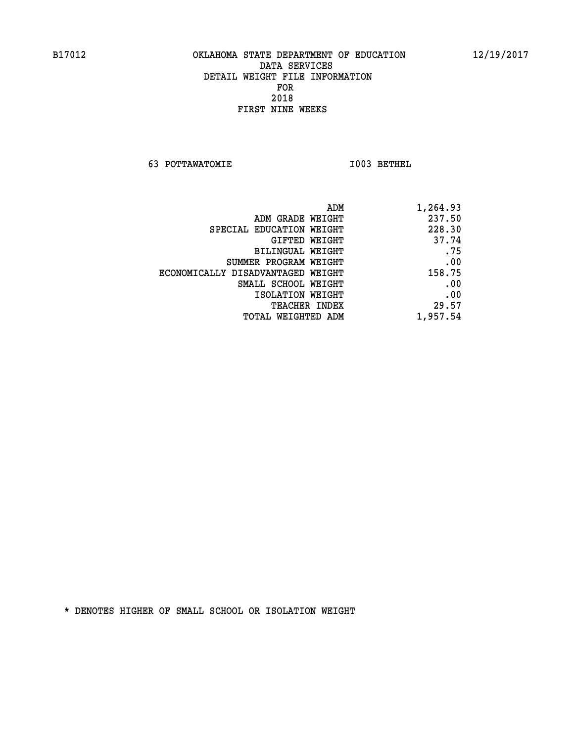**63 POTTAWATOMIE I003 BETHEL** 

| ADM                               | 1,264.93 |
|-----------------------------------|----------|
| ADM GRADE WEIGHT                  | 237.50   |
| SPECIAL EDUCATION WEIGHT          | 228.30   |
| GIFTED WEIGHT                     | 37.74    |
| BILINGUAL WEIGHT                  | .75      |
| SUMMER PROGRAM WEIGHT             | .00      |
| ECONOMICALLY DISADVANTAGED WEIGHT | 158.75   |
| SMALL SCHOOL WEIGHT               | .00      |
| ISOLATION WEIGHT                  | .00      |
| <b>TEACHER INDEX</b>              | 29.57    |
| <b>TOTAL WEIGHTED ADM</b>         | 1,957.54 |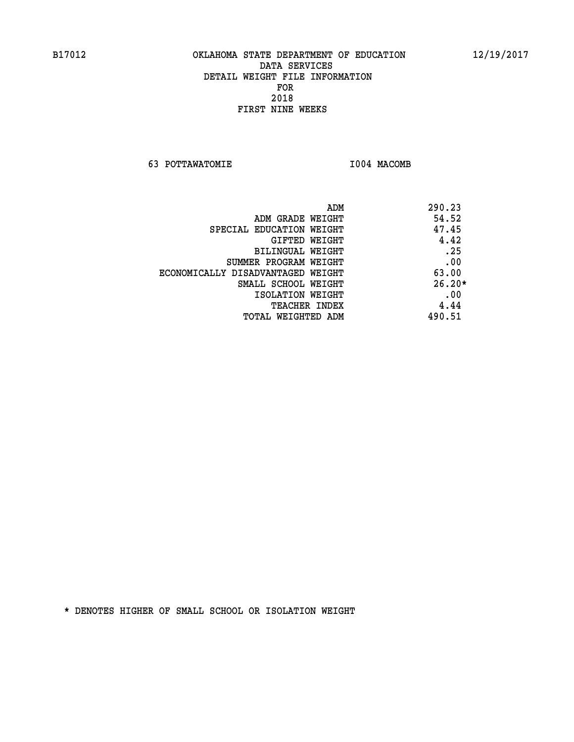**63 POTTAWATOMIE I004 MACOMB** 

|                                   | ADM | 290.23   |
|-----------------------------------|-----|----------|
| ADM GRADE WEIGHT                  |     | 54.52    |
| SPECIAL EDUCATION WEIGHT          |     | 47.45    |
| GIFTED WEIGHT                     |     | 4.42     |
| BILINGUAL WEIGHT                  |     | .25      |
| SUMMER PROGRAM WEIGHT             |     | .00      |
| ECONOMICALLY DISADVANTAGED WEIGHT |     | 63.00    |
| SMALL SCHOOL WEIGHT               |     | $26.20*$ |
| ISOLATION WEIGHT                  |     | .00      |
| <b>TEACHER INDEX</b>              |     | 4.44     |
| TOTAL WEIGHTED ADM                |     | 490.51   |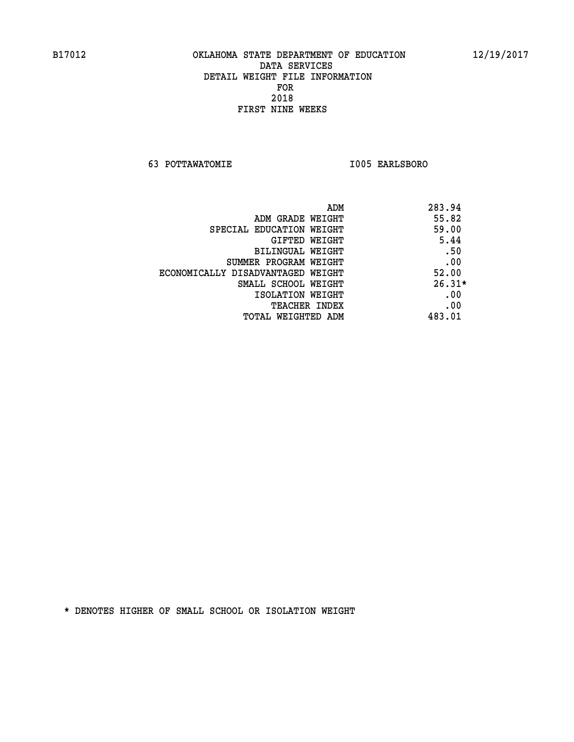**63 POTTAWATOMIE I005 EARLSBORO** 

|                                   | ADM<br>283.94 |
|-----------------------------------|---------------|
| ADM GRADE WEIGHT                  | 55.82         |
| SPECIAL EDUCATION WEIGHT          | 59.00         |
| GIFTED WEIGHT                     | 5.44          |
| BILINGUAL WEIGHT                  | .50           |
| SUMMER PROGRAM WEIGHT             | .00           |
| ECONOMICALLY DISADVANTAGED WEIGHT | 52.00         |
| SMALL SCHOOL WEIGHT               | $26.31*$      |
| ISOLATION WEIGHT                  | .00           |
| <b>TEACHER INDEX</b>              | .00           |
| TOTAL WEIGHTED ADM                | 483.01        |
|                                   |               |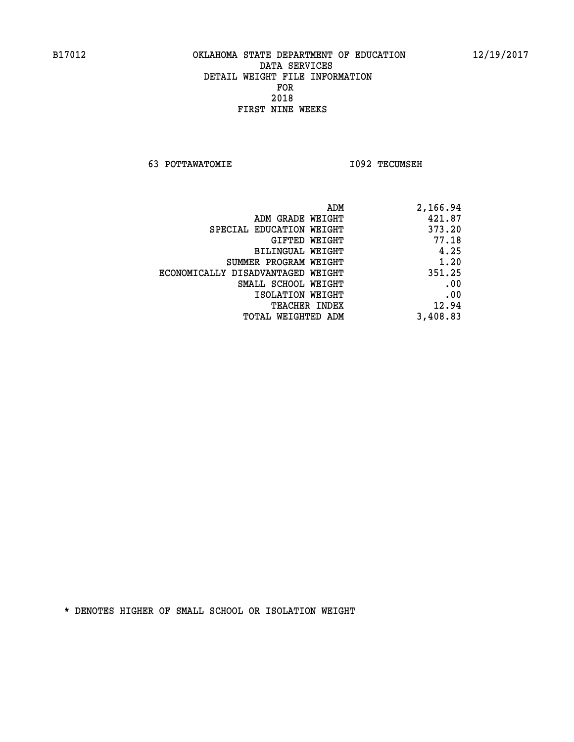**63 POTTAWATOMIE I092 TECUMSEH** 

| 2,166.94 |
|----------|
| 421.87   |
| 373.20   |
| 77.18    |
| 4.25     |
| 1.20     |
| 351.25   |
| .00      |
| .00      |
| 12.94    |
| 3,408.83 |
|          |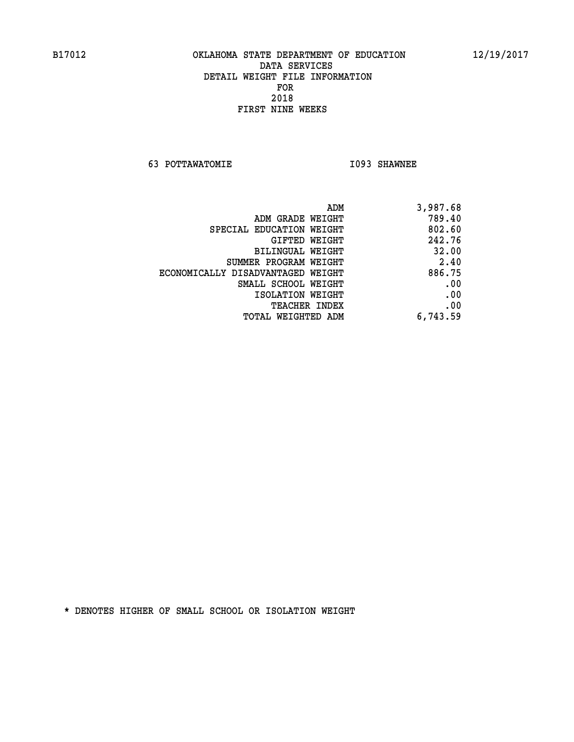**63 POTTAWATOMIE I093 SHAWNEE** 

| 3,987.68 |
|----------|
| 789.40   |
| 802.60   |
| 242.76   |
| 32.00    |
| 2.40     |
| 886.75   |
| .00      |
| .00      |
| .00      |
| 6,743.59 |
|          |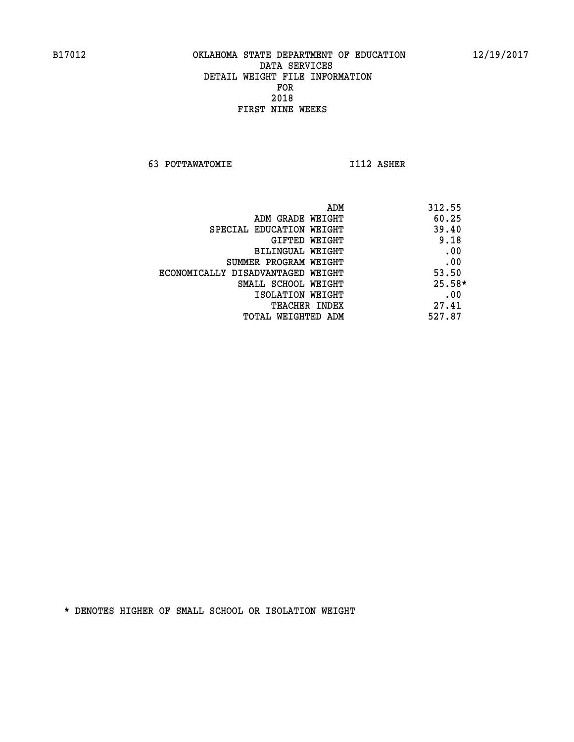**63 POTTAWATOMIE I112 ASHER** 

| 312.55   |
|----------|
| 60.25    |
| 39.40    |
| 9.18     |
| .00      |
| .00      |
| 53.50    |
| $25.58*$ |
| .00      |
| 27.41    |
| 527.87   |
|          |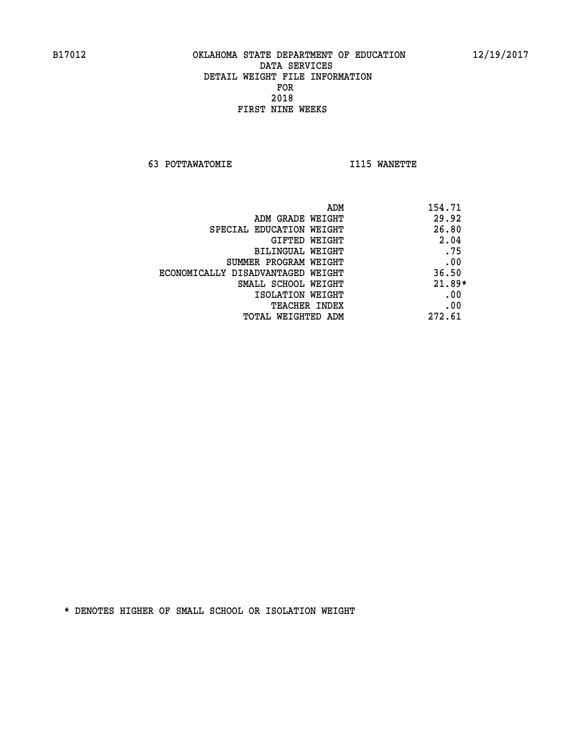**63 POTTAWATOMIE I115 WANETTE** 

|                                   | ADM | 154.71   |
|-----------------------------------|-----|----------|
| ADM GRADE WEIGHT                  |     | 29.92    |
| SPECIAL EDUCATION WEIGHT          |     | 26.80    |
| <b>GIFTED WEIGHT</b>              |     | 2.04     |
| BILINGUAL WEIGHT                  |     | .75      |
| SUMMER PROGRAM WEIGHT             |     | .00      |
| ECONOMICALLY DISADVANTAGED WEIGHT |     | 36.50    |
| SMALL SCHOOL WEIGHT               |     | $21.89*$ |
| ISOLATION WEIGHT                  |     | .00      |
| TEACHER INDEX                     |     | .00      |
| TOTAL WEIGHTED ADM                |     | 272.61   |
|                                   |     |          |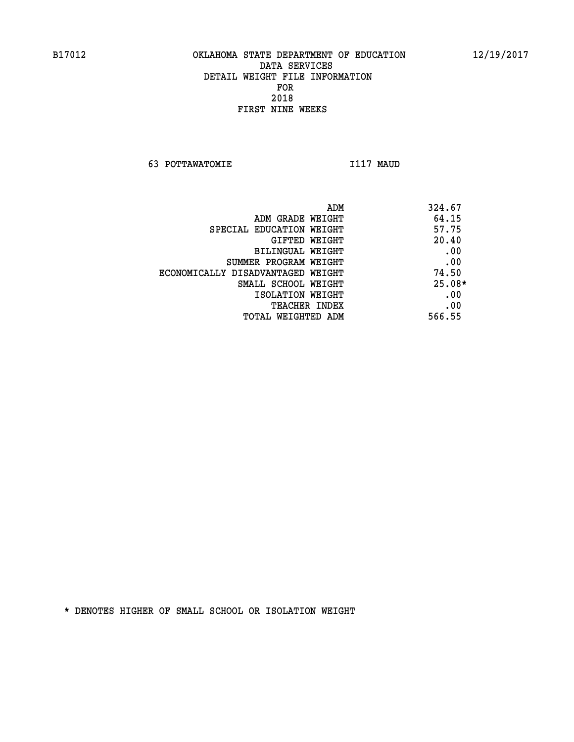**63 POTTAWATOMIE I117 MAUD** 

| ADM                               | 324.67   |
|-----------------------------------|----------|
| ADM GRADE WEIGHT                  | 64.15    |
| SPECIAL EDUCATION WEIGHT          | 57.75    |
| GIFTED WEIGHT                     | 20.40    |
| BILINGUAL WEIGHT                  | .00      |
| SUMMER PROGRAM WEIGHT             | .00      |
| ECONOMICALLY DISADVANTAGED WEIGHT | 74.50    |
| SMALL SCHOOL WEIGHT               | $25.08*$ |
| ISOLATION WEIGHT                  | .00      |
| <b>TEACHER INDEX</b>              | .00      |
| TOTAL WEIGHTED ADM                | 566.55   |
|                                   |          |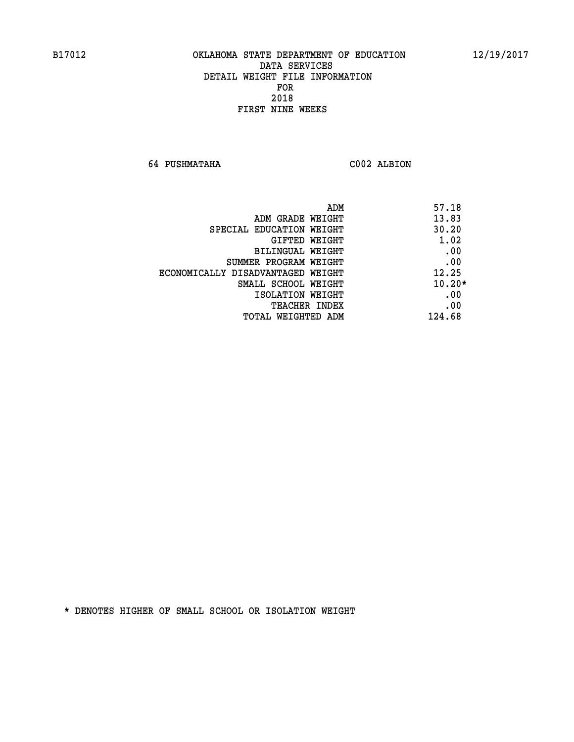**64 PUSHMATAHA C002 ALBION** 

| ADM                               | 57.18    |
|-----------------------------------|----------|
| ADM GRADE WEIGHT                  | 13.83    |
| SPECIAL EDUCATION WEIGHT          | 30.20    |
| GIFTED WEIGHT                     | 1.02     |
| <b>BILINGUAL WEIGHT</b>           | .00      |
| SUMMER PROGRAM WEIGHT             | .00      |
| ECONOMICALLY DISADVANTAGED WEIGHT | 12.25    |
| SMALL SCHOOL WEIGHT               | $10.20*$ |
| ISOLATION WEIGHT                  | .00      |
| TEACHER INDEX                     | .00      |
| TOTAL WEIGHTED ADM                | 124.68   |
|                                   |          |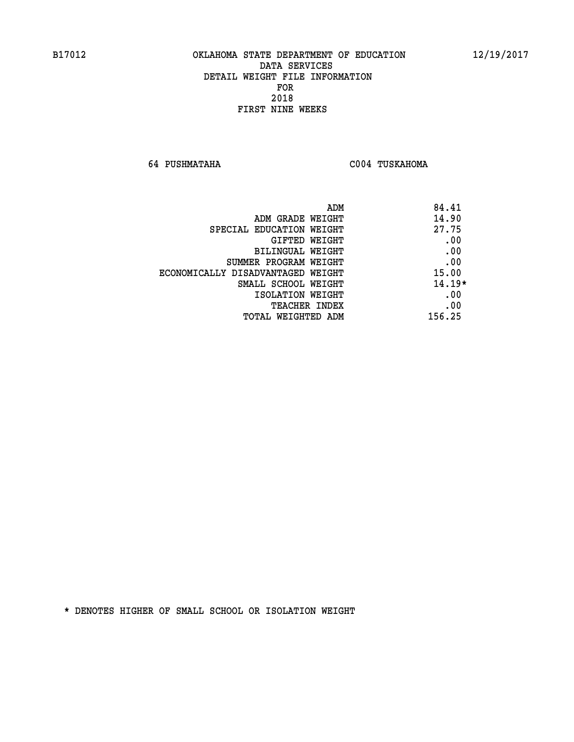**64 PUSHMATAHA C004 TUSKAHOMA** 

| ADM                               | 84.41    |
|-----------------------------------|----------|
| ADM GRADE WEIGHT                  | 14.90    |
| SPECIAL EDUCATION WEIGHT          | 27.75    |
| GIFTED WEIGHT                     | .00      |
| BILINGUAL WEIGHT                  | .00      |
| SUMMER PROGRAM WEIGHT             | .00      |
| ECONOMICALLY DISADVANTAGED WEIGHT | 15.00    |
| SMALL SCHOOL WEIGHT               | $14.19*$ |
| ISOLATION WEIGHT                  | .00      |
| <b>TEACHER INDEX</b>              | .00      |
| TOTAL WEIGHTED ADM                | 156.25   |
|                                   |          |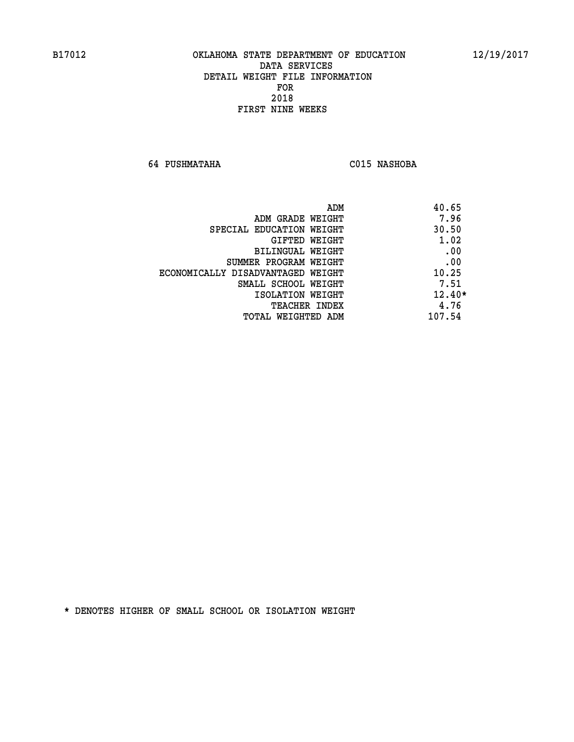**64 PUSHMATAHA C015 NASHOBA** 

| ADM<br>40.65 |                                   |
|--------------|-----------------------------------|
| 7.96         | ADM GRADE WEIGHT                  |
| 30.50        | SPECIAL EDUCATION WEIGHT          |
| 1.02         | GIFTED WEIGHT                     |
| .00          | <b>BILINGUAL WEIGHT</b>           |
| .00          | SUMMER PROGRAM WEIGHT             |
| 10.25        | ECONOMICALLY DISADVANTAGED WEIGHT |
| 7.51         | SMALL SCHOOL WEIGHT               |
| $12.40*$     | ISOLATION WEIGHT                  |
| 4.76         | <b>TEACHER INDEX</b>              |
| 107.54       | TOTAL WEIGHTED ADM                |
|              |                                   |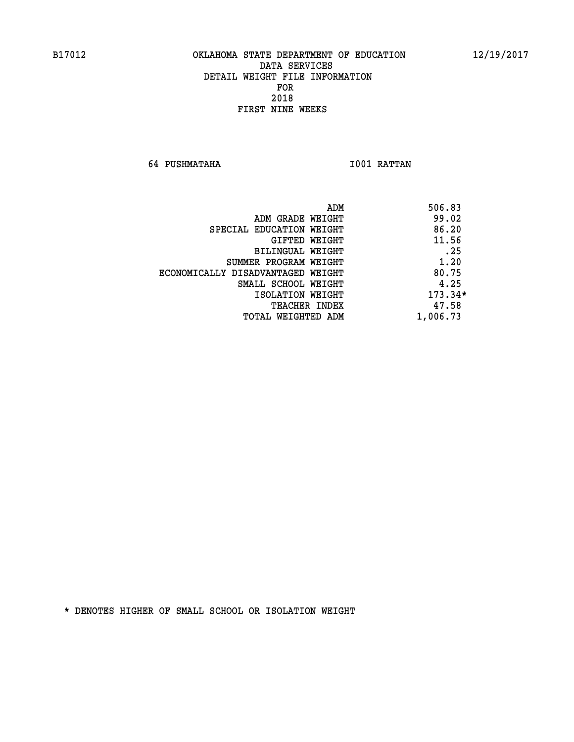**64 PUSHMATAHA I001 RATTAN** 

|                                   | ADM | 506.83    |
|-----------------------------------|-----|-----------|
| ADM GRADE WEIGHT                  |     | 99.02     |
| SPECIAL EDUCATION WEIGHT          |     | 86.20     |
| GIFTED WEIGHT                     |     | 11.56     |
| BILINGUAL WEIGHT                  |     | .25       |
| SUMMER PROGRAM WEIGHT             |     | 1.20      |
| ECONOMICALLY DISADVANTAGED WEIGHT |     | 80.75     |
| SMALL SCHOOL WEIGHT               |     | 4.25      |
| ISOLATION WEIGHT                  |     | $173.34*$ |
| TEACHER INDEX                     |     | 47.58     |
| TOTAL WEIGHTED ADM                |     | 1,006.73  |
|                                   |     |           |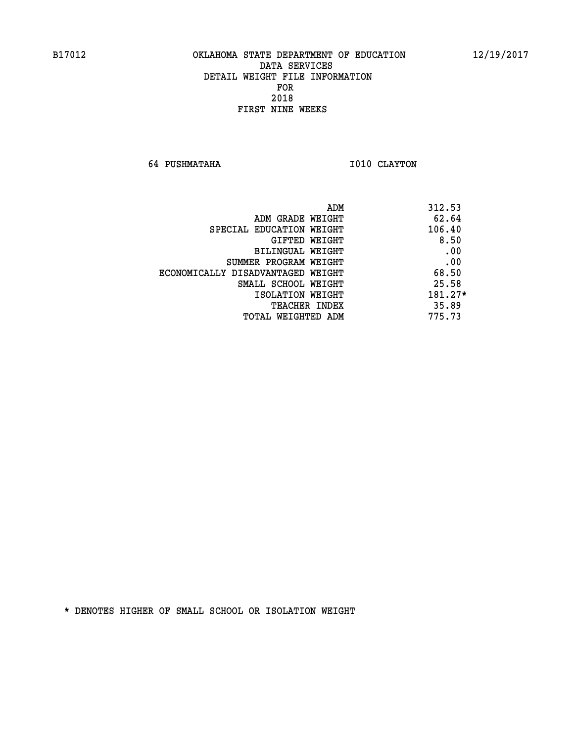**64 PUSHMATAHA I010 CLAYTON** 

| 312.53<br>ADM                              |  |
|--------------------------------------------|--|
| 62.64<br>ADM GRADE WEIGHT                  |  |
| 106.40<br>SPECIAL EDUCATION WEIGHT         |  |
| 8.50<br>GIFTED WEIGHT                      |  |
| .00<br><b>BILINGUAL WEIGHT</b>             |  |
| .00<br>SUMMER PROGRAM WEIGHT               |  |
| 68.50<br>ECONOMICALLY DISADVANTAGED WEIGHT |  |
| 25.58<br>SMALL SCHOOL WEIGHT               |  |
| $181.27*$<br>ISOLATION WEIGHT              |  |
| 35.89<br><b>TEACHER INDEX</b>              |  |
| 775.73<br>TOTAL WEIGHTED ADM               |  |
|                                            |  |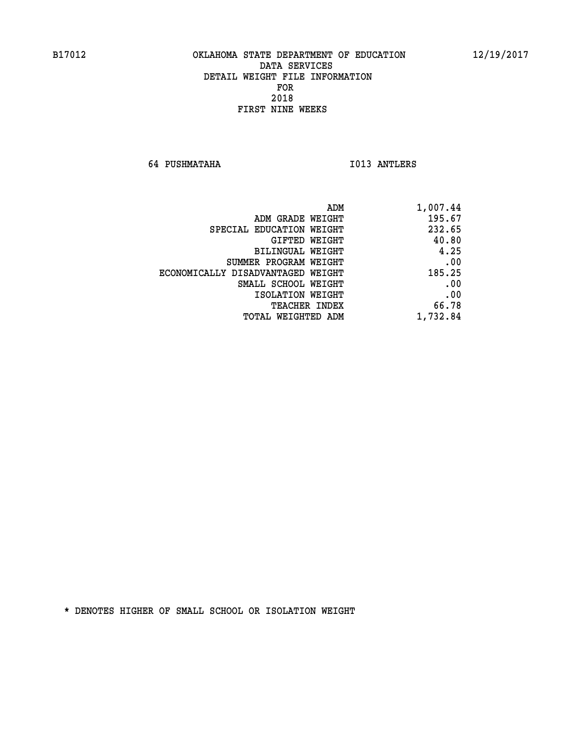**64 PUSHMATAHA I013 ANTLERS** 

| ADM                               | 1,007.44 |
|-----------------------------------|----------|
| ADM GRADE WEIGHT                  | 195.67   |
| SPECIAL EDUCATION WEIGHT          | 232.65   |
| GIFTED WEIGHT                     | 40.80    |
| <b>BILINGUAL WEIGHT</b>           | 4.25     |
| SUMMER PROGRAM WEIGHT             | .00      |
| ECONOMICALLY DISADVANTAGED WEIGHT | 185.25   |
| SMALL SCHOOL WEIGHT               | .00      |
| ISOLATION WEIGHT                  | .00      |
| TEACHER INDEX                     | 66.78    |
| TOTAL WEIGHTED ADM                | 1,732.84 |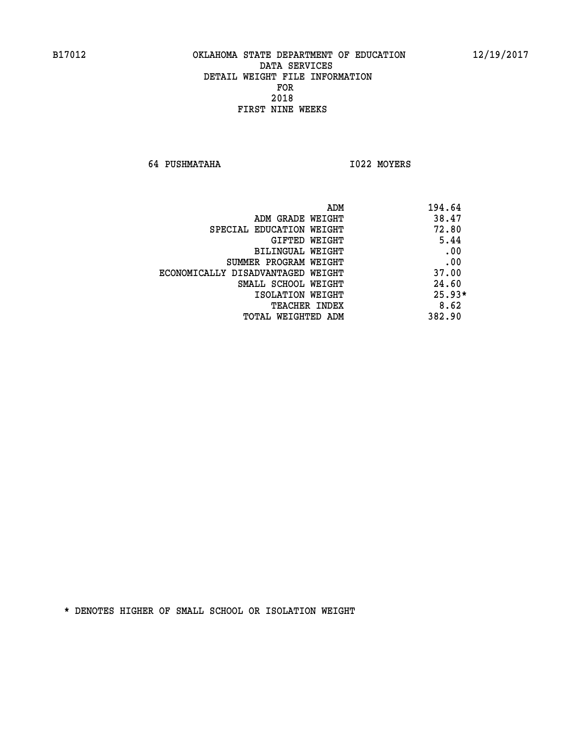**64 PUSHMATAHA I022 MOYERS** 

| ADM                               | 194.64   |
|-----------------------------------|----------|
| ADM GRADE WEIGHT                  | 38.47    |
| SPECIAL EDUCATION WEIGHT          | 72.80    |
| GIFTED WEIGHT                     | 5.44     |
| BILINGUAL WEIGHT                  | .00      |
| SUMMER PROGRAM WEIGHT             | .00      |
| ECONOMICALLY DISADVANTAGED WEIGHT | 37.00    |
| SMALL SCHOOL WEIGHT               | 24.60    |
| ISOLATION WEIGHT                  | $25.93*$ |
| <b>TEACHER INDEX</b>              | 8.62     |
| TOTAL WEIGHTED ADM                | 382.90   |
|                                   |          |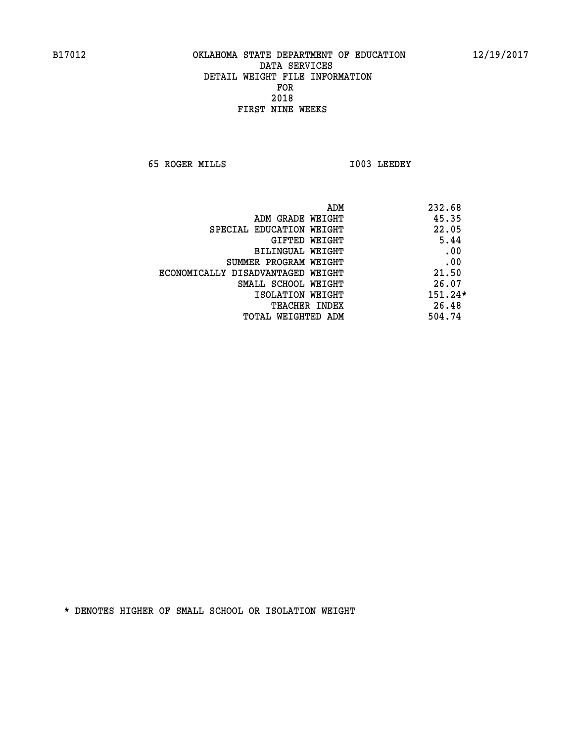**65 ROGER MILLS I003 LEEDEY** 

|                                   | ADM | 232.68    |
|-----------------------------------|-----|-----------|
| ADM GRADE WEIGHT                  |     | 45.35     |
| SPECIAL EDUCATION WEIGHT          |     | 22.05     |
| GIFTED WEIGHT                     |     | 5.44      |
| BILINGUAL WEIGHT                  |     | .00       |
| SUMMER PROGRAM WEIGHT             |     | .00       |
| ECONOMICALLY DISADVANTAGED WEIGHT |     | 21.50     |
| SMALL SCHOOL WEIGHT               |     | 26.07     |
| ISOLATION WEIGHT                  |     | $151.24*$ |
| <b>TEACHER INDEX</b>              |     | 26.48     |
| TOTAL WEIGHTED ADM                |     | 504.74    |
|                                   |     |           |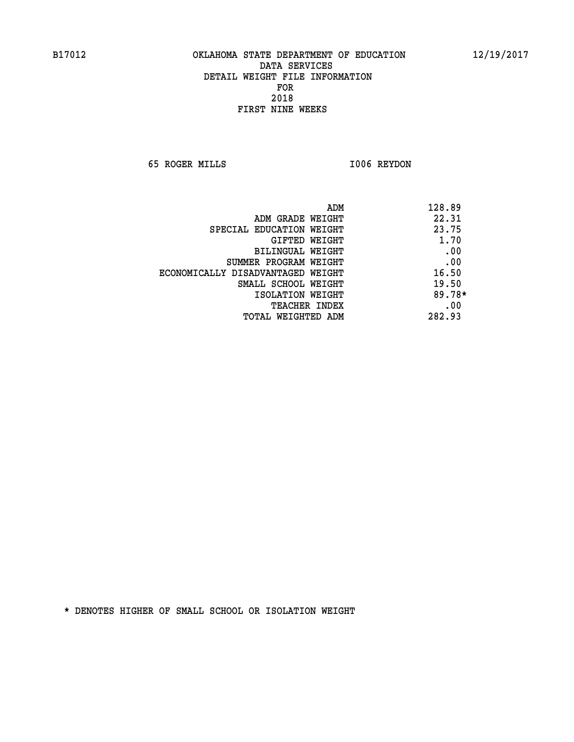**65 ROGER MILLS I006 REYDON** 

| ADM                               | 128.89   |
|-----------------------------------|----------|
| ADM GRADE WEIGHT                  | 22.31    |
| SPECIAL EDUCATION WEIGHT          | 23.75    |
| GIFTED WEIGHT                     | 1.70     |
| BILINGUAL WEIGHT                  | .00      |
| SUMMER PROGRAM WEIGHT             | .00      |
| ECONOMICALLY DISADVANTAGED WEIGHT | 16.50    |
| SMALL SCHOOL WEIGHT               | 19.50    |
| ISOLATION WEIGHT                  | $89.78*$ |
| <b>TEACHER INDEX</b>              | .00      |
| TOTAL WEIGHTED ADM                | 282.93   |
|                                   |          |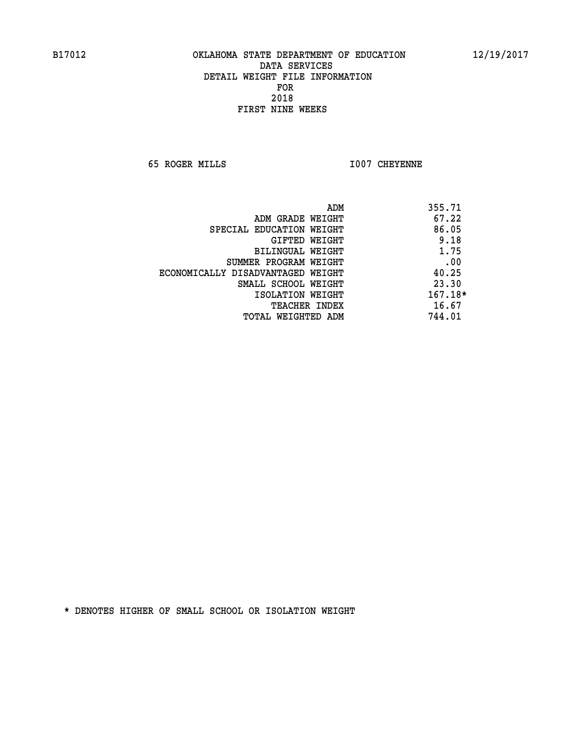**65 ROGER MILLS I007 CHEYENNE** 

| ADM                               | 355.71  |
|-----------------------------------|---------|
| ADM GRADE WEIGHT                  | 67.22   |
| SPECIAL EDUCATION WEIGHT          | 86.05   |
| GIFTED WEIGHT                     | 9.18    |
| BILINGUAL WEIGHT                  | 1.75    |
| SUMMER PROGRAM WEIGHT             | .00     |
| ECONOMICALLY DISADVANTAGED WEIGHT | 40.25   |
| SMALL SCHOOL WEIGHT               | 23.30   |
| ISOLATION WEIGHT                  | 167.18* |
| <b>TEACHER INDEX</b>              | 16.67   |
| TOTAL WEIGHTED ADM                | 744.01  |
|                                   |         |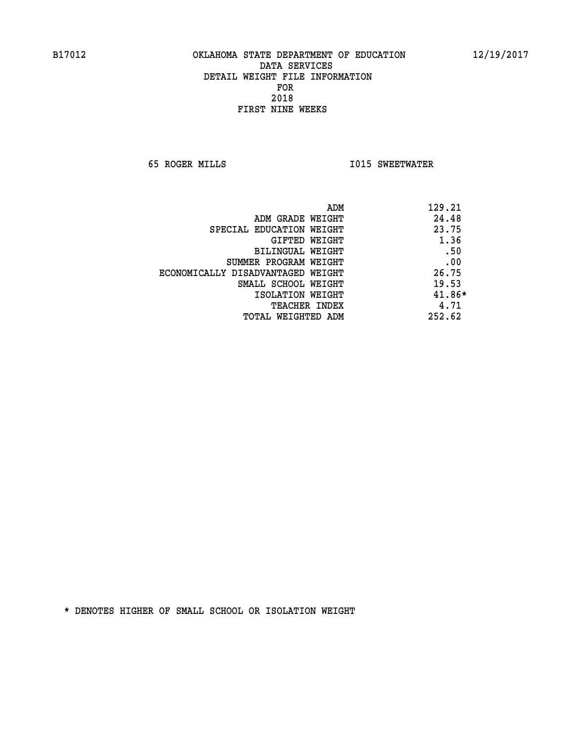**65 ROGER MILLS I015 SWEETWATER** 

| ADM                               | 129.21   |
|-----------------------------------|----------|
| ADM GRADE WEIGHT                  | 24.48    |
| SPECIAL EDUCATION WEIGHT          | 23.75    |
| GIFTED WEIGHT                     | 1.36     |
| BILINGUAL WEIGHT                  | .50      |
| SUMMER PROGRAM WEIGHT             | .00      |
| ECONOMICALLY DISADVANTAGED WEIGHT | 26.75    |
| SMALL SCHOOL WEIGHT               | 19.53    |
| ISOLATION WEIGHT                  | $41.86*$ |
| <b>TEACHER INDEX</b>              | 4.71     |
| TOTAL WEIGHTED ADM                | 252.62   |
|                                   |          |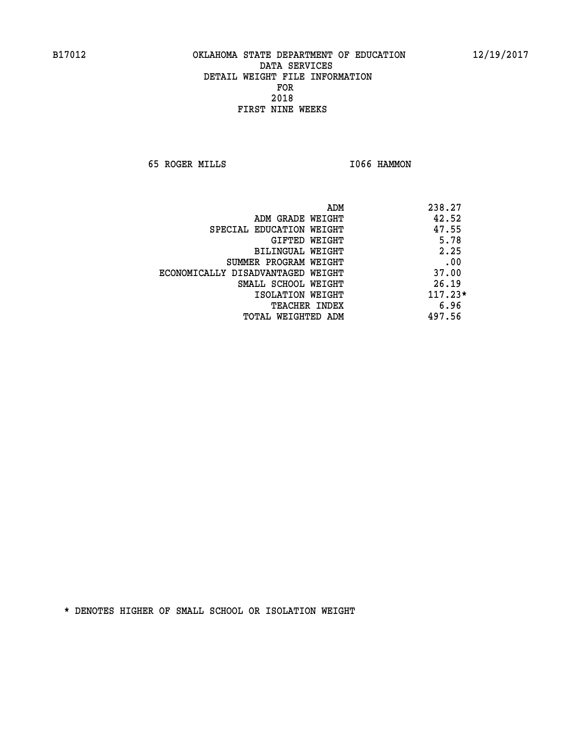**65 ROGER MILLS I066 HAMMON** 

|                                   | ADM | 238.27    |
|-----------------------------------|-----|-----------|
| ADM GRADE WEIGHT                  |     | 42.52     |
| SPECIAL EDUCATION WEIGHT          |     | 47.55     |
| GIFTED WEIGHT                     |     | 5.78      |
| BILINGUAL WEIGHT                  |     | 2.25      |
| SUMMER PROGRAM WEIGHT             |     | .00       |
| ECONOMICALLY DISADVANTAGED WEIGHT |     | 37.00     |
| SMALL SCHOOL WEIGHT               |     | 26.19     |
| ISOLATION WEIGHT                  |     | $117.23*$ |
| TEACHER INDEX                     |     | 6.96      |
| TOTAL WEIGHTED ADM                |     | 497.56    |
|                                   |     |           |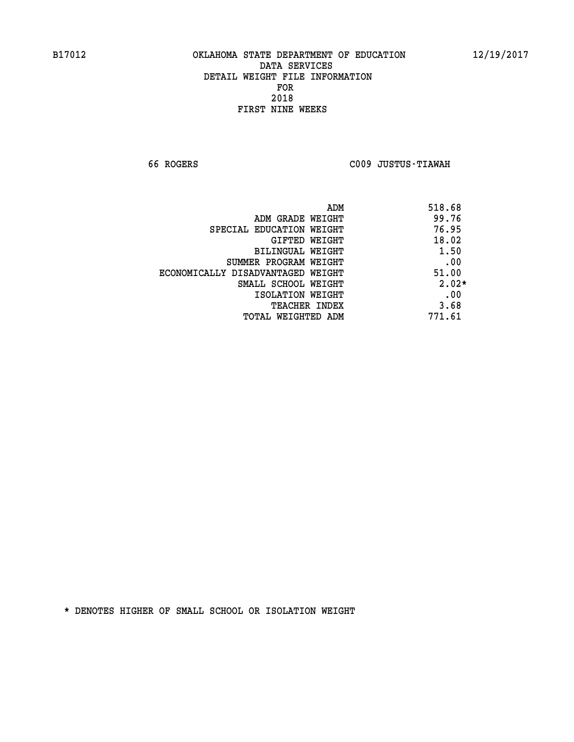**66 ROGERS C009 JUSTUS-TIAWAH** 

|                                   | ADM | 518.68  |
|-----------------------------------|-----|---------|
| ADM GRADE WEIGHT                  |     | 99.76   |
| SPECIAL EDUCATION WEIGHT          |     | 76.95   |
| GIFTED WEIGHT                     |     | 18.02   |
| BILINGUAL WEIGHT                  |     | 1.50    |
| SUMMER PROGRAM WEIGHT             |     | .00     |
| ECONOMICALLY DISADVANTAGED WEIGHT |     | 51.00   |
| SMALL SCHOOL WEIGHT               |     | $2.02*$ |
| ISOLATION WEIGHT                  |     | .00     |
| <b>TEACHER INDEX</b>              |     | 3.68    |
| TOTAL WEIGHTED ADM                |     | 771.61  |
|                                   |     |         |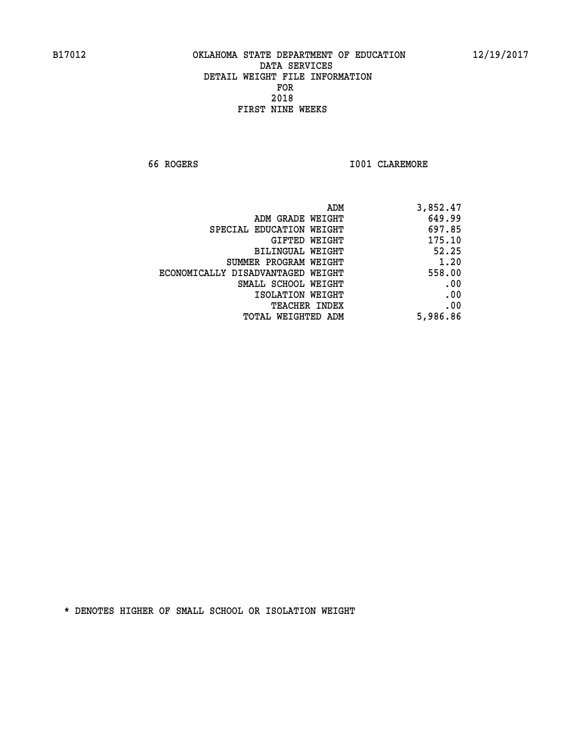**66 ROGERS I001 CLAREMORE** 

| 3,852.47 |
|----------|
| 649.99   |
| 697.85   |
| 175.10   |
| 52.25    |
| 1.20     |
| 558.00   |
| .00      |
| .00      |
| .00      |
| 5,986.86 |
|          |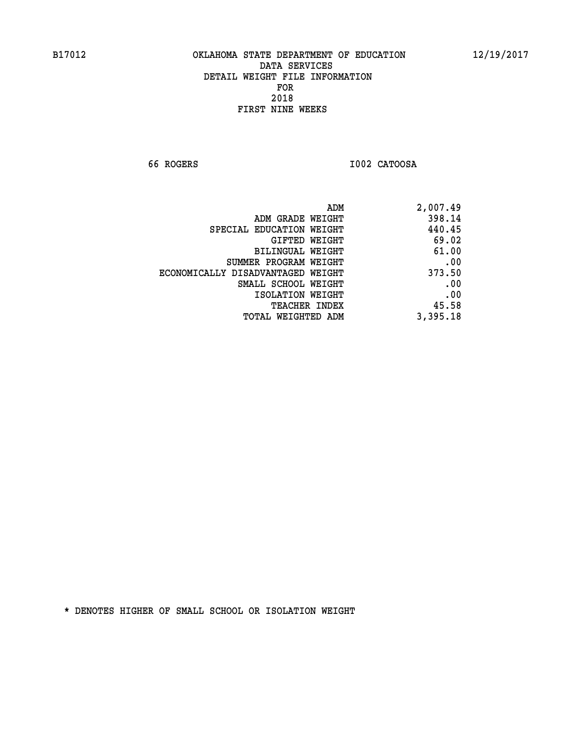**66 ROGERS I002 CATOOSA** 

| ADM                               | 2,007.49 |
|-----------------------------------|----------|
| ADM GRADE WEIGHT                  | 398.14   |
| SPECIAL EDUCATION WEIGHT          | 440.45   |
| GIFTED WEIGHT                     | 69.02    |
| BILINGUAL WEIGHT                  | 61.00    |
| SUMMER PROGRAM WEIGHT             | .00      |
| ECONOMICALLY DISADVANTAGED WEIGHT | 373.50   |
| SMALL SCHOOL WEIGHT               | .00      |
| ISOLATION WEIGHT                  | .00      |
| TEACHER INDEX                     | 45.58    |
| TOTAL WEIGHTED ADM                | 3,395.18 |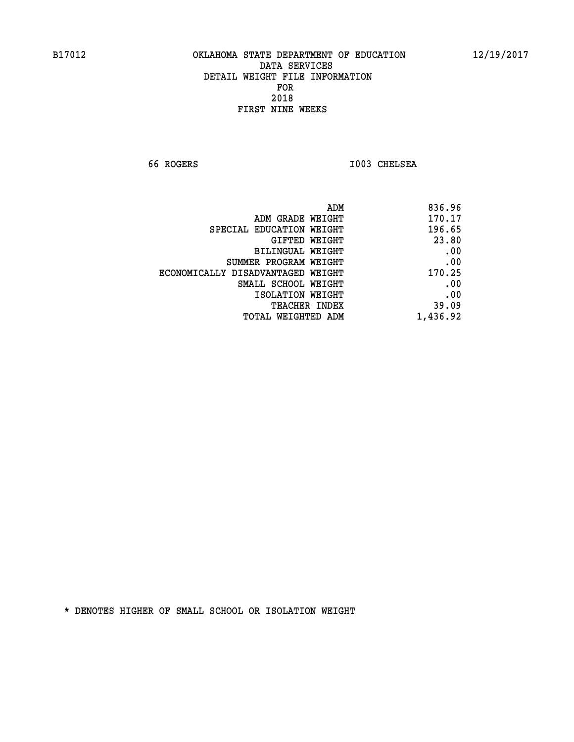**66 ROGERS I003 CHELSEA** 

| 836.96   |
|----------|
| 170.17   |
| 196.65   |
| 23.80    |
| .00      |
| .00      |
| 170.25   |
| .00      |
| .00      |
| 39.09    |
| 1,436.92 |
|          |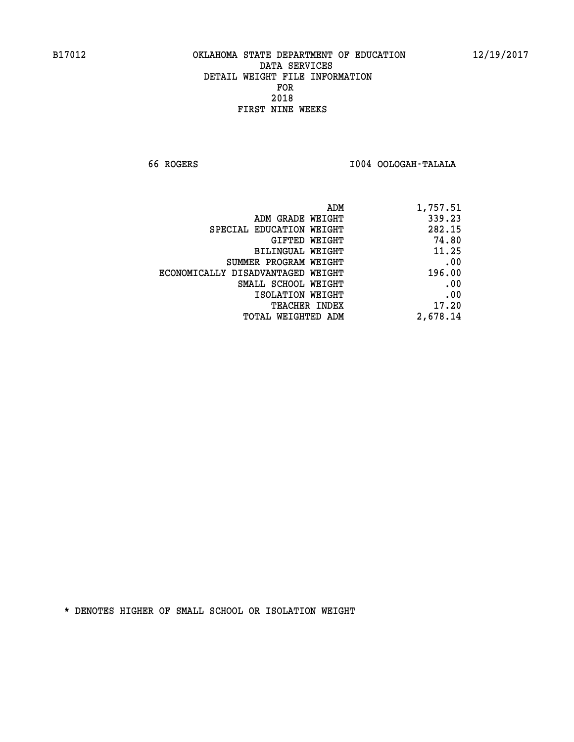**66 ROGERS I004 OOLOGAH-TALALA** 

| ADM                               | 1,757.51 |
|-----------------------------------|----------|
| ADM GRADE WEIGHT                  | 339.23   |
| SPECIAL EDUCATION WEIGHT          | 282.15   |
| GIFTED WEIGHT                     | 74.80    |
| BILINGUAL WEIGHT                  | 11.25    |
| SUMMER PROGRAM WEIGHT             | .00      |
| ECONOMICALLY DISADVANTAGED WEIGHT | 196.00   |
| SMALL SCHOOL WEIGHT               | .00      |
| ISOLATION WEIGHT                  | .00      |
| <b>TEACHER INDEX</b>              | 17.20    |
| TOTAL WEIGHTED ADM                | 2,678.14 |
|                                   |          |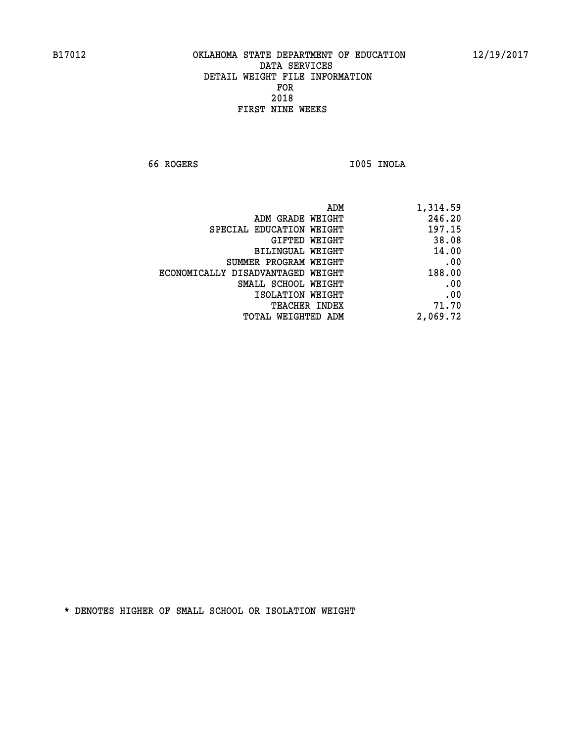**66 ROGERS I005 INOLA** 

| 1,314.59 |
|----------|
| 246.20   |
| 197.15   |
| 38.08    |
| 14.00    |
| .00      |
| 188.00   |
| .00      |
| .00      |
| 71.70    |
| 2,069.72 |
|          |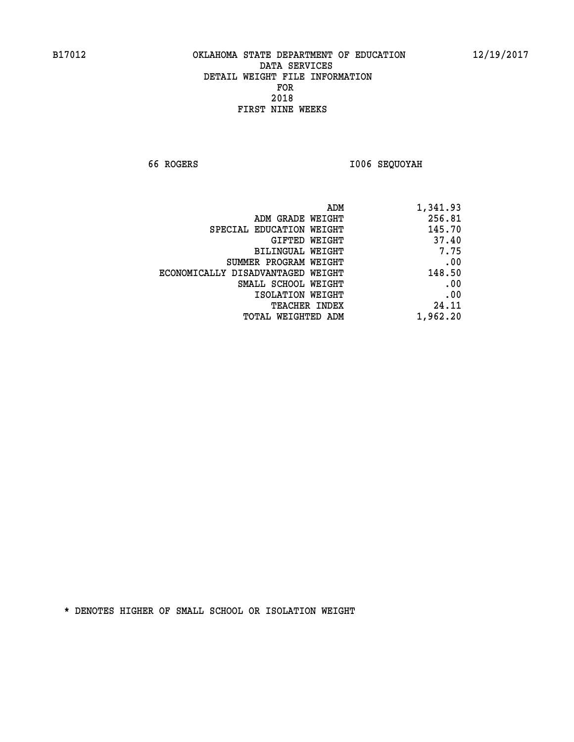**66 ROGERS I006 SEQUOYAH** 

| 1,341.93 |
|----------|
| 256.81   |
| 145.70   |
| 37.40    |
| 7.75     |
| .00      |
| 148.50   |
| .00      |
| .00      |
| 24.11    |
| 1,962.20 |
|          |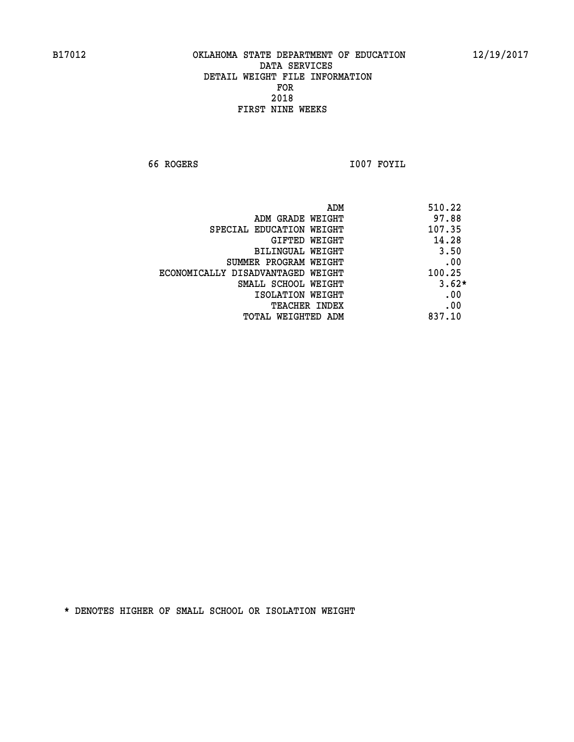**66 ROGERS I007 FOYIL** 

|                                   | 510.22<br>ADM |
|-----------------------------------|---------------|
| ADM GRADE WEIGHT                  | 97.88         |
| SPECIAL EDUCATION WEIGHT          | 107.35        |
| GIFTED WEIGHT                     | 14.28         |
| BILINGUAL WEIGHT                  | 3.50          |
| SUMMER PROGRAM WEIGHT             | .00           |
| ECONOMICALLY DISADVANTAGED WEIGHT | 100.25        |
| SMALL SCHOOL WEIGHT               | $3.62*$       |
| ISOLATION WEIGHT                  | .00           |
| <b>TEACHER INDEX</b>              | .00           |
| TOTAL WEIGHTED ADM                | 837.10        |
|                                   |               |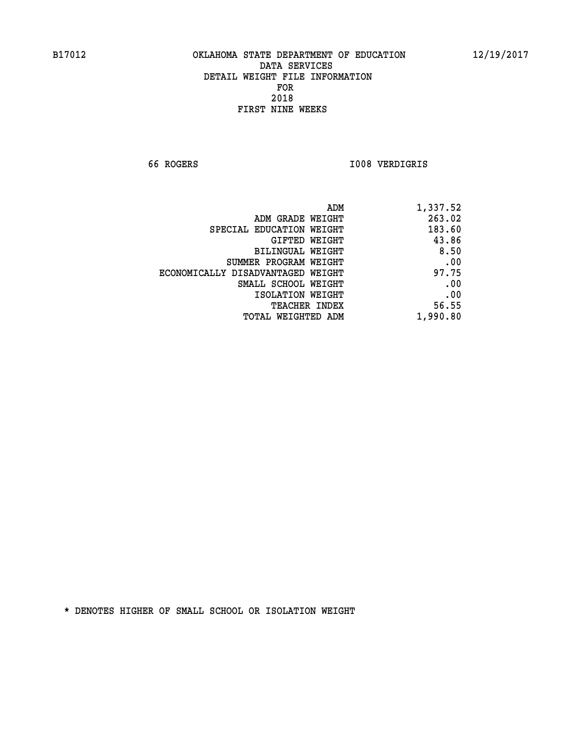**66 ROGERS I008 VERDIGRIS** 

| 1,337.52 |
|----------|
| 263.02   |
| 183.60   |
| 43.86    |
| 8.50     |
| .00      |
| 97.75    |
| .00      |
| .00      |
| 56.55    |
| 1,990.80 |
|          |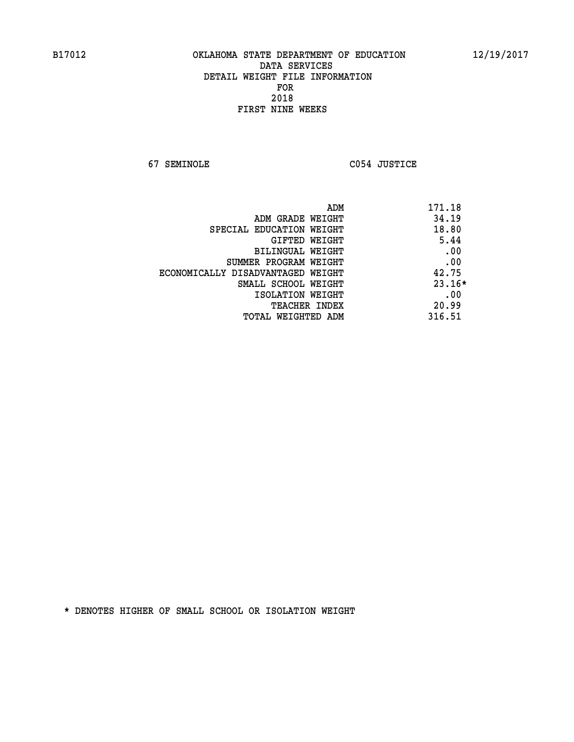**67 SEMINOLE C054 JUSTICE** 

| ADM<br>171.18                              |  |
|--------------------------------------------|--|
| 34.19<br>ADM GRADE WEIGHT                  |  |
| 18.80<br>SPECIAL EDUCATION WEIGHT          |  |
| 5.44<br><b>GIFTED WEIGHT</b>               |  |
| .00<br>BILINGUAL WEIGHT                    |  |
| .00<br>SUMMER PROGRAM WEIGHT               |  |
| 42.75<br>ECONOMICALLY DISADVANTAGED WEIGHT |  |
| $23.16*$<br>SMALL SCHOOL WEIGHT            |  |
| .00<br>ISOLATION WEIGHT                    |  |
| 20.99<br><b>TEACHER INDEX</b>              |  |
| 316.51<br>TOTAL WEIGHTED ADM               |  |
|                                            |  |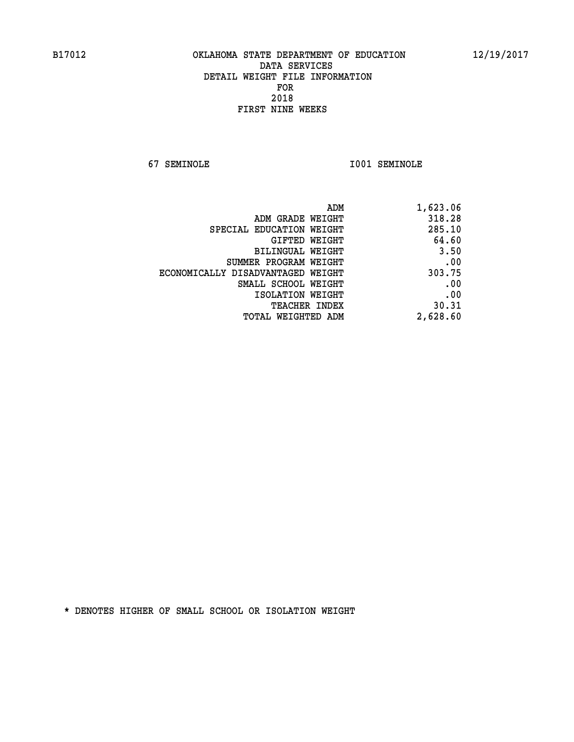**67 SEMINOLE I001 SEMINOLE** 

| 1,623.06 |
|----------|
| 318.28   |
| 285.10   |
| 64.60    |
| 3.50     |
| .00      |
| 303.75   |
| .00      |
| .00      |
| 30.31    |
| 2,628.60 |
|          |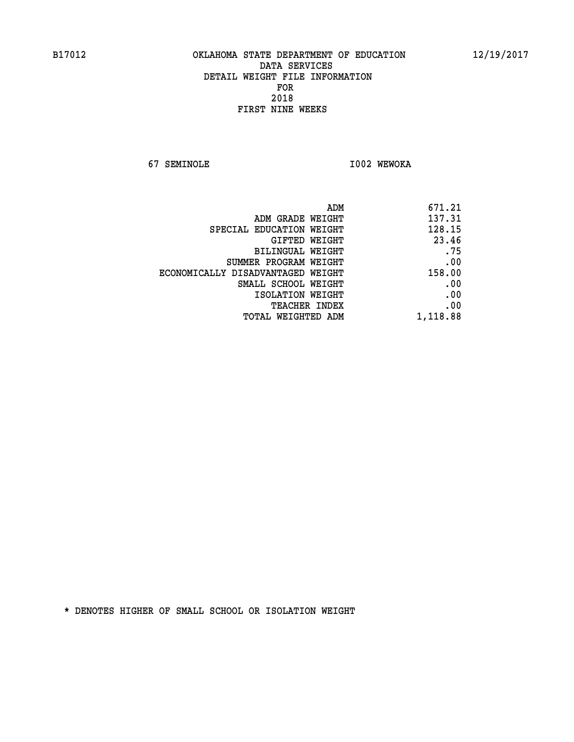**67 SEMINOLE I002 WEWOKA** 

| 671.21   |
|----------|
| 137.31   |
| 128.15   |
| 23.46    |
| .75      |
| .00      |
| 158.00   |
| .00      |
| .00      |
| .00      |
| 1,118.88 |
|          |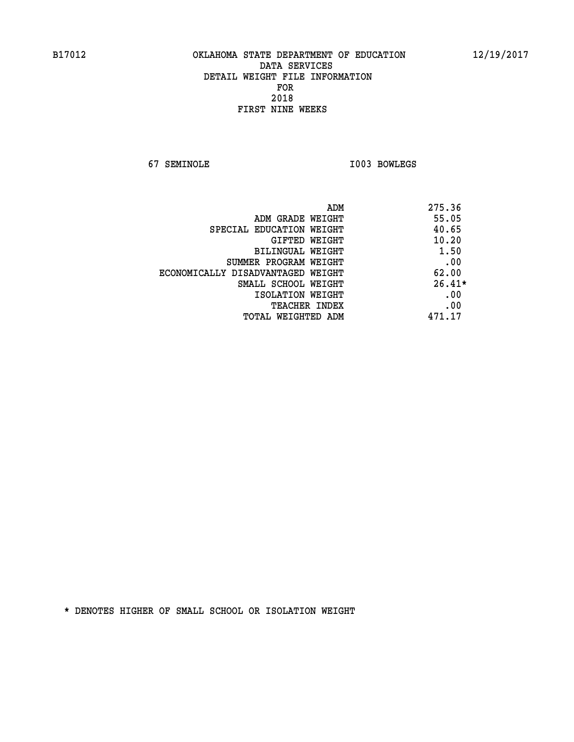**67 SEMINOLE I003 BOWLEGS** 

| ADM                               | 275.36   |
|-----------------------------------|----------|
| ADM GRADE WEIGHT                  | 55.05    |
| SPECIAL EDUCATION WEIGHT          | 40.65    |
| <b>GIFTED WEIGHT</b>              | 10.20    |
| BILINGUAL WEIGHT                  | 1.50     |
| SUMMER PROGRAM WEIGHT             | .00      |
| ECONOMICALLY DISADVANTAGED WEIGHT | 62.00    |
| SMALL SCHOOL WEIGHT               | $26.41*$ |
| ISOLATION WEIGHT                  | .00      |
| <b>TEACHER INDEX</b>              | .00      |
| TOTAL WEIGHTED ADM                | 471.17   |
|                                   |          |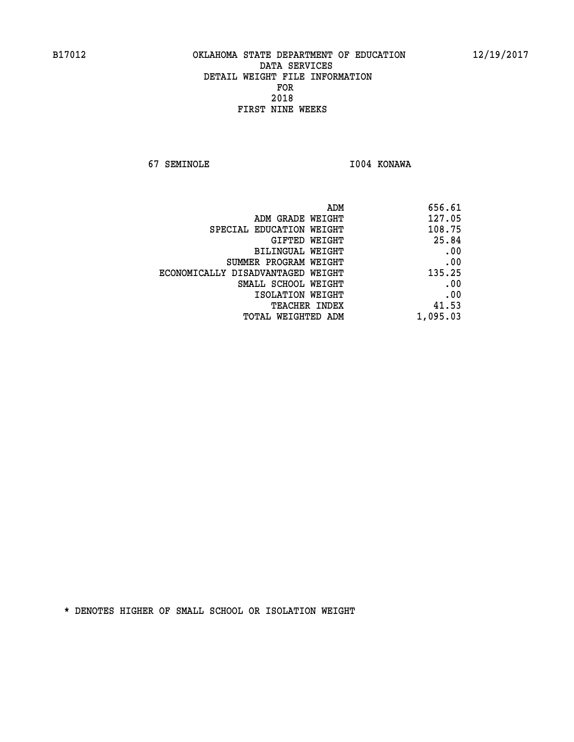**67 SEMINOLE I004 KONAWA** 

| 656.61   |
|----------|
| 127.05   |
| 108.75   |
| 25.84    |
| .00      |
| .00      |
| 135.25   |
| .00      |
| .00      |
| 41.53    |
| 1,095.03 |
|          |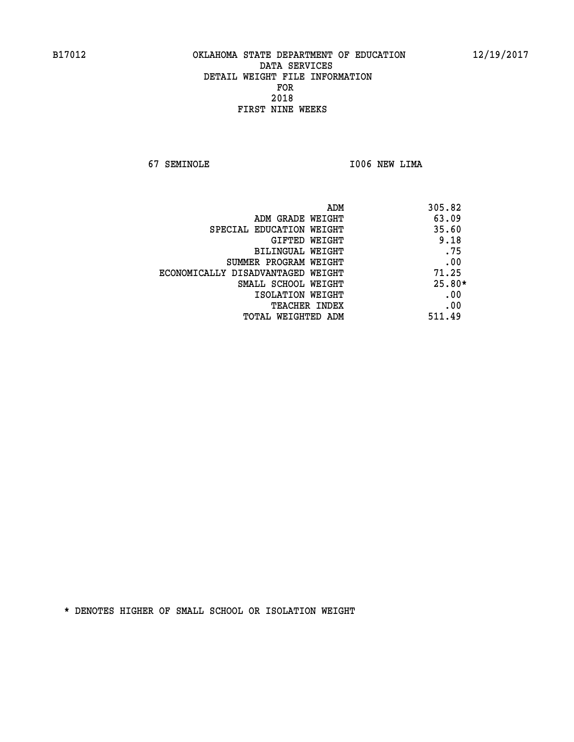**67 SEMINOLE I006 NEW LIMA** 

| ADM                               | 305.82   |
|-----------------------------------|----------|
| ADM GRADE WEIGHT                  | 63.09    |
| SPECIAL EDUCATION WEIGHT          | 35.60    |
| <b>GIFTED WEIGHT</b>              | 9.18     |
| BILINGUAL WEIGHT                  | .75      |
| SUMMER PROGRAM WEIGHT             | .00      |
| ECONOMICALLY DISADVANTAGED WEIGHT | 71.25    |
| SMALL SCHOOL WEIGHT               | $25.80*$ |
| ISOLATION WEIGHT                  | .00      |
| <b>TEACHER INDEX</b>              | .00      |
| TOTAL WEIGHTED ADM                | 511.49   |
|                                   |          |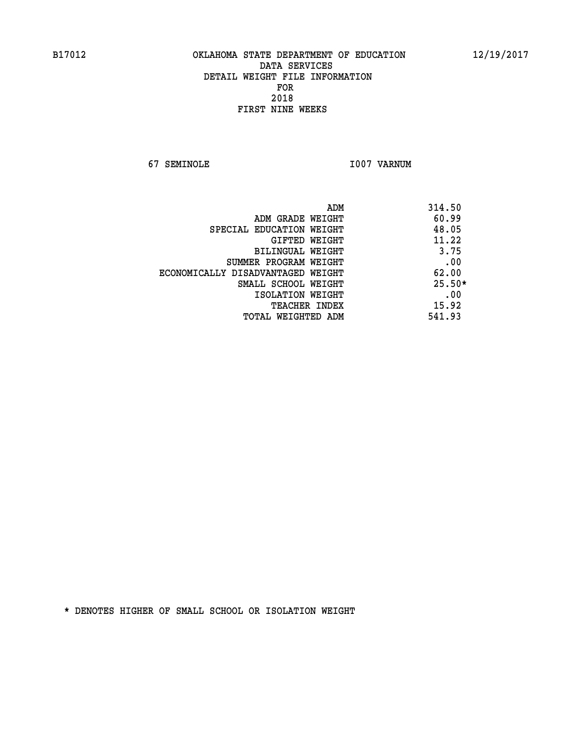**67 SEMINOLE I007 VARNUM** 

| ADM                               | 314.50   |
|-----------------------------------|----------|
| ADM GRADE WEIGHT                  | 60.99    |
| SPECIAL EDUCATION WEIGHT          | 48.05    |
| GIFTED WEIGHT                     | 11.22    |
| BILINGUAL WEIGHT                  | 3.75     |
| SUMMER PROGRAM WEIGHT             | .00      |
| ECONOMICALLY DISADVANTAGED WEIGHT | 62.00    |
| SMALL SCHOOL WEIGHT               | $25.50*$ |
| ISOLATION WEIGHT                  | .00      |
| <b>TEACHER INDEX</b>              | 15.92    |
| TOTAL WEIGHTED ADM                | 541.93   |
|                                   |          |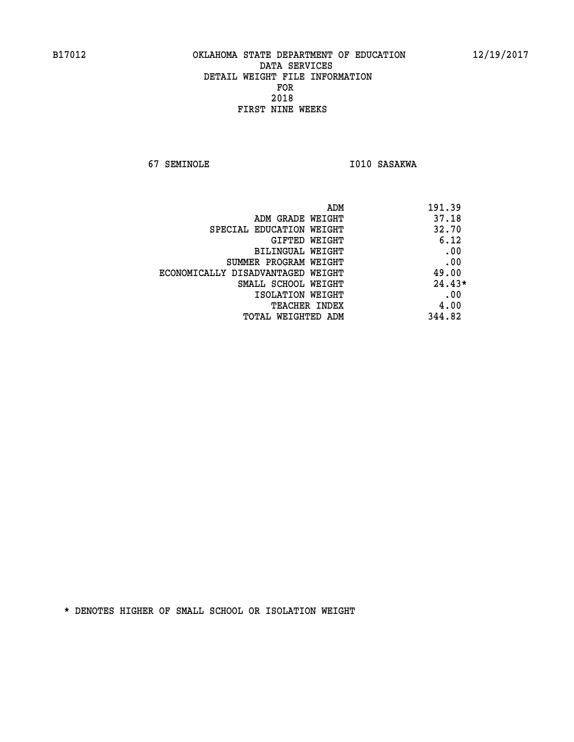**67 SEMINOLE 1010 SASAKWA** 

| ADM<br>191.39                              |  |
|--------------------------------------------|--|
| 37.18<br>ADM GRADE WEIGHT                  |  |
| 32.70<br>SPECIAL EDUCATION WEIGHT          |  |
| 6.12<br><b>GIFTED WEIGHT</b>               |  |
| .00<br>BILINGUAL WEIGHT                    |  |
| .00<br>SUMMER PROGRAM WEIGHT               |  |
| 49.00<br>ECONOMICALLY DISADVANTAGED WEIGHT |  |
| $24.43*$<br>SMALL SCHOOL WEIGHT            |  |
| .00<br>ISOLATION WEIGHT                    |  |
| 4.00<br><b>TEACHER INDEX</b>               |  |
| 344.82<br>TOTAL WEIGHTED ADM               |  |
|                                            |  |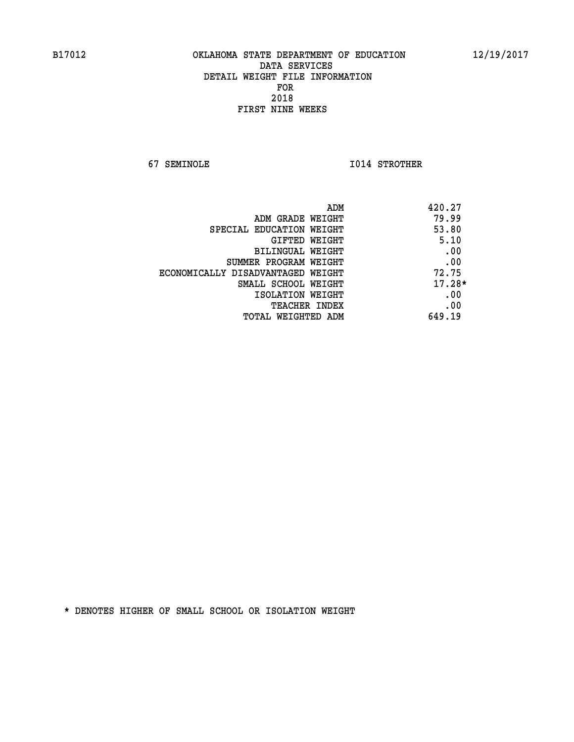**67 SEMINOLE I014 STROTHER** 

| 420.27   | ADM                               |
|----------|-----------------------------------|
| 79.99    | ADM GRADE WEIGHT                  |
| 53.80    | SPECIAL EDUCATION WEIGHT          |
| 5.10     | <b>GIFTED WEIGHT</b>              |
| .00      | BILINGUAL WEIGHT                  |
| .00      | SUMMER PROGRAM WEIGHT             |
| 72.75    | ECONOMICALLY DISADVANTAGED WEIGHT |
| $17.28*$ | SMALL SCHOOL WEIGHT               |
| .00      | ISOLATION WEIGHT                  |
| .00      | <b>TEACHER INDEX</b>              |
| 649.19   | TOTAL WEIGHTED ADM                |
|          |                                   |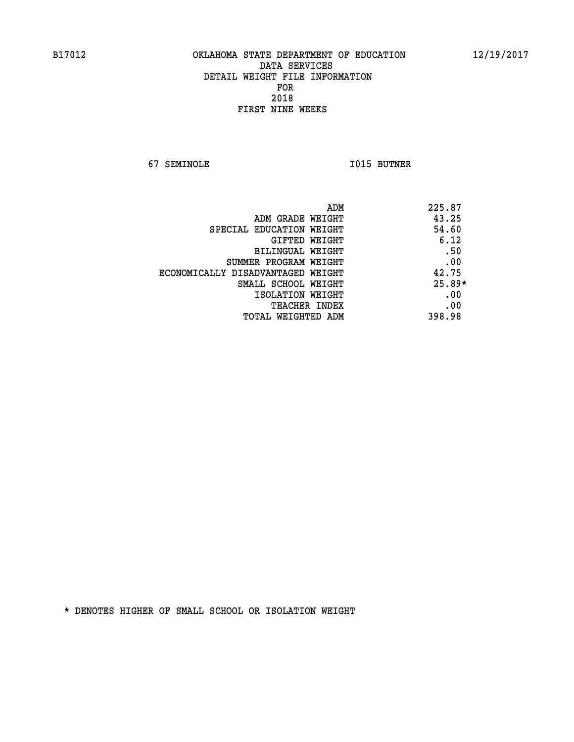**67 SEMINOLE I015 BUTNER** 

| ADM                               | 225.87   |
|-----------------------------------|----------|
| ADM GRADE WEIGHT                  | 43.25    |
| SPECIAL EDUCATION WEIGHT          | 54.60    |
| <b>GIFTED WEIGHT</b>              | 6.12     |
| BILINGUAL WEIGHT                  | .50      |
| SUMMER PROGRAM WEIGHT             | .00      |
| ECONOMICALLY DISADVANTAGED WEIGHT | 42.75    |
| SMALL SCHOOL WEIGHT               | $25.89*$ |
| ISOLATION WEIGHT                  | .00      |
| <b>TEACHER INDEX</b>              | .00      |
| TOTAL WEIGHTED ADM                | 398.98   |
|                                   |          |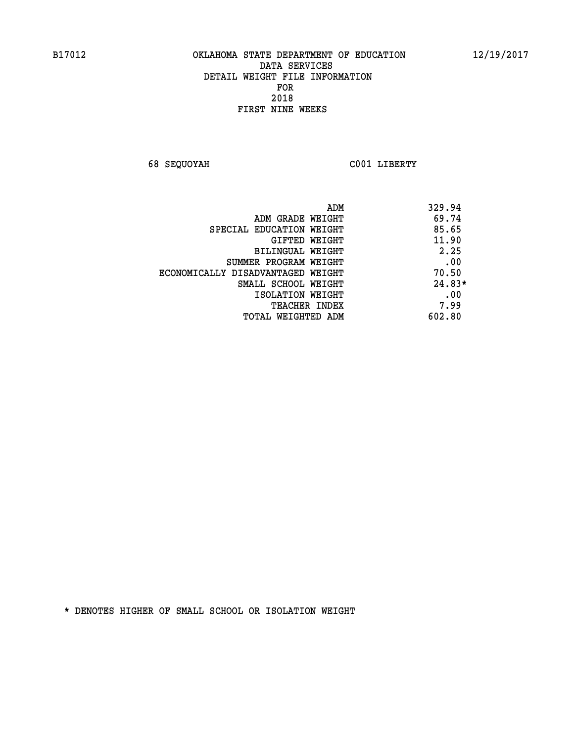**68 SEQUOYAH C001 LIBERTY** 

|                                   | ADM<br>329.94 |  |
|-----------------------------------|---------------|--|
| ADM GRADE WEIGHT                  | 69.74         |  |
| SPECIAL EDUCATION WEIGHT          | 85.65         |  |
| GIFTED WEIGHT                     | 11.90         |  |
| BILINGUAL WEIGHT                  | 2.25          |  |
| SUMMER PROGRAM WEIGHT             | .00           |  |
| ECONOMICALLY DISADVANTAGED WEIGHT | 70.50         |  |
| SMALL SCHOOL WEIGHT               | $24.83*$      |  |
| ISOLATION WEIGHT                  | .00           |  |
| <b>TEACHER INDEX</b>              | 7.99          |  |
| TOTAL WEIGHTED ADM                | 602.80        |  |
|                                   |               |  |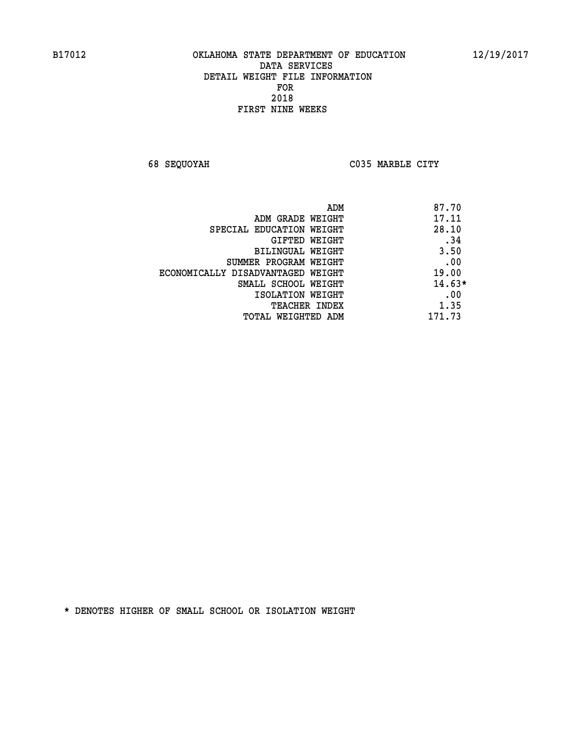**68 SEQUOYAH C035 MARBLE CITY** 

|                                   | 87.70<br>ADM |
|-----------------------------------|--------------|
| ADM GRADE WEIGHT                  | 17.11        |
| SPECIAL EDUCATION WEIGHT          | 28.10        |
| GIFTED WEIGHT                     | .34          |
| BILINGUAL WEIGHT                  | 3.50         |
| SUMMER PROGRAM WEIGHT             | .00          |
| ECONOMICALLY DISADVANTAGED WEIGHT | 19.00        |
| SMALL SCHOOL WEIGHT               | $14.63*$     |
| ISOLATION WEIGHT                  | .00          |
| <b>TEACHER INDEX</b>              | 1.35         |
| TOTAL WEIGHTED ADM                | 171.73       |
|                                   |              |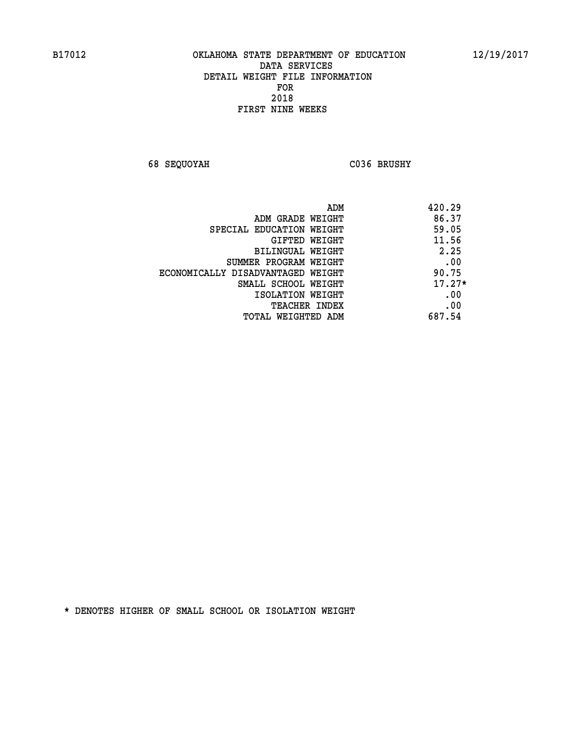**68 SEQUOYAH C036 BRUSHY** 

|                                   | 420.29<br>ADM |
|-----------------------------------|---------------|
| ADM GRADE WEIGHT                  | 86.37         |
| SPECIAL EDUCATION WEIGHT          | 59.05         |
| <b>GIFTED WEIGHT</b>              | 11.56         |
| BILINGUAL WEIGHT                  | 2.25          |
| SUMMER PROGRAM WEIGHT             | .00           |
| ECONOMICALLY DISADVANTAGED WEIGHT | 90.75         |
| SMALL SCHOOL WEIGHT               | $17.27*$      |
| ISOLATION WEIGHT                  | .00           |
| <b>TEACHER INDEX</b>              | .00           |
| TOTAL WEIGHTED ADM                | 687.54        |
|                                   |               |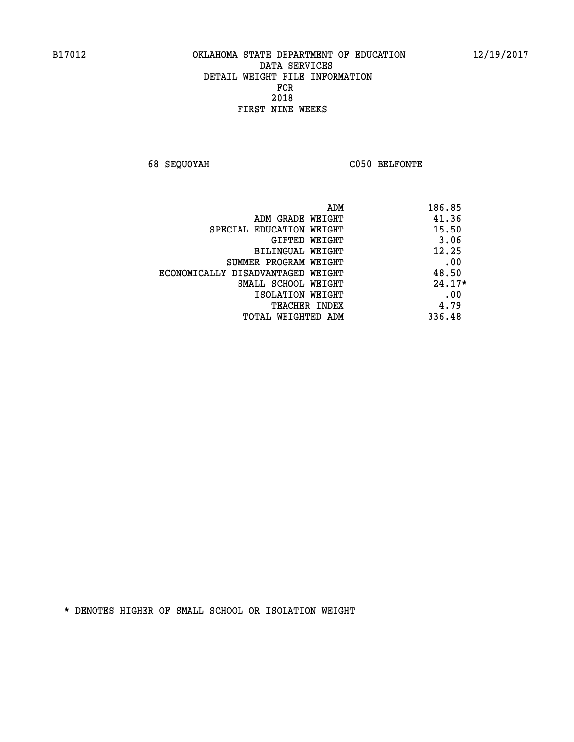**68 SEQUOYAH C050 BELFONTE** 

| ADM                               | 186.85   |
|-----------------------------------|----------|
| ADM GRADE WEIGHT                  | 41.36    |
| SPECIAL EDUCATION WEIGHT          | 15.50    |
| GIFTED WEIGHT                     | 3.06     |
| BILINGUAL WEIGHT                  | 12.25    |
| SUMMER PROGRAM WEIGHT             | .00      |
| ECONOMICALLY DISADVANTAGED WEIGHT | 48.50    |
| SMALL SCHOOL WEIGHT               | $24.17*$ |
| ISOLATION WEIGHT                  | .00      |
| <b>TEACHER INDEX</b>              | 4.79     |
| TOTAL WEIGHTED ADM                | 336.48   |
|                                   |          |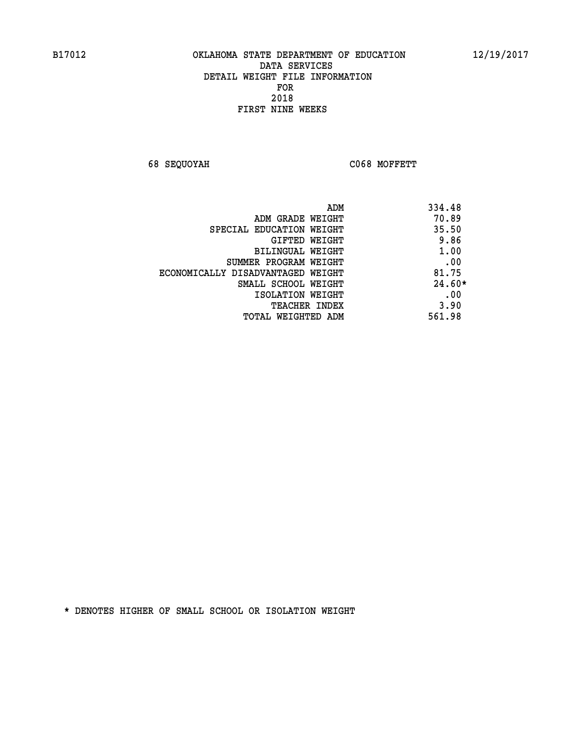**68 SEQUOYAH C068 MOFFETT** 

| ADM                               | 334.48   |
|-----------------------------------|----------|
| ADM GRADE WEIGHT                  | 70.89    |
| SPECIAL EDUCATION WEIGHT          | 35.50    |
| GIFTED WEIGHT                     | 9.86     |
| BILINGUAL WEIGHT                  | 1.00     |
| SUMMER PROGRAM WEIGHT             | .00      |
| ECONOMICALLY DISADVANTAGED WEIGHT | 81.75    |
| SMALL SCHOOL WEIGHT               | $24.60*$ |
| ISOLATION WEIGHT                  | .00      |
| <b>TEACHER INDEX</b>              | 3.90     |
| TOTAL WEIGHTED ADM                | 561.98   |
|                                   |          |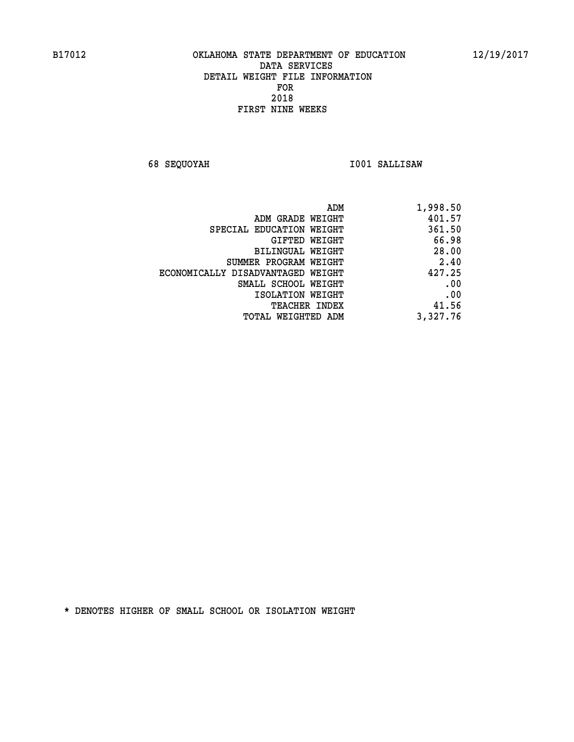**68 SEQUOYAH I001 SALLISAW** 

| 1,998.50 |
|----------|
| 401.57   |
| 361.50   |
| 66.98    |
| 28.00    |
| 2.40     |
| 427.25   |
| .00      |
| .00      |
| 41.56    |
| 3,327.76 |
|          |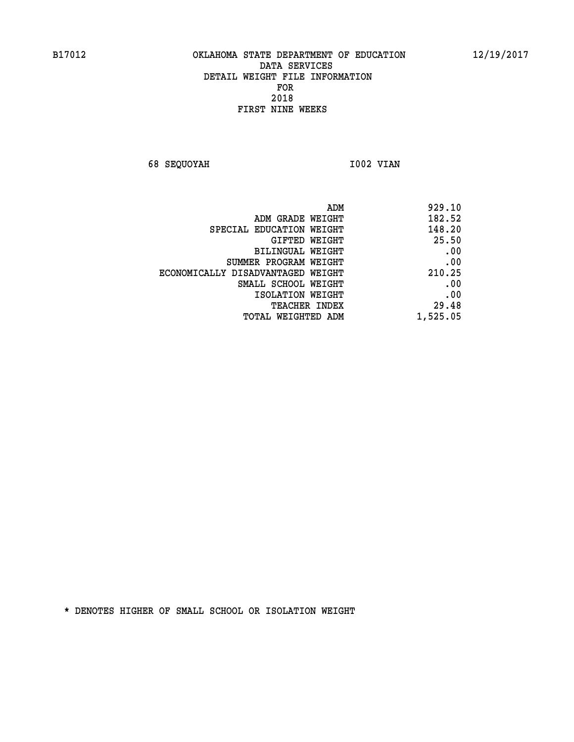**68 SEQUOYAH 1002 VIAN** 

| 929.10   |
|----------|
| 182.52   |
| 148.20   |
| 25.50    |
| .00      |
| .00      |
| 210.25   |
| .00      |
| .00      |
| 29.48    |
| 1,525.05 |
|          |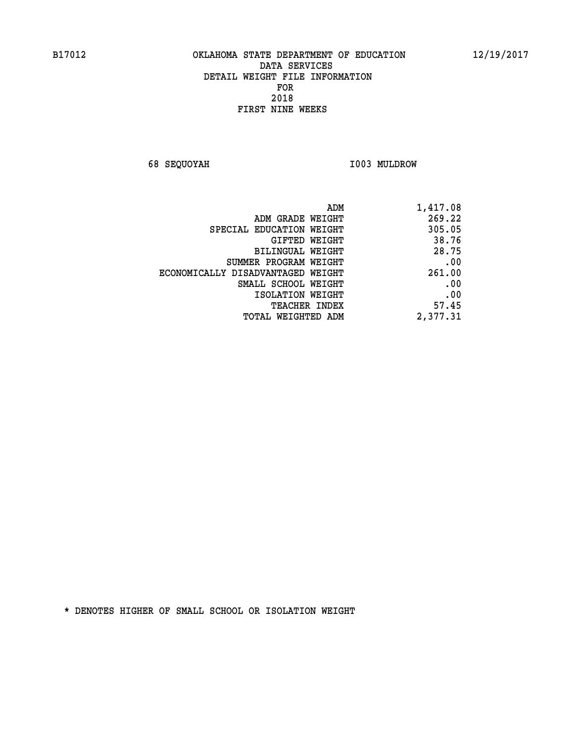**68 SEQUOYAH I003 MULDROW** 

| ADM                               | 1,417.08 |
|-----------------------------------|----------|
| ADM GRADE WEIGHT                  | 269.22   |
| SPECIAL EDUCATION WEIGHT          | 305.05   |
| GIFTED WEIGHT                     | 38.76    |
| <b>BILINGUAL WEIGHT</b>           | 28.75    |
| SUMMER PROGRAM WEIGHT             | .00      |
| ECONOMICALLY DISADVANTAGED WEIGHT | 261.00   |
| SMALL SCHOOL WEIGHT               | .00      |
| ISOLATION WEIGHT                  | .00      |
| <b>TEACHER INDEX</b>              | 57.45    |
| TOTAL WEIGHTED ADM                | 2,377.31 |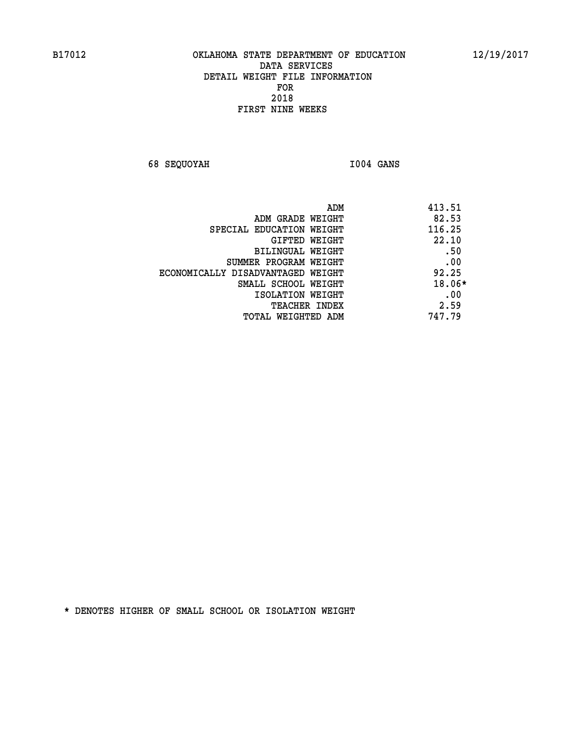**68 SEQUOYAH I004 GANS** 

|                                   | 413.51<br>ADM |
|-----------------------------------|---------------|
| ADM GRADE WEIGHT                  | 82.53         |
| SPECIAL EDUCATION WEIGHT          | 116.25        |
| GIFTED WEIGHT                     | 22.10         |
| BILINGUAL WEIGHT                  | .50           |
| SUMMER PROGRAM WEIGHT             | .00           |
| ECONOMICALLY DISADVANTAGED WEIGHT | 92.25         |
| SMALL SCHOOL WEIGHT               | 18.06*        |
| ISOLATION WEIGHT                  | .00           |
| TEACHER INDEX                     | 2.59          |
| TOTAL WEIGHTED ADM                | 747.79        |
|                                   |               |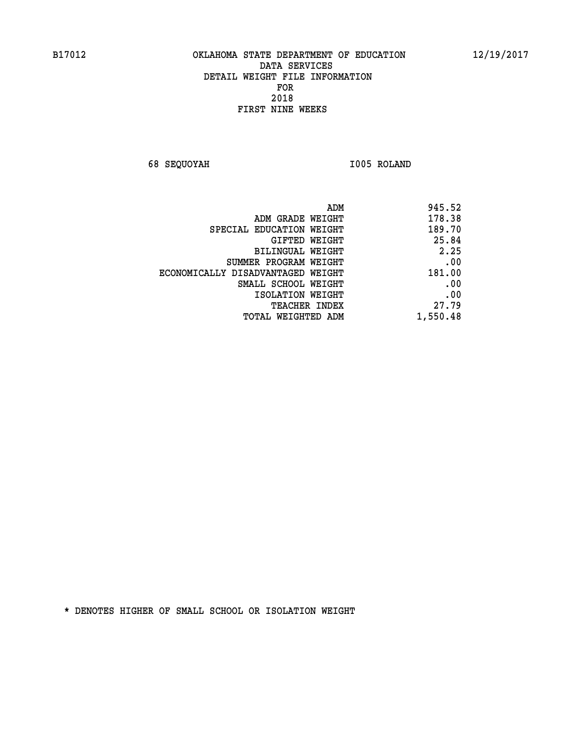**68 SEQUOYAH I005 ROLAND** 

| 945.52   |
|----------|
| 178.38   |
| 189.70   |
| 25.84    |
| 2.25     |
| .00      |
| 181.00   |
| .00      |
| .00      |
| 27.79    |
| 1,550.48 |
|          |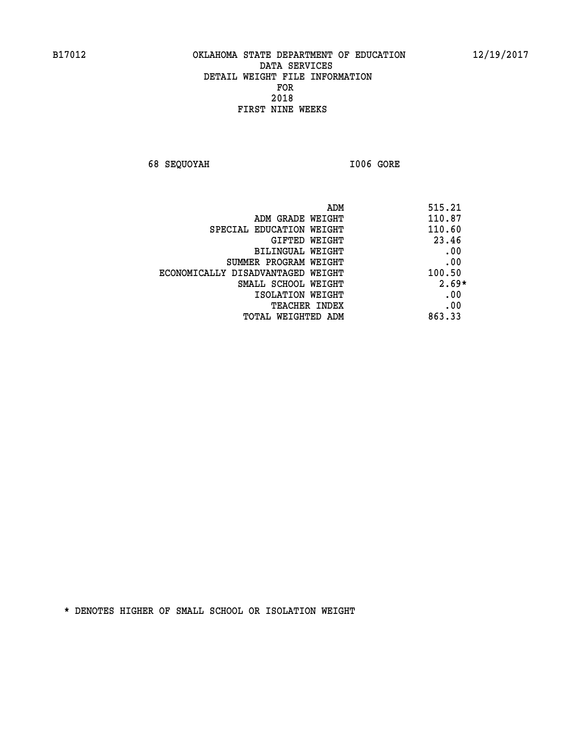**68 SEQUOYAH I006 GORE** 

| ADM<br>515.21 |                                   |
|---------------|-----------------------------------|
| 110.87        | ADM GRADE WEIGHT                  |
| 110.60        | SPECIAL EDUCATION WEIGHT          |
| 23.46         | <b>GIFTED WEIGHT</b>              |
| .00           | BILINGUAL WEIGHT                  |
| .00           | SUMMER PROGRAM WEIGHT             |
| 100.50        | ECONOMICALLY DISADVANTAGED WEIGHT |
| $2.69*$       | SMALL SCHOOL WEIGHT               |
| .00           | ISOLATION WEIGHT                  |
| .00           | <b>TEACHER INDEX</b>              |
| 863.33        | TOTAL WEIGHTED ADM                |
|               |                                   |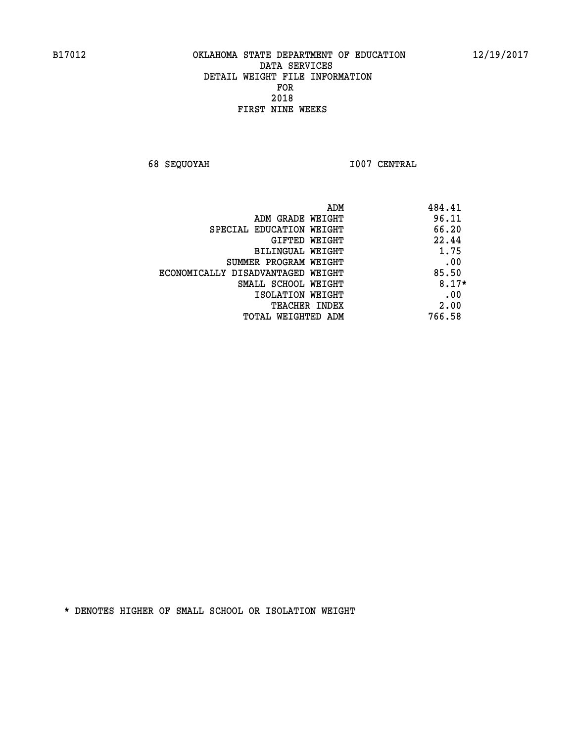**68 SEQUOYAH I007 CENTRAL** 

|                                   | 484.41<br>ADM |  |
|-----------------------------------|---------------|--|
| ADM GRADE WEIGHT                  | 96.11         |  |
| SPECIAL EDUCATION WEIGHT          | 66.20         |  |
| <b>GIFTED WEIGHT</b>              | 22.44         |  |
| BILINGUAL WEIGHT                  | 1.75          |  |
| SUMMER PROGRAM WEIGHT             | .00           |  |
| ECONOMICALLY DISADVANTAGED WEIGHT | 85.50         |  |
| SMALL SCHOOL WEIGHT               | $8.17*$       |  |
| ISOLATION WEIGHT                  | .00           |  |
| <b>TEACHER INDEX</b>              | 2.00          |  |
| TOTAL WEIGHTED ADM                | 766.58        |  |
|                                   |               |  |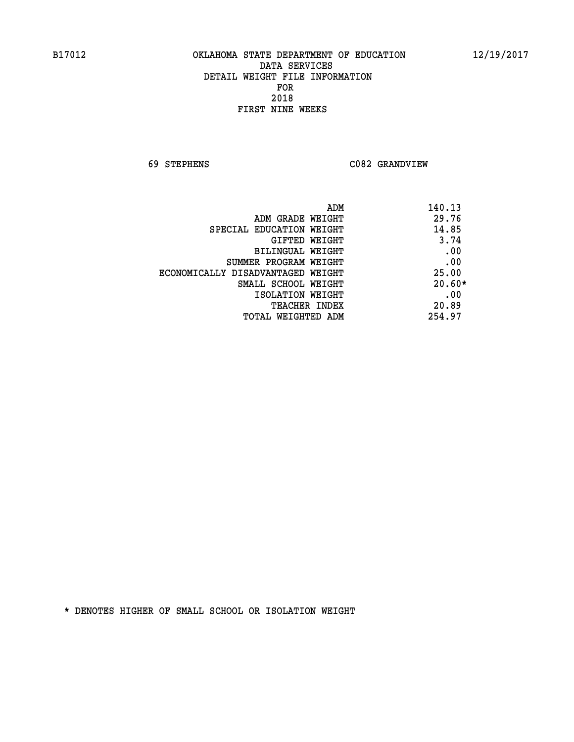**69 STEPHENS C082 GRANDVIEW** 

| ADM                               | 140.13   |
|-----------------------------------|----------|
| ADM GRADE WEIGHT                  | 29.76    |
| SPECIAL EDUCATION WEIGHT          | 14.85    |
| GIFTED WEIGHT                     | 3.74     |
| BILINGUAL WEIGHT                  | .00      |
| SUMMER PROGRAM WEIGHT             | .00      |
| ECONOMICALLY DISADVANTAGED WEIGHT | 25.00    |
| SMALL SCHOOL WEIGHT               | $20.60*$ |
| ISOLATION WEIGHT                  | .00      |
| <b>TEACHER INDEX</b>              | 20.89    |
| TOTAL WEIGHTED ADM                | 254.97   |
|                                   |          |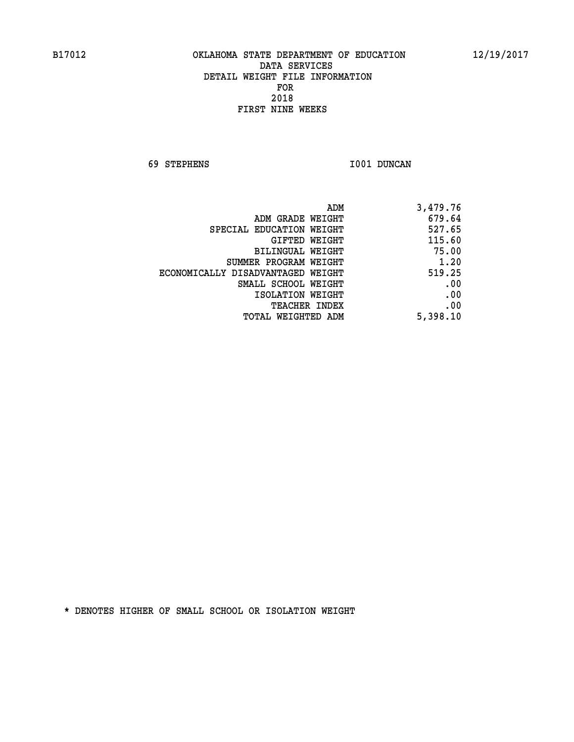**69 STEPHENS I001 DUNCAN** 

|                                   | 3,479.76<br>ADM |
|-----------------------------------|-----------------|
| ADM GRADE WEIGHT                  | 679.64          |
| SPECIAL EDUCATION WEIGHT          | 527.65          |
| <b>GIFTED WEIGHT</b>              | 115.60          |
| BILINGUAL WEIGHT                  | 75.00           |
| SUMMER PROGRAM WEIGHT             | 1.20            |
| ECONOMICALLY DISADVANTAGED WEIGHT | 519.25          |
| SMALL SCHOOL WEIGHT               | .00             |
| ISOLATION WEIGHT                  | .00             |
| <b>TEACHER INDEX</b>              | .00             |
| <b>TOTAL WEIGHTED ADM</b>         | 5,398.10        |
|                                   |                 |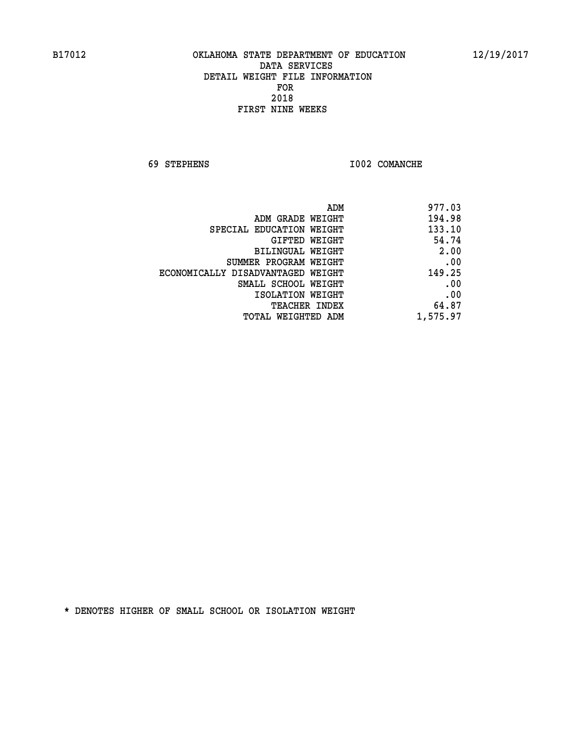**69 STEPHENS I002 COMANCHE** 

| 977.03   |
|----------|
| 194.98   |
| 133.10   |
| 54.74    |
| 2.00     |
| .00      |
| 149.25   |
| .00      |
| .00      |
| 64.87    |
| 1,575.97 |
|          |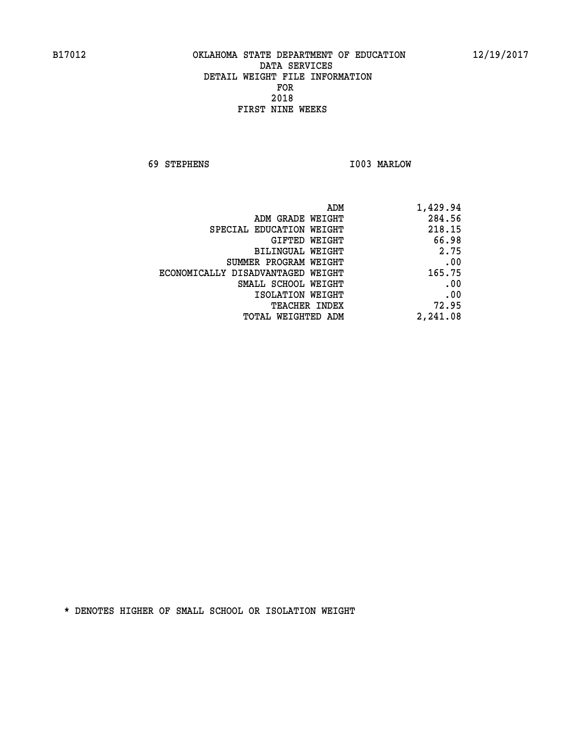**69 STEPHENS I003 MARLOW** 

| 1,429.94 |
|----------|
| 284.56   |
| 218.15   |
| 66.98    |
| 2.75     |
| .00      |
| 165.75   |
| .00      |
| .00      |
| 72.95    |
| 2,241.08 |
|          |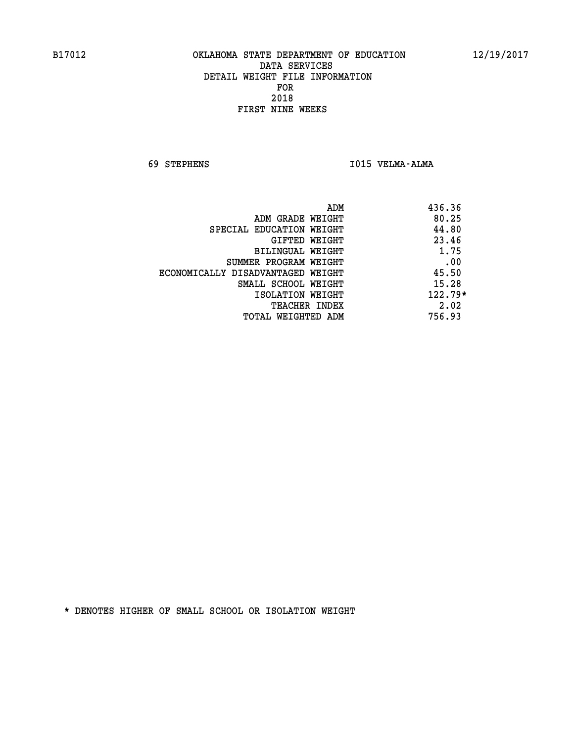**69 STEPHENS I015 VELMA-ALMA** 

| ADM<br>436.36                              |  |
|--------------------------------------------|--|
| 80.25<br>ADM GRADE WEIGHT                  |  |
| 44.80<br>SPECIAL EDUCATION WEIGHT          |  |
| 23.46<br>GIFTED WEIGHT                     |  |
| 1.75<br>BILINGUAL WEIGHT                   |  |
| .00<br>SUMMER PROGRAM WEIGHT               |  |
| 45.50<br>ECONOMICALLY DISADVANTAGED WEIGHT |  |
| 15.28<br>SMALL SCHOOL WEIGHT               |  |
| $122.79*$<br>ISOLATION WEIGHT              |  |
| 2.02<br><b>TEACHER INDEX</b>               |  |
| 756.93<br>TOTAL WEIGHTED ADM               |  |
|                                            |  |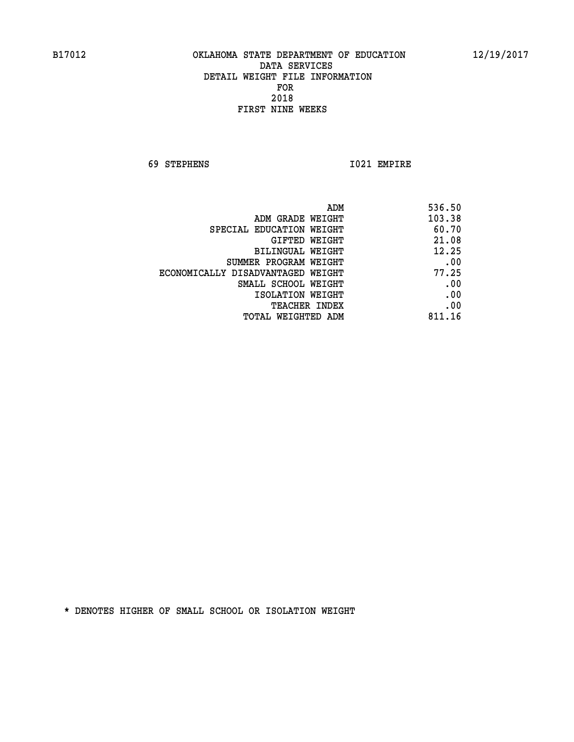**69 STEPHENS I021 EMPIRE** 

|                                   | 536.50<br>ADM |
|-----------------------------------|---------------|
| ADM GRADE WEIGHT                  | 103.38        |
| SPECIAL EDUCATION WEIGHT          | 60.70         |
| <b>GIFTED WEIGHT</b>              | 21.08         |
| BILINGUAL WEIGHT                  | 12.25         |
| SUMMER PROGRAM WEIGHT             | .00           |
| ECONOMICALLY DISADVANTAGED WEIGHT | 77.25         |
| SMALL SCHOOL WEIGHT               | .00           |
| ISOLATION WEIGHT                  | .00           |
| <b>TEACHER INDEX</b>              | .00           |
| TOTAL WEIGHTED ADM                | 811.16        |
|                                   |               |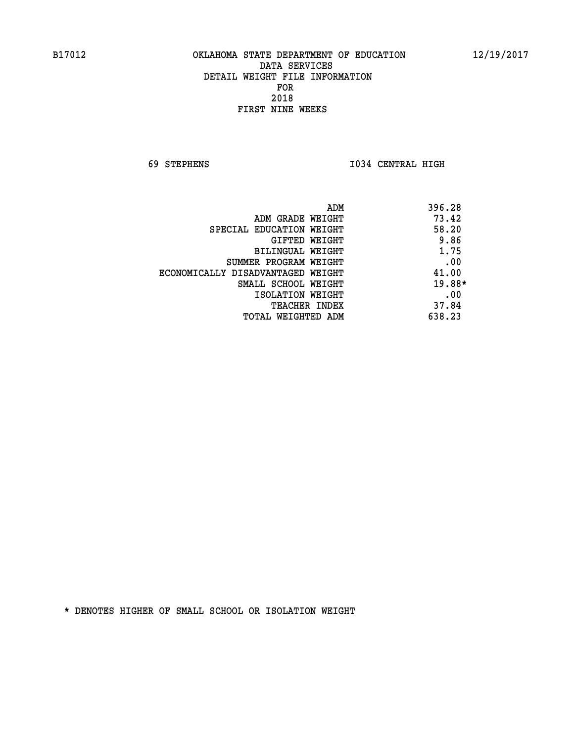**69 STEPHENS I034 CENTRAL HIGH** 

| ADM                               | 396.28 |
|-----------------------------------|--------|
| ADM GRADE WEIGHT                  | 73.42  |
| SPECIAL EDUCATION WEIGHT          | 58.20  |
| GIFTED WEIGHT                     | 9.86   |
| BILINGUAL WEIGHT                  | 1.75   |
| SUMMER PROGRAM WEIGHT             | .00    |
| ECONOMICALLY DISADVANTAGED WEIGHT | 41.00  |
| SMALL SCHOOL WEIGHT               | 19.88* |
| ISOLATION WEIGHT                  | .00    |
| TEACHER INDEX                     | 37.84  |
| TOTAL WEIGHTED ADM                | 638.23 |
|                                   |        |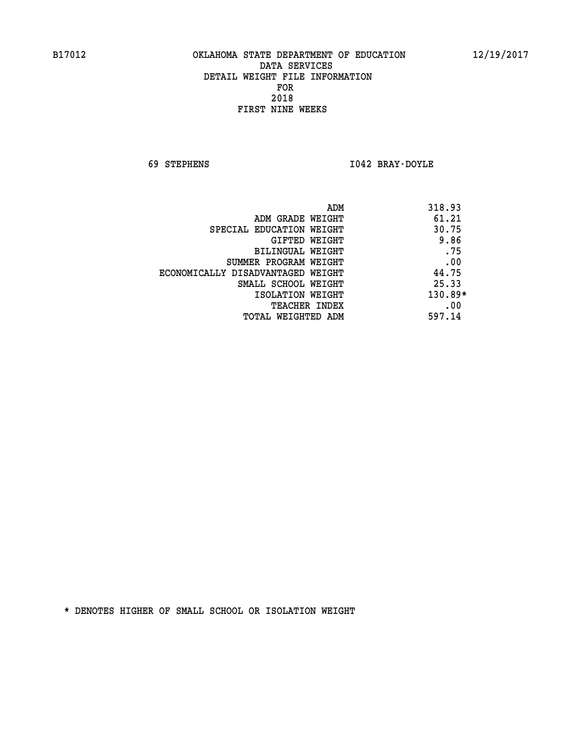**69 STEPHENS I042 BRAY-DOYLE** 

| 318.93<br>ADM                              |  |
|--------------------------------------------|--|
| 61.21<br>ADM GRADE WEIGHT                  |  |
| 30.75<br>SPECIAL EDUCATION WEIGHT          |  |
| 9.86<br>GIFTED WEIGHT                      |  |
| .75<br>BILINGUAL WEIGHT                    |  |
| .00<br>SUMMER PROGRAM WEIGHT               |  |
| 44.75<br>ECONOMICALLY DISADVANTAGED WEIGHT |  |
| 25.33<br>SMALL SCHOOL WEIGHT               |  |
| 130.89*<br>ISOLATION WEIGHT                |  |
| .00<br><b>TEACHER INDEX</b>                |  |
| 597.14<br>TOTAL WEIGHTED ADM               |  |
|                                            |  |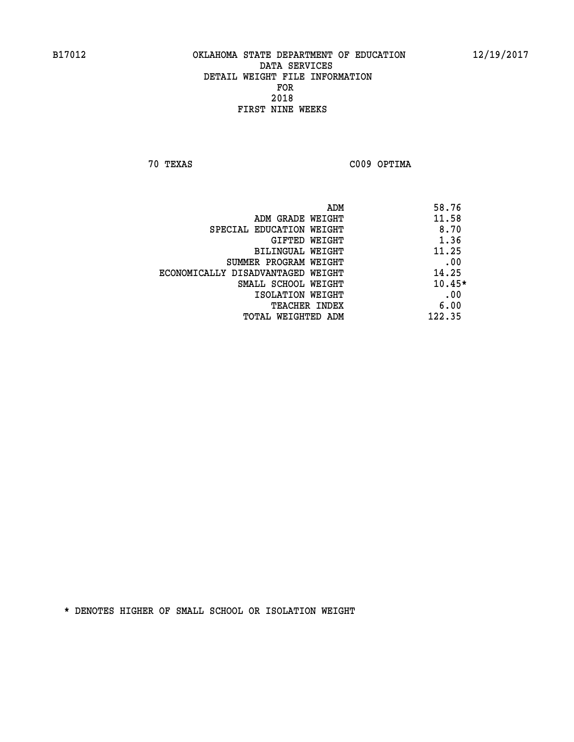**70 TEXAS C009 OPTIMA** 

|                                   | ADM | 58.76    |
|-----------------------------------|-----|----------|
| ADM GRADE WEIGHT                  |     | 11.58    |
| SPECIAL EDUCATION WEIGHT          |     | 8.70     |
| GIFTED WEIGHT                     |     | 1.36     |
| BILINGUAL WEIGHT                  |     | 11.25    |
| SUMMER PROGRAM WEIGHT             |     | .00      |
| ECONOMICALLY DISADVANTAGED WEIGHT |     | 14.25    |
| SMALL SCHOOL WEIGHT               |     | $10.45*$ |
| ISOLATION WEIGHT                  |     | .00      |
| <b>TEACHER INDEX</b>              |     | 6.00     |
| TOTAL WEIGHTED ADM                |     | 122.35   |
|                                   |     |          |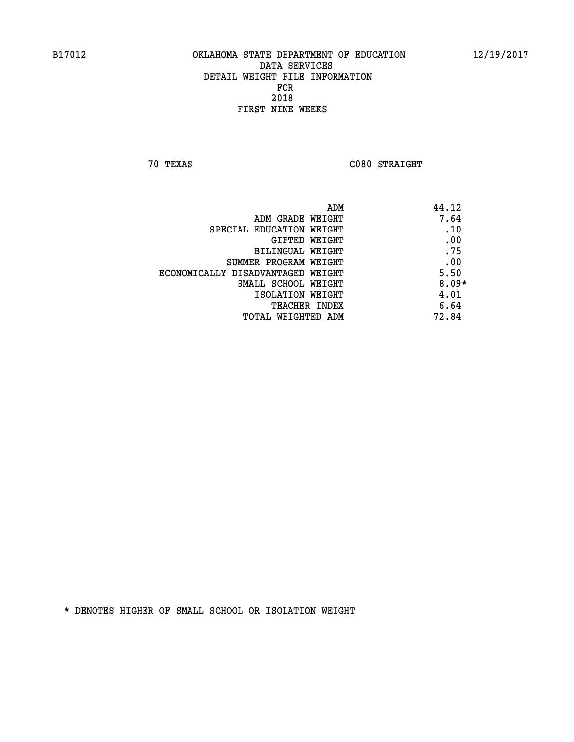**70 TEXAS C080 STRAIGHT** 

| ADM                               | 44.12   |
|-----------------------------------|---------|
| ADM GRADE WEIGHT                  | 7.64    |
| SPECIAL EDUCATION WEIGHT          | .10     |
| GIFTED WEIGHT                     | .00     |
| BILINGUAL WEIGHT                  | .75     |
| SUMMER PROGRAM WEIGHT             | .00     |
| ECONOMICALLY DISADVANTAGED WEIGHT | 5.50    |
| SMALL SCHOOL WEIGHT               | $8.09*$ |
| ISOLATION WEIGHT                  | 4.01    |
| TEACHER INDEX                     | 6.64    |
| TOTAL WEIGHTED ADM                | 72.84   |
|                                   |         |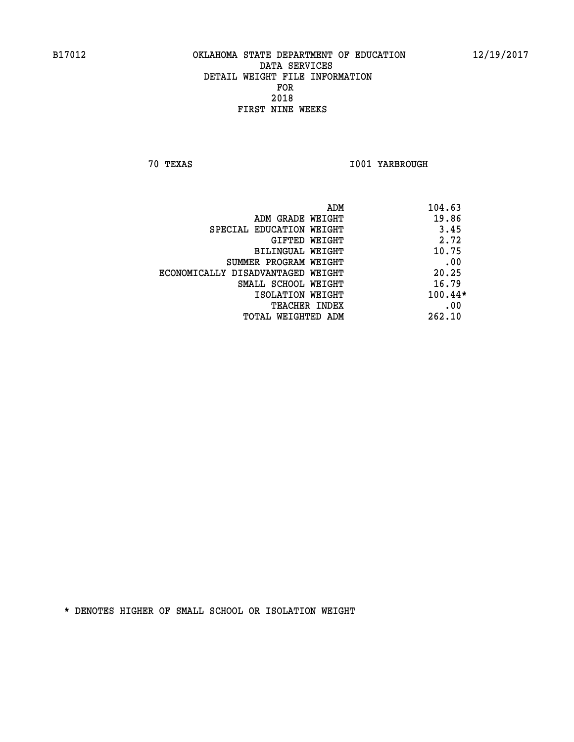**70 TEXAS I001 YARBROUGH** 

|                                   | ADM | 104.63  |
|-----------------------------------|-----|---------|
| ADM GRADE WEIGHT                  |     | 19.86   |
| SPECIAL EDUCATION WEIGHT          |     | 3.45    |
| GIFTED WEIGHT                     |     | 2.72    |
| BILINGUAL WEIGHT                  |     | 10.75   |
| SUMMER PROGRAM WEIGHT             |     | .00     |
| ECONOMICALLY DISADVANTAGED WEIGHT |     | 20.25   |
| SMALL SCHOOL WEIGHT               |     | 16.79   |
| ISOLATION WEIGHT                  |     | 100.44* |
| TEACHER INDEX                     |     | .00     |
| TOTAL WEIGHTED ADM                |     | 262.10  |
|                                   |     |         |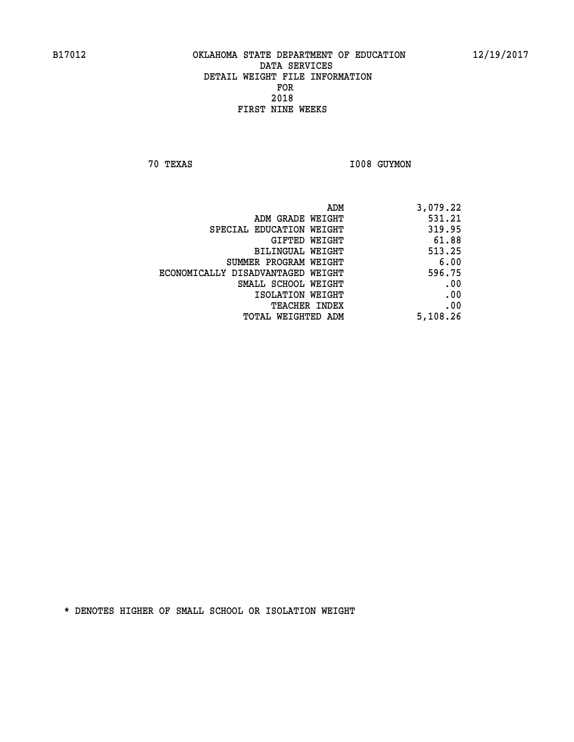**70 TEXAS I008 GUYMON** 

| 3,079.22 |
|----------|
| 531.21   |
| 319.95   |
| 61.88    |
| 513.25   |
| 6.00     |
| 596.75   |
| .00      |
| .00      |
| .00      |
| 5,108.26 |
|          |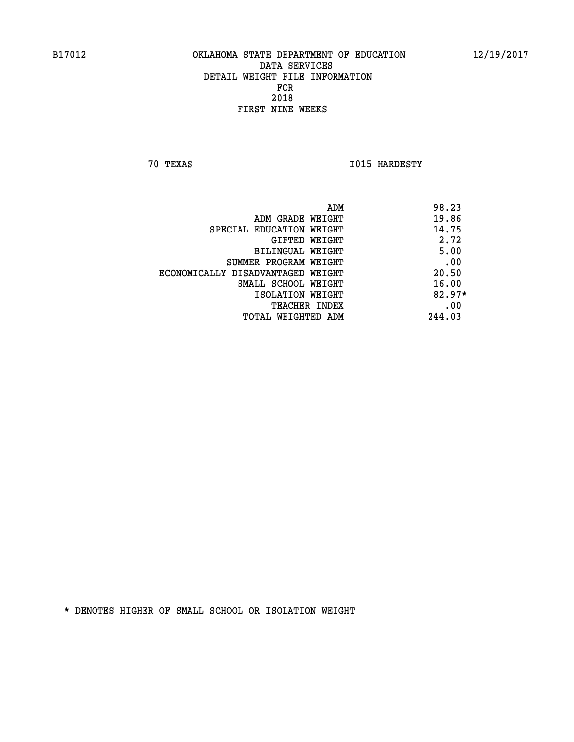**70 TEXAS I015 HARDESTY** 

|                                   | ADM | 98.23    |
|-----------------------------------|-----|----------|
| ADM GRADE WEIGHT                  |     | 19.86    |
| SPECIAL EDUCATION WEIGHT          |     | 14.75    |
| GIFTED WEIGHT                     |     | 2.72     |
| BILINGUAL WEIGHT                  |     | 5.00     |
| SUMMER PROGRAM WEIGHT             |     | .00      |
| ECONOMICALLY DISADVANTAGED WEIGHT |     | 20.50    |
| SMALL SCHOOL WEIGHT               |     | 16.00    |
| ISOLATION WEIGHT                  |     | $82.97*$ |
| TEACHER INDEX                     |     | .00      |
| TOTAL WEIGHTED ADM                |     | 244.03   |
|                                   |     |          |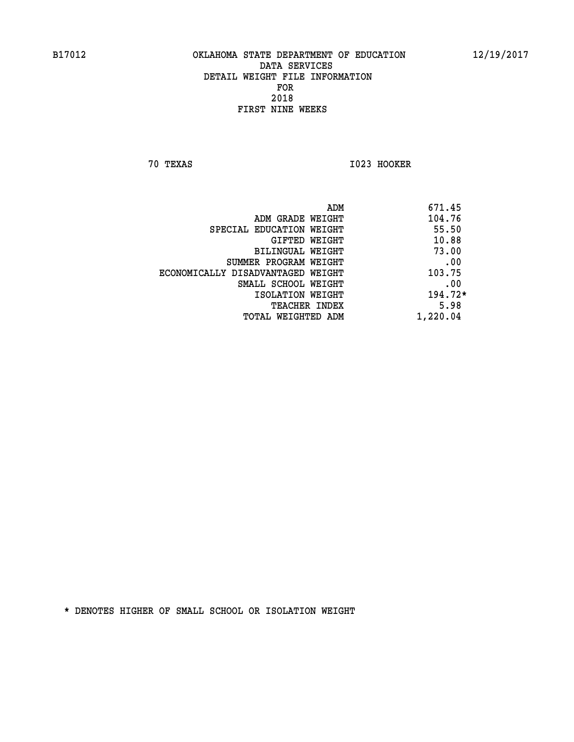**70 TEXAS I023 HOOKER** 

|                                   | ADM | 671.45    |
|-----------------------------------|-----|-----------|
| ADM GRADE WEIGHT                  |     | 104.76    |
| SPECIAL EDUCATION WEIGHT          |     | 55.50     |
| GIFTED WEIGHT                     |     | 10.88     |
| BILINGUAL WEIGHT                  |     | 73.00     |
| SUMMER PROGRAM WEIGHT             |     | .00       |
| ECONOMICALLY DISADVANTAGED WEIGHT |     | 103.75    |
| SMALL SCHOOL WEIGHT               |     | .00       |
| ISOLATION WEIGHT                  |     | $194.72*$ |
| TEACHER INDEX                     |     | 5.98      |
| TOTAL WEIGHTED ADM                |     | 1,220.04  |
|                                   |     |           |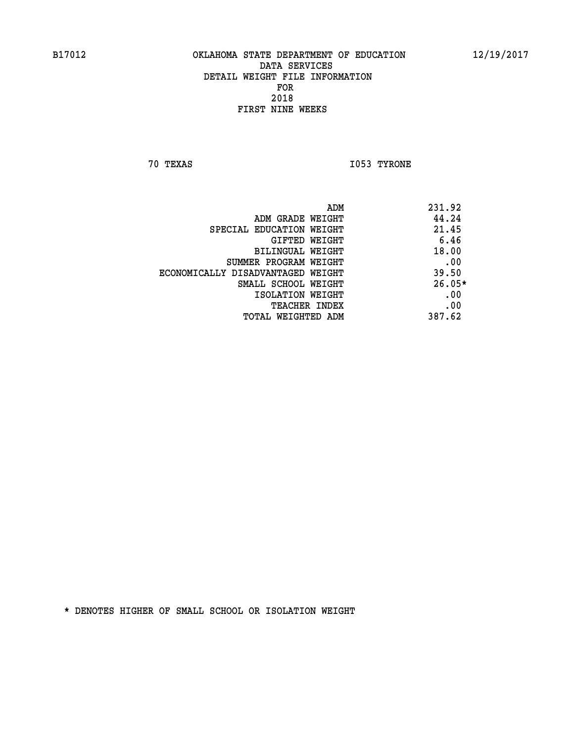**70 TEXAS I053 TYRONE** 

|                                   | 231.92<br>ADM |  |
|-----------------------------------|---------------|--|
| ADM GRADE WEIGHT                  | 44.24         |  |
| SPECIAL EDUCATION WEIGHT          | 21.45         |  |
| GIFTED WEIGHT                     | 6.46          |  |
| BILINGUAL WEIGHT                  | 18.00         |  |
| SUMMER PROGRAM WEIGHT             | .00           |  |
| ECONOMICALLY DISADVANTAGED WEIGHT | 39.50         |  |
| SMALL SCHOOL WEIGHT               | $26.05*$      |  |
| ISOLATION WEIGHT                  | .00           |  |
| TEACHER INDEX                     | .00           |  |
| TOTAL WEIGHTED ADM                | 387.62        |  |
|                                   |               |  |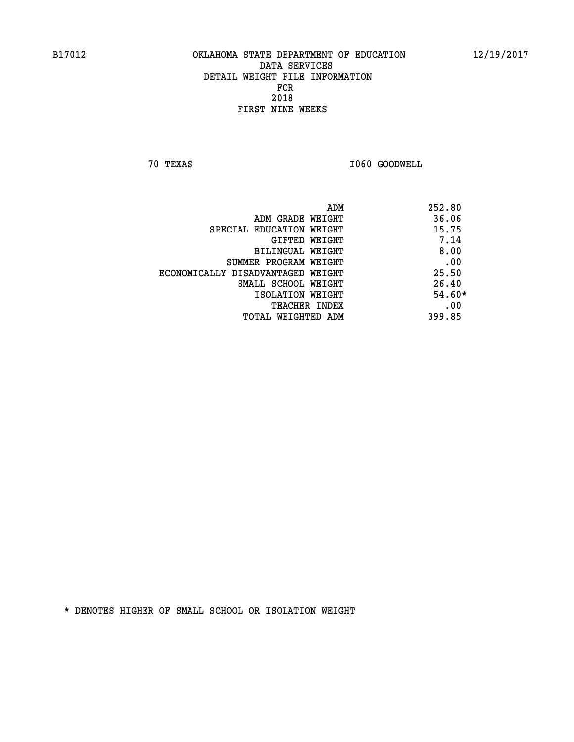**70 TEXAS I060 GOODWELL** 

| ADM                               | 252.80   |
|-----------------------------------|----------|
| ADM GRADE WEIGHT                  | 36.06    |
| SPECIAL EDUCATION WEIGHT          | 15.75    |
| GIFTED WEIGHT                     | 7.14     |
| BILINGUAL WEIGHT                  | 8.00     |
| SUMMER PROGRAM WEIGHT             | .00      |
| ECONOMICALLY DISADVANTAGED WEIGHT | 25.50    |
| SMALL SCHOOL WEIGHT               | 26.40    |
| ISOLATION WEIGHT                  | $54.60*$ |
| <b>TEACHER INDEX</b>              | .00      |
| TOTAL WEIGHTED ADM                | 399.85   |
|                                   |          |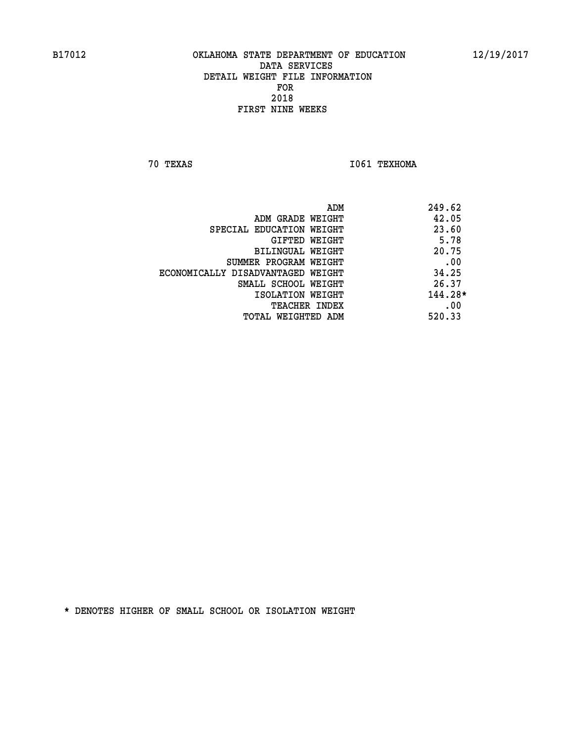**70 TEXAS I061 TEXHOMA** 

|                                   | 249.62<br>ADM |
|-----------------------------------|---------------|
| ADM GRADE WEIGHT                  | 42.05         |
| SPECIAL EDUCATION WEIGHT          | 23.60         |
| GIFTED WEIGHT                     | 5.78          |
| BILINGUAL WEIGHT                  | 20.75         |
| SUMMER PROGRAM WEIGHT             | .00           |
| ECONOMICALLY DISADVANTAGED WEIGHT | 34.25         |
| SMALL SCHOOL WEIGHT               | 26.37         |
| ISOLATION WEIGHT                  | 144.28*       |
| TEACHER INDEX                     | .00           |
| TOTAL WEIGHTED ADM                | 520.33        |
|                                   |               |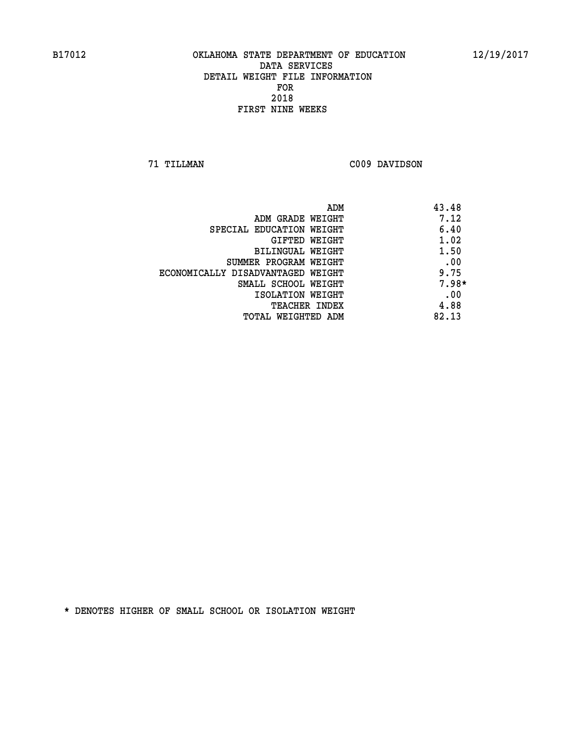**71 TILLMAN C009 DAVIDSON** 

| ADM                               | 43.48   |
|-----------------------------------|---------|
| ADM GRADE WEIGHT                  | 7.12    |
| SPECIAL EDUCATION WEIGHT          | 6.40    |
| GIFTED WEIGHT                     | 1.02    |
| <b>BILINGUAL WEIGHT</b>           | 1.50    |
| SUMMER PROGRAM WEIGHT             | .00     |
| ECONOMICALLY DISADVANTAGED WEIGHT | 9.75    |
| SMALL SCHOOL WEIGHT               | $7.98*$ |
| ISOLATION WEIGHT                  | .00     |
| <b>TEACHER INDEX</b>              | 4.88    |
| TOTAL WEIGHTED ADM                | 82.13   |
|                                   |         |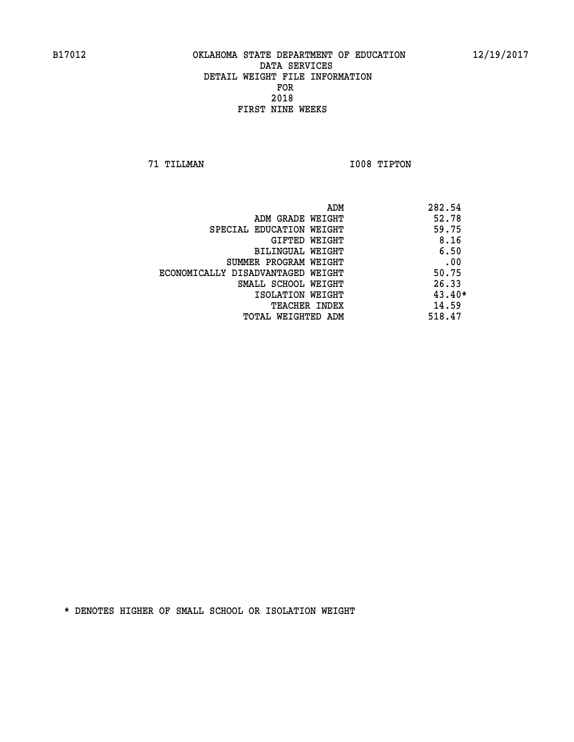**71 TILLMAN I008 TIPTON** 

| ADM                               | 282.54   |
|-----------------------------------|----------|
| ADM GRADE WEIGHT                  | 52.78    |
| SPECIAL EDUCATION WEIGHT          | 59.75    |
| GIFTED WEIGHT                     | 8.16     |
| BILINGUAL WEIGHT                  | 6.50     |
| SUMMER PROGRAM WEIGHT             | .00      |
| ECONOMICALLY DISADVANTAGED WEIGHT | 50.75    |
| SMALL SCHOOL WEIGHT               | 26.33    |
| ISOLATION WEIGHT                  | $43.40*$ |
| <b>TEACHER INDEX</b>              | 14.59    |
| TOTAL WEIGHTED ADM                | 518.47   |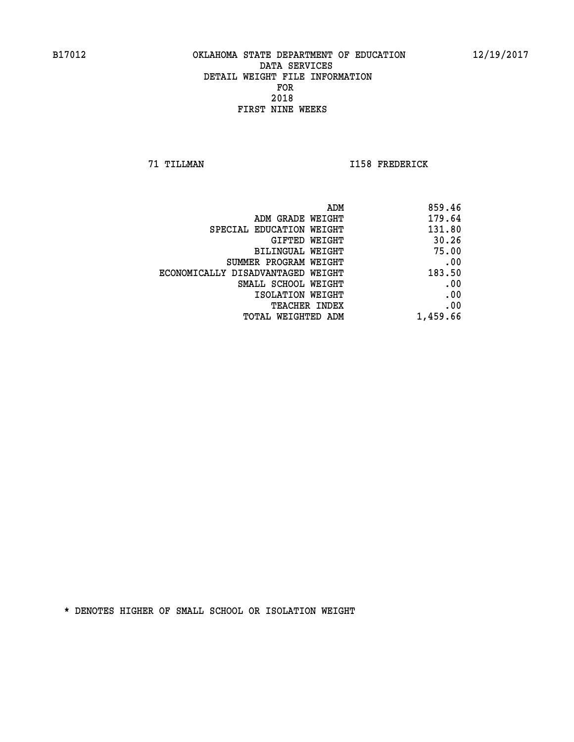**71 TILLMAN I158 FREDERICK** 

|                                   | 859.46<br>ADM |
|-----------------------------------|---------------|
| ADM GRADE WEIGHT                  | 179.64        |
| SPECIAL EDUCATION WEIGHT          | 131.80        |
| GIFTED WEIGHT                     | 30.26         |
| <b>BILINGUAL WEIGHT</b>           | 75.00         |
| SUMMER PROGRAM WEIGHT             | .00           |
| ECONOMICALLY DISADVANTAGED WEIGHT | 183.50        |
| SMALL SCHOOL WEIGHT               | .00           |
| ISOLATION WEIGHT                  | .00           |
| TEACHER INDEX                     | .00           |
| TOTAL WEIGHTED ADM                | 1,459.66      |
|                                   |               |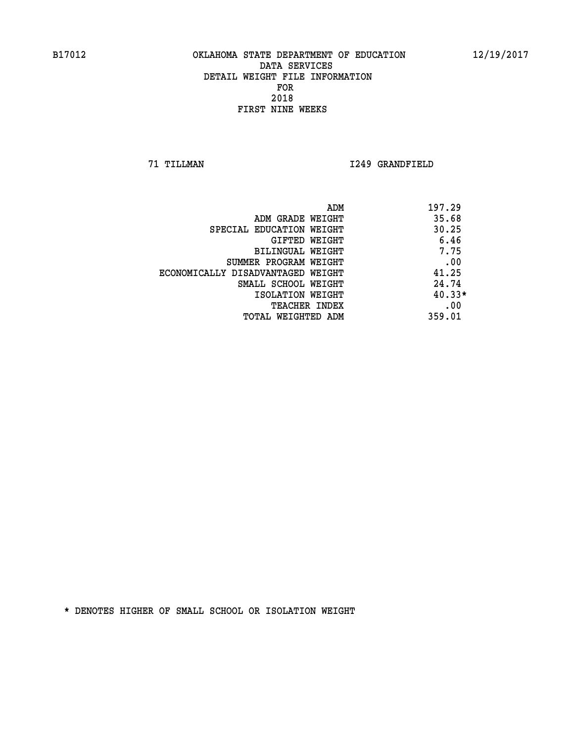**71 TILLMAN I249 GRANDFIELD** 

| ADM                               | 197.29   |
|-----------------------------------|----------|
| ADM GRADE WEIGHT                  | 35.68    |
| SPECIAL EDUCATION WEIGHT          | 30.25    |
| GIFTED WEIGHT                     | 6.46     |
| BILINGUAL WEIGHT                  | 7.75     |
| SUMMER PROGRAM WEIGHT             | .00      |
| ECONOMICALLY DISADVANTAGED WEIGHT | 41.25    |
| SMALL SCHOOL WEIGHT               | 24.74    |
| ISOLATION WEIGHT                  | $40.33*$ |
| <b>TEACHER INDEX</b>              | .00      |
| TOTAL WEIGHTED ADM                | 359.01   |
|                                   |          |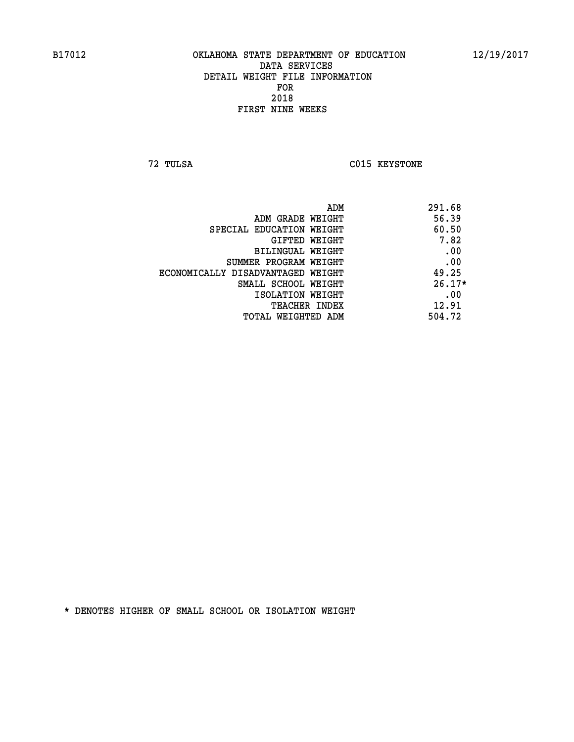**72 TULSA C015 KEYSTONE** 

| ADM                               | 291.68   |
|-----------------------------------|----------|
| ADM GRADE WEIGHT                  | 56.39    |
| SPECIAL EDUCATION WEIGHT          | 60.50    |
| GIFTED WEIGHT                     | 7.82     |
| BILINGUAL WEIGHT                  | .00      |
| SUMMER PROGRAM WEIGHT             | .00      |
| ECONOMICALLY DISADVANTAGED WEIGHT | 49.25    |
| SMALL SCHOOL WEIGHT               | $26.17*$ |
| ISOLATION WEIGHT                  | .00      |
| <b>TEACHER INDEX</b>              | 12.91    |
| TOTAL WEIGHTED ADM                | 504.72   |
|                                   |          |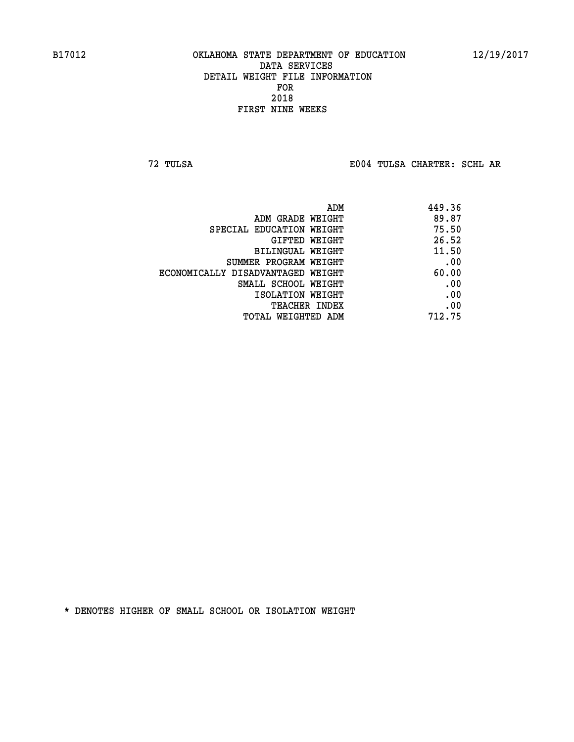**72 TULSA E004 TULSA CHARTER: SCHL AR**

| ADM                               | 449.36 |
|-----------------------------------|--------|
| ADM GRADE WEIGHT                  | 89.87  |
| SPECIAL EDUCATION WEIGHT          | 75.50  |
| <b>GIFTED WEIGHT</b>              | 26.52  |
| BILINGUAL WEIGHT                  | 11.50  |
| SUMMER PROGRAM WEIGHT             | .00    |
| ECONOMICALLY DISADVANTAGED WEIGHT | 60.00  |
| SMALL SCHOOL WEIGHT               | .00    |
| ISOLATION WEIGHT                  | .00    |
| <b>TEACHER INDEX</b>              | .00    |
| TOTAL WEIGHTED ADM                | 712.75 |
|                                   |        |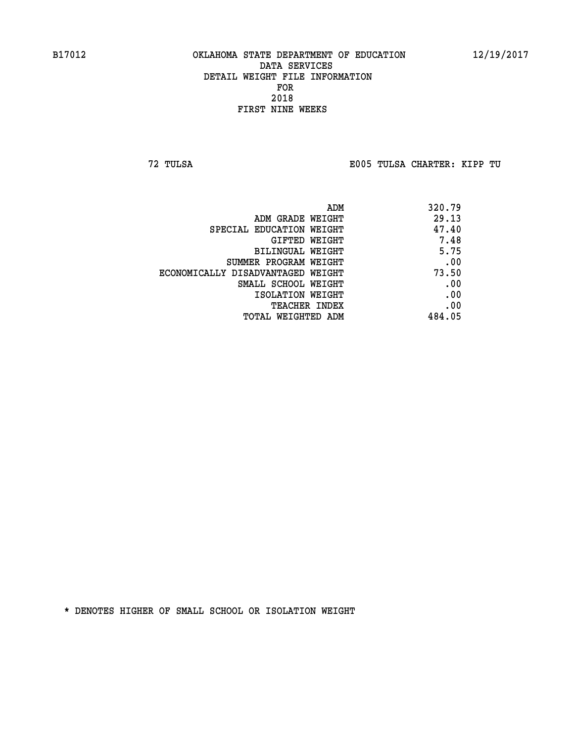**72 TULSA E005 TULSA CHARTER: KIPP TU**

| ADM                               | 320.79 |
|-----------------------------------|--------|
| ADM GRADE WEIGHT                  | 29.13  |
| SPECIAL EDUCATION WEIGHT          | 47.40  |
| GIFTED WEIGHT                     | 7.48   |
| BILINGUAL WEIGHT                  | 5.75   |
| SUMMER PROGRAM WEIGHT             | .00    |
| ECONOMICALLY DISADVANTAGED WEIGHT | 73.50  |
| SMALL SCHOOL WEIGHT               | .00    |
| ISOLATION WEIGHT                  | .00    |
| <b>TEACHER INDEX</b>              | .00    |
| TOTAL WEIGHTED ADM                | 484.05 |
|                                   |        |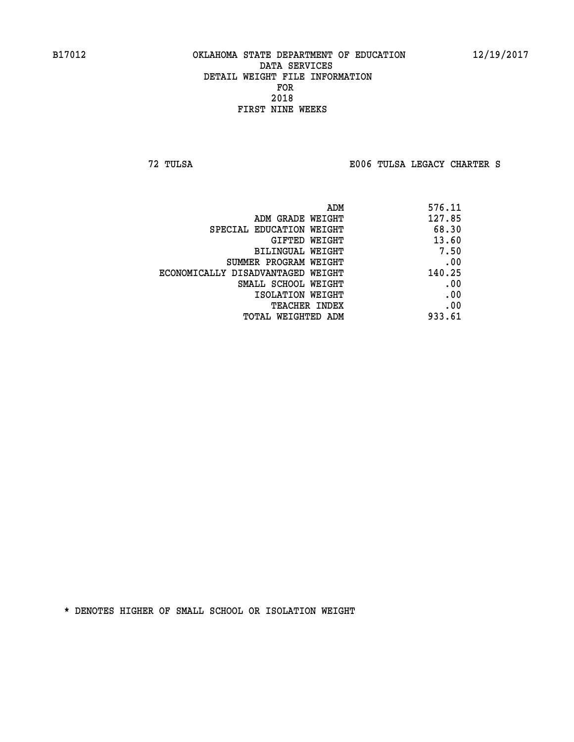**72 TULSA E006 TULSA LEGACY CHARTER S**

| 576.11 |
|--------|
| 127.85 |
| 68.30  |
| 13.60  |
| 7.50   |
| .00    |
| 140.25 |
| .00    |
| .00    |
| .00    |
| 933.61 |
|        |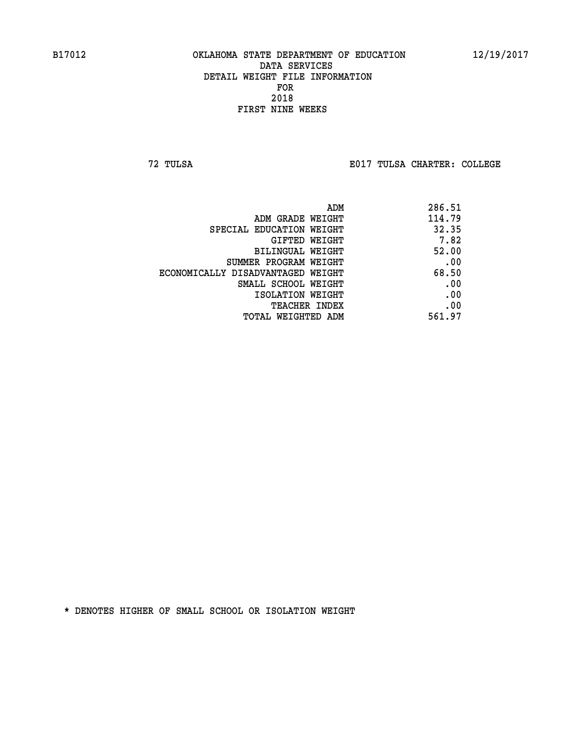**72 TULSA E017 TULSA CHARTER: COLLEGE**

|                                   | 286.51<br>ADM |  |
|-----------------------------------|---------------|--|
| ADM GRADE WEIGHT                  | 114.79        |  |
| SPECIAL EDUCATION WEIGHT          | 32.35         |  |
| GIFTED WEIGHT                     | 7.82          |  |
| BILINGUAL WEIGHT                  | 52.00         |  |
| SUMMER PROGRAM WEIGHT             | .00           |  |
| ECONOMICALLY DISADVANTAGED WEIGHT | 68.50         |  |
| SMALL SCHOOL WEIGHT               | .00           |  |
| ISOLATION WEIGHT                  | .00           |  |
| <b>TEACHER INDEX</b>              | .00           |  |
| TOTAL WEIGHTED ADM                | 561.97        |  |
|                                   |               |  |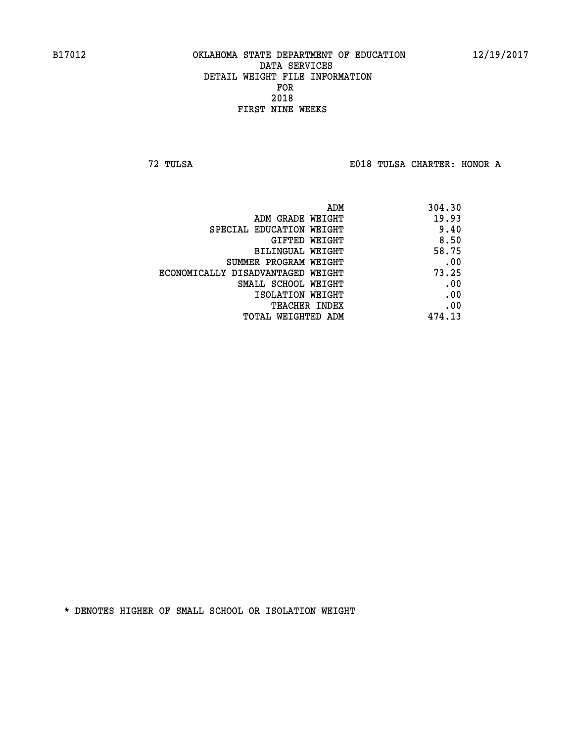**72 TULSA E018 TULSA CHARTER: HONOR A**

| 304.30 |
|--------|
| 19.93  |
| 9.40   |
| 8.50   |
| 58.75  |
| .00    |
| 73.25  |
| .00    |
| .00    |
| .00    |
| 474.13 |
|        |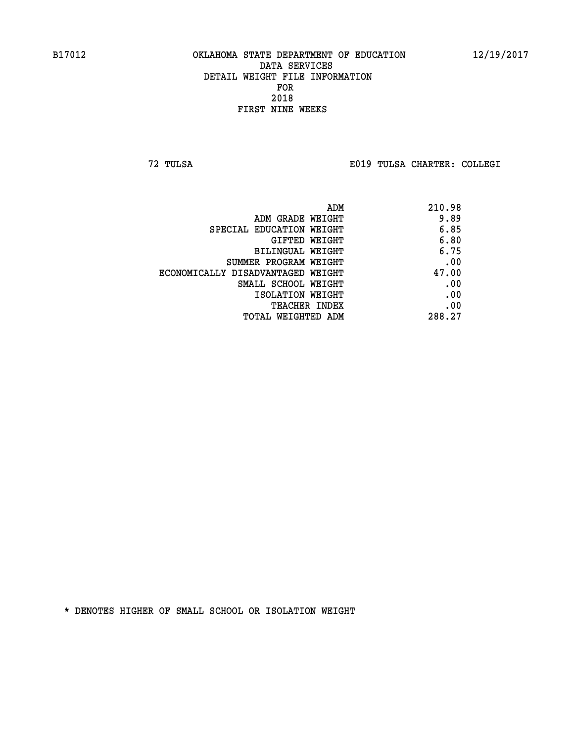**72 TULSA E019 TULSA CHARTER: COLLEGI**

|                                   | 210.98<br>ADM |      |
|-----------------------------------|---------------|------|
| ADM GRADE WEIGHT                  |               | 9.89 |
| SPECIAL EDUCATION WEIGHT          |               | 6.85 |
| GIFTED WEIGHT                     |               | 6.80 |
| BILINGUAL WEIGHT                  |               | 6.75 |
| SUMMER PROGRAM WEIGHT             |               | .00  |
| ECONOMICALLY DISADVANTAGED WEIGHT | 47.00         |      |
| SMALL SCHOOL WEIGHT               |               | .00  |
| ISOLATION WEIGHT                  |               | .00  |
| <b>TEACHER INDEX</b>              |               | .00  |
| TOTAL WEIGHTED ADM                | 288.27        |      |
|                                   |               |      |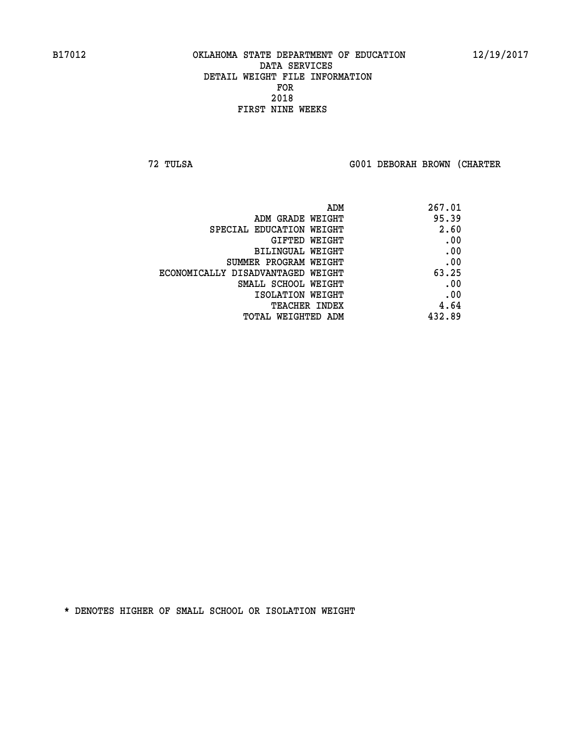**72 TULSA G001 DEBORAH BROWN (CHARTER**

| ADM                               | 267.01 |
|-----------------------------------|--------|
| ADM GRADE WEIGHT                  | 95.39  |
| SPECIAL EDUCATION WEIGHT          | 2.60   |
| GIFTED WEIGHT                     | .00    |
| BILINGUAL WEIGHT                  | .00    |
| SUMMER PROGRAM WEIGHT             | .00    |
| ECONOMICALLY DISADVANTAGED WEIGHT | 63.25  |
| SMALL SCHOOL WEIGHT               | .00    |
| ISOLATION WEIGHT                  | .00    |
| TEACHER INDEX                     | 4.64   |
| TOTAL WEIGHTED ADM                | 432.89 |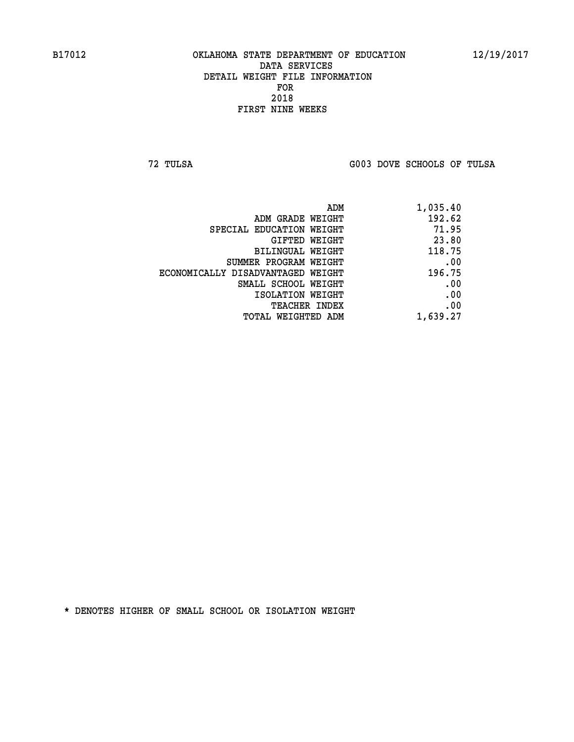**72 TULSA G003 DOVE SCHOOLS OF TULSA** 

| 1,035.40 |
|----------|
| 192.62   |
| 71.95    |
| 23.80    |
| 118.75   |
| .00      |
| 196.75   |
| .00      |
| .00      |
| .00      |
| 1,639.27 |
|          |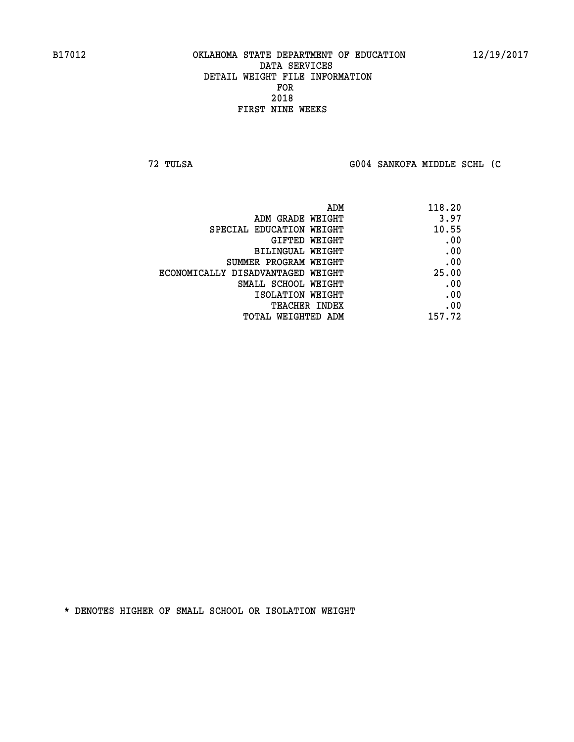**72 TULSA G004 SANKOFA MIDDLE SCHL (C**

|                                   | 118.20<br>ADM |
|-----------------------------------|---------------|
| ADM GRADE WEIGHT                  | 3.97          |
| SPECIAL EDUCATION WEIGHT          | 10.55         |
| GIFTED WEIGHT                     | .00           |
| BILINGUAL WEIGHT                  | .00           |
| SUMMER PROGRAM WEIGHT             | .00           |
| ECONOMICALLY DISADVANTAGED WEIGHT | 25.00         |
| SMALL SCHOOL WEIGHT               | .00           |
| ISOLATION WEIGHT                  | .00           |
| TEACHER INDEX                     | .00           |
| TOTAL WEIGHTED ADM                | 157.72        |
|                                   |               |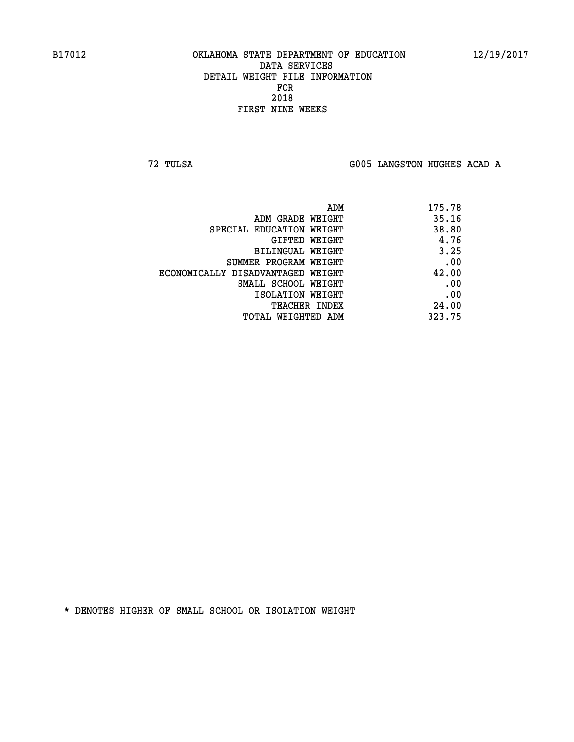**72 TULSA G005 LANGSTON HUGHES ACAD A**

| 175.78 |
|--------|
| 35.16  |
| 38.80  |
| 4.76   |
| 3.25   |
| .00    |
| 42.00  |
| .00    |
| .00    |
| 24.00  |
| 323.75 |
|        |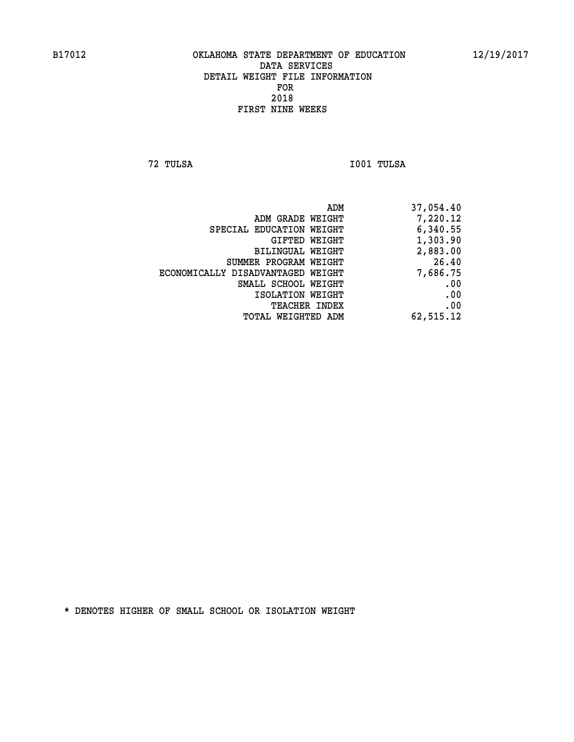**72 TULSA I001 TULSA** 

| 37,054.40 |
|-----------|
| 7,220.12  |
| 6,340.55  |
| 1,303.90  |
| 2,883.00  |
| 26.40     |
| 7,686.75  |
| .00       |
| .00       |
| .00       |
| 62,515.12 |
|           |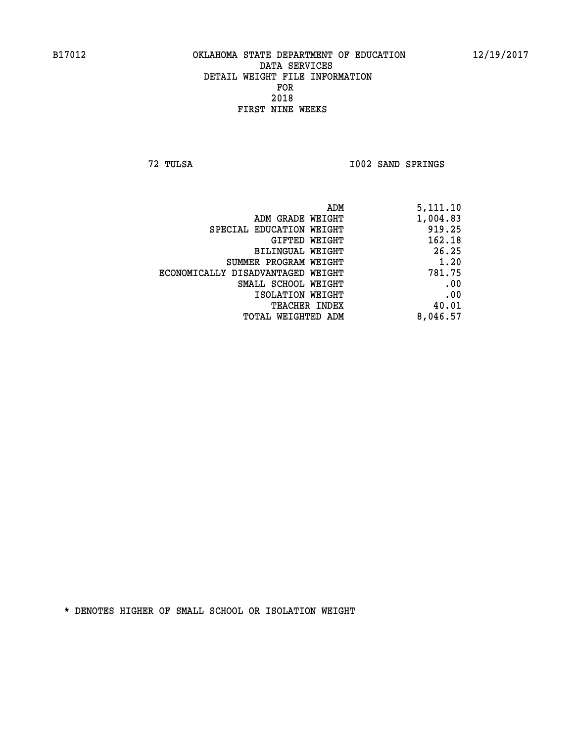**72 TULSA I002 SAND SPRINGS** 

| 5,111.10 |
|----------|
| 1,004.83 |
| 919.25   |
| 162.18   |
| 26.25    |
| 1.20     |
| 781.75   |
| .00      |
| .00      |
| 40.01    |
| 8,046.57 |
|          |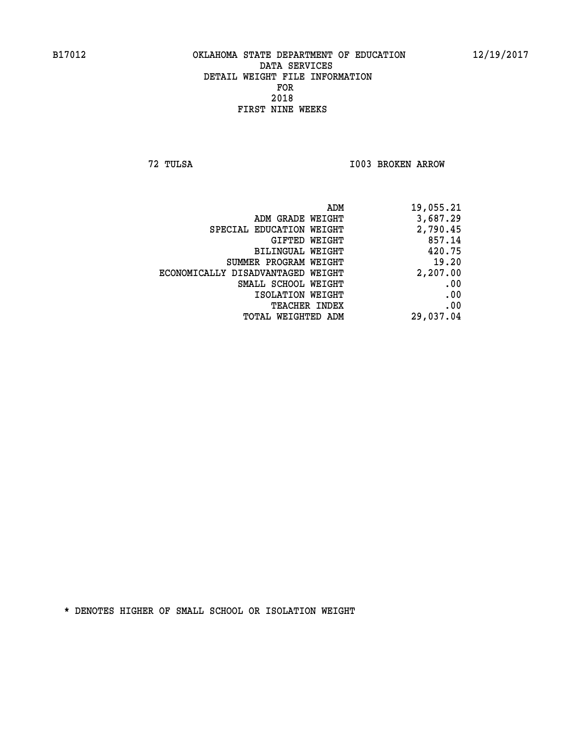**72 TULSA I003 BROKEN ARROW** 

| ADM<br>19,055.21                              |  |
|-----------------------------------------------|--|
| 3,687.29<br>ADM GRADE WEIGHT                  |  |
| 2,790.45<br>SPECIAL EDUCATION WEIGHT          |  |
| 857.14<br>GIFTED WEIGHT                       |  |
| 420.75<br>BILINGUAL WEIGHT                    |  |
| 19.20<br>SUMMER PROGRAM WEIGHT                |  |
| 2,207.00<br>ECONOMICALLY DISADVANTAGED WEIGHT |  |
| .00<br>SMALL SCHOOL WEIGHT                    |  |
| .00<br>ISOLATION WEIGHT                       |  |
| .00<br><b>TEACHER INDEX</b>                   |  |
| 29,037.04<br>TOTAL WEIGHTED ADM               |  |
|                                               |  |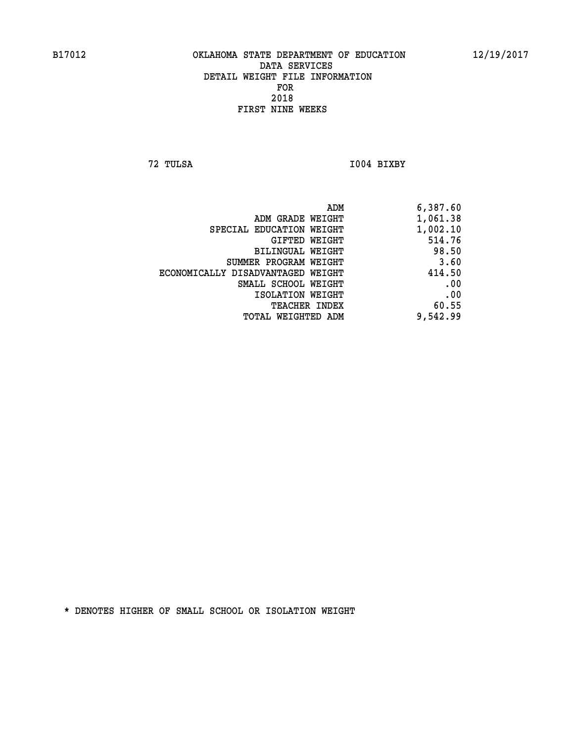**72 TULSA I004 BIXBY** 

| 6,387.60 |
|----------|
| 1,061.38 |
| 1,002.10 |
| 514.76   |
| 98.50    |
| 3.60     |
| 414.50   |
| .00      |
| .00      |
| 60.55    |
| 9,542.99 |
|          |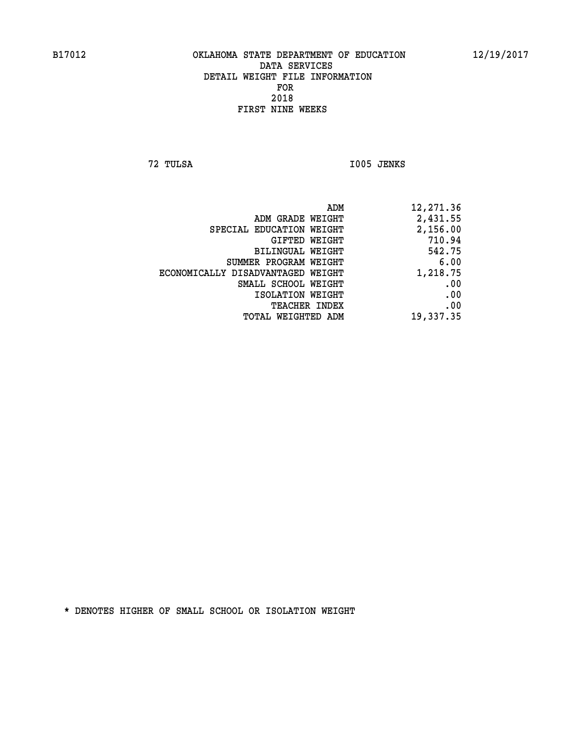**72 TULSA I005 JENKS** 

| 12,271.36 |
|-----------|
| 2,431.55  |
| 2,156.00  |
| 710.94    |
| 542.75    |
| 6.00      |
| 1,218.75  |
| .00       |
| .00       |
| .00       |
| 19,337.35 |
|           |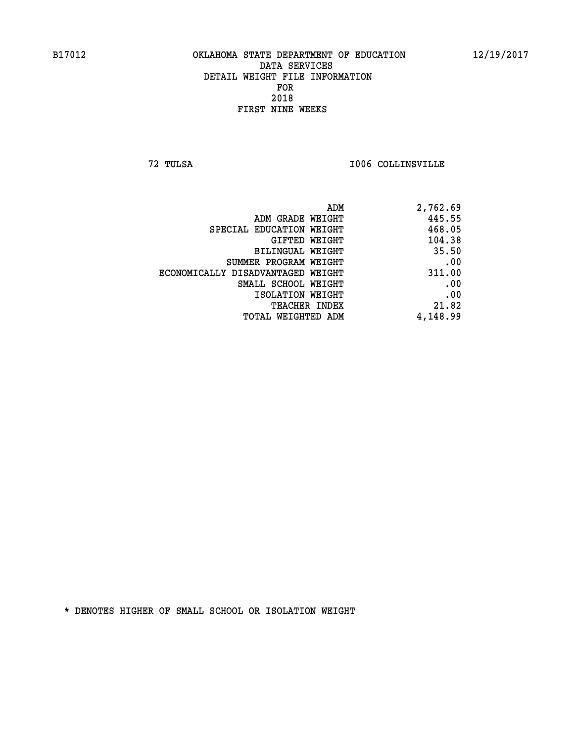**72 TULSA I006 COLLINSVILLE** 

| 2,762.69 |
|----------|
| 445.55   |
| 468.05   |
| 104.38   |
| 35.50    |
| .00      |
| 311.00   |
| .00      |
| .00      |
| 21.82    |
| 4,148.99 |
|          |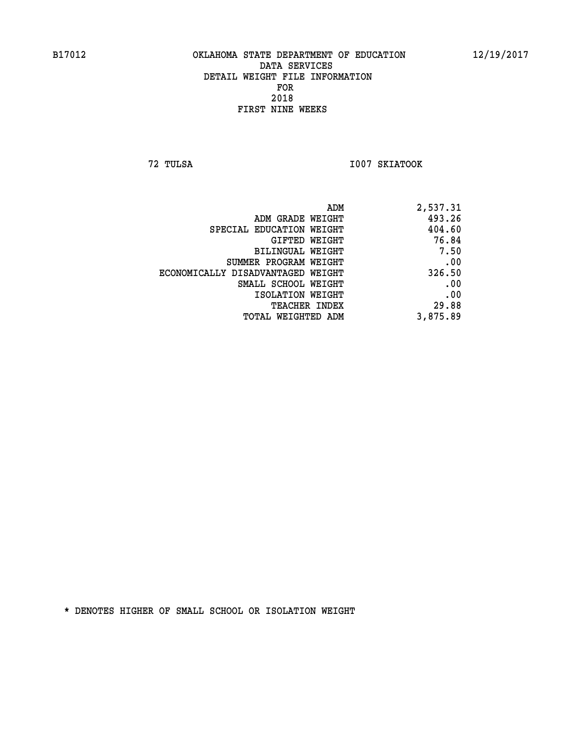**72 TULSA I007 SKIATOOK** 

| 2,537.31 |
|----------|
| 493.26   |
| 404.60   |
| 76.84    |
| 7.50     |
| .00      |
| 326.50   |
| .00      |
| .00      |
| 29.88    |
| 3,875.89 |
|          |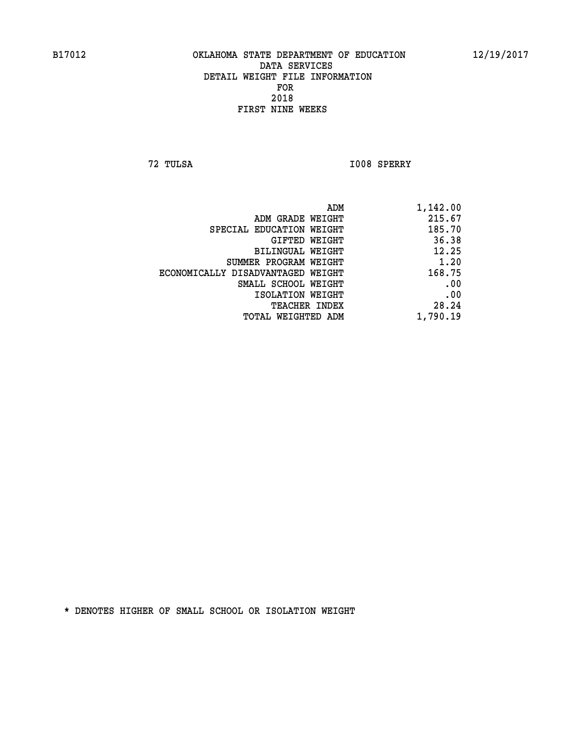**72 TULSA I008 SPERRY** 

| ADM                               | 1,142.00 |
|-----------------------------------|----------|
| ADM GRADE WEIGHT                  | 215.67   |
| SPECIAL EDUCATION WEIGHT          | 185.70   |
| GIFTED WEIGHT                     | 36.38    |
| BILINGUAL WEIGHT                  | 12.25    |
| SUMMER PROGRAM WEIGHT             | 1.20     |
| ECONOMICALLY DISADVANTAGED WEIGHT | 168.75   |
| SMALL SCHOOL WEIGHT               | .00      |
| ISOLATION WEIGHT                  | .00      |
| TEACHER INDEX                     | 28.24    |
| TOTAL WEIGHTED ADM                | 1,790.19 |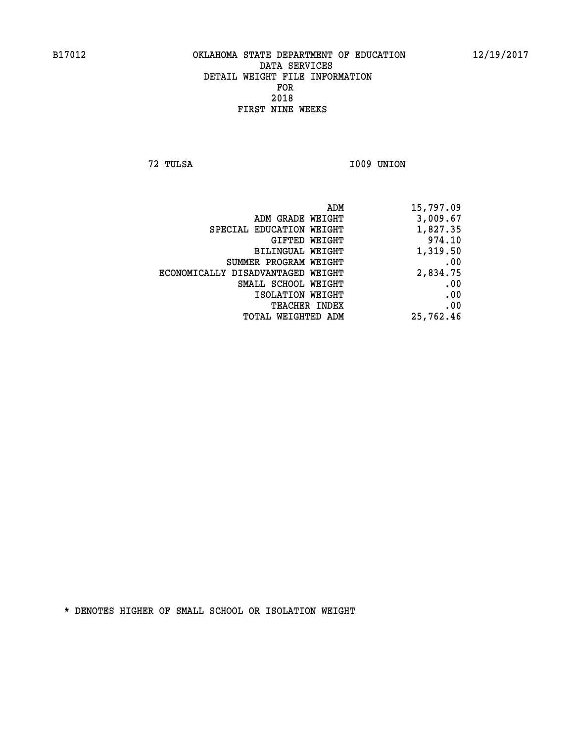**72 TULSA I009 UNION** 

| 15,797.09 |
|-----------|
| 3,009.67  |
| 1,827.35  |
| 974.10    |
| 1,319.50  |
| .00       |
| 2,834.75  |
| .00       |
| .00       |
| .00       |
| 25,762.46 |
|           |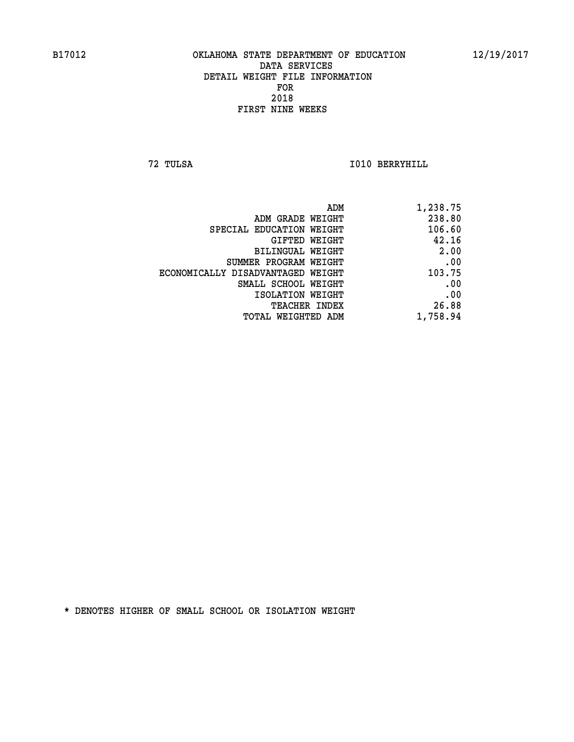**72 TULSA I010 BERRYHILL** 

| 1,238.75 |
|----------|
| 238.80   |
| 106.60   |
| 42.16    |
| 2.00     |
| .00      |
| 103.75   |
| .00      |
| .00      |
| 26.88    |
| 1,758.94 |
|          |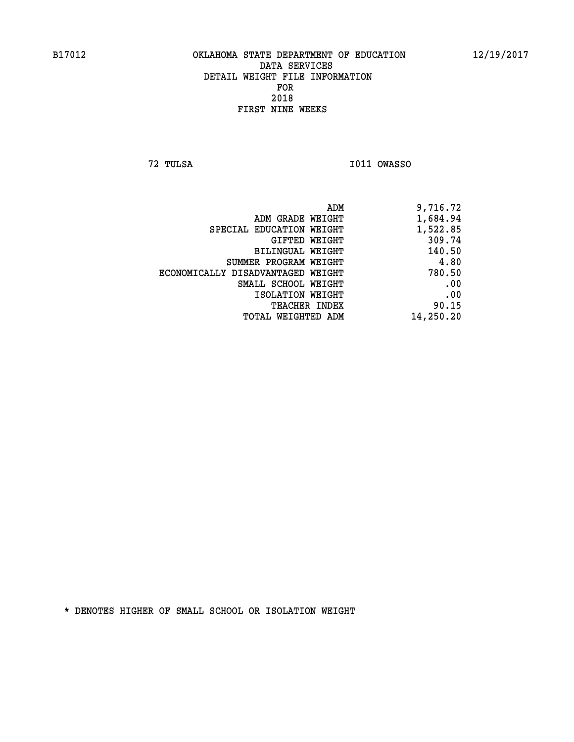**72 TULSA I011 OWASSO** 

| 9,716.72  |
|-----------|
| 1,684.94  |
| 1,522.85  |
| 309.74    |
| 140.50    |
| 4.80      |
| 780.50    |
| .00       |
| .00       |
| 90.15     |
| 14,250.20 |
|           |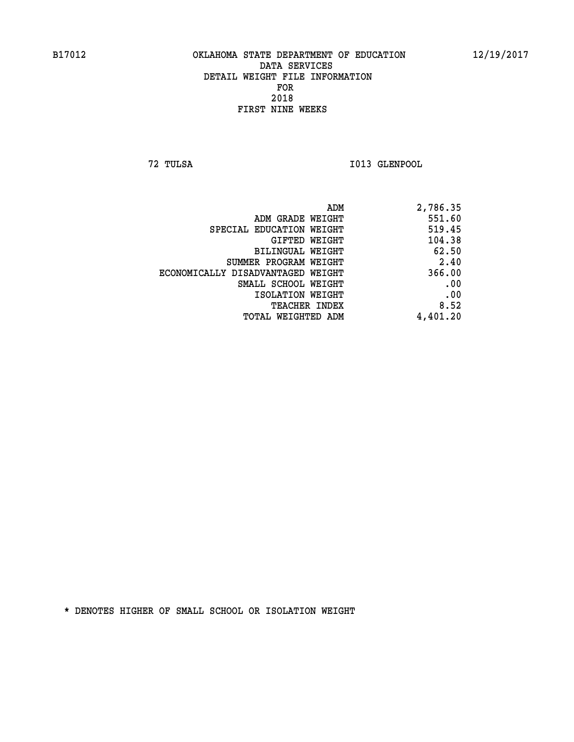**72 TULSA I013 GLENPOOL** 

| 2,786.35 |
|----------|
| 551.60   |
| 519.45   |
| 104.38   |
| 62.50    |
| 2.40     |
| 366.00   |
| .00      |
| .00      |
| 8.52     |
| 4,401.20 |
|          |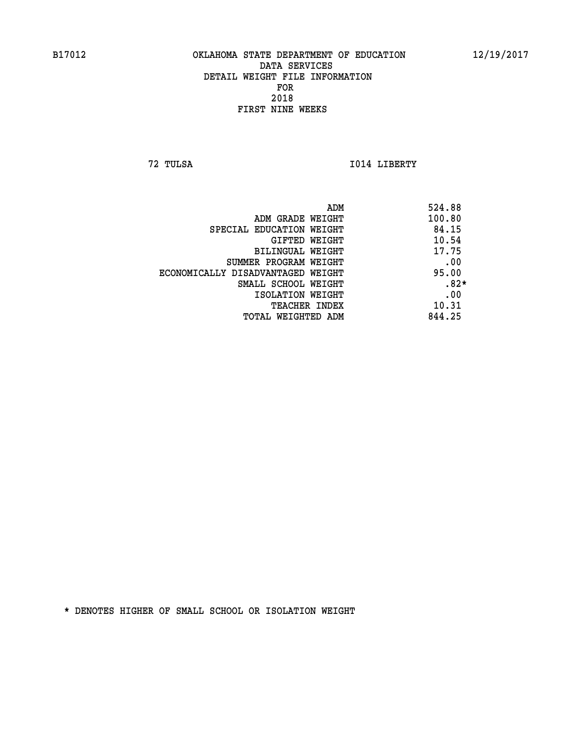**72 TULSA I014 LIBERTY** 

|                                   | ADM | 524.88 |
|-----------------------------------|-----|--------|
| ADM GRADE WEIGHT                  |     | 100.80 |
| SPECIAL EDUCATION WEIGHT          |     | 84.15  |
| GIFTED WEIGHT                     |     | 10.54  |
| BILINGUAL WEIGHT                  |     | 17.75  |
| SUMMER PROGRAM WEIGHT             |     | .00    |
| ECONOMICALLY DISADVANTAGED WEIGHT |     | 95.00  |
| SMALL SCHOOL WEIGHT               |     | $.82*$ |
| ISOLATION WEIGHT                  |     | .00    |
| TEACHER INDEX                     |     | 10.31  |
| TOTAL WEIGHTED ADM                |     | 844.25 |
|                                   |     |        |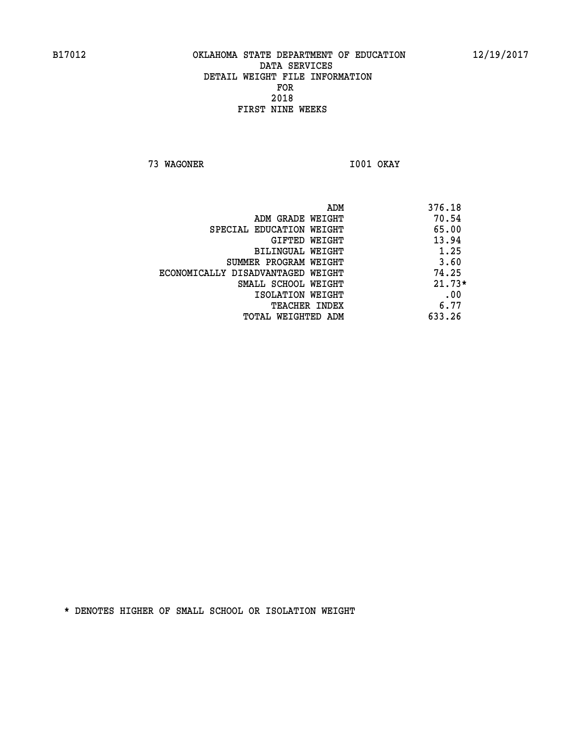**73 WAGONER I001 OKAY** 

| ADM                               | 376.18   |
|-----------------------------------|----------|
| ADM GRADE WEIGHT                  | 70.54    |
| SPECIAL EDUCATION WEIGHT          | 65.00    |
| GIFTED WEIGHT                     | 13.94    |
| BILINGUAL WEIGHT                  | 1.25     |
| SUMMER PROGRAM WEIGHT             | 3.60     |
| ECONOMICALLY DISADVANTAGED WEIGHT | 74.25    |
| SMALL SCHOOL WEIGHT               | $21.73*$ |
| ISOLATION WEIGHT                  | .00      |
| <b>TEACHER INDEX</b>              | 6.77     |
| TOTAL WEIGHTED ADM                | 633.26   |
|                                   |          |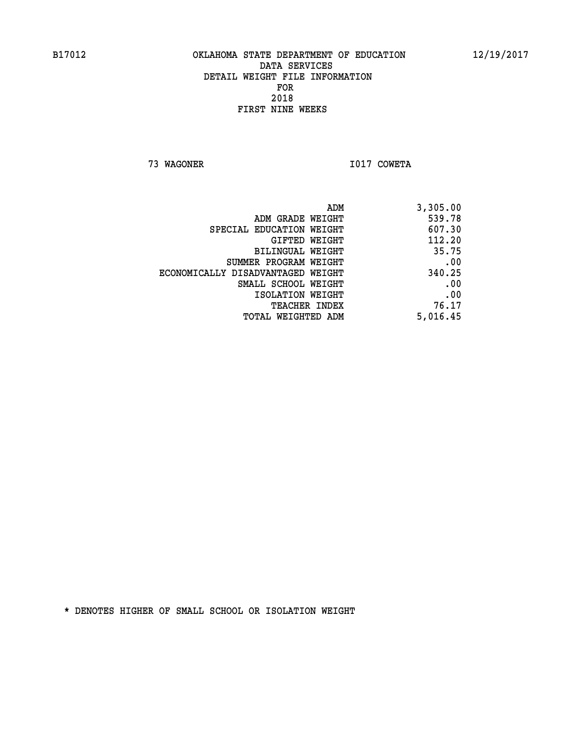**73 WAGONER I017 COWETA** 

| ADM                               | 3,305.00 |
|-----------------------------------|----------|
| ADM GRADE WEIGHT                  | 539.78   |
| SPECIAL EDUCATION WEIGHT          | 607.30   |
| GIFTED WEIGHT                     | 112.20   |
| BILINGUAL WEIGHT                  | 35.75    |
| SUMMER PROGRAM WEIGHT             | .00      |
| ECONOMICALLY DISADVANTAGED WEIGHT | 340.25   |
| SMALL SCHOOL WEIGHT               | .00      |
| ISOLATION WEIGHT                  | .00      |
| <b>TEACHER INDEX</b>              | 76.17    |
| TOTAL WEIGHTED ADM                | 5,016.45 |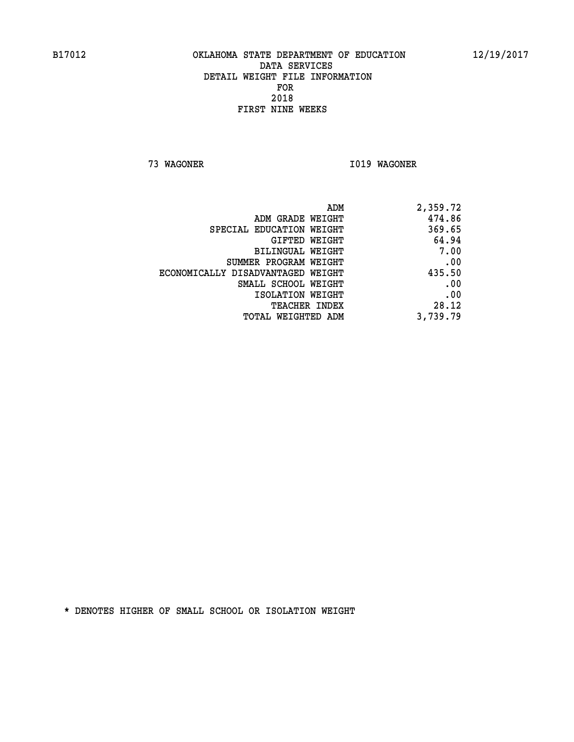**73 WAGONER I019 WAGONER** 

| ADM                               | 2,359.72 |
|-----------------------------------|----------|
| ADM GRADE WEIGHT                  | 474.86   |
| SPECIAL EDUCATION WEIGHT          | 369.65   |
| GIFTED WEIGHT                     | 64.94    |
| BILINGUAL WEIGHT                  | 7.00     |
| SUMMER PROGRAM WEIGHT             | .00      |
| ECONOMICALLY DISADVANTAGED WEIGHT | 435.50   |
| SMALL SCHOOL WEIGHT               | .00      |
| ISOLATION WEIGHT                  | .00      |
| <b>TEACHER INDEX</b>              | 28.12    |
| TOTAL WEIGHTED ADM                | 3,739.79 |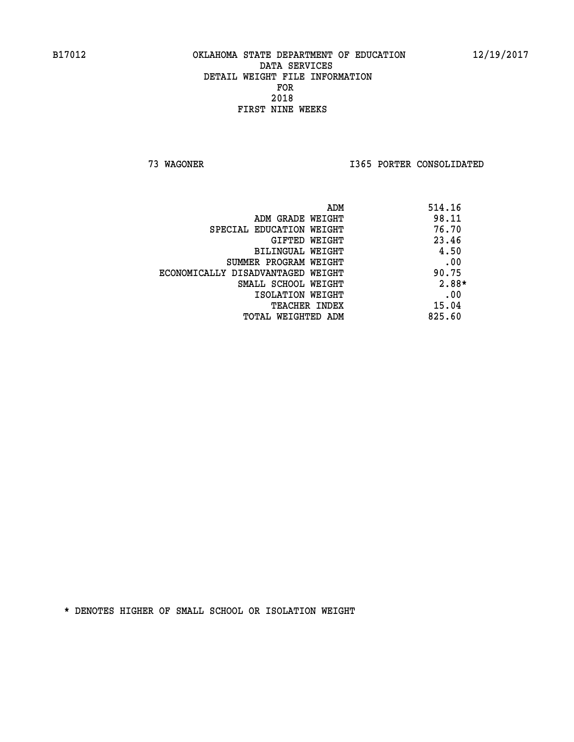**73 WAGONER I365 PORTER CONSOLIDATED** 

|                                   | ADM | 514.16  |
|-----------------------------------|-----|---------|
| ADM GRADE WEIGHT                  |     | 98.11   |
| SPECIAL EDUCATION WEIGHT          |     | 76.70   |
| GIFTED WEIGHT                     |     | 23.46   |
| BILINGUAL WEIGHT                  |     | 4.50    |
| SUMMER PROGRAM WEIGHT             |     | .00     |
| ECONOMICALLY DISADVANTAGED WEIGHT |     | 90.75   |
| SMALL SCHOOL WEIGHT               |     | $2.88*$ |
| ISOLATION WEIGHT                  |     | .00     |
| TEACHER INDEX                     |     | 15.04   |
| TOTAL WEIGHTED ADM                |     | 825.60  |
|                                   |     |         |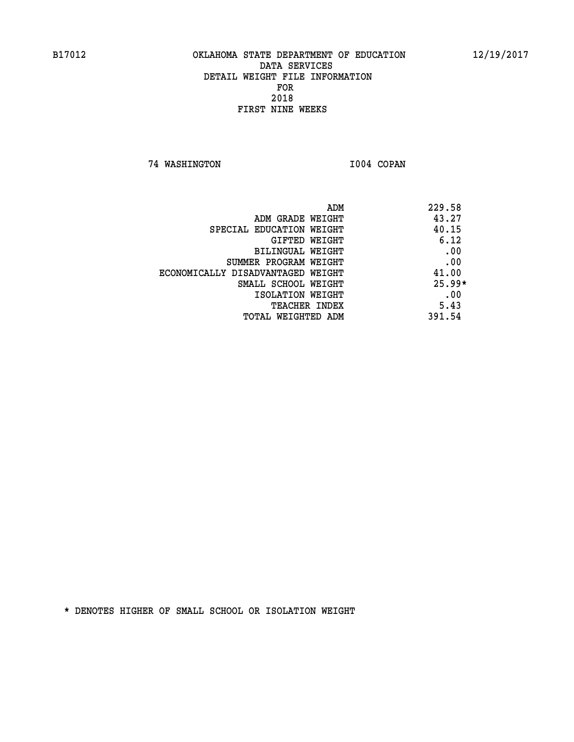**74 WASHINGTON I004 COPAN** 

| ADM                               | 229.58   |
|-----------------------------------|----------|
| ADM GRADE WEIGHT                  | 43.27    |
| SPECIAL EDUCATION WEIGHT          | 40.15    |
| <b>GIFTED WEIGHT</b>              | 6.12     |
| BILINGUAL WEIGHT                  | .00      |
| SUMMER PROGRAM WEIGHT             | .00      |
| ECONOMICALLY DISADVANTAGED WEIGHT | 41.00    |
| SMALL SCHOOL WEIGHT               | $25.99*$ |
| ISOLATION WEIGHT                  | .00      |
| <b>TEACHER INDEX</b>              | 5.43     |
| TOTAL WEIGHTED ADM                | 391.54   |
|                                   |          |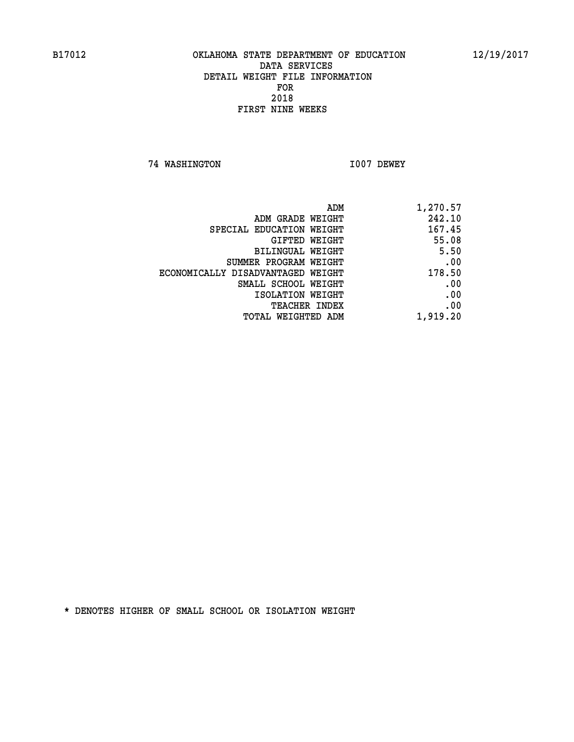**74 WASHINGTON I007 DEWEY** 

| ADM<br>1,270.57 |                                   |
|-----------------|-----------------------------------|
| 242.10          | ADM GRADE WEIGHT                  |
| 167.45          | SPECIAL EDUCATION WEIGHT          |
| 55.08           | <b>GIFTED WEIGHT</b>              |
| 5.50            | BILINGUAL WEIGHT                  |
| .00             | SUMMER PROGRAM WEIGHT             |
| 178.50          | ECONOMICALLY DISADVANTAGED WEIGHT |
| .00             | SMALL SCHOOL WEIGHT               |
| .00             | ISOLATION WEIGHT                  |
| .00             | <b>TEACHER INDEX</b>              |
| 1,919.20        | TOTAL WEIGHTED ADM                |
|                 |                                   |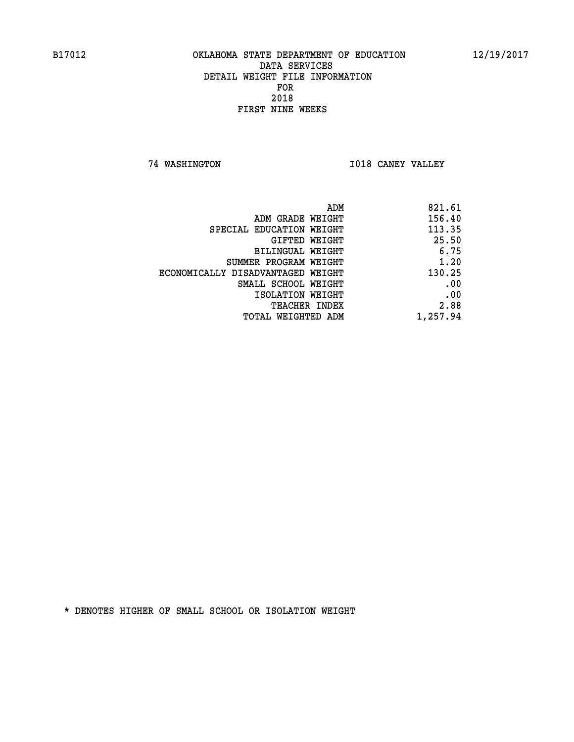**74 WASHINGTON I018 CANEY VALLEY** 

| ADM                               | 821.61   |
|-----------------------------------|----------|
| ADM GRADE WEIGHT                  | 156.40   |
| SPECIAL EDUCATION WEIGHT          | 113.35   |
| GIFTED WEIGHT                     | 25.50    |
| BILINGUAL WEIGHT                  | 6.75     |
| SUMMER PROGRAM WEIGHT             | 1.20     |
| ECONOMICALLY DISADVANTAGED WEIGHT | 130.25   |
| SMALL SCHOOL WEIGHT               | .00      |
| ISOLATION WEIGHT                  | .00      |
| TEACHER INDEX                     | 2.88     |
| TOTAL WEIGHTED ADM                | 1,257.94 |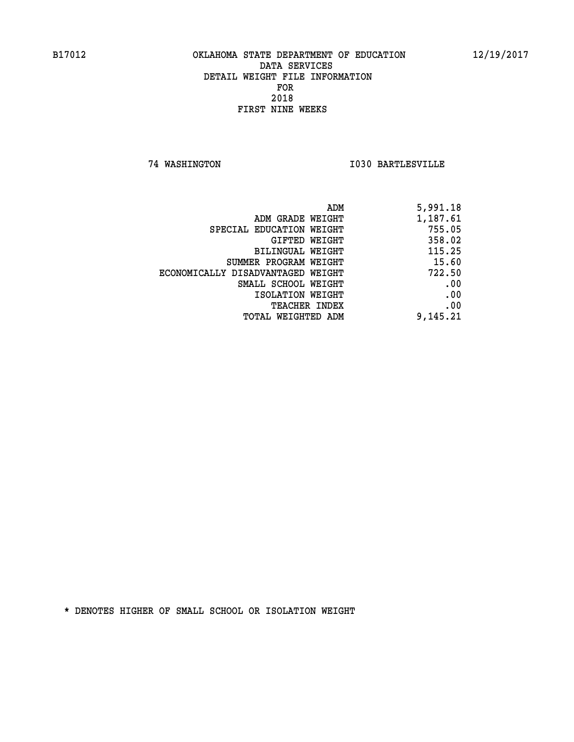**74 WASHINGTON I030 BARTLESVILLE** 

| 5,991.18 |
|----------|
| 1,187.61 |
| 755.05   |
| 358.02   |
| 115.25   |
| 15.60    |
| 722.50   |
| .00      |
| .00      |
| .00      |
| 9,145.21 |
|          |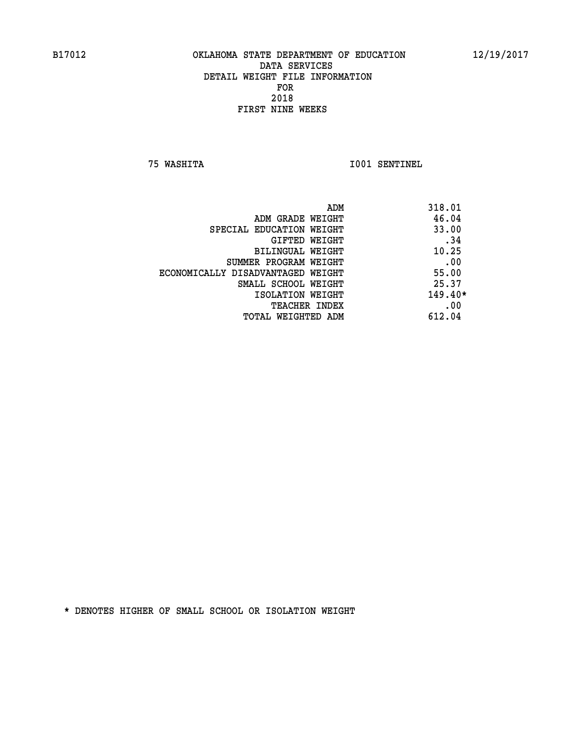**75 WASHITA I001 SENTINEL** 

| ADM                               | 318.01    |
|-----------------------------------|-----------|
| ADM GRADE WEIGHT                  | 46.04     |
| SPECIAL EDUCATION WEIGHT          | 33.00     |
| GIFTED WEIGHT                     | .34       |
| BILINGUAL WEIGHT                  | 10.25     |
| SUMMER PROGRAM WEIGHT             | .00       |
| ECONOMICALLY DISADVANTAGED WEIGHT | 55.00     |
| SMALL SCHOOL WEIGHT               | 25.37     |
| ISOLATION WEIGHT                  | $149.40*$ |
| <b>TEACHER INDEX</b>              | .00       |
| TOTAL WEIGHTED ADM                | 612.04    |
|                                   |           |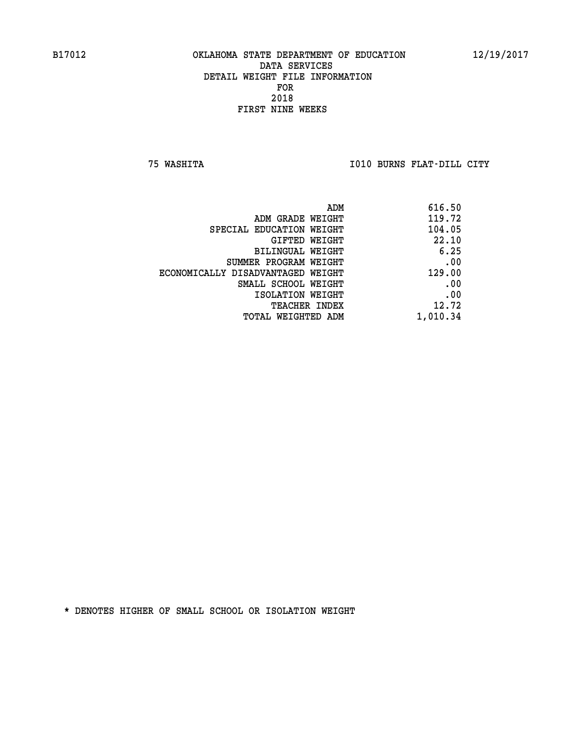**75 WASHITA I010 BURNS FLAT-DILL CITY** 

| 616.50   |
|----------|
| 119.72   |
| 104.05   |
| 22.10    |
| 6.25     |
| .00      |
| 129.00   |
| .00      |
| .00      |
| 12.72    |
| 1,010.34 |
|          |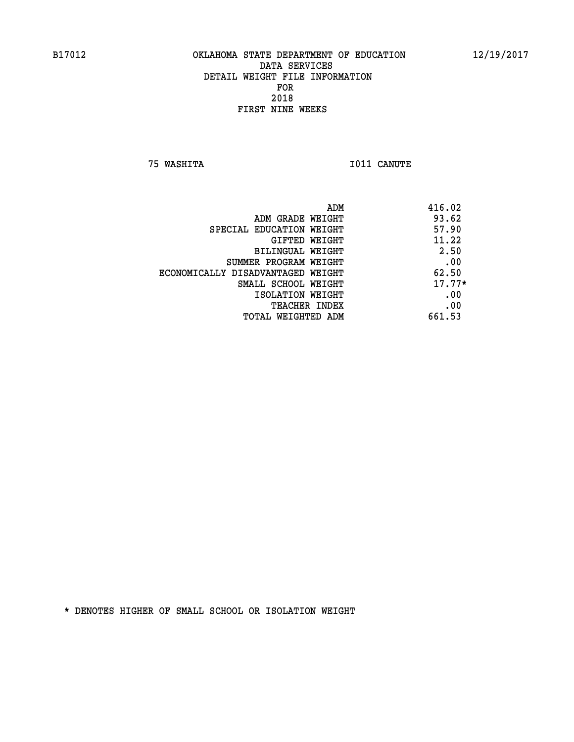**75 WASHITA I011 CANUTE** 

| ADM                               | 416.02   |
|-----------------------------------|----------|
| ADM GRADE WEIGHT                  | 93.62    |
| SPECIAL EDUCATION WEIGHT          | 57.90    |
| GIFTED WEIGHT                     | 11.22    |
| BILINGUAL WEIGHT                  | 2.50     |
| SUMMER PROGRAM WEIGHT             | .00      |
| ECONOMICALLY DISADVANTAGED WEIGHT | 62.50    |
| SMALL SCHOOL WEIGHT               | $17.77*$ |
| ISOLATION WEIGHT                  | .00      |
| <b>TEACHER INDEX</b>              | .00      |
| TOTAL WEIGHTED ADM                | 661.53   |
|                                   |          |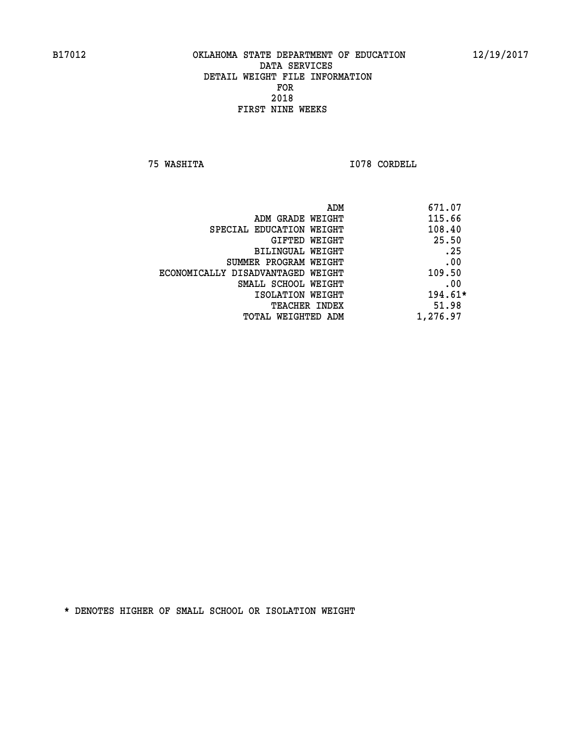**75 WASHITA I078 CORDELL** 

|                                   | ADM      | 671.07    |
|-----------------------------------|----------|-----------|
| ADM GRADE WEIGHT                  |          | 115.66    |
| SPECIAL EDUCATION WEIGHT          |          | 108.40    |
| GIFTED WEIGHT                     |          | 25.50     |
| BILINGUAL WEIGHT                  |          | .25       |
| SUMMER PROGRAM WEIGHT             |          | .00       |
| ECONOMICALLY DISADVANTAGED WEIGHT |          | 109.50    |
| SMALL SCHOOL WEIGHT               |          | .00       |
| ISOLATION WEIGHT                  |          | $194.61*$ |
| TEACHER INDEX                     |          | 51.98     |
| TOTAL WEIGHTED ADM                | 1,276.97 |           |
|                                   |          |           |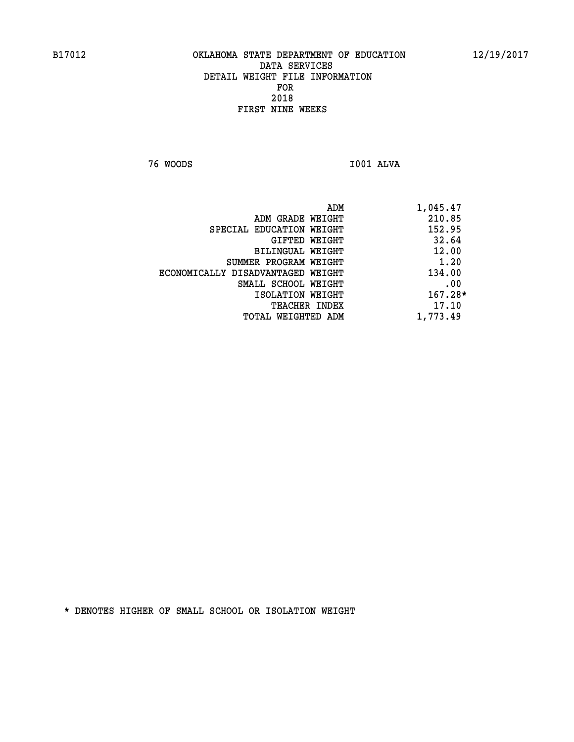**76 WOODS I001 ALVA** 

| ADM                               | 1,045.47  |
|-----------------------------------|-----------|
| ADM GRADE WEIGHT                  | 210.85    |
| SPECIAL EDUCATION WEIGHT          | 152.95    |
| GIFTED WEIGHT                     | 32.64     |
| BILINGUAL WEIGHT                  | 12.00     |
| SUMMER PROGRAM WEIGHT             | 1.20      |
| ECONOMICALLY DISADVANTAGED WEIGHT | 134.00    |
| SMALL SCHOOL WEIGHT               | .00       |
| ISOLATION WEIGHT                  | $167.28*$ |
| <b>TEACHER INDEX</b>              | 17.10     |
| TOTAL WEIGHTED ADM                | 1,773.49  |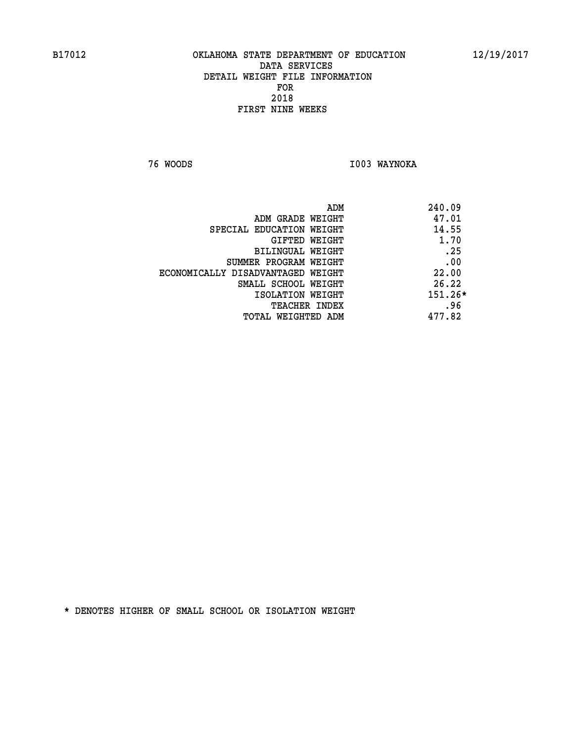**76 WOODS I003 WAYNOKA** 

| 240.09    | ADM                               |
|-----------|-----------------------------------|
| 47.01     | ADM GRADE WEIGHT                  |
| 14.55     | SPECIAL EDUCATION WEIGHT          |
| 1.70      | GIFTED WEIGHT                     |
| .25       | BILINGUAL WEIGHT                  |
| .00       | SUMMER PROGRAM WEIGHT             |
| 22.00     | ECONOMICALLY DISADVANTAGED WEIGHT |
| 26.22     | SMALL SCHOOL WEIGHT               |
| $151.26*$ | ISOLATION WEIGHT                  |
| .96       | TEACHER INDEX                     |
| 477.82    | TOTAL WEIGHTED ADM                |
|           |                                   |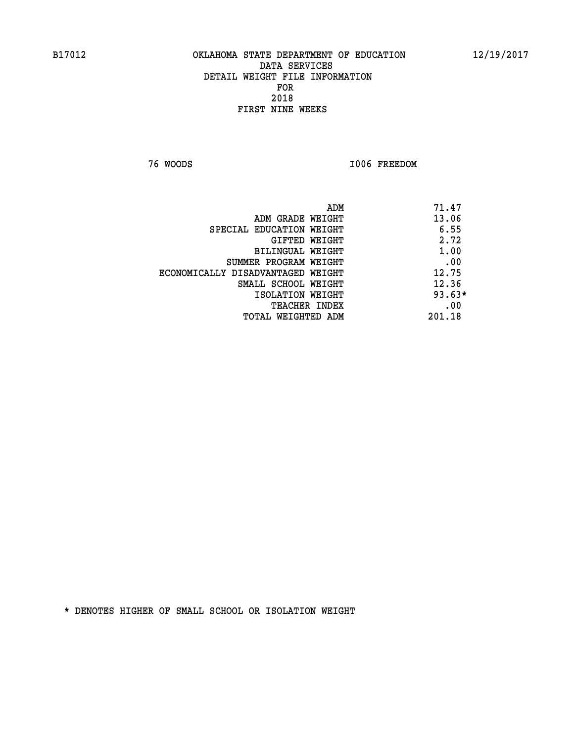**76 WOODS I006 FREEDOM** 

|                                   | ADM | 71.47    |
|-----------------------------------|-----|----------|
| ADM GRADE WEIGHT                  |     | 13.06    |
| SPECIAL EDUCATION WEIGHT          |     | 6.55     |
| GIFTED WEIGHT                     |     | 2.72     |
| BILINGUAL WEIGHT                  |     | 1.00     |
| SUMMER PROGRAM WEIGHT             |     | .00      |
| ECONOMICALLY DISADVANTAGED WEIGHT |     | 12.75    |
| SMALL SCHOOL WEIGHT               |     | 12.36    |
| ISOLATION WEIGHT                  |     | $93.63*$ |
| TEACHER INDEX                     |     | .00      |
| TOTAL WEIGHTED ADM                |     | 201.18   |
|                                   |     |          |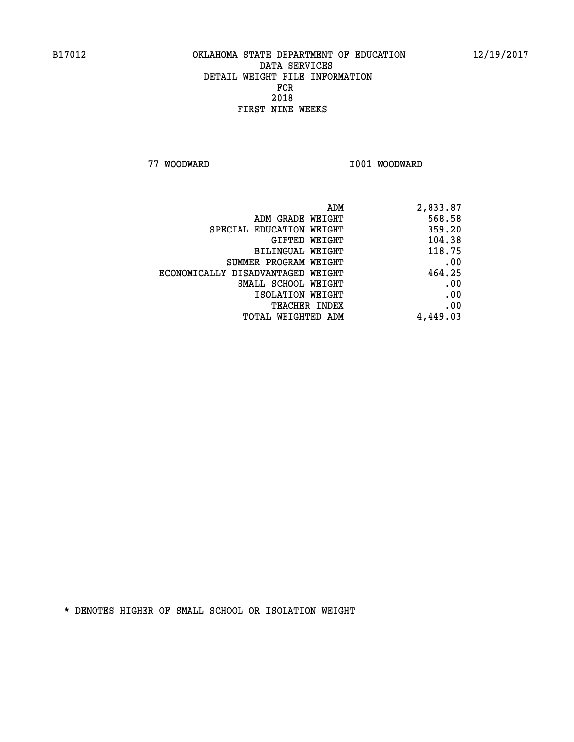**77 WOODWARD I001 WOODWARD** 

| ADM                               | 2,833.87 |
|-----------------------------------|----------|
| ADM GRADE WEIGHT                  | 568.58   |
| SPECIAL EDUCATION WEIGHT          | 359.20   |
| GIFTED WEIGHT                     | 104.38   |
| BILINGUAL WEIGHT                  | 118.75   |
| SUMMER PROGRAM WEIGHT             | .00      |
| ECONOMICALLY DISADVANTAGED WEIGHT | 464.25   |
| SMALL SCHOOL WEIGHT               | .00      |
| ISOLATION WEIGHT                  | .00      |
| <b>TEACHER INDEX</b>              | .00      |
| <b>TOTAL WEIGHTED ADM</b>         | 4,449.03 |
|                                   |          |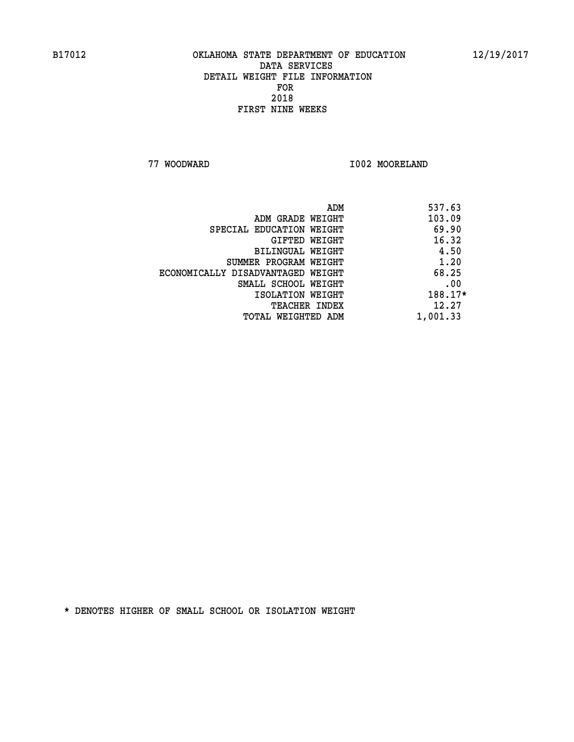**77 WOODWARD I002 MOORELAND** 

|                                   | ADM | 537.63   |
|-----------------------------------|-----|----------|
| ADM GRADE WEIGHT                  |     | 103.09   |
| SPECIAL EDUCATION WEIGHT          |     | 69.90    |
| GIFTED WEIGHT                     |     | 16.32    |
| <b>BILINGUAL WEIGHT</b>           |     | 4.50     |
| SUMMER PROGRAM WEIGHT             |     | 1.20     |
| ECONOMICALLY DISADVANTAGED WEIGHT |     | 68.25    |
| SMALL SCHOOL WEIGHT               |     | .00      |
| ISOLATION WEIGHT                  |     | 188.17*  |
| TEACHER INDEX                     |     | 12.27    |
| TOTAL WEIGHTED ADM                |     | 1,001.33 |
|                                   |     |          |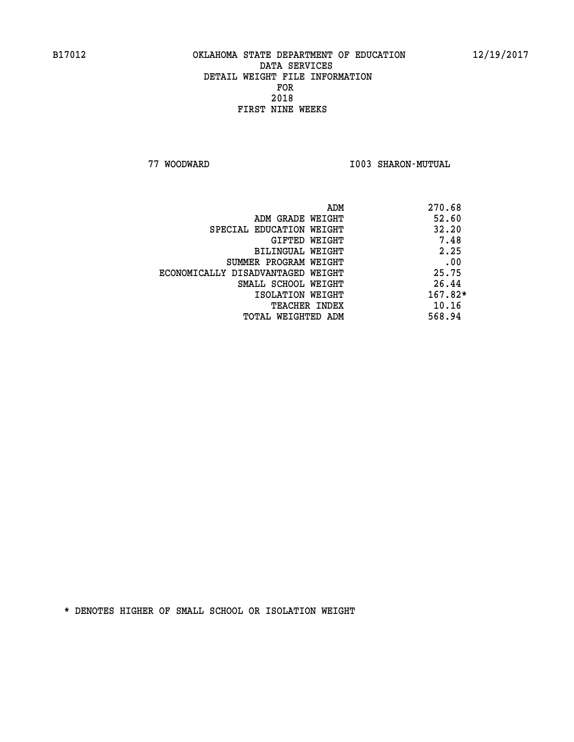**77 WOODWARD I003 SHARON-MUTUAL** 

| 270.68    |
|-----------|
| 52.60     |
| 32.20     |
| 7.48      |
| 2.25      |
| .00       |
| 25.75     |
| 26.44     |
| $167.82*$ |
| 10.16     |
| 568.94    |
|           |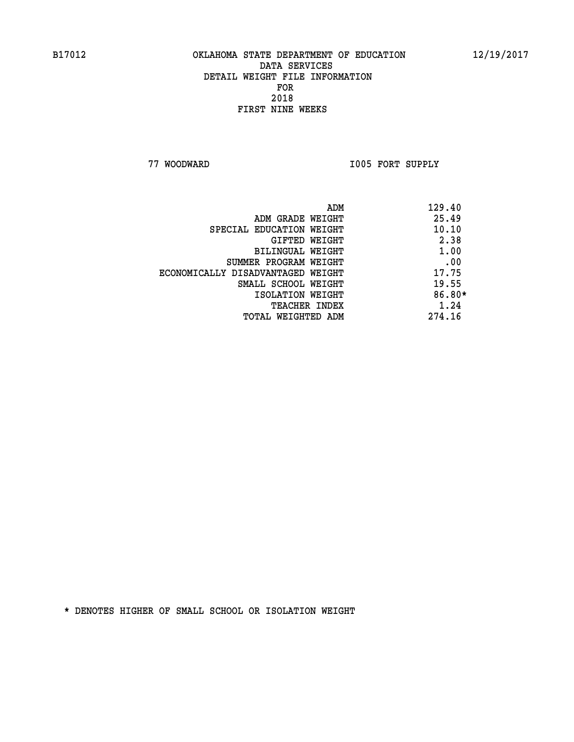**77 WOODWARD I005 FORT SUPPLY** 

|                                   | ADM | 129.40   |
|-----------------------------------|-----|----------|
| ADM GRADE WEIGHT                  |     | 25.49    |
| SPECIAL EDUCATION WEIGHT          |     | 10.10    |
| GIFTED WEIGHT                     |     | 2.38     |
| BILINGUAL WEIGHT                  |     | 1.00     |
| SUMMER PROGRAM WEIGHT             |     | .00      |
| ECONOMICALLY DISADVANTAGED WEIGHT |     | 17.75    |
| SMALL SCHOOL WEIGHT               |     | 19.55    |
| ISOLATION WEIGHT                  |     | $86.80*$ |
| TEACHER INDEX                     |     | 1.24     |
| TOTAL WEIGHTED ADM                |     | 274.16   |
|                                   |     |          |